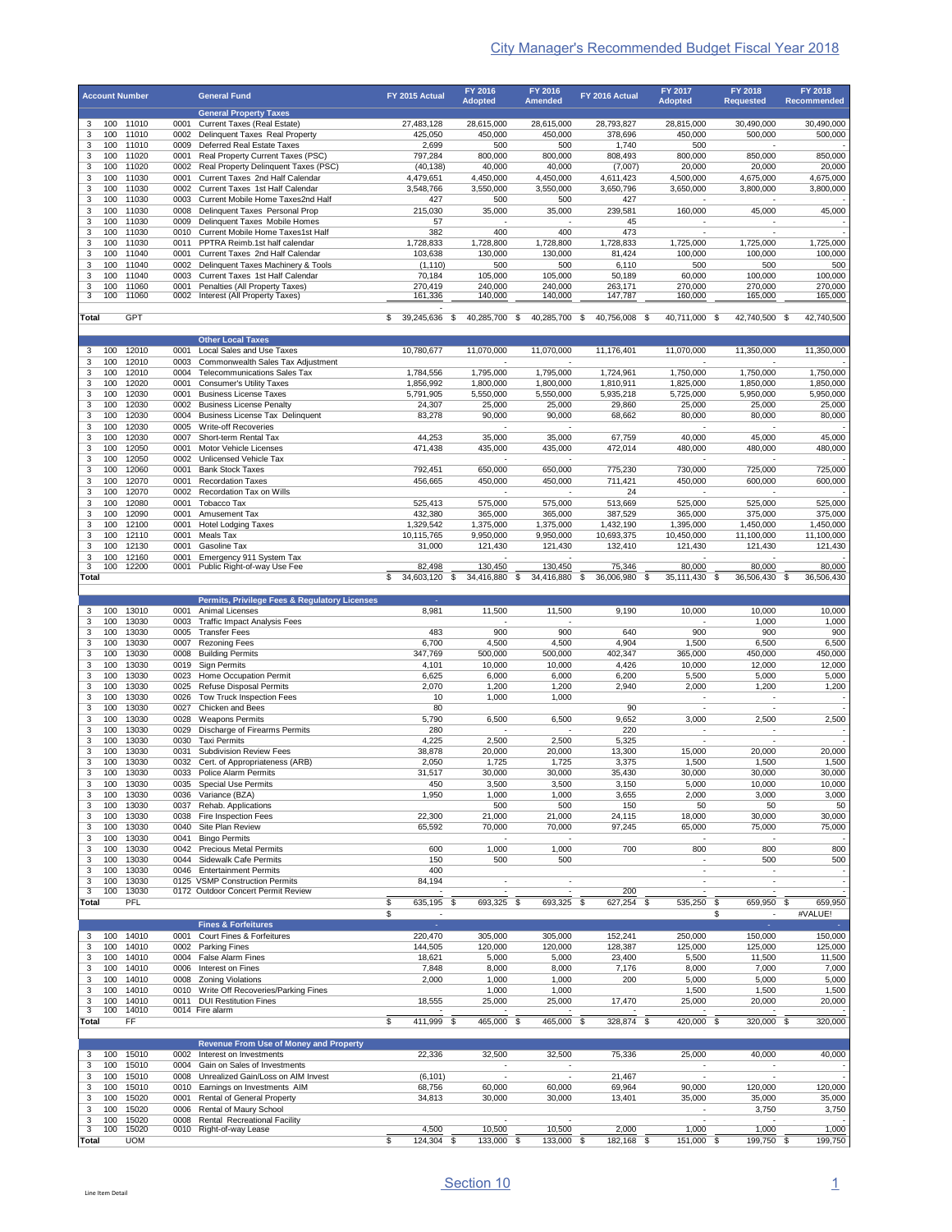|                                         |            |                       |              |                                                                           |                                     |                                                   |                           |                                                    | <b>City Manager's Recommended Budget Fiscal Year 2018</b> |                                   |                                                  |
|-----------------------------------------|------------|-----------------------|--------------|---------------------------------------------------------------------------|-------------------------------------|---------------------------------------------------|---------------------------|----------------------------------------------------|-----------------------------------------------------------|-----------------------------------|--------------------------------------------------|
|                                         |            | <b>Account Number</b> |              | <b>General Fund</b>                                                       | FY 2015 Actual                      | FY 2016<br><b>Adopted</b>                         | FY 2016<br><b>Amended</b> | FY 2016 Actual                                     | FY 2017<br><b>Adopted</b>                                 | FY 2018<br><b>Requested</b>       | FY 2018<br>Recommended                           |
| 3                                       |            | 100 11010             | 0001         | <b>General Property Taxes</b><br>Current Taxes (Real Estate)              | 27,483,128                          | 28,615,000                                        | 28,615,000                | 28,793,827                                         | 28,815,000                                                | 30,490,000                        | 30,490,000                                       |
| 3<br>3                                  | 100<br>100 | 11010<br>11010        | 0002<br>0009 | Delinquent Taxes Real Property<br>Deferred Real Estate Taxes              | 425,050<br>2,699                    | 450,000<br>500                                    | 450,000<br>500            | 378,696<br>1,740                                   | 450,000<br>500                                            | 500,000                           | 500,000                                          |
| 3<br>3                                  | 100<br>100 | 11020<br>11020        | 0001<br>0002 | Real Property Current Taxes (PSC)<br>Real Property Delinquent Taxes (PSC) | 797,284<br>(40, 138)                | 800,000<br>40,000                                 | 800,000<br>40,000         | 808,493<br>(7,007)                                 | 800,000<br>20,000                                         | 850,000<br>20,000                 | 850,000<br>20,000                                |
| 3                                       | 100        | 11030                 | 0001         | Current Taxes 2nd Half Calendar                                           | 4,479,651                           | 4,450,000                                         | 4,450,000                 | 4,611,423                                          | 4,500,000                                                 | 4,675,000                         | 4,675,000                                        |
| 3<br>3                                  | 100<br>100 | 11030<br>11030        | 0002<br>0003 | Current Taxes 1st Half Calendar<br>Current Mobile Home Taxes2nd Half      | 3,548,766<br>427                    | 3,550,000<br>500                                  | 3,550,000<br>500          | 3,650,796<br>427                                   | 3,650,000                                                 | 3,800,000                         | 3,800,000                                        |
| 3                                       | 100        | 11030                 | 0008         | Delinquent Taxes Personal Prop                                            | 215,030                             | 35,000                                            | 35,000                    | 239,581                                            | 160,000                                                   | 45,000                            | 45,000                                           |
| 3<br>3                                  | 100<br>100 | 11030<br>11030        | 0009<br>0010 | Delinquent Taxes Mobile Homes<br>Current Mobile Home Taxes1st Half        | 57<br>382                           | $\overline{\phantom{a}}$<br>400                   | 400                       | 45<br>473                                          | ÷.                                                        | ÷                                 |                                                  |
| 3                                       | 100<br>100 | 11030<br>11040        | 0011         | PPTRA Reimb.1st half calendar<br>Current Taxes 2nd Half Calendar          | 1,728,833                           | 1,728,800                                         | 1,728,800                 | 1,728,833                                          | 1,725,000                                                 | 1,725,000                         | 1,725,000                                        |
| 3<br>3                                  | 100        | 11040                 | 0001<br>0002 | Delinquent Taxes Machinery & Tools                                        | 103,638<br>(1, 110)                 | 130,000<br>500                                    | 130,000<br>500            | 81,424<br>6,110                                    | 100,000<br>500                                            | 100,000<br>500                    | 100,000<br>500                                   |
| 3<br>3                                  | 100<br>100 | 11040<br>11060        | 0003<br>0001 | Current Taxes 1st Half Calendar<br>Penalties (All Property Taxes)         | 70,184<br>270,419                   | 105,000<br>240,000                                | 105,000<br>240,000        | 50,189<br>263,171                                  | 60,000<br>270,000                                         | 100,000<br>270,000                | 100,000<br>270,000                               |
| $\overline{\mathbf{3}}$                 | 100        | 11060                 |              | 0002 Interest (All Property Taxes)                                        | 161,336                             | 140,000                                           | 140,000                   | 147,787                                            | 160,000                                                   | 165,000                           | 165,000                                          |
| Total                                   |            | <b>GPT</b>            |              |                                                                           | 39,245,636 \$<br>\$                 | 40,285,700                                        | 40,285,700 \$<br>\$       | 40,756,008 \$                                      | 40,711,000 \$                                             | 42,740,500 \$                     | 42,740,500                                       |
| 3                                       | 100        | 12010                 | 0001         | <b>Other Local Taxes</b><br>Local Sales and Use Taxes                     | 10,780,677                          | 11,070,000                                        | 11,070,000                | 11,176,401                                         | 11,070,000                                                | 11,350,000                        | 11,350,000                                       |
| 3<br>3                                  | 100<br>100 | 12010<br>12010        | 0003<br>0004 | Commonwealth Sales Tax Adjustment<br>Telecommunications Sales Tax         | 1,784,556                           | $\overline{\phantom{a}}$<br>1,795,000             | 1,795,000                 | 1,724,961                                          | 1,750,000                                                 | 1,750,000                         | 1,750,000                                        |
| 3                                       | 100        | 12020                 | 0001         | <b>Consumer's Utility Taxes</b>                                           | 1.856.992                           | 1,800,000                                         | 1,800,000                 | 1,810,911                                          | 1,825,000                                                 | 1,850,000                         | 1,850,000                                        |
| 3<br>3                                  | 100<br>100 | 12030<br>12030        | 0001<br>0002 | <b>Business License Taxes</b><br><b>Business License Penalty</b>          | 5,791,905<br>24,307                 | 5,550,000<br>25,000                               | 5,550,000<br>25,000       | 5,935,218<br>29,860                                | 5,725,000<br>25,000                                       | 5,950,000<br>25,000               | 5,950,000<br>25,000                              |
| 3                                       | 100<br>100 | 12030<br>12030        | 0004<br>0005 | <b>Business License Tax Delinquent</b><br>Write-off Recoveries            | 83,278                              | 90,000                                            | 90,000                    | 68,662                                             | 80,000                                                    | 80,000                            | 80,000                                           |
| 3<br>3                                  | 100        | 12030                 | 0007         | Short-term Rental Tax                                                     | 44,253                              | 35,000                                            | 35,000                    | 67,759                                             | 40,000                                                    | 45,000                            | 45,000                                           |
| 3<br>3                                  | 100<br>100 | 12050<br>12050        | 0001<br>0002 | Motor Vehicle Licenses<br>Unlicensed Vehicle Tax                          | 471,438                             | 435,000<br>$\overline{\phantom{a}}$               | 435,000                   | 472,014                                            | 480,000                                                   | 480,000<br>٠                      | 480,000                                          |
| 3                                       | 100        | 12060                 | 0001         | <b>Bank Stock Taxes</b>                                                   | 792,451                             | 650,000                                           | 650,000                   | 775,230                                            | 730,000                                                   | 725,000                           | 725,000                                          |
| 3<br>3                                  | 100<br>100 | 12070<br>12070        | 0001<br>0002 | <b>Recordation Taxes</b><br>Recordation Tax on Wills                      | 456,665                             | 450,000                                           | 450.000                   | 711,421<br>24                                      | 450,000                                                   | 600.000                           | 600,000                                          |
| 3                                       | 100        | 12080                 | 0001         | Tobacco Tax                                                               | 525,413                             | 575,000                                           | 575,000                   | 513,669                                            | 525,000                                                   | 525,000                           | 525,000                                          |
| 3<br>3                                  | 100<br>100 | 12090<br>12100        | 0001<br>0001 | Amusement Tax<br><b>Hotel Lodging Taxes</b>                               | 432,380<br>1,329,542                | 365,000<br>1,375,000                              | 365,000<br>1,375,000      | 387,529<br>1,432,190                               | 365,000<br>1,395,000                                      | 375,000<br>1,450,000              | 375,000<br>1,450,000                             |
| 3<br>3                                  | 100<br>100 | 12110<br>12130        | 0001<br>0001 | Meals Tax<br>Gasoline Tax                                                 | 10,115,765<br>31,000                | 9,950,000<br>121,430                              | 9,950,000<br>121,430      | 10,693,375<br>132,410                              | 10,450,000<br>121,430                                     | 11,100,000<br>121,430             | 11,100,000<br>121,430                            |
| 3                                       | 100        | 12160                 | 0001         | Emergency 911 System Tax                                                  |                                     |                                                   |                           |                                                    |                                                           |                                   |                                                  |
| 3<br><b>Total</b>                       | 100        | 12200                 |              | 0001 Public Right-of-way Use Fee                                          | 82,498<br>$\overline{\mathbb{S}}$   | 130,450<br>34,603,120 \$ 34,416,880 \$ 34,416,880 | 130,450                   | 75,346<br>$\overline{\mathbf{s}}$<br>36,006,980 \$ | 80,000<br>35,111,430 \$                                   | 80,000<br>36,506,430              | 80,000<br>36,506,430<br>$\overline{\mathcal{S}}$ |
|                                         |            |                       |              | Permits, Privilege Fees & Regulatory Licenses                             |                                     |                                                   |                           |                                                    |                                                           |                                   |                                                  |
| 3<br>3                                  | 100<br>100 | 13010<br>13030        | 0001<br>0003 | Animal Licenses<br>Traffic Impact Analysis Fees                           | 8,981                               | 11,500                                            | 11,500                    | 9,190                                              | 10,000                                                    | 10,000<br>1,000                   | 10,000<br>1,000                                  |
| 3                                       | 100        | 13030                 | 0005         | <b>Transfer Fees</b>                                                      | 483                                 | 900                                               | 900                       | 640                                                | 900                                                       | 900                               | 900                                              |
| 3<br>3                                  | 100<br>100 | 13030<br>13030        | 0007<br>0008 | <b>Rezoning Fees</b><br><b>Building Permits</b>                           | 6,700<br>347,769                    | 4,500<br>500,000                                  | 4,500<br>500,000          | 4,904<br>402,347                                   | 1,500<br>365,000                                          | 6,500<br>450,000                  | 6,500<br>450,000                                 |
| 3<br>3                                  | 100<br>100 | 13030<br>13030        | 0019<br>0023 | Sign Permits<br>Home Occupation Permit                                    | 4,101<br>6,625                      | 10,000<br>6,000                                   | 10,000<br>6,000           | 4,426<br>6,200                                     | 10,000<br>5,500                                           | 12,000<br>5,000                   | 12,000<br>5,000                                  |
| 3                                       | 100        | 13030                 | 0025         | <b>Refuse Disposal Permits</b>                                            | 2,070                               | 1,200                                             | 1,200                     | 2,940                                              | 2,000                                                     | 1,200                             | 1,200                                            |
| 3<br>3                                  | 100<br>100 | 13030<br>13030        | 0026<br>0027 | Tow Truck Inspection Fees<br>Chicken and Bees                             | 10<br>80                            | 1,000                                             | 1,000                     | 90                                                 | $\overline{\phantom{a}}$<br>÷,                            | $\overline{\phantom{a}}$<br>÷,    | ÷<br>÷,                                          |
| 3<br>3                                  | 100<br>100 | 13030<br>13030        | 0028<br>0029 | <b>Weapons Permits</b><br>Discharge of Firearms Permits                   | 5,790<br>280                        | 6,500<br>$\overline{\phantom{a}}$                 | 6,500                     | 9,652<br>220                                       | 3,000<br>$\overline{\phantom{a}}$                         | 2,500<br>$\overline{\phantom{a}}$ | 2,500                                            |
| 3                                       | 100        | 13030                 | 0030         | <b>Taxi Permits</b>                                                       | 4.225                               | 2,500                                             | 2,500                     | 5,325                                              |                                                           |                                   | $\overline{\phantom{a}}$                         |
| 3<br>3                                  | 100<br>100 | 13030<br>13030        | 0032         | 0031 Subdivision Review Fees<br>Cert. of Appropriateness (ARB)            | 38,878<br>2,050                     | 20,000<br>1,725                                   | 20,000<br>1,725           | 13,300<br>3,375                                    | 15,000<br>1,500                                           | 20,000<br>1,500                   | 20,000<br>1,500                                  |
| 3                                       | 100        | 13030                 | 0033         | Police Alarm Permits                                                      | 31,517                              | 30,000                                            | 30,000                    | 35,430                                             | 30,000                                                    | 30,000                            | 30,000                                           |
| 3<br>3                                  | 100<br>100 | 13030<br>13030        | 0035<br>0036 | <b>Special Use Permits</b><br>Variance (BZA)                              | 450<br>1,950                        | 3,500<br>1,000                                    | 3,500<br>1,000            | 3,150<br>3,655                                     | 5,000<br>2,000                                            | 10,000<br>3,000                   | 10,000<br>3,000                                  |
| 3<br>3                                  | 100<br>100 | 13030<br>13030        | 0037<br>0038 | Rehab. Applications<br>Fire Inspection Fees                               | 22,300                              | 500<br>21,000                                     | 500<br>21,000             | 150<br>24,115                                      | 50<br>18,000                                              | 50<br>30,000                      | 50<br>30,000                                     |
| 3                                       | 100        | 13030                 | 0040         | Site Plan Review                                                          | 65,592                              | 70,000                                            | 70,000                    | 97,245                                             | 65,000                                                    | 75,000                            | 75,000                                           |
| 3<br>3                                  | 100<br>100 | 13030<br>13030        | 0041<br>0042 | <b>Bingo Permits</b><br><b>Precious Metal Permits</b>                     | 600                                 | 1,000                                             | 1,000                     | 700                                                | 800                                                       | 800                               | 800                                              |
| 3                                       | 100        | 13030                 | 0044         | Sidewalk Cafe Permits                                                     | 150                                 | 500                                               | 500                       |                                                    |                                                           | 500                               | 500                                              |
| 3<br>3                                  | 100<br>100 | 13030<br>13030        | 0046         | <b>Entertainment Permits</b><br>0125 VSMP Construction Permits            | 400<br>84,194                       | ٠                                                 |                           |                                                    | ÷,                                                        | $\overline{\phantom{a}}$          | Ŀ                                                |
| 3<br><b>Total</b>                       | 100        | 13030<br>PFL          |              | 0172 Outdoor Concert Permit Review                                        | $\overline{\mathcal{S}}$<br>635,195 | 693,325<br>- \$                                   | 693,325<br>-\$            | 200<br>627,254 \$<br>$\sqrt{3}$                    | 535,250 \$                                                | 659,950                           | 659,950<br>- 35                                  |
|                                         |            |                       |              | <b>Fines &amp; Forfeitures</b>                                            | \$<br>÷.                            |                                                   |                           |                                                    |                                                           | \$                                | #VALUE!                                          |
| 3                                       | 100        | 14010                 |              | 0001 Court Fines & Forfeitures                                            | 220,470                             | 305,000                                           | 305,000                   | 152,241                                            | 250,000                                                   | 150,000                           | 150,000                                          |
| 3<br>3                                  | 100<br>100 | 14010<br>14010        |              | 0002 Parking Fines<br>0004 False Alarm Fines                              | 144,505<br>18,621                   | 120,000<br>5,000                                  | 120,000<br>5,000          | 128,387<br>23,400                                  | 125,000<br>5,500                                          | 125,000<br>11,500                 | 125,000<br>11,500                                |
| 3<br>3                                  | 100<br>100 | 14010<br>14010        | 0006<br>0008 | Interest on Fines<br><b>Zoning Violations</b>                             | 7,848<br>2,000                      | 8,000<br>1,000                                    | 8,000<br>1,000            | 7,176<br>200                                       | 8,000<br>5,000                                            | 7,000<br>5,000                    | 7,000<br>5,000                                   |
| 3                                       | 100        | 14010                 | 0010         | Write Off Recoveries/Parking Fines                                        |                                     | 1,000                                             | 1,000                     |                                                    | 1,500                                                     | 1,500                             | 1,500                                            |
| 3<br>3                                  | 100<br>100 | 14010<br>14010        | 0011         | <b>DUI Restitution Fines</b><br>0014 Fire alarm                           | 18,555                              | 25,000                                            | 25,000                    | 17,470                                             | 25,000                                                    | 20,000                            | 20,000                                           |
| <b>Total</b>                            |            | FF                    |              |                                                                           | $\overline{\mathbb{S}}$<br>411,999  | 465,000<br>\$                                     | 465,000<br>-\$            | 328,874 \$<br>$\sqrt{3}$                           | 420,000                                                   | 320,000<br>\$                     | 320,000<br>\$                                    |
| 3                                       | 100        | 15010                 | 0002         | Revenue From Use of Money and Property<br>Interest on Investments         | 22,336                              | 32,500                                            | 32,500                    | 75,336                                             | 25,000                                                    | 40,000                            | 40,000                                           |
| 3                                       | 100        | 15010                 | 0004         | Gain on Sales of Investments                                              |                                     |                                                   |                           |                                                    |                                                           |                                   | $\overline{\phantom{a}}$                         |
| 3<br>3                                  | 100<br>100 | 15010<br>15010        | 0008<br>0010 | Unrealized Gain/Loss on AIM Invest<br>Earnings on Investments AIM         | (6, 101)<br>68,756                  | 60,000                                            | 60,000                    | 21,467<br>69,964                                   | 90,000                                                    | 120,000                           | 120,000                                          |
| 3                                       | 100<br>100 | 15020<br>15020        | 0001         | Rental of General Property                                                | 34,813                              | 30,000                                            | 30,000                    | 13,401                                             | 35,000                                                    | 35,000                            | 35,000                                           |
| 3<br>3                                  | 100        | 15020                 | 0006<br>0008 | Rental of Maury School<br>Rental Recreational Facility                    |                                     |                                                   |                           |                                                    | $\overline{\phantom{a}}$                                  | 3,750<br>$\overline{\phantom{a}}$ | 3,750                                            |
| $\overline{\mathbf{3}}$<br><b>Total</b> | 100        | 15020<br><b>UOM</b>   |              | 0010 Right-of-way Lease                                                   | 4,500<br>s<br>$124,304$ \$          | 10,500<br>133,000 \$                              | 10,500<br>133,000 \$      | 2,000<br>182,168 \$                                | 1,000<br>151,000 \$                                       | 1,000<br>199,750                  | 1,000<br>199,750<br>- 35                         |
|                                         |            |                       |              |                                                                           |                                     |                                                   |                           |                                                    |                                                           |                                   |                                                  |
|                                         |            |                       |              |                                                                           |                                     | Section 10                                        |                           |                                                    |                                                           |                                   | 1                                                |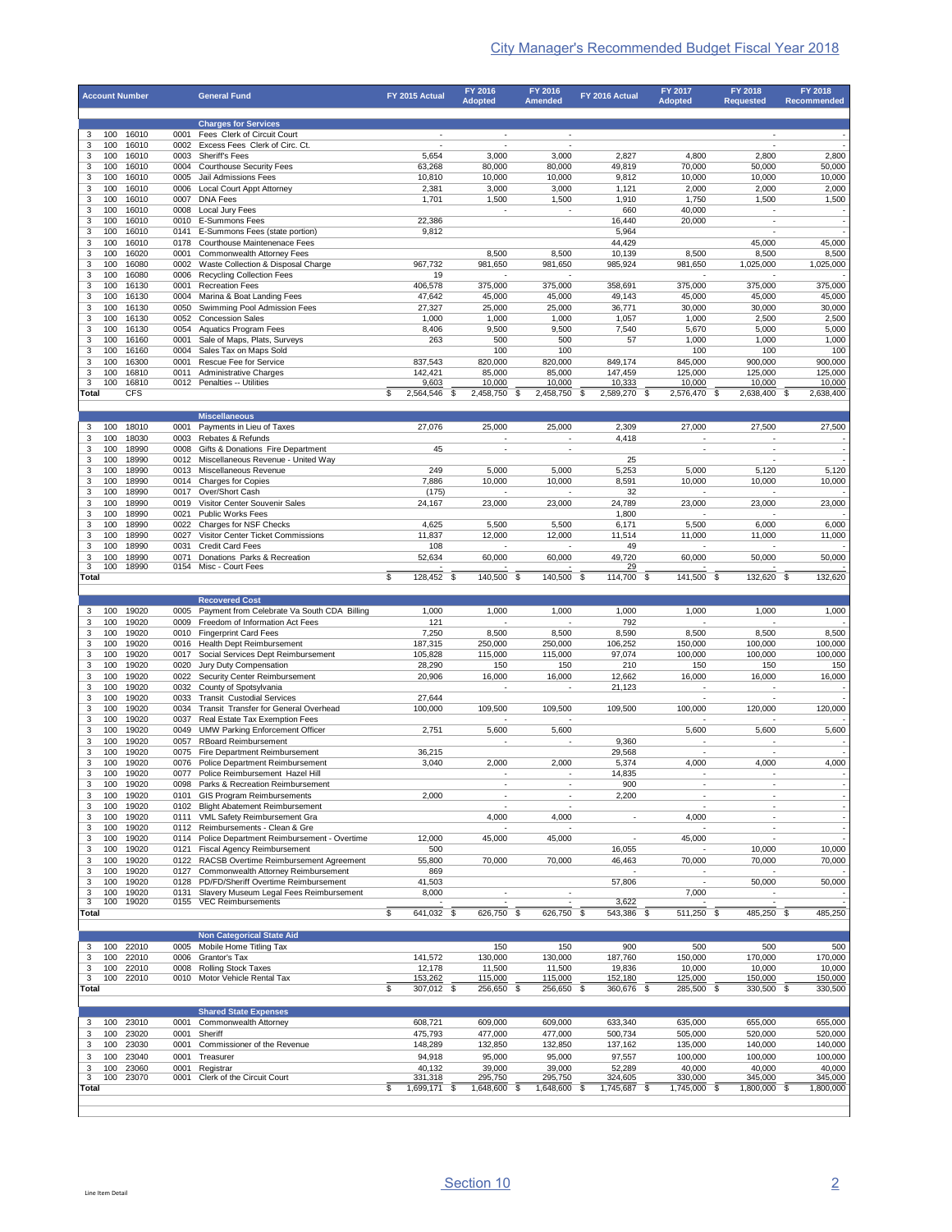| <b>Account Number</b>                                 |              | <b>General Fund</b>                                                              | FY 2015 Actual                           | FY 2016<br><b>Adopted</b>  | FY 2016<br><b>Amended</b>   | FY 2016 Actual               | FY 2017<br><b>Adopted</b> | FY 2018<br><b>Requested</b>  | FY 2018<br>Recommended      |
|-------------------------------------------------------|--------------|----------------------------------------------------------------------------------|------------------------------------------|----------------------------|-----------------------------|------------------------------|---------------------------|------------------------------|-----------------------------|
|                                                       |              | <b>Charges for Services</b>                                                      |                                          |                            |                             |                              |                           |                              |                             |
| 100<br>16010<br>3<br>100<br>16010<br>3                | 0001<br>0002 | Fees Clerk of Circuit Court<br>Excess Fees Clerk of Circ. Ct.                    | ×.                                       |                            |                             |                              |                           | ٠                            |                             |
| 100<br>16010<br>3                                     | 0003         | <b>Sheriff's Fees</b>                                                            | 5,654                                    | 3,000                      | 3,000                       | 2,827                        | 4,800                     | 2,800                        | 2,800                       |
| 3<br>100<br>16010<br>100<br>16010<br>3                | 0004<br>0005 | <b>Courthouse Security Fees</b><br>Jail Admissions Fees                          | 63,268<br>10,810                         | 80,000<br>10,000           | 80,000<br>10,000            | 49,819<br>9,812              | 70,000<br>10,000          | 50,000<br>10,000             | 50,000<br>10,000            |
| 100<br>16010<br>3                                     | 0006         | Local Court Appt Attorney                                                        | 2,381                                    | 3,000                      | 3,000                       | 1,121                        | 2,000                     | 2,000                        | 2,000                       |
| 16010<br>3<br>100                                     | 0007         | <b>DNA Fees</b>                                                                  | 1,701                                    | 1,500                      | 1,500                       | 1,910                        | 1,750                     | 1,500                        | 1,500                       |
| 16010<br>3<br>100<br>100<br>16010<br>3                | 0008<br>0010 | Local Jury Fees<br>E-Summons Fees                                                | 22,386                                   | $\overline{\phantom{a}}$   | $\sim$                      | 660<br>16,440                | 40,000<br>20,000          | $\overline{\phantom{a}}$     |                             |
| 3<br>100<br>16010                                     | 0141         | E-Summons Fees (state portion)                                                   | 9,812                                    |                            |                             | 5,964                        |                           |                              |                             |
| 16010<br>3<br>100                                     | 0178         | Courthouse Maintenenace Fees                                                     |                                          |                            |                             | 44,429                       |                           | 45,000                       | 45,000                      |
| 100<br>16020<br>3<br>100<br>16080<br>3                | 0001<br>0002 | Commonwealth Attorney Fees<br>Waste Collection & Disposal Charge                 | 967,732                                  | 8,500<br>981,650           | 8,500<br>981,650            | 10,139<br>985,924            | 8,500<br>981,650          | 8,500<br>1,025,000           | 8,500<br>1,025,000          |
| 100<br>16080<br>3                                     | 0006         | <b>Recycling Collection Fees</b>                                                 | 19                                       |                            |                             |                              |                           |                              |                             |
| 3<br>100<br>16130                                     | 0001         | <b>Recreation Fees</b>                                                           | 406,578                                  | 375,000                    | 375,000                     | 358,691                      | 375,000                   | 375,000                      | 375,000                     |
| 3<br>100<br>16130<br>16130<br>3<br>100                | 0004<br>0050 | Marina & Boat Landing Fees<br>Swimming Pool Admission Fees                       | 47,642<br>27,327                         | 45,000<br>25,000           | 45,000<br>25,000            | 49,143<br>36,771             | 45,000<br>30,000          | 45,000<br>30,000             | 45,000<br>30,000            |
| 3<br>100<br>16130                                     | 0052         | <b>Concession Sales</b>                                                          | 1,000                                    | 1,000                      | 1,000                       | 1,057                        | 1,000                     | 2,500                        | 2,500                       |
| 100<br>16130<br>3                                     | 0054         | Aquatics Program Fees                                                            | 8,406                                    | 9,500                      | 9,500                       | 7,540                        | 5,670                     | 5,000                        | 5,000                       |
| 3<br>100<br>16160<br>3<br>100<br>16160                | 0001<br>0004 | Sale of Maps, Plats, Surveys<br>Sales Tax on Maps Sold                           | 263                                      | 500<br>100                 | 500<br>100                  | 57                           | 1,000<br>100              | 1,000<br>100                 | 1,000<br>100                |
| 100<br>16300<br>3                                     | 0001         | Rescue Fee for Service                                                           | 837,543                                  | 820,000                    | 820,000                     | 849,174                      | 845,000                   | 900,000                      | 900,000                     |
| 16810<br>3<br>100                                     | 0011         | <b>Administrative Charges</b>                                                    | 142,421                                  | 85,000                     | 85,000                      | 147,459                      | 125,000                   | 125,000                      | 125,000                     |
| $\overline{3}$<br>16810<br>100<br><b>CFS</b><br>Total |              | 0012 Penalties -- Utilities                                                      | 9,603<br>\$<br>2,564,546                 | 10,000<br>2,458,750<br>- S | 10,000<br>2,458,750<br>- \$ | 10,333<br>2,589,270 \$<br>\$ | 10,000<br>2,576,470 \$    | 10,000<br>2,638,400          | 10,000<br>2,638,400<br>- \$ |
|                                                       |              | <b>Miscellaneous</b>                                                             |                                          |                            |                             |                              |                           |                              |                             |
| 100<br>18010<br>3                                     | 0001         | Payments in Lieu of Taxes                                                        | 27,076                                   | 25,000                     | 25,000                      | 2,309                        | 27,000                    | 27,500                       | 27,500                      |
| 100<br>18030<br>3<br>100<br>18990                     | 0003<br>0008 | Rebates & Refunds<br>Gifts & Donations Fire Department                           | 45                                       |                            | ÷,                          | 4,418                        |                           |                              |                             |
| 3<br>100<br>18990<br>3                                | 0012         | Miscellaneous Revenue - United Way                                               |                                          |                            |                             | 25                           |                           | ٠                            |                             |
| 18990<br>3<br>100                                     | 0013         | Miscellaneous Revenue                                                            | 249                                      | 5,000                      | 5,000                       | 5,253                        | 5,000                     | 5,120                        | 5,120                       |
| 100<br>18990<br>3                                     | 0014         | <b>Charges for Copies</b>                                                        | 7,886                                    | 10,000                     | 10,000                      | 8,591                        | 10,000                    | 10,000                       | 10,000                      |
| 100<br>18990<br>3<br>18990<br>100                     | 0017<br>0019 | Over/Short Cash<br>Visitor Center Souvenir Sales                                 | (175)<br>24,167                          | 23,000                     | 23,000                      | 32<br>24,789                 | 23,000                    | 23,000                       | 23,000                      |
| 100<br>18990<br>3                                     | 0021         | Public Works Fees                                                                |                                          |                            |                             | 1,800                        |                           |                              |                             |
| 100<br>18990<br>3                                     | 0022         | Charges for NSF Checks                                                           | 4,625                                    | 5,500                      | 5,500                       | 6,171                        | 5,500                     | 6,000                        | 6,000                       |
| 100<br>18990<br>100<br>18990                          | 0027<br>0031 | Visitor Center Ticket Commissions<br><b>Credit Card Fees</b>                     | 11,837<br>108                            | 12,000                     | 12,000                      | 11,514<br>49                 | 11,000                    | 11,000                       | 11,000                      |
| 3<br>100<br>18990                                     | 0071         | Donations Parks & Recreation                                                     | 52,634                                   | 60,000                     | 60,000                      | 49,720                       | 60,000                    | 50,000                       | 50,000                      |
| $\overline{3}$<br>18990<br>100                        | 0154         | Misc - Court Fees                                                                |                                          |                            |                             | 29                           |                           |                              |                             |
| Total                                                 |              |                                                                                  | $\overline{s}$<br>128,452 \$             | 140,500                    | 140,500 \$<br>-\$           | 114,700<br>-S                | 141,500                   | 132,620 \$<br>-\$            | 132,620                     |
| 19020<br>100<br>3                                     | 0005         | <b>Recovered Cost</b><br>Payment from Celebrate Va South CDA Billing             | 1,000                                    | 1,000                      | 1,000                       | 1,000                        | 1,000                     | 1,000                        | 1,000                       |
| 100<br>19020<br>3                                     | 0009         | Freedom of Information Act Fees                                                  | 121                                      |                            |                             | 792                          |                           |                              |                             |
| 100<br>19020<br>3<br>3                                | 0010         | <b>Fingerprint Card Fees</b>                                                     | 7,250                                    | 8,500                      | 8,500                       | 8,590                        | 8,500                     | 8,500                        | 8,500                       |
| 19020<br>100<br>3<br>100<br>19020                     | 0016<br>0017 | Health Dept Reimbursement<br>Social Services Dept Reimbursement                  | 187,315<br>105,828                       | 250,000<br>115,000         | 250,000<br>115,000          | 106,252<br>97,074            | 150,000<br>100,000        | 100,000<br>100,000           | 100,000<br>100,000          |
| 100<br>19020<br>3                                     | 0020         | Jury Duty Compensation                                                           | 28,290                                   | 150                        | 150                         | 210                          | 150                       | 150                          | 150                         |
| 19020<br>100                                          | 0022         | Security Center Reimbursement                                                    | 20,906                                   | 16,000                     | 16,000                      | 12,662                       | 16,000                    | 16,000                       | 16,000                      |
| 3<br>100<br>19020<br>100<br>19020<br>3                | 0032<br>0033 | County of Spotsylvania<br><b>Transit Custodial Services</b>                      | 27,644                                   |                            | $\overline{\phantom{a}}$    | 21,123                       |                           |                              |                             |
| 3<br>100<br>19020                                     | 0034         | Transit Transfer for General Overhead                                            | 100,000                                  | 109,500                    | 109,500                     | 109,500                      | 100,000                   | 120,000                      | 120,000                     |
| 3<br>100<br>19020<br>3                                | 0037         | Real Estate Tax Exemption Fees                                                   |                                          |                            |                             |                              |                           |                              |                             |
| 100<br>19020<br>100                                   | 0049<br>0057 | <b>UMW Parking Enforcement Officer</b><br>RBoard Reimbursement                   | 2,751                                    | 5,600                      | 5,600                       | 9,360                        | 5,600                     | 5,600                        | 5,600                       |
| 19020<br>19020<br>3<br>100                            |              | 0075 Fire Department Reimbursement                                               | 36,215                                   |                            |                             | 29,568                       |                           |                              |                             |
| 100<br>19020<br>3                                     |              | 0076 Police Department Reimbursement                                             | 3,040                                    | 2,000                      | 2,000                       | 5,374                        | 4,000                     | 4,000                        | 4,000                       |
| 100<br>19020                                          | 0077         | Police Reimbursement Hazel Hill                                                  |                                          |                            |                             | 14,835                       |                           |                              |                             |
| 100<br>19020<br>3<br>100<br>19020<br>3                | 0098<br>0101 | Parks & Recreation Reimbursement<br>GIS Program Reimbursements                   | 2,000                                    |                            |                             | 900<br>2,200                 | ä,                        | $\overline{\phantom{m}}$     |                             |
| 3<br>100<br>19020                                     | 0102         | <b>Blight Abatement Reimbursement</b>                                            |                                          |                            |                             |                              |                           | ÷.                           |                             |
| 3<br>100<br>19020                                     | 0111         | VML Safety Reimbursement Gra                                                     |                                          | 4,000                      | 4,000                       | ٠                            | 4,000                     | $\overline{\phantom{a}}$     |                             |
| 100<br>19020<br>3                                     | 0112         | Reimbursements - Clean & Gre                                                     |                                          |                            |                             |                              |                           | ٠                            |                             |
| 3<br>100<br>19020<br>100<br>19020<br>3                | 0114<br>0121 | Police Department Reimbursement - Overtime<br><b>Fiscal Agency Reimbursement</b> | 12,000<br>500                            | 45,000                     | 45,000                      | 16,055                       | 45,000                    | 10,000                       | 10,000                      |
| 100<br>19020                                          | 0122         | RACSB Overtime Reimbursement Agreement                                           | 55,800                                   | 70,000                     | 70,000                      | 46,463                       | 70,000                    | 70,000                       | 70,000                      |
| 19020<br>100                                          | 0127         | Commonwealth Attorney Reimbursement                                              | 869                                      |                            |                             |                              |                           |                              |                             |
| 3<br>100<br>19020<br>19020<br>100                     | 0128<br>0131 | PD/FD/Sheriff Overtime Reimbursement<br>Slavery Museum Legal Fees Reimbursement  | 41,503<br>8,000                          |                            |                             | 57,806                       | 7,000                     | 50,000                       | 50,000                      |
| $\overline{3}$<br>100<br>19020                        | 0155         | <b>VEC Reimbursements</b>                                                        |                                          |                            | ٠                           | 3,622                        |                           | $\overline{\phantom{a}}$     |                             |
| Total                                                 |              |                                                                                  | $\overline{\$}$<br>641.032 \$            | 626,750                    | 626,750 \$<br>-\$           | 543,386 \$                   | 511,250 \$                | 485,250 \$                   | 485,250                     |
| 100<br>22010                                          |              | <b>Non Categorical State Aid</b><br>0005 Mobile Home Titling Tax                 |                                          | 150                        | 150                         | 900                          | 500                       | 500                          | 500                         |
| 22010<br>100                                          |              | 0006 Grantor's Tax                                                               | 141,572                                  | 130,000                    | 130,000                     | 187,760                      | 150,000                   | 170,000                      | 170,000                     |
| 100<br>22010<br>3<br>3                                |              | 0008 Rolling Stock Taxes                                                         | 12,178                                   | 11,500                     | 11,500                      | 19,836                       | 10,000                    | 10,000                       | 10,000                      |
| 100<br>22010<br>Total                                 |              | 0010 Motor Vehicle Rental Tax                                                    | 153,262<br>$\overline{\$}$<br>307,012 \$ | 115,000<br>256,650 \$      | 115,000<br>256,650 \$       | 152,180<br>360,676<br>-\$    | 125,000<br>285,500        | 150,000<br>330,500 \$<br>-\$ | 150,000<br>330,500          |
|                                                       |              | <b>Shared State Expenses</b>                                                     |                                          |                            |                             |                              |                           |                              |                             |
| 100<br>23010                                          | 0001         | Commonwealth Attorney                                                            | 608,721                                  | 609,000                    | 609,000                     | 633,340                      | 635,000                   | 655,000                      | 655,000                     |
| 3<br>100<br>23020<br>3                                | 0001         | Sheriff                                                                          | 475,793                                  | 477,000                    | 477,000                     | 500,734                      | 505,000                   | 520,000                      | 520,000                     |
| 3<br>100<br>23030                                     | 0001         | Commissioner of the Revenue                                                      | 148,289                                  | 132,850                    | 132,850                     | 137,162                      | 135,000                   | 140,000                      | 140,000                     |
| 3<br>100<br>23040                                     | 0001         | Treasurer                                                                        | 94,918                                   | 95,000                     | 95,000                      | 97,557                       | 100,000                   | 100,000                      | 100,000                     |
| 100<br>23060<br>3<br>23070<br>100<br>3                | 0001<br>0001 | Registrar<br>Clerk of the Circuit Court                                          | 40,132<br>331,318                        | 39,000<br>295,750          | 39,000<br>295,750           | 52,289<br>324,605            | 40,000<br>330,000         | 40,000<br>345,000            | 40,000<br>345,000           |
|                                                       |              |                                                                                  | $\overline{\mathbb{S}}$<br>1,699,171 \$  | 1,648,600 \$               | 1,648,600 \$                | 1,745,687<br>- \$            | 1,745,000 \$              | 1,800,000 \$                 | 1,800,000                   |
| Total                                                 |              |                                                                                  |                                          |                            |                             |                              |                           |                              |                             |
|                                                       |              |                                                                                  |                                          |                            |                             |                              |                           |                              |                             |
|                                                       |              |                                                                                  |                                          |                            |                             |                              |                           |                              |                             |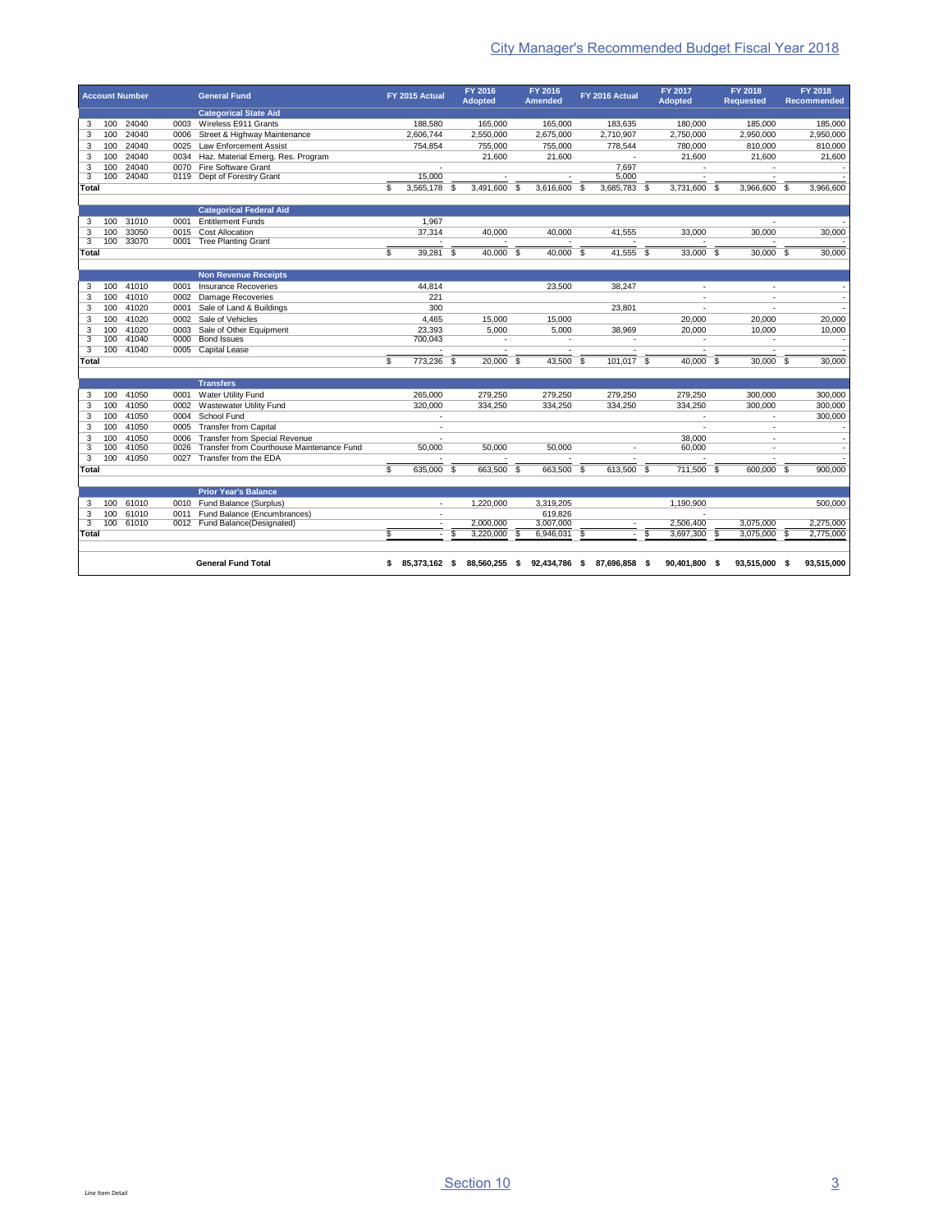|                                                          |                   |                         |                      |                                                                                                |                          |                                                      |                          |                                             |                                             |   |                                                            |                          |                                                                |     | <b>City Manager's Recommended Budget Fiscal Year 2018</b>            |                                                 |
|----------------------------------------------------------|-------------------|-------------------------|----------------------|------------------------------------------------------------------------------------------------|--------------------------|------------------------------------------------------|--------------------------|---------------------------------------------|---------------------------------------------|---|------------------------------------------------------------|--------------------------|----------------------------------------------------------------|-----|----------------------------------------------------------------------|-------------------------------------------------|
|                                                          |                   | <b>Account Number</b>   |                      | <b>General Fund</b>                                                                            |                          | FY 2015 Actual                                       |                          | FY 2016<br><b>Adopted</b>                   | FY 2016<br><b>Amended</b>                   |   | FY 2016 Actual                                             |                          | FY 2017<br><b>Adopted</b>                                      |     | FY 2018<br><b>Requested</b>                                          | FY 2018<br>Recommended                          |
| 3<br>3                                                   | 100<br>100        | 24040<br>24040          |                      | <b>Categorical State Aid</b><br>0003 Wireless E911 Grants<br>0006 Street & Highway Maintenance |                          | 188,580<br>2,606,744                                 |                          | 165,000<br>2,550,000                        | 165,000<br>2,675,000                        |   | 183,635<br>2,710,907                                       |                          | 180,000<br>2,750,000                                           |     | 185,000<br>2,950,000                                                 | 185,000<br>2,950,000                            |
| $\mathbf 3$<br>$\overline{\mathbf{3}}$                   | 100<br>100        | 24040<br>24040          | 0025<br>0034         | Law Enforcement Assist<br>Haz. Material Emerg. Res. Program                                    |                          | 754,854                                              |                          | 755,000<br>21,600                           | 755,000<br>21,600                           |   | 778,544<br>$\overline{\phantom{a}}$                        |                          | 780,000<br>21,600                                              |     | 810,000<br>21,600                                                    | 810,000<br>21,600                               |
| 3<br>$\overline{\mathbf{3}}$<br>Total                    | 100<br>100        | 24040<br>24040          | 0070                 | Fire Software Grant<br>0119 Dept of Forestry Grant                                             | $\overline{\mathbb{S}}$  | ÷.<br>15,000<br>$3,565,178$ \$                       |                          | $3,491,600$ \$                              | $3,616,600$ \$                              |   | 7,697<br>5,000<br>3,685,783 \$                             |                          | $\overline{\phantom{a}}$<br>$\sim$<br>3,731,600 \$             |     | $\overline{\phantom{a}}$<br>$\overline{\phantom{a}}$<br>3,966,600 \$ | $\overline{\phantom{a}}$<br>$\sim$<br>3,966,600 |
|                                                          |                   |                         |                      | <b>Categorical Federal Aid</b>                                                                 |                          |                                                      |                          |                                             |                                             |   |                                                            |                          |                                                                |     |                                                                      |                                                 |
| 3<br>$\overline{\mathbf{3}}$<br>$\overline{\mathbf{3}}$  | 100<br>100<br>100 | 31010<br>33050<br>33070 | 0001<br>0015<br>0001 | <b>Entitlement Funds</b><br><b>Cost Allocation</b><br><b>Tree Planting Grant</b>               |                          | 1,967<br>37,314                                      |                          | 40,000                                      | 40,000                                      |   | 41,555                                                     |                          | 33,000                                                         |     | $\overline{\phantom{a}}$<br>30,000                                   | $\overline{\phantom{a}}$<br>30,000              |
| Total                                                    |                   |                         |                      |                                                                                                | $\overline{\$}$          | 39,281                                               | $\overline{\mathcal{S}}$ | $40,000$ \$                                 | $40,000$ \$                                 |   | $41,555$ \$                                                |                          | $33,000$ \$                                                    |     | $30,000$ \$                                                          | 30,000                                          |
| 3                                                        |                   | 100 41010               | 0001                 | <b>Non Revenue Receipts</b><br>Insurance Recoveries                                            |                          | 44,814                                               |                          |                                             | 23,500                                      |   | 38,247                                                     |                          | $\overline{\phantom{a}}$                                       |     | $\overline{\phantom{a}}$                                             | $\overline{\phantom{a}}$                        |
| 3<br>3                                                   | 100<br>100        | 41010<br>41020          | 0002<br>0001         | Damage Recoveries<br>Sale of Land & Buildings                                                  |                          | 221<br>300                                           |                          |                                             |                                             |   | 23,801                                                     |                          | $\overline{\phantom{a}}$<br>$\overline{\phantom{a}}$           |     | $\overline{\phantom{a}}$<br>$\overline{\phantom{a}}$                 | $\sim$<br>Ŧ                                     |
| $\mathbf 3$<br>$\overline{\mathbf{3}}$<br>$\overline{3}$ | 100<br>100<br>100 | 41020<br>41020<br>41040 | 0002<br>0003<br>0000 | Sale of Vehicles<br>Sale of Other Equipment<br><b>Bond Issues</b>                              |                          | 4,465<br>23,393<br>700,043                           |                          | 15,000<br>5,000<br>$\overline{\phantom{a}}$ | 15,000<br>5,000<br>$\overline{\phantom{a}}$ |   | 38,969                                                     |                          | 20,000<br>20,000<br>$\overline{\phantom{a}}$                   |     | 20,000<br>10,000<br>$\overline{\phantom{a}}$                         | 20,000<br>10,000                                |
| $\overline{\mathbf{3}}$<br>Total                         | 100               | 41040                   |                      | 0005 Capital Lease                                                                             | $\overline{\mathcal{S}}$ | 773,236 \$                                           |                          | J.<br>$20,000$ \$                           | ٠<br>$43,500$ \$                            |   | 101,017 \$                                                 |                          | $40,000$ \$                                                    |     | $\overline{\phantom{a}}$<br>$30,000$ \$                              | ÷.<br>30,000                                    |
|                                                          |                   |                         |                      | <b>Transfers</b>                                                                               |                          |                                                      |                          |                                             |                                             |   |                                                            |                          |                                                                |     |                                                                      |                                                 |
| 3<br>3                                                   | 100               | 100 41050<br>41050      | 0001<br>0002         | Water Utility Fund<br>Wastewater Utility Fund                                                  |                          | 265,000<br>320,000                                   |                          | 279,250<br>334,250                          | 279,250<br>334,250                          |   | 279,250<br>334,250                                         |                          | 279,250<br>334,250                                             |     | 300,000<br>300,000                                                   | 300,000<br>300,000                              |
| 3<br>$\overline{3}$<br>3                                 | 100<br>100<br>100 | 41050<br>41050<br>41050 | 0004<br>0005<br>0006 | School Fund<br><b>Transfer from Capital</b><br>Transfer from Special Revenue                   |                          | $\overline{\phantom{a}}$<br>$\overline{\phantom{a}}$ |                          |                                             |                                             |   |                                                            |                          | $\overline{\phantom{a}}$<br>$\overline{\phantom{a}}$<br>38,000 |     | $\overline{\phantom{a}}$<br>$\overline{\phantom{a}}$<br>÷            | 300,000<br>$\cdot$<br>$\overline{\phantom{a}}$  |
| $\overline{\mathbf{3}}$<br>$\overline{\mathbf{3}}$       | 100               | 41050<br>100 41050      | 0026<br>0027         | Transfer from Courthouse Maintenance Fund<br>Transfer from the EDA                             |                          | 50,000                                               |                          | 50,000                                      | 50,000                                      |   | $\overline{\phantom{a}}$                                   |                          | 60,000                                                         |     | $\overline{\phantom{a}}$                                             | $\sim$                                          |
| Total                                                    |                   |                         |                      |                                                                                                | $\overline{\$}$          | 635,000 \$                                           |                          | 663,500 \$                                  | 663,500 \$                                  |   | $613,500$ \$                                               |                          | 711,500 \$                                                     |     | 600,000 \$                                                           | 900,000                                         |
| 3                                                        | 100<br>100        | 61010<br>61010          | 0011                 | <b>Prior Year's Balance</b><br>0010 Fund Balance (Surplus)<br>Fund Balance (Encumbrances)      |                          | ٠<br>$\overline{\phantom{a}}$                        |                          | 1,220,000                                   | 3,319,205<br>619,826                        |   |                                                            |                          | 1,190,900<br>$\overline{\phantom{a}}$                          |     |                                                                      | 500,000                                         |
| $\frac{3}{3}$<br>Total                                   |                   | 100 61010               |                      | 0012 Fund Balance(Designated)                                                                  | $\overline{\mathbb{S}}$  | $\overline{\phantom{a}}$<br>$\sim$                   | \$                       | 2,000,000<br>3,220,000                      | \$<br>3,007,000<br>6,946,031                | S | $\sim$                                                     | $\overline{\mathcal{S}}$ | 2,506,400<br>3,697,300                                         | -\$ | 3,075,000<br>3,075,000 \$                                            | 2,275,000<br>2,775,000                          |
|                                                          |                   |                         |                      | <b>General Fund Total</b>                                                                      |                          |                                                      |                          |                                             |                                             |   | \$ 85,373,162 \$ 88,560,255 \$ 92,434,786 \$ 87,696,858 \$ |                          | 90,401,800 \$                                                  |     | 93,515,000 \$                                                        | 93,515,000                                      |
|                                                          |                   |                         |                      |                                                                                                |                          |                                                      |                          |                                             |                                             |   |                                                            |                          |                                                                |     |                                                                      |                                                 |
|                                                          |                   |                         |                      |                                                                                                |                          |                                                      |                          | Section 10                                  |                                             |   |                                                            |                          |                                                                |     |                                                                      | $\underline{3}$                                 |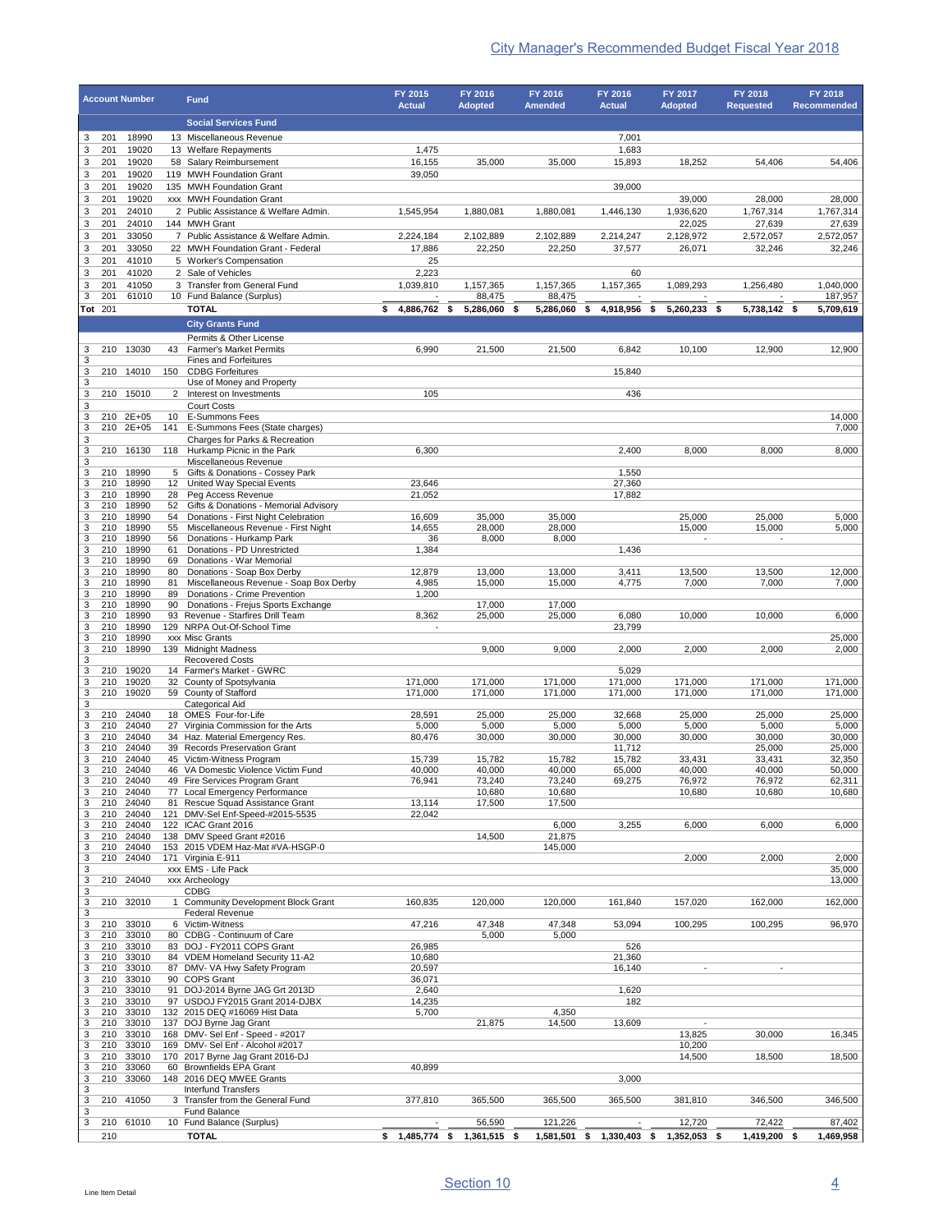|                      | <b>Account Number</b> |                | <b>Fund</b>                                                            | FY 2015<br><b>Actual</b> | FY 2016<br><b>Adopted</b> | FY 2016<br><b>Amended</b> | FY 2016<br><b>Actual</b> | FY 2017<br><b>Adopted</b>          | FY 2018<br><b>Requested</b>        | FY 2018<br>Recommended |
|----------------------|-----------------------|----------------|------------------------------------------------------------------------|--------------------------|---------------------------|---------------------------|--------------------------|------------------------------------|------------------------------------|------------------------|
|                      |                       |                | <b>Social Services Fund</b>                                            |                          |                           |                           |                          |                                    |                                    |                        |
| 3<br>201             | 18990                 |                | 13 Miscellaneous Revenue                                               |                          |                           |                           | 7,001                    |                                    |                                    |                        |
| 3<br>201             | 19020                 |                | 13 Welfare Repayments                                                  | 1,475                    |                           |                           | 1,683                    |                                    |                                    |                        |
| 201<br>3<br>201<br>3 | 19020<br>19020        |                | 58 Salary Reimbursement<br>119 MWH Foundation Grant                    | 16,155<br>39,050         | 35,000                    | 35,000                    | 15,893                   | 18,252                             | 54,406                             | 54,406                 |
| 3<br>201             | 19020                 |                | 135 MWH Foundation Grant                                               |                          |                           |                           | 39,000                   |                                    |                                    |                        |
| 201<br>3             | 19020                 |                | xxx MWH Foundation Grant                                               |                          |                           |                           |                          | 39,000                             | 28,000                             | 28,000                 |
| 201<br>3<br>3<br>201 | 24010<br>24010        |                | 2 Public Assistance & Welfare Admin.<br>144 MWH Grant                  | 1,545,954                | 1,880,081                 | 1,880,081                 | 1,446,130                | 1,936,620<br>22,025                | 1,767,314<br>27,639                | 1,767,314<br>27,639    |
| 3<br>201             | 33050                 |                | 7 Public Assistance & Welfare Admin.                                   | 2,224,184                | 2,102,889                 | 2,102,889                 | 2,214,247                | 2,128,972                          | 2,572,057                          | 2,572,057              |
| 201<br>3             | 33050                 |                | 22 MWH Foundation Grant - Federal                                      | 17,886                   | 22,250                    | 22,250                    | 37,577                   | 26,071                             | 32,246                             | 32,246                 |
| 3<br>201<br>201<br>3 | 41010<br>41020        |                | 5 Worker's Compensation<br>2 Sale of Vehicles                          | 25<br>2,223              |                           |                           | 60                       |                                    |                                    |                        |
| 3<br>201             | 41050                 |                | 3 Transfer from General Fund                                           | 1,039,810                | 1,157,365                 | 1,157,365                 | 1,157,365                | 1,089,293                          | 1,256,480                          | 1,040,000              |
| 201<br>3<br>Tot 201  | 61010                 |                | 10 Fund Balance (Surplus)<br><b>TOTAL</b>                              |                          | 88,475                    | 88,475                    |                          |                                    |                                    | 187,957                |
|                      |                       |                | <b>City Grants Fund</b>                                                | 4,886,762 \$<br>\$       | 5,286,060 \$              | 5,286,060 \$              | 4,918,956                | \$<br>5,260,233 \$                 | 5,738,142 \$                       | 5,709,619              |
|                      |                       |                | Permits & Other License                                                |                          |                           |                           |                          |                                    |                                    |                        |
| 210<br>3             | 13030                 | 43             | Farmer's Market Permits                                                | 6,990                    | 21,500                    | 21,500                    | 6,842                    | 10,100                             | 12,900                             | 12,900                 |
| 3<br>3<br>210        | 14010                 | 150            | Fines and Forfeitures<br><b>CDBG Forfeitures</b>                       |                          |                           |                           | 15,840                   |                                    |                                    |                        |
| 3                    |                       |                | Use of Money and Property                                              |                          |                           |                           |                          |                                    |                                    |                        |
| 3<br>210<br>3        | 15010                 | $\overline{2}$ | Interest on Investments<br><b>Court Costs</b>                          | 105                      |                           |                           | 436                      |                                    |                                    |                        |
| 3<br>210             | 2E+05                 | 10             | E-Summons Fees                                                         |                          |                           |                           |                          |                                    |                                    | 14,000                 |
| 3<br>210<br>3        | 2E+05                 | 141            | E-Summons Fees (State charges)<br>Charges for Parks & Recreation       |                          |                           |                           |                          |                                    |                                    | 7,000                  |
| 210<br>3             | 16130                 |                | 118 Hurkamp Picnic in the Park                                         | 6,300                    |                           |                           | 2,400                    | 8,000                              | 8,000                              | 8,000                  |
| 3<br>3<br>210        | 18990                 | 5              | Miscellaneous Revenue<br>Gifts & Donations - Cossey Park               |                          |                           |                           | 1,550                    |                                    |                                    |                        |
| 3<br>210             | 18990                 | 12             | United Way Special Events                                              | 23,646                   |                           |                           | 27,360                   |                                    |                                    |                        |
| 3<br>210<br>210<br>3 | 18990<br>18990        | 28<br>52       | Peg Access Revenue<br>Gifts & Donations - Memorial Advisory            | 21,052                   |                           |                           | 17,882                   |                                    |                                    |                        |
| 210<br>3             | 18990                 | 54             | Donations - First Night Celebration                                    | 16,609                   | 35,000                    | 35,000                    |                          | 25,000                             | 25,000                             | 5,000                  |
| 3<br>210<br>210<br>3 | 18990<br>18990        | 55<br>56       | Miscellaneous Revenue - First Night<br>Donations - Hurkamp Park        | 14,655<br>36             | 28,000<br>8,000           | 28,000<br>8,000           |                          | 15,000<br>$\overline{\phantom{a}}$ | 15,000<br>$\overline{\phantom{a}}$ | 5,000                  |
| 3<br>210             | 18990                 | 61             | Donations - PD Unrestricted                                            | 1,384                    |                           |                           | 1,436                    |                                    |                                    |                        |
| 3<br>210<br>210<br>3 | 18990<br>18990        | 69<br>80       | Donations - War Memorial<br>Donations - Soap Box Derby                 | 12,879                   | 13,000                    | 13,000                    | 3,411                    | 13,500                             | 13,500                             | 12,000                 |
| 210<br>3             | 18990                 | 81             | Miscellaneous Revenue - Soap Box Derby                                 | 4,985                    | 15,000                    | 15,000                    | 4,775                    | 7,000                              | 7,000                              | 7,000                  |
| 3<br>210<br>3<br>210 | 18990<br>18990        | 89<br>90       | Donations - Crime Prevention<br>Donations - Frejus Sports Exchange     | 1,200                    | 17,000                    | 17,000                    |                          |                                    |                                    |                        |
| 3<br>210             | 18990                 |                | 93 Revenue - Starfires Drill Team                                      | 8,362                    | 25,000                    | 25,000                    | 6,080                    | 10,000                             | 10,000                             | 6,000                  |
| 3<br>210<br>3<br>210 | 18990<br>18990        |                | 129 NRPA Out-Of-School Time<br>xxx Misc Grants                         | $\sim$                   |                           |                           | 23,799                   |                                    |                                    | 25,000                 |
| 3<br>210             | 18990                 |                | 139 Midnight Madness                                                   |                          | 9,000                     | 9,000                     | 2,000                    | 2,000                              | 2,000                              | 2,000                  |
| 3<br>3<br>210        | 19020                 |                | <b>Recovered Costs</b><br>14 Farmer's Market - GWRC                    |                          |                           |                           | 5,029                    |                                    |                                    |                        |
| 3<br>210             | 19020                 |                | 32 County of Spotsylvania                                              | 171,000                  | 171,000                   | 171.000                   | 171,000                  | 171.000                            | 171,000                            | 171,000                |
| 210<br>3<br>3        | 19020                 |                | 59 County of Stafford<br>Categorical Aid                               | 171,000                  | 171,000                   | 171,000                   | 171,000                  | 171,000                            | 171,000                            | 171,000                |
| 3<br>210             | 24040                 |                | 18 OMES Four-for-Life                                                  | 28,591                   | 25,000                    | 25,000                    | 32,668                   | 25,000                             | 25,000                             | 25,000                 |
| 3<br>210<br>210<br>3 | 24040<br>24040        |                | 27 Virginia Commission for the Arts<br>34 Haz. Material Emergency Res. | 5,000<br>80,476          | 5,000<br>30,000           | 5,000<br>30,000           | 5,000<br>30,000          | 5,000<br>30,000                    | 5,000<br>30,000                    | 5,000<br>30,000        |
| 210<br>3             | 24040                 |                | 39 Records Preservation Grant                                          |                          |                           |                           | 11,712                   |                                    | 25,000                             | 25,000                 |
| 3<br>210<br>3<br>210 | 24040<br>24040        |                | 45 Victim-Witness Program<br>46 VA Domestic Violence Victim Fund       | 15,739<br>40,000         | 15,782<br>40,000          | 15,782<br>40,000          | 15,782<br>65,000         | 33,431<br>40,000                   | 33,431<br>40,000                   | 32,350<br>50,000       |
| 210<br>3             | 24040                 |                | 49 Fire Services Program Grant                                         | 76,941                   | 73,240                    | 73,240                    | 69,275                   | 76,972                             | 76,972                             | 62,311                 |
| 3<br>210<br>3<br>210 | 24040<br>24040        |                | 77 Local Emergency Performance<br>81 Rescue Squad Assistance Grant     | 13,114                   | 10,680<br>17,500          | 10,680<br>17,500          |                          | 10,680                             | 10,680                             | 10,680                 |
| 3<br>210             | 24040                 |                | 121 DMV-Sel Enf-Speed-#2015-5535                                       | 22,042                   |                           |                           |                          |                                    |                                    |                        |
| 3<br>210<br>3<br>210 | 24040<br>24040        |                | 122 ICAC Grant 2016<br>138 DMV Speed Grant #2016                       |                          | 14,500                    | 6,000<br>21,875           | 3,255                    | 6,000                              | 6,000                              | 6,000                  |
| 3<br>210             | 24040                 |                | 153 2015 VDEM Haz-Mat #VA-HSGP-0                                       |                          |                           | 145,000                   |                          |                                    |                                    |                        |
| 3<br>210<br>3        | 24040                 |                | 171 Virginia E-911<br>xxx EMS - Life Pack                              |                          |                           |                           |                          | 2,000                              | 2,000                              | 2,000<br>35,000        |
| 3<br>210             | 24040                 |                | xxx Archeology                                                         |                          |                           |                           |                          |                                    |                                    | 13,000                 |
| 3<br>3<br>210        | 32010                 |                | <b>CDBG</b><br>1 Community Development Block Grant                     | 160,835                  | 120,000                   | 120,000                   | 161,840                  | 157,020                            | 162,000                            | 162,000                |
| 3                    |                       |                | <b>Federal Revenue</b>                                                 |                          |                           |                           |                          |                                    |                                    |                        |
| 3<br>210<br>3<br>210 | 33010<br>33010        |                | 6 Victim-Witness<br>80 CDBG - Continuum of Care                        | 47,216                   | 47,348<br>5,000           | 47,348<br>5,000           | 53,094                   | 100,295                            | 100,295                            | 96,970                 |
| 3<br>210             | 33010                 |                | 83 DOJ - FY2011 COPS Grant                                             | 26,985                   |                           |                           | 526                      |                                    |                                    |                        |
| 3<br>210<br>210<br>3 | 33010<br>33010        |                | 84 VDEM Homeland Security 11-A2<br>87 DMV-VA Hwy Safety Program        | 10,680<br>20,597         |                           |                           | 21,360<br>16,140         |                                    |                                    |                        |
| 3<br>210             | 33010                 |                | 90 COPS Grant                                                          | 36,071                   |                           |                           |                          |                                    |                                    |                        |
| 3<br>210<br>3<br>210 | 33010<br>33010        |                | 91 DOJ-2014 Byrne JAG Grt 2013D<br>97 USDOJ FY2015 Grant 2014-DJBX     | 2,640<br>14,235          |                           |                           | 1,620<br>182             |                                    |                                    |                        |
| 3<br>210             | 33010                 |                | 132 2015 DEQ #16069 Hist Data                                          | 5,700                    |                           | 4,350                     |                          |                                    |                                    |                        |
| 3<br>210<br>210<br>3 | 33010<br>33010        |                | 137 DOJ Byrne Jag Grant<br>168 DMV- Sel Enf - Speed - #2017            |                          | 21,875                    | 14,500                    | 13,609                   | 13,825                             | 30,000                             | 16,345                 |
| 3<br>210             | 33010                 |                | 169 DMV- Sel Enf - Alcohol #2017                                       |                          |                           |                           |                          | 10,200                             |                                    |                        |
| 3<br>210<br>210<br>3 | 33010<br>33060        |                | 170 2017 Byrne Jag Grant 2016-DJ<br>60 Brownfields EPA Grant           | 40,899                   |                           |                           |                          | 14,500                             | 18,500                             | 18,500                 |
| 3<br>210             | 33060                 |                | 148 2016 DEQ MWEE Grants                                               |                          |                           |                           | 3,000                    |                                    |                                    |                        |
| 3<br>3<br>210        | 41050                 |                | <b>Interfund Transfers</b><br>3 Transfer from the General Fund         | 377,810                  | 365,500                   | 365,500                   | 365,500                  | 381,810                            | 346,500                            | 346,500                |
| 3                    |                       |                | Fund Balance                                                           |                          |                           |                           |                          |                                    |                                    |                        |
| 3<br>210             | 61010                 |                | 10 Fund Balance (Surplus)<br><b>TOTAL</b>                              | \$<br>1,485,774 \$       | 56,590<br>1,361,515 \$    | 121,226<br>1,581,501      | \$<br>1,330,403          | 12,720<br>\$<br>1,352,053          | 72,422<br>-\$<br>1,419,200 \$      | 87,402<br>1,469,958    |
| 210                  |                       |                |                                                                        |                          |                           |                           |                          |                                    |                                    |                        |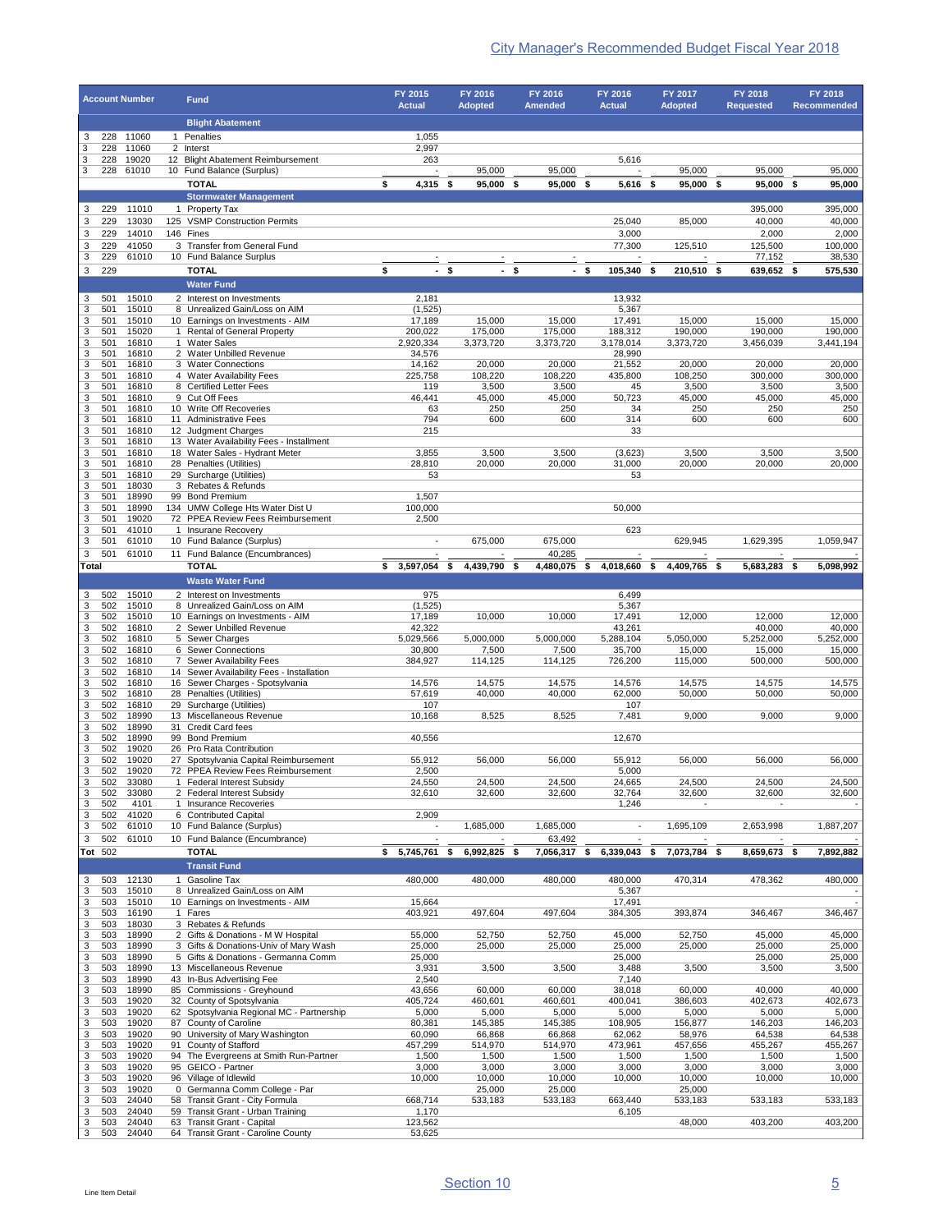|            |            |                       |                                                                              |                          |                           |                           |                          |                           | <b>City Manager's Recommended Budget Fiscal Year 2018</b> |                                    |
|------------|------------|-----------------------|------------------------------------------------------------------------------|--------------------------|---------------------------|---------------------------|--------------------------|---------------------------|-----------------------------------------------------------|------------------------------------|
|            |            | <b>Account Number</b> | <b>Fund</b>                                                                  | FY 2015<br><b>Actual</b> | FY 2016<br><b>Adopted</b> | FY 2016<br><b>Amended</b> | FY 2016<br><b>Actual</b> | FY 2017<br><b>Adopted</b> | FY 2018<br><b>Requested</b>                               | FY 2018<br><b>Recommended</b>      |
|            |            |                       | <b>Blight Abatement</b>                                                      |                          |                           |                           |                          |                           |                                                           |                                    |
| 3<br>3     | 228<br>228 | 11060<br>11060        | 1 Penalties<br>2 Interst                                                     | 1,055<br>2,997           |                           |                           |                          |                           |                                                           |                                    |
| 3          | 228        | 19020                 | 12 Blight Abatement Reimbursement                                            | 263                      |                           |                           | 5,616                    |                           |                                                           |                                    |
| 3          | 228        | 61010                 | 10 Fund Balance (Surplus)<br><b>TOTAL</b>                                    | \$<br>$4,315$ \$         | 95,000<br>95,000 \$       | 95,000<br>95,000 \$       | 5,616 \$                 | 95,000<br>95,000 \$       | 95,000<br>95,000 \$                                       | 95,000<br>95,000                   |
|            |            |                       | <b>Stormwater Management</b>                                                 |                          |                           |                           |                          |                           |                                                           |                                    |
| 3<br>3     | 229<br>229 | 11010<br>13030        | 1 Property Tax<br>125 VSMP Construction Permits                              |                          |                           |                           | 25,040                   | 85,000                    | 395,000<br>40,000                                         | 395,000<br>40,000                  |
| 3          | 229        | 14010                 | 146 Fines                                                                    |                          |                           |                           | 3,000                    |                           | 2,000                                                     | 2,000                              |
| 3<br>3     | 229<br>229 | 41050<br>61010        | 3 Transfer from General Fund<br>10 Fund Balance Surplus                      |                          |                           |                           | 77,300                   | 125,510                   | 125,500<br>77,152                                         | 100,000<br>38,530                  |
| 3          | 229        |                       | <b>TOTAL</b>                                                                 | \$<br>$-$ \$             | $\blacksquare$            | \$<br>٠                   | \$<br>105,340            | 210,510 \$<br>-\$         | 639,652 \$                                                | 575,530                            |
| 3          | 501        | 15010                 | <b>Water Fund</b><br>2 Interest on Investments                               | 2,181                    |                           |                           | 13,932                   |                           |                                                           |                                    |
| 3<br>3     | 501<br>501 | 15010<br>15010        | 8 Unrealized Gain/Loss on AIM<br>10 Earnings on Investments - AIM            | (1,525)<br>17,189        | 15,000                    | 15,000                    | 5,367<br>17,491          | 15,000                    | 15,000                                                    | 15,000                             |
| 3          | 501        | 15020                 | 1 Rental of General Property                                                 | 200,022                  | 175,000                   | 175,000                   | 188,312                  | 190,000                   | 190,000                                                   | 190,000                            |
| 3<br>3     | 501<br>501 | 16810<br>16810        | 1 Water Sales<br>2 Water Unbilled Revenue                                    | 2,920,334<br>34,576      | 3,373,720                 | 3,373,720                 | 3,178,014<br>28,990      | 3,373,720                 | 3,456,039                                                 | 3,441,194                          |
| 3<br>3     | 501<br>501 | 16810<br>16810        | 3 Water Connections<br>4 Water Availability Fees                             | 14,162<br>225,758        | 20,000<br>108,220         | 20,000<br>108,220         | 21,552<br>435,800        | 20,000<br>108,250         | 20,000<br>300.000                                         | 20,000<br>300,000                  |
| 3<br>3     | 501<br>501 | 16810<br>16810        | 8 Certified Letter Fees<br>9 Cut Off Fees                                    | 119<br>46,441            | 3,500<br>45,000           | 3,500<br>45,000           | 45<br>50,723             | 3,500<br>45,000           | 3,500<br>45,000                                           | 3,500<br>45,000                    |
| 3          | 501        | 16810                 | 10 Write Off Recoveries                                                      | 63                       | 250                       | 250                       | 34                       | 250                       | 250                                                       | 250                                |
| 3<br>3     | 501<br>501 | 16810<br>16810        | 11 Administrative Fees<br>12 Judgment Charges                                | 794<br>215               | 600                       | 600                       | 314<br>33                | 600                       | 600                                                       | 600                                |
| 3<br>3     | 501<br>501 | 16810<br>16810        | 13 Water Availability Fees - Installment<br>18 Water Sales - Hydrant Meter   | 3,855                    | 3,500                     | 3,500                     | (3,623)                  | 3,500                     | 3,500                                                     | 3,500                              |
| 3          | 501        | 16810                 | 28 Penalties (Utilities)                                                     | 28,810                   | 20,000                    | 20,000                    | 31,000                   | 20,000                    | 20,000                                                    | 20,000                             |
| 3<br>3     | 501<br>501 | 16810<br>18030        | 29 Surcharge (Utilities)<br>3 Rebates & Refunds                              | 53                       |                           |                           | 53                       |                           |                                                           |                                    |
| 3<br>3     | 501<br>501 | 18990<br>18990        | 99 Bond Premium<br>134 UMW College Hts Water Dist U                          | 1,507<br>100,000         |                           |                           | 50,000                   |                           |                                                           |                                    |
| 3<br>3     | 501<br>501 | 19020<br>41010        | 72 PPEA Review Fees Reimbursement<br>1 Insurane Recovery                     | 2,500                    |                           |                           | 623                      |                           |                                                           |                                    |
| 3          | 501        | 61010                 | 10 Fund Balance (Surplus)                                                    | $\overline{\phantom{a}}$ | 675,000                   | 675,000                   |                          | 629,945                   | 1,629,395                                                 | 1,059,947                          |
| 3<br>Total | 501        | 61010                 | 11 Fund Balance (Encumbrances)<br><b>TOTAL</b>                               | 3,597,054<br>\$          | 4,439,790 \$<br>-\$       | 40,285                    | 4,480,075 \$ 4,018,660   | \$<br>4,409,765 \$        | 5,683,283 \$                                              | 5,098,992                          |
|            |            |                       | <b>Waste Water Fund</b>                                                      |                          |                           |                           |                          |                           |                                                           |                                    |
| 3<br>3     | 502<br>502 | 15010<br>15010        | 2 Interest on Investments<br>8 Unrealized Gain/Loss on AIM                   | 975<br>(1,525)           |                           |                           | 6,499<br>5,367           |                           |                                                           |                                    |
| 3<br>3     | 502<br>502 | 15010<br>16810        | 10 Earnings on Investments - AIM<br>2 Sewer Unbilled Revenue                 | 17,189<br>42,322         | 10,000                    | 10,000                    | 17,491<br>43,261         | 12,000                    | 12,000<br>40,000                                          | 12,000<br>40,000                   |
| 3<br>3     | 502<br>502 | 16810<br>16810        | 5 Sewer Charges<br>6 Sewer Connections                                       | 5,029,566<br>30,800      | 5,000,000<br>7,500        | 5,000,000<br>7,500        | 5,288,104<br>35,700      | 5,050,000<br>15,000       | 5,252,000<br>15,000                                       | 5,252,000<br>15,000                |
| 3          | 502        | 16810                 | 7 Sewer Availability Fees                                                    | 384,927                  | 114,125                   | 114,125                   | 726,200                  | 115,000                   | 500,000                                                   | 500,000                            |
| 3<br>3     | 502<br>502 | 16810<br>16810        | 14 Sewer Availability Fees - Installation<br>16 Sewer Charges - Spotsylvania | 14,576                   | 14,575                    | 14,575                    | 14,576                   | 14,575                    | 14,575                                                    | 14,575                             |
| 3<br>3     | 502<br>502 | 16810<br>16810        | 28 Penalties (Utilities)<br>29 Surcharge (Utilities)                         | 57,619<br>107            | 40,000                    | 40,000                    | 62,000<br>107            | 50,000                    | 50,000                                                    | 50,000                             |
| 3<br>3     | 502<br>502 | 18990<br>18990        | 13 Miscellaneous Revenue<br>31 Credit Card fees                              | 10,168                   | 8,525                     | 8,525                     | 7,481                    | 9,000                     | 9,000                                                     | 9,000                              |
| 3          | 502        | 18990                 | 99 Bond Premium                                                              | 40,556                   |                           |                           | 12,670                   |                           |                                                           |                                    |
| 3<br>3     | 502<br>502 | 19020<br>19020        | 26 Pro Rata Contribution<br>27 Spotsylvania Capital Reimbursement            | 55,912                   | 56,000                    | 56,000                    | 55,912                   | 56,000                    | 56,000                                                    | 56,000                             |
| 3<br>3     | 502<br>502 | 19020<br>33080        | 72 PPEA Review Fees Reimbursement<br>1 Federal Interest Subsidy              | 2,500<br>24,550          | 24,500                    | 24,500                    | 5,000<br>24,665          | 24,500                    | 24,500                                                    | 24,500                             |
| 3<br>3     | 502<br>502 | 33080<br>4101         | 2 Federal Interest Subsidy<br>1 Insurance Recoveries                         | 32,610                   | 32,600                    | 32,600                    | 32,764<br>1,246          | 32,600                    | 32,600<br>$\overline{\phantom{a}}$                        | 32,600<br>$\overline{\phantom{a}}$ |
| 3          | 502        | 41020                 | 6 Contributed Capital                                                        | 2,909                    |                           |                           |                          |                           |                                                           |                                    |
| 3<br>3     | 502<br>502 | 61010<br>61010        | 10 Fund Balance (Surplus)<br>10 Fund Balance (Encumbrance)                   |                          | 1,685,000                 | 1,685,000<br>63,492       | $\overline{\phantom{a}}$ | 1,695,109                 | 2,653,998                                                 | 1,887,207                          |
|            | Tot 502    |                       | <b>TOTAL</b>                                                                 | 5,745,761<br>\$          | 6,992,825<br>\$           | 7,056,317 \$<br>-\$       | 6,339,043                | 7,073,784<br>\$           | 8,659,673 \$<br>-\$                                       | 7,892,882                          |
| 3          | 503        | 12130                 | <b>Transit Fund</b><br>1 Gasoline Tax                                        | 480,000                  | 480,000                   | 480,000                   | 480,000                  | 470,314                   | 478,362                                                   | 480,000                            |
| 3<br>3     | 503<br>503 | 15010<br>15010        | 8 Unrealized Gain/Loss on AIM<br>10 Earnings on Investments - AIM            | 15,664                   |                           |                           | 5,367<br>17,491          |                           |                                                           |                                    |
| 3          | 503        | 16190                 | 1 Fares                                                                      | 403,921                  | 497,604                   | 497,604                   | 384,305                  | 393,874                   | 346,467                                                   | 346,467                            |
| 3<br>3     | 503<br>503 | 18030<br>18990        | 3 Rebates & Refunds<br>2 Gifts & Donations - M W Hospital                    | 55,000                   | 52,750                    | 52,750                    | 45,000                   | 52,750                    | 45,000                                                    | 45,000                             |
| 3<br>3     | 503<br>503 | 18990<br>18990        | 3 Gifts & Donations-Univ of Mary Wash<br>5 Gifts & Donations - Germanna Comm | 25,000<br>25,000         | 25,000                    | 25,000                    | 25,000<br>25,000         | 25,000                    | 25,000<br>25,000                                          | 25,000<br>25,000                   |
| 3<br>3     | 503<br>503 | 18990<br>18990        | 13 Miscellaneous Revenue<br>43 In-Bus Advertising Fee                        | 3,931<br>2,540           | 3,500                     | 3,500                     | 3,488<br>7,140           | 3,500                     | 3,500                                                     | 3,500                              |
| 3          | 503        | 18990                 | 85 Commissions - Greyhound                                                   | 43,656                   | 60,000                    | 60,000                    | 38,018                   | 60,000                    | 40,000                                                    | 40,000                             |
| 3<br>3     | 503<br>503 | 19020<br>19020        | 32 County of Spotsylvania<br>62 Spotsylvania Regional MC - Partnership       | 405,724<br>5,000         | 460,601<br>5,000          | 460,601<br>5,000          | 400,041<br>5,000         | 386,603<br>5,000          | 402,673<br>5,000                                          | 402,673<br>5,000                   |
| 3<br>3     | 503<br>503 | 19020<br>19020        | 87 County of Caroline<br>90 University of Mary Washington                    | 80,381<br>60,090         | 145,385<br>66,868         | 145,385<br>66,868         | 108,905<br>62,062        | 156,877<br>58,976         | 146,203<br>64,538                                         | 146,203<br>64,538                  |
| 3<br>3     | 503<br>503 | 19020<br>19020        | 91 County of Stafford<br>94 The Evergreens at Smith Run-Partner              | 457,299<br>1,500         | 514,970<br>1,500          | 514,970<br>1,500          | 473,961<br>1,500         | 457,656<br>1,500          | 455,267<br>1,500                                          | 455,267<br>1,500                   |
| 3          | 503        | 19020                 | 95 GEICO - Partner                                                           | 3,000                    | 3,000                     | 3,000                     | 3,000                    | 3,000                     | 3,000                                                     | 3,000                              |
| 3<br>3     | 503<br>503 | 19020<br>19020        | 96 Village of Idlewild<br>0 Germanna Comm College - Par                      | 10,000                   | 10,000<br>25,000          | 10,000<br>25,000          | 10,000                   | 10,000<br>25,000          | 10,000                                                    | 10,000                             |
| 3<br>3     | 503<br>503 | 24040<br>24040        | 58 Transit Grant - City Formula<br>59 Transit Grant - Urban Training         | 668,714<br>1,170         | 533,183                   | 533,183                   | 663,440<br>6,105         | 533,183                   | 533,183                                                   | 533,183                            |
| 3<br>3     | 503<br>503 | 24040<br>24040        | 63 Transit Grant - Capital<br>64 Transit Grant - Caroline County             | 123,562<br>53,625        |                           |                           |                          | 48,000                    | 403,200                                                   | 403,200                            |
|            |            |                       |                                                                              |                          |                           |                           |                          |                           |                                                           |                                    |
|            |            |                       |                                                                              |                          | Section 10                |                           |                          |                           |                                                           | 5                                  |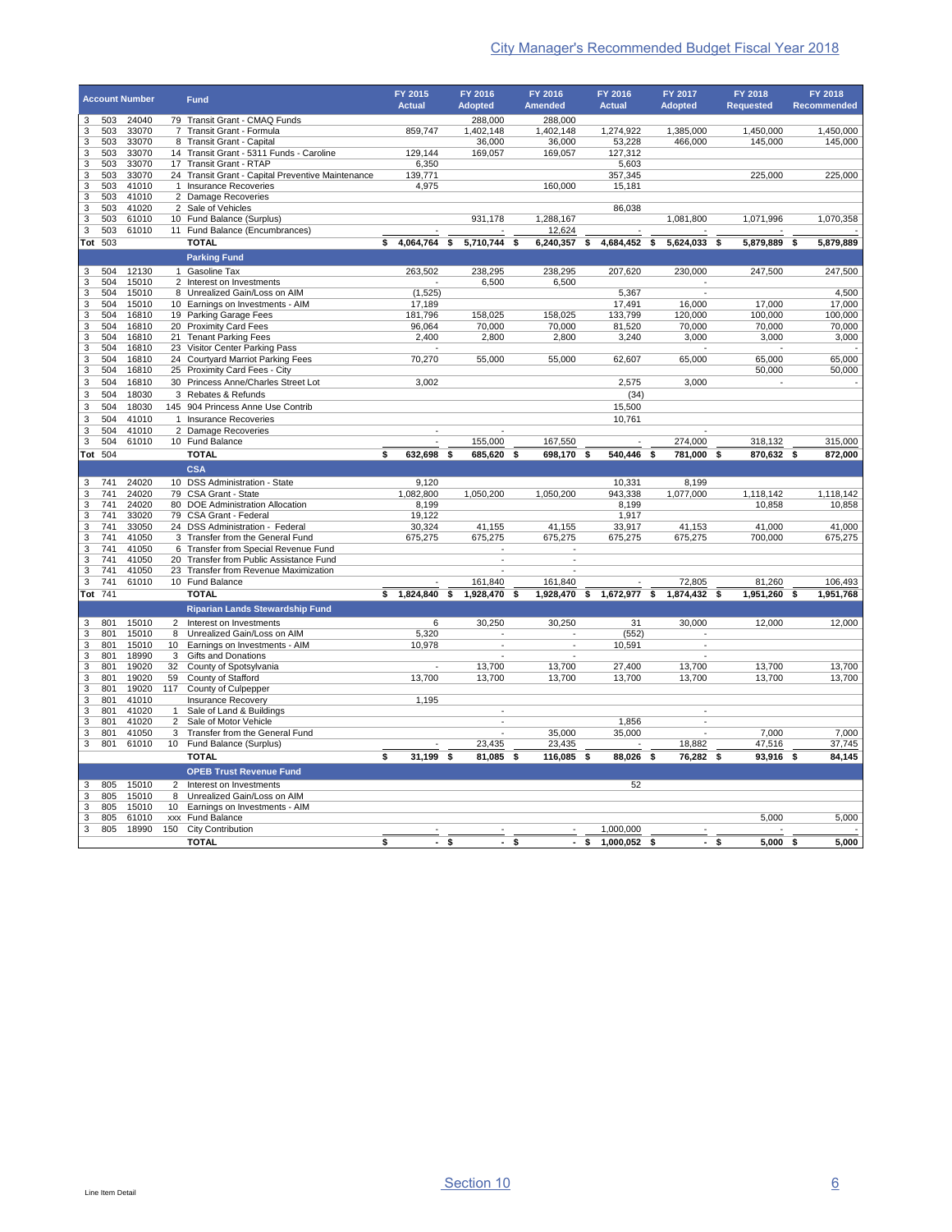|        |            |                       |                     |                                                                              |                          |                                     |      |                           |                           |                           | <b>City Manager's Recommended Budget Fiscal Year 2018</b> |                               |
|--------|------------|-----------------------|---------------------|------------------------------------------------------------------------------|--------------------------|-------------------------------------|------|---------------------------|---------------------------|---------------------------|-----------------------------------------------------------|-------------------------------|
|        |            | <b>Account Number</b> |                     | <b>Fund</b>                                                                  | FY 2015<br><b>Actual</b> | FY 2016<br><b>Adopted</b>           |      | FY 2016<br><b>Amended</b> | FY 2016<br><b>Actual</b>  | FY 2017<br><b>Adopted</b> | FY 2018<br><b>Requested</b>                               | FY 2018<br><b>Recommended</b> |
| 3<br>3 | 503<br>503 | 24040<br>33070        |                     | 79 Transit Grant - CMAQ Funds<br>7 Transit Grant - Formula                   | 859,747                  | 288,000<br>1,402,148                |      | 288,000<br>1,402,148      | 1,274,922                 | 1,385,000                 | 1,450,000                                                 | 1,450,000                     |
| 3<br>3 | 503<br>503 | 33070<br>33070        |                     | 8 Transit Grant - Capital<br>14 Transit Grant - 5311 Funds - Caroline        | 129,144                  | 36,000<br>169,057                   |      | 36,000<br>169,057         | 53,228<br>127,312         | 466,000                   | 145,000                                                   | 145,000                       |
| 3<br>3 | 503<br>503 | 33070<br>33070        |                     | 17 Transit Grant - RTAP<br>24 Transit Grant - Capital Preventive Maintenance | 6,350<br>139,771         |                                     |      |                           | 5,603<br>357,345          |                           | 225,000                                                   | 225,000                       |
| 3      | 503        | 41010                 |                     | 1 Insurance Recoveries                                                       | 4,975                    |                                     |      | 160,000                   | 15,181                    |                           |                                                           |                               |
| 3<br>3 | 503<br>503 | 41010<br>41020        |                     | 2 Damage Recoveries<br>2 Sale of Vehicles                                    |                          |                                     |      |                           | 86,038                    |                           |                                                           |                               |
| 3<br>3 | 503<br>503 | 61010<br>61010        |                     | 10 Fund Balance (Surplus)<br>11 Fund Balance (Encumbrances)                  |                          | 931,178                             |      | 1,288,167<br>12,624       |                           | 1,081,800                 | 1,071,996                                                 | 1,070,358                     |
|        | Tot 503    |                       |                     | <b>TOTAL</b><br><b>Parking Fund</b>                                          | 4,064,764 \$<br>\$       | 5,710,744 \$                        |      | $6,240,357$ \$            | 4,684,452 \$              | 5,624,033 \$              | 5,879,889 \$                                              | 5,879,889                     |
| 3      | 504        | 12130                 |                     | 1 Gasoline Tax                                                               | 263,502                  | 238,295                             |      | 238,295                   | 207,620                   | 230,000                   | 247,500                                                   | 247,500                       |
| 3<br>3 | 504<br>504 | 15010<br>15010        |                     | 2 Interest on Investments<br>8 Unrealized Gain/Loss on AIM                   | ٠<br>(1,525)             | 6,500                               |      | 6,500                     | 5,367                     | $\sim$                    |                                                           | 4,500                         |
| 3<br>3 | 504<br>504 | 15010<br>16810        |                     | 10 Earnings on Investments - AIM<br>19 Parking Garage Fees                   | 17,189<br>181,796        | 158,025                             |      | 158,025                   | 17,491<br>133,799         | 16,000<br>120,000         | 17,000<br>100,000                                         | 17,000<br>100,000             |
| 3<br>3 | 504<br>504 | 16810<br>16810        |                     | 20 Proximity Card Fees<br>21 Tenant Parking Fees                             | 96,064<br>2,400          | 70,000<br>2,800                     |      | 70,000<br>2,800           | 81,520<br>3,240           | 70,000<br>3,000           | 70,000<br>3,000                                           | 70,000<br>3,000               |
| 3<br>3 | 504<br>504 | 16810<br>16810        |                     | 23 Visitor Center Parking Pass<br>24 Courtyard Marriot Parking Fees          | 70,270                   | 55,000                              |      | 55,000                    | 62,607                    | 65,000                    | 65,000                                                    | 65,000                        |
| 3<br>3 | 504<br>504 | 16810<br>16810        |                     | 25 Proximity Card Fees - City<br>30 Princess Anne/Charles Street Lot         | 3,002                    |                                     |      |                           | 2,575                     | 3,000                     | 50,000<br>÷,                                              | 50,000<br>÷                   |
| 3      | 504        | 18030                 |                     | 3 Rebates & Refunds                                                          |                          |                                     |      |                           | (34)                      |                           |                                                           |                               |
| 3<br>3 | 504<br>504 | 18030<br>41010        |                     | 145 904 Princess Anne Use Contrib<br>1 Insurance Recoveries                  |                          |                                     |      |                           | 15,500<br>10,761          |                           |                                                           |                               |
| 3<br>3 | 504<br>504 | 41010<br>61010        |                     | 2 Damage Recoveries<br>10 Fund Balance                                       |                          | 155,000                             |      | 167,550                   |                           | 274.000                   | 318,132                                                   | 315,000                       |
|        | Tot $504$  |                       |                     | <b>TOTAL</b>                                                                 | 632,698<br>\$            | 685,620 \$<br>-\$                   |      | 698,170 \$                | 540,446 \$                | 781,000 \$                | 870,632 \$                                                | 872,000                       |
| 3      | 741        | 24020                 |                     | <b>CSA</b><br>10 DSS Administration - State                                  | 9,120                    |                                     |      |                           | 10,331                    | 8,199                     |                                                           |                               |
| 3<br>3 | 741<br>741 | 24020<br>24020        |                     | 79 CSA Grant - State<br>80 DOE Administration Allocation                     | 1,082,800<br>8,199       | 1,050,200                           |      | 1,050,200                 | 943,338<br>8,199          | 1,077,000                 | 1,118,142<br>10,858                                       | 1,118,142<br>10,858           |
| 3<br>3 | 741<br>741 | 33020<br>33050        |                     | 79 CSA Grant - Federal<br>24 DSS Administration - Federal                    | 19,122<br>30,324         | 41,155                              |      | 41,155                    | 1,917<br>33,917           | 41,153                    | 41,000                                                    | 41,000                        |
| 3<br>3 | 741<br>741 | 41050<br>41050        |                     | 3 Transfer from the General Fund<br>6 Transfer from Special Revenue Fund     | 675,275                  | 675,275<br>$\overline{\phantom{a}}$ |      | 675,275<br>$\blacksquare$ | 675,275                   | 675,275                   | 700,000                                                   | 675,275                       |
| 3      | 741<br>741 | 41050                 |                     | 20 Transfer from Public Assistance Fund                                      |                          | ÷,                                  |      | $\overline{\phantom{a}}$  |                           |                           |                                                           |                               |
| 3<br>3 | 741        | 41050<br>61010        |                     | 23 Transfer from Revenue Maximization<br>10 Fund Balance                     |                          | 161,840                             |      | 161,840                   |                           | 72,805                    | 81,260                                                    | 106,493                       |
|        | Tot $741$  |                       |                     | <b>TOTAL</b><br><b>Riparian Lands Stewardship Fund</b>                       | 1,824,840 \$<br>\$       | 1,928,470 \$                        |      |                           | 1,928,470 \$ 1,672,977 \$ | 1,874,432 \$              | 1,951,260 \$                                              | 1,951,768                     |
| 3<br>3 | 801<br>801 | 15010<br>15010        | 2<br>8              | Interest on Investments<br>Unrealized Gain/Loss on AIM                       | 6<br>5,320               | 30,250                              |      | 30,250                    | 31<br>(552)               | 30,000                    | 12,000                                                    | 12,000                        |
| 3      | 801        | 15010                 | 10                  | Earnings on Investments - AIM                                                | 10,978                   | $\overline{a}$                      |      | $\overline{\phantom{a}}$  | 10,591                    | ä,                        |                                                           |                               |
| 3<br>3 | 801<br>801 | 18990<br>19020        | 3<br>32             | Gifts and Donations<br>County of Spotsylvania                                | $\sim$                   | 13,700                              |      | $\blacksquare$<br>13,700  | 27,400                    | 13,700                    | 13,700                                                    | 13,700                        |
| 3<br>3 | 801<br>801 | 19020<br>19020        | 59<br>117           | County of Stafford<br>County of Culpepper                                    | 13,700                   | 13,700                              |      | 13,700                    | 13,700                    | 13,700                    | 13,700                                                    | 13,700                        |
| 3<br>3 | 801<br>801 | 41010<br>41020        | $\mathbf{1}$        | Insurance Recovery<br>Sale of Land & Buildings                               | 1,195                    |                                     |      |                           |                           |                           |                                                           |                               |
| 3<br>3 | 801<br>801 | 41020<br>41050        | $\overline{2}$<br>3 | Sale of Motor Vehicle<br>Transfer from the General Fund                      |                          | $\overline{\phantom{a}}$            |      | 35,000                    | 1,856<br>35,000           | ÷,                        | 7,000                                                     | 7,000                         |
|        | 801        | 61010                 |                     | 10 Fund Balance (Surplus)<br><b>TOTAL</b>                                    | \$<br>31,199 \$          | 23,435<br>81,085 \$                 |      | 23,435<br>116,085 \$      | 88,026 \$                 | 18,882<br>76,282 \$       | <u>47,516</u><br>93,916 \$                                | <u>37,745</u><br>84,145       |
|        |            |                       |                     | <b>OPEB Trust Revenue Fund</b>                                               |                          |                                     |      |                           |                           |                           |                                                           |                               |
| 3<br>3 | 805<br>805 | 15010<br>15010        | 8                   | 2 Interest on Investments<br>Unrealized Gain/Loss on AIM                     |                          |                                     |      |                           | 52                        |                           |                                                           |                               |
| 3<br>3 | 805<br>805 | 15010<br>61010        | 10                  | Earnings on Investments - AIM<br>xxx Fund Balance                            |                          |                                     |      |                           |                           |                           | 5,000                                                     | 5,000                         |
| 3      | 805        | 18990                 |                     | 150 City Contribution<br><b>TOTAL</b>                                        | \$                       |                                     | - \$ | - \$                      | 1,000,000<br>1,000,052 \$ | - \$                      |                                                           | 5,000                         |
|        |            |                       |                     |                                                                              | - \$                     |                                     |      |                           |                           |                           | $5,000$ \$                                                |                               |
|        |            |                       |                     |                                                                              |                          |                                     |      |                           |                           |                           |                                                           |                               |
|        |            |                       |                     |                                                                              |                          | Section 10                          |      |                           |                           |                           |                                                           | 6                             |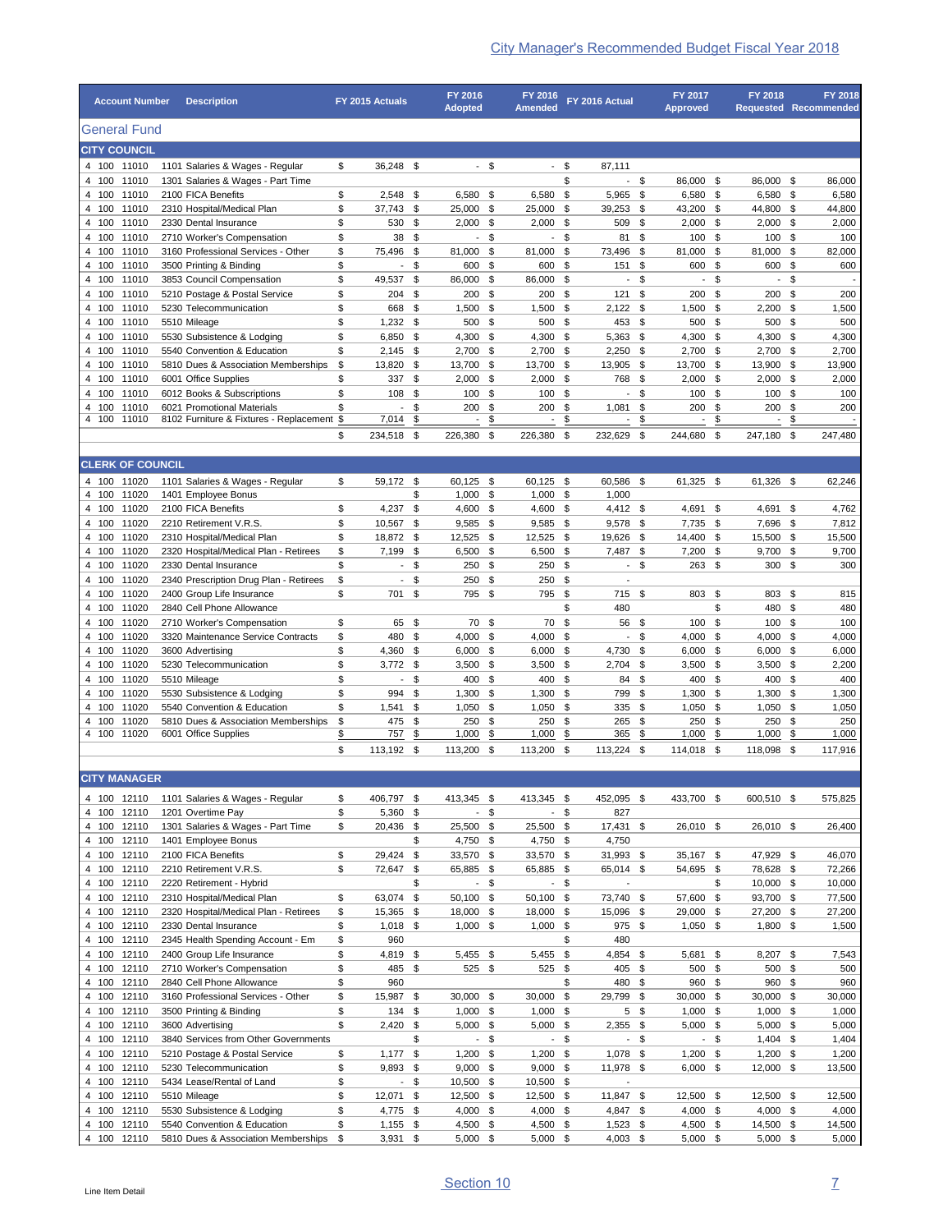|                |                            | <b>Account Number</b><br><b>Description</b>                 |          | FY 2015 Actuals          |            | <b>Adopted</b>           |                     | <b>Amended</b>           |          | FY 2016 Actual           |             | Approved                        |          | <b>Requested Recommended</b>    |          |                 |
|----------------|----------------------------|-------------------------------------------------------------|----------|--------------------------|------------|--------------------------|---------------------|--------------------------|----------|--------------------------|-------------|---------------------------------|----------|---------------------------------|----------|-----------------|
|                | General Fund               |                                                             |          |                          |            |                          |                     |                          |          |                          |             |                                 |          |                                 |          |                 |
|                | <b>CITY COUNCIL</b>        |                                                             |          |                          |            |                          |                     |                          |          |                          |             |                                 |          |                                 |          |                 |
|                | 4 100 11010                | 1101 Salaries & Wages - Regular                             | \$       | 36,248 \$                |            | $-$ \$                   |                     | - \$                     |          | 87,111                   |             |                                 |          |                                 |          |                 |
| 4 100          | 11010                      | 1301 Salaries & Wages - Part Time                           |          |                          |            |                          |                     |                          | \$       | $\blacksquare$           | \$          | 86,000                          | \$       | 86,000                          | \$       | 86,000          |
| 4 100<br>4 100 | 11010<br>11010             | 2100 FICA Benefits<br>2310 Hospital/Medical Plan            | \$<br>\$ | 2,548<br>37,743          | \$<br>\$   | 6,580<br>25,000          | \$<br>\$            | 6,580<br>25,000          | \$<br>\$ | 5,965 \$<br>39,253       | \$          | 6,580<br>43,200                 | \$<br>\$ | 6,580<br>44,800                 | \$<br>\$ | 6,580<br>44,800 |
| 4 100          | 11010                      | 2330 Dental Insurance                                       | \$       | 530                      | \$         | 2,000                    | -\$                 | $2,000$ \$               |          | 509                      | \$          | 2,000                           | \$       | 2,000                           | \$       | 2,000           |
| 4 100          | 11010                      | 2710 Worker's Compensation                                  | \$       | 38                       | \$         | $\sim$                   | \$                  | $\overline{\phantom{a}}$ | \$       | 81                       | -\$         | 100                             | \$       | 100                             | \$       | 100             |
| 4 100          | 11010                      | 3160 Professional Services - Other                          | \$       | 75,496                   | -\$        | 81,000 \$                |                     | 81,000 \$                |          | 73,496                   | - \$        | 81,000                          | \$       | 81,000                          | \$       | 82,000          |
| 4 100          | 11010                      | 3500 Printing & Binding                                     | \$       | $\blacksquare$           | \$         | 600                      | \$                  | 600                      | \$       | 151                      | \$          | 600                             | \$       | 600                             | \$       | 600             |
| 4 100<br>4 100 | 11010<br>11010             | 3853 Council Compensation<br>5210 Postage & Postal Service  | \$<br>\$ | 49,537<br>204            | \$<br>\$   | 86,000<br>200            | - \$<br>-\$         | 86,000 \$<br>200         | \$       | $\blacksquare$<br>121    | - \$<br>-\$ | $\overline{\phantom{a}}$<br>200 | \$<br>\$ | $\overline{\phantom{a}}$<br>200 | \$<br>\$ | 200             |
| 4 100          | 11010                      | 5230 Telecommunication                                      | \$       | 668                      | \$         | 1,500                    | \$                  | $1,500$ \$               |          | 2,122                    | \$          | 1,500                           | \$       | 2,200                           | -\$      | 1,500           |
| 4 100          | 11010                      | 5510 Mileage                                                | \$       | 1,232                    | -\$        | 500                      | - \$                | 500 \$                   |          | 453 \$                   |             | 500                             | \$       | 500                             | \$       | 500             |
| 4 100          | 11010                      | 5530 Subsistence & Lodging                                  | \$       | 6,850                    | \$         | 4,300                    | -\$                 | $4,300$ \$               |          | 5,363 \$                 |             | 4,300                           | \$       | 4,300                           | \$       | 4,300           |
| 4 100          | 11010                      | 5540 Convention & Education                                 | \$       | 2,145                    | \$         | 2,700                    | \$                  | 2,700 \$                 |          | 2,250                    | - \$        | 2,700                           | \$       | 2,700                           | \$       | 2,700           |
| 4 100<br>4 100 | 11010<br>11010             | 5810 Dues & Association Memberships<br>6001 Office Supplies | \$       | 13,820<br>337            | \$<br>\$   | 13,700 \$<br>2,000       | \$                  | 13,700 \$<br>$2,000$ \$  |          | 13,905 \$<br>768 \$      |             | 13,700<br>2,000                 | \$<br>\$ | 13,900<br>2,000                 | \$       | 13,900<br>2,000 |
| 4 100          | 11010                      | 6012 Books & Subscriptions                                  | \$<br>\$ | 108                      | \$         | 100                      | \$                  | 100                      | \$       |                          | - \$        | 100                             | \$       | 100                             | \$<br>\$ | 100             |
| 4 100          | 11010                      | 6021 Promotional Materials                                  | \$       | $\overline{\phantom{0}}$ | \$         | 200                      | \$                  | 200                      | \$       | $1,081$ \$               |             | 200                             | \$       | 200                             | \$       | 200             |
| 4 100          | 11010                      | 8102 Furniture & Fixtures - Replacement                     | \$       | 7,014                    | \$         | $\overline{a}$           | \$                  | -                        | \$       |                          | \$          |                                 | \$       | -                               | \$       |                 |
|                |                            |                                                             | \$       | 234,518                  | \$         | 226,380                  | \$                  | 226,380                  | \$       | 232,629                  | -\$         | 244,680                         | \$       | 247,180                         | \$       | 247,480         |
|                | <b>CLERK OF COUNCIL</b>    |                                                             |          |                          |            |                          |                     |                          |          |                          |             |                                 |          |                                 |          |                 |
| 4 100          | 11020                      | 1101 Salaries & Wages - Regular                             | \$       | 59.172 \$                |            | 60,125                   | - \$                | 60,125 \$                |          | 60,586 \$                |             | 61,325 \$                       |          | 61,326 \$                       |          | 62,246          |
| 4 100          | 11020                      | 1401 Employee Bonus                                         |          |                          | \$         | 1,000                    | -\$                 | $1,000$ \$               |          | 1,000                    |             |                                 |          |                                 |          |                 |
| 4 100          | 11020                      | 2100 FICA Benefits                                          | \$       | 4,237                    | \$         | 4,600                    | - \$                | 4,600 \$                 |          | 4,412 \$                 |             | 4,691                           | \$       | 4,691                           | \$       | 4,762           |
| 4 100<br>4 100 | 11020<br>11020             | 2210 Retirement V.R.S.<br>2310 Hospital/Medical Plan        | \$<br>\$ | 10,567<br>18,872         | \$<br>- \$ | 9,585<br>12,525          | \$<br>\$            | $9,585$ \$<br>12,525 \$  |          | 9,578 \$<br>19,626 \$    |             | 7,735<br>14,400                 | \$<br>\$ | 7,696<br>15,500                 | \$<br>\$ | 7,812<br>15,500 |
| 4 100          | 11020                      | 2320 Hospital/Medical Plan - Retirees                       | \$       | 7,199                    | \$         | 6,500                    | \$                  | 6,500 \$                 |          | 7,487 \$                 |             | 7,200                           | \$       | 9,700                           | \$       | 9,700           |
| 4 100          | 11020                      | 2330 Dental Insurance                                       | \$       | $\overline{\phantom{a}}$ | \$         | 250                      | \$                  | 250                      | \$       | $\blacksquare$           | \$          | 263                             | \$       | 300                             | \$       | 300             |
| 4 100          | 11020                      | 2340 Prescription Drug Plan - Retirees                      | \$       | $\overline{\phantom{a}}$ | \$         | 250                      | \$                  | 250                      | \$       |                          |             |                                 |          |                                 |          |                 |
| 4 100          | 11020                      | 2400 Group Life Insurance                                   | \$       | 701                      | \$         | 795                      | - \$                | 795 \$                   |          | 715 \$                   |             | 803                             | \$       | 803                             | \$       | 815             |
| 4 100<br>4 100 | 11020<br>11020             | 2840 Cell Phone Allowance<br>2710 Worker's Compensation     | \$       | 65                       | \$         | 70                       | - \$                | 70                       | \$<br>\$ | 480<br>56                | - \$        | 100                             | \$<br>\$ | 480<br>100                      | \$<br>\$ | 480<br>100      |
| 4 100          | 11020                      | 3320 Maintenance Service Contracts                          | \$       | 480                      | \$         | 4,000                    | \$                  | 4,000                    | \$       | $\blacksquare$           | -\$         | 4,000                           | \$       | 4,000                           | \$       | 4,000           |
| 4 100          | 11020                      | 3600 Advertising                                            | \$       | 4,360                    | \$         | 6,000                    | - \$                | $6,000$ \$               |          | 4,730 \$                 |             | 6,000                           | \$       | 6,000                           | \$       | 6,000           |
| 4 100          | 11020                      | 5230 Telecommunication                                      | \$       | 3,772                    | \$         | 3,500                    | \$                  | 3,500                    | \$       | 2,704                    | \$          | 3,500                           | \$       | 3,500                           | \$       | 2,200           |
| 4 100          | 11020                      | 5510 Mileage                                                | \$       | $\overline{\phantom{a}}$ | \$         | 400                      | \$                  | 400                      | \$       | 84 \$                    |             | 400                             | \$       | 400                             | \$       | 400             |
| 4 100<br>4 100 | 11020<br>11020             | 5530 Subsistence & Lodging<br>5540 Convention & Education   | \$<br>\$ | 994<br>1,541             | \$<br>\$   | 1,300<br>1,050           | $\sqrt[6]{2}$<br>\$ | 1,300<br>$1,050$ \$      | \$       | 799<br>335               | \$<br>\$    | 1,300<br>1,050                  | \$<br>\$ | 1,300<br>1,050                  | \$<br>\$ | 1,300<br>1,050  |
| 4<br>100       | 11020                      | 5810 Dues & Association Memberships                         | \$       | 475                      | \$         | 250                      | \$                  | 250                      | \$       | 265                      | \$          | 250                             | \$       | 250                             | \$       | 250             |
| 4 100          | 11020                      | 6001 Office Supplies                                        | \$       | 757                      | \$         | 1,000                    | \$                  | 1,000                    | \$       | 365                      | \$          | 1,000                           | \$       | 1,000                           | \$       | 1,000           |
|                |                            |                                                             | \$       | 113,192 \$               |            | 113,200 \$               |                     | 113,200 \$               |          | 113,224 \$               |             | 114,018 \$                      |          | 118,098 \$                      |          | 117,916         |
|                | <b>CITY MANAGER</b>        |                                                             |          |                          |            |                          |                     |                          |          |                          |             |                                 |          |                                 |          |                 |
|                | 4 100 12110                | 1101 Salaries & Wages - Regular                             | \$       | 406,797 \$               |            | 413,345 \$               |                     | 413,345 \$               |          | 452,095 \$               |             | 433,700 \$                      |          | 600,510 \$                      |          | 575,825         |
|                | 4 100 12110                | 1201 Overtime Pay                                           | \$       | 5,360 \$                 |            | - \$                     |                     | $-$ \$                   |          | 827                      |             |                                 |          |                                 |          |                 |
|                | 4 100 12110                | 1301 Salaries & Wages - Part Time                           | \$       | 20,436 \$                |            | 25,500 \$                |                     | 25,500 \$                |          | $17,431$ \$              |             | 26,010 \$                       |          | 26,010 \$                       |          | 26,400          |
|                | 4 100 12110<br>4 100 12110 | 1401 Employee Bonus<br>2100 FICA Benefits                   | \$       | 29,424 \$                | \$         | 4,750 \$<br>33,570 \$    |                     | 4,750 \$<br>33,570 \$    |          | 4,750<br>31,993 \$       |             | 35,167 \$                       |          | 47,929 \$                       |          | 46,070          |
|                | 4 100 12110                | 2210 Retirement V.R.S.                                      | \$       | 72,647 \$                |            | 65,885 \$                |                     | 65,885 \$                |          | 65,014 \$                |             | 54,695 \$                       |          | 78,628 \$                       |          | 72,266          |
|                | 4 100 12110                | 2220 Retirement - Hybrid                                    |          |                          | \$         | - \$                     |                     | $-$ \$                   |          | $\overline{\phantom{a}}$ |             |                                 | \$       | 10,000 \$                       |          | 10,000          |
| 4 100          | 12110                      | 2310 Hospital/Medical Plan                                  | \$       | 63,074 \$                |            | 50,100 \$                |                     | 50,100 \$                |          | 73,740 \$                |             | 57,600 \$                       |          | 93,700 \$                       |          | 77,500          |
| 4 100          | 12110                      | 2320 Hospital/Medical Plan - Retirees                       | \$       | 15,365                   | - \$       | 18,000 \$                |                     | 18,000 \$                |          | 15,096 \$                |             | 29,000                          | \$       | 27,200 \$                       |          | 27,200          |
| 4 100          | 12110<br>4 100 12110       | 2330 Dental Insurance<br>2345 Health Spending Account - Em  | \$<br>\$ | $1,018$ \$<br>960        |            | $1,000$ \$               |                     | $1,000$ \$               | \$       | 975 \$<br>480            |             | $1,050$ \$                      |          | $1,800$ \$                      |          | 1,500           |
| 4 100          | 12110                      | 2400 Group Life Insurance                                   | \$       | 4,819 \$                 |            | 5,455 \$                 |                     | 5,455 \$                 |          | 4,854 \$                 |             | 5,681                           | \$       | 8,207                           | \$       | 7,543           |
| 4 100          | 12110                      | 2710 Worker's Compensation                                  | \$       | 485 \$                   |            | 525 \$                   |                     | 525 \$                   |          | 405 \$                   |             | 500 \$                          |          | 500 \$                          |          | 500             |
| 4 100          | 12110                      | 2840 Cell Phone Allowance                                   | \$       | 960                      |            |                          |                     |                          | \$       | 480 \$                   |             | 960                             | \$       | 960                             | \$       | 960             |
| 4 100          | 12110                      | 3160 Professional Services - Other                          | \$       | 15,987 \$                |            | 30,000 \$                |                     | 30,000 \$                |          | 29,799 \$                |             | 30,000                          | \$       | 30,000 \$                       |          | 30,000          |
| 4 100          | 12110<br>4 100 12110       | 3500 Printing & Binding<br>3600 Advertising                 | \$<br>\$ | 134 \$<br>$2,420$ \$     |            | $1,000$ \$<br>$5,000$ \$ |                     | $1,000$ \$<br>5,000 \$   |          | $2,355$ \$               | $5\sqrt{3}$ | 1,000<br>$5,000$ \$             | \$       | $1,000$ \$<br>$5,000$ \$        |          | 1,000<br>5,000  |
| 4 100          | 12110                      | 3840 Services from Other Governments                        |          |                          | \$         | $-$ \$                   |                     | $-$ \$                   |          |                          | $-$ \$      |                                 | $-$ \$   | $1,404$ \$                      |          | 1,404           |
|                | 4 100 12110                | 5210 Postage & Postal Service                               | \$       | $1,177$ \$               |            | $1,200$ \$               |                     | $1,200$ \$               |          | $1,078$ \$               |             | $1,200$ \$                      |          | $1,200$ \$                      |          | 1,200           |
|                | 4 100 12110                | 5230 Telecommunication                                      | \$       | $9,893$ \$               |            | $9,000$ \$               |                     | $9,000$ \$               |          | 11,978 \$                |             | $6,000$ \$                      |          | 12,000 \$                       |          | 13,500          |
|                | 4 100 12110                | 5434 Lease/Rental of Land                                   | \$       | $-$ \$                   |            | 10,500 \$                |                     | 10,500 \$                |          | $\overline{\phantom{a}}$ |             |                                 |          |                                 |          |                 |
|                | 4 100 12110<br>4 100 12110 | 5510 Mileage<br>5530 Subsistence & Lodging                  | \$<br>\$ | 12,071 \$                |            | 12,500 \$<br>4,000 \$    |                     | 12,500 \$<br>4,000 \$    |          | 11,847 \$<br>4,847 \$    |             | 12,500 \$<br>4,000              | \$       | 12,500 \$<br>4,000 \$           |          | 12,500<br>4,000 |
|                | 4 100 12110                | 5540 Convention & Education                                 | \$       | 4,775 \$<br>$1,155$ \$   |            | 4,500 \$                 |                     | 4,500 \$                 |          | $1,523$ \$               |             | 4,500 \$                        |          | 14,500 \$                       |          | 14,500          |
|                |                            |                                                             |          |                          |            |                          |                     |                          |          |                          |             |                                 |          |                                 |          |                 |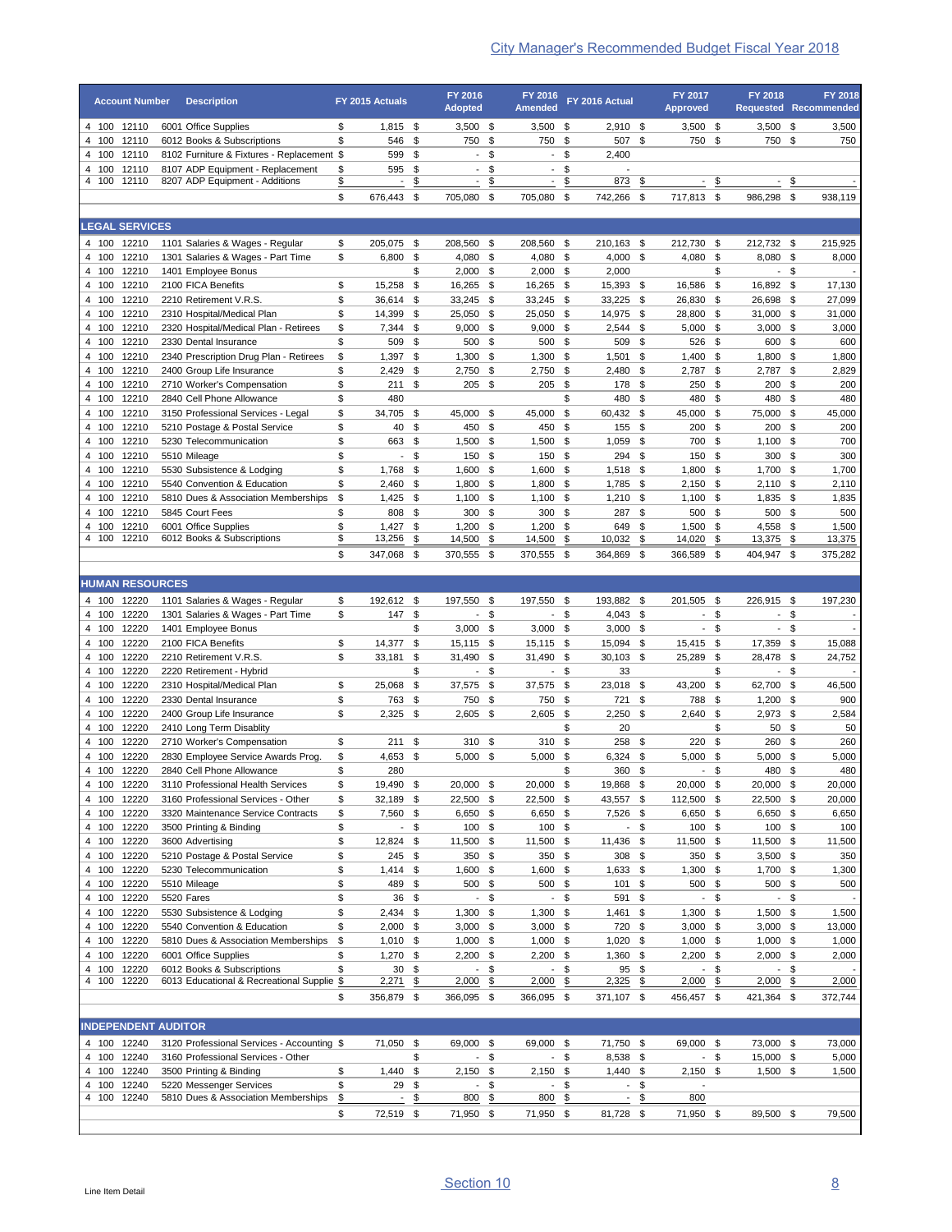|                | <b>Account Number</b>      | <b>Description</b>                                                               |          | FY 2015 Actuals          |          | FY 2016<br><b>Adopted</b>                  |                | FY 2016<br><b>Amended</b>                  |                         | FY 2016 Actual        |          | FY 2017<br><b>Approved</b>             |            | FY 2018<br><b>Requested Recommended</b> |          | FY 2018                           |
|----------------|----------------------------|----------------------------------------------------------------------------------|----------|--------------------------|----------|--------------------------------------------|----------------|--------------------------------------------|-------------------------|-----------------------|----------|----------------------------------------|------------|-----------------------------------------|----------|-----------------------------------|
|                | 4 100 12110                | 6001 Office Supplies                                                             | \$       | $1,815$ \$               |          | $3,500$ \$                                 |                | $3,500$ \$                                 |                         | $2,910$ \$            |          | $3,500$ \$                             |            | $3,500$ \$                              |          | 3,500                             |
| 4 100          | 12110                      | 6012 Books & Subscriptions                                                       | \$       | 546                      | \$       | 750                                        | \$             | 750                                        | \$                      | 507                   | \$       | 750                                    | \$         | 750 \$                                  |          | 750                               |
| 4 100<br>4 100 | 12110<br>12110             | 8102 Furniture & Fixtures - Replacement \$<br>8107 ADP Equipment - Replacement   | \$       | 599<br>595               | \$<br>\$ | $\overline{\phantom{a}}$<br>$\blacksquare$ | \$<br>\$       | $\overline{\phantom{a}}$<br>$\blacksquare$ | \$<br>\$                | 2,400                 |          |                                        |            |                                         |          |                                   |
| 4 100          | 12110                      | 8207 ADP Equipment - Additions                                                   | \$       | $\overline{\phantom{a}}$ | \$       | $\blacksquare$                             | \$             | ÷,                                         | \$                      | 873                   | \$       |                                        | \$         | $\overline{\phantom{a}}$                | \$       |                                   |
|                |                            |                                                                                  | \$       | 676,443                  | \$       | 705,080                                    | \$             | 705,080                                    | \$                      | 742,266               | \$       | 717,813                                | -\$        | 986,298                                 | \$       | 938,119                           |
|                | <b>LEGAL SERVICES</b>      |                                                                                  |          |                          |          |                                            |                |                                            |                         |                       |          |                                        |            |                                         |          |                                   |
|                | 4 100 12210                | 1101 Salaries & Wages - Regular                                                  | \$       | 205,075 \$               |          | 208,560 \$                                 |                | 208,560 \$                                 |                         | 210,163 \$            |          | 212,730 \$                             |            | 212,732 \$                              |          | 215,925                           |
| 4 100          | 12210                      | 1301 Salaries & Wages - Part Time                                                | \$       | 6,800 \$                 |          | 4,080 \$                                   |                | 4,080 \$                                   |                         | $4,000$ \$            |          | 4,080                                  | - \$       | 8,080 \$                                |          | 8,000                             |
| 4 100<br>4 100 | 12210<br>12210             | 1401 Employee Bonus<br>2100 FICA Benefits                                        | \$       | 15,258                   | \$<br>\$ | $2,000$ \$<br>16,265 \$                    |                | $2,000$ \$<br>16,265 \$                    |                         | 2,000<br>15,393 \$    |          | 16,586                                 | \$<br>\$   | $\sim$<br>16,892                        | \$<br>\$ |                                   |
| 4 100          | 12210                      | 2210 Retirement V.R.S.                                                           | \$       | 36,614 \$                |          | 33,245 \$                                  |                | 33,245 \$                                  |                         | 33,225                | \$       | 26,830                                 | \$         | 26,698 \$                               |          | 17,130<br>27,099                  |
| 4 100          | 12210                      | 2310 Hospital/Medical Plan                                                       | \$       | 14,399                   | \$       | 25,050 \$                                  |                | 25,050 \$                                  |                         | 14,975                | \$       | 28,800                                 | -\$        | 31,000 \$                               |          | 31,000                            |
| 4 100          | 12210                      | 2320 Hospital/Medical Plan - Retirees                                            | \$       | 7,344 \$                 |          | $9,000$ \$                                 |                | $9,000$ \$                                 |                         | 2,544                 | \$       | 5,000                                  | -\$        | $3,000$ \$                              |          | 3,000                             |
| 4 100          | 12210                      | 2330 Dental Insurance                                                            | \$       | 509                      | \$       | 500 \$                                     |                | 500 \$                                     |                         | 509                   | \$       | 526                                    | -\$        | 600 \$                                  |          | 600                               |
| 4 100<br>4 100 | 12210<br>12210             | 2340 Prescription Drug Plan - Retirees<br>2400 Group Life Insurance              | \$<br>\$ | 1,397<br>2,429           | \$<br>\$ | 1,300<br>2,750                             | - \$<br>- \$   | 1,300<br>2,750                             | -\$<br>\$               | 1,501<br>2,480        | \$<br>\$ | 1,400<br>2,787                         | \$<br>\$   | 1,800 \$<br>2,787 \$                    |          | 1,800<br>2,829                    |
| 4 100          | 12210                      | 2710 Worker's Compensation                                                       | \$       | 211                      | \$       | 205                                        | \$             | 205                                        | \$                      | 178                   | \$       | 250                                    | \$         | 200 \$                                  |          | 200                               |
| 4 100          | 12210                      | 2840 Cell Phone Allowance                                                        | \$       | 480                      |          |                                            |                |                                            | \$                      | 480                   | \$       | 480                                    | \$         | 480                                     | -\$      | 480                               |
| 4 100          | 12210                      | 3150 Professional Services - Legal                                               | \$       | 34,705 \$                |          | 45,000 \$                                  |                | 45,000                                     | $\sqrt[6]{\frac{1}{2}}$ | 60,432                | \$       | 45,000                                 | \$         | 75,000 \$                               |          | 45,000                            |
| 4 100          | 12210                      | 5210 Postage & Postal Service                                                    | \$       | 40                       | \$       | 450                                        | \$             | 450 \$                                     |                         | 155                   | \$       | 200                                    | \$         | 200 \$                                  |          | 200                               |
| 4 100<br>4 100 | 12210<br>12210             | 5230 Telecommunication<br>5510 Mileage                                           | \$<br>\$ | 663<br>$\sim$            | \$<br>\$ | 1,500<br>150                               | \$<br>- \$     | 1,500<br>150 \$                            | \$                      | 1,059<br>294          | \$<br>\$ | 700<br>150                             | \$<br>\$   | 1,100<br>300                            | \$<br>\$ | 700<br>300                        |
| 4 100          | 12210                      | 5530 Subsistence & Lodging                                                       | \$       | 1,768                    | \$       | 1,600                                      | \$             | 1,600                                      | \$                      | 1,518                 | \$       | 1,800                                  | \$         | $1,700$ \$                              |          | 1,700                             |
| 4 100          | 12210                      | 5540 Convention & Education                                                      | \$       | 2,460                    | \$       | 1,800                                      | \$             | 1,800                                      | \$                      | 1,785                 | \$       | 2,150                                  | \$         | $2,110$ \$                              |          | 2,110                             |
| 4 100          | 12210                      | 5810 Dues & Association Memberships                                              | \$       | $1,425$ \$               |          | 1,100                                      | \$             | 1,100                                      | \$                      | 1,210                 | \$       | 1,100                                  | \$         | 1,835 \$                                |          | 1,835                             |
| 4 100<br>4 100 | 12210<br>12210             | 5845 Court Fees                                                                  | \$<br>\$ | 808                      | \$       | 300                                        | - \$           | $300*$<br>1,200                            |                         | 287<br>649            | \$<br>\$ | 500                                    | \$         | 500 \$                                  |          | 500                               |
| 4 100          | 12210                      | 6001 Office Supplies<br>6012 Books & Subscriptions                               | \$       | 1,427<br>13,256          | \$<br>\$ | 1,200<br>14,500                            | - \$<br>\$     | 14,500                                     | \$<br>\$                | 10,032                | \$       | 1,500<br>14,020                        | \$<br>\$   | 4,558 \$<br>13,375                      | \$       | 1,500<br>13,375                   |
|                |                            |                                                                                  | \$       | 347,068                  | \$       | 370,555 \$                                 |                | 370,555                                    | \$                      | 364,869               | -\$      | 366,589                                | \$         | 404,947 \$                              |          | 375,282                           |
|                | <b>HUMAN RESOURCES</b>     |                                                                                  |          |                          |          |                                            |                |                                            |                         |                       |          |                                        |            |                                         |          |                                   |
| 4 100          | 12220                      | 1101 Salaries & Wages - Regular                                                  | \$       | 192,612 \$               |          | 197,550                                    | - \$           | 197,550 \$                                 |                         | 193,882 \$            |          | 201,505                                | - \$       | 226,915 \$                              |          | 197,230                           |
| 4 100          | 12220                      | 1301 Salaries & Wages - Part Time                                                | \$       | 147                      | \$       | $\sim$                                     | - \$           | $\blacksquare$                             | \$                      | 4,043                 | \$       | $\overline{\phantom{a}}$               | \$         | $\blacksquare$                          | \$       |                                   |
| 4 100          | 12220                      | 1401 Employee Bonus                                                              |          |                          | \$       | 3,000                                      | - \$           | 3,000                                      | \$                      | 3,000                 | \$       | $\blacksquare$                         | \$         | $\sim$                                  | \$       | $\overline{a}$                    |
| 4 100          | 12220                      | 2100 FICA Benefits                                                               | \$       | 14,377                   | \$       | 15,115 \$                                  |                | 15,115 \$                                  |                         | 15,094                | \$       | 15,415 \$                              |            | 17,359 \$                               |          | 15,088                            |
| 4 100<br>4 100 | 12220<br>12220             | 2210 Retirement V.R.S.<br>2220 Retirement - Hybrid                               | \$       | 33,181                   | \$<br>\$ | 31,490                                     | - \$<br>$-$ \$ | 31,490<br>$\overline{\phantom{a}}$         | \$<br>- \$              | 30,103 \$<br>33       |          | 25,289                                 | \$<br>\$   | 28,478 \$<br>$\sim$                     | \$       | 24,752                            |
| 4 100          | 12220                      | 2310 Hospital/Medical Plan                                                       | \$       | 25,068                   | \$       | 37,575                                     | \$             | 37,575                                     | - \$                    | 23,018                | - \$     | 43,200                                 | \$         | 62,700 \$                               |          | 46,500                            |
| 4 100          | 12220                      | 2330 Dental Insurance                                                            | \$       | 763                      | \$       | 750                                        | - \$           | 750                                        | -\$                     | 721                   | \$       | 788                                    | \$         | $1,200$ \$                              |          | 900                               |
| 4 100          | 12220                      | 2400 Group Life Insurance                                                        | \$       | 2,325                    | \$       | 2,605                                      | - \$           | 2,605                                      | \$                      | 2,250                 | \$       | 2,640                                  | \$         | 2,973                                   | \$       | 2,584                             |
|                | 4 100 12220<br>4 100 12220 | 2410 Long Term Disablity<br>2710 Worker's Compensation                           | \$       | $211$ \$                 |          | 310 \$                                     |                | 310 \$                                     | \$                      | 20<br>258 \$          |          | 220 \$                                 | \$         | 50<br>260 \$                            | \$       | 50<br>260                         |
|                | 4 100 12220                | 2830 Employee Service Awards Prog.                                               | \$       | 4,653 \$                 |          | $5,000$ \$                                 |                | $5,000$ \$                                 |                         | $6,324$ \$            |          | $5,000$ \$                             |            | $5,000$ \$                              |          | 5,000                             |
|                | 4 100 12220                | 2840 Cell Phone Allowance                                                        | \$       | 280                      |          |                                            |                |                                            | \$                      | 360 \$                |          |                                        | - \$       | 480 \$                                  |          | 480                               |
|                | 4 100 12220                | 3110 Professional Health Services                                                | \$       | 19,490 \$                |          | 20,000 \$                                  |                | 20,000 \$                                  |                         | 19,868 \$             |          | 20,000 \$                              |            | 20,000 \$                               |          | 20,000                            |
|                | 4 100 12220                | 3160 Professional Services - Other                                               | \$       | 32,189 \$                |          | 22,500 \$                                  |                | 22,500 \$                                  |                         | 43,557 \$             |          | 112,500 \$                             |            | 22,500 \$                               |          | 20,000                            |
|                | 4 100 12220<br>4 100 12220 | 3320 Maintenance Service Contracts<br>3500 Printing & Binding                    | \$<br>\$ | 7,560 \$                 | - \$     | 6,650 \$<br>100 \$                         |                | $6,650$ \$<br>100 \$                       |                         | 7,526 \$<br>$-$ \$    |          | $6,650$ \$<br>100 \$                   |            | 6,650 \$<br>100 \$                      |          | 6,650<br>100                      |
| 4 100          | 12220                      | 3600 Advertising                                                                 | \$       | 12,824 \$                |          | 11,500 \$                                  |                | 11,500 \$                                  |                         | 11,436 \$             |          | 11,500 \$                              |            | 11,500 \$                               |          | 11,500                            |
| 4 100          | 12220                      | 5210 Postage & Postal Service                                                    | \$       | 245 \$                   |          | 350 \$                                     |                | 350 \$                                     |                         | 308 \$                |          | 350 \$                                 |            | $3,500$ \$                              |          | 350                               |
| 4 100          | 12220                      | 5230 Telecommunication                                                           | \$       | $1,414$ \$               |          | $1,600$ \$                                 |                | $1,600$ \$                                 |                         | $1,633$ \$            |          | $1,300$ \$                             |            | 1,700 \$                                |          | 1,300                             |
| 4 100          | 12220                      | 5510 Mileage                                                                     | \$       | 489 \$                   |          | 500 \$                                     |                | 500 \$                                     |                         | 101S                  |          | 500                                    | -\$        | 500 \$                                  |          | 500                               |
| 4 100<br>4 100 | 12220<br>12220             | 5520 Fares<br>5530 Subsistence & Lodging                                         | \$<br>\$ | 36 \$<br>2,434 \$        |          | $1,300$ \$                                 | - \$           | $1,300$ \$                                 | $-$ \$                  | 591<br>$1,461$ \$     | \$       | $\overline{\phantom{a}}$<br>$1,300$ \$ | \$         | - \$<br>$1,500$ \$                      |          | $\overline{\phantom{a}}$<br>1,500 |
| 4 100          | 12220                      | 5540 Convention & Education                                                      | \$       | $2,000$ \$               |          | $3,000$ \$                                 |                | $3,000$ \$                                 |                         | 720                   | \$       | $3,000$ \$                             |            | $3,000$ \$                              |          | 13,000                            |
| 4 100          | 12220                      | 5810 Dues & Association Memberships                                              | \$       | $1,010$ \$               |          | $1,000$ \$                                 |                | $1,000$ \$                                 |                         | $1,020$ \$            |          | $1,000$ \$                             |            | $1,000$ \$                              |          | 1,000                             |
| 4 100          | 12220                      | 6001 Office Supplies                                                             | \$       | $1,270$ \$               |          | $2,200$ \$                                 |                | $2,200$ \$                                 |                         | 1,360                 | \$       | $2,200$ \$                             |            | $2,000$ \$                              |          | 2,000                             |
| 4 100          | 12220<br>4 100 12220       | 6012 Books & Subscriptions<br>6013 Educational & Recreational Supplie \$         | \$       | $30*$<br>2,271           | \$       | 2,000                                      | - \$<br>\$     | 2,000                                      | - \$<br>\$              | 95 \$<br>2,325        | \$       | 2,000                                  | - \$<br>\$ | - \$<br>2,000                           | \$       | 2,000                             |
|                |                            |                                                                                  | \$       | 356,879 \$               |          | 366,095 \$                                 |                | 366,095 \$                                 |                         | 371,107 \$            |          | 456,457 \$                             |            | 421,364 \$                              |          | 372,744                           |
|                |                            |                                                                                  |          |                          |          |                                            |                |                                            |                         |                       |          |                                        |            |                                         |          |                                   |
|                |                            | <b>INDEPENDENT AUDITOR</b>                                                       |          |                          |          |                                            |                |                                            |                         |                       |          |                                        |            |                                         |          |                                   |
| 4 100          | 4 100 12240<br>12240       | 3120 Professional Services - Accounting \$<br>3160 Professional Services - Other |          | 71,050 \$                | \$       | 69,000 \$                                  | $-$ \$         | 69,000 \$                                  | $-$ \$                  | 71,750 \$<br>8,538 \$ |          | 69,000 \$                              | - \$       | 73,000 \$<br>15,000 \$                  |          | 73,000<br>5,000                   |
| 4 100          | 12240                      | 3500 Printing & Binding                                                          | \$       | $1,440$ \$               |          | $2,150$ \$                                 |                | $2,150$ \$                                 |                         | $1,440$ \$            |          | $2,150$ \$                             |            | $1,500$ \$                              |          | 1,500                             |
| 4 100          | 12240                      | 5220 Messenger Services                                                          | \$       | 29 \$                    |          | $\overline{\phantom{a}}$                   | \$             | $\sim$                                     | \$                      | $-$ \$                |          | $\overline{\phantom{a}}$               |            |                                         |          |                                   |
|                | 4 100 12240                | 5810 Dues & Association Memberships                                              | \$       | $\overline{\phantom{a}}$ | \$       | 800 \$                                     |                | 800 \$                                     |                         | $\blacksquare$        | \$       | 800                                    |            |                                         |          |                                   |
|                |                            |                                                                                  | \$       | 72,519 \$                |          | 71,950 \$                                  |                | 71,950 \$                                  |                         | 81,728 \$             |          | 71,950 \$                              |            | 89,500 \$                               |          | 79,500                            |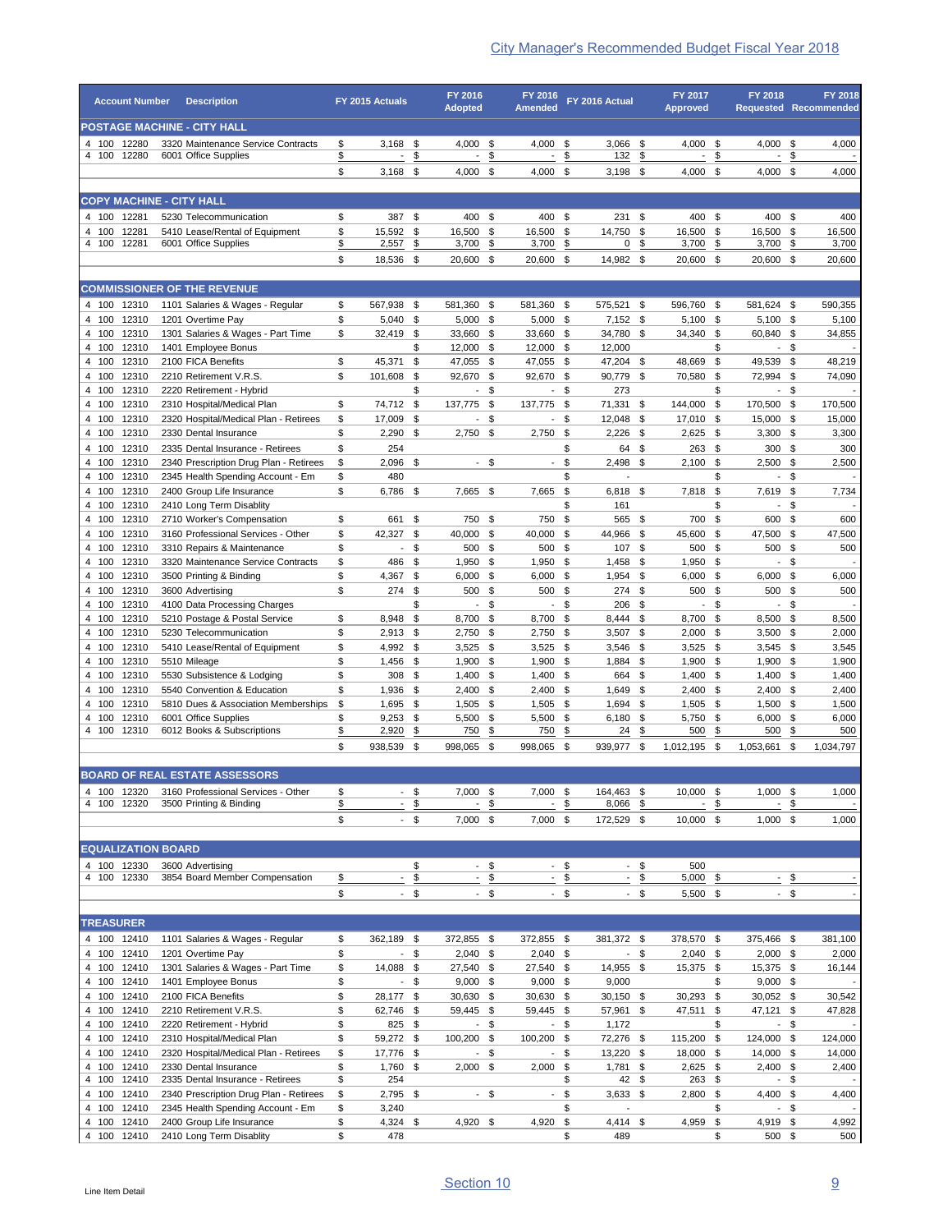|                            | <b>Account Number</b>           |              | <b>Description</b>                                                          |                     | FY 2015 Actuals                 |                         | FY 2016<br><b>Adopted</b>            |               | FY 2016<br><b>Amended</b>              |                 | FY 2016 Actual                         |            | FY 2017<br><b>Approved</b>            |               | <b>FY 2018</b><br><b>Requested Recommended</b> |               | <b>FY 2018</b>                    |
|----------------------------|---------------------------------|--------------|-----------------------------------------------------------------------------|---------------------|---------------------------------|-------------------------|--------------------------------------|---------------|----------------------------------------|-----------------|----------------------------------------|------------|---------------------------------------|---------------|------------------------------------------------|---------------|-----------------------------------|
|                            |                                 |              | <b>POSTAGE MACHINE - CITY HALL</b>                                          |                     |                                 |                         |                                      |               |                                        |                 |                                        |            |                                       |               |                                                |               |                                   |
| 4 100                      | 12280                           |              | 3320 Maintenance Service Contracts                                          | \$                  | 3,168                           | \$                      | 4,000                                | \$            | 4,000                                  | \$              | 3,066                                  | \$         | 4,000                                 | \$            | 4,000                                          | \$            | 4,000                             |
| 4 100                      | 12280                           |              | 6001 Office Supplies                                                        | \$<br>\$            | $\overline{\phantom{a}}$        | \$                      | $\overline{\phantom{a}}$             | \$            | $\overline{\phantom{a}}$               | \$              | 132                                    | \$         | $\overline{\phantom{a}}$<br>4,000     | \$<br>- \$    | $\overline{\phantom{a}}$                       | \$<br>\$      | 4,000                             |
|                            |                                 |              |                                                                             |                     | 3,168                           | \$                      | 4,000                                | - \$          | 4,000                                  | \$              | $3,198$ \$                             |            |                                       |               | 4,000                                          |               |                                   |
|                            | <b>COPY MACHINE - CITY HALL</b> |              |                                                                             |                     |                                 |                         |                                      |               |                                        |                 |                                        |            |                                       |               |                                                |               |                                   |
| 4 100                      | 12281                           |              | 5230 Telecommunication                                                      | \$                  | 387                             | \$                      | 400                                  | \$            | 400                                    | \$              | $231$ \$                               |            | 400                                   | \$            | 400                                            | \$            | 400                               |
| 4 100<br>4 100             | 12281<br>12281                  |              | 5410 Lease/Rental of Equipment<br>6001 Office Supplies                      | \$<br>\$            | 15,592<br>2,557                 | \$<br>\$                | 16,500<br>3,700                      | \$<br>\$      | 16,500<br>3,700                        | \$<br>\$        | 14,750<br>0                            | \$<br>\$   | 16,500<br>3,700                       | \$<br>\$      | 16,500<br>3,700                                | \$<br>\$      | 16,500<br>3,700                   |
|                            |                                 |              |                                                                             | \$                  | 18,536                          | -\$                     | 20,600 \$                            |               | 20,600 \$                              |                 | 14,982 \$                              |            | 20,600                                | - \$          | 20,600                                         | \$            | 20,600                            |
|                            |                                 |              |                                                                             |                     |                                 |                         |                                      |               |                                        |                 |                                        |            |                                       |               |                                                |               |                                   |
| 4 100 12310                |                                 |              | <b>COMMISSIONER OF THE REVENUE</b><br>1101 Salaries & Wages - Regular       | \$                  | 567,938                         | -\$                     | 581,360 \$                           |               | 581,360 \$                             |                 | 575,521 \$                             |            | 596,760 \$                            |               | 581,624 \$                                     |               | 590,355                           |
| 4 100                      | 12310                           |              | 1201 Overtime Pay                                                           | \$                  | 5,040                           | \$                      | 5,000                                | - \$          | $5,000$ \$                             |                 | $7,152$ \$                             |            | 5,100                                 | \$            | 5,100                                          | \$            | 5,100                             |
| 4 100                      | 12310                           |              | 1301 Salaries & Wages - Part Time                                           | \$                  | 32,419                          | \$                      | 33,660                               | - \$          | 33,660 \$                              |                 | 34,780 \$                              |            | 34,340                                | \$            | 60,840                                         | -\$           | 34,855                            |
| 4 100                      | 12310                           |              | 1401 Employee Bonus                                                         |                     |                                 | \$                      | 12,000                               | \$            | 12,000 \$                              |                 | 12,000                                 |            |                                       | \$            | - \$                                           |               | $\overline{\phantom{a}}$          |
| 4 100<br>4 100             | 12310<br>12310                  |              | 2100 FICA Benefits<br>2210 Retirement V.R.S.                                | \$<br>\$            | 45,371<br>101.608               | \$<br>\$                | 47,055 \$<br>92,670                  | \$            | 47,055 \$<br>92,670                    | \$              | 47,204<br>90,779                       | \$<br>\$   | 48,669<br>70,580                      | \$<br>\$      | 49,539<br>72,994                               | -\$<br>\$     | 48,219<br>74,090                  |
| 4 100                      | 12310                           |              | 2220 Retirement - Hybrid                                                    |                     |                                 | \$                      | $\overline{\phantom{a}}$             | \$            | $\blacksquare$                         | \$              | 273                                    |            |                                       | \$            | $\overline{\phantom{0}}$                       | \$            |                                   |
| 4 100                      | 12310                           |              | 2310 Hospital/Medical Plan                                                  | \$                  | 74,712                          | \$                      | 137,775                              | \$            | 137,775                                | \$              | 71,331                                 | \$         | 144,000                               | \$            | 170,500                                        | \$            | 170,500                           |
| 4 100<br>4 100             | 12310<br>12310                  |              | 2320 Hospital/Medical Plan - Retirees<br>2330 Dental Insurance              | \$<br>\$            | 17,009<br>2,290                 | \$<br>\$                | $\overline{a}$<br>2,750              | \$<br>\$      | $\overline{a}$<br>2,750                | \$<br>\$        | 12,048<br>2,226                        | \$<br>\$   | 17,010<br>2,625                       | \$<br>\$      | 15,000<br>3,300                                | \$<br>\$      | 15,000<br>3,300                   |
| 4 100                      | 12310                           |              | 2335 Dental Insurance - Retirees                                            | \$                  | 254                             |                         |                                      |               |                                        | \$              | 64                                     | \$         | 263                                   | \$            | 300                                            | -\$           | 300                               |
| 4 100                      | 12310                           |              | 2340 Prescription Drug Plan - Retirees                                      | \$                  | 2,096                           | \$                      | $\blacksquare$                       | \$            | $\overline{\phantom{a}}$               | \$              | 2,498 \$                               |            | 2,100                                 | \$            | 2,500                                          | \$            | 2,500                             |
| 4 100<br>4 100             | 12310                           |              | 2345 Health Spending Account - Em<br>2400 Group Life Insurance              | \$                  | 480                             |                         |                                      |               | 7,665                                  | \$              |                                        |            | 7,818                                 | \$            | $\blacksquare$                                 | \$            |                                   |
| 4 100                      | 12310<br>12310                  |              | 2410 Long Term Disablity                                                    | \$                  | 6,786                           | \$                      | 7,665 \$                             |               |                                        | \$<br>\$        | 6,818<br>161                           | \$         |                                       | \$<br>\$      | 7,619<br>$\blacksquare$                        | \$<br>\$      | 7,734                             |
| 4 100                      | 12310                           |              | 2710 Worker's Compensation                                                  | \$                  | 661                             | \$                      | 750 \$                               |               | 750 \$                                 |                 | 565 \$                                 |            | 700                                   | \$            | 600                                            | \$            | 600                               |
| 4 100                      | 12310                           |              | 3160 Professional Services - Other                                          | \$                  | 42,327                          | \$                      | 40,000 \$                            |               | 40,000                                 | \$              | 44,966                                 | \$         | 45,600                                | \$            | 47,500                                         | \$            | 47,500                            |
| 4 100<br>4 100             | 12310<br>12310                  |              | 3310 Repairs & Maintenance<br>3320 Maintenance Service Contracts            | \$<br>\$            | $\overline{\phantom{a}}$<br>486 | \$<br>\$                | 500<br>1,950                         | - \$<br>\$    | 500 \$<br>1,950                        | \$              | 107<br>1,458                           | \$<br>\$   | 500<br>1,950                          | \$<br>\$      | 500<br>$\overline{\phantom{a}}$                | \$<br>\$      | 500                               |
| 4 100                      | 12310                           |              | 3500 Printing & Binding                                                     | \$                  | 4,367                           | \$                      | 6,000                                | \$            | $6,000$ \$                             |                 | 1,954                                  | \$         | 6,000                                 | \$            | 6,000                                          | \$            | 6,000                             |
| 4 100                      | 12310                           |              | 3600 Advertising                                                            | \$                  | 274                             | \$                      | 500                                  | \$            | 500                                    | \$              | 274                                    | \$         | 500                                   | \$            | 500                                            | \$            | 500                               |
| 4 100<br>4 100             | 12310<br>12310                  |              | 4100 Data Processing Charges<br>5210 Postage & Postal Service               | \$                  | 8,948                           | \$<br>\$                | $\sim$<br>8,700                      | \$<br>\$      | $\sim$<br>8,700                        | \$<br>\$        | 206<br>8,444                           | - \$<br>\$ | $\blacksquare$<br>8,700               | \$<br>\$      | $\overline{\phantom{a}}$<br>8,500              | \$<br>\$      | $\overline{\phantom{a}}$<br>8,500 |
| 4 100                      | 12310                           |              | 5230 Telecommunication                                                      | \$                  | 2,913                           | \$                      | 2,750                                | \$            | 2,750 \$                               |                 | 3,507                                  | \$         | 2,000                                 | \$            | 3,500                                          | \$            | 2,000                             |
| 4 100                      | 12310                           |              | 5410 Lease/Rental of Equipment                                              | \$                  | 4,992                           | \$                      | 3,525                                | \$            | 3,525                                  | \$              | 3,546                                  | \$         | 3,525                                 | \$            | 3,545                                          | \$            | 3,545                             |
| 4 100<br>4 100             | 12310<br>12310                  | 5510 Mileage |                                                                             | \$<br>\$            | 1,456                           | \$                      | 1,900                                | - \$<br>\$    | $1,900$ \$                             |                 | 1,884<br>664                           | \$<br>\$   | 1,900                                 | \$<br>\$      | 1,900                                          | \$            | 1,900                             |
| 4 100                      | 12310                           |              | 5530 Subsistence & Lodging<br>5540 Convention & Education                   | \$                  | 308<br>1,936                    | \$<br>\$                | 1,400<br>2,400                       | \$            | 1,400<br>$2,400$ \$                    | \$              | 1,649                                  | \$         | 1,400<br>2,400                        | \$            | 1,400<br>2,400                                 | \$<br>\$      | 1,400<br>2,400                    |
| 4 100                      | 12310                           |              | 5810 Dues & Association Memberships                                         | \$                  | 1,695                           | \$                      | 1,505                                | - \$          | 1,505                                  | $\sqrt{5}$      | 1,694                                  | \$         | 1,505                                 | - \$          | 1,500                                          | \$            | 1,500                             |
| 4 100<br>4 100             | 12310<br>12310                  |              | 6001 Office Supplies<br>6012 Books & Subscriptions                          | \$<br>\$            | 9,253<br>2,920                  | \$<br>\$                | 5,500<br>750                         | \$<br>\$      | 5,500<br>750                           | \$<br>\$        | 6,180<br>24                            | \$<br>\$   | 5,750<br>500                          | \$<br>\$      | 6,000<br>500                                   | \$<br>\$      | 6,000<br>500                      |
|                            |                                 |              |                                                                             | \$                  | 938,539 \$                      |                         | 998,065 \$                           |               | 998,065 \$                             |                 | 939,977 \$                             |            | 1,012,195 \$                          |               | 1,053,661 \$                                   |               | 1,034,797                         |
|                            |                                 |              |                                                                             |                     |                                 |                         |                                      |               |                                        |                 |                                        |            |                                       |               |                                                |               |                                   |
|                            |                                 |              | <b>BOARD OF REAL ESTATE ASSESSORS</b>                                       |                     |                                 |                         |                                      |               |                                        |                 |                                        |            |                                       |               |                                                |               |                                   |
| 4 100 12320<br>4 100 12320 |                                 |              | 3160 Professional Services - Other<br>3500 Printing & Binding               | \$<br>$\frac{1}{2}$ | $\sim$                          | $-$ \$<br>$\frac{1}{2}$ | 7,000 \$<br>$\overline{\phantom{a}}$ | $\frac{1}{2}$ | $7,000$ \$<br>$\overline{\phantom{a}}$ | $\frac{1}{2}$   | 164,463 \$<br>$8,066$ \$               |            | 10,000 \$<br>$\overline{\phantom{a}}$ | $\frac{1}{2}$ | $1,000$ \$                                     | $\frac{3}{2}$ | 1,000                             |
|                            |                                 |              |                                                                             | \$                  |                                 | $-$ \$                  | 7,000 \$                             |               | 7,000 \$                               |                 | 172,529 \$                             |            | 10,000 \$                             |               | $1,000$ \$                                     |               | 1,000                             |
|                            |                                 |              |                                                                             |                     |                                 |                         |                                      |               |                                        |                 |                                        |            |                                       |               |                                                |               |                                   |
| 4 100 12330                | <b>EQUALIZATION BOARD</b>       |              | 3600 Advertising                                                            |                     |                                 | \$                      |                                      | - \$          |                                        | $-$ \$          |                                        | $-$ \$     | 500                                   |               |                                                |               |                                   |
| 4 100 12330                |                                 |              | 3854 Board Member Compensation                                              | \$                  | $\overline{\phantom{a}}$        | \$                      | $\blacksquare$                       | \$            | $\overline{\phantom{a}}$               | $\overline{\$}$ | ÷.                                     | \$         | 5,000                                 | \$            | $\overline{\phantom{a}}$                       | \$            |                                   |
|                            |                                 |              |                                                                             | \$                  |                                 | $-$ \$                  |                                      | $-$ \$        | $\sim$                                 | \$              |                                        | $-$ \$     | 5,500 \$                              |               |                                                | $-$ \$        |                                   |
| <b>TREASURER</b>           |                                 |              |                                                                             |                     |                                 |                         |                                      |               |                                        |                 |                                        |            |                                       |               |                                                |               |                                   |
| 4 100 12410                |                                 |              | 1101 Salaries & Wages - Regular                                             | \$                  | 362,189 \$                      |                         | 372,855 \$                           |               | 372,855 \$                             |                 | 381,372 \$                             |            | 378,570 \$                            |               | 375,466 \$                                     |               | 381,100                           |
| 4 100 12410                |                                 |              | 1201 Overtime Pay                                                           | \$                  |                                 | - \$                    | $2,040$ \$                           |               | $2,040$ \$                             |                 |                                        | $-$ \$     | $2,040$ \$                            |               | $2,000$ \$                                     |               | 2,000                             |
| 4 100 12410                |                                 |              | 1301 Salaries & Wages - Part Time                                           | \$                  | 14,088 \$                       |                         | 27,540 \$                            |               | 27,540 \$                              |                 | 14,955 \$                              |            | 15,375 \$                             |               | 15,375 \$                                      |               | 16,144                            |
| 4 100 12410<br>4 100 12410 |                                 |              | 1401 Employee Bonus<br>2100 FICA Benefits                                   | \$<br>\$            | 28,177 \$                       | - \$                    | $9,000$ \$<br>30,630 \$              |               | $9,000$ \$<br>30,630 \$                |                 | 9,000<br>$30,150$ \$                   |            | 30,293 \$                             | \$            | $9,000$ \$<br>30,052 \$                        |               | 30,542                            |
| 4 100                      | 12410                           |              | 2210 Retirement V.R.S.                                                      | \$                  | 62,746 \$                       |                         | 59,445 \$                            |               | 59,445 \$                              |                 | 57,961 \$                              |            | 47,511                                | \$            | 47,121 \$                                      |               | 47,828                            |
| 4 100 12410                |                                 |              | 2220 Retirement - Hybrid                                                    | \$                  | 825 \$                          |                         |                                      | $-$ \$        |                                        | $-$ \$          | 1,172                                  |            |                                       | \$            | $-$ \$                                         |               | $\overline{\phantom{a}}$          |
| 4 100<br>4 100             | 12410<br>12410                  |              | 2310 Hospital/Medical Plan<br>2320 Hospital/Medical Plan - Retirees         | \$<br>\$            | 59,272 \$<br>17,776 \$          |                         | 100,200 \$                           | $-$ \$        | 100,200 \$                             | $-$ \$          | 72,276 \$<br>13,220 \$                 |            | 115,200 \$<br>18,000                  | \$            | 124,000 \$<br>14,000 \$                        |               | 124,000<br>14,000                 |
| 4 100                      | 12410                           |              | 2330 Dental Insurance                                                       | \$                  | $1,760$ \$                      |                         | $2,000$ \$                           |               | $2,000$ \$                             |                 | $1,781$ \$                             |            | $2,625$ \$                            |               | $2,400$ \$                                     |               | 2,400                             |
| 4 100                      | 12410                           |              | 2335 Dental Insurance - Retirees                                            | \$                  | 254                             |                         |                                      |               |                                        | \$              | 42 \$                                  |            | 263 \$                                |               |                                                | - \$          |                                   |
| 4 100 12410<br>4 100 12410 |                                 |              | 2340 Prescription Drug Plan - Retirees<br>2345 Health Spending Account - Em | \$<br>\$            | 2,795 \$<br>3,240               |                         |                                      | $-$ \$        | $\sim$                                 | \$<br>\$        | $3,633$ \$<br>$\overline{\phantom{a}}$ |            | $2,800$ \$                            | \$            | 4,400 \$                                       | $-$ \$        | 4,400                             |
|                            | 12410                           |              | 2400 Group Life Insurance                                                   | \$                  | 4,324 \$                        |                         | 4,920 \$                             |               | 4,920 \$                               |                 | $4,414$ \$                             |            | 4,959 \$                              |               | 4,919 \$                                       |               | 4,992                             |
| 4 100                      |                                 |              | 2410 Long Term Disablity                                                    | \$                  | 478                             |                         |                                      |               |                                        | \$              | 489                                    |            |                                       | \$            | 500 \$                                         |               | 500                               |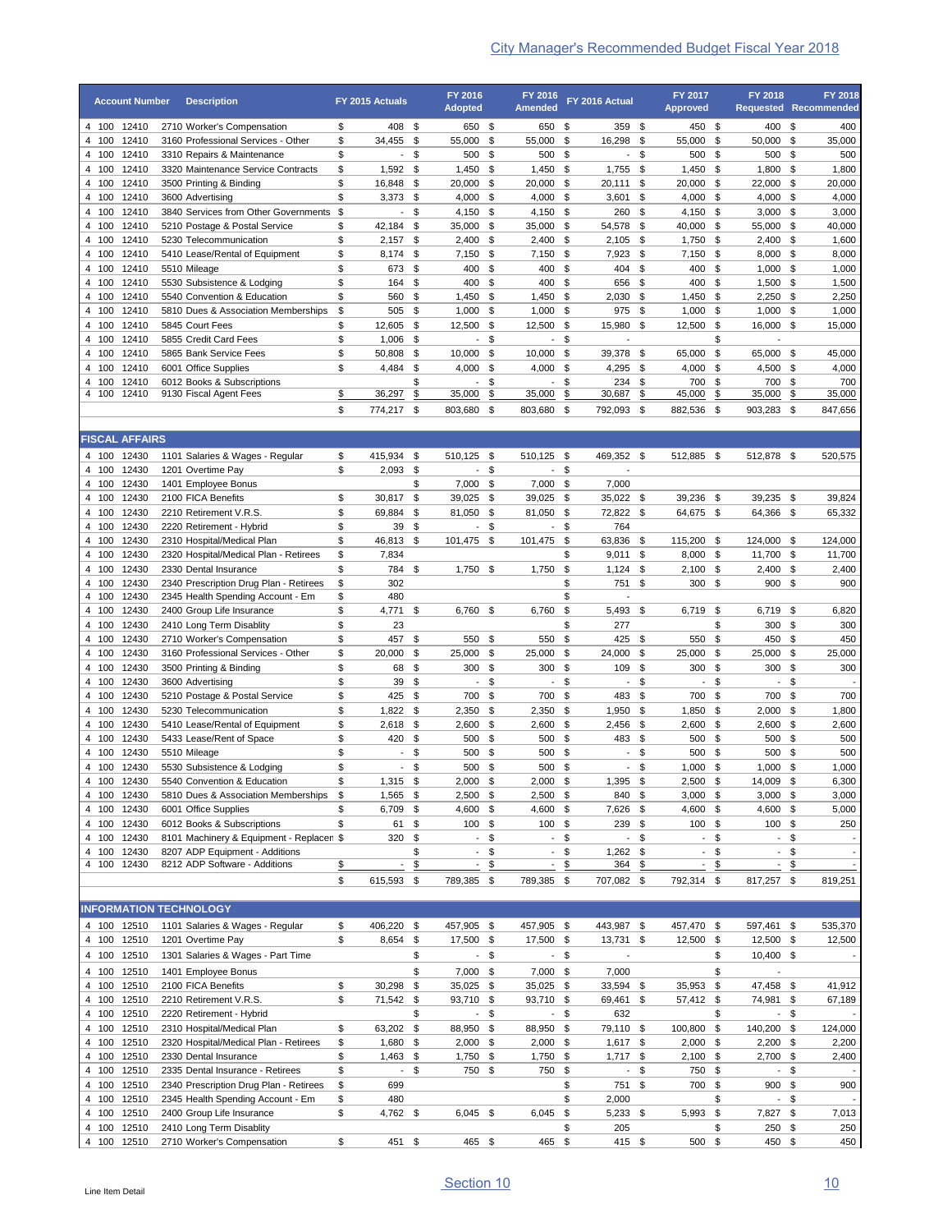|                | <b>Account Number</b>      | <b>Description</b>                                                          | FY 2015 Actuals                                    |            | FY 2016<br><b>Adopted</b>                            |              | FY 2016<br><b>Amended</b>                            |               | FY 2016 Actual           |            | FY 2017<br><b>Approved</b>      |          | FY 2018                            |          | FY 2018<br><b>Requested Recommended</b> |
|----------------|----------------------------|-----------------------------------------------------------------------------|----------------------------------------------------|------------|------------------------------------------------------|--------------|------------------------------------------------------|---------------|--------------------------|------------|---------------------------------|----------|------------------------------------|----------|-----------------------------------------|
|                | 4 100 12410                | 2710 Worker's Compensation                                                  | \$<br>408 \$                                       |            | 650 \$                                               |              | 650 \$                                               |               | 359 \$                   |            | 450 \$                          |          | 400 \$                             |          | 400                                     |
| 4 100          | 12410                      | 3160 Professional Services - Other                                          | 34,455 \$<br>\$                                    |            | 55,000                                               | -\$          | 55,000                                               | \$            | 16,298                   | -\$        | 55,000                          | \$       | 50,000 \$                          |          | 35,000                                  |
|                | 4 100 12410<br>4 100 12410 | 3310 Repairs & Maintenance<br>3320 Maintenance Service Contracts            | \$<br>$\blacksquare$<br>1,592<br>\$                | -\$<br>\$  | 500 \$<br>$1,450$ \$                                 |              | 500<br>1,450                                         | \$<br>\$      | $\sim$<br>$1,755$ \$     | \$         | 500<br>1,450                    | \$<br>\$ | 500 \$<br>$1,800$ \$               |          | 500<br>1,800                            |
|                | 4 100 12410                | 3500 Printing & Binding                                                     | 16,848 \$<br>\$                                    |            | 20,000 \$                                            |              | 20,000                                               | -\$           | 20,111                   | \$         | 20,000                          | \$       | 22,000 \$                          |          | 20,000                                  |
|                | 4 100 12410                | 3600 Advertising                                                            | \$<br>$3,373$ \$                                   |            | 4,000 \$                                             |              | $4,000$ \$                                           |               | 3,601                    | \$         | 4,000                           | \$       | $4,000$ \$                         |          | 4,000                                   |
| 4 100          | 12410                      | 3840 Services from Other Governments                                        | \$<br>$\overline{\phantom{a}}$                     | -\$        | 4,150 \$                                             |              | 4,150 \$                                             |               | 260 \$                   |            | 4,150                           | \$       | $3,000$ \$                         |          | 3,000                                   |
| 4 100          | 12410                      | 5210 Postage & Postal Service                                               | 42,184<br>\$                                       | \$         | 35,000 \$                                            |              | 35,000                                               | \$            | 54,578 \$                |            | 40,000                          | \$       | 55,000 \$                          |          | 40,000                                  |
| 4 100<br>4 100 | 12410<br>12410             | 5230 Telecommunication<br>5410 Lease/Rental of Equipment                    | \$<br>2,157<br>\$<br>8,174                         | \$<br>\$   | $2,400$ \$<br>7,150                                  | \$           | 2,400<br>7,150                                       | \$<br>\$      | $2,105$ \$<br>7,923      | \$         | 1,750<br>7,150                  | \$<br>\$ | $2,400$ \$<br>8,000 \$             |          | 1,600<br>8,000                          |
| 4 100          | 12410                      | 5510 Mileage                                                                | \$<br>673                                          | \$         | 400                                                  | \$           | 400                                                  | \$            | 404                      | \$         | 400                             | \$       | $1,000$ \$                         |          | 1,000                                   |
| 4 100          | 12410                      | 5530 Subsistence & Lodging                                                  | \$<br>164                                          | \$         | 400                                                  | \$           | 400                                                  | \$            | 656                      | \$         | 400                             | \$       | $1,500$ \$                         |          | 1,500                                   |
| 4 100          | 12410                      | 5540 Convention & Education                                                 | \$<br>560                                          | \$         | 1,450                                                | \$           | 1,450                                                | \$            | 2,030                    | \$         | 1,450                           | \$       | 2,250 \$                           |          | 2,250                                   |
| 4 100          | 12410                      | 5810 Dues & Association Memberships                                         | \$<br>505                                          | \$         | 1,000                                                | \$           | 1,000                                                | \$            | 975                      | \$         | 1,000                           | \$       | $1,000$ \$                         |          | 1,000                                   |
| 4 100<br>4 100 | 12410<br>12410             | 5845 Court Fees<br>5855 Credit Card Fees                                    | 12,605<br>\$<br>\$<br>1,006                        | \$<br>- \$ | 12,500<br>$\overline{\phantom{a}}$                   | - \$<br>\$   | 12,500<br>$\overline{\phantom{a}}$                   | \$<br>\$      | 15,980                   | - \$       | 12,500                          | \$<br>\$ | 16,000 \$                          |          | 15,000                                  |
| 4 100          | 12410                      | 5865 Bank Service Fees                                                      | \$<br>50,808                                       | \$         | 10,000 \$                                            |              | 10,000                                               | - \$          | 39,378                   | - \$       | 65,000                          | \$       | 65,000                             | \$       | 45,000                                  |
| 4 100          | 12410                      | 6001 Office Supplies                                                        | \$<br>4,484                                        | \$         | $4,000$ \$                                           |              | 4,000                                                | \$            | 4,295                    | \$         | 4,000                           | \$       | 4,500                              | \$       | 4,000                                   |
| 4 100          | 12410                      | 6012 Books & Subscriptions                                                  |                                                    | \$         | $\overline{\phantom{a}}$                             | -\$          | $\overline{\phantom{a}}$                             | -\$           | 234                      | -\$        | 700                             | \$       | 700 \$                             |          | 700                                     |
|                | 4 100 12410                | 9130 Fiscal Agent Fees                                                      | \$<br>36,297<br>\$                                 | \$         | 35,000                                               | \$           | 35,000                                               | \$            | 30,687                   | \$         | 45,000                          | \$       | 35,000                             | \$       | 35,000<br>847,656                       |
|                |                            |                                                                             | 774,217 \$                                         |            | 803,680 \$                                           |              | 803,680                                              | -\$           | 792,093 \$               |            | 882,536                         | - \$     | 903,283 \$                         |          |                                         |
|                | <b>FISCAL AFFAIRS</b>      |                                                                             |                                                    |            |                                                      |              |                                                      |               |                          |            |                                 |          |                                    |          |                                         |
|                | 4 100 12430                | 1101 Salaries & Wages - Regular                                             | \$<br>415,934                                      | \$         | 510,125                                              | -\$          | 510,125                                              | - \$          | 469,352 \$               |            | 512,885                         | \$       | 512,878 \$                         |          | 520,575                                 |
|                | 4 100 12430                | 1201 Overtime Pay                                                           | \$<br>2,093                                        | \$         | $\overline{\phantom{0}}$                             | \$           | L.                                                   | $\sqrt[6]{2}$ |                          |            |                                 |          |                                    |          |                                         |
| 4 100          | 12430                      | 1401 Employee Bonus                                                         |                                                    | \$         | 7,000                                                | - \$         | 7,000                                                | - \$          | 7,000                    |            |                                 |          |                                    |          |                                         |
| 4 100<br>4 100 | 12430<br>12430             | 2100 FICA Benefits<br>2210 Retirement V.R.S.                                | \$<br>30,817<br>\$<br>69,884                       | \$<br>\$   | 39,025<br>81,050                                     | - \$<br>- \$ | 39,025<br>81,050                                     | -\$<br>-\$    | 35,022 \$<br>72,822 \$   |            | 39,236<br>64,675 \$             | \$       | 39,235<br>64,366 \$                | \$       | 39,824<br>65,332                        |
| 4 100          | 12430                      | 2220 Retirement - Hybrid                                                    | \$<br>39                                           | \$         | $\overline{\phantom{a}}$                             | \$           | $\overline{\phantom{0}}$                             | \$            | 764                      |            |                                 |          |                                    |          |                                         |
|                | 4 100 12430                | 2310 Hospital/Medical Plan                                                  | \$<br>46,813 \$                                    |            | 101,475 \$                                           |              | 101,475 \$                                           |               | 63,836                   | - \$       | 115,200 \$                      |          | 124,000 \$                         |          | 124,000                                 |
| 4 100          | 12430                      | 2320 Hospital/Medical Plan - Retirees                                       | \$<br>7,834                                        |            |                                                      |              |                                                      | \$            | 9,011                    | \$         | 8,000                           | \$       | 11,700 \$                          |          | 11,700                                  |
| 4 100          | 12430                      | 2330 Dental Insurance                                                       | \$<br>784                                          | -\$        | $1,750$ \$                                           |              | 1,750                                                | \$            | 1,124                    | \$         | 2,100                           | \$       | $2,400$ \$                         |          | 2,400                                   |
| 4 100<br>4 100 | 12430<br>12430             | 2340 Prescription Drug Plan - Retirees<br>2345 Health Spending Account - Em | \$<br>302<br>480<br>\$                             |            |                                                      |              |                                                      | \$<br>\$      | 751                      | \$         | 300                             | -\$      | 900                                | \$       | 900                                     |
| 4 100          | 12430                      | 2400 Group Life Insurance                                                   | \$<br>4,771                                        | \$         | 6,760                                                | \$           | 6,760                                                | \$            | 5,493                    | \$         | 6,719                           | \$       | 6,719 \$                           |          | 6,820                                   |
|                | 4 100 12430                | 2410 Long Term Disablity                                                    | \$<br>23                                           |            |                                                      |              |                                                      | \$            | 277                      |            |                                 | \$       | 300 \$                             |          | 300                                     |
| 4 100          | 12430                      | 2710 Worker's Compensation                                                  | \$<br>457                                          | \$         | 550                                                  | -\$          | 550                                                  | \$            | 425                      | \$         | 550                             | \$       | 450                                | \$       | 450                                     |
| 4 100          | 12430                      | 3160 Professional Services - Other                                          | \$<br>20,000                                       | \$         | 25,000                                               | - \$         | 25,000                                               | \$            | 24,000                   | \$         | 25,000                          | \$       | 25,000 \$                          |          | 25,000                                  |
| 4 100<br>4 100 | 12430<br>12430             | 3500 Printing & Binding<br>3600 Advertising                                 | \$<br>68<br>\$<br>39                               | -\$<br>\$  | 300<br>$\overline{\phantom{a}}$                      | - \$<br>\$   | $300*$<br>$\overline{\phantom{a}}$                   | \$            | 109<br>$\sim$            | - \$<br>\$ | 300<br>$\overline{\phantom{a}}$ | \$<br>\$ | 300 \$<br>$\overline{\phantom{a}}$ | \$       | 300                                     |
| 4 100          | 12430                      | 5210 Postage & Postal Service                                               | \$<br>425                                          | \$         | 700                                                  | -\$          | 700 \$                                               |               | 483                      | \$         | 700                             | \$       | 700 \$                             |          | 700                                     |
| 4 100          | 12430                      | 5230 Telecommunication                                                      | \$<br>1,822                                        | \$         | 2,350                                                | \$           | 2,350                                                | \$            | 1,950                    | \$         | 1,850                           | \$       | $2,000$ \$                         |          | 1,800                                   |
|                | 4 100 12430                | 5410 Lease/Rental of Equipment                                              | \$<br>$2,618$ \$                                   |            | $2,600$ \$                                           |              | $2,600$ \$                                           |               | 2,456                    | \$         | 2,600                           | \$       | $2,600$ \$                         |          | 2,600                                   |
| 4 100          | 12430                      | 5433 Lease/Rent of Space                                                    | \$<br>420                                          | \$         | 500                                                  | \$           | 500                                                  | - \$          | 483 \$                   |            | 500                             | \$       | 500                                | \$       | 500                                     |
|                | 4 100 12430                | 5510 Mileage                                                                | \$                                                 | - \$       | 500 \$                                               |              | 500 \$                                               |               | $-$ \$                   |            | 500 \$                          |          | 500 \$                             |          | 500                                     |
|                | 4 100 12430<br>4 100 12430 | 5530 Subsistence & Lodging<br>5540 Convention & Education                   | \$<br>$\overline{\phantom{a}}$<br>\$<br>$1,315$ \$ | \$         | 500 \$<br>$2,000$ \$                                 |              | 500 \$<br>$2,000$ \$                                 |               | $-$ \$<br>1,395 \$       |            | $1,000$ \$<br>$2,500$ \$        |          | $1,000$ \$<br>14,009 \$            |          | 1,000<br>6,300                          |
|                | 4 100 12430                | 5810 Dues & Association Memberships                                         | \$<br>1,565 \$                                     |            | $2,500$ \$                                           |              | $2,500$ \$                                           |               | 840                      | \$         | $3,000$ \$                      |          | $3,000$ \$                         |          | 3,000                                   |
| 4 100          | 12430                      | 6001 Office Supplies                                                        | \$<br>6,709 \$                                     |            | 4,600 \$                                             |              | 4,600 \$                                             |               | 7,626 \$                 |            | 4,600 \$                        |          | 4,600 \$                           |          | 5,000                                   |
|                | 4 100 12430                | 6012 Books & Subscriptions                                                  | \$<br>61                                           | \$         | 100 \$                                               |              | 100 \$                                               |               | 239 \$                   |            | 100 \$                          |          | 100 \$                             |          | 250                                     |
|                | 4 100 12430                | 8101 Machinery & Equipment - Replacen \$                                    | 320 \$                                             |            |                                                      | - \$         |                                                      | - \$          | $-$ \$                   |            | $\blacksquare$                  | \$       |                                    | - \$     | $\overline{\phantom{a}}$                |
| 4 100          | 12430<br>4 100 12430       | 8207 ADP Equipment - Additions<br>8212 ADP Software - Additions             | \$                                                 | \$<br>\$   | $\overline{\phantom{a}}$<br>$\overline{\phantom{a}}$ | \$<br>\$     | $\overline{\phantom{a}}$<br>$\overline{\phantom{a}}$ | \$<br>\$      | $1,262$ \$<br>364        | \$         | $\overline{\phantom{a}}$        | \$<br>\$ | $\sim$<br>$\overline{\phantom{a}}$ | \$<br>\$ |                                         |
|                |                            |                                                                             | \$<br>615,593 \$                                   |            | 789,385 \$                                           |              | 789,385 \$                                           |               | 707,082 \$               |            | 792,314 \$                      |          | 817,257 \$                         |          | 819,251                                 |
|                |                            |                                                                             |                                                    |            |                                                      |              |                                                      |               |                          |            |                                 |          |                                    |          |                                         |
|                |                            | <b>INFORMATION TECHNOLOGY</b>                                               |                                                    |            |                                                      |              |                                                      |               |                          |            |                                 |          |                                    |          |                                         |
|                | 4 100 12510                | 1101 Salaries & Wages - Regular                                             | \$<br>406,220 \$                                   |            | 457,905 \$                                           |              | 457,905 \$                                           |               | 443,987 \$               |            | 457,470 \$                      |          | 597,461 \$                         |          | 535,370                                 |
|                | 4 100 12510                | 1201 Overtime Pay                                                           | \$<br>8,654 \$                                     |            | 17,500 \$                                            |              | 17,500 \$                                            |               | 13,731 \$                |            | 12,500                          | - \$     | 12,500 \$                          |          | 12,500                                  |
|                | 4 100 12510                | 1301 Salaries & Wages - Part Time                                           |                                                    | \$         |                                                      | - \$         |                                                      | - \$          | $\overline{\phantom{a}}$ |            |                                 | \$       | 10,400 \$                          |          | $\overline{\phantom{a}}$                |
|                | 4 100 12510                | 1401 Employee Bonus                                                         |                                                    | \$         | 7,000 \$                                             |              | 7,000 \$                                             |               | 7,000                    |            |                                 | \$       | ÷                                  |          |                                         |
|                | 4 100 12510<br>4 100 12510 | 2100 FICA Benefits<br>2210 Retirement V.R.S.                                | \$<br>30,298 \$<br>\$<br>71,542 \$                 |            | 35,025 \$<br>93,710 \$                               |              | 35,025 \$<br>93,710 \$                               |               | 33,594 \$<br>69,461 \$   |            | 35,953 \$<br>57,412 \$          |          | 47,458 \$<br>74,981 \$             |          | 41,912<br>67,189                        |
|                | 4 100 12510                | 2220 Retirement - Hybrid                                                    |                                                    | \$         |                                                      | $-$ \$       |                                                      | - \$          | 632                      |            |                                 | \$       |                                    | - \$     |                                         |
|                | 4 100 12510                | 2310 Hospital/Medical Plan                                                  | 63,202<br>\$                                       | \$         | 88,950 \$                                            |              | 88,950 \$                                            |               | 79,110 \$                |            | 100,800                         | \$       | 140,200 \$                         |          | 124,000                                 |
|                | 4 100 12510                | 2320 Hospital/Medical Plan - Retirees                                       | 1,680 \$<br>\$                                     |            | $2,000$ \$                                           |              | $2,000$ \$                                           |               | $1,617$ \$               |            | $2,000$ \$                      |          | $2,200$ \$                         |          | 2,200                                   |
|                | 4 100 12510                | 2330 Dental Insurance                                                       | \$<br>$1,463$ \$                                   |            | 1,750 \$                                             |              | 1,750 \$                                             |               | $1,717$ \$               |            | $2,100$ \$                      |          | 2,700 \$                           |          | 2,400                                   |
| 4 100          | 4 100 12510<br>12510       | 2335 Dental Insurance - Retirees<br>2340 Prescription Drug Plan - Retirees  | \$<br>\$<br>699                                    | $-$ \$     | 750 \$                                               |              | 750 \$                                               | \$            | $-$ \$<br>751            | \$         | 750 \$<br>700                   | \$       | 900 \$                             | - \$     | $\overline{\phantom{a}}$<br>900         |
|                | 4 100 12510                | 2345 Health Spending Account - Em                                           | \$<br>480                                          |            |                                                      |              |                                                      | \$            | 2,000                    |            |                                 | \$       |                                    | - \$     | $\overline{\phantom{a}}$                |
|                | 4 100 12510                | 2400 Group Life Insurance                                                   | \$<br>4,762 \$                                     |            | $6,045$ \$                                           |              | $6,045$ \$                                           |               | $5,233$ \$               |            | 5,993 \$                        |          | 7,827 \$                           |          | 7,013                                   |
|                |                            | 2410 Long Term Disablity                                                    |                                                    |            |                                                      |              |                                                      | \$            | 205                      |            |                                 | \$       | 250 \$                             |          | 250                                     |
|                | 4 100 12510<br>4 100 12510 | 2710 Worker's Compensation                                                  | \$<br>451                                          | \$         | 465 \$                                               |              | 465 \$                                               |               | 415 \$                   |            | 500 \$                          |          | 450 \$                             |          | 450                                     |

|       |       | <b>INFORMATION TECHNOLOGY</b>          |     |            |      |                          |      |                |      |            |        |            |     |                          |      |                          |
|-------|-------|----------------------------------------|-----|------------|------|--------------------------|------|----------------|------|------------|--------|------------|-----|--------------------------|------|--------------------------|
| 4 100 | 12510 | 1101 Salaries & Wages - Regular        | \$  | 406,220 \$ |      | 457,905 \$               |      | 457,905 \$     |      | 443,987 \$ |        | 457.470 \$ |     | 597,461 \$               |      | 535,370                  |
| 4 100 | 12510 | 1201 Overtime Pay                      | \$  | $8,654$ \$ |      | 17,500 \$                |      | 17,500 \$      |      | 13,731 \$  |        | 12,500 \$  |     | 12,500 \$                |      | 12,500                   |
| 4 100 | 12510 | 1301 Salaries & Wages - Part Time      |     |            | \$   | $\sim$                   | -\$  |                | - \$ |            |        |            |     | 10,400 \$                |      | $\overline{\phantom{a}}$ |
| 4 100 | 12510 | 1401 Employee Bonus                    |     |            | \$   | 7.000                    | - \$ | $7,000$ \$     |      | 7,000      |        |            |     | $\overline{\phantom{0}}$ |      |                          |
| 4 100 | 12510 | 2100 FICA Benefits                     | \$. | 30.298     | -S   | 35,025 \$                |      | 35,025 \$      |      | 33,594 \$  |        | 35,953 \$  |     | 47,458 \$                |      | 41,912                   |
| 4 100 | 12510 | 2210 Retirement V.R.S.                 | \$  | 71,542 \$  |      | 93,710 \$                |      | 93,710 \$      |      | 69,461 \$  |        | 57,412 \$  |     | 74,981 \$                |      | 67,189                   |
| 4 100 | 12510 | 2220 Retirement - Hybrid               |     |            |      | $\overline{\phantom{a}}$ | \$   | $\blacksquare$ | \$   | 632        |        |            |     | $\overline{\phantom{a}}$ | -\$  |                          |
| 4 100 | 12510 | 2310 Hospital/Medical Plan             | \$  | 63.202 \$  |      | 88,950 \$                |      | 88,950 \$      |      | 79.110 \$  |        | 100.800 \$ |     | 140,200 \$               |      | 124,000                  |
| 4 100 | 12510 | 2320 Hospital/Medical Plan - Retirees  | \$  | 1,680 \$   |      | $2,000$ \$               |      | $2,000$ \$     |      | $1.617$ \$ |        | $2,000$ \$ |     | $2,200$ \$               |      | 2,200                    |
| 4 100 | 12510 | 2330 Dental Insurance                  | \$  | 1,463      | \$   | $1,750$ \$               |      | $1,750$ \$     |      | $1,717$ \$ |        | $2,100$ \$ |     | $2,700$ \$               |      | 2,400                    |
| 4 100 | 12510 | 2335 Dental Insurance - Retirees       | \$  |            | - \$ | 750 \$                   |      | 750 \$         |      |            | $-$ \$ | 750 \$     |     |                          | - \$ |                          |
| 4 100 | 12510 | 2340 Prescription Drug Plan - Retirees | \$  | 699        |      |                          |      |                | \$   | 751        | \$     | 700 \$     |     | 900                      | - \$ | 900                      |
| 4 100 | 12510 | 2345 Health Spending Account - Em      | S   | 480        |      |                          |      |                | \$   | 2,000      |        |            |     | $\overline{\phantom{a}}$ | \$   | $\overline{\phantom{a}}$ |
| 4 100 | 12510 | 2400 Group Life Insurance              | \$  | 4,762 \$   |      | $6,045$ \$               |      | $6,045$ \$     |      | $5,233$ \$ |        | $5,993$ \$ |     | 7,827 \$                 |      | 7,013                    |
| 4 100 | 12510 | 2410 Long Term Disablity               |     |            |      |                          |      |                | \$   | 205        |        |            |     | 250                      | - \$ | 250                      |
| 4 100 | 12510 | 2710 Worker's Compensation             | \$  | 451        | \$   | 465                      | \$   | 465            | \$   | 415 \$     |        | 500        | -\$ | 450                      | \$   | 450                      |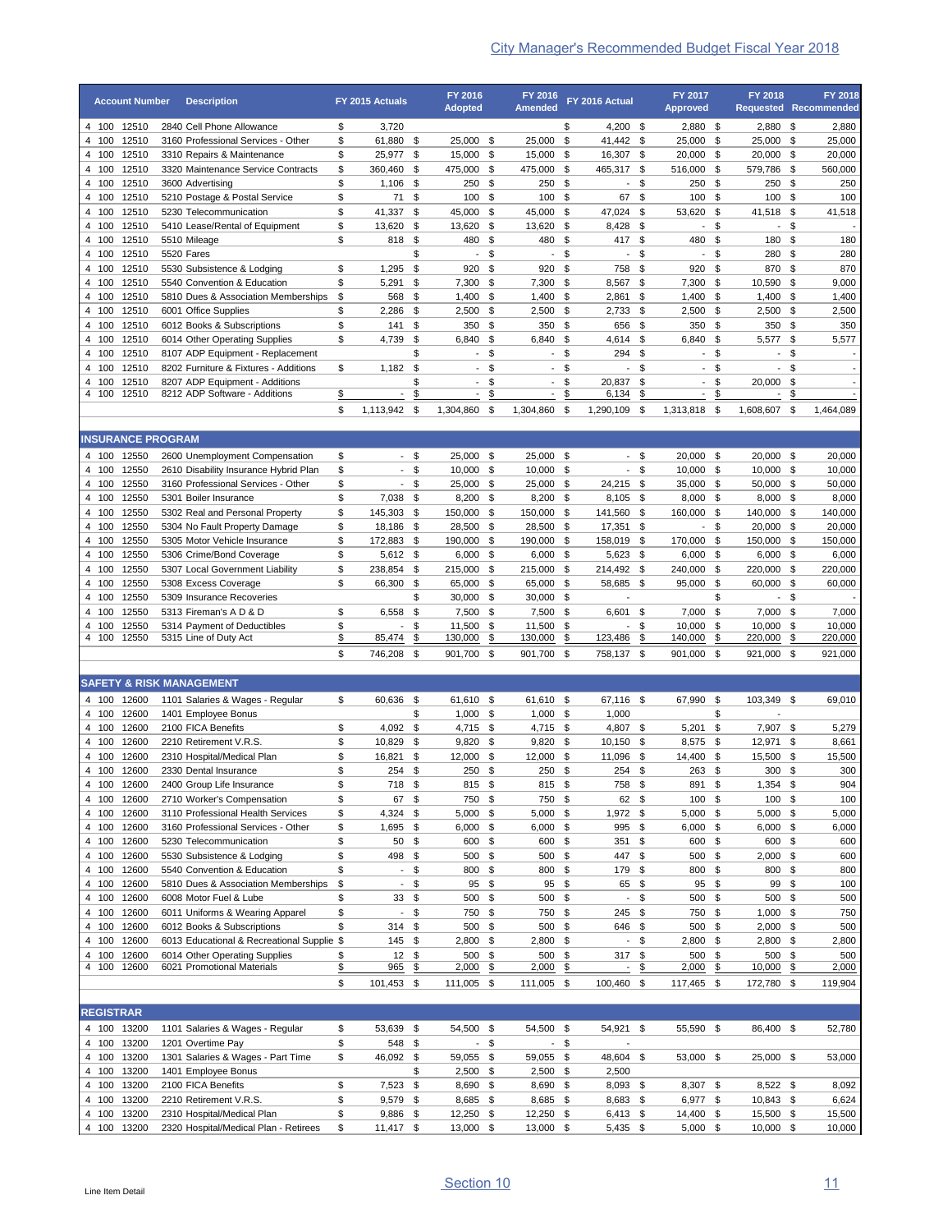|                | <b>Account Number</b>    | <b>Description</b>                                                          |          | FY 2015 Actuals          |          | FY 2016<br><b>Adopted</b> |               | FY 2016<br><b>Amended</b>          |          | FY 2016 Actual                               | FY 2017<br><b>Approved</b>      |           | FY 2018                  |               | FY 2018<br><b>Requested Recommended</b> |
|----------------|--------------------------|-----------------------------------------------------------------------------|----------|--------------------------|----------|---------------------------|---------------|------------------------------------|----------|----------------------------------------------|---------------------------------|-----------|--------------------------|---------------|-----------------------------------------|
|                | 4 100 12510              | 2840 Cell Phone Allowance                                                   | \$       | 3,720                    |          |                           |               |                                    | \$       | $4,200$ \$                                   | 2,880 \$                        |           | 2,880 \$                 |               | 2,880                                   |
| 4 100          | 12510                    | 3160 Professional Services - Other                                          | \$       | 61,880 \$                |          | 25,000 \$                 |               | 25,000                             | - \$     | 41,442 \$                                    | 25,000                          | -\$       | 25,000 \$                |               | 25,000                                  |
| 4 100<br>4 100 | 12510                    | 3310 Repairs & Maintenance                                                  | \$       | 25,977 \$                |          | 15,000 \$                 |               | 15,000 \$                          |          | 16,307 \$                                    | 20,000                          | -\$<br>\$ | 20,000 \$                |               | 20,000                                  |
| 4 100          | 12510<br>12510           | 3320 Maintenance Service Contracts<br>3600 Advertising                      | \$<br>\$ | 360,460 \$<br>$1,106$ \$ |          | 475,000 \$<br>250 \$      |               | 475,000 \$<br>250 \$               |          | 465,317 \$<br>\$<br>$\overline{\phantom{a}}$ | 516,000<br>250                  | \$        | 579,786 \$<br>250 \$     |               | 560,000<br>250                          |
| 4 100          | 12510                    | 5210 Postage & Postal Service                                               | \$       | 71 \$                    |          | 100                       | \$            | 100                                | - \$     | 67 \$                                        | 100                             | \$        | 100 \$                   |               | 100                                     |
| 4 100          | 12510                    | 5230 Telecommunication                                                      | \$       | 41,337                   | \$       | 45,000                    | \$            | 45,000 \$                          |          | 47,024<br>\$                                 | 53,620                          | \$        | 41,518 \$                |               | 41,518                                  |
| 4 100          | 12510                    | 5410 Lease/Rental of Equipment                                              | \$       | 13,620                   | \$       | 13,620                    | \$            | 13,620                             | \$       | 8,428<br>\$                                  | $\overline{\phantom{a}}$        | \$        | $\overline{\phantom{a}}$ | \$            | $\overline{\phantom{a}}$                |
| 4 100          | 12510                    | 5510 Mileage                                                                | \$       | 818 \$                   | \$       | 480<br>$\blacksquare$     | \$            | 480                                | \$       | 417 \$<br>\$                                 | 480<br>$\overline{\phantom{a}}$ | \$        | 180 \$                   |               | 180                                     |
| 4 100<br>4 100 | 12510<br>12510           | 5520 Fares<br>5530 Subsistence & Lodging                                    | \$       | 1,295                    | \$       | 920                       | \$<br>\$      | $\overline{\phantom{a}}$<br>920 \$ | \$       | $\sim$<br>758<br>\$                          | 920                             | \$<br>\$  | 280<br>870 \$            | \$            | 280<br>870                              |
| 4 100          | 12510                    | 5540 Convention & Education                                                 | \$       | 5,291                    | \$       | 7,300                     | \$            | 7,300                              | - \$     | \$<br>8,567                                  | 7,300                           | \$        | 10,590                   | \$            | 9,000                                   |
| 4 100          | 12510                    | 5810 Dues & Association Memberships                                         | \$       | 568                      | \$       | 1,400                     | \$            | $1,400$ \$                         |          | \$<br>2,861                                  | 1,400                           | \$        | $1,400$ \$               |               | 1,400                                   |
| 4 100          | 12510                    | 6001 Office Supplies                                                        | \$       | 2,286                    | \$       | 2,500                     | \$            | 2,500                              | \$       | \$<br>2,733                                  | 2,500                           | \$        | 2,500                    | \$            | 2,500                                   |
| 4 100          | 12510                    | 6012 Books & Subscriptions                                                  | \$       | 141                      | \$       | 350                       | - \$          | 350 \$                             |          | 656<br>\$                                    | 350                             | \$        | 350 \$                   |               | 350                                     |
| 4 100<br>4 100 | 12510<br>12510           | 6014 Other Operating Supplies<br>8107 ADP Equipment - Replacement           | \$       | 4,739                    | \$<br>\$ | 6,840<br>$\blacksquare$   | \$<br>\$      | 6,840<br>$\blacksquare$            | \$<br>\$ | 4,614<br>\$<br>294<br>-\$                    | 6,840<br>$\blacksquare$         | \$<br>-\$ | 5,577<br>$\sim$          | \$<br>\$      | 5,577                                   |
| 4 100          | 12510                    | 8202 Furniture & Fixtures - Additions                                       | \$       | 1,182                    | \$       | $\overline{\phantom{a}}$  | \$            | $\blacksquare$                     | \$       | - \$                                         | $\blacksquare$                  | \$        | $\sim$                   | \$            | $\overline{\phantom{a}}$                |
| 4 100          | 12510                    | 8207 ADP Equipment - Additions                                              |          |                          | \$       | $\overline{\phantom{a}}$  | \$            | $\blacksquare$                     | -\$      | 20,837 \$                                    | $\overline{\phantom{a}}$        | \$        | 20,000 \$                |               |                                         |
| 4 100          | 12510                    | 8212 ADP Software - Additions                                               | \$       | $\overline{\phantom{a}}$ | \$       | $\overline{\phantom{a}}$  | \$            | -                                  | \$       | 6,134<br>\$                                  |                                 | \$        | $\overline{\phantom{m}}$ | $\frac{1}{2}$ |                                         |
|                |                          |                                                                             | \$       | 1,113,942                | \$       | 1,304,860                 | - \$          | 1,304,860                          | -\$      | 1,290,109<br>- \$                            | 1,313,818 \$                    |           | 1,608,607                | \$            | 1,464,089                               |
|                | <b>INSURANCE PROGRAM</b> |                                                                             |          |                          |          |                           |               |                                    |          |                                              |                                 |           |                          |               |                                         |
|                | 4 100 12550              | 2600 Unemployment Compensation                                              | \$       | - \$                     |          | 25,000 \$                 |               | 25,000 \$                          |          | - \$                                         | 20,000 \$                       |           | 20,000 \$                |               | 20,000                                  |
| 4 100          | 12550                    | 2610 Disability Insurance Hybrid Plan                                       | \$       | $\mathcal{L}^{\pm}$      | \$       | 10,000 \$                 |               | 10,000                             | \$       | $-$ \$                                       | 10,000                          | \$        | 10,000 \$                |               | 10,000                                  |
| 4 100          | 12550                    | 3160 Professional Services - Other                                          | \$       | - \$                     |          | 25,000 \$                 |               | 25,000 \$                          |          | 24,215 \$                                    | 35,000                          | \$        | 50,000 \$                |               | 50,000                                  |
| 4 100          | 12550                    | 5301 Boiler Insurance                                                       | \$       | 7,038 \$                 |          | 8,200 \$                  |               | $8,200$ \$                         |          | 8,105 \$                                     | 8,000                           | \$        | $8,000$ \$               |               | 8,000                                   |
| 4 100          | 12550                    | 5302 Real and Personal Property                                             | \$       | 145,303 \$               |          | 150,000 \$                |               | 150,000 \$                         |          | 141,560<br>-\$                               | 160,000                         | -\$       | 140,000 \$               |               | 140,000                                 |
| 4 100<br>4 100 | 12550                    | 5304 No Fault Property Damage                                               | \$       | 18,186                   | - \$     | 28,500 \$                 |               | 28,500 \$                          |          | 17,351 \$                                    | $\blacksquare$                  | \$        | 20,000 \$                |               | 20,000                                  |
| 4 100          | 12550<br>12550           | 5305 Motor Vehicle Insurance<br>5306 Crime/Bond Coverage                    | \$<br>\$ | 172,883 \$<br>5,612 \$   |          | 190,000 \$<br>$6,000$ \$  |               | 190,000 \$<br>$6,000$ \$           |          | 158,019 \$<br>$5,623$ \$                     | 170,000 \$<br>6,000             | - \$      | 150,000 \$<br>$6,000$ \$ |               | 150,000<br>6,000                        |
| 4 100          | 12550                    | 5307 Local Government Liability                                             | \$       | 238,854                  | \$       | 215,000 \$                |               | 215,000 \$                         |          | 214,492 \$                                   | 240,000                         | -\$       | 220,000 \$               |               | 220,000                                 |
| 4 100          | 12550                    | 5308 Excess Coverage                                                        | \$       | 66,300                   | \$       | 65,000 \$                 |               | 65,000 \$                          |          | 58,685 \$                                    | 95,000                          | -\$       | 60,000 \$                |               | 60,000                                  |
| 4 100          | 12550                    | 5309 Insurance Recoveries                                                   |          |                          | \$       | 30,000 \$                 |               | $30,000$ \$                        |          |                                              |                                 | \$        | $\sim$                   | \$            |                                         |
| 4 100          | 12550                    | 5313 Fireman's A D & D                                                      | \$       | 6,558 \$                 |          | 7,500 \$                  |               | $7,500$ \$                         |          | 6,601 \$                                     | 7,000                           | - \$      | $7,000$ \$               |               | 7,000                                   |
| 4 100<br>4 100 | 12550<br>12550           | 5314 Payment of Deductibles<br>5315 Line of Duty Act                        | \$<br>\$ | $\sim$<br>85,474         | \$<br>\$ | 11,500<br>130,000         | - \$<br>\$    | 11,500 \$<br>130,000               | \$       | \$<br>$\sim$<br>123,486<br>\$                | 10,000<br>140,000               | \$<br>\$  | 10,000<br>220,000        | -\$<br>\$     | 10,000<br>220,000                       |
|                |                          |                                                                             | \$       | 746,208 \$               |          | 901,700 \$                |               | 901,700 \$                         |          | 758,137 \$                                   | 901,000                         | \$        | 921,000 \$               |               | 921,000                                 |
|                |                          |                                                                             |          |                          |          |                           |               |                                    |          |                                              |                                 |           |                          |               |                                         |
|                |                          | <b>SAFETY &amp; RISK MANAGEMENT</b>                                         |          |                          |          |                           |               |                                    |          |                                              |                                 |           |                          |               |                                         |
| 4 100          | 4 100 12600<br>12600     | 1101 Salaries & Wages - Regular                                             | \$       | 60,636 \$                |          | 61,610 \$                 |               | 61,610 \$<br>$1,000$ \$            |          | 67,116 \$                                    | 67,990                          | -\$<br>\$ | 103,349 \$               |               | 69,010                                  |
|                | 4 100 12600              | 1401 Employee Bonus<br>2100 FICA Benefits                                   | \$       | $4.092$ \$               | \$       | 1,000<br>$4.715$ \$       | \$            | $4.715$ \$                         |          | 1,000<br>4,807 \$                            | $5,201$ \$                      |           | 7,907 \$                 |               | 5,279                                   |
| 4 100          | 12600                    | 2210 Retirement V.R.S.                                                      | \$       | 10,829                   | \$       | 9,820 \$                  |               | 9,820 \$                           |          | 10,150 \$                                    | 8,575 \$                        |           | 12,971                   | \$            | 8,661                                   |
|                | 4 100 12600              | 2310 Hospital/Medical Plan                                                  | \$       | 16,821 \$                |          | 12,000 \$                 |               | 12,000 \$                          |          | 11,096 \$                                    | 14,400 \$                       |           | 15,500 \$                |               | 15,500                                  |
|                | 4 100 12600              | 2330 Dental Insurance                                                       | \$       | 254 \$                   |          | 250S                      |               | $250$ \$                           |          | 254 \$                                       | 263 \$                          |           | $300*$                   |               | 300                                     |
|                | 4 100 12600              | 2400 Group Life Insurance                                                   | \$       | 718 \$                   |          | 815 \$                    |               | 815 \$                             |          | 758 \$                                       | 891                             | \$        | $1,354$ \$               |               | 904                                     |
|                | 4 100 12600              | 2710 Worker's Compensation                                                  | \$       | 67 \$                    |          | 750 \$                    |               | 750 \$                             |          | 62 \$                                        | 100 \$                          |           | 100 \$                   |               | 100                                     |
|                | 4 100 12600              | 3110 Professional Health Services                                           | \$       | 4,324 \$                 |          | 5,000 \$                  |               | $5,000$ \$                         |          | 1,972 \$                                     | $5,000$ \$                      |           | $5,000$ \$               |               | 5,000                                   |
| 4 100          | 4 100 12600<br>12600     | 3160 Professional Services - Other<br>5230 Telecommunication                | \$<br>\$ | 1,695 \$<br>50 \$        |          | 6,000 \$<br>600 \$        |               | $6,000$ \$<br>600 \$               |          | 995 \$<br>\$<br>351                          | $6,000$ \$<br>600 \$            |           | $6,000$ \$<br>600 \$     |               | 6,000<br>600                            |
| 4 100          | 12600                    | 5530 Subsistence & Lodging                                                  | \$       | 498 \$                   |          | 500 \$                    |               | 500 \$                             |          | 447 \$                                       | 500 \$                          |           | $2,000$ \$               |               | 600                                     |
| 4 100          | 12600                    | 5540 Convention & Education                                                 | \$       | $-$ \$                   |          | 800 \$                    |               | 800 \$                             |          | 179<br>\$                                    | 800                             | \$        | 800 \$                   |               | 800                                     |
| 4 100          | 12600                    | 5810 Dues & Association Memberships                                         | \$       | - \$                     |          | 95 \$                     |               | 95 \$                              |          | 65 \$                                        | 95                              | -\$       | 99 \$                    |               | 100                                     |
| 4 100          | 12600                    | 6008 Motor Fuel & Lube                                                      | \$       | 33 \$                    |          | 500 \$                    |               | 500 \$                             |          | $-$ \$                                       | 500                             | \$        | 500 \$                   |               | 500                                     |
| 4 100          | 12600                    | 6011 Uniforms & Wearing Apparel                                             | \$       | - \$                     |          | 750 \$                    |               | 750 \$                             |          | 245 \$                                       | 750                             | \$        | $1,000$ \$               |               | 750                                     |
| 4 100          | 12600                    | 6012 Books & Subscriptions                                                  | \$       | 314 \$                   |          | 500 \$                    |               | 500 \$                             |          | 646 \$                                       | 500                             | \$        | 2,000 \$                 |               | 500                                     |
| 4 100<br>4 100 | 12600<br>12600           | 6013 Educational & Recreational Supplie \$<br>6014 Other Operating Supplies | \$       | 145 \$<br>12S            |          | 2,800 \$<br>500 \$        |               | $2,800$ \$<br>500 \$               |          | $-$ \$<br>317S                               | 2,800 \$<br>500 \$              |           | $2,800$ \$<br>500 \$     |               | 2,800<br>500                            |
|                | 4 100 12600              | 6021 Promotional Materials                                                  | \$       | 965                      | \$       | 2,000                     | $\frac{1}{2}$ | $2,000$ \$                         |          | $\overline{\phantom{a}}$                     | 2,000<br>\$                     | \$        | 10,000                   | \$            | 2,000                                   |
|                |                          |                                                                             | \$       | 101,453 \$               |          | 111,005 \$                |               | 111,005 \$                         |          | 100,460 \$                                   | 117,465 \$                      |           | 172,780 \$               |               | 119,904                                 |
|                |                          |                                                                             |          |                          |          |                           |               |                                    |          |                                              |                                 |           |                          |               |                                         |
|                | <b>REGISTRAR</b>         |                                                                             |          |                          |          |                           |               |                                    |          |                                              |                                 |           |                          |               |                                         |
| 4 100          | 4 100 13200<br>13200     | 1101 Salaries & Wages - Regular<br>1201 Overtime Pay                        | \$<br>\$ | 53,639 \$<br>548 \$      |          | 54,500 \$<br>$-$ \$       |               | 54,500 \$                          | $-$ \$   | 54,921 \$<br>$\overline{\phantom{a}}$        | 55,590 \$                       |           | 86,400 \$                |               | 52,780                                  |
| 4 100          | 13200                    | 1301 Salaries & Wages - Part Time                                           | \$       | 46,092 \$                |          | 59,055 \$                 |               | 59,055 \$                          |          | 48,604 \$                                    | 53,000 \$                       |           | 25,000 \$                |               | 53,000                                  |
| 4 100          | 13200                    | 1401 Employee Bonus                                                         |          |                          | \$       | $2,500$ \$                |               | $2,500$ \$                         |          | 2,500                                        |                                 |           |                          |               |                                         |
| 4 100          | 13200                    | 2100 FICA Benefits                                                          | \$       | 7,523 \$                 |          | 8,690 \$                  |               | 8,690 \$                           |          | $8,093$ \$                                   | 8,307 \$                        |           | 8,522 \$                 |               | 8,092                                   |
| 4 100          | 13200                    | 2210 Retirement V.R.S.                                                      | \$       | $9,579$ \$               |          | 8,685 \$                  |               | 8,685 \$                           |          | 8,683 \$                                     | 6,977 \$                        |           | 10,843 \$                |               | 6,624                                   |
|                | 13200                    | 2310 Hospital/Medical Plan                                                  | \$       | 9,886 \$                 |          | 12,250 \$                 |               | 12,250 \$                          |          | 6,413 \$                                     | 14,400 \$                       |           | 15,500 \$                |               | 15,500                                  |
| 4 100          | 4 100 13200              | 2320 Hospital/Medical Plan - Retirees                                       | \$       | 11,417 \$                |          | 13,000 \$                 |               | 13,000 \$                          |          | 5,435 \$                                     | 5,000 \$                        |           | 10,000 \$                |               | 10,000                                  |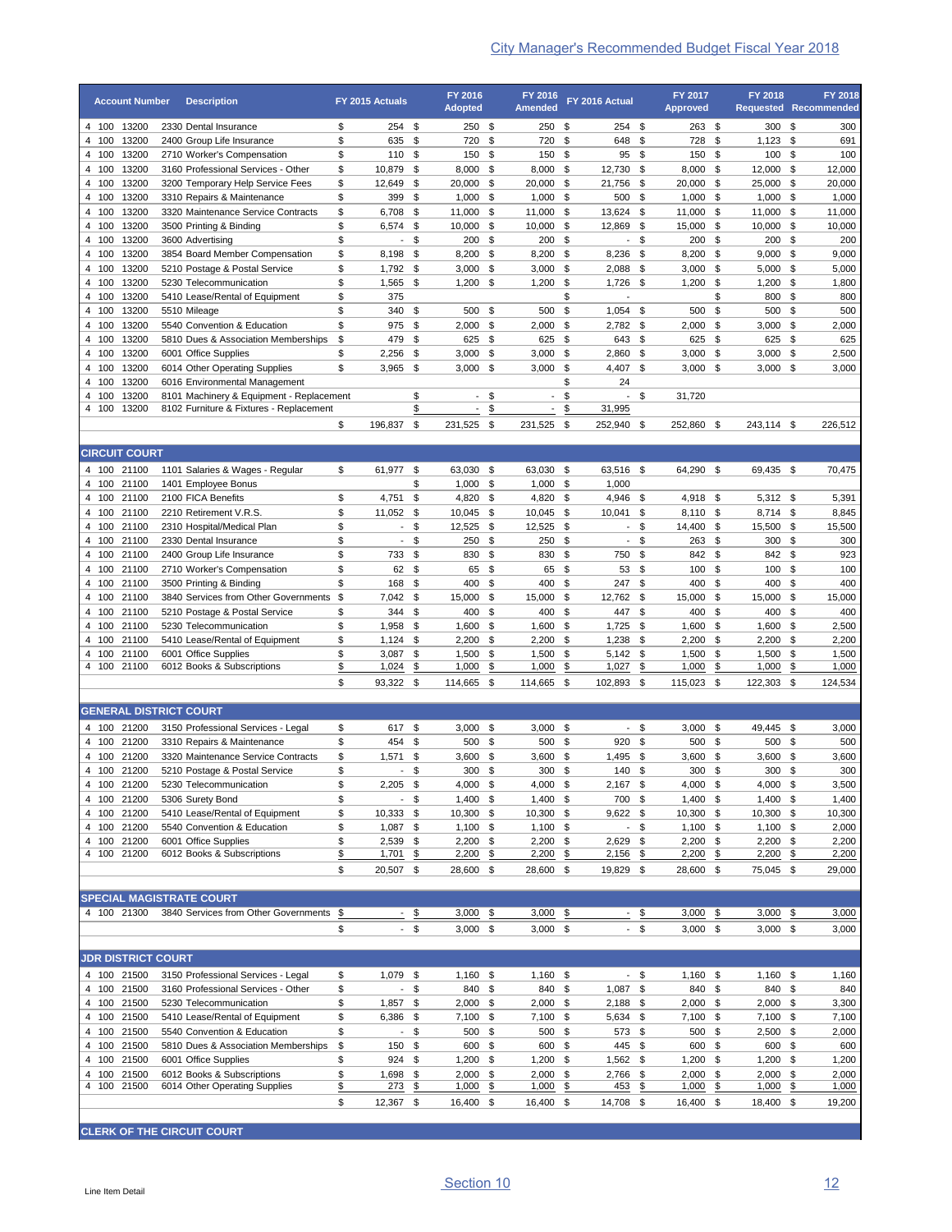| 4 100 13200<br>2330 Dental Insurance<br>13200<br>2400 Group Life Insurance<br>13200<br>2710 Worker's Compensation<br>13200<br>3160 Professional Services - Other<br>13200<br>3200 Temporary Help Service Fees<br>13200<br>3310 Repairs & Maintenance<br>13200<br>3320 Maintenance Service Contracts<br>13200<br>3500 Printing & Binding<br>13200<br>3600 Advertising<br>13200<br>3854 Board Member Compensation<br>13200<br>5210 Postage & Postal Service<br>13200<br>5230 Telecommunication<br>13200<br>5410 Lease/Rental of Equipment<br>13200<br>5510 Mileage<br>13200<br>5540 Convention & Education<br>13200<br>5810 Dues & Association Memberships<br>13200<br>6001 Office Supplies<br>13200<br>6014 Other Operating Supplies<br>13200<br>6016 Environmental Management<br>13200<br>8101 Machinery & Equipment - Replacement<br>13200<br>8102 Furniture & Fixtures - Replacement<br><b>CIRCUIT COURT</b><br>4 100 21100<br>1101 Salaries & Wages - Regular<br>4 100 21100<br>1401 Employee Bonus<br>4 100 21100<br>2100 FICA Benefits | \$<br>\$<br>\$<br>\$<br>\$<br>\$<br>\$<br>\$<br>\$<br>\$<br>\$<br>\$<br>\$<br>\$<br>\$<br>\$<br>\$<br>\$<br>\$<br>\$                                                                                                                                                                                                                                                                                                                                                                                                                                                                                                                                                                                                                                                                             | $254$ \$<br>635<br>110 \$<br>10,879<br>12,649<br>399<br>6,708<br>6,574 \$<br>$\overline{\phantom{a}}$<br>8,198<br>1,792<br>1,565<br>375<br>340<br>975<br>479<br>2,256<br>3,965<br>196,837                                                         | \$<br>\$<br>\$<br>\$<br>- \$<br>\$<br>\$<br>\$<br>\$<br>\$<br>\$<br>\$<br>\$<br>\$<br>\$<br>\$<br>\$ | <b>Adopted</b><br>$250$ \$<br>720<br>150<br>$8,000$ \$<br>20,000 \$<br>$1,000$ \$<br>11,000 \$<br>10,000 \$<br>200<br>8,200<br>$3,000$ \$<br>1,200<br>500<br>2,000<br>625<br>$3,000$ \$<br>$3,000$ \$<br>$\overline{a}$<br>$\overline{\phantom{a}}$                                                            | -\$<br>- \$<br>\$<br>\$<br>\$<br>\$<br>- \$<br>\$<br>\$<br>\$ | <b>Amended</b><br>250<br>720<br>150 \$<br>8,000<br>20,000<br>$1,000$ \$<br>11,000<br>10,000<br>200<br>8,200<br>3,000<br>1,200<br>500<br>2,000<br>625<br>3,000<br>3,000<br>$\overline{\phantom{a}}$                                                                                                                                                                                                                                                 | -\$<br>\$<br>\$<br>\$<br>\$<br>\$<br>\$<br>\$<br>\$<br>\$<br>\$<br>\$<br>\$<br>\$<br>\$<br>\$<br>\$<br>\$ | 254 \$<br>648<br>\$<br>95<br>\$<br>12,730<br>\$<br>21,756<br>\$<br>\$<br>500<br>13,624<br>\$<br>12,869<br>\$<br>\$<br>$\overline{\phantom{a}}$<br>8,236<br>\$<br>\$<br>2,088<br>\$<br>1,726<br>1,054<br>\$<br>2,782<br>\$<br>643<br>\$<br>\$<br>2,860<br>4,407<br>\$                                                                                                                        | <b>Approved</b><br>263 \$<br>728<br>150<br>8,000<br>20,000<br>1,000<br>11,000<br>15,000<br>200<br>8,200<br>3,000<br>1,200<br>500<br>2,000<br>625<br>3,000<br>3,000 | \$<br>\$<br>\$<br>\$<br>-\$<br>\$<br>\$<br>\$<br>\$<br>\$<br>\$<br>\$<br>\$<br>\$<br>\$<br>\$<br>\$                                                                                                                                                                                                                                                                                                                         | Requested Recommended<br>300S<br>$1,123$ \$<br>100 \$<br>12,000 \$<br>25,000 \$<br>$1,000$ \$<br>$11,000$ \$<br>10,000 \$<br>200 \$<br>$9,000$ \$<br>$5,000$ \$<br>1,200<br>800<br>500<br>3,000<br>625<br>$3,000$ \$                                                                                                         | \$<br>\$<br>\$<br>\$<br>\$<br>\$             | 300<br>691<br>100<br>12,000<br>20,000<br>1,000<br>11,000<br>10,000<br>200<br>9,000<br>5,000<br>1,800<br>800<br>500<br>2,000<br>625<br>2,500<br>3,000                                                                                                                                                                                                                                                                                           |
|---------------------------------------------------------------------------------------------------------------------------------------------------------------------------------------------------------------------------------------------------------------------------------------------------------------------------------------------------------------------------------------------------------------------------------------------------------------------------------------------------------------------------------------------------------------------------------------------------------------------------------------------------------------------------------------------------------------------------------------------------------------------------------------------------------------------------------------------------------------------------------------------------------------------------------------------------------------------------------------------------------------------------------------------|--------------------------------------------------------------------------------------------------------------------------------------------------------------------------------------------------------------------------------------------------------------------------------------------------------------------------------------------------------------------------------------------------------------------------------------------------------------------------------------------------------------------------------------------------------------------------------------------------------------------------------------------------------------------------------------------------------------------------------------------------------------------------------------------------|---------------------------------------------------------------------------------------------------------------------------------------------------------------------------------------------------------------------------------------------------|------------------------------------------------------------------------------------------------------|----------------------------------------------------------------------------------------------------------------------------------------------------------------------------------------------------------------------------------------------------------------------------------------------------------------|---------------------------------------------------------------|----------------------------------------------------------------------------------------------------------------------------------------------------------------------------------------------------------------------------------------------------------------------------------------------------------------------------------------------------------------------------------------------------------------------------------------------------|-----------------------------------------------------------------------------------------------------------|---------------------------------------------------------------------------------------------------------------------------------------------------------------------------------------------------------------------------------------------------------------------------------------------------------------------------------------------------------------------------------------------|--------------------------------------------------------------------------------------------------------------------------------------------------------------------|-----------------------------------------------------------------------------------------------------------------------------------------------------------------------------------------------------------------------------------------------------------------------------------------------------------------------------------------------------------------------------------------------------------------------------|------------------------------------------------------------------------------------------------------------------------------------------------------------------------------------------------------------------------------------------------------------------------------------------------------------------------------|----------------------------------------------|------------------------------------------------------------------------------------------------------------------------------------------------------------------------------------------------------------------------------------------------------------------------------------------------------------------------------------------------------------------------------------------------------------------------------------------------|
|                                                                                                                                                                                                                                                                                                                                                                                                                                                                                                                                                                                                                                                                                                                                                                                                                                                                                                                                                                                                                                             |                                                                                                                                                                                                                                                                                                                                                                                                                                                                                                                                                                                                                                                                                                                                                                                                  |                                                                                                                                                                                                                                                   |                                                                                                      |                                                                                                                                                                                                                                                                                                                |                                                               |                                                                                                                                                                                                                                                                                                                                                                                                                                                    |                                                                                                           |                                                                                                                                                                                                                                                                                                                                                                                             |                                                                                                                                                                    |                                                                                                                                                                                                                                                                                                                                                                                                                             |                                                                                                                                                                                                                                                                                                                              |                                              |                                                                                                                                                                                                                                                                                                                                                                                                                                                |
|                                                                                                                                                                                                                                                                                                                                                                                                                                                                                                                                                                                                                                                                                                                                                                                                                                                                                                                                                                                                                                             |                                                                                                                                                                                                                                                                                                                                                                                                                                                                                                                                                                                                                                                                                                                                                                                                  |                                                                                                                                                                                                                                                   |                                                                                                      |                                                                                                                                                                                                                                                                                                                |                                                               |                                                                                                                                                                                                                                                                                                                                                                                                                                                    |                                                                                                           |                                                                                                                                                                                                                                                                                                                                                                                             |                                                                                                                                                                    |                                                                                                                                                                                                                                                                                                                                                                                                                             |                                                                                                                                                                                                                                                                                                                              |                                              |                                                                                                                                                                                                                                                                                                                                                                                                                                                |
|                                                                                                                                                                                                                                                                                                                                                                                                                                                                                                                                                                                                                                                                                                                                                                                                                                                                                                                                                                                                                                             |                                                                                                                                                                                                                                                                                                                                                                                                                                                                                                                                                                                                                                                                                                                                                                                                  |                                                                                                                                                                                                                                                   |                                                                                                      |                                                                                                                                                                                                                                                                                                                |                                                               |                                                                                                                                                                                                                                                                                                                                                                                                                                                    |                                                                                                           |                                                                                                                                                                                                                                                                                                                                                                                             |                                                                                                                                                                    |                                                                                                                                                                                                                                                                                                                                                                                                                             |                                                                                                                                                                                                                                                                                                                              |                                              |                                                                                                                                                                                                                                                                                                                                                                                                                                                |
|                                                                                                                                                                                                                                                                                                                                                                                                                                                                                                                                                                                                                                                                                                                                                                                                                                                                                                                                                                                                                                             |                                                                                                                                                                                                                                                                                                                                                                                                                                                                                                                                                                                                                                                                                                                                                                                                  |                                                                                                                                                                                                                                                   |                                                                                                      |                                                                                                                                                                                                                                                                                                                |                                                               |                                                                                                                                                                                                                                                                                                                                                                                                                                                    |                                                                                                           |                                                                                                                                                                                                                                                                                                                                                                                             |                                                                                                                                                                    |                                                                                                                                                                                                                                                                                                                                                                                                                             |                                                                                                                                                                                                                                                                                                                              |                                              |                                                                                                                                                                                                                                                                                                                                                                                                                                                |
|                                                                                                                                                                                                                                                                                                                                                                                                                                                                                                                                                                                                                                                                                                                                                                                                                                                                                                                                                                                                                                             |                                                                                                                                                                                                                                                                                                                                                                                                                                                                                                                                                                                                                                                                                                                                                                                                  |                                                                                                                                                                                                                                                   |                                                                                                      |                                                                                                                                                                                                                                                                                                                |                                                               |                                                                                                                                                                                                                                                                                                                                                                                                                                                    |                                                                                                           |                                                                                                                                                                                                                                                                                                                                                                                             |                                                                                                                                                                    |                                                                                                                                                                                                                                                                                                                                                                                                                             |                                                                                                                                                                                                                                                                                                                              |                                              |                                                                                                                                                                                                                                                                                                                                                                                                                                                |
|                                                                                                                                                                                                                                                                                                                                                                                                                                                                                                                                                                                                                                                                                                                                                                                                                                                                                                                                                                                                                                             |                                                                                                                                                                                                                                                                                                                                                                                                                                                                                                                                                                                                                                                                                                                                                                                                  |                                                                                                                                                                                                                                                   |                                                                                                      |                                                                                                                                                                                                                                                                                                                |                                                               |                                                                                                                                                                                                                                                                                                                                                                                                                                                    |                                                                                                           |                                                                                                                                                                                                                                                                                                                                                                                             |                                                                                                                                                                    |                                                                                                                                                                                                                                                                                                                                                                                                                             |                                                                                                                                                                                                                                                                                                                              |                                              |                                                                                                                                                                                                                                                                                                                                                                                                                                                |
|                                                                                                                                                                                                                                                                                                                                                                                                                                                                                                                                                                                                                                                                                                                                                                                                                                                                                                                                                                                                                                             |                                                                                                                                                                                                                                                                                                                                                                                                                                                                                                                                                                                                                                                                                                                                                                                                  |                                                                                                                                                                                                                                                   |                                                                                                      |                                                                                                                                                                                                                                                                                                                |                                                               |                                                                                                                                                                                                                                                                                                                                                                                                                                                    |                                                                                                           |                                                                                                                                                                                                                                                                                                                                                                                             |                                                                                                                                                                    |                                                                                                                                                                                                                                                                                                                                                                                                                             |                                                                                                                                                                                                                                                                                                                              |                                              |                                                                                                                                                                                                                                                                                                                                                                                                                                                |
|                                                                                                                                                                                                                                                                                                                                                                                                                                                                                                                                                                                                                                                                                                                                                                                                                                                                                                                                                                                                                                             |                                                                                                                                                                                                                                                                                                                                                                                                                                                                                                                                                                                                                                                                                                                                                                                                  |                                                                                                                                                                                                                                                   |                                                                                                      |                                                                                                                                                                                                                                                                                                                |                                                               |                                                                                                                                                                                                                                                                                                                                                                                                                                                    |                                                                                                           |                                                                                                                                                                                                                                                                                                                                                                                             |                                                                                                                                                                    |                                                                                                                                                                                                                                                                                                                                                                                                                             |                                                                                                                                                                                                                                                                                                                              |                                              |                                                                                                                                                                                                                                                                                                                                                                                                                                                |
|                                                                                                                                                                                                                                                                                                                                                                                                                                                                                                                                                                                                                                                                                                                                                                                                                                                                                                                                                                                                                                             |                                                                                                                                                                                                                                                                                                                                                                                                                                                                                                                                                                                                                                                                                                                                                                                                  |                                                                                                                                                                                                                                                   |                                                                                                      |                                                                                                                                                                                                                                                                                                                |                                                               |                                                                                                                                                                                                                                                                                                                                                                                                                                                    |                                                                                                           |                                                                                                                                                                                                                                                                                                                                                                                             |                                                                                                                                                                    |                                                                                                                                                                                                                                                                                                                                                                                                                             |                                                                                                                                                                                                                                                                                                                              |                                              |                                                                                                                                                                                                                                                                                                                                                                                                                                                |
|                                                                                                                                                                                                                                                                                                                                                                                                                                                                                                                                                                                                                                                                                                                                                                                                                                                                                                                                                                                                                                             |                                                                                                                                                                                                                                                                                                                                                                                                                                                                                                                                                                                                                                                                                                                                                                                                  |                                                                                                                                                                                                                                                   |                                                                                                      |                                                                                                                                                                                                                                                                                                                |                                                               |                                                                                                                                                                                                                                                                                                                                                                                                                                                    |                                                                                                           |                                                                                                                                                                                                                                                                                                                                                                                             |                                                                                                                                                                    |                                                                                                                                                                                                                                                                                                                                                                                                                             |                                                                                                                                                                                                                                                                                                                              |                                              |                                                                                                                                                                                                                                                                                                                                                                                                                                                |
|                                                                                                                                                                                                                                                                                                                                                                                                                                                                                                                                                                                                                                                                                                                                                                                                                                                                                                                                                                                                                                             |                                                                                                                                                                                                                                                                                                                                                                                                                                                                                                                                                                                                                                                                                                                                                                                                  |                                                                                                                                                                                                                                                   |                                                                                                      |                                                                                                                                                                                                                                                                                                                |                                                               |                                                                                                                                                                                                                                                                                                                                                                                                                                                    |                                                                                                           |                                                                                                                                                                                                                                                                                                                                                                                             |                                                                                                                                                                    |                                                                                                                                                                                                                                                                                                                                                                                                                             |                                                                                                                                                                                                                                                                                                                              |                                              |                                                                                                                                                                                                                                                                                                                                                                                                                                                |
|                                                                                                                                                                                                                                                                                                                                                                                                                                                                                                                                                                                                                                                                                                                                                                                                                                                                                                                                                                                                                                             |                                                                                                                                                                                                                                                                                                                                                                                                                                                                                                                                                                                                                                                                                                                                                                                                  |                                                                                                                                                                                                                                                   |                                                                                                      |                                                                                                                                                                                                                                                                                                                |                                                               |                                                                                                                                                                                                                                                                                                                                                                                                                                                    |                                                                                                           |                                                                                                                                                                                                                                                                                                                                                                                             |                                                                                                                                                                    |                                                                                                                                                                                                                                                                                                                                                                                                                             |                                                                                                                                                                                                                                                                                                                              |                                              |                                                                                                                                                                                                                                                                                                                                                                                                                                                |
|                                                                                                                                                                                                                                                                                                                                                                                                                                                                                                                                                                                                                                                                                                                                                                                                                                                                                                                                                                                                                                             |                                                                                                                                                                                                                                                                                                                                                                                                                                                                                                                                                                                                                                                                                                                                                                                                  |                                                                                                                                                                                                                                                   |                                                                                                      |                                                                                                                                                                                                                                                                                                                |                                                               |                                                                                                                                                                                                                                                                                                                                                                                                                                                    |                                                                                                           |                                                                                                                                                                                                                                                                                                                                                                                             |                                                                                                                                                                    |                                                                                                                                                                                                                                                                                                                                                                                                                             |                                                                                                                                                                                                                                                                                                                              |                                              |                                                                                                                                                                                                                                                                                                                                                                                                                                                |
|                                                                                                                                                                                                                                                                                                                                                                                                                                                                                                                                                                                                                                                                                                                                                                                                                                                                                                                                                                                                                                             |                                                                                                                                                                                                                                                                                                                                                                                                                                                                                                                                                                                                                                                                                                                                                                                                  |                                                                                                                                                                                                                                                   |                                                                                                      |                                                                                                                                                                                                                                                                                                                |                                                               |                                                                                                                                                                                                                                                                                                                                                                                                                                                    |                                                                                                           |                                                                                                                                                                                                                                                                                                                                                                                             |                                                                                                                                                                    |                                                                                                                                                                                                                                                                                                                                                                                                                             |                                                                                                                                                                                                                                                                                                                              |                                              |                                                                                                                                                                                                                                                                                                                                                                                                                                                |
|                                                                                                                                                                                                                                                                                                                                                                                                                                                                                                                                                                                                                                                                                                                                                                                                                                                                                                                                                                                                                                             |                                                                                                                                                                                                                                                                                                                                                                                                                                                                                                                                                                                                                                                                                                                                                                                                  |                                                                                                                                                                                                                                                   |                                                                                                      |                                                                                                                                                                                                                                                                                                                |                                                               |                                                                                                                                                                                                                                                                                                                                                                                                                                                    |                                                                                                           |                                                                                                                                                                                                                                                                                                                                                                                             |                                                                                                                                                                    |                                                                                                                                                                                                                                                                                                                                                                                                                             |                                                                                                                                                                                                                                                                                                                              |                                              |                                                                                                                                                                                                                                                                                                                                                                                                                                                |
|                                                                                                                                                                                                                                                                                                                                                                                                                                                                                                                                                                                                                                                                                                                                                                                                                                                                                                                                                                                                                                             |                                                                                                                                                                                                                                                                                                                                                                                                                                                                                                                                                                                                                                                                                                                                                                                                  |                                                                                                                                                                                                                                                   |                                                                                                      |                                                                                                                                                                                                                                                                                                                |                                                               |                                                                                                                                                                                                                                                                                                                                                                                                                                                    |                                                                                                           |                                                                                                                                                                                                                                                                                                                                                                                             |                                                                                                                                                                    |                                                                                                                                                                                                                                                                                                                                                                                                                             | 3,000                                                                                                                                                                                                                                                                                                                        |                                              |                                                                                                                                                                                                                                                                                                                                                                                                                                                |
|                                                                                                                                                                                                                                                                                                                                                                                                                                                                                                                                                                                                                                                                                                                                                                                                                                                                                                                                                                                                                                             |                                                                                                                                                                                                                                                                                                                                                                                                                                                                                                                                                                                                                                                                                                                                                                                                  |                                                                                                                                                                                                                                                   |                                                                                                      |                                                                                                                                                                                                                                                                                                                |                                                               |                                                                                                                                                                                                                                                                                                                                                                                                                                                    |                                                                                                           | 24<br>\$<br>$\overline{\phantom{a}}$                                                                                                                                                                                                                                                                                                                                                        | 31,720                                                                                                                                                             |                                                                                                                                                                                                                                                                                                                                                                                                                             |                                                                                                                                                                                                                                                                                                                              |                                              |                                                                                                                                                                                                                                                                                                                                                                                                                                                |
|                                                                                                                                                                                                                                                                                                                                                                                                                                                                                                                                                                                                                                                                                                                                                                                                                                                                                                                                                                                                                                             |                                                                                                                                                                                                                                                                                                                                                                                                                                                                                                                                                                                                                                                                                                                                                                                                  |                                                                                                                                                                                                                                                   |                                                                                                      |                                                                                                                                                                                                                                                                                                                |                                                               | $\overline{\phantom{a}}$                                                                                                                                                                                                                                                                                                                                                                                                                           | \$                                                                                                        | 31,995                                                                                                                                                                                                                                                                                                                                                                                      |                                                                                                                                                                    |                                                                                                                                                                                                                                                                                                                                                                                                                             |                                                                                                                                                                                                                                                                                                                              |                                              |                                                                                                                                                                                                                                                                                                                                                                                                                                                |
|                                                                                                                                                                                                                                                                                                                                                                                                                                                                                                                                                                                                                                                                                                                                                                                                                                                                                                                                                                                                                                             |                                                                                                                                                                                                                                                                                                                                                                                                                                                                                                                                                                                                                                                                                                                                                                                                  |                                                                                                                                                                                                                                                   |                                                                                                      | 231,525                                                                                                                                                                                                                                                                                                        | - \$                                                          | 231,525                                                                                                                                                                                                                                                                                                                                                                                                                                            | \$                                                                                                        | 252,940 \$                                                                                                                                                                                                                                                                                                                                                                                  | 252,860 \$                                                                                                                                                         |                                                                                                                                                                                                                                                                                                                                                                                                                             | 243.114                                                                                                                                                                                                                                                                                                                      | \$                                           | 226,512                                                                                                                                                                                                                                                                                                                                                                                                                                        |
|                                                                                                                                                                                                                                                                                                                                                                                                                                                                                                                                                                                                                                                                                                                                                                                                                                                                                                                                                                                                                                             |                                                                                                                                                                                                                                                                                                                                                                                                                                                                                                                                                                                                                                                                                                                                                                                                  |                                                                                                                                                                                                                                                   |                                                                                                      |                                                                                                                                                                                                                                                                                                                |                                                               |                                                                                                                                                                                                                                                                                                                                                                                                                                                    |                                                                                                           |                                                                                                                                                                                                                                                                                                                                                                                             |                                                                                                                                                                    |                                                                                                                                                                                                                                                                                                                                                                                                                             |                                                                                                                                                                                                                                                                                                                              |                                              |                                                                                                                                                                                                                                                                                                                                                                                                                                                |
|                                                                                                                                                                                                                                                                                                                                                                                                                                                                                                                                                                                                                                                                                                                                                                                                                                                                                                                                                                                                                                             |                                                                                                                                                                                                                                                                                                                                                                                                                                                                                                                                                                                                                                                                                                                                                                                                  | 61,977                                                                                                                                                                                                                                            | \$                                                                                                   | 63,030 \$                                                                                                                                                                                                                                                                                                      |                                                               | 63,030 \$                                                                                                                                                                                                                                                                                                                                                                                                                                          |                                                                                                           | 63,516<br>\$                                                                                                                                                                                                                                                                                                                                                                                | 64,290 \$                                                                                                                                                          |                                                                                                                                                                                                                                                                                                                                                                                                                             | 69,435 \$                                                                                                                                                                                                                                                                                                                    |                                              | 70,475                                                                                                                                                                                                                                                                                                                                                                                                                                         |
|                                                                                                                                                                                                                                                                                                                                                                                                                                                                                                                                                                                                                                                                                                                                                                                                                                                                                                                                                                                                                                             |                                                                                                                                                                                                                                                                                                                                                                                                                                                                                                                                                                                                                                                                                                                                                                                                  |                                                                                                                                                                                                                                                   | \$                                                                                                   | $1,000$ \$                                                                                                                                                                                                                                                                                                     |                                                               | 1,000                                                                                                                                                                                                                                                                                                                                                                                                                                              | \$                                                                                                        | 1,000                                                                                                                                                                                                                                                                                                                                                                                       |                                                                                                                                                                    |                                                                                                                                                                                                                                                                                                                                                                                                                             |                                                                                                                                                                                                                                                                                                                              |                                              |                                                                                                                                                                                                                                                                                                                                                                                                                                                |
|                                                                                                                                                                                                                                                                                                                                                                                                                                                                                                                                                                                                                                                                                                                                                                                                                                                                                                                                                                                                                                             | \$                                                                                                                                                                                                                                                                                                                                                                                                                                                                                                                                                                                                                                                                                                                                                                                               | 4,751                                                                                                                                                                                                                                             | \$                                                                                                   | 4,820                                                                                                                                                                                                                                                                                                          |                                                               | 4,820                                                                                                                                                                                                                                                                                                                                                                                                                                              | \$                                                                                                        | 4,946                                                                                                                                                                                                                                                                                                                                                                                       | 4,918                                                                                                                                                              | \$                                                                                                                                                                                                                                                                                                                                                                                                                          |                                                                                                                                                                                                                                                                                                                              |                                              | 5,391                                                                                                                                                                                                                                                                                                                                                                                                                                          |
|                                                                                                                                                                                                                                                                                                                                                                                                                                                                                                                                                                                                                                                                                                                                                                                                                                                                                                                                                                                                                                             | \$                                                                                                                                                                                                                                                                                                                                                                                                                                                                                                                                                                                                                                                                                                                                                                                               | 11,052                                                                                                                                                                                                                                            | \$                                                                                                   |                                                                                                                                                                                                                                                                                                                |                                                               | 10,045                                                                                                                                                                                                                                                                                                                                                                                                                                             |                                                                                                           | 10,041                                                                                                                                                                                                                                                                                                                                                                                      | 8,110                                                                                                                                                              | \$                                                                                                                                                                                                                                                                                                                                                                                                                          |                                                                                                                                                                                                                                                                                                                              |                                              | 8,845                                                                                                                                                                                                                                                                                                                                                                                                                                          |
| 21100<br>2310 Hospital/Medical Plan                                                                                                                                                                                                                                                                                                                                                                                                                                                                                                                                                                                                                                                                                                                                                                                                                                                                                                                                                                                                         | \$                                                                                                                                                                                                                                                                                                                                                                                                                                                                                                                                                                                                                                                                                                                                                                                               | $\blacksquare$                                                                                                                                                                                                                                    | \$                                                                                                   | 12,525                                                                                                                                                                                                                                                                                                         |                                                               | 12,525                                                                                                                                                                                                                                                                                                                                                                                                                                             | \$                                                                                                        | $\overline{\phantom{a}}$                                                                                                                                                                                                                                                                                                                                                                    | 14,400                                                                                                                                                             | -\$                                                                                                                                                                                                                                                                                                                                                                                                                         | 15,500                                                                                                                                                                                                                                                                                                                       |                                              | 15,500                                                                                                                                                                                                                                                                                                                                                                                                                                         |
| 21100<br>2330 Dental Insurance                                                                                                                                                                                                                                                                                                                                                                                                                                                                                                                                                                                                                                                                                                                                                                                                                                                                                                                                                                                                              | \$                                                                                                                                                                                                                                                                                                                                                                                                                                                                                                                                                                                                                                                                                                                                                                                               |                                                                                                                                                                                                                                                   | \$                                                                                                   | 250                                                                                                                                                                                                                                                                                                            |                                                               | 250                                                                                                                                                                                                                                                                                                                                                                                                                                                | \$                                                                                                        | $\sim$                                                                                                                                                                                                                                                                                                                                                                                      | 263                                                                                                                                                                | \$                                                                                                                                                                                                                                                                                                                                                                                                                          | 300                                                                                                                                                                                                                                                                                                                          |                                              | 300                                                                                                                                                                                                                                                                                                                                                                                                                                            |
|                                                                                                                                                                                                                                                                                                                                                                                                                                                                                                                                                                                                                                                                                                                                                                                                                                                                                                                                                                                                                                             |                                                                                                                                                                                                                                                                                                                                                                                                                                                                                                                                                                                                                                                                                                                                                                                                  |                                                                                                                                                                                                                                                   |                                                                                                      |                                                                                                                                                                                                                                                                                                                |                                                               |                                                                                                                                                                                                                                                                                                                                                                                                                                                    |                                                                                                           |                                                                                                                                                                                                                                                                                                                                                                                             |                                                                                                                                                                    |                                                                                                                                                                                                                                                                                                                                                                                                                             |                                                                                                                                                                                                                                                                                                                              |                                              | 923                                                                                                                                                                                                                                                                                                                                                                                                                                            |
|                                                                                                                                                                                                                                                                                                                                                                                                                                                                                                                                                                                                                                                                                                                                                                                                                                                                                                                                                                                                                                             |                                                                                                                                                                                                                                                                                                                                                                                                                                                                                                                                                                                                                                                                                                                                                                                                  |                                                                                                                                                                                                                                                   |                                                                                                      |                                                                                                                                                                                                                                                                                                                |                                                               |                                                                                                                                                                                                                                                                                                                                                                                                                                                    |                                                                                                           |                                                                                                                                                                                                                                                                                                                                                                                             |                                                                                                                                                                    |                                                                                                                                                                                                                                                                                                                                                                                                                             |                                                                                                                                                                                                                                                                                                                              |                                              | 100<br>400                                                                                                                                                                                                                                                                                                                                                                                                                                     |
| 21100                                                                                                                                                                                                                                                                                                                                                                                                                                                                                                                                                                                                                                                                                                                                                                                                                                                                                                                                                                                                                                       | - \$                                                                                                                                                                                                                                                                                                                                                                                                                                                                                                                                                                                                                                                                                                                                                                                             |                                                                                                                                                                                                                                                   | \$                                                                                                   |                                                                                                                                                                                                                                                                                                                |                                                               |                                                                                                                                                                                                                                                                                                                                                                                                                                                    | \$                                                                                                        |                                                                                                                                                                                                                                                                                                                                                                                             |                                                                                                                                                                    | \$                                                                                                                                                                                                                                                                                                                                                                                                                          |                                                                                                                                                                                                                                                                                                                              |                                              | 15,000                                                                                                                                                                                                                                                                                                                                                                                                                                         |
| 21100<br>5210 Postage & Postal Service                                                                                                                                                                                                                                                                                                                                                                                                                                                                                                                                                                                                                                                                                                                                                                                                                                                                                                                                                                                                      | \$                                                                                                                                                                                                                                                                                                                                                                                                                                                                                                                                                                                                                                                                                                                                                                                               | 344                                                                                                                                                                                                                                               | -\$                                                                                                  |                                                                                                                                                                                                                                                                                                                |                                                               |                                                                                                                                                                                                                                                                                                                                                                                                                                                    |                                                                                                           | 447                                                                                                                                                                                                                                                                                                                                                                                         | 400                                                                                                                                                                | \$                                                                                                                                                                                                                                                                                                                                                                                                                          |                                                                                                                                                                                                                                                                                                                              |                                              | 400                                                                                                                                                                                                                                                                                                                                                                                                                                            |
| 21100<br>5230 Telecommunication                                                                                                                                                                                                                                                                                                                                                                                                                                                                                                                                                                                                                                                                                                                                                                                                                                                                                                                                                                                                             | \$                                                                                                                                                                                                                                                                                                                                                                                                                                                                                                                                                                                                                                                                                                                                                                                               | 1,958                                                                                                                                                                                                                                             | \$                                                                                                   |                                                                                                                                                                                                                                                                                                                |                                                               | 1,600                                                                                                                                                                                                                                                                                                                                                                                                                                              | \$                                                                                                        | 1,725                                                                                                                                                                                                                                                                                                                                                                                       | 1,600                                                                                                                                                              | \$                                                                                                                                                                                                                                                                                                                                                                                                                          |                                                                                                                                                                                                                                                                                                                              |                                              | 2,500                                                                                                                                                                                                                                                                                                                                                                                                                                          |
| 21100<br>5410 Lease/Rental of Equipment                                                                                                                                                                                                                                                                                                                                                                                                                                                                                                                                                                                                                                                                                                                                                                                                                                                                                                                                                                                                     | \$                                                                                                                                                                                                                                                                                                                                                                                                                                                                                                                                                                                                                                                                                                                                                                                               | 1,124                                                                                                                                                                                                                                             | -\$                                                                                                  |                                                                                                                                                                                                                                                                                                                |                                                               |                                                                                                                                                                                                                                                                                                                                                                                                                                                    |                                                                                                           | 1,238                                                                                                                                                                                                                                                                                                                                                                                       | 2,200                                                                                                                                                              | \$                                                                                                                                                                                                                                                                                                                                                                                                                          |                                                                                                                                                                                                                                                                                                                              |                                              | 2,200                                                                                                                                                                                                                                                                                                                                                                                                                                          |
| 21100                                                                                                                                                                                                                                                                                                                                                                                                                                                                                                                                                                                                                                                                                                                                                                                                                                                                                                                                                                                                                                       |                                                                                                                                                                                                                                                                                                                                                                                                                                                                                                                                                                                                                                                                                                                                                                                                  |                                                                                                                                                                                                                                                   |                                                                                                      |                                                                                                                                                                                                                                                                                                                |                                                               |                                                                                                                                                                                                                                                                                                                                                                                                                                                    |                                                                                                           |                                                                                                                                                                                                                                                                                                                                                                                             |                                                                                                                                                                    |                                                                                                                                                                                                                                                                                                                                                                                                                             |                                                                                                                                                                                                                                                                                                                              |                                              | 1,500<br>1,000                                                                                                                                                                                                                                                                                                                                                                                                                                 |
|                                                                                                                                                                                                                                                                                                                                                                                                                                                                                                                                                                                                                                                                                                                                                                                                                                                                                                                                                                                                                                             |                                                                                                                                                                                                                                                                                                                                                                                                                                                                                                                                                                                                                                                                                                                                                                                                  |                                                                                                                                                                                                                                                   |                                                                                                      |                                                                                                                                                                                                                                                                                                                |                                                               |                                                                                                                                                                                                                                                                                                                                                                                                                                                    |                                                                                                           |                                                                                                                                                                                                                                                                                                                                                                                             |                                                                                                                                                                    |                                                                                                                                                                                                                                                                                                                                                                                                                             |                                                                                                                                                                                                                                                                                                                              |                                              | 124,534                                                                                                                                                                                                                                                                                                                                                                                                                                        |
|                                                                                                                                                                                                                                                                                                                                                                                                                                                                                                                                                                                                                                                                                                                                                                                                                                                                                                                                                                                                                                             |                                                                                                                                                                                                                                                                                                                                                                                                                                                                                                                                                                                                                                                                                                                                                                                                  |                                                                                                                                                                                                                                                   |                                                                                                      |                                                                                                                                                                                                                                                                                                                |                                                               |                                                                                                                                                                                                                                                                                                                                                                                                                                                    |                                                                                                           |                                                                                                                                                                                                                                                                                                                                                                                             |                                                                                                                                                                    |                                                                                                                                                                                                                                                                                                                                                                                                                             |                                                                                                                                                                                                                                                                                                                              |                                              |                                                                                                                                                                                                                                                                                                                                                                                                                                                |
| <b>GENERAL DISTRICT COURT</b>                                                                                                                                                                                                                                                                                                                                                                                                                                                                                                                                                                                                                                                                                                                                                                                                                                                                                                                                                                                                               |                                                                                                                                                                                                                                                                                                                                                                                                                                                                                                                                                                                                                                                                                                                                                                                                  |                                                                                                                                                                                                                                                   |                                                                                                      |                                                                                                                                                                                                                                                                                                                |                                                               |                                                                                                                                                                                                                                                                                                                                                                                                                                                    |                                                                                                           |                                                                                                                                                                                                                                                                                                                                                                                             |                                                                                                                                                                    |                                                                                                                                                                                                                                                                                                                                                                                                                             |                                                                                                                                                                                                                                                                                                                              |                                              |                                                                                                                                                                                                                                                                                                                                                                                                                                                |
|                                                                                                                                                                                                                                                                                                                                                                                                                                                                                                                                                                                                                                                                                                                                                                                                                                                                                                                                                                                                                                             |                                                                                                                                                                                                                                                                                                                                                                                                                                                                                                                                                                                                                                                                                                                                                                                                  |                                                                                                                                                                                                                                                   |                                                                                                      |                                                                                                                                                                                                                                                                                                                |                                                               |                                                                                                                                                                                                                                                                                                                                                                                                                                                    |                                                                                                           |                                                                                                                                                                                                                                                                                                                                                                                             |                                                                                                                                                                    |                                                                                                                                                                                                                                                                                                                                                                                                                             |                                                                                                                                                                                                                                                                                                                              |                                              | 3,000                                                                                                                                                                                                                                                                                                                                                                                                                                          |
|                                                                                                                                                                                                                                                                                                                                                                                                                                                                                                                                                                                                                                                                                                                                                                                                                                                                                                                                                                                                                                             |                                                                                                                                                                                                                                                                                                                                                                                                                                                                                                                                                                                                                                                                                                                                                                                                  |                                                                                                                                                                                                                                                   |                                                                                                      |                                                                                                                                                                                                                                                                                                                |                                                               |                                                                                                                                                                                                                                                                                                                                                                                                                                                    |                                                                                                           |                                                                                                                                                                                                                                                                                                                                                                                             |                                                                                                                                                                    |                                                                                                                                                                                                                                                                                                                                                                                                                             |                                                                                                                                                                                                                                                                                                                              |                                              | 500                                                                                                                                                                                                                                                                                                                                                                                                                                            |
|                                                                                                                                                                                                                                                                                                                                                                                                                                                                                                                                                                                                                                                                                                                                                                                                                                                                                                                                                                                                                                             |                                                                                                                                                                                                                                                                                                                                                                                                                                                                                                                                                                                                                                                                                                                                                                                                  |                                                                                                                                                                                                                                                   |                                                                                                      |                                                                                                                                                                                                                                                                                                                |                                                               |                                                                                                                                                                                                                                                                                                                                                                                                                                                    |                                                                                                           |                                                                                                                                                                                                                                                                                                                                                                                             |                                                                                                                                                                    |                                                                                                                                                                                                                                                                                                                                                                                                                             |                                                                                                                                                                                                                                                                                                                              |                                              | 3,600<br>300                                                                                                                                                                                                                                                                                                                                                                                                                                   |
| 4 100 21200<br>5230 Telecommunication                                                                                                                                                                                                                                                                                                                                                                                                                                                                                                                                                                                                                                                                                                                                                                                                                                                                                                                                                                                                       | \$                                                                                                                                                                                                                                                                                                                                                                                                                                                                                                                                                                                                                                                                                                                                                                                               |                                                                                                                                                                                                                                                   |                                                                                                      |                                                                                                                                                                                                                                                                                                                |                                                               |                                                                                                                                                                                                                                                                                                                                                                                                                                                    |                                                                                                           |                                                                                                                                                                                                                                                                                                                                                                                             |                                                                                                                                                                    |                                                                                                                                                                                                                                                                                                                                                                                                                             |                                                                                                                                                                                                                                                                                                                              |                                              | 3,500                                                                                                                                                                                                                                                                                                                                                                                                                                          |
| 4 100 21200<br>5306 Surety Bond                                                                                                                                                                                                                                                                                                                                                                                                                                                                                                                                                                                                                                                                                                                                                                                                                                                                                                                                                                                                             | \$                                                                                                                                                                                                                                                                                                                                                                                                                                                                                                                                                                                                                                                                                                                                                                                               |                                                                                                                                                                                                                                                   |                                                                                                      |                                                                                                                                                                                                                                                                                                                |                                                               |                                                                                                                                                                                                                                                                                                                                                                                                                                                    |                                                                                                           |                                                                                                                                                                                                                                                                                                                                                                                             |                                                                                                                                                                    |                                                                                                                                                                                                                                                                                                                                                                                                                             |                                                                                                                                                                                                                                                                                                                              |                                              | 1,400                                                                                                                                                                                                                                                                                                                                                                                                                                          |
| 4 100 21200<br>5410 Lease/Rental of Equipment                                                                                                                                                                                                                                                                                                                                                                                                                                                                                                                                                                                                                                                                                                                                                                                                                                                                                                                                                                                               | \$                                                                                                                                                                                                                                                                                                                                                                                                                                                                                                                                                                                                                                                                                                                                                                                               |                                                                                                                                                                                                                                                   |                                                                                                      |                                                                                                                                                                                                                                                                                                                |                                                               |                                                                                                                                                                                                                                                                                                                                                                                                                                                    |                                                                                                           |                                                                                                                                                                                                                                                                                                                                                                                             |                                                                                                                                                                    |                                                                                                                                                                                                                                                                                                                                                                                                                             |                                                                                                                                                                                                                                                                                                                              |                                              | 10,300                                                                                                                                                                                                                                                                                                                                                                                                                                         |
| 4 100 21200<br>5540 Convention & Education                                                                                                                                                                                                                                                                                                                                                                                                                                                                                                                                                                                                                                                                                                                                                                                                                                                                                                                                                                                                  | \$                                                                                                                                                                                                                                                                                                                                                                                                                                                                                                                                                                                                                                                                                                                                                                                               |                                                                                                                                                                                                                                                   |                                                                                                      |                                                                                                                                                                                                                                                                                                                |                                                               |                                                                                                                                                                                                                                                                                                                                                                                                                                                    |                                                                                                           |                                                                                                                                                                                                                                                                                                                                                                                             |                                                                                                                                                                    |                                                                                                                                                                                                                                                                                                                                                                                                                             |                                                                                                                                                                                                                                                                                                                              |                                              | 2,000                                                                                                                                                                                                                                                                                                                                                                                                                                          |
|                                                                                                                                                                                                                                                                                                                                                                                                                                                                                                                                                                                                                                                                                                                                                                                                                                                                                                                                                                                                                                             |                                                                                                                                                                                                                                                                                                                                                                                                                                                                                                                                                                                                                                                                                                                                                                                                  |                                                                                                                                                                                                                                                   |                                                                                                      |                                                                                                                                                                                                                                                                                                                |                                                               |                                                                                                                                                                                                                                                                                                                                                                                                                                                    |                                                                                                           |                                                                                                                                                                                                                                                                                                                                                                                             |                                                                                                                                                                    |                                                                                                                                                                                                                                                                                                                                                                                                                             |                                                                                                                                                                                                                                                                                                                              |                                              | 2,200<br>2,200                                                                                                                                                                                                                                                                                                                                                                                                                                 |
|                                                                                                                                                                                                                                                                                                                                                                                                                                                                                                                                                                                                                                                                                                                                                                                                                                                                                                                                                                                                                                             |                                                                                                                                                                                                                                                                                                                                                                                                                                                                                                                                                                                                                                                                                                                                                                                                  |                                                                                                                                                                                                                                                   |                                                                                                      |                                                                                                                                                                                                                                                                                                                |                                                               |                                                                                                                                                                                                                                                                                                                                                                                                                                                    |                                                                                                           |                                                                                                                                                                                                                                                                                                                                                                                             |                                                                                                                                                                    |                                                                                                                                                                                                                                                                                                                                                                                                                             |                                                                                                                                                                                                                                                                                                                              |                                              | 29,000                                                                                                                                                                                                                                                                                                                                                                                                                                         |
|                                                                                                                                                                                                                                                                                                                                                                                                                                                                                                                                                                                                                                                                                                                                                                                                                                                                                                                                                                                                                                             |                                                                                                                                                                                                                                                                                                                                                                                                                                                                                                                                                                                                                                                                                                                                                                                                  |                                                                                                                                                                                                                                                   |                                                                                                      |                                                                                                                                                                                                                                                                                                                |                                                               |                                                                                                                                                                                                                                                                                                                                                                                                                                                    |                                                                                                           |                                                                                                                                                                                                                                                                                                                                                                                             |                                                                                                                                                                    |                                                                                                                                                                                                                                                                                                                                                                                                                             |                                                                                                                                                                                                                                                                                                                              |                                              |                                                                                                                                                                                                                                                                                                                                                                                                                                                |
| <b>SPECIAL MAGISTRATE COURT</b>                                                                                                                                                                                                                                                                                                                                                                                                                                                                                                                                                                                                                                                                                                                                                                                                                                                                                                                                                                                                             |                                                                                                                                                                                                                                                                                                                                                                                                                                                                                                                                                                                                                                                                                                                                                                                                  |                                                                                                                                                                                                                                                   |                                                                                                      |                                                                                                                                                                                                                                                                                                                |                                                               |                                                                                                                                                                                                                                                                                                                                                                                                                                                    |                                                                                                           |                                                                                                                                                                                                                                                                                                                                                                                             |                                                                                                                                                                    |                                                                                                                                                                                                                                                                                                                                                                                                                             |                                                                                                                                                                                                                                                                                                                              |                                              |                                                                                                                                                                                                                                                                                                                                                                                                                                                |
|                                                                                                                                                                                                                                                                                                                                                                                                                                                                                                                                                                                                                                                                                                                                                                                                                                                                                                                                                                                                                                             |                                                                                                                                                                                                                                                                                                                                                                                                                                                                                                                                                                                                                                                                                                                                                                                                  |                                                                                                                                                                                                                                                   |                                                                                                      |                                                                                                                                                                                                                                                                                                                |                                                               |                                                                                                                                                                                                                                                                                                                                                                                                                                                    |                                                                                                           |                                                                                                                                                                                                                                                                                                                                                                                             |                                                                                                                                                                    |                                                                                                                                                                                                                                                                                                                                                                                                                             |                                                                                                                                                                                                                                                                                                                              |                                              | 3,000<br>3,000                                                                                                                                                                                                                                                                                                                                                                                                                                 |
|                                                                                                                                                                                                                                                                                                                                                                                                                                                                                                                                                                                                                                                                                                                                                                                                                                                                                                                                                                                                                                             |                                                                                                                                                                                                                                                                                                                                                                                                                                                                                                                                                                                                                                                                                                                                                                                                  |                                                                                                                                                                                                                                                   |                                                                                                      |                                                                                                                                                                                                                                                                                                                |                                                               |                                                                                                                                                                                                                                                                                                                                                                                                                                                    |                                                                                                           |                                                                                                                                                                                                                                                                                                                                                                                             |                                                                                                                                                                    |                                                                                                                                                                                                                                                                                                                                                                                                                             |                                                                                                                                                                                                                                                                                                                              |                                              |                                                                                                                                                                                                                                                                                                                                                                                                                                                |
| <b>JDR DISTRICT COURT</b>                                                                                                                                                                                                                                                                                                                                                                                                                                                                                                                                                                                                                                                                                                                                                                                                                                                                                                                                                                                                                   |                                                                                                                                                                                                                                                                                                                                                                                                                                                                                                                                                                                                                                                                                                                                                                                                  |                                                                                                                                                                                                                                                   |                                                                                                      |                                                                                                                                                                                                                                                                                                                |                                                               |                                                                                                                                                                                                                                                                                                                                                                                                                                                    |                                                                                                           |                                                                                                                                                                                                                                                                                                                                                                                             |                                                                                                                                                                    |                                                                                                                                                                                                                                                                                                                                                                                                                             |                                                                                                                                                                                                                                                                                                                              |                                              |                                                                                                                                                                                                                                                                                                                                                                                                                                                |
|                                                                                                                                                                                                                                                                                                                                                                                                                                                                                                                                                                                                                                                                                                                                                                                                                                                                                                                                                                                                                                             |                                                                                                                                                                                                                                                                                                                                                                                                                                                                                                                                                                                                                                                                                                                                                                                                  |                                                                                                                                                                                                                                                   |                                                                                                      |                                                                                                                                                                                                                                                                                                                |                                                               |                                                                                                                                                                                                                                                                                                                                                                                                                                                    |                                                                                                           |                                                                                                                                                                                                                                                                                                                                                                                             |                                                                                                                                                                    |                                                                                                                                                                                                                                                                                                                                                                                                                             |                                                                                                                                                                                                                                                                                                                              |                                              | 1,160                                                                                                                                                                                                                                                                                                                                                                                                                                          |
|                                                                                                                                                                                                                                                                                                                                                                                                                                                                                                                                                                                                                                                                                                                                                                                                                                                                                                                                                                                                                                             |                                                                                                                                                                                                                                                                                                                                                                                                                                                                                                                                                                                                                                                                                                                                                                                                  |                                                                                                                                                                                                                                                   |                                                                                                      |                                                                                                                                                                                                                                                                                                                |                                                               |                                                                                                                                                                                                                                                                                                                                                                                                                                                    |                                                                                                           |                                                                                                                                                                                                                                                                                                                                                                                             |                                                                                                                                                                    |                                                                                                                                                                                                                                                                                                                                                                                                                             |                                                                                                                                                                                                                                                                                                                              |                                              | 840                                                                                                                                                                                                                                                                                                                                                                                                                                            |
|                                                                                                                                                                                                                                                                                                                                                                                                                                                                                                                                                                                                                                                                                                                                                                                                                                                                                                                                                                                                                                             |                                                                                                                                                                                                                                                                                                                                                                                                                                                                                                                                                                                                                                                                                                                                                                                                  |                                                                                                                                                                                                                                                   |                                                                                                      |                                                                                                                                                                                                                                                                                                                |                                                               |                                                                                                                                                                                                                                                                                                                                                                                                                                                    |                                                                                                           |                                                                                                                                                                                                                                                                                                                                                                                             |                                                                                                                                                                    |                                                                                                                                                                                                                                                                                                                                                                                                                             |                                                                                                                                                                                                                                                                                                                              |                                              | 3,300<br>7,100                                                                                                                                                                                                                                                                                                                                                                                                                                 |
| 4 100 21500                                                                                                                                                                                                                                                                                                                                                                                                                                                                                                                                                                                                                                                                                                                                                                                                                                                                                                                                                                                                                                 | \$                                                                                                                                                                                                                                                                                                                                                                                                                                                                                                                                                                                                                                                                                                                                                                                               |                                                                                                                                                                                                                                                   |                                                                                                      |                                                                                                                                                                                                                                                                                                                |                                                               |                                                                                                                                                                                                                                                                                                                                                                                                                                                    |                                                                                                           |                                                                                                                                                                                                                                                                                                                                                                                             |                                                                                                                                                                    |                                                                                                                                                                                                                                                                                                                                                                                                                             |                                                                                                                                                                                                                                                                                                                              |                                              | 2,000                                                                                                                                                                                                                                                                                                                                                                                                                                          |
| 4 100 21500                                                                                                                                                                                                                                                                                                                                                                                                                                                                                                                                                                                                                                                                                                                                                                                                                                                                                                                                                                                                                                 | \$                                                                                                                                                                                                                                                                                                                                                                                                                                                                                                                                                                                                                                                                                                                                                                                               |                                                                                                                                                                                                                                                   |                                                                                                      |                                                                                                                                                                                                                                                                                                                |                                                               |                                                                                                                                                                                                                                                                                                                                                                                                                                                    |                                                                                                           |                                                                                                                                                                                                                                                                                                                                                                                             |                                                                                                                                                                    |                                                                                                                                                                                                                                                                                                                                                                                                                             |                                                                                                                                                                                                                                                                                                                              |                                              | 600                                                                                                                                                                                                                                                                                                                                                                                                                                            |
| 4 100 21500<br>6001 Office Supplies                                                                                                                                                                                                                                                                                                                                                                                                                                                                                                                                                                                                                                                                                                                                                                                                                                                                                                                                                                                                         | \$                                                                                                                                                                                                                                                                                                                                                                                                                                                                                                                                                                                                                                                                                                                                                                                               |                                                                                                                                                                                                                                                   |                                                                                                      |                                                                                                                                                                                                                                                                                                                |                                                               |                                                                                                                                                                                                                                                                                                                                                                                                                                                    |                                                                                                           |                                                                                                                                                                                                                                                                                                                                                                                             |                                                                                                                                                                    |                                                                                                                                                                                                                                                                                                                                                                                                                             |                                                                                                                                                                                                                                                                                                                              |                                              | 1,200                                                                                                                                                                                                                                                                                                                                                                                                                                          |
| 4 100 21500<br>6012 Books & Subscriptions                                                                                                                                                                                                                                                                                                                                                                                                                                                                                                                                                                                                                                                                                                                                                                                                                                                                                                                                                                                                   | \$                                                                                                                                                                                                                                                                                                                                                                                                                                                                                                                                                                                                                                                                                                                                                                                               |                                                                                                                                                                                                                                                   |                                                                                                      |                                                                                                                                                                                                                                                                                                                |                                                               |                                                                                                                                                                                                                                                                                                                                                                                                                                                    |                                                                                                           | 2,766                                                                                                                                                                                                                                                                                                                                                                                       |                                                                                                                                                                    |                                                                                                                                                                                                                                                                                                                                                                                                                             |                                                                                                                                                                                                                                                                                                                              |                                              | 2,000                                                                                                                                                                                                                                                                                                                                                                                                                                          |
| 4 100 21500                                                                                                                                                                                                                                                                                                                                                                                                                                                                                                                                                                                                                                                                                                                                                                                                                                                                                                                                                                                                                                 |                                                                                                                                                                                                                                                                                                                                                                                                                                                                                                                                                                                                                                                                                                                                                                                                  |                                                                                                                                                                                                                                                   | <u>\$</u>                                                                                            |                                                                                                                                                                                                                                                                                                                |                                                               |                                                                                                                                                                                                                                                                                                                                                                                                                                                    |                                                                                                           |                                                                                                                                                                                                                                                                                                                                                                                             |                                                                                                                                                                    | \$                                                                                                                                                                                                                                                                                                                                                                                                                          |                                                                                                                                                                                                                                                                                                                              |                                              | 1,000                                                                                                                                                                                                                                                                                                                                                                                                                                          |
|                                                                                                                                                                                                                                                                                                                                                                                                                                                                                                                                                                                                                                                                                                                                                                                                                                                                                                                                                                                                                                             |                                                                                                                                                                                                                                                                                                                                                                                                                                                                                                                                                                                                                                                                                                                                                                                                  |                                                                                                                                                                                                                                                   |                                                                                                      |                                                                                                                                                                                                                                                                                                                |                                                               |                                                                                                                                                                                                                                                                                                                                                                                                                                                    |                                                                                                           |                                                                                                                                                                                                                                                                                                                                                                                             |                                                                                                                                                                    |                                                                                                                                                                                                                                                                                                                                                                                                                             |                                                                                                                                                                                                                                                                                                                              |                                              | 19,200                                                                                                                                                                                                                                                                                                                                                                                                                                         |
| <b>CLERK OF THE CIRCUIT COURT</b>                                                                                                                                                                                                                                                                                                                                                                                                                                                                                                                                                                                                                                                                                                                                                                                                                                                                                                                                                                                                           |                                                                                                                                                                                                                                                                                                                                                                                                                                                                                                                                                                                                                                                                                                                                                                                                  |                                                                                                                                                                                                                                                   |                                                                                                      |                                                                                                                                                                                                                                                                                                                |                                                               |                                                                                                                                                                                                                                                                                                                                                                                                                                                    |                                                                                                           |                                                                                                                                                                                                                                                                                                                                                                                             |                                                                                                                                                                    |                                                                                                                                                                                                                                                                                                                                                                                                                             |                                                                                                                                                                                                                                                                                                                              |                                              |                                                                                                                                                                                                                                                                                                                                                                                                                                                |
|                                                                                                                                                                                                                                                                                                                                                                                                                                                                                                                                                                                                                                                                                                                                                                                                                                                                                                                                                                                                                                             | 21100<br>2210 Retirement V.R.S.<br>21100<br>2400 Group Life Insurance<br>21100<br>2710 Worker's Compensation<br>21100<br>3500 Printing & Binding<br>6001 Office Supplies<br>4 100 21100<br>6012 Books & Subscriptions<br>4 100 21200<br>3150 Professional Services - Legal<br>4 100 21200 3310 Repairs & Maintenance<br>4 100 21200<br>3320 Maintenance Service Contracts<br>4 100 21200<br>5210 Postage & Postal Service<br>4 100 21200<br>6001 Office Supplies<br>4 100 21200<br>6012 Books & Subscriptions<br>4 100 21300<br>4 100 21500<br>3150 Professional Services - Legal<br>4 100 21500<br>3160 Professional Services - Other<br>4 100 21500<br>5230 Telecommunication<br>4 100 21500<br>5410 Lease/Rental of Equipment<br>5540 Convention & Education<br>6014 Other Operating Supplies | \$<br>\$<br>\$<br>3840 Services from Other Governments<br>\$<br>\$<br>\$<br>\$<br>\$<br>\$<br>\$<br>\$<br>\$<br>\$<br>3840 Services from Other Governments<br>\$<br>\$<br>\$<br>\$<br>\$<br>\$<br>5810 Dues & Association Memberships<br>\$<br>\$ | 733<br>62<br>168<br>7,042<br>3,087<br>1,024<br>1,079<br>273                                          | $\sim$<br>\$<br>\$<br>\$<br>\$<br>\$<br>93,322 \$<br>617 \$<br>\$<br>454<br>$1,571$ \$<br>- \$<br>$2,205$ \$<br>- \$<br>10,333 \$<br>$1,087$ \$<br>2,539 \$<br>$1,701$ \$<br>20,507 \$<br><u>- \$</u><br>$-$ \$<br>- \$<br>- \$<br>$1,857$ \$<br>6,386 \$<br>- \$<br>150 \$<br>924 \$<br>1,698 \$<br>12,367 \$ | 830<br>65<br>400<br>1,500<br>1,000<br>1,000<br>Section 10     | - \$<br>10,045 \$<br>- \$<br>- \$<br>- \$<br>- \$<br>-\$<br>15,000 \$<br>400 \$<br>$1,600$ \$<br>$2,200$ \$<br>\$<br>\$<br>114,665 \$<br>$3,000$ \$<br>500 \$<br>$3,600$ \$<br>$300*$<br>4,000 \$<br>$1,400$ \$<br>10,300 \$<br>$1,100$ \$<br>$2,200$ \$<br><u>2,200 \$</u><br>28,600 \$<br>$3,000$ \$<br>$3,000$ \$<br>$1,160$ \$<br>840 \$<br>$2,000$ \$<br>$7,100$ \$<br>500 \$<br>600 \$<br>$1,200$ \$<br>$2,000$ \$<br><u>\$</u><br>16,400 \$ | 830<br>65<br>400<br>15,000<br>1,500<br>1,000<br>1,000                                                     | - \$<br>\$<br>\$<br>-\$<br>400 \$<br>$2,200$ \$<br>\$<br>\$<br>114,665 \$<br>$3,000$ \$<br>500 \$<br>$3,600$ \$<br>$300*$<br>4,000 \$<br>$1,400$ \$<br>10,300 \$<br>$1,100$ \$<br>$2,200$ \$<br>$2,200$ \$<br>28,600 \$<br>3,000<br><u>\$</u><br>$3,000$ \$<br>$1,160$ \$<br>840 \$<br>$2,000$ \$<br>7,100 \$<br>500 \$<br>600 \$<br>$1,200$ \$<br>$2,000$ \$<br>$\frac{3}{2}$<br>16,400 \$ | 750<br>53<br>247<br>12,762<br>5,142<br>1,027<br>2,629<br><u>2,156</u><br>453                                                                                       | \$<br>\$<br>\$<br>\$<br>\$<br>842<br>\$<br>100<br>\$<br>400<br>\$<br>15,000<br>\$<br>\$<br>\$<br>\$<br>1,500<br>\$<br>1,000<br>102,893 \$<br>- \$<br>920 \$<br>1,495 \$<br>140 \$<br>$2,167$ \$<br>700 \$<br>$9,622$ \$<br>- \$<br>\$<br><u>s</u><br>19,829 \$<br><u>- \$</u><br>3,000<br>- \$<br>- \$<br>1,160<br>$1,087$ \$<br>$2,188$ \$<br>5,634 \$<br>573 \$<br>445 \$<br>$1,562$ \$<br>\$<br>\$<br>1,000<br>14,708 \$ | -\$<br>\$<br>\$<br>\$<br>\$<br>115,023<br>-\$<br>$3,000$ \$<br>500 \$<br>$3,600$ \$<br>300 \$<br>$4,000$ \$<br>$1,400$ \$<br>$10,300$ \$<br>$1,100$ \$<br>$2,200$ \$<br>$2,200$ \$<br>28,600 \$<br>\$<br>$3,000$ \$<br>- \$<br>840 \$<br>$2,000$ \$<br>7,100 \$<br>500 \$<br>600 \$<br>$1,200$ \$<br>$2,000$ \$<br>16,400 \$ | 842<br>100<br>400<br>1,500<br>1,000<br>1,000 | 5,312 \$<br>8,714 \$<br>\$<br>-\$<br>\$<br>-\$<br>\$<br>15,000 \$<br>400 \$<br>$1,600$ \$<br>$2,200$ \$<br>\$<br>\$<br>122,303 \$<br>49,445 \$<br>500 \$<br>$3,600$ \$<br>$300*$<br>$4,000$ \$<br>$1,400$ \$<br>$10,300$ \$<br>$1,100$ \$<br>$2,200$ \$<br>$2,200$ \$<br>75,045 \$<br>$3,000$ \$<br>$3,000$ \$<br>$1,160$ \$<br>840 \$<br>$2,000$ \$<br>7,100 \$<br>$2,500$ \$<br>600 \$<br>$1,200$ \$<br>$2,000$ \$<br><u>\$</u><br>18,400 \$ |

|       | <b>CIRCUIT COURT</b> |                                      |      |                          |      |             |      |            |             |        |            |      |            |               |
|-------|----------------------|--------------------------------------|------|--------------------------|------|-------------|------|------------|-------------|--------|------------|------|------------|---------------|
| 4 100 | 21100                | 1101 Salaries & Wages - Regular      | \$   | 61,977                   | S.   | 63,030 \$   |      | 63,030 \$  | 63,516 \$   |        | 64.290 \$  |      | 69,435 \$  | 70,475        |
| 4 100 | 21100                | 1401 Employee Bonus                  |      |                          | \$.  | 1.000       | -\$  | $1,000$ \$ | 1.000       |        |            |      |            |               |
| 4 100 | 21100                | 2100 FICA Benefits                   | \$   | 4.751                    | \$   | 4,820 \$    |      | 4,820 \$   | $4,946$ \$  |        | 4,918 \$   |      | $5,312$ \$ | 5,391         |
|       | 4 100 21100          | 2210 Retirement V.R.S.               | \$   | 11,052                   | - \$ | $10,045$ \$ |      | 10,045 \$  | 10,041      | -S     | 8,110 \$   |      | 8,714 \$   | 8,845         |
| 4 100 | 21100                | 2310 Hospital/Medical Plan           | \$   | $\overline{\phantom{a}}$ | \$   | 12,525 \$   |      | 12,525 \$  |             | $-$ \$ | 14.400     | - \$ | 15.500 \$  | 15,500        |
| 4 100 | 21100                | 2330 Dental Insurance                | \$   | $\sim$                   | S.   | 250S        |      | 250S       |             | - \$   | $263$ \$   |      | 300 \$     | 300           |
|       | 4 100 21100          | 2400 Group Life Insurance            | \$   | 733                      | \$   | 830         | - \$ | 830 \$     | 750 \$      |        | 842 \$     |      | 842 \$     | 923           |
|       | 4 100 21100          | 2710 Worker's Compensation           | \$   | 62 \$                    |      | 65 \$       |      | 65 \$      | 53 \$       |        | 100S       |      | 100S       | 100           |
| 4 100 | 21100                | 3500 Printing & Binding              | \$   | 168                      | \$   | 400         | -\$  | 400 \$     | 247S        |        | 400        | S.   | 400 \$     | 400           |
| 4 100 | 21100                | 3840 Services from Other Governments | - \$ | $7,042$ \$               |      | 15,000 \$   |      | 15,000 \$  | 12.762 \$   |        | 15,000     | - \$ | 15,000 \$  | 15,000        |
| 4 100 | 21100                | 5210 Postage & Postal Service        | \$   | 344                      | - \$ | 400         | - \$ | 400 \$     | 447 \$      |        | 400 \$     |      | 400 \$     | 400           |
| 4 100 | 21100                | 5230 Telecommunication               | \$   | 1,958                    | - \$ | $1.600$ \$  |      | $1,600$ \$ | $1,725$ \$  |        | 1,600 \$   |      | $1,600$ \$ | 2,500         |
| 4 100 | 21100                | 5410 Lease/Rental of Equipment       | \$   | $1.124$ \$               |      | $2,200$ \$  |      | $2,200$ \$ | $1.238$ \$  |        | $2,200$ \$ |      | $2,200$ \$ | 2,200         |
| 4 100 | 21100                | 6001 Office Supplies                 | \$   | 3.087                    | - \$ | 1.500       | - \$ | $1.500$ \$ | $5.142$ \$  |        | $1.500$ \$ |      | $1.500$ \$ | 1,500         |
| 4 100 | 21100                | 6012 Books & Subscriptions           |      | 1,024                    | \$   | 1,000       | \$   | 1,000      | \$<br>1,027 | \$     | 1,000      | S    | 1,000      | \$<br>1,000   |
|       |                      |                                      | \$   | 93,322                   | -S   | 114.665     | \$   | 114.665 \$ | 102.893     | -S     | 115.023    | \$.  | 122.303    | \$<br>124,534 |

|       |       | <b>GENERAL DISTRICT COURT</b>      |    |                          |      |            |      |                  |      |            |      |            |                  |      |        |
|-------|-------|------------------------------------|----|--------------------------|------|------------|------|------------------|------|------------|------|------------|------------------|------|--------|
| 4 100 | 21200 | 3150 Professional Services - Legal |    | 617                      | -\$  | $3.000$ \$ |      | $3,000$ \$       |      |            | - \$ | $3.000$ \$ | 49.445 \$        |      | 3,000  |
| 4 100 | 21200 | 3310 Repairs & Maintenance         |    | 454                      | - \$ | 500 \$     |      | 500 \$           |      | 920S       |      | 500 \$     | 500              | - \$ | 500    |
| 4 100 | 21200 | 3320 Maintenance Service Contracts | ъ  | 1.571                    | - \$ | $3,600$ \$ |      | $3,600$ \$       |      | 1,495 \$   |      | $3.600$ \$ | $3,600$ \$       |      | 3,600  |
| 4 100 | 21200 | 5210 Postage & Postal Service      |    | $\overline{\phantom{a}}$ | \$   | 300S       |      | 300 <sup>5</sup> |      | 140S       |      | 300S       | 300 <sup>5</sup> |      | 300    |
| 4 100 | 21200 | 5230 Telecommunication             |    | 2.205                    | -\$  | $4,000$ \$ |      | $4,000$ \$       |      | $2,167$ \$ |      | $4,000$ \$ | $4,000$ \$       |      | 3,500  |
| 4 100 | 21200 | 5306 Surety Bond                   |    | $\overline{\phantom{a}}$ | \$.  | 1,400 \$   |      | $1,400$ \$       |      | 700 \$     |      | $1.400$ \$ | $1,400$ \$       |      | 1,400  |
| 4 100 | 21200 | 5410 Lease/Rental of Equipment     | Эh | 10,333 \$                |      | 10.300 \$  |      | $10.300$ \$      |      | $9,622$ \$ |      | 10,300 \$  | 10,300 \$        |      | 10,300 |
| 4 100 | 21200 | 5540 Convention & Education        |    | 1.087                    | - S  | $1.100$ \$ |      | $1,100$ \$       |      |            | - \$ | $1,100$ \$ | $1,100$ \$       |      | 2,000  |
| 4 100 | 21200 | 6001 Office Supplies               |    | $2.539$ \$               |      | $2.200$ \$ |      | $2.200$ \$       |      | $2.629$ \$ |      | $2.200$ \$ | $2,200$ \$       |      | 2,200  |
| 4 100 | 21200 | 6012 Books & Subscriptions         |    | 1,701                    | -S   | 2,200      | - \$ | 2,200            | - \$ | 2,156      | -95  | 2,200      | 2,200            | - 35 | 2,200  |
|       |       |                                    |    | 20.507                   |      | 28,600 \$  |      | 28,600 \$        |      | 19.829 \$  |      | 28.600     | 75,045 \$        |      | 29.000 |

|       |                           | <b>SPECIAL MAGISTRATE COURT</b>      |    |                          |      |            |      |            |    |            |      |            |      |            |      |        |
|-------|---------------------------|--------------------------------------|----|--------------------------|------|------------|------|------------|----|------------|------|------------|------|------------|------|--------|
| 4 100 | 21300                     | 3840 Services from Other Governments | S  |                          | \$   | 3,000      | -\$  | 3,000      | \$ |            | \$   | 3,000      | \$   | 3,000      | \$   | 3,000  |
|       |                           |                                      | \$ | $\overline{\phantom{a}}$ | \$   | $3,000$ \$ |      | $3,000$ \$ |    | $\sim$     | \$   | 3,000      | \$   | 3,000      | \$   | 3,000  |
|       |                           |                                      |    |                          |      |            |      |            |    |            |      |            |      |            |      |        |
|       | <b>JDR DISTRICT COURT</b> |                                      |    |                          |      |            |      |            |    |            |      |            |      |            |      |        |
| 4 100 | 21500                     | 3150 Professional Services - Legal   | \$ | 1.079                    | - \$ | $1.160$ \$ |      | 1,160 \$   |    |            | - \$ | $1.160$ \$ |      | 1.160      | - \$ | 1,160  |
| 4 100 | 21500                     | 3160 Professional Services - Other   | \$ | $\overline{\phantom{a}}$ | \$   | 840 \$     |      | 840 \$     |    | 1,087      | -S   | 840        | S.   | 840        | \$   | 840    |
| 4 100 | 21500                     | 5230 Telecommunication               | \$ | 1.857                    | -S   | $2.000$ \$ |      | 2.000 S    |    | $2.188$ \$ |      | 2.000 S    |      | $2.000$ \$ |      | 3.300  |
| 4 100 | 21500                     | 5410 Lease/Rental of Equipment       | \$ | 6,386 \$                 |      | $7.100$ \$ |      | $7,100$ \$ |    | $5.634$ \$ |      | $7.100$ \$ |      | $7,100$ \$ |      | 7,100  |
| 4 100 | 21500                     | 5540 Convention & Education          | \$ |                          | - \$ | 500 \$     |      | 500 \$     |    | 573 \$     |      | 500 \$     |      | $2,500$ \$ |      | 2,000  |
| 4 100 | 21500                     | 5810 Dues & Association Memberships  | \$ | 150                      | - \$ | 600 \$     |      | 600 \$     |    | 445 \$     |      | 600        | - \$ | 600 \$     |      | 600    |
| 4 100 | 21500                     | 6001 Office Supplies                 | \$ | 924                      | S.   | $1,200$ \$ |      | 1,200 \$   |    | $1,562$ \$ |      | 1,200      | \$   | 1,200      | - \$ | 1,200  |
| 4 100 | 21500                     | 6012 Books & Subscriptions           | \$ | 1.698                    | -\$  | $2,000$ \$ |      | $2,000$ \$ |    | $2.766$ \$ |      | $2,000$ \$ |      | $2.000$ \$ |      | 2,000  |
| 4 100 | 21500                     | 6014 Other Operating Supplies        |    | 273                      | \$   | 1,000      | - \$ | 1,000      | S  | 453        | S    | 1,000      | S    | 1,000      | \$   | 1,000  |
|       |                           |                                      | \$ | 12,367                   | \$   | 16,400 \$  |      | 16.400 \$  |    | 14,708 \$  |      | 16,400     | S.   | 18,400 \$  |      | 19,200 |
|       |                           |                                      |    |                          |      |            |      |            |    |            |      |            |      |            |      |        |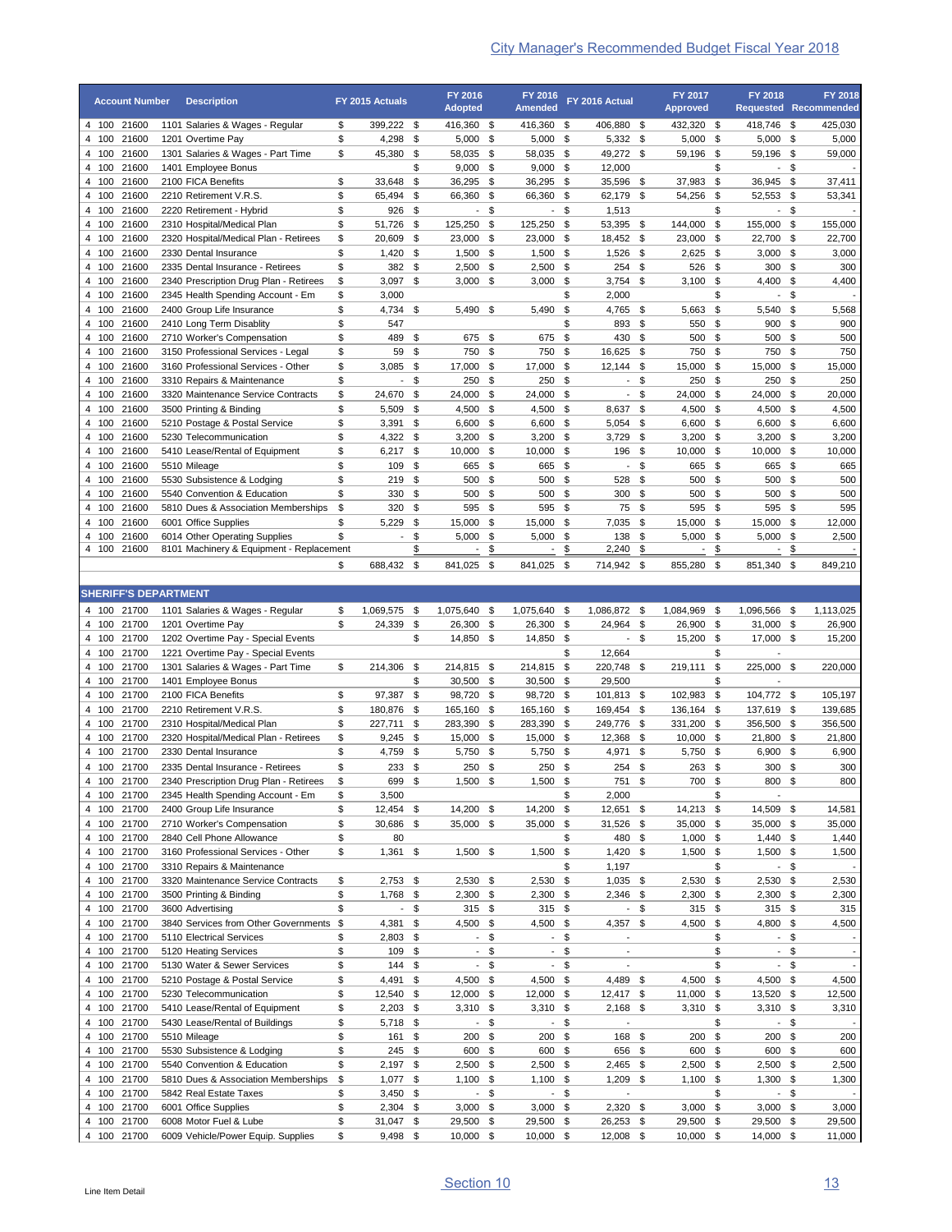| <b>Account Number</b>            | <b>Description</b>                                                      | FY 2015 Actuals                     |                                | FY 2016<br><b>Adopted</b> |                | FY 2016<br><b>Amended</b> |             | FY 2016 Actual                       |          | FY 2017<br><b>Approved</b> | FY 2018                              |                | <b>FY 2018</b><br><b>Requested Recommended</b>                                                                |
|----------------------------------|-------------------------------------------------------------------------|-------------------------------------|--------------------------------|---------------------------|----------------|---------------------------|-------------|--------------------------------------|----------|----------------------------|--------------------------------------|----------------|---------------------------------------------------------------------------------------------------------------|
| 4 100 21600                      | 1101 Salaries & Wages - Regular                                         | 399,222 \$<br>\$                    |                                | 416,360 \$                |                | 416,360                   | \$          | 406,880 \$                           |          | 432,320 \$                 | 418,746                              | -\$            | 425,030                                                                                                       |
| 4 100<br>21600                   | 1201 Overtime Pay                                                       | \$<br>4,298 \$                      |                                | $5,000$ \$                |                | $5,000$ \$                |             | 5,332 \$                             |          | 5,000                      | $5,000$ \$<br>- \$                   |                | 5,000                                                                                                         |
| 4 100<br>21600<br>4 100<br>21600 | 1301 Salaries & Wages - Part Time<br>1401 Employee Bonus                | \$<br>45,380 \$                     | \$                             | 58,035 \$<br>$9,000$ \$   |                | 58,035 \$                 |             | 49,272 \$<br>12,000                  |          | 59,196                     | 59,196 \$<br>- \$<br>$\blacksquare$  | \$             | 59,000                                                                                                        |
| 4 100<br>21600                   | 2100 FICA Benefits                                                      | \$<br>33,648                        | \$                             | 36,295 \$                 |                | 9,000<br>36,295           | -\$<br>- \$ | 35,596 \$                            |          | 37,983                     | \$<br>\$<br>36,945                   | \$             | 37,411                                                                                                        |
| 4 100<br>21600                   | 2210 Retirement V.R.S.                                                  | \$<br>65,494                        | \$                             | 66,360 \$                 |                | 66,360                    | -\$         | 62,179 \$                            |          | 54,256                     | \$<br>52,553 \$                      |                | 53,341                                                                                                        |
| 4 100<br>21600                   | 2220 Retirement - Hybrid                                                | \$<br>926                           | - \$                           | $\overline{\phantom{a}}$  | \$             | $\overline{\phantom{a}}$  | \$          | 1,513                                |          |                            | \$<br>$\overline{\phantom{a}}$       | \$             |                                                                                                               |
| 21600<br>4 100                   | 2310 Hospital/Medical Plan                                              | \$<br>51,726 \$                     |                                | 125,250 \$                |                | 125,250 \$                |             | 53,395 \$                            |          | 144,000                    | \$<br>155,000 \$                     |                | 155,000                                                                                                       |
| 4 100<br>21600<br>4 100<br>21600 | 2320 Hospital/Medical Plan - Retirees<br>2330 Dental Insurance          | \$<br>20,609<br>\$<br>$1,420$ \$    | - \$                           | 23,000 \$<br>$1,500$ \$   |                | 23,000 \$<br>$1,500$ \$   |             | 18,452<br>1,526 \$                   | \$       | 23,000<br>2,625            | \$<br>22,700 \$<br>\$<br>$3,000$ \$  |                | 22,700<br>3,000                                                                                               |
| 4 100<br>21600                   | 2335 Dental Insurance - Retirees                                        | \$<br>382                           | \$                             | $2,500$ \$                |                | $2,500$ \$                |             | 254                                  | \$       | 526                        | $300*$<br>- \$                       |                | 300                                                                                                           |
| 4 100<br>21600                   | 2340 Prescription Drug Plan - Retirees                                  | 3,097<br>\$                         | \$                             | $3,000$ \$                |                | 3,000                     | \$          | $3,754$ \$                           |          | 3,100                      | $4,400$ \$<br>\$                     |                | 4,400                                                                                                         |
| 4 100<br>21600                   | 2345 Health Spending Account - Em                                       | 3,000<br>\$                         |                                |                           |                |                           | \$          | 2,000                                |          |                            | \$<br>$\sim$                         | \$             |                                                                                                               |
| 4 100<br>21600                   | 2400 Group Life Insurance                                               | \$<br>4,734 \$                      |                                | 5,490 \$                  |                | 5,490                     | \$          | 4,765 \$                             |          | 5,663                      | \$<br>5,540                          | \$             | 5,568                                                                                                         |
| 4 100<br>21600<br>4 100<br>21600 | 2410 Long Term Disablity<br>2710 Worker's Compensation                  | \$<br>547<br>\$<br>489              | -\$                            | 675 \$                    |                | 675                       | \$<br>\$    | 893 \$<br>430 \$                     |          | 550<br>500                 | \$<br>$900 \, \text{S}$<br>\$<br>500 | \$             | 900<br>500                                                                                                    |
| 21600<br>4 100                   | 3150 Professional Services - Legal                                      | \$                                  | \$<br>59                       | 750                       | - \$           | 750                       | \$          | 16,625 \$                            |          | 750                        | \$<br>750                            | \$             | 750                                                                                                           |
| 21600<br>4 100                   | 3160 Professional Services - Other                                      | \$<br>3,085                         | \$                             | 17,000                    | \$             | 17,000                    | \$          | $12,144$ \$                          |          | 15,000                     | \$<br>15,000                         | \$             | 15,000                                                                                                        |
| 21600<br>4 100                   | 3310 Repairs & Maintenance                                              | \$                                  | - \$                           | 250                       | \$             | 250                       | \$          | $-$ \$                               |          | 250                        | \$<br>250                            | \$             | 250                                                                                                           |
| 21600<br>4 100                   | 3320 Maintenance Service Contracts                                      | \$<br>24,670                        | - \$                           | 24,000                    | \$             | 24,000                    | \$          | $-$ \$                               |          | 24,000                     | \$<br>24,000                         | \$             | 20,000                                                                                                        |
| 21600<br>4 100                   | 3500 Printing & Binding                                                 | \$<br>5,509                         | -\$                            | 4,500 \$                  |                | 4,500 \$                  |             | 8,637 \$                             |          | 4,500                      | \$<br>4,500                          | - \$           | 4,500                                                                                                         |
| 21600<br>4 100<br>4 100<br>21600 | 5210 Postage & Postal Service<br>5230 Telecommunication                 | \$<br>3,391<br>\$<br>4,322 \$       | \$                             | $6,600$ \$<br>$3,200$ \$  |                | 6,600<br>$3,200$ \$       | \$          | 5,054<br>3,729 \$                    | \$       | 6,600<br>3,200             | \$<br>6,600<br>\$<br>$3,200$ \$      | \$             | 6,600<br>3,200                                                                                                |
| 4 100<br>21600                   | 5410 Lease/Rental of Equipment                                          | \$<br>6,217                         | \$                             | 10,000 \$                 |                | 10,000                    | \$          | 196                                  | \$       | 10,000                     | \$<br>10,000                         | \$             | 10,000                                                                                                        |
| 4 100<br>21600                   | 5510 Mileage                                                            | \$<br>109                           | \$                             | 665 \$                    |                | 665                       | - \$        | - \$                                 |          | 665                        | \$<br>665                            | \$             | 665                                                                                                           |
| 21600<br>4 100                   | 5530 Subsistence & Lodging                                              | \$<br>219                           | \$                             | 500 \$                    |                | 500                       | \$          | 528                                  | \$       | 500                        | \$<br>500                            | \$             | 500                                                                                                           |
| 4 100<br>21600                   | 5540 Convention & Education                                             | \$<br>330                           | - \$                           | 500 \$                    |                | 500 \$                    |             | 300 \$                               |          | 500                        | \$<br>500 \$                         |                | 500                                                                                                           |
| 4 100<br>21600<br>4 100<br>21600 | 5810 Dues & Association Memberships<br>6001 Office Supplies             | \$<br>320<br>5,229<br>\$            | - \$<br>\$                     | 595<br>15,000 \$          | - \$           | 595 \$<br>15,000          | -\$         | 75<br>7,035                          | \$<br>\$ | 595<br>15,000              | 595<br>- \$<br>15,000 \$<br>\$       | - \$           | 595<br>12,000                                                                                                 |
| 21600<br>4 100                   | 6014 Other Operating Supplies                                           | \$                                  | \$<br>$\overline{\phantom{a}}$ | 5,000                     | - \$           | 5,000                     | \$          | 138                                  | \$       | 5,000                      | \$<br>5,000                          | - \$           | 2,500                                                                                                         |
| 21600<br>4 100                   | 8101 Machinery & Equipment - Replacement                                |                                     | \$                             | $\overline{\phantom{a}}$  | \$             | $\overline{a}$            | \$          | 2,240                                | \$       |                            | \$<br>$\overline{\phantom{a}}$       | \$             |                                                                                                               |
|                                  |                                                                         | \$<br>688,432                       | \$                             | 841,025                   | - \$           | 841,025                   | \$          | 714,942 \$                           |          | 855,280                    | \$<br>851,340                        | \$             | 849,210                                                                                                       |
|                                  |                                                                         |                                     |                                |                           |                |                           |             |                                      |          |                            |                                      |                |                                                                                                               |
| <b>SHERIFF'S DEPARTMENT</b>      |                                                                         |                                     |                                |                           |                |                           |             |                                      |          |                            |                                      |                |                                                                                                               |
| 21700                            | 1101 Salaries & Wages - Regular                                         | 1,069,575<br>\$                     | \$                             | 1,075,640 \$              |                | 1,075,640                 | -\$         | 1,086,872 \$                         |          | 1,084,969                  | 1,096,566<br>\$                      | - \$           | 1,113,025                                                                                                     |
| 21700                            | 1201 Overtime Pay                                                       | \$<br>24,339                        | \$                             | 26,300 \$                 |                | 26,300 \$                 |             | 24,964 \$                            |          | 26,900                     | \$<br>$31,000$ \$                    |                |                                                                                                               |
| 4 100<br>4 100<br>4 100<br>21700 | 1202 Overtime Pay - Special Events                                      |                                     | \$                             | 14,850 \$                 |                | 14,850 \$                 |             | $-$ \$                               |          | 15,200 \$                  | 17,000 \$                            |                |                                                                                                               |
| 4 100<br>21700<br>4 100<br>21700 | 1221 Overtime Pay - Special Events<br>1301 Salaries & Wages - Part Time | 214,306<br>\$                       | - \$                           | 214,815 \$                |                | 214,815 \$                | \$          | 12,664<br>220,748 \$                 |          | 219,111                    | \$<br>\$<br>225,000 \$               |                | 220,000                                                                                                       |
| 4 100<br>21700                   | 1401 Employee Bonus                                                     |                                     | \$                             | $30,500$ \$               |                | 30,500 \$                 |             | 29,500                               |          |                            | \$                                   |                |                                                                                                               |
| 4 100<br>21700                   | 2100 FICA Benefits                                                      | 97,387<br>\$                        | - \$                           | 98,720 \$                 |                | 98,720                    | - \$        | 101,813 \$                           |          | 102,983                    | \$<br>104,772 \$                     |                | 105,197                                                                                                       |
| 4 100<br>21700                   | 2210 Retirement V.R.S.                                                  | \$<br>180,876                       | - \$                           | 165,160 \$                |                | 165,160 \$                |             | 169,454 \$                           |          | 136,164                    | \$<br>137,619 \$                     |                | 139,685                                                                                                       |
| 4 100 21700                      | 2310 Hospital/Medical Plan                                              | 227,711 \$<br>\$                    |                                | 283,390 \$                |                | 283,390 \$                |             | 249,776 \$                           |          | 331,200 \$                 | 356,500 \$                           |                | 26,900<br>15,200<br>356,500                                                                                   |
| 4 100<br>21700<br>4 100 21700    | 2320 Hospital/Medical Plan - Retirees<br>2330 Dental Insurance          | $9,245$ \$<br>\$<br>\$<br>4,759 \$  |                                | 15,000 \$<br>5,750 \$     |                | 15,000 \$<br>5,750 \$     |             | 12,368 \$<br>4,971                   | \$       | 10,000<br>5,750 \$         | \$<br>21,800 \$<br>$6,900$ \$        |                | 21,800<br>6,900                                                                                               |
| 4 100 21700                      | 2335 Dental Insurance - Retirees                                        | \$                                  | $233$ \$                       | 250 \$                    |                | 250 \$                    |             | 254 \$                               |          | 263                        | $300*$<br>\$                         |                |                                                                                                               |
| 4 100 21700                      | 2340 Prescription Drug Plan - Retirees                                  | \$                                  | 699 \$                         | $1,500$ \$                |                | $1,500$ \$                |             | 751 \$                               |          | 700 \$                     | 800 \$                               |                |                                                                                                               |
| 4 100<br>21700                   | 2345 Health Spending Account - Em                                       | \$<br>3,500                         |                                |                           |                |                           | \$          | 2,000                                |          |                            | \$<br>$\overline{\phantom{a}}$       |                |                                                                                                               |
| 4 100 21700                      | 2400 Group Life Insurance                                               | \$<br>12,454 \$                     |                                | 14,200 \$                 |                | 14,200 \$                 |             | 12,651 \$                            |          | 14,213 \$                  | 14,509 \$                            |                | 14,581                                                                                                        |
| 4 100<br>21700                   | 2710 Worker's Compensation                                              | \$<br>30,686 \$                     |                                | 35,000 \$                 |                | 35,000                    | \$          | 31,526 \$                            |          | 35,000                     | \$<br>35,000 \$                      |                |                                                                                                               |
| 4 100<br>21700<br>21700<br>4 100 | 2840 Cell Phone Allowance<br>3160 Professional Services - Other         | \$<br>80<br>\$<br>$1,361$ \$        |                                | $1,500$ \$                |                | 1,500 \$                  | \$          | 480 \$<br>$1,420$ \$                 |          | $1,000$ \$<br>$1,500$ \$   | $1,440$ \$<br>$1,500$ \$             |                | 1,500                                                                                                         |
| 4 100 21700                      | 3310 Repairs & Maintenance                                              |                                     |                                |                           |                |                           | \$          | 1,197                                |          |                            | \$                                   | - \$           | $\overline{\phantom{a}}$                                                                                      |
| 4 100 21700                      | 3320 Maintenance Service Contracts                                      | \$<br>$2,753$ \$                    |                                | 2,530 \$                  |                | 2,530 \$                  |             | $1,035$ \$                           |          | $2,530$ \$                 | $2,530$ \$                           |                |                                                                                                               |
| 4 100 21700                      | 3500 Printing & Binding                                                 | \$<br>1,768 \$                      |                                | $2,300$ \$                |                | $2,300$ \$                |             | $2,346$ \$                           |          | $2,300$ \$                 | $2,300$ \$                           |                |                                                                                                               |
| 4 100 21700                      | 3600 Advertising                                                        | \$                                  | $-$ \$                         | 315 \$                    |                | $315$ \$                  |             | $-$ \$                               |          | $315$ \$                   | $315$ \$                             |                |                                                                                                               |
| 4 100 21700                      | 3840 Services from Other Governments \$                                 | 4,381 \$                            |                                | 4,500 \$                  |                | 4,500 \$                  |             | 4,357 \$<br>$\overline{\phantom{a}}$ |          | 4,500 \$                   | 4,800 \$                             |                |                                                                                                               |
| 4 100 21700<br>4 100 21700       | 5110 Electrical Services<br>5120 Heating Services                       | \$<br>$2,803$ \$<br>\$              | 109 \$                         |                           | $-$ \$<br>- \$ | $-$ \$<br>- \$            |             | $\overline{\phantom{a}}$             |          |                            | \$<br>\$                             | $-$ \$<br>- \$ | 300<br>800<br>35,000<br>1,440<br>2,530<br>2,300<br>315<br>4,500<br>$\blacksquare$<br>$\overline{\phantom{a}}$ |
| 4 100 21700                      | 5130 Water & Sewer Services                                             | \$                                  | 144 \$                         |                           | $-$ \$         | $\overline{\phantom{a}}$  | \$          | $\overline{\phantom{a}}$             |          |                            | \$<br>$\sim$                         | \$             |                                                                                                               |
| 4 100 21700                      | 5210 Postage & Postal Service                                           | \$<br>$4,491$ \$                    |                                | 4,500 \$                  |                | 4,500 \$                  |             | 4,489 \$                             |          | 4,500                      | \$<br>4,500 \$                       |                |                                                                                                               |
| 4 100<br>21700                   | 5230 Telecommunication                                                  | \$<br>12,540 \$                     |                                | 12,000 \$                 |                | 12,000 \$                 |             | 12,417 \$                            |          | 11,000 \$                  | 13,520 \$                            |                | $\overline{\phantom{a}}$<br>4,500<br>12,500                                                                   |
| 4 100 21700                      | 5410 Lease/Rental of Equipment                                          | \$<br>$2,203$ \$                    |                                | $3,310$ \$                |                | $3,310$ \$                |             | $2,168$ \$                           |          | $3,310$ \$                 | $3,310$ \$                           |                | 3,310                                                                                                         |
| 4 100 21700<br>4 100 21700       | 5430 Lease/Rental of Buildings<br>5510 Mileage                          | \$<br>5,718 \$<br>\$                | 161 \$                         | 200 \$                    | $-$ \$         | 200 \$                    | $-$ \$      | 168 \$                               |          | 200                        | \$<br>\$<br>$200 \t$$                | - \$           |                                                                                                               |
| 4 100 21700                      | 5530 Subsistence & Lodging                                              | \$                                  | 245 \$                         | 600 \$                    |                | 600 \$                    |             | 656 \$                               |          | 600 \$                     | 600 \$                               |                |                                                                                                               |
| 4 100 21700                      | 5540 Convention & Education                                             | \$<br>$2,197$ \$                    |                                | $2,500$ \$                |                | $2,500$ \$                |             | $2,465$ \$                           |          | $2,500$ \$                 | $2,500$ \$                           |                |                                                                                                               |
| 4 100 21700                      | 5810 Dues & Association Memberships                                     | $1,077$ \$<br>\$                    |                                | $1,100$ \$                |                | $1,100$ \$                |             | $1,209$ \$                           |          | $1,100$ \$                 | $1,300$ \$                           |                |                                                                                                               |
| 4 100 21700                      | 5842 Real Estate Taxes                                                  | $3,450$ \$<br>\$                    |                                |                           | - \$           | - \$                      |             |                                      |          |                            | \$                                   | - \$           | $\overline{\phantom{a}}$<br>200<br>600<br>2,500<br>1,300                                                      |
| 4 100 21700<br>4 100<br>21700    | 6001 Office Supplies<br>6008 Motor Fuel & Lube                          | \$<br>$2,304$ \$<br>\$<br>31,047 \$ |                                | $3,000$ \$<br>29,500 \$   |                | $3,000$ \$<br>29,500 \$   |             | $2,320$ \$<br>26,253 \$              |          | $3,000$ \$<br>29,500       | $3,000$ \$<br>29,500 \$<br>\$        |                | 3,000<br>29,500                                                                                               |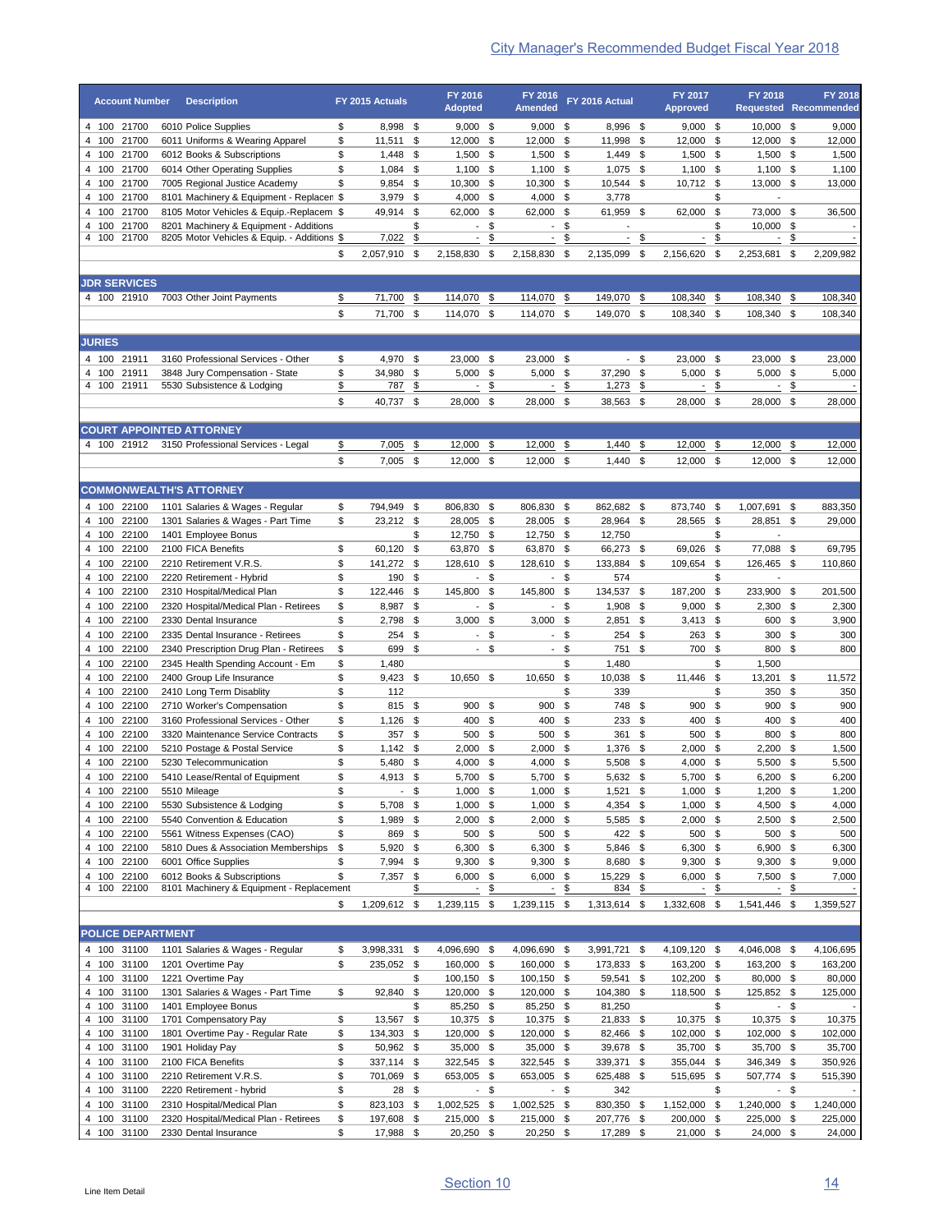|                | <b>Account Number</b>      | <b>Description</b>                                                                    | FY 2015 Actuals                     |                     | FY 2016                                              |                     | FY 2016                                    |           | FY 2016 Actual                        |          | FY 2017                       |          | <b>FY 2018</b>                              |               | <b>FY 2018</b>                             |
|----------------|----------------------------|---------------------------------------------------------------------------------------|-------------------------------------|---------------------|------------------------------------------------------|---------------------|--------------------------------------------|-----------|---------------------------------------|----------|-------------------------------|----------|---------------------------------------------|---------------|--------------------------------------------|
|                | 4 100 21700                | 6010 Police Supplies                                                                  | \$<br>8,998 \$                      |                     | <b>Adopted</b><br>$9,000$ \$                         |                     | <b>Amended</b><br>$9,000$ \$               |           | 8,996 \$                              |          | <b>Approved</b><br>$9,000$ \$ |          | <b>Requested Recommended</b><br>$10,000$ \$ |               | 9,000                                      |
| 4 100          | 21700                      | 6011 Uniforms & Wearing Apparel                                                       | \$<br>11,511                        | \$                  | 12,000 \$                                            |                     | 12,000                                     | \$        | 11,998                                | \$       | 12,000                        | \$       | 12,000 \$                                   |               | 12,000                                     |
| 4 100          | 21700                      | 6012 Books & Subscriptions                                                            | \$<br>1,448                         | - \$                | $1,500$ \$                                           |                     | $1,500$ \$                                 |           | 1,449 \$                              |          | $1,500$ \$                    |          | $1,500$ \$                                  |               | 1,500                                      |
|                | 4 100 21700                | 6014 Other Operating Supplies                                                         | \$<br>$1,084$ \$                    |                     | $1,100$ \$                                           |                     | $1,100$ \$                                 |           | $1,075$ \$                            |          | $1,100$ \$                    |          | $1,100$ \$                                  |               | 1,100                                      |
|                | 4 100 21700                | 7005 Regional Justice Academy                                                         | $9,854$ \$<br>\$                    |                     | 10,300 \$                                            |                     | 10,300 \$                                  |           | 10,544                                | \$       | 10,712 \$                     |          | 13,000 \$                                   |               | 13,000                                     |
| 4 100          | 21700                      | 8101 Machinery & Equipment - Replacen \$                                              | 3,979                               | -\$                 | $4,000$ \$                                           |                     | $4,000$ \$                                 |           | 3,778                                 |          |                               | \$       | $\overline{\phantom{a}}$                    |               |                                            |
| 4 100          | 21700                      | 8105 Motor Vehicles & Equip.-Replacem \$                                              | 49,914                              | \$                  | 62,000 \$                                            |                     | 62,000                                     | \$        | 61,959 \$<br>$\overline{\phantom{a}}$ |          | 62,000                        | \$       | 73,000 \$                                   |               | 36,500                                     |
| 4 100<br>4 100 | 21700<br>21700             | 8201 Machinery & Equipment - Additions<br>8205 Motor Vehicles & Equip. - Additions \$ | 7,022                               | \$<br>$\frac{1}{2}$ | $\overline{\phantom{a}}$<br>$\overline{\phantom{a}}$ | \$<br>$\frac{1}{2}$ | $\blacksquare$<br>$\overline{\phantom{a}}$ | \$<br>\$  | $\overline{\phantom{a}}$              | \$       | $\overline{\phantom{a}}$      | \$<br>\$ | 10,000 \$                                   | \$            | $\overline{\phantom{a}}$<br>$\overline{a}$ |
|                |                            |                                                                                       | \$<br>2,057,910                     | \$                  | 2,158,830                                            | \$                  | 2,158,830                                  | \$        | 2,135,099                             | \$       | 2,156,620                     | \$       | 2,253,681                                   | \$            | 2.209.982                                  |
|                |                            |                                                                                       |                                     |                     |                                                      |                     |                                            |           |                                       |          |                               |          |                                             |               |                                            |
|                | <b>JDR SERVICES</b>        |                                                                                       |                                     |                     |                                                      |                     |                                            |           |                                       |          |                               |          |                                             |               |                                            |
|                | 4 100 21910                | 7003 Other Joint Payments                                                             | \$<br>71,700                        | \$                  | 114,070                                              | \$                  | 114,070                                    | \$        | 149,070                               | \$       | 108,340                       | \$       | 108,340                                     | \$            | 108,340                                    |
|                |                            |                                                                                       | 71,700 \$<br>\$                     |                     | 114,070 \$                                           |                     | 114,070 \$                                 |           | 149,070 \$                            |          | 108,340 \$                    |          | 108,340 \$                                  |               | 108,340                                    |
| <b>JURIES</b>  |                            |                                                                                       |                                     |                     |                                                      |                     |                                            |           |                                       |          |                               |          |                                             |               |                                            |
|                | 4 100 21911                | 3160 Professional Services - Other                                                    | \$<br>4,970 \$                      |                     | 23,000 \$                                            |                     | 23,000 \$                                  |           |                                       | - \$     | 23,000 \$                     |          | 23,000 \$                                   |               | 23,000                                     |
| 4 100          | 21911                      | 3848 Jury Compensation - State                                                        | \$<br>34,980                        | \$                  | 5,000                                                | - \$                | 5,000                                      | -\$       | 37,290                                | \$       | 5,000                         | \$       | 5,000                                       | \$            | 5,000                                      |
| 4 100          | 21911                      | 5530 Subsistence & Lodging                                                            | \$<br>787                           | \$                  | $\overline{\phantom{a}}$                             | \$                  | $\overline{\phantom{a}}$                   | \$        | 1,273                                 | \$       |                               | \$       | $\overline{\phantom{a}}$                    | \$            | $\overline{\phantom{a}}$                   |
|                |                            |                                                                                       | \$<br>40,737 \$                     |                     | 28,000 \$                                            |                     | 28,000 \$                                  |           | 38,563 \$                             |          | 28,000 \$                     |          | 28,000                                      | \$            | 28.000                                     |
|                |                            |                                                                                       |                                     |                     |                                                      |                     |                                            |           |                                       |          |                               |          |                                             |               |                                            |
|                |                            | <b>COURT APPOINTED ATTORNEY</b>                                                       |                                     |                     |                                                      |                     |                                            |           |                                       |          |                               |          |                                             |               |                                            |
|                | 4 100 21912                | 3150 Professional Services - Legal                                                    | \$<br>7,005                         | \$                  | 12,000                                               | -\$                 | 12,000                                     | \$        | 1,440                                 | \$       | 12,000                        | \$       | 12,000                                      | \$            | 12,000                                     |
|                |                            |                                                                                       | \$<br>$7,005$ \$                    |                     | 12,000 \$                                            |                     | 12,000 \$                                  |           | $1,440$ \$                            |          | 12,000 \$                     |          | 12,000 \$                                   |               | 12,000                                     |
|                |                            |                                                                                       |                                     |                     |                                                      |                     |                                            |           |                                       |          |                               |          |                                             |               |                                            |
|                |                            | <b>COMMONWEALTH'S ATTORNEY</b>                                                        |                                     |                     |                                                      |                     |                                            |           |                                       |          |                               |          |                                             |               |                                            |
| 4 100<br>4 100 | 22100<br>22100             | 1101 Salaries & Wages - Regular<br>1301 Salaries & Wages - Part Time                  | \$<br>794,949 \$<br>\$<br>23,212 \$ |                     | 806,830 \$<br>28,005 \$                              |                     | 806,830 \$<br>28,005 \$                    |           | 862,682 \$<br>28,964 \$               |          | 873,740                       | \$<br>\$ | 1,007,691 \$                                | \$            | 883,350<br>29,000                          |
| 4 100          | 22100                      | 1401 Employee Bonus                                                                   |                                     | \$                  | 12,750 \$                                            |                     | 12,750                                     | \$        | 12,750                                |          | 28,565                        | \$       | 28,851<br>$\overline{a}$                    |               |                                            |
| 4 100          | 22100                      | 2100 FICA Benefits                                                                    | \$<br>60,120                        | \$                  | 63,870 \$                                            |                     | 63,870 \$                                  |           | 66,273                                | \$       | 69,026                        | \$       | 77,088 \$                                   |               | 69,795                                     |
| 4 100          | 22100                      | 2210 Retirement V.R.S.                                                                | \$<br>141,272                       | \$                  | 128,610                                              | \$                  | 128,610                                    | \$        | 133,884                               | \$       | 109,654                       | \$       | 126,465 \$                                  |               | 110,860                                    |
| 4 100          | 22100                      | 2220 Retirement - Hybrid                                                              | \$<br>190                           | \$                  | $\blacksquare$                                       | -\$                 |                                            | - \$      | 574                                   |          |                               | \$       |                                             |               |                                            |
| 4 100          | 22100                      | 2310 Hospital/Medical Plan                                                            | \$<br>122,446                       | \$                  | 145,800                                              | \$                  | 145,800                                    | \$        | 134,537                               | \$       | 187,200                       | \$       | 233,900                                     | \$            | 201,500                                    |
| 4 100          | 22100                      | 2320 Hospital/Medical Plan - Retirees                                                 | \$<br>8,987 \$                      |                     |                                                      | $-$ \$              | $\blacksquare$                             | - \$      | 1,908                                 | \$       | 9,000                         | \$       | 2,300                                       | \$            | 2,300                                      |
| 4 100          | 22100                      | 2330 Dental Insurance                                                                 | \$<br>2,798                         | \$                  | $3,000$ \$                                           |                     | 3,000                                      | - \$      | 2,851                                 | \$       | $3,413$ \$                    |          | 600                                         | \$            | 3,900                                      |
| 4 100          | 22100<br>22100             | 2335 Dental Insurance - Retirees<br>2340 Prescription Drug Plan - Retirees            | \$<br>254                           | \$<br>\$            | $\blacksquare$<br>$\blacksquare$                     | -\$<br>\$           | $\blacksquare$<br>$\overline{\phantom{a}}$ | -\$<br>\$ | 254<br>751                            | \$<br>\$ | 263                           | \$       | 300<br>800 \$                               | \$            | 300                                        |
| 4 100<br>4 100 | 22100                      | 2345 Health Spending Account - Em                                                     | \$<br>699<br>\$<br>1,480            |                     |                                                      |                     |                                            | \$        | 1,480                                 |          | 700 \$                        | \$       | 1,500                                       |               | 800                                        |
| 4 100          | 22100                      | 2400 Group Life Insurance                                                             | \$<br>9,423                         | \$                  | 10,650                                               | -\$                 | 10,650                                     | \$        | 10,038                                | \$       | 11,446                        | \$       | 13,201                                      | \$            | 11,572                                     |
| 4 100          | 22100                      | 2410 Long Term Disablity                                                              | \$<br>112                           |                     |                                                      |                     |                                            | \$        | 339                                   |          |                               | \$       | 350                                         | \$            | 350                                        |
| 4 100          | 22100                      | 2710 Worker's Compensation                                                            | \$<br>815 \$                        |                     | $900$ \$                                             |                     | 900                                        | \$        | 748 \$                                |          | 900                           | \$       | 900                                         | \$            | 900                                        |
| 4 100          | 22100                      | 3160 Professional Services - Other                                                    | \$<br>1,126                         | \$                  | 400                                                  | \$                  | 400                                        | \$        | 233                                   | \$       | 400                           | \$       | 400                                         | \$            | 400                                        |
|                | 4 100 22100                | 3320 Maintenance Service Contracts                                                    | \$<br>357                           | \$                  | 500 \$                                               |                     | 500 \$                                     |           | 361 \$                                |          | 500                           | \$       | 800                                         | \$            | 800                                        |
|                | 4 100 22100                | 5210 Postage & Postal Service                                                         | $1,142$ \$<br>\$                    |                     | $2,000$ \$                                           |                     | $2,000$ \$                                 |           | 1,376 \$                              |          | $2,000$ \$                    |          | $2,200$ \$                                  |               | 1,500                                      |
|                | 4 100 22100<br>4 100 22100 | 5230 Telecommunication<br>5410 Lease/Rental of Equipment                              | \$<br>5,480 \$<br>\$<br>4,913 \$    |                     | $4,000$ \$<br>5,700 \$                               |                     | $4,000$ \$<br>5,700 \$                     |           | 5,508 \$<br>5,632 \$                  |          | 4,000 \$<br>5,700 \$          |          | 5,500 \$<br>6,200 \$                        |               | 5,500<br>6,200                             |
|                | 4 100 22100                | 5510 Mileage                                                                          | \$                                  | $-$ \$              | $1,000$ \$                                           |                     | $1,000$ \$                                 |           | $1,521$ \$                            |          | $1,000$ \$                    |          | $1,200$ \$                                  |               | 1,200                                      |
|                | 4 100 22100                | 5530 Subsistence & Lodging                                                            | \$<br>5,708 \$                      |                     | $1,000$ \$                                           |                     | $1,000$ \$                                 |           | 4,354 \$                              |          | $1,000$ \$                    |          | 4,500 \$                                    |               | 4,000                                      |
|                | 4 100 22100                | 5540 Convention & Education                                                           | \$<br>1,989 \$                      |                     | $2,000$ \$                                           |                     | $2,000$ \$                                 |           | 5,585 \$                              |          | $2,000$ \$                    |          | $2,500$ \$                                  |               | 2,500                                      |
| 4 100          | 22100                      | 5561 Witness Expenses (CAO)                                                           | \$<br>869                           | \$                  | 500 \$                                               |                     | 500 \$                                     |           | 422 \$                                |          | 500 \$                        |          | 500 \$                                      |               | 500                                        |
|                | 4 100 22100                | 5810 Dues & Association Memberships                                                   | \$<br>5,920 \$                      |                     | 6,300 \$                                             |                     | 6,300 \$                                   |           | 5,846 \$                              |          | 6,300 \$                      |          | $6,900$ \$                                  |               | 6,300                                      |
|                | 4 100 22100                | 6001 Office Supplies                                                                  | \$<br>7,994 \$                      |                     | $9,300$ \$                                           |                     | $9,300$ \$                                 |           | 8,680 \$                              |          | $9,300$ \$                    |          | $9,300$ \$                                  |               | 9,000                                      |
| 4 100          | 22100<br>4 100 22100       | 6012 Books & Subscriptions<br>8101 Machinery & Equipment - Replacement                | \$<br>7,357 \$                      | \$                  | $6,000$ \$<br>$\overline{\phantom{a}}$               | $\frac{1}{2}$       | $6,000$ \$<br>$\overline{\phantom{a}}$     | \$        | 15,229 \$<br>834                      | \$       | $6,000$ \$                    | \$       | 7,500 \$                                    | $\frac{1}{2}$ | 7,000                                      |
|                |                            |                                                                                       | 1,209,612 \$<br>\$                  |                     | 1,239,115 \$                                         |                     | 1,239,115 \$                               |           | 1,313,614 \$                          |          | 1,332,608 \$                  |          | $\overline{\phantom{a}}$<br>1,541,446 \$    |               | 1,359,527                                  |
|                |                            |                                                                                       |                                     |                     |                                                      |                     |                                            |           |                                       |          |                               |          |                                             |               |                                            |
|                | <b>POLICE DEPARTMENT</b>   |                                                                                       |                                     |                     |                                                      |                     |                                            |           |                                       |          |                               |          |                                             |               |                                            |
|                | 4 100 31100                | 1101 Salaries & Wages - Regular                                                       | \$<br>3,998,331 \$                  |                     | 4,096,690 \$                                         |                     | 4,096,690 \$                               |           | 3,991,721 \$                          |          | 4,109,120 \$                  |          | 4,046,008 \$                                |               | 4,106,695                                  |
|                | 4 100 31100                | 1201 Overtime Pay                                                                     | \$<br>235,052 \$                    |                     | 160,000 \$                                           |                     | 160,000 \$                                 |           | 173,833 \$                            |          | 163,200 \$                    |          | 163,200 \$                                  |               | 163,200                                    |
|                | 4 100 31100                | 1221 Overtime Pay                                                                     |                                     | \$                  | 100,150 \$                                           |                     | 100,150 \$                                 |           | 59,541 \$                             |          | 102,200 \$                    |          | 80,000 \$                                   |               | 80,000                                     |
|                | 4 100 31100                | 1301 Salaries & Wages - Part Time                                                     | 92,840 \$<br>\$                     |                     | 120,000 \$                                           |                     | 120,000 \$                                 |           | 104,380                               | \$       | 118,500 \$                    |          | 125,852 \$                                  |               | 125,000                                    |
|                | 4 100 31100                | 1401 Employee Bonus                                                                   |                                     | \$                  | 85,250 \$                                            |                     | 85,250 \$                                  |           | 81,250                                |          |                               | \$       |                                             | - \$          |                                            |
| 4 100          | 31100<br>4 100 31100       | 1701 Compensatory Pay<br>1801 Overtime Pay - Regular Rate                             | \$<br>13,567 \$<br>\$<br>134,303 \$ |                     | 10,375 \$<br>120,000 \$                              |                     | 10,375 \$<br>120,000 \$                    |           | 21,833 \$<br>82,466 \$                |          | 10,375 \$<br>102,000 \$       |          | 10,375 \$<br>102,000 \$                     |               | 10,375<br>102,000                          |
|                | 4 100 31100                | 1901 Holiday Pay                                                                      | \$<br>50,962 \$                     |                     | 35,000 \$                                            |                     | 35,000 \$                                  |           | 39,678 \$                             |          | 35,700 \$                     |          | 35,700 \$                                   |               | 35,700                                     |
|                | 4 100 31100                | 2100 FICA Benefits                                                                    | \$<br>337,114 \$                    |                     | 322,545 \$                                           |                     | 322,545 \$                                 |           | 339,371 \$                            |          | 355,044 \$                    |          | 346,349 \$                                  |               | 350,926                                    |
| 4 100          | 31100                      | 2210 Retirement V.R.S.                                                                | \$<br>701,069 \$                    |                     | 653,005 \$                                           |                     | 653,005 \$                                 |           | 625,488 \$                            |          | 515,695 \$                    |          | 507,774 \$                                  |               | 515,390                                    |
|                | 4 100 31100                | 2220 Retirement - hybrid                                                              | \$<br>28 \$                         |                     |                                                      | - \$                |                                            | - \$      | 342                                   |          |                               | \$       |                                             | $-$ \$        |                                            |
|                | 4 100 31100                | 2310 Hospital/Medical Plan                                                            | \$<br>823,103 \$                    |                     | 1,002,525 \$                                         |                     | 1,002,525 \$                               |           | 830,350 \$                            |          | 1,152,000 \$                  |          | 1,240,000 \$                                |               | 1,240,000                                  |
|                |                            |                                                                                       |                                     |                     |                                                      |                     |                                            |           |                                       |          |                               |          |                                             |               |                                            |
|                | 4 100 31100<br>4 100 31100 | 2320 Hospital/Medical Plan - Retirees<br>2330 Dental Insurance                        | \$<br>197,608 \$<br>\$<br>17,988 \$ |                     | 215,000 \$<br>20,250 \$                              |                     | 215,000 \$<br>20,250 \$                    |           | 207,776 \$<br>17,289 \$               |          | 200,000 \$<br>21,000 \$       |          | 225,000 \$<br>24,000 \$                     |               | 225,000<br>24,000                          |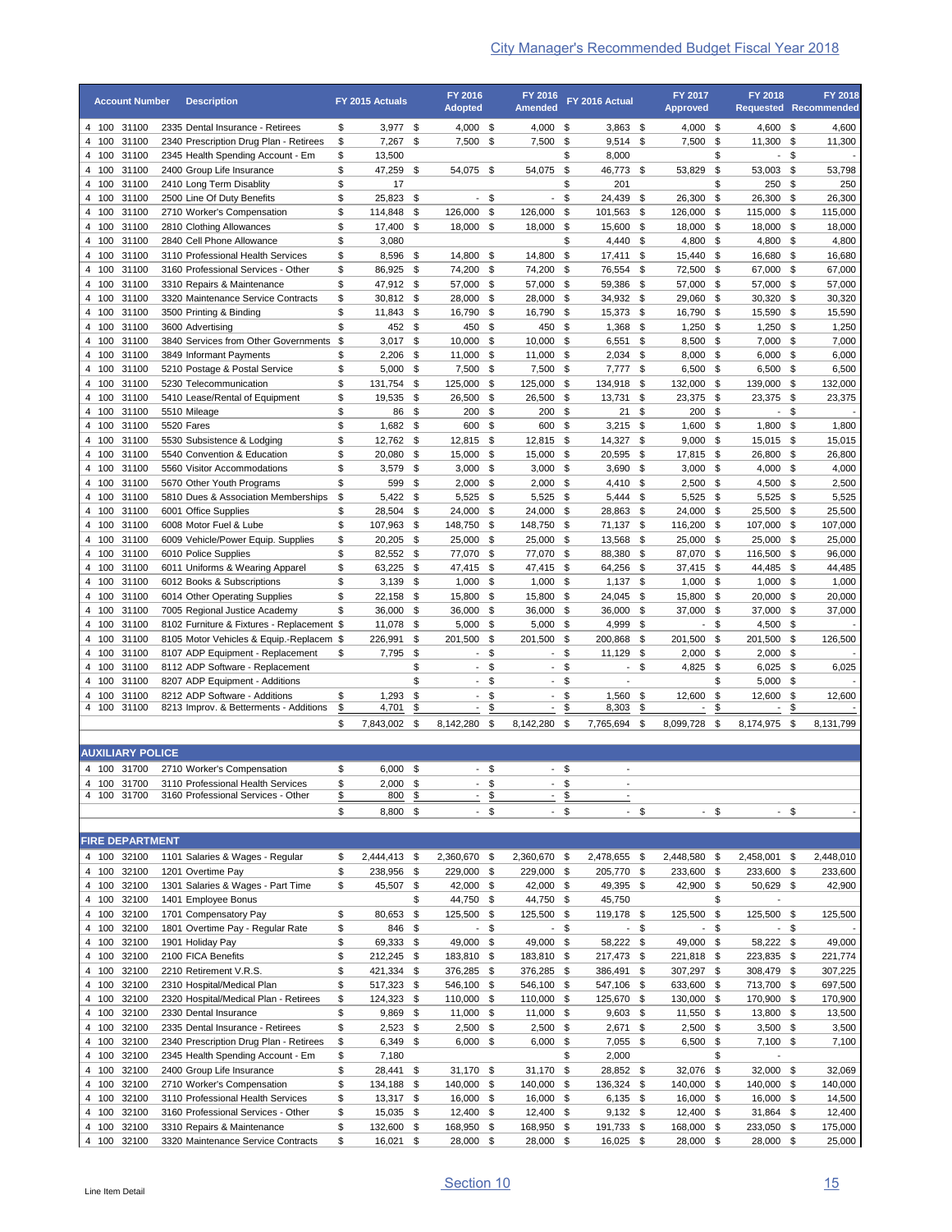|                                  |                                                                             |          |                            |           |                                    |                         |                                                      |                     |                                            |          | <b>City Manager's Recommended Budget Fiscal Year 2018</b> |               |                                   |            |                        |
|----------------------------------|-----------------------------------------------------------------------------|----------|----------------------------|-----------|------------------------------------|-------------------------|------------------------------------------------------|---------------------|--------------------------------------------|----------|-----------------------------------------------------------|---------------|-----------------------------------|------------|------------------------|
| <b>Account Number</b>            | <b>Description</b>                                                          |          | FY 2015 Actuals            |           | FY 2016<br><b>Adopted</b>          |                         | FY 2016<br><b>Amended</b>                            |                     | FY 2016 Actual                             |          | FY 2017<br><b>Approved</b>                                |               | FY 2018<br>Requested              |            | FY 2018<br>Recommended |
| 4 100 31100                      | 2335 Dental Insurance - Retirees                                            | \$       | 3,977 \$                   |           | 4,000 \$                           |                         | 4,000 \$                                             |                     | $3,863$ \$                                 |          | 4,000 \$                                                  |               | 4,600 \$                          |            | 4,600                  |
| 4 100<br>31100                   | 2340 Prescription Drug Plan - Retirees                                      | \$       | 7,267                      | \$        | 7,500 \$                           |                         | 7,500                                                | \$                  | $9,514$ \$                                 |          | 7,500                                                     | \$            | 11,300                            | \$         | 11,300                 |
| 4 100<br>31100<br>4 100          | 2345 Health Spending Account - Em                                           | \$       | 13,500                     | \$        |                                    |                         |                                                      | \$<br>\$            | 8,000                                      |          |                                                           | \$            | $\overline{\phantom{a}}$          | \$         |                        |
| 31100<br>31100<br>4 100          | 2400 Group Life Insurance<br>2410 Long Term Disablity                       | \$<br>\$ | 47,259<br>17               |           | 54,075 \$                          |                         | 54,075                                               | \$                  | 46,773 \$<br>201                           |          | 53,829                                                    | \$<br>\$      | 53,003<br>250                     | \$<br>\$   | 53,798<br>250          |
| 31100<br>4 100                   | 2500 Line Of Duty Benefits                                                  | \$       | 25,823                     | \$        | $\sim$                             | \$                      | $\blacksquare$                                       | \$                  | 24,439                                     | \$       | 26,300                                                    | \$            | 26,300                            | \$         | 26,300                 |
| 4 100<br>31100                   | 2710 Worker's Compensation                                                  | \$       | 114,848                    | \$        | 126,000                            | \$                      | 126,000                                              | - \$                | 101,563                                    | \$       | 126,000                                                   | \$            | 115,000                           | \$         | 115,000                |
| 31100<br>4 100                   | 2810 Clothing Allowances                                                    | \$       | 17,400                     | \$        | 18,000 \$                          |                         | 18,000                                               | \$                  | 15,600                                     | \$       | 18,000                                                    | \$            | 18,000                            | \$         | 18,000                 |
| 4 100<br>31100<br>31100<br>4 100 | 2840 Cell Phone Allowance<br>3110 Professional Health Services              | \$<br>\$ | 3,080<br>8,596             | \$        | 14,800 \$                          |                         | 14,800                                               | \$<br>\$            | 4,440 \$<br>17,411                         | \$       | 4,800<br>15,440                                           | \$<br>\$      | 4,800<br>16,680                   | \$<br>\$   | 4,800<br>16,680        |
| 31100<br>4 100                   | 3160 Professional Services - Other                                          | \$       | 86,925                     | - \$      | 74,200 \$                          |                         | 74,200 \$                                            |                     | 76,554                                     | \$       | 72,500                                                    | - \$          | 67,000                            | - \$       | 67,000                 |
| 4 100<br>31100                   | 3310 Repairs & Maintenance                                                  | \$       | 47,912                     | -\$       | 57,000 \$                          |                         | 57,000 \$                                            |                     | 59,386                                     | \$       | 57,000                                                    | \$            | 57,000                            | -\$        | 57,000                 |
| 4 100<br>31100                   | 3320 Maintenance Service Contracts                                          | \$       | 30,812                     | -\$       | 28,000 \$                          |                         | 28,000 \$                                            |                     | 34,932                                     | \$       | 29,060                                                    | \$            | 30,320                            | \$         | 30,320                 |
| 4 100<br>31100                   | 3500 Printing & Binding                                                     | \$       | 11,843                     | -\$       | 16,790                             | - \$                    | 16,790                                               | $\mathfrak s$       | 15,373                                     | \$       | 16,790                                                    | \$            | 15,590                            | -\$        | 15,590                 |
| 4 100<br>31100<br>4 100<br>31100 | 3600 Advertising<br>3840 Services from Other Governments                    | \$<br>\$ | 452<br>3,017               | -\$<br>\$ | 450<br>10,000                      | - \$<br>- \$            | 450 \$<br>10,000 \$                                  |                     | 1,368<br>6,551                             | \$<br>\$ | 1,250<br>8,500                                            | -\$<br>\$     | 1,250<br>7,000                    | -\$<br>-\$ | 1,250<br>7,000         |
| 4 100<br>31100                   | 3849 Informant Payments                                                     | \$       | 2,206                      | \$        | 11,000 \$                          |                         | 11,000 \$                                            |                     | $2,034$ \$                                 |          | 8,000                                                     | - \$          | 6,000                             | - \$       | 6,000                  |
| 31100<br>4 100                   | 5210 Postage & Postal Service                                               | \$       | 5,000                      | \$        | 7,500 \$                           |                         | 7,500 \$                                             |                     | 7,777 \$                                   |          | 6,500                                                     | - \$          | 6,500                             | - \$       | 6,500                  |
| 4 100<br>31100                   | 5230 Telecommunication                                                      | \$       | 131,754                    | \$        | 125,000                            | -\$                     | 125,000                                              | \$                  | 134,918                                    | \$       | 132,000                                                   | \$            | 139,000                           | \$         | 132,000                |
| 4 100<br>31100                   | 5410 Lease/Rental of Equipment                                              | \$       | 19,535                     | \$        | 26,500 \$                          |                         | 26,500 \$                                            |                     | 13,731                                     | \$       | 23,375                                                    | -\$           | 23,375                            | \$         | 23,375                 |
| 4 100 31100<br>4 100 31100       | 5510 Mileage<br>5520 Fares                                                  | \$<br>\$ | 86<br>1,682                | \$<br>\$  | 200 \$<br>600 \$                   |                         | 200 \$<br>600 \$                                     |                     | 21<br>$3,215$ \$                           | \$       | 200<br>1,600                                              | \$<br>\$      | $\overline{\phantom{a}}$<br>1,800 | \$<br>\$   | 1,800                  |
| 4 100<br>31100                   | 5530 Subsistence & Lodging                                                  | \$       | 12,762                     | \$        | 12,815 \$                          |                         | 12,815 \$                                            |                     | 14,327 \$                                  |          | 9,000                                                     | \$            | 15,015                            | -\$        | 15,015                 |
| 4 100<br>31100                   | 5540 Convention & Education                                                 | \$       | 20,080                     | \$        | 15,000 \$                          |                         | 15,000 \$                                            |                     | 20,595 \$                                  |          | 17,815                                                    | \$            | 26,800                            | \$         | 26,800                 |
| 4 100<br>31100                   | 5560 Visitor Accommodations                                                 | \$       | 3,579                      | \$        | $3,000$ \$                         |                         | $3,000$ \$                                           |                     | 3,690                                      | \$       | 3,000                                                     | \$            | 4,000                             | \$         | 4,000                  |
| 31100<br>4 100                   | 5670 Other Youth Programs                                                   | \$       | 599                        | \$        | $2,000$ \$                         |                         | $2,000$ \$                                           |                     | 4,410 \$                                   |          | 2,500                                                     | \$            | 4,500                             | \$         | 2,500                  |
| 31100<br>4 100                   | 5810 Dues & Association Memberships                                         | \$       | 5,422                      | \$        | $5,525$ \$                         |                         | 5,525                                                | \$                  | 5,444                                      | \$       | 5,525                                                     | \$            | 5,525                             | \$         | 5,525                  |
| 4 100<br>31100<br>31100<br>4 100 | 6001 Office Supplies<br>6008 Motor Fuel & Lube                              | \$<br>\$ | 28,504<br>107,963          | \$<br>\$  | 24,000<br>148,750                  | \$<br>\$                | 24,000 \$<br>148,750 \$                              |                     | 28,863<br>71,137 \$                        | - \$     | 24,000<br>116,200                                         | \$<br>\$      | 25,500<br>107,000                 | \$<br>\$   | 25,500<br>107,000      |
| 31100<br>4 100                   | 6009 Vehicle/Power Equip. Supplies                                          | \$       | 20,205                     | \$        | 25,000                             | \$                      | 25,000 \$                                            |                     | 13,568 \$                                  |          | 25,000                                                    | \$            | 25,000                            | \$         | 25,000                 |
| 31100<br>4 100                   | 6010 Police Supplies                                                        | \$       | 82,552                     | \$        | 77,070                             | \$                      | 77,070 \$                                            |                     | 88,380                                     | \$       | 87,070                                                    | \$            | 116,500                           | \$         | 96,000                 |
| 31100<br>4 100                   | 6011 Uniforms & Wearing Apparel                                             | \$       | 63,225                     | \$        | 47,415 \$                          |                         | 47,415 \$                                            |                     | 64,256                                     | \$       | 37,415                                                    | \$            | 44,485                            | \$         | 44,485                 |
| 31100<br>4 100<br>31100<br>4 100 | 6012 Books & Subscriptions                                                  | \$       | 3,139                      | \$        | 1,000                              | \$                      | $1,000$ \$                                           |                     | 1,137                                      | \$       | 1,000                                                     | \$            | 1,000                             | \$         | 1,000                  |
| 31100<br>4 100                   | 6014 Other Operating Supplies<br>7005 Regional Justice Academy              | \$<br>\$ | 22,158<br>36,000           | \$<br>\$  | 15,800 \$<br>36,000 \$             |                         | 15,800 \$<br>36,000 \$                               |                     | 24,045 \$<br>36,000                        | \$       | 15,800<br>37,000                                          | -\$<br>\$     | 20,000<br>37,000                  | -\$<br>\$  | 20,000<br>37,000       |
| 4 100<br>31100                   | 8102 Furniture & Fixtures - Replacement \$                                  |          | 11,078                     | -\$       | $5,000$ \$                         |                         | $5,000$ \$                                           |                     | 4,999                                      | \$       | $\overline{\phantom{a}}$                                  | \$            | 4,500                             | - \$       |                        |
| 4 100<br>31100                   | 8105 Motor Vehicles & Equip.-Replacem \$                                    |          | 226,991                    | \$        | 201,500                            | \$                      | 201,500                                              | \$                  | 200,868                                    | \$       | 201,500                                                   | -\$           | 201,500                           | \$         | 126,500                |
| 4 100<br>31100                   | 8107 ADP Equipment - Replacement                                            | \$       | 7,795                      | \$        | $\sim$                             | \$                      | $\overline{\phantom{a}}$                             | \$                  | 11,129                                     | \$       | 2,000                                                     | -\$           | 2,000                             | \$         |                        |
| 4 100<br>31100<br>4 100<br>31100 | 8112 ADP Software - Replacement                                             |          |                            | \$<br>\$  | $\overline{\phantom{a}}$<br>$\sim$ | \$<br>\$                | $\overline{\phantom{a}}$<br>$\overline{\phantom{a}}$ | \$<br>\$            | $\sim$                                     | \$       | 4,825                                                     | \$<br>\$      | 6,025                             | -\$        | 6,025                  |
| 4 100<br>31100                   | 8207 ADP Equipment - Additions<br>8212 ADP Software - Additions             | \$       | 1,293                      | \$        | $\overline{\phantom{a}}$           | \$                      | $\overline{\phantom{a}}$                             | \$                  | 1,560                                      | \$       | 12.600                                                    | $\mathsf{\$}$ | 5,000<br>12,600                   | -\$<br>\$  | 12.600                 |
| 4 100<br>31100                   | 8213 Improv. & Betterments - Additions                                      | \$       | 4,701                      | \$        | $\overline{\phantom{a}}$           | \$                      | $\overline{\phantom{a}}$                             | \$                  | 8,303                                      | \$       |                                                           | \$            |                                   | \$         |                        |
|                                  |                                                                             | \$       | 7,843,002 \$               |           | 8,142,280                          | \$                      | 8,142,280 \$                                         |                     | 7,765,694 \$                               |          | 8,099,728                                                 | - \$          | 8,174,975                         | \$         | 8,131,799              |
| <b>AUXILIARY POLICE</b>          |                                                                             |          |                            |           |                                    |                         |                                                      |                     |                                            |          |                                                           |               |                                   |            |                        |
| 4 100 31700                      | 2710 Worker's Compensation                                                  | \$       | $6,000$ \$                 |           |                                    | $-$ \$                  | $-$ \$                                               |                     | $\overline{a}$                             |          |                                                           |               |                                   |            |                        |
| 4 100 31700<br>4 100 31700       | 3110 Professional Health Services<br>3160 Professional Services - Other     | \$<br>\$ | $2,000$ \$<br>800          | \$        | $\sim$                             | $-$ \$<br>$\frac{1}{2}$ | $\sim$<br>$\overline{\phantom{a}}$                   | \$<br>$\frac{1}{2}$ | $\overline{\phantom{a}}$<br>$\blacksquare$ |          |                                                           |               |                                   |            |                        |
|                                  |                                                                             | \$       | 8,800 \$                   |           |                                    | $-$ \$                  | $\sim$                                               | \$                  |                                            | $-$ \$   | - \$                                                      |               | $-$ \$                            |            |                        |
|                                  |                                                                             |          |                            |           |                                    |                         |                                                      |                     |                                            |          |                                                           |               |                                   |            |                        |
| <b>FIRE DEPARTMENT</b>           |                                                                             |          |                            |           |                                    |                         |                                                      |                     |                                            |          |                                                           |               |                                   |            |                        |
| 4 100 32100<br>4 100 32100       | 1101 Salaries & Wages - Regular<br>1201 Overtime Pay                        | \$<br>\$ | 2,444,413 \$<br>238,956 \$ |           | 2,360,670 \$<br>229,000 \$         |                         | 2,360,670 \$<br>229,000 \$                           |                     | 2,478,655 \$<br>205,770 \$                 |          | 2,448,580 \$<br>233,600 \$                                |               | 2,458,001 \$<br>233,600 \$        |            | 2,448,010<br>233,600   |
| 4 100 32100                      | 1301 Salaries & Wages - Part Time                                           | \$       | 45,507 \$                  |           | 42,000 \$                          |                         | 42,000 \$                                            |                     | 49,395 \$                                  |          | 42,900 \$                                                 |               | 50,629 \$                         |            | 42,900                 |
| 4 100 32100                      | 1401 Employee Bonus                                                         |          |                            | \$        | 44,750 \$                          |                         | 44,750 \$                                            |                     | 45,750                                     |          |                                                           | \$            | $\overline{\phantom{a}}$          |            |                        |
| 4 100 32100                      | 1701 Compensatory Pay                                                       | \$       | 80,653 \$                  |           | 125,500 \$                         |                         | 125,500 \$                                           |                     | 119,178 \$                                 |          | 125,500 \$                                                |               | 125,500 \$                        |            | 125,500                |
| 4 100 32100                      | 1801 Overtime Pay - Regular Rate                                            | \$       | 846 \$                     |           | - \$                               |                         | $-$ \$                                               |                     |                                            | $-$ \$   |                                                           | - \$          |                                   | - \$       |                        |
| 4 100 32100<br>4 100 32100       | 1901 Holiday Pay<br>2100 FICA Benefits                                      | \$<br>\$ | 69,333 \$                  |           | 49,000 \$                          |                         | 49,000 \$                                            |                     | 58,222 \$<br>217,473 \$                    |          | 49,000 \$                                                 |               | 58,222 \$                         |            | 49,000<br>221,774      |
| 4 100 32100                      | 2210 Retirement V.R.S.                                                      | \$       | 212,245 \$<br>421,334 \$   |           | 183,810 \$<br>376,285 \$           |                         | 183,810 \$<br>376,285 \$                             |                     | 386,491 \$                                 |          | 221,818<br>307,297 \$                                     | - \$          | 223,835 \$<br>308,479 \$          |            | 307,225                |
| 4 100 32100                      | 2310 Hospital/Medical Plan                                                  | \$       | 517,323 \$                 |           | 546,100 \$                         |                         | 546,100 \$                                           |                     | 547,106 \$                                 |          | 633,600 \$                                                |               | 713,700 \$                        |            | 697,500                |
| 4 100 32100                      | 2320 Hospital/Medical Plan - Retirees                                       | \$       | 124,323 \$                 |           | 110,000 \$                         |                         | 110,000 \$                                           |                     | 125,670 \$                                 |          | 130,000 \$                                                |               | 170,900 \$                        |            | 170,900                |
| 4 100 32100                      | 2330 Dental Insurance                                                       | \$       | $9,869$ \$                 |           | 11,000 \$                          |                         | 11,000 \$                                            |                     | $9,603$ \$                                 |          | 11,550 \$                                                 |               | 13,800 \$                         |            | 13,500                 |
| 4 100 32100                      | 2335 Dental Insurance - Retirees                                            | \$       | $2,523$ \$                 |           | $2,500$ \$                         |                         | $2,500$ \$                                           |                     | $2,671$ \$                                 |          | $2,500$ \$                                                |               | $3,500$ \$                        |            | 3,500                  |
| 4 100 32100<br>4 100 32100       | 2340 Prescription Drug Plan - Retirees<br>2345 Health Spending Account - Em | \$<br>\$ | 6,349 \$<br>7,180          |           | $6,000$ \$                         |                         | $6,000$ \$                                           | \$                  | $7,055$ \$<br>2,000                        |          | 6,500 \$                                                  | \$            | $7,100$ \$                        |            | 7,100                  |
| 4 100 32100                      | 2400 Group Life Insurance                                                   | \$       | 28,441 \$                  |           | 31,170 \$                          |                         | 31,170 \$                                            |                     | 28,852 \$                                  |          | 32,076 \$                                                 |               | 32,000 \$                         |            | 32,069                 |
| 4 100 32100                      | 2710 Worker's Compensation                                                  | \$       | 134,188 \$                 |           | 140,000 \$                         |                         | 140,000 \$                                           |                     | 136,324 \$                                 |          | 140,000 \$                                                |               | 140,000 \$                        |            | 140,000                |
| 4 100 32100                      | 3110 Professional Health Services                                           | \$       | 13,317 \$                  |           | 16,000 \$                          |                         | 16,000 \$                                            |                     | $6,135$ \$                                 |          | 16,000 \$                                                 |               | 16,000 \$                         |            | 14,500                 |
| 4 100 32100                      | 3160 Professional Services - Other                                          | \$       | 15,035 \$                  |           | 12,400 \$                          |                         | 12,400 \$                                            |                     | $9,132$ \$                                 |          | 12,400 \$                                                 |               | 31,864 \$                         |            | 12,400                 |
| 4 100<br>32100<br>4 100<br>32100 | 3310 Repairs & Maintenance<br>3320 Maintenance Service Contracts            | \$<br>\$ | 132,600<br>16,021          | -\$<br>\$ | 168,950 \$<br>28,000 \$            |                         | 168,950 \$<br>28,000 \$                              |                     | 191,733 \$<br>16,025 \$                    |          | 168,000 \$<br>28,000 \$                                   |               | 233,050 \$<br>28,000 \$           |            | 175,000<br>25,000      |
|                                  |                                                                             |          |                            |           |                                    |                         |                                                      |                     |                                            |          |                                                           |               |                                   |            |                        |
|                                  |                                                                             |          |                            |           | Section 10                         |                         |                                                      |                     |                                            |          |                                                           |               |                                   |            | 15                     |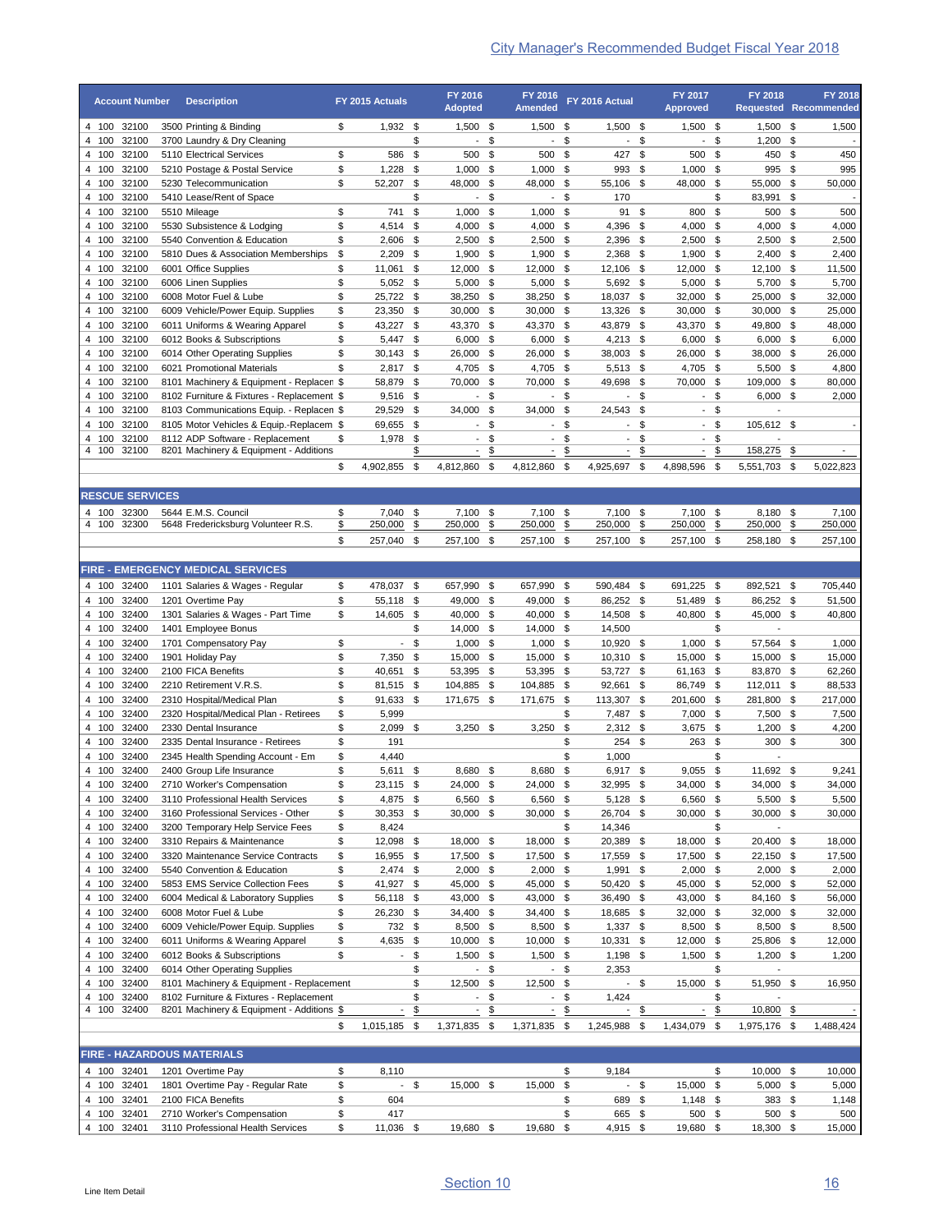|                      | <b>Account Number</b>           | <b>Description</b>                                                                   |          | FY 2015 Actuals          |                     | FY 2016<br><b>Adopted</b>                  |                     | FY 2016<br><b>Amended</b>                            |           | FY 2016 Actual                                       |          | FY 2017<br><b>Approved</b> |                     | FY 2018<br><b>Requested Recommended</b> |           | <b>FY 2018</b>           |
|----------------------|---------------------------------|--------------------------------------------------------------------------------------|----------|--------------------------|---------------------|--------------------------------------------|---------------------|------------------------------------------------------|-----------|------------------------------------------------------|----------|----------------------------|---------------------|-----------------------------------------|-----------|--------------------------|
|                      | 4 100 32100                     | 3500 Printing & Binding                                                              | \$       | $1,932$ \$               |                     | $1,500$ \$                                 |                     | $1,500$ \$                                           |           | $1,500$ \$                                           |          | $1,500$ \$                 |                     | 1,500                                   | -\$       | 1,500                    |
| 4 100                | 32100                           | 3700 Laundry & Dry Cleaning                                                          |          |                          | \$                  | $\blacksquare$                             | \$                  | $\overline{\phantom{a}}$                             | \$        | $\sim$                                               | \$       | $\overline{\phantom{a}}$   | \$                  | 1,200                                   | \$        |                          |
| 4 100<br>4 100       | 32100<br>32100                  | 5110 Electrical Services<br>5210 Postage & Postal Service                            | \$<br>\$ | 586<br>1,228             | \$<br>\$            | 500<br>$1,000$ \$                          | - \$                | 500 \$<br>1,000                                      | \$        | 427<br>993                                           | \$<br>\$ | 500<br>1,000               | - \$<br>\$          | 450<br>995                              | \$<br>\$  | 450<br>995               |
| 4 100                | 32100                           | 5230 Telecommunication                                                               | \$       | 52,207                   | \$                  | 48,000 \$                                  |                     | 48,000 \$                                            |           | 55,106 \$                                            |          | 48,000                     | \$                  | 55,000                                  | \$        | 50,000                   |
| 4 100                | 32100                           | 5410 Lease/Rent of Space                                                             |          |                          | \$                  | $\blacksquare$                             | \$                  | $\overline{\phantom{a}}$                             | \$        | 170                                                  |          |                            | \$                  | 83,991                                  | \$        |                          |
| 4 100                | 32100                           | 5510 Mileage                                                                         | \$       | 741                      | \$                  | $1,000$ \$                                 |                     | $1,000$ \$                                           |           | 91 \$                                                |          | 800                        | \$                  | 500                                     | \$        | 500                      |
| 4 100                | 32100<br>32100                  | 5530 Subsistence & Lodging                                                           | \$       | 4,514<br>2,606 \$        | \$                  | $4,000$ \$                                 |                     | 4,000                                                | \$        | 4,396 \$<br>2,396 \$                                 |          | 4,000                      | \$                  | 4,000                                   | \$        | 4,000                    |
| 100<br>4<br>100<br>4 | 32100                           | 5540 Convention & Education<br>5810 Dues & Association Memberships                   | \$<br>\$ | $2,209$ \$               |                     | $2,500$ \$<br>$1,900$ \$                   |                     | $2,500$ \$<br>1,900                                  | \$        | 2,368 \$                                             |          | 2,500<br>1,900             | \$<br>\$            | 2,500<br>2,400                          | -\$<br>\$ | 2,500<br>2,400           |
| 4 100                | 32100                           | 6001 Office Supplies                                                                 | \$       | 11,061                   | \$                  | 12,000 \$                                  |                     | 12,000 \$                                            |           | 12,106 \$                                            |          | 12,000                     | \$                  | 12,100                                  | -\$       | 11,500                   |
| 100<br>4             | 32100                           | 6006 Linen Supplies                                                                  | \$       | $5,052$ \$               |                     | $5,000$ \$                                 |                     | 5,000                                                | - \$      | 5,692 \$                                             |          | 5,000                      | \$                  | 5,700                                   | \$        | 5,700                    |
| 4 100                | 32100                           | 6008 Motor Fuel & Lube                                                               | \$       | 25,722 \$                |                     | 38,250 \$                                  |                     | 38,250 \$                                            |           | 18,037 \$                                            |          | 32,000                     | \$                  | 25,000                                  | -\$       | 32,000                   |
| 100<br>4             | 32100                           | 6009 Vehicle/Power Equip. Supplies                                                   | \$       | 23,350                   | \$                  | 30,000 \$                                  |                     | 30,000                                               | \$        | 13,326 \$                                            |          | 30,000                     | \$                  | 30,000                                  | -\$       | 25,000                   |
| 4 100<br>100<br>4    | 32100<br>32100                  | 6011 Uniforms & Wearing Apparel<br>6012 Books & Subscriptions                        | \$<br>\$ | 43,227 \$<br>5,447       | \$                  | 43,370 \$<br>$6,000$ \$                    |                     | 43,370 \$<br>6,000                                   | \$        | 43,879 \$<br>$4,213$ \$                              |          | 43,370<br>6,000            | - \$<br>\$          | 49,800<br>6,000                         | -\$<br>\$ | 48,000<br>6,000          |
| 4 100                | 32100                           | 6014 Other Operating Supplies                                                        | \$       | $30,143$ \$              |                     | 26,000 \$                                  |                     | 26,000 \$                                            |           | 38,003 \$                                            |          | 26,000                     | - \$                | 38,000                                  | -\$       | 26,000                   |
| 100<br>4             | 32100                           | 6021 Promotional Materials                                                           | \$       | $2,817$ \$               |                     | 4,705 \$                                   |                     | 4,705                                                | - \$      | 5,513 \$                                             |          | 4,705                      | \$                  | 5,500                                   | - \$      | 4,800                    |
| 4 100                | 32100                           | 8101 Machinery & Equipment - Replacen \$                                             |          | 58,879 \$                |                     | 70,000 \$                                  |                     | 70,000 \$                                            |           | 49,698 \$                                            |          | 70,000 \$                  |                     | 109,000 \$                              |           | 80,000                   |
| 4 100                | 32100                           | 8102 Furniture & Fixtures - Replacement \$                                           |          | $9,516$ \$               |                     | $\overline{\phantom{a}}$                   | \$                  | $\overline{\phantom{a}}$                             | \$        | $\sim$                                               | \$       | - \$                       |                     | $6,000$ \$                              |           | 2,000                    |
| 4 100                | 32100                           | 8103 Communications Equip. - Replacen \$                                             |          | 29,529                   | \$                  | 34,000 \$                                  |                     | 34,000                                               | - \$      | 24,543 \$                                            |          | - \$                       |                     |                                         |           |                          |
| 100<br>4             | 32100<br>32100                  | 8105 Motor Vehicles & Equip.-Replacem \$                                             |          | 69,655                   | \$                  | $\blacksquare$                             | \$                  | $\blacksquare$                                       | \$<br>\$  | $\blacksquare$                                       | \$<br>\$ | $\overline{\phantom{a}}$   | \$<br>\$            | 105,612 \$<br>٠                         |           |                          |
| 4 100<br>4 100       | 32100                           | 8112 ADP Software - Replacement<br>8201 Machinery & Equipment - Additions            | \$       | 1,978                    | \$<br>\$            | $\overline{\phantom{a}}$<br>$\blacksquare$ | \$<br>\$            | $\overline{\phantom{a}}$<br>$\overline{\phantom{a}}$ | \$        | $\overline{\phantom{a}}$<br>$\overline{\phantom{a}}$ | \$       | $\overline{\phantom{a}}$   | \$                  | 158,275                                 | \$        | $\overline{\phantom{a}}$ |
|                      |                                 |                                                                                      | \$       | 4,902,855                | -\$                 | 4,812,860 \$                               |                     | 4,812,860 \$                                         |           | 4,925,697 \$                                         |          | 4,898,596                  | - \$                | 5,551,703 \$                            |           | 5,022,823                |
|                      |                                 |                                                                                      |          |                          |                     |                                            |                     |                                                      |           |                                                      |          |                            |                     |                                         |           |                          |
| 4 100                | <b>RESCUE SERVICES</b><br>32300 | 5644 E.M.S. Council                                                                  | \$       | $7,040$ \$               |                     | $7,100$ \$                                 |                     | $7,100$ \$                                           |           | $7,100$ \$                                           |          | $7,100$ \$                 |                     | 8,180 \$                                |           | 7,100                    |
|                      | 4 100 32300                     | 5648 Fredericksburg Volunteer R.S.                                                   | \$       | 250,000                  | \$                  | 250,000                                    | \$                  | 250,000                                              | \$        | 250,000                                              | \$       | 250,000                    | \$                  | 250,000                                 | \$        | 250,000                  |
|                      |                                 |                                                                                      | \$       | 257,040 \$               |                     | 257,100 \$                                 |                     | 257,100 \$                                           |           | 257,100 \$                                           |          | 257,100 \$                 |                     | 258,180                                 | -\$       | 257,100                  |
|                      |                                 | <b>FIRE - EMERGENCY MEDICAL SERVICES</b>                                             |          |                          |                     |                                            |                     |                                                      |           |                                                      |          |                            |                     |                                         |           |                          |
| 4 100                | 32400                           | 1101 Salaries & Wages - Regular                                                      | \$       | 478,037 \$               |                     | 657,990 \$                                 |                     | 657,990 \$                                           |           | 590,484 \$                                           |          | 691,225                    | \$                  | 892,521                                 | \$        | 705,440                  |
| 4 100                | 32400                           | 1201 Overtime Pay                                                                    | \$       | 55,118 \$                |                     | 49,000 \$                                  |                     | 49,000 \$                                            |           | 86,252 \$                                            |          | 51,489                     | \$                  | 86,252                                  | - \$      | 51,500                   |
| 4 100                | 32400                           | 1301 Salaries & Wages - Part Time                                                    | \$       | 14,605 \$                |                     | 40,000 \$                                  |                     | 40,000 \$                                            |           | 14,508 \$                                            |          | 40,800                     | -\$                 | 45,000                                  | -\$       | 40,800                   |
| 100<br>4             | 32400                           | 1401 Employee Bonus                                                                  |          |                          | \$                  | 14,000 \$                                  |                     | 14,000                                               | \$        | 14,500                                               |          |                            | \$                  |                                         |           |                          |
| 4 100                | 32400                           | 1701 Compensatory Pay                                                                | \$       | $\sim$                   | \$                  | $1,000$ \$                                 |                     | $1,000$ \$                                           |           | 10,920 \$                                            |          | 1,000                      | -\$                 | 57,564 \$                               |           | 1,000                    |
| 100<br>4             | 32400                           | 1901 Holiday Pay                                                                     | \$       | $7,350$ \$               |                     | 15,000 \$                                  |                     | 15,000                                               | \$        | 10,310 \$                                            |          | 15,000                     | - \$                | 15,000 \$                               |           | 15,000                   |
| 4 100<br>4 100       | 32400<br>32400                  | 2100 FICA Benefits<br>2210 Retirement V.R.S.                                         | \$<br>\$ | 40,651 \$<br>81,515 \$   |                     | 53,395 \$<br>104,885                       | - \$                | 53,395 \$<br>104,885                                 | - \$      | 53,727 \$<br>92,661                                  | \$       | 61,163 \$<br>86,749        | - \$                | 83,870 \$<br>112,011 \$                 |           | 62,260<br>88,533         |
| 4 100                | 32400                           | 2310 Hospital/Medical Plan                                                           | \$       | 91,633 \$                |                     | 171,675 \$                                 |                     | 171,675                                              | - \$      | 113,307 \$                                           |          | 201,600                    | - \$                | 281,800                                 | -\$       | 217,000                  |
| 100<br>4             | 32400                           | 2320 Hospital/Medical Plan - Retirees                                                | \$       | 5,999                    |                     |                                            |                     |                                                      | \$        | 7,487                                                | \$       | 7,000                      | \$                  | 7,500                                   | -\$       | 7,500                    |
| 4 100                | 32400                           | 2330 Dental Insurance                                                                | \$       | $2,099$ \$               |                     | $3,250$ \$                                 |                     | 3,250                                                | \$        | $2,312$ \$                                           |          | 3,675                      | - \$                | 1,200                                   | - \$      | 4,200                    |
| 4                    | 100 32400                       | 2335 Dental Insurance - Retirees                                                     | \$       | 191                      |                     |                                            |                     |                                                      | \$        | 254 \$                                               |          | 263 \$                     |                     | 300 \$                                  |           | $300\,$                  |
|                      | 4 100 32400                     | 2345 Health Spending Account - Em                                                    | \$       | 4,440                    |                     |                                            |                     |                                                      | \$        | 1,000                                                |          |                            | \$                  |                                         |           |                          |
| 4 100                | 4 100 32400<br>32400            | 2400 Group Life Insurance                                                            | \$<br>\$ | 5,611 \$                 |                     | 8,680 \$                                   |                     | 8,680 \$                                             |           | 6,917 \$                                             |          | $9,055$ \$                 |                     | 11,692 \$                               |           | 9,241                    |
| 4 100                | 32400                           | 2710 Worker's Compensation<br>3110 Professional Health Services                      | \$       | 23,115 \$<br>4,875 \$    |                     | 24,000 \$<br>6,560 \$                      |                     | 24,000 \$<br>6,560 \$                                |           | 32,995 \$<br>5,128 \$                                |          | 34,000 \$<br>6,560 \$      |                     | 34,000 \$<br>5,500 \$                   |           | 34,000<br>5,500          |
| 4 100                | 32400                           | 3160 Professional Services - Other                                                   | \$       | 30,353 \$                |                     | 30,000 \$                                  |                     | $30,000$ \$                                          |           | 26,704 \$                                            |          | 30,000 \$                  |                     | $30,000$ \$                             |           | 30,000                   |
| 4 100                | 32400                           | 3200 Temporary Help Service Fees                                                     | \$       | 8,424                    |                     |                                            |                     |                                                      | \$        | 14,346                                               |          |                            | \$                  | $\overline{\phantom{a}}$                |           |                          |
| 4 100                | 32400                           | 3310 Repairs & Maintenance                                                           | \$       | 12,098 \$                |                     | 18,000 \$                                  |                     | 18,000 \$                                            |           | 20,389 \$                                            |          | 18,000 \$                  |                     | 20,400 \$                               |           | 18,000                   |
| 4 100                | 32400                           | 3320 Maintenance Service Contracts                                                   | \$       | 16,955 \$                |                     | 17,500 \$                                  |                     | 17,500 \$                                            |           | 17,559 \$                                            |          | 17,500 \$                  |                     | 22,150 \$                               |           | 17,500                   |
| 4 100                | 32400                           | 5540 Convention & Education                                                          | \$       | $2,474$ \$               |                     | $2,000$ \$                                 |                     | $2,000$ \$                                           |           | $1,991$ \$                                           |          | $2,000$ \$                 |                     | $2,000$ \$                              |           | 2,000                    |
| 4 100<br>4           | 32400<br>32400                  | 5853 EMS Service Collection Fees                                                     | \$<br>\$ | 41,927 \$                |                     | 45,000 \$                                  |                     | 45,000 \$                                            |           | 50,420 \$                                            |          | 45,000 \$<br>43,000 \$     |                     | 52,000 \$                               |           | 52,000                   |
| 100<br>4 100         | 32400                           | 6004 Medical & Laboratory Supplies<br>6008 Motor Fuel & Lube                         | \$       | 56,118 \$<br>26,230 \$   |                     | 43,000 \$<br>34,400 \$                     |                     | 43,000 \$<br>34,400 \$                               |           | 36,490 \$<br>18,685 \$                               |          | 32,000 \$                  |                     | 84,160 \$<br>32,000 \$                  |           | 56,000<br>32,000         |
| 4 100                | 32400                           | 6009 Vehicle/Power Equip. Supplies                                                   | \$       | 732 \$                   |                     | 8,500 \$                                   |                     | 8,500 \$                                             |           | $1,337$ \$                                           |          | 8,500 \$                   |                     | 8,500 \$                                |           | 8,500                    |
| 4 100                | 32400                           | 6011 Uniforms & Wearing Apparel                                                      | \$       | 4,635 \$                 |                     | 10,000 \$                                  |                     | $10,000$ \$                                          |           | 10,331 \$                                            |          | 12,000 \$                  |                     | 25,806 \$                               |           | 12,000                   |
| 4 100                | 32400                           | 6012 Books & Subscriptions                                                           | \$       | $\sim$                   | \$                  | $1,500$ \$                                 |                     | $1,500$ \$                                           |           | $1,198$ \$                                           |          | $1,500$ \$                 |                     | $1,200$ \$                              |           | 1,200                    |
| 4 100                | 32400                           | 6014 Other Operating Supplies                                                        |          |                          | \$                  |                                            | - \$                |                                                      | - \$      | 2,353                                                |          |                            | \$                  |                                         |           |                          |
| 4 100                | 32400                           | 8101 Machinery & Equipment - Replacement                                             |          |                          | \$                  | 12,500 \$                                  |                     | 12,500 \$                                            |           | - \$                                                 |          | 15,000                     | \$                  | 51,950 \$                               |           | 16,950                   |
| 4 100<br>4 100       | 32400<br>32400                  | 8102 Furniture & Fixtures - Replacement<br>8201 Machinery & Equipment - Additions \$ |          | $\overline{\phantom{a}}$ | \$<br>$\frac{1}{2}$ | $\blacksquare$<br>$\overline{\phantom{a}}$ | \$<br>$\frac{1}{2}$ | $\sim$<br>$\overline{\phantom{a}}$                   | -\$<br>\$ | 1,424                                                | \$       |                            | \$<br>$\frac{1}{2}$ | 10,800                                  | \$        |                          |
|                      |                                 |                                                                                      | \$       | 1,015,185 \$             |                     | 1,371,835 \$                               |                     | 1,371,835 \$                                         |           | 1,245,988 \$                                         |          | 1,434,079 \$               |                     | 1,975,176 \$                            |           | 1,488,424                |
|                      |                                 |                                                                                      |          |                          |                     |                                            |                     |                                                      |           |                                                      |          |                            |                     |                                         |           |                          |
|                      |                                 | <b>FIRE - HAZARDOUS MATERIALS</b>                                                    |          |                          |                     |                                            |                     |                                                      |           |                                                      |          |                            |                     |                                         |           |                          |
| 4 100                | 4 100 32401<br>32401            | 1201 Overtime Pay<br>1801 Overtime Pay - Regular Rate                                | \$<br>\$ | 8,110<br>$\sim$          | \$                  | 15,000 \$                                  |                     | 15,000 \$                                            | \$        | 9,184                                                | $-$ \$   | 15,000 \$                  | \$                  | 10,000 \$<br>$5,000$ \$                 |           | 10,000<br>5,000          |
| 4 100                | 32401                           | 2100 FICA Benefits                                                                   | \$       | 604                      |                     |                                            |                     |                                                      | \$        | 689 \$                                               |          | $1,148$ \$                 |                     | 383 \$                                  |           | 1,148                    |
|                      | 32401                           | 2710 Worker's Compensation                                                           | \$       | 417                      |                     |                                            |                     |                                                      | \$        | 665 \$                                               |          | 500 \$                     |                     | 500                                     | -\$       | 500                      |
| 4 100                |                                 |                                                                                      | \$       | 11,036 \$                |                     | 19,680 \$                                  |                     | 19,680                                               | \$        | 4,915 \$                                             |          | 19,680 \$                  |                     | 18,300 \$                               |           | 15,000                   |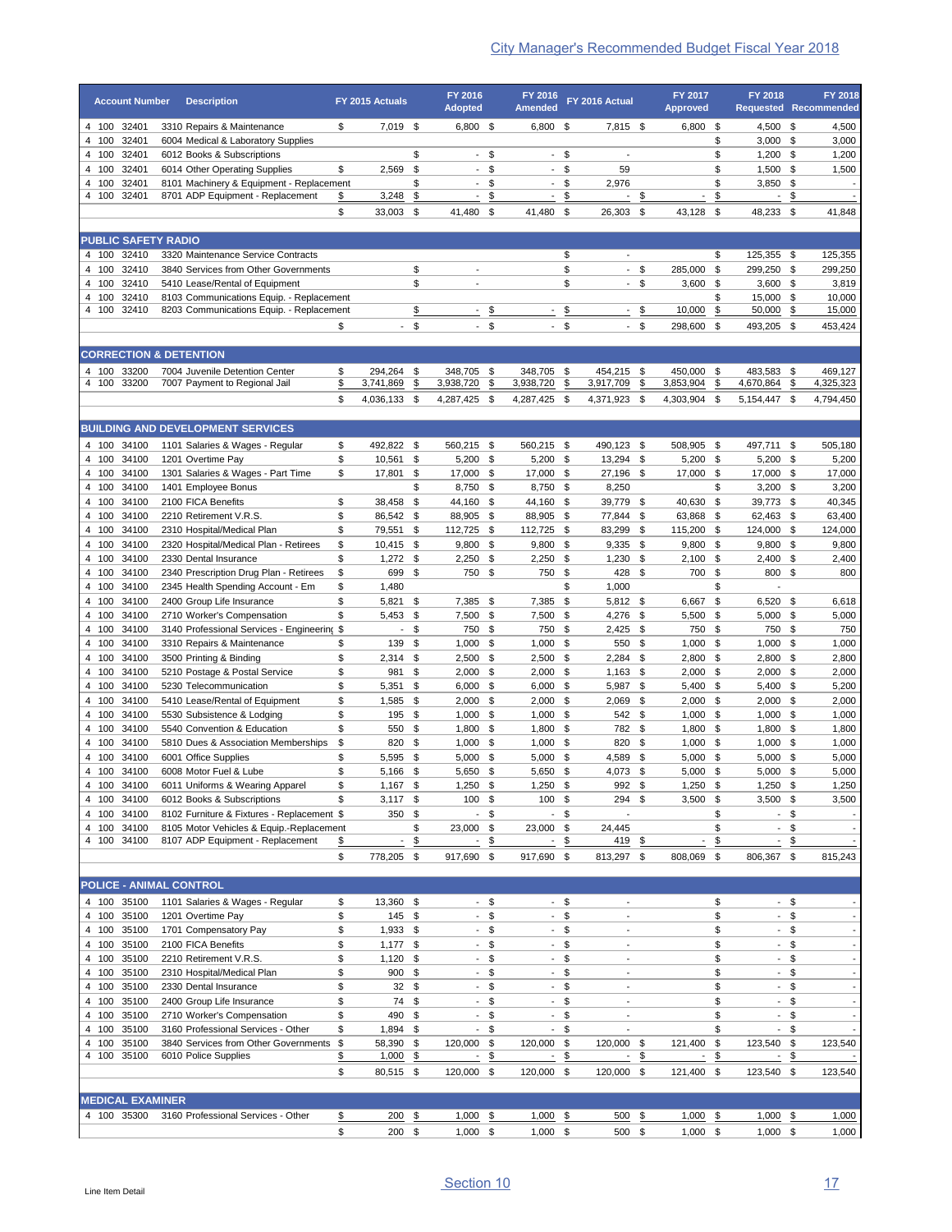| <b>Account Number</b>            | <b>Description</b>                                                           |               | FY 2015 Actuals          |               | FY 2016<br><b>Adopted</b>                     |                | FY 2016<br><b>Amended</b>                            |              | FY 2016 Actual                   |           | FY 2017<br><b>Approved</b> |                     | FY 2018<br><b>Requested Recommended</b> |           | <b>FY 2018</b>       |
|----------------------------------|------------------------------------------------------------------------------|---------------|--------------------------|---------------|-----------------------------------------------|----------------|------------------------------------------------------|--------------|----------------------------------|-----------|----------------------------|---------------------|-----------------------------------------|-----------|----------------------|
| 32401<br>4 100                   | 3310 Repairs & Maintenance                                                   | \$            | 7.019 \$                 |               | 6,800 \$                                      |                | 6,800 \$                                             |              | 7,815 \$                         |           | 6,800 \$                   |                     | 4,500 \$                                |           | 4,500                |
| 4 100<br>32401                   | 6004 Medical & Laboratory Supplies                                           |               |                          |               |                                               |                |                                                      |              |                                  |           |                            | \$                  | $3,000$ \$                              |           | 3,000                |
| 4 100<br>32401                   | 6012 Books & Subscriptions                                                   |               |                          | \$            | $\mathcal{L}_{\mathcal{A}}$                   | \$             | $\sim$                                               | \$           | $\overline{\phantom{a}}$         |           |                            | \$                  | $1,200$ \$                              |           | 1,200                |
| 32401<br>4 100                   | 6014 Other Operating Supplies                                                | \$            | 2,569                    | \$            | $\sim$                                        | \$             | $\blacksquare$                                       | \$           | 59                               |           |                            | \$                  | 1,500                                   | -\$       | 1,500                |
| 32401<br>100                     | 8101 Machinery & Equipment - Replacement                                     |               |                          | \$            | $\blacksquare$                                | \$             | $\blacksquare$                                       | \$           | 2,976                            |           |                            | \$                  | $3,850$ \$                              |           |                      |
| 100<br>32401                     | 8701 ADP Equipment - Replacement                                             | \$            | 3,248                    | \$            | $\overline{\phantom{a}}$                      | \$             | $\overline{\phantom{a}}$                             | \$           |                                  | \$        | $\overline{\phantom{a}}$   | \$                  |                                         | \$        |                      |
|                                  |                                                                              | \$            | 33,003                   | \$            | 41,480                                        | \$             | 41,480                                               | \$           | 26,303                           | \$        | 43,128                     | \$                  | 48,233 \$                               |           | 41,848               |
|                                  | <b>PUBLIC SAFETY RADIO</b>                                                   |               |                          |               |                                               |                |                                                      |              |                                  |           |                            |                     |                                         |           |                      |
| 4 100<br>32410                   | 3320 Maintenance Service Contracts                                           |               |                          |               |                                               |                |                                                      | \$           | $\overline{\phantom{a}}$         |           |                            | \$                  | 125,355                                 | \$        | 125,355              |
| 32410<br>4 100                   | 3840 Services from Other Governments                                         |               |                          | \$            |                                               |                |                                                      | \$           | $\overline{\phantom{0}}$         | - \$      | 285,000                    | \$                  | 299,250 \$                              |           | 299,250              |
| 32410<br>100                     | 5410 Lease/Rental of Equipment                                               |               |                          | \$            | $\overline{a}$                                |                |                                                      | \$           | $-$ \$                           |           | 3,600                      | \$                  | 3,600                                   | \$        | 3,819                |
| 32410<br>100                     | 8103 Communications Equip. - Replacement                                     |               |                          |               |                                               |                |                                                      |              |                                  |           |                            | \$                  | 15,000                                  | -\$       | 10,000               |
| 100<br>32410                     | 8203 Communications Equip. - Replacement                                     | \$            |                          | \$<br>- \$    | $\overline{a}$<br>$\mathcal{L}_{\mathcal{A}}$ | \$<br>\$       | $\overline{\phantom{a}}$<br>$\overline{\phantom{a}}$ | \$<br>\$     | $\overline{\phantom{a}}$<br>- \$ | \$        | 10,000<br>298,600          | \$<br>\$            | 50,000<br>493,205 \$                    | \$        | 15,000<br>453,424    |
|                                  |                                                                              |               |                          |               |                                               |                |                                                      |              |                                  |           |                            |                     |                                         |           |                      |
|                                  | <b>CORRECTION &amp; DETENTION</b>                                            |               |                          |               |                                               |                |                                                      |              |                                  |           |                            |                     |                                         |           |                      |
| 4 100<br>33200<br>4 100<br>33200 | 7004 Juvenile Detention Center<br>7007 Payment to Regional Jail              | \$<br>\$      | 294,264<br>3,741,869     | -\$<br>\$     | 348.705<br>3,938,720                          | -\$<br>\$      | 348,705 \$<br>3,938,720                              | \$           | 454,215 \$<br>3,917,709          | \$        | 450,000 \$<br>3,853,904    | \$                  | 483,583 \$<br>4,670,864                 | \$        | 469,127<br>4,325,323 |
|                                  |                                                                              | \$            | 4,036,133                | - \$          | 4,287,425                                     | -\$            | 4,287,425 \$                                         |              | 4,371,923 \$                     |           | 4,303,904                  | \$                  | 5,154,447 \$                            |           | 4,794,450            |
|                                  |                                                                              |               |                          |               |                                               |                |                                                      |              |                                  |           |                            |                     |                                         |           |                      |
|                                  | <b>BUILDING AND DEVELOPMENT SERVICES</b><br>1101 Salaries & Wages - Regular  |               |                          |               |                                               |                | 560,215 \$                                           |              | 490,123 \$                       |           |                            |                     |                                         |           |                      |
| 4 100 34100<br>4 100<br>34100    |                                                                              | \$            | 492,822                  | - \$          | 560,215 \$                                    |                |                                                      |              | 13,294 \$                        |           | 508,905 \$<br>5,200 \$     |                     | 497,711 \$                              |           | 505,180              |
| 34100                            | 1201 Overtime Pay<br>1301 Salaries & Wages - Part Time                       | \$<br>\$      | 10,561<br>17,801         | \$<br>\$      | 5,200 \$                                      |                | 5,200 \$                                             |              |                                  |           |                            |                     | $5,200$ \$                              |           |                      |
| 100<br>34100<br>100              | 1401 Employee Bonus                                                          |               |                          | \$            | 17,000 \$<br>8,750 \$                         |                | 17,000 \$<br>8,750 \$                                |              | 27,196 \$<br>8,250               |           | 17,000 \$                  | \$                  | 17,000 \$<br>$3,200$ \$                 |           | 17,000               |
| 34100<br>100                     | 2100 FICA Benefits                                                           | \$            | 38,458                   | \$            | 44,160 \$                                     |                | 44,160 \$                                            |              | 39,779                           | - \$      | 40,630 \$                  |                     | 39,773 \$                               |           | 40,345               |
| 34100<br>100                     | 2210 Retirement V.R.S.                                                       | \$            | 86,542                   | - \$          | 88,905 \$                                     |                | 88,905 \$                                            |              | 77,844                           | -\$       | 63,868                     | \$                  | 62,463                                  | \$        | 63,400               |
| 34100<br>100                     | 2310 Hospital/Medical Plan                                                   | \$            | 79,551                   | \$            | 112,725                                       | \$             | 112,725 \$                                           |              | 83,299                           | - \$      | 115,200                    | \$                  | 124,000                                 | \$        | 124,000              |
| 34100<br>100                     | 2320 Hospital/Medical Plan - Retirees                                        | \$            | 10,415                   | \$            | 9,800                                         | \$             | 9,800                                                | \$           | 9,335                            | \$        | 9,800                      | \$                  | 9,800                                   | \$        |                      |
| 34100<br>100                     | 2330 Dental Insurance                                                        | \$            | 1,272                    | -\$           | 2,250                                         | \$             | 2,250                                                | \$           | 1,230                            | -\$       | $2,100$ \$                 |                     | 2,400                                   | \$        |                      |
| 34100<br>100                     | 2340 Prescription Drug Plan - Retirees                                       | \$            | 699                      | \$            | 750                                           | \$             | 750                                                  | \$           | 428                              | \$        | 700                        | \$                  | 800                                     | \$        |                      |
| 34100<br>100                     | 2345 Health Spending Account - Em                                            | \$            | 1,480                    |               |                                               |                |                                                      | \$           | 1,000                            |           |                            | \$                  |                                         |           |                      |
| 34100<br>100                     | 2400 Group Life Insurance                                                    | \$            | 5,821                    | \$            | 7,385                                         | \$             | 7,385                                                | - \$         | 5,812 \$                         |           | 6,667                      | \$                  | 6,520                                   | \$        |                      |
| 4 100<br>34100                   | 2710 Worker's Compensation                                                   | \$            | 5,453                    | -\$           | 7,500 \$                                      |                | 7,500                                                | - \$         | 4,276 \$                         |           | 5,500                      | \$                  | $5,000$ \$                              |           |                      |
| 100<br>34100                     | 3140 Professional Services - Engineering \$                                  |               | $\overline{\phantom{a}}$ | \$            | 750                                           | - \$           | 750                                                  | \$           | $2,425$ \$                       |           | 750                        | \$                  | 750                                     | - \$      |                      |
| 4 100<br>34100                   | 3310 Repairs & Maintenance                                                   | \$            | 139                      | \$            | 1,000                                         | - \$           | 1,000                                                | - \$         | 550                              | -\$       | 1,000                      | \$                  | 1,000                                   | -\$       |                      |
| 34100<br>100                     | 3500 Printing & Binding                                                      | \$            | 2,314                    | \$            | 2,500                                         | \$             | 2,500                                                | \$           | 2,284                            | \$        | 2,800                      | \$                  | 2,800                                   | - \$      |                      |
| 4 100<br>34100                   | 5210 Postage & Postal Service                                                | \$            | 981                      | \$            | 2,000                                         | - \$           | 2,000                                                | - \$         | $1,163$ \$                       |           | 2,000                      | \$                  | $2,000$ \$                              |           |                      |
| 34100<br>100                     | 5230 Telecommunication                                                       | \$            | 5,351                    | \$            | $6,000$ \$                                    |                | $6,000$ \$                                           |              | 5,987                            | -\$       | 5,400                      | \$                  | 5,400 \$                                |           |                      |
| 34100<br>4 100                   | 5410 Lease/Rental of Equipment                                               | \$            | 1,585                    | \$            | $2,000$ \$                                    |                | $2,000$ \$                                           |              | $2,069$ \$                       |           | 2,000                      | \$                  | $2,000$ \$                              |           |                      |
| 34100<br>100                     | 5530 Subsistence & Lodging                                                   | \$            | 195                      | \$            | 1,000                                         | - \$           | 1,000                                                | \$           | 542                              | - \$      | 1,000                      | \$                  | 1,000                                   | - \$      |                      |
| 4 100 34100                      | 5540 Convention & Education                                                  | \$            | 550                      | \$            | 1,800 \$                                      |                | $1,800$ \$                                           |              | 782 \$                           |           | 1,800                      | \$                  | 1,800 \$                                |           |                      |
| 100 34100                        | 5810 Dues & Association Memberships                                          |               | 820 \$                   |               | 1,000 \$                                      |                | $1,000$ \$                                           |              | 820 \$                           |           | $1,000$ \$                 |                     | 1,000 \$                                |           |                      |
| 4 100 34100                      | 6001 Office Supplies                                                         | \$            | 5,595 \$                 |               | $5,000$ \$                                    |                | $5,000$ \$                                           |              | 4,589 \$                         |           | $5,000$ \$                 |                     | $5,000$ \$                              |           |                      |
| 4 100 34100                      | 6008 Motor Fuel & Lube                                                       | \$            | 5,166 \$                 |               | 5,650 \$                                      |                | 5,650 \$                                             |              | 4,073 \$                         |           | $5,000$ \$                 |                     | $5,000$ \$                              |           |                      |
| 4 100 34100                      | 6011 Uniforms & Wearing Apparel                                              | \$            | $1,167$ \$               |               | $1,250$ \$                                    |                | $1,250$ \$                                           |              | 992 \$                           |           | $1,250$ \$                 |                     | $1,250$ \$                              |           |                      |
| 4 100 34100                      | 6012 Books & Subscriptions                                                   | \$            | $3,117$ \$               |               | 100 \$                                        |                | 100 \$                                               |              | 294 \$                           |           | $3,500$ \$                 |                     | $3,500$ \$                              |           |                      |
| 4 100<br>34100                   | 8102 Furniture & Fixtures - Replacement \$                                   |               | 350 \$                   |               | $\sim$                                        | \$             |                                                      | $-$ \$       |                                  |           |                            | \$                  | $-$ \$                                  |           |                      |
| 34100<br>4 100<br>4 100 34100    | 8105 Motor Vehicles & Equip.-Replacement<br>8107 ADP Equipment - Replacement | \$            | $\overline{\phantom{a}}$ | \$            | 23,000 \$                                     |                | 23,000 \$                                            |              | 24,445<br>419 \$                 |           | $\overline{\phantom{a}}$   | \$<br>$\frac{1}{2}$ | - \$<br>$\sim$                          |           |                      |
|                                  |                                                                              | \$            | 778,205 \$               | $\frac{1}{2}$ | ÷<br>917,690 \$                               | $\frac{3}{2}$  | 917,690 \$                                           | <u>- \$</u>  | 813,297 \$                       |           | 808,069 \$                 |                     | 806,367 \$                              | <u>\$</u> | 815,243              |
|                                  |                                                                              |               |                          |               |                                               |                |                                                      |              |                                  |           |                            |                     |                                         |           |                      |
|                                  | <b>POLICE - ANIMAL CONTROL</b>                                               |               |                          |               |                                               |                |                                                      |              |                                  |           |                            |                     |                                         |           |                      |
| 4 100 35100                      | 1101 Salaries & Wages - Regular                                              | \$            | 13,360 \$                |               |                                               | $-$ \$         |                                                      | $-$ \$       | $\overline{\phantom{a}}$         |           |                            | \$                  | - \$                                    |           |                      |
| 4 100 35100                      | 1201 Overtime Pay                                                            | \$            | 145 \$                   |               |                                               | $-$ \$         |                                                      | $-$ \$       | $\overline{\phantom{a}}$         |           |                            | \$                  | $-$ \$                                  |           |                      |
| 4 100 35100<br>4 100 35100       | 1701 Compensatory Pay<br>2100 FICA Benefits                                  | \$<br>\$      | $1,933$ \$               |               |                                               | $-$ \$<br>- \$ | $\sim$                                               | $-$ \$       | $\blacksquare$<br>$\blacksquare$ |           |                            | \$<br>\$            | $-$ \$                                  |           |                      |
| 4 100<br>35100                   | 2210 Retirement V.R.S.                                                       | \$            | $1,177$ \$<br>$1,120$ \$ |               |                                               | - \$           |                                                      | \$<br>$-$ \$ | $\blacksquare$                   |           |                            | \$                  | $-$ \$<br>$-$ \$                        |           |                      |
| 35100<br>4 100                   | 2310 Hospital/Medical Plan                                                   | \$            | 900 \$                   |               | $-$ \$                                        |                | $\sim$                                               | \$           | $\overline{\phantom{a}}$         |           |                            | \$                  | $-$ \$                                  |           |                      |
| 35100<br>4 100                   | 2330 Dental Insurance                                                        | \$            | $32 \quad$               |               | $-$ \$                                        |                |                                                      | $-$ \$       | $\overline{a}$                   |           |                            | \$                  | - \$                                    |           |                      |
| 35100<br>4 100                   | 2400 Group Life Insurance                                                    | \$            | 74 \$                    |               | $-$ \$                                        |                | $\sim$                                               | \$           | $\overline{\phantom{a}}$         |           |                            | \$                  | $-$ \$                                  |           |                      |
| 4 100<br>35100                   | 2710 Worker's Compensation                                                   | \$            | 490 \$                   |               |                                               | - \$           |                                                      | - \$         |                                  |           |                            | \$                  | - \$                                    |           |                      |
| 35100<br>4 100                   | 3160 Professional Services - Other                                           | \$            | 1,894 \$                 |               |                                               | $-$ \$         |                                                      | $-$ \$       | $\overline{a}$                   |           |                            | \$                  | $-$ \$                                  |           |                      |
| 4 100<br>35100                   | 3840 Services from Other Governments                                         | \$            | 58,390 \$                |               | 120,000 \$                                    |                | 120,000 \$                                           |              | 120,000 \$                       |           | 121,400                    | \$                  | 123,540 \$                              |           | 123,540              |
| 4 100 35100                      | 6010 Police Supplies                                                         | \$            | $1,000$ \$               |               | $\sim$                                        | \$             | $\overline{\phantom{a}}$                             | \$           | $\overline{\phantom{a}}$         | <u>\$</u> | $\overline{\phantom{a}}$   | $\frac{1}{2}$       |                                         | <u>\$</u> |                      |
|                                  |                                                                              | \$            | 80,515 \$                |               | 120,000 \$                                    |                | 120,000 \$                                           |              | 120,000 \$                       |           | 121,400 \$                 |                     | 123,540 \$                              |           | 123,540              |
| <b>MEDICAL EXAMINER</b>          |                                                                              |               |                          |               |                                               |                |                                                      |              |                                  |           |                            |                     |                                         |           |                      |
| 4 100 35300                      | 3160 Professional Services - Other                                           | $\frac{1}{2}$ | 200 \$                   |               | $1,000$ \$                                    |                | $1,000$ \$                                           |              | 500 \$                           |           | 1,000                      | \$                  | $1,000$ \$                              |           |                      |
|                                  |                                                                              | \$            | 200 \$                   |               | $1,000$ \$                                    |                | $1,000$ \$                                           |              | 500 \$                           |           | $1,000$ \$                 |                     | $1,000$ \$                              |           | 1,000<br>1,000       |
|                                  |                                                                              |               |                          |               |                                               |                |                                                      |              |                                  |           |                            |                     |                                         |           |                      |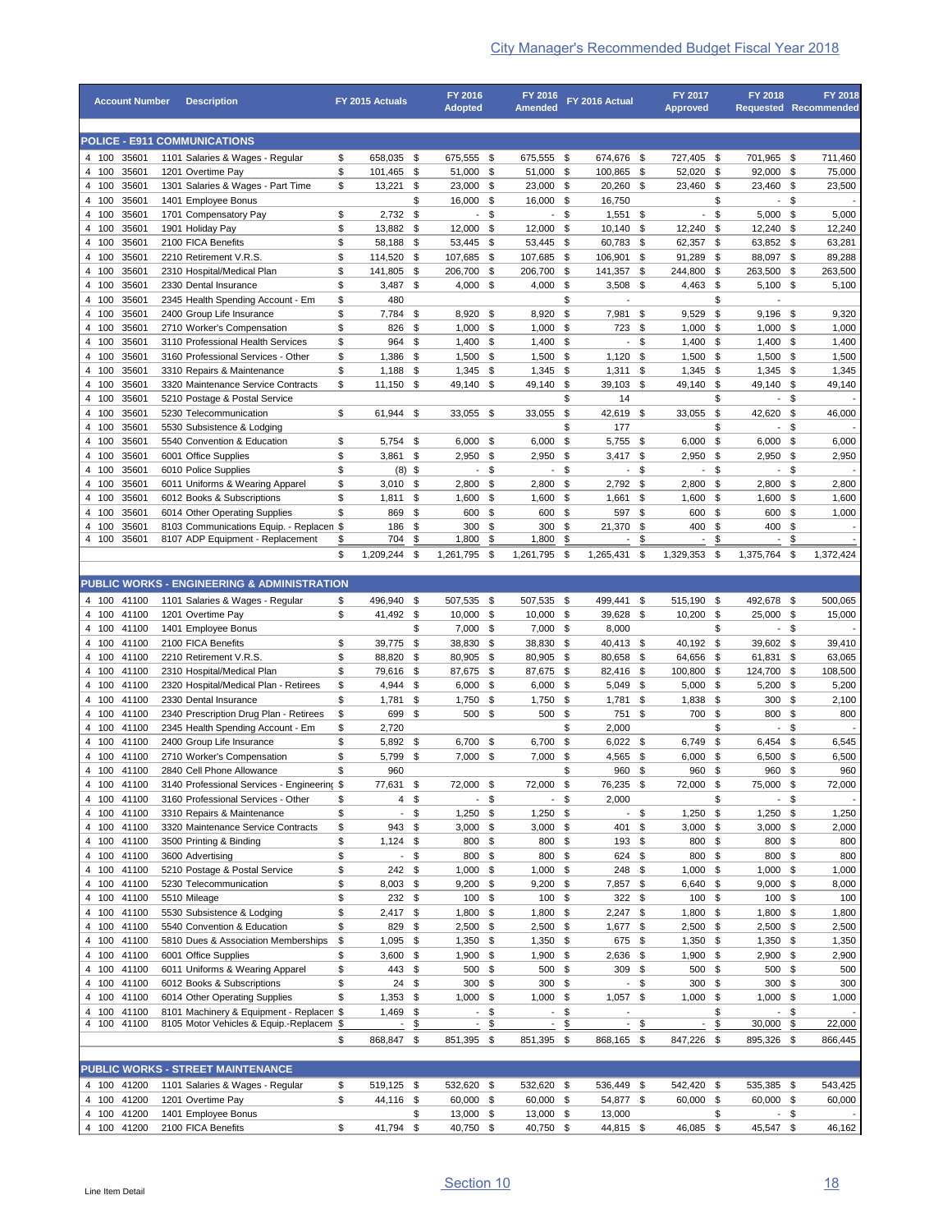| <b>Account Number</b>                     | <b>Description</b>                                                        | FY 2015 Actuals |                          |           | FY 2016<br><b>Adopted</b> |               | FY 2016<br><b>Amended</b>   |          | FY 2016 Actual           |           | FY 2017<br><b>Approved</b> |          | FY 2018                  |              | <b>FY 2018</b><br><b>Requested Recommended</b> |
|-------------------------------------------|---------------------------------------------------------------------------|-----------------|--------------------------|-----------|---------------------------|---------------|-----------------------------|----------|--------------------------|-----------|----------------------------|----------|--------------------------|--------------|------------------------------------------------|
|                                           |                                                                           |                 |                          |           |                           |               |                             |          |                          |           |                            |          |                          |              |                                                |
| 4 100 35601                               | <b>POLICE - E911 COMMUNICATIONS</b><br>1101 Salaries & Wages - Regular    | \$              | 658,035 \$               |           | 675,555 \$                |               | 675,555 \$                  |          | 674,676 \$               |           | 727,405 \$                 |          | 701,965 \$               |              | 711,460                                        |
| 4 100 35601                               | 1201 Overtime Pay                                                         | \$              | 101,465                  | - \$      | 51,000 \$                 |               | 51,000 \$                   |          | 100,865 \$               |           | 52,020                     | - \$     | 92,000 \$                |              | 75,000                                         |
| 4 100<br>35601                            | 1301 Salaries & Wages - Part Time                                         | \$              | 13,221 \$                |           | 23,000 \$                 |               | 23,000 \$                   |          | 20,260 \$                |           | 23,460                     | - \$     | 23,460 \$                |              | 23,500                                         |
| 4 100<br>35601<br>4 100<br>35601          | 1401 Employee Bonus<br>1701 Compensatory Pay                              |                 | 2,732                    | \$<br>\$  | 16,000 \$                 | - \$          | 16,000 \$<br>$\blacksquare$ | -\$      | 16,750<br>1,551          |           | $\blacksquare$             | \$<br>\$ |                          | - \$         | $\overline{\phantom{a}}$<br>5,000              |
| 35601<br>4 100                            | 1901 Holiday Pay                                                          | \$<br>\$        | 13,882                   | \$        | 12,000                    | - \$          | 12,000 \$                   |          | 10,140                   | \$<br>\$  | 12,240                     | \$       | $5,000$ \$<br>12,240 \$  |              | 12,240                                         |
| 35601<br>4 100                            | 2100 FICA Benefits                                                        | \$              | 58,188                   | - \$      | 53,445 \$                 |               | 53,445 \$                   |          | 60,783 \$                |           | 62,357                     | \$       | 63,852 \$                |              | 63,281                                         |
| 4 100<br>35601                            | 2210 Retirement V.R.S.                                                    | \$              | 114,520 \$               |           | 107,685 \$                |               | 107,685 \$                  |          | 106,901 \$               |           | 91,289                     | - \$     | 88,097 \$                |              | 89,288                                         |
| 35601<br>4 100                            | 2310 Hospital/Medical Plan                                                | \$              | 141,805                  | - \$      | 206,700 \$                |               | 206,700 \$                  |          | 141,357                  | \$        | 244,800                    | \$       | 263,500 \$               |              | 263,500                                        |
| 35601<br>4 100                            | 2330 Dental Insurance                                                     | \$              | 3,487                    | \$        | 4,000 \$                  |               | $4,000$ \$                  |          | $3,508$ \$               |           | 4,463                      | \$       | $5,100$ \$               |              | 5,100                                          |
| 4 100<br>35601<br>4 100<br>35601          | 2345 Health Spending Account - Em<br>2400 Group Life Insurance            | \$<br>\$        | 480<br>7,784 \$          |           | 8,920 \$                  |               | 8,920 \$                    | \$       | 7,981 \$                 |           | 9,529                      | \$<br>\$ | $9,196$ \$               |              | 9,320                                          |
| 4 100<br>35601                            | 2710 Worker's Compensation                                                | \$              | 826                      | - \$      | $1,000$ \$                |               | $1,000$ \$                  |          | 723 \$                   |           | 1,000                      | \$       | $1,000$ \$               |              | 1,000                                          |
| 4 100<br>35601                            | 3110 Professional Health Services                                         | \$              | 964                      | \$        | $1,400$ \$                |               | $1,400$ \$                  |          | $-$ \$                   |           | 1,400                      | \$       | $1,400$ \$               |              | 1,400                                          |
| 4 100<br>35601                            | 3160 Professional Services - Other                                        | \$              | 1,386                    | - \$      | $1,500$ \$                |               | 1,500                       | \$       | $1,120$ \$               |           | 1,500                      | \$       | $1,500$ \$               |              | 1,500                                          |
| 4 100<br>35601                            | 3310 Repairs & Maintenance                                                | \$              | 1,188                    | \$        | $1,345$ \$                |               | $1,345$ \$                  |          | $1,311$ \$               |           | 1,345                      | \$       | $1,345$ \$               |              | 1,345                                          |
| 4 100<br>35601                            | 3320 Maintenance Service Contracts                                        | \$              | 11,150                   | -\$       | 49,140 \$                 |               | 49,140                      | \$       | 39,103                   | \$        | 49,140                     | \$       | 49,140 \$                |              | 49,140                                         |
| 4 100<br>35601<br>4 100<br>35601          | 5210 Postage & Postal Service<br>5230 Telecommunication                   | \$              | 61,944                   | \$        | 33,055 \$                 |               | 33,055                      | \$<br>\$ | 14<br>42,619 \$          |           | 33,055                     | \$<br>\$ | $\sim$<br>42,620         | \$<br>\$     | $\overline{\phantom{a}}$<br>46,000             |
| 35601<br>4 100                            | 5530 Subsistence & Lodging                                                |                 |                          |           |                           |               |                             | \$       | 177                      |           |                            | \$       |                          | - \$         |                                                |
| 35601<br>4 100                            | 5540 Convention & Education                                               | \$              | 5,754                    | \$        | 6,000                     | \$            | 6,000                       | \$       | 5,755 \$                 |           | 6,000                      | \$       | 6,000                    | \$           | 6,000                                          |
| 35601<br>4 100                            | 6001 Office Supplies                                                      | \$              | 3,861                    | - \$      | 2,950                     | \$            | 2,950                       | \$       | $3,417$ \$               |           | 2,950                      | \$       | 2,950                    | - \$         | 2,950                                          |
| 4 100<br>35601                            | 6010 Police Supplies                                                      | \$              | $(8)$ \$                 |           | $\blacksquare$            | \$            | $\overline{\phantom{a}}$    | \$       | $-$ \$                   |           | $\overline{\phantom{a}}$   | \$       | $\sim$                   | \$           |                                                |
| 4 100<br>35601                            | 6011 Uniforms & Wearing Apparel                                           | \$              | $3,010$ \$               |           | 2,800                     | \$            | 2,800                       | \$       | 2,792 \$                 |           | 2,800                      | \$       | 2,800                    | \$           | 2,800                                          |
| 4 100<br>35601                            | 6012 Books & Subscriptions                                                | \$              | 1,811                    | \$        | 1,600                     | - \$          | 1,600                       | \$       | 1,661                    | \$        | 1,600                      | \$       | 1,600                    | \$           | 1,600                                          |
| 4 100<br>35601<br>4 100<br>35601          | 6014 Other Operating Supplies<br>8103 Communications Equip. - Replacen \$ | \$              | 869<br>186               | \$<br>\$  | 600<br>300                | -\$<br>\$     | 600 \$<br>300               | \$       | 597<br>21,370            | \$<br>\$  | 600<br>400                 | \$<br>\$ | 600<br>400               | \$<br>\$     | 1,000<br>$\sim$                                |
| 4 100<br>35601                            | 8107 ADP Equipment - Replacement                                          | \$              | 704                      | \$        | 1,800                     | \$            | 1,800                       | \$       |                          | <u>\$</u> |                            | \$       | $\overline{\phantom{a}}$ | \$           |                                                |
|                                           |                                                                           | \$<br>1,209,244 |                          | - \$      | 1,261,795                 | \$            | 1,261,795                   | \$       | 1,265,431                | \$        | 1,329,353                  | \$       | 1,375,764                | \$           | 1,372,424                                      |
|                                           |                                                                           |                 |                          |           |                           |               |                             |          |                          |           |                            |          |                          |              |                                                |
|                                           | <b>PUBLIC WORKS - ENGINEERING &amp; ADMINISTRATION</b>                    |                 |                          |           |                           |               |                             |          |                          |           |                            |          |                          |              |                                                |
| 4 100 41100                               | 1101 Salaries & Wages - Regular                                           | \$              | 496,940 \$               |           | 507,535 \$                |               | 507,535 \$                  |          | 499,441 \$               |           | 515,190                    | \$       | 492,678 \$               |              | 500,065                                        |
| 4 100 41100                               | 1201 Overtime Pay                                                         | \$              | 41,492                   | - \$      | 10,000 \$                 |               | 10,000 \$                   |          | 39,628 \$                |           | 10,200                     | \$       | 25,000                   | -\$          | 15,000<br>$\overline{a}$                       |
| 4 100<br>41100<br>4 100<br>41100          | 1401 Employee Bonus<br>2100 FICA Benefits                                 | \$              | 39,775 \$                | \$        | $7,000$ \$<br>38,830 \$   |               | 7,000<br>38,830 \$          | \$       | 8,000<br>40,413 \$       |           | 40,192                     | \$<br>\$ | $\sim$<br>39,602 \$      | \$           | 39,410                                         |
| 4 100<br>41100                            | 2210 Retirement V.R.S.                                                    | \$              | 88,820                   | \$        | 80,905 \$                 |               | 80,905                      | \$       | 80,658                   | \$        | 64,656                     | - \$     | 61,831                   | \$           | 63,065                                         |
| 4 100<br>41100                            | 2310 Hospital/Medical Plan                                                | \$              | 79,616 \$                |           | 87,675 \$                 |               | 87,675 \$                   |          | 82,416 \$                |           | 100,800                    | \$       | 124,700 \$               |              | 108,500                                        |
| 4 100<br>41100                            | 2320 Hospital/Medical Plan - Retirees                                     | \$              | 4,944 \$                 |           | $6,000$ \$                |               | $6,000$ \$                  |          | 5,049                    | \$        | 5,000                      | \$       | 5,200                    | - \$         | 5,200                                          |
| 4 100<br>41100                            | 2330 Dental Insurance                                                     | \$              | 1,781                    | \$        | 1,750 \$                  |               | $1,750$ \$                  |          | 1,781                    | \$        | 1,838                      | \$       | 300                      | - \$         | 2,100                                          |
| 4 100<br>41100                            | 2340 Prescription Drug Plan - Retirees                                    | \$              | 699                      | \$        | 500 \$                    |               | 500                         | - \$     | 751                      | \$        | 700                        | \$       | 800                      | \$           | 800                                            |
| 4 100 41100<br>4 100 41100                | 2345 Health Spending Account - Em<br>2400 Group Life Insurance            | \$<br>\$        | 2,720<br>5,892 \$        |           | 6,700 \$                  |               | 6,700 \$                    | \$       | 2,000<br>$6,022$ \$      |           | 6,749 \$                   | \$       | 6,454                    | $-$ \$<br>\$ | 6,545                                          |
| 4 100 41100                               | 2710 Worker's Compensation                                                | \$              | 5,799 \$                 |           | 7,000 \$                  |               | 7,000 \$                    |          | $4,565$ \$               |           | 6,000 \$                   |          | $6,500$ \$               |              | 6,500                                          |
| 4 100 41100                               | 2840 Cell Phone Allowance                                                 | \$              | 960                      |           |                           |               |                             | \$       | 960 \$                   |           | 960 \$                     |          | 960 \$                   |              | 960                                            |
| 4 100 41100                               | 3140 Professional Services - Engineering \$                               |                 | 77,631 \$                |           | 72,000 \$                 |               | 72,000 \$                   |          | 76,235 \$                |           | 72,000 \$                  |          | 75,000 \$                |              | 72,000                                         |
| 4 100 41100                               | 3160 Professional Services - Other                                        | \$              |                          | $4 \quad$ |                           | - \$          |                             | $-$ \$   | 2,000                    |           |                            | \$       |                          | - \$         | $\overline{\phantom{a}}$                       |
| 4 100 41100                               | 3310 Repairs & Maintenance                                                | \$              |                          | - \$      | $1,250$ \$                |               | $1,250$ \$                  |          | $-$ \$                   |           | 1,250                      | \$       | $1,250$ \$               |              | 1,250                                          |
| 4 100 41100                               | 3320 Maintenance Service Contracts                                        | \$              | 943 \$                   |           | $3,000$ \$                |               | $3,000$ \$                  |          | 401 \$                   |           | 3,000                      | \$       | $3,000$ \$               |              | 2,000                                          |
| 4 100 41100<br>4 100 41100                | 3500 Printing & Binding<br>3600 Advertising                               | \$<br>\$        | $1,124$ \$               | - \$      | 800 \$<br>800 \$          |               | 800 \$<br>800 \$            |          | 193 \$<br>624 \$         |           | 800<br>800                 | \$<br>\$ | 800 \$<br>800 \$         |              | 800<br>800                                     |
| 4 100 41100                               | 5210 Postage & Postal Service                                             | \$              | 242                      | - \$      | $1,000$ \$                |               | $1,000$ \$                  |          | 248 \$                   |           | 1,000                      | \$       | $1,000$ \$               |              | 1,000                                          |
| 4 100 41100                               | 5230 Telecommunication                                                    | \$              | $8,003$ \$               |           | $9,200$ \$                |               | $9,200$ \$                  |          | 7,857 \$                 |           | 6,640                      | \$       | $9,000$ \$               |              | 8,000                                          |
| 4 100 41100                               | 5510 Mileage                                                              | \$              | 232 \$                   |           | 100 \$                    |               | 100 \$                      |          | 322 \$                   |           | 100                        | \$       | $100*$                   |              | 100                                            |
| 4 100 41100                               | 5530 Subsistence & Lodging                                                | \$              | $2,417$ \$               |           | 1,800 \$                  |               | $1,800$ \$                  |          | $2,247$ \$               |           | $1,800$ \$                 |          | $1,800$ \$               |              | 1,800                                          |
| 41100<br>4 100                            | 5540 Convention & Education                                               | \$              | 829 \$                   |           | $2,500$ \$                |               | $2,500$ \$                  |          | $1,677$ \$               |           | 2,500 \$                   |          | $2,500$ \$               |              | 2,500                                          |
| 41100<br>4 100                            | 5810 Dues & Association Memberships                                       | \$              | $1,095$ \$               |           | $1,350$ \$                |               | $1,350$ \$                  |          | 675 \$                   |           | 1,350                      | \$       | $1,350$ \$               |              | 1,350                                          |
| 4 100 41100<br>4 100 41100                | 6001 Office Supplies<br>6011 Uniforms & Wearing Apparel                   | \$<br>\$        | $3,600$ \$<br>443 \$     |           | $1,900$ \$<br>500 \$      |               | $1,900$ \$<br>500 \$        |          | 2,636 \$<br>309 \$       |           | 1,900 \$<br>500            | \$       | $2,900$ \$<br>500 \$     |              | 2,900<br>500                                   |
| 4 100 41100                               | 6012 Books & Subscriptions                                                | \$              | $24$ \$                  |           | 300 \$                    |               | 300 \$                      |          | - \$                     |           | 300                        | \$       | 300 \$                   |              | 300                                            |
| 4 100 41100                               | 6014 Other Operating Supplies                                             | \$              | $1,353$ \$               |           | $1,000$ \$                |               | $1,000$ \$                  |          | $1,057$ \$               |           | $1,000$ \$                 |          | $1,000$ \$               |              | 1,000                                          |
| 4 100 41100                               | 8101 Machinery & Equipment - Replacen \$                                  |                 | $1,469$ \$               |           |                           | - \$          | $-$ \$                      |          | $\overline{a}$           |           |                            | \$       |                          | - \$         |                                                |
| 4 100 41100                               | 8105 Motor Vehicles & Equip.-Replacem \$                                  |                 | $\overline{\phantom{a}}$ | \$        | $\overline{\phantom{a}}$  | $\frac{1}{2}$ | $\overline{\phantom{a}}$    | \$       | $\overline{\phantom{a}}$ | \$        |                            | \$       | $30,000$ \$              |              | 22,000                                         |
|                                           |                                                                           | \$              | 868,847 \$               |           | 851,395 \$                |               | 851,395 \$                  |          | 868,165 \$               |           | 847,226                    | - \$     | 895,326 \$               |              | 866,445                                        |
|                                           | PUBLIC WORKS - STREET MAINTENANCE                                         |                 |                          |           |                           |               |                             |          |                          |           |                            |          |                          |              |                                                |
|                                           |                                                                           | \$              | 519,125 \$               |           | 532,620 \$                |               | 532,620 \$                  |          | 536,449 \$               |           | 542,420 \$                 |          | 535,385 \$               |              | 543,425                                        |
|                                           |                                                                           |                 |                          |           |                           |               | 60,000 \$                   |          | 54,877 \$                |           | 60,000 \$                  |          |                          |              | 60,000                                         |
|                                           | 1101 Salaries & Wages - Regular                                           |                 |                          |           |                           |               |                             |          |                          |           |                            |          |                          |              |                                                |
| 4 100 41200<br>4 100 41200<br>4 100 41200 | 1201 Overtime Pay<br>1401 Employee Bonus                                  | \$              | 44,116 \$                | \$        | 60,000 \$<br>13,000 \$    |               | 13,000 \$                   |          | 13,000                   |           |                            | \$       | 60,000 \$                | - \$         |                                                |
| 4 100 41200                               | 2100 FICA Benefits                                                        | \$              | 41,794 \$                |           | 40,750 \$                 |               | 40,750 \$                   |          | 44,815 \$                |           | 46,085 \$                  |          | 45,547 \$                |              | $\blacksquare$<br>46,162                       |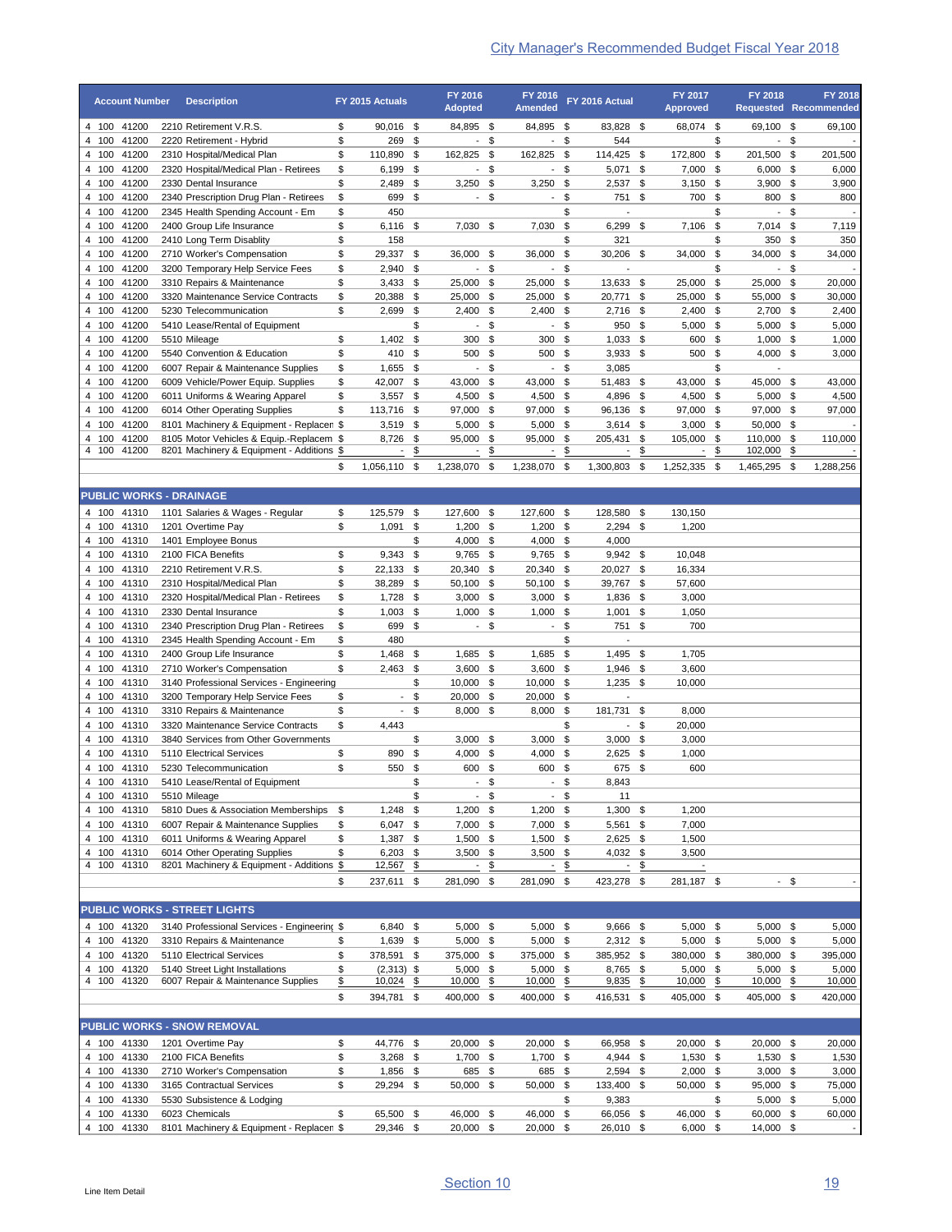|       |                            |                                                                       |                                                        |           |                                        |           |                                        |                |                                        |      |                          |            |                                       |          | <b>City Manager's Recommended Budget Fiscal Year 2018</b> |
|-------|----------------------------|-----------------------------------------------------------------------|--------------------------------------------------------|-----------|----------------------------------------|-----------|----------------------------------------|----------------|----------------------------------------|------|--------------------------|------------|---------------------------------------|----------|-----------------------------------------------------------|
|       | <b>Account Number</b>      | <b>Description</b>                                                    | FY 2015 Actuals                                        |           | FY 2016<br><b>Adopted</b>              |           | FY 2016<br><b>Amended</b>              |                | FY 2016 Actual                         |      | FY 2017<br>Approved      |            | FY 2018                               |          | FY 2018<br><b>Requested Recommended</b>                   |
|       | 4 100 41200                | 2210 Retirement V.R.S.                                                | \$<br>90,016 \$                                        |           | 84,895 \$                              |           | 84,895 \$                              |                | 83,828 \$                              |      | 68,074 \$                |            | 69,100 \$                             |          | 69,100                                                    |
|       | 4 100 41200<br>4 100 41200 | 2220 Retirement - Hybrid<br>2310 Hospital/Medical Plan                | \$<br>269<br>110,890<br>\$                             | \$<br>\$  | $\overline{\phantom{a}}$<br>162,825    | \$<br>-\$ | $\overline{\phantom{a}}$<br>162,825    | \$<br>\$       | 544<br>114,425 \$                      |      | 172,800                  | \$<br>\$   | $\sim$<br>201,500 \$                  | \$       | 201,500                                                   |
|       | 4 100 41200                | 2320 Hospital/Medical Plan - Retirees                                 | 6,199<br>\$                                            | \$        | $\blacksquare$                         | \$        | $\sim$                                 | -\$            | 5,071                                  | \$   | 7,000                    | \$         | $6,000$ \$                            |          | 6,000                                                     |
|       | 4 100 41200                | 2330 Dental Insurance                                                 | \$<br>2,489                                            | \$        | 3,250                                  | - \$      | $3,250$ \$                             |                | $2,537$ \$                             |      | $3,150$ \$               |            | $3,900$ \$                            |          | 3,900                                                     |
|       | 4 100 41200                | 2340 Prescription Drug Plan - Retirees                                | 699<br>\$                                              | \$        | $\overline{\phantom{a}}$               | \$        | $\blacksquare$                         | \$             | 751                                    | \$   | 700                      | \$         | 800 \$                                |          | 800                                                       |
|       | 4 100 41200<br>4 100 41200 | 2345 Health Spending Account - Em<br>2400 Group Life Insurance        | \$<br>450<br>\$<br>6,116 \$                            |           | 7,030 \$                               |           | 7,030                                  | \$<br>\$       | $\overline{\phantom{a}}$<br>6,299      | \$   | 7,106                    | \$<br>\$   | $\sim$<br>7,014                       | \$<br>\$ | 7,119                                                     |
|       | 4 100 41200                | 2410 Long Term Disablity                                              | \$<br>158                                              |           |                                        |           |                                        | \$             | 321                                    |      |                          | \$         | 350 \$                                |          | 350                                                       |
| 4 100 | 41200                      | 2710 Worker's Compensation                                            | \$<br>29,337                                           | \$        | 36,000                                 | \$        | 36,000                                 | \$             | 30,206 \$                              |      | 34,000                   | \$         | 34,000 \$                             |          | 34,000                                                    |
|       | 4 100 41200                | 3200 Temporary Help Service Fees                                      | \$<br>2,940                                            | \$        | $\overline{\phantom{a}}$               | \$        | $\overline{\phantom{a}}$               | \$             | $\overline{a}$                         |      |                          | \$         | $\sim$                                | \$       | $\overline{\phantom{a}}$                                  |
|       | 4 100 41200                | 3310 Repairs & Maintenance                                            | \$<br>3,433                                            | \$        | 25,000                                 | \$        | 25,000                                 | \$             | 13,633 \$                              |      | 25,000                   | \$         | 25,000                                | \$       | 20,000                                                    |
|       | 4 100 41200<br>4 100 41200 | 3320 Maintenance Service Contracts<br>5230 Telecommunication          | \$<br>20,388<br>\$<br>2,699                            | \$<br>\$  | 25,000 \$<br>2,400                     | \$        | 25,000 \$<br>2,400                     | \$             | 20,771<br>2,716 \$                     | \$   | 25,000<br>2,400          | \$<br>\$   | 55,000 \$<br>2,700 \$                 |          | 30,000<br>2,400                                           |
|       | 4 100 41200                | 5410 Lease/Rental of Equipment                                        |                                                        | \$        | $\overline{\phantom{a}}$               | \$        | $\overline{\phantom{a}}$               | \$             | 950 \$                                 |      | 5,000                    | \$         | $5,000$ \$                            |          | 5,000                                                     |
| 4 100 | 41200                      | 5510 Mileage                                                          | \$<br>1,402                                            | \$        | 300                                    | \$        | 300                                    | \$             | 1,033                                  | \$   | 600                      | \$         | $1,000$ \$                            |          | 1,000                                                     |
|       | 4 100 41200                | 5540 Convention & Education                                           | \$<br>410                                              | \$        | 500                                    | -\$       | 500                                    | \$             | $3,933$ \$                             |      | 500                      | \$         | $4,000$ \$                            |          | 3,000                                                     |
|       | 4 100 41200                | 6007 Repair & Maintenance Supplies                                    | \$<br>1,655                                            | - \$      | $\sim$                                 | \$        |                                        | - \$           | 3,085                                  |      |                          | \$         | $\overline{\phantom{a}}$<br>45,000 \$ |          |                                                           |
|       | 4 100 41200<br>4 100 41200 | 6009 Vehicle/Power Equip. Supplies<br>6011 Uniforms & Wearing Apparel | \$<br>42,007 \$<br>\$<br>3,557                         | - \$      | 43,000 \$<br>4,500 \$                  |           | 43,000 \$<br>4,500 \$                  |                | 51,483 \$<br>4,896                     | \$   | 43,000<br>4,500          | \$<br>- \$ | $5,000$ \$                            |          | 43,000<br>4,500                                           |
|       | 4 100 41200                | 6014 Other Operating Supplies                                         | \$<br>113,716 \$                                       |           | 97,000 \$                              |           | 97,000 \$                              |                | 96,136                                 | - \$ | 97,000                   | -\$        | 97,000 \$                             |          | 97,000                                                    |
|       | 4 100 41200                | 8101 Machinery & Equipment - Replacen \$                              | 3,519                                                  | - \$      | $5,000$ \$                             |           | 5,000                                  | - \$           | $3,614$ \$                             |      | 3,000                    | -\$        | 50,000 \$                             |          |                                                           |
| 4 100 | 41200                      | 8105 Motor Vehicles & Equip.-Replacem \$                              | 8,726                                                  | - \$      | 95,000                                 | - \$      | 95,000                                 | -\$            | 205,431 \$                             |      | 105,000                  | -\$        | 110,000 \$                            |          | 110,000                                                   |
|       | 4 100 41200                | 8201 Machinery & Equipment - Additions \$                             |                                                        | \$        | $\blacksquare$                         | \$        |                                        | \$             | $\overline{\phantom{a}}$               | \$   |                          | \$         | 102,000                               | \$       |                                                           |
|       |                            |                                                                       | \$<br>1,056,110 \$                                     |           | 1,238,070 \$                           |           | 1,238,070 \$                           |                | 1,300,803 \$                           |      | 1,252,335 \$             |            | 1,465,295 \$                          |          | 1,288,256                                                 |
|       |                            | <b>PUBLIC WORKS - DRAINAGE</b>                                        |                                                        |           |                                        |           |                                        |                |                                        |      |                          |            |                                       |          |                                                           |
|       | 4 100 41310                | 1101 Salaries & Wages - Regular                                       | \$<br>125,579                                          | -\$       | 127,600 \$                             |           | 127,600 \$                             |                | 128,580 \$                             |      | 130,150                  |            |                                       |          |                                                           |
|       | 4 100 41310<br>4 100 41310 | 1201 Overtime Pay<br>1401 Employee Bonus                              | \$<br>1,091                                            | \$<br>\$  | $1,200$ \$<br>4,000 \$                 |           | $1,200$ \$<br>$4,000$ \$               |                | $2,294$ \$<br>4,000                    |      | 1,200                    |            |                                       |          |                                                           |
|       | 4 100 41310                | 2100 FICA Benefits                                                    | \$<br>9,343                                            | -\$       | 9,765 \$                               |           | $9,765$ \$                             |                | 9,942 \$                               |      | 10,048                   |            |                                       |          |                                                           |
|       | 4 100 41310                | 2210 Retirement V.R.S.                                                | \$<br>22,133                                           | -\$       | 20,340 \$                              |           | 20,340 \$                              |                | 20,027                                 | \$   | 16,334                   |            |                                       |          |                                                           |
|       | 4 100 41310                | 2310 Hospital/Medical Plan                                            | \$<br>38,289                                           | -\$       | 50,100 \$                              |           | 50,100 \$                              |                | 39,767                                 | \$   | 57,600                   |            |                                       |          |                                                           |
|       | 4 100 41310                | 2320 Hospital/Medical Plan - Retirees                                 | \$<br>1,728                                            | -\$       | $3,000$ \$                             |           | $3,000$ \$                             |                | 1,836 \$                               |      | 3,000                    |            |                                       |          |                                                           |
|       | 4 100 41310<br>4 100 41310 | 2330 Dental Insurance<br>2340 Prescription Drug Plan - Retirees       | \$<br>1,003<br>\$<br>699                               | -\$<br>\$ | $1,000$ \$<br>$\overline{\phantom{a}}$ | -\$       | $1,000$ \$<br>$\overline{\phantom{a}}$ | \$             | $1,001$ \$<br>751                      | \$   | 1,050<br>700             |            |                                       |          |                                                           |
|       | 4 100 41310                | 2345 Health Spending Account - Em                                     | \$<br>480                                              |           |                                        |           |                                        | \$             |                                        |      |                          |            |                                       |          |                                                           |
|       | 4 100 41310                | 2400 Group Life Insurance                                             | \$<br>1,468                                            | \$        | 1,685 \$                               |           | 1,685 \$                               |                | 1,495 \$                               |      | 1,705                    |            |                                       |          |                                                           |
|       | 4 100 41310                | 2710 Worker's Compensation                                            | 2,463<br>\$                                            | -\$       | $3,600$ \$                             |           | $3,600$ \$                             |                | 1,946 \$                               |      | 3,600                    |            |                                       |          |                                                           |
|       | 4 100 41310                | 3140 Professional Services - Engineering                              |                                                        | \$        | 10,000 \$                              |           | 10,000 \$                              |                | $1,235$ \$                             |      | 10,000                   |            |                                       |          |                                                           |
|       | 4 100 41310<br>4 100 41310 | 3200 Temporary Help Service Fees<br>3310 Repairs & Maintenance        | \$<br>$\blacksquare$<br>\$<br>$\overline{\phantom{a}}$ | \$<br>\$  | 20,000 \$<br>$8,000$ \$                |           | 20,000 \$<br>8,000                     | \$             | $\overline{\phantom{a}}$<br>181,731 \$ |      | 8,000                    |            |                                       |          |                                                           |
|       | 4 100 41310                | 3320 Maintenance Service Contracts                                    | 4,443<br>\$                                            |           |                                        |           |                                        | \$             | $-$ \$                                 |      | 20,000                   |            |                                       |          |                                                           |
|       | 4 100 41310                | 3840 Services from Other Governments                                  |                                                        | \$        | $3.000$ \$                             |           | 3.000                                  | \$             | 3.000 S                                |      | 3.000                    |            |                                       |          |                                                           |
|       | 4 100 41310                | 5110 Electrical Services                                              | \$<br>890                                              | \$        | 4,000 \$                               |           | 4,000 \$                               |                | $2,625$ \$                             |      | 1,000                    |            |                                       |          |                                                           |
|       | 4 100 41310                | 5230 Telecommunication                                                | \$<br>550                                              | \$        | 600 \$                                 |           | 600 \$                                 |                | 675 \$                                 |      | 600                      |            |                                       |          |                                                           |
|       | 4 100 41310<br>4 100 41310 | 5410 Lease/Rental of Equipment<br>5510 Mileage                        |                                                        | \$<br>\$  | - \$<br>$-$ \$                         |           |                                        | - \$<br>$-$ \$ | 8,843<br>11                            |      |                          |            |                                       |          |                                                           |
|       | 4 100 41310                | 5810 Dues & Association Memberships                                   | 1,248<br>\$                                            | \$        | $1,200$ \$                             |           | $1,200$ \$                             |                | 1,300 \$                               |      | 1,200                    |            |                                       |          |                                                           |
|       | 4 100 41310                | 6007 Repair & Maintenance Supplies                                    | \$<br>6,047 \$                                         |           | 7,000 \$                               |           | 7,000 \$                               |                | 5,561 \$                               |      | 7,000                    |            |                                       |          |                                                           |
|       | 4 100 41310                | 6011 Uniforms & Wearing Apparel                                       | \$<br>$1,387$ \$                                       |           | 1,500 \$                               |           | $1,500$ \$                             |                | $2,625$ \$                             |      | 1,500                    |            |                                       |          |                                                           |
|       | 4 100 41310                | 6014 Other Operating Supplies                                         | \$<br>$6,203$ \$                                       |           | $3,500$ \$                             |           | $3,500$ \$                             |                | 4,032 \$                               |      | 3,500                    |            |                                       |          |                                                           |
|       | 4 100 41310                | 8201 Machinery & Equipment - Additions \$                             | 12,567                                                 | \$        | $\overline{\phantom{a}}$               | \$        | $\overline{\phantom{a}}$               | \$             | $\overline{\phantom{a}}$               | \$   |                          |            |                                       |          |                                                           |
|       |                            |                                                                       | 237,611 \$<br>\$                                       |           | 281,090 \$                             |           | 281,090 \$                             |                | 423,278 \$                             |      | 281,187 \$               |            | - \$                                  |          |                                                           |
|       |                            | <b>PUBLIC WORKS - STREET LIGHTS</b>                                   |                                                        |           |                                        |           |                                        |                |                                        |      |                          |            |                                       |          |                                                           |
|       | 4 100 41320                | 3140 Professional Services - Engineering \$                           | 6,840 \$                                               |           | 5,000 \$                               |           | $5,000$ \$                             |                | 9,666 \$                               |      | 5,000 \$                 |            | $5,000$ \$                            |          | 5,000                                                     |
|       | 4 100 41320<br>4 100 41320 | 3310 Repairs & Maintenance<br>5110 Electrical Services                | 1,639 \$<br>\$<br>\$<br>378,591 \$                     |           | 5,000 \$<br>375,000 \$                 |           | $5,000$ \$<br>375,000 \$               |                | $2,312$ \$<br>385,952 \$               |      | $5,000$ \$<br>380,000 \$ |            | $5,000$ \$<br>380,000 \$              |          | 5,000<br>395,000                                          |
|       | 4 100 41320                | 5140 Street Light Installations                                       | \$<br>$(2,313)$ \$                                     |           | 5,000 \$                               |           | $5,000$ \$                             |                | 8,765 \$                               |      | $5,000$ \$               |            | 5,000 \$                              |          | 5,000                                                     |
|       | 4 100 41320                | 6007 Repair & Maintenance Supplies                                    | \$<br>10,024                                           | \$        | 10,000                                 | \$        | 10,000                                 | \$             | 9,835                                  | \$   | 10,000                   | \$         | 10,000                                | \$       | 10,000                                                    |
|       |                            |                                                                       | \$<br>394,781 \$                                       |           | 400,000 \$                             |           | 400,000 \$                             |                | 416,531 \$                             |      | 405,000 \$               |            | 405,000 \$                            |          | 420,000                                                   |
|       |                            | <b>PUBLIC WORKS - SNOW REMOVAL</b>                                    |                                                        |           |                                        |           |                                        |                |                                        |      |                          |            |                                       |          |                                                           |
|       | 4 100 41330                | 1201 Overtime Pay                                                     | \$<br>44,776 \$                                        |           | 20,000 \$                              |           | 20,000 \$                              |                | 66,958 \$                              |      | 20,000 \$                |            | 20,000 \$                             |          | 20,000                                                    |
|       | 4 100 41330                | 2100 FICA Benefits                                                    | \$<br>$3,268$ \$                                       |           | 1,700 \$                               |           | 1,700 \$                               |                | 4,944 \$                               |      | 1,530 \$                 |            | 1,530 \$                              |          | 1,530                                                     |
|       | 4 100 41330                | 2710 Worker's Compensation                                            | \$<br>1,856 \$                                         |           | 685 \$                                 |           | 685 \$                                 |                | 2,594 \$                               |      | $2,000$ \$               |            | $3,000$ \$                            |          | 3,000                                                     |
|       | 4 100 41330                | 3165 Contractual Services                                             | \$<br>29,294 \$                                        |           | 50,000 \$                              |           | 50,000 \$                              |                | 133,400 \$                             |      | 50,000 \$                |            | 95,000 \$                             |          | 75,000                                                    |
|       | 4 100 41330<br>4 100 41330 | 5530 Subsistence & Lodging<br>6023 Chemicals                          | \$<br>65,500 \$                                        |           | 46,000 \$                              |           | 46,000 \$                              | \$             | 9,383<br>66,056 \$                     |      | 46,000 \$                | \$         | $5,000$ \$<br>60,000 \$               |          | 5,000<br>60,000                                           |
|       | 4 100 41330                | 8101 Machinery & Equipment - Replacen \$                              | 29,346 \$                                              |           | 20,000 \$                              |           | 20,000 \$                              |                | 26,010 \$                              |      | $6,000$ \$               |            | 14,000 \$                             |          |                                                           |
|       |                            |                                                                       |                                                        |           |                                        |           |                                        |                |                                        |      |                          |            |                                       |          |                                                           |
|       |                            |                                                                       |                                                        |           |                                        |           |                                        |                |                                        |      |                          |            |                                       |          |                                                           |
|       |                            |                                                                       |                                                        |           | Section 10                             |           |                                        |                |                                        |      |                          |            |                                       |          | <u>19</u>                                                 |
|       |                            |                                                                       |                                                        |           |                                        |           |                                        |                |                                        |      |                          |            |                                       |          |                                                           |

|       |       | <b>PUBLIC WORKS - SNOW REMOVAL</b>       |           |      |           |           |            |            |            |        |
|-------|-------|------------------------------------------|-----------|------|-----------|-----------|------------|------------|------------|--------|
| 4 100 | 41330 | 1201 Overtime Pav                        | 44.776 \$ |      | 20,000 \$ | 20,000 \$ | 66.958 \$  | 20,000 \$  | 20,000 \$  | 20,000 |
| 4 100 | 41330 | 2100 FICA Benefits                       | 3.268     | - \$ | 1.700 \$  | 1,700 \$  | $4.944$ \$ | $1,530$ \$ | $1,530$ \$ | 1,530  |
| 4 100 | 41330 | 2710 Worker's Compensation               | 1.856 \$  |      | 685 \$    | 685 \$    | $2.594$ \$ | $2,000$ \$ | $3,000$ \$ | 3,000  |
| 4 100 | 41330 | 3165 Contractual Services                | 29.294    |      | 50,000 \$ | 50,000 \$ | 133.400 \$ | 50,000 \$  | 95,000 \$  | 75,000 |
| 4 100 | 41330 | 5530 Subsistence & Lodging               |           |      |           |           | 9.383      |            | $5.000$ \$ | 5,000  |
| 4 100 | 41330 | 6023 Chemicals                           | 65.500 \$ |      | 46,000 \$ | 46,000 \$ | 66.056 \$  | 46,000 \$  | 60,000 \$  | 60,000 |
| 4 100 | 41330 | 8101 Machinery & Equipment - Replacen \$ | 29,346 \$ |      | 20,000 \$ | 20,000 \$ | 26,010 \$  | $6,000$ \$ | 14,000 \$  |        |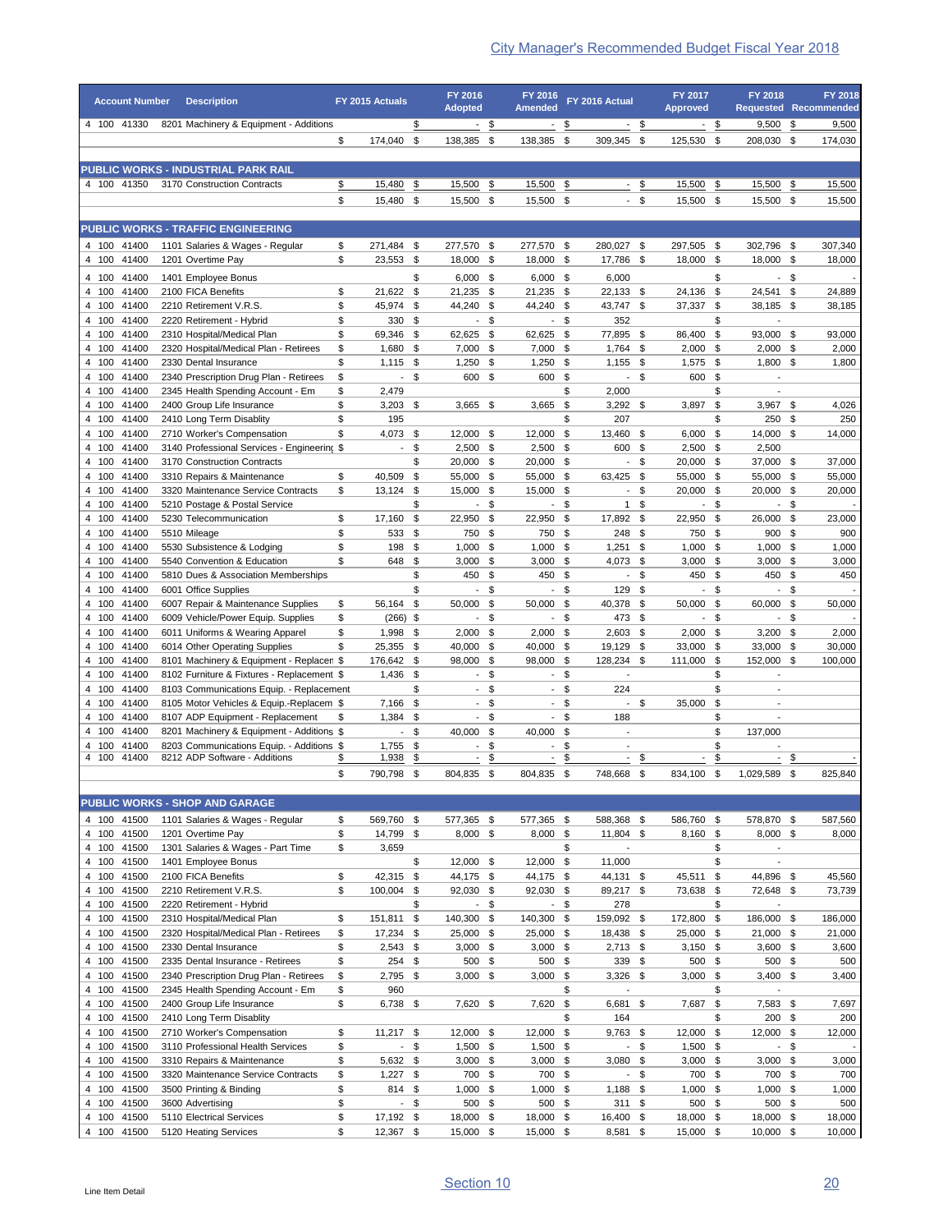|                | <b>Account Number</b>      | <b>Description</b>                                                                   |          | FY 2015 Actuals         |          | FY 2016<br><b>Adopted</b>              |               | FY 2016<br><b>Amended</b>              |               | FY 2016 Actual                         |                | FY 2017<br><b>Approved</b>          |            | FY 2018<br><b>Requested Recommended</b>              |               | FY 2018           |
|----------------|----------------------------|--------------------------------------------------------------------------------------|----------|-------------------------|----------|----------------------------------------|---------------|----------------------------------------|---------------|----------------------------------------|----------------|-------------------------------------|------------|------------------------------------------------------|---------------|-------------------|
|                | 4 100 41330                | 8201 Machinery & Equipment - Additions                                               |          |                         | \$       |                                        | $-$ \$        | $\overline{\phantom{a}}$               | \$            | $\mathbb{R}^+$                         | $\frac{3}{2}$  | $\overline{\phantom{a}}$            | \$         | 9,500                                                | \$            | 9,500             |
|                |                            |                                                                                      | \$       | 174,040                 | \$       | 138,385                                | \$            | 138,385 \$                             |               | 309,345 \$                             |                | 125,530                             | -\$        | 208,030 \$                                           |               | 174,030           |
|                |                            | <b>PUBLIC WORKS - INDUSTRIAL PARK RAIL</b>                                           |          |                         |          |                                        |               |                                        |               |                                        |                |                                     |            |                                                      |               |                   |
|                | 4 100 41350                | 3170 Construction Contracts                                                          | \$<br>\$ | 15,480<br>15,480 \$     | \$       | 15,500<br>15,500                       | \$<br>\$      | 15,500<br>15,500 \$                    | \$            | $\overline{\phantom{a}}$               | \$<br>$-$ \$   | 15,500<br>15,500                    | \$<br>\$   | 15,500<br>15,500                                     | \$<br>\$      | 15,500<br>15,500  |
|                |                            |                                                                                      |          |                         |          |                                        |               |                                        |               |                                        |                |                                     |            |                                                      |               |                   |
|                |                            | <b>PUBLIC WORKS - TRAFFIC ENGINEERING</b>                                            |          |                         |          |                                        |               |                                        |               |                                        |                |                                     |            |                                                      |               |                   |
|                | 4 100 41400<br>4 100 41400 | 1101 Salaries & Wages - Regular<br>1201 Overtime Pay                                 | \$<br>\$ | 271,484 \$<br>23,553    | \$       | 277,570 \$<br>18,000 \$                |               | 277,570 \$<br>18,000 \$                |               | 280,027 \$<br>17,786 \$                |                | 297,505<br>18,000                   | -\$<br>\$  | 302,796 \$<br>18,000 \$                              |               | 307,340<br>18,000 |
|                | 4 100 41400                | 1401 Employee Bonus                                                                  |          |                         | \$       | $6,000$ \$                             |               | $6,000$ \$                             |               | 6,000                                  |                |                                     | \$         | $-$ \$                                               |               |                   |
| 4 100          | 41400                      | 2100 FICA Benefits                                                                   | \$       | 21,622                  | \$       | 21,235 \$                              |               | 21,235 \$                              |               | 22,133 \$                              |                | 24,136                              | \$         | 24,541                                               | \$            | 24,889            |
| 4 100          | 41400                      | 2210 Retirement V.R.S.                                                               | \$       | 45,974                  | \$       | 44,240                                 | - \$          | 44,240 \$                              |               | 43,747 \$                              |                | 37,337 \$                           |            | 38,185 \$                                            |               | 38,185            |
| 4 100<br>4 100 | 41400<br>41400             | 2220 Retirement - Hybrid<br>2310 Hospital/Medical Plan                               | \$<br>\$ | 330<br>69,346           | \$<br>\$ | $\sim$<br>62,625 \$                    | \$            | $\overline{\phantom{a}}$<br>62,625 \$  | \$            | 352<br>77,895 \$                       |                | 86,400                              | \$<br>\$   | ÷<br>93,000                                          | \$            | 93,000            |
| 4 100          | 41400                      | 2320 Hospital/Medical Plan - Retirees                                                | \$       | 1,680                   | \$       | 7,000 \$                               |               | 7,000                                  | \$            | 1,764 \$                               |                | 2,000                               | \$         | 2,000                                                | \$            | 2,000             |
| 4 100          | 41400                      | 2330 Dental Insurance                                                                | \$       | 1,115                   | - \$     | $1,250$ \$                             |               | 1,250                                  | - \$          | $1,155$ \$                             |                | 1,575                               | \$         | $1,800$ \$                                           |               | 1,800             |
| 4 100          | 41400                      | 2340 Prescription Drug Plan - Retirees                                               | \$       | $\sim$                  | \$       | 600 \$                                 |               | 600                                    | \$            |                                        | $-$ \$         | 600                                 | \$         | $\overline{\phantom{a}}$<br>$\overline{\phantom{a}}$ |               |                   |
| 4 100<br>4 100 | 41400<br>41400             | 2345 Health Spending Account - Em<br>2400 Group Life Insurance                       | \$<br>\$ | 2,479<br>$3,203$ \$     |          | 3,665 \$                               |               | 3,665 \$                               | \$            | 2,000<br>$3,292$ \$                    |                | 3,897                               | \$<br>\$   | $3,967$ \$                                           |               | 4,026             |
| 4 100          | 41400                      | 2410 Long Term Disablity                                                             | \$       | 195                     |          |                                        |               |                                        | \$            | 207                                    |                |                                     | \$         | 250 \$                                               |               | 250               |
| 4 100          | 41400                      | 2710 Worker's Compensation                                                           | \$       | 4,073 \$                |          | 12,000 \$                              |               | 12,000                                 | \$            | 13,460 \$                              |                | 6,000                               | \$         | 14,000                                               | \$            | 14,000            |
|                | 4 100 41400                | 3140 Professional Services - Engineering \$                                          |          | $\blacksquare$          | \$       | $2,500$ \$                             |               | 2,500                                  | - \$          | 600 \$                                 |                | 2,500                               | \$         | 2,500                                                |               |                   |
| 4 100<br>4 100 | 41400<br>41400             | 3170 Construction Contracts<br>3310 Repairs & Maintenance                            | \$       | 40,509                  | \$<br>\$ | 20,000 \$<br>55,000 \$                 |               | 20,000 \$<br>55,000 \$                 |               | $\overline{\phantom{a}}$<br>63,425 \$  | - \$           | 20,000<br>55,000                    | -\$<br>-\$ | 37,000 \$<br>55,000 \$                               |               | 37,000<br>55,000  |
| 4 100          | 41400                      | 3320 Maintenance Service Contracts                                                   | \$       | 13,124                  | \$       | 15,000 \$                              |               | 15,000 \$                              |               | $\overline{\phantom{a}}$               | -\$            | 20,000                              | - \$       | 20,000                                               | \$            | 20,000            |
|                | 4 100 41400                | 5210 Postage & Postal Service                                                        |          |                         | \$       | $\sim$                                 | \$            | $\sim$                                 | \$            |                                        | 1 <sup>5</sup> | $\overline{\phantom{a}}$            | \$         | $\overline{\phantom{a}}$                             | \$            |                   |
|                | 4 100 41400                | 5230 Telecommunication                                                               | \$       | 17,160                  | \$       | 22,950                                 | \$            | 22,950 \$                              |               | 17,892 \$                              |                | 22,950                              | \$         | 26,000                                               | \$            | 23,000            |
|                | 4 100 41400<br>4 100 41400 | 5510 Mileage<br>5530 Subsistence & Lodging                                           | \$<br>\$ | 533<br>198              | \$<br>\$ | 750 \$<br>$1,000$ \$                   |               | 750 \$<br>$1,000$ \$                   |               | 248 \$<br>$1,251$ \$                   |                | 750<br>1,000                        | \$<br>\$   | 900                                                  | \$            | 900<br>1,000      |
|                | 4 100 41400                | 5540 Convention & Education                                                          | \$       | 648                     | \$       | $3,000$ \$                             |               | $3,000$ \$                             |               | 4,073 \$                               |                | 3,000                               | \$         | 1,000<br>3,000                                       | \$<br>\$      | 3,000             |
|                | 4 100 41400                | 5810 Dues & Association Memberships                                                  |          |                         | \$       | 450                                    | - \$          | 450 \$                                 |               |                                        | - \$           | 450                                 | - \$       | 450                                                  | \$            | 450               |
| 4 100          | 41400                      | 6001 Office Supplies                                                                 |          |                         | \$       | $\overline{\phantom{a}}$               | \$            | $\overline{\phantom{a}}$               | \$            | 129                                    | -\$            | $\sim$                              | -\$        | $\overline{\phantom{a}}$                             | \$            |                   |
|                | 4 100 41400                | 6007 Repair & Maintenance Supplies                                                   | \$       | 56,164                  | \$       | 50,000                                 | \$            | 50,000 \$                              |               | 40,378 \$                              |                | 50,000 \$                           |            | 60,000                                               | \$            | 50,000            |
| 4 100<br>4 100 | 41400<br>41400             | 6009 Vehicle/Power Equip. Supplies<br>6011 Uniforms & Wearing Apparel                | \$<br>\$ | $(266)$ \$<br>1,998     | \$       | $\sim$<br>$2,000$ \$                   | \$            | $\blacksquare$<br>$2,000$ \$           | \$            | 473 \$<br>$2,603$ \$                   |                | $\sim$<br>2,000                     | \$<br>-\$  | $\overline{\phantom{a}}$<br>$3,200$ \$               | \$            | 2,000             |
| 4 100          | 41400                      | 6014 Other Operating Supplies                                                        | \$       | 25,355                  | \$       | 40,000                                 | \$            | 40,000                                 | \$            | 19,129                                 | \$             | 33,000                              | \$         | 33,000                                               | \$            | 30,000            |
| 4 100          | 41400                      | 8101 Machinery & Equipment - Replacen \$                                             |          | 176,642                 | \$       | 98,000                                 | \$            | 98,000 \$                              |               | 128,234 \$                             |                | 111,000 \$                          |            | 152,000 \$                                           |               | 100,000           |
| 4 100          | 41400                      | 8102 Furniture & Fixtures - Replacement \$                                           |          | 1,436                   | \$       | $\sim$                                 | \$            | $\blacksquare$                         | \$            | $\overline{\phantom{a}}$               |                |                                     | \$         | $\overline{\phantom{a}}$                             |               |                   |
| 4 100<br>4 100 | 41400<br>41400             | 8103 Communications Equip. - Replacement<br>8105 Motor Vehicles & Equip.-Replacem \$ |          | 7,166                   | \$<br>\$ | $\sim$<br>$\sim$                       | \$<br>\$      | $\blacksquare$<br>$\blacksquare$       | \$<br>\$      | 224                                    | - \$           | 35,000                              | \$<br>\$   | $\overline{\phantom{a}}$                             |               |                   |
| 4 100          | 41400                      | 8107 ADP Equipment - Replacement                                                     | \$       | 1,384                   | \$       | $\sim$                                 | \$            |                                        | $-$ \$        | 188                                    |                |                                     | \$         | ÷                                                    |               |                   |
|                | 4 100 41400                | 8201 Machinery & Equipment - Additions \$                                            |          | $-$ \$                  |          | 40,000 \$                              |               | 40,000 \$                              |               |                                        |                |                                     | \$         | 137,000                                              |               |                   |
| 4 100          | 41400                      | 8203 Communications Equip. - Additions \$                                            |          | 1,755                   | \$       | $\overline{\phantom{a}}$               | \$            | $\overline{\phantom{a}}$               | \$            |                                        |                |                                     | \$         |                                                      |               |                   |
|                | 4 100 41400                | 8212 ADP Software - Additions                                                        | \$<br>\$ | 1,938<br>790,798 \$     | \$       | $\overline{\phantom{a}}$<br>804,835 \$ | $\frac{1}{2}$ | $\overline{\phantom{a}}$<br>804,835 \$ | $\frac{1}{2}$ | $\overline{\phantom{a}}$<br>748,668 \$ | $\frac{1}{2}$  | $\overline{\phantom{a}}$<br>834,100 | \$<br>- \$ | 1,029,589 \$                                         | $\frac{1}{2}$ | 825,840           |
|                |                            |                                                                                      |          |                         |          |                                        |               |                                        |               |                                        |                |                                     |            |                                                      |               |                   |
|                | 4 100 41500                | <b>PUBLIC WORKS - SHOP AND GARAGE</b><br>1101 Salaries & Wages - Regular             | \$       | 569,760 \$              |          | 577,365 \$                             |               | 577,365 \$                             |               | 588,368 \$                             |                | 586,760 \$                          |            | 578,870 \$                                           |               | 587,560           |
|                | 4 100 41500                | 1201 Overtime Pay                                                                    | \$       | 14,799 \$               |          | 8,000 \$                               |               | 8,000 \$                               |               | 11,804 \$                              |                | 8,160                               | \$         | 8,000 \$                                             |               | 8,000             |
|                | 4 100 41500                | 1301 Salaries & Wages - Part Time                                                    | \$       | 3,659                   |          |                                        |               |                                        | \$            | $\overline{a}$                         |                |                                     | \$         |                                                      |               |                   |
|                | 4 100 41500                | 1401 Employee Bonus                                                                  |          |                         | \$       | 12,000 \$                              |               | 12,000 \$                              |               | 11,000                                 |                |                                     | \$         | ÷                                                    |               |                   |
|                | 4 100 41500<br>4 100 41500 | 2100 FICA Benefits<br>2210 Retirement V.R.S.                                         | \$<br>\$ | 42,315 \$<br>100,004 \$ |          | 44,175 \$<br>92,030 \$                 |               | 44,175 \$<br>92,030 \$                 |               | 44,131 \$<br>89,217 \$                 |                | 45,511<br>73,638                    | \$<br>-\$  | 44,896 \$<br>72,648 \$                               |               | 45,560<br>73,739  |
|                | 4 100 41500                | 2220 Retirement - Hybrid                                                             |          |                         | \$       |                                        | - \$          |                                        | - \$          | 278                                    |                |                                     | \$         |                                                      |               |                   |
|                | 4 100 41500                | 2310 Hospital/Medical Plan                                                           | \$       | 151,811 \$              |          | 140,300 \$                             |               | 140,300 \$                             |               | 159,092 \$                             |                | 172,800 \$                          |            | 186,000 \$                                           |               | 186,000           |
|                | 4 100 41500                | 2320 Hospital/Medical Plan - Retirees                                                | \$       | 17,234 \$               |          | 25,000 \$                              |               | 25,000 \$                              |               | 18,438 \$                              |                | 25,000                              | -\$        | 21,000 \$                                            |               | 21,000            |
|                | 4 100 41500                | 2330 Dental Insurance                                                                | \$       | 2,543 \$                |          | $3,000$ \$                             |               | $3,000$ \$                             |               | $2,713$ \$                             |                | $3,150$ \$                          |            | $3,600$ \$                                           |               | 3,600             |
|                | 4 100 41500<br>4 100 41500 | 2335 Dental Insurance - Retirees<br>2340 Prescription Drug Plan - Retirees           | \$<br>\$ | 254 \$<br>2,795 \$      |          | 500 \$<br>$3,000$ \$                   |               | 500 \$<br>$3,000$ \$                   |               | 339 \$<br>3,326 \$                     |                | 500<br>$3,000$ \$                   | \$         | 500 \$<br>$3,400$ \$                                 |               | 500<br>3,400      |
|                | 4 100 41500                | 2345 Health Spending Account - Em                                                    | \$       | 960                     |          |                                        |               |                                        | \$            | $\centerdot$                           |                |                                     | \$         | ÷                                                    |               |                   |
|                | 4 100 41500                | 2400 Group Life Insurance                                                            | \$       | 6,738 \$                |          | 7,620 \$                               |               | 7,620 \$                               |               | 6,681 \$                               |                | 7,687 \$                            |            | 7,583 \$                                             |               | 7,697             |
|                | 4 100 41500                | 2410 Long Term Disablity                                                             |          |                         |          |                                        |               |                                        | \$            | 164                                    |                |                                     | \$         | 200 \$                                               |               | 200               |
|                | 4 100 41500<br>4 100 41500 | 2710 Worker's Compensation<br>3110 Professional Health Services                      | \$<br>\$ | $11,217$ \$<br>- \$     |          | 12,000 \$<br>$1,500$ \$                |               | 12,000 \$<br>$1,500$ \$                |               | $9,763$ \$                             | $-$ \$         | 12,000 \$<br>$1,500$ \$             |            | 12,000 \$<br>- \$                                    |               | 12,000            |
|                | 4 100 41500                | 3310 Repairs & Maintenance                                                           | \$       | 5,632 \$                |          | $3,000$ \$                             |               | $3,000$ \$                             |               | $3,080$ \$                             |                | $3,000$ \$                          |            | $3,000$ \$                                           |               | 3,000             |
|                | 4 100 41500                | 3320 Maintenance Service Contracts                                                   | \$       | $1,227$ \$              |          | 700 \$                                 |               | 700 \$                                 |               |                                        | - \$           | 700 \$                              |            | 700 \$                                               |               | 700               |
|                | 4 100 41500                | 3500 Printing & Binding                                                              | \$       | 814 \$                  |          | $1,000$ \$                             |               | $1,000$ \$                             |               | $1,188$ \$                             |                | $1,000$ \$                          |            | $1,000$ \$                                           |               | 1,000             |
|                | 4 100 41500                | 3600 Advertising                                                                     | \$       | - \$                    |          | 500 \$                                 |               | 500 \$                                 |               | $311$ \$                               |                | 500 \$                              |            | 500 \$                                               |               | 500               |
|                | 4 100 41500<br>4 100 41500 | 5110 Electrical Services<br>5120 Heating Services                                    | \$<br>\$ | 17,192 \$<br>12,367 \$  |          | 18,000 \$<br>15,000 \$                 |               | 18,000 \$<br>15,000 \$                 |               | 16,400 \$<br>8,581 \$                  |                | 18,000 \$<br>15,000                 | \$         | 18,000 \$<br>10,000 \$                               |               | 18,000<br>10,000  |
|                |                            |                                                                                      |          |                         |          |                                        |               |                                        |               |                                        |                |                                     |            |                                                      |               |                   |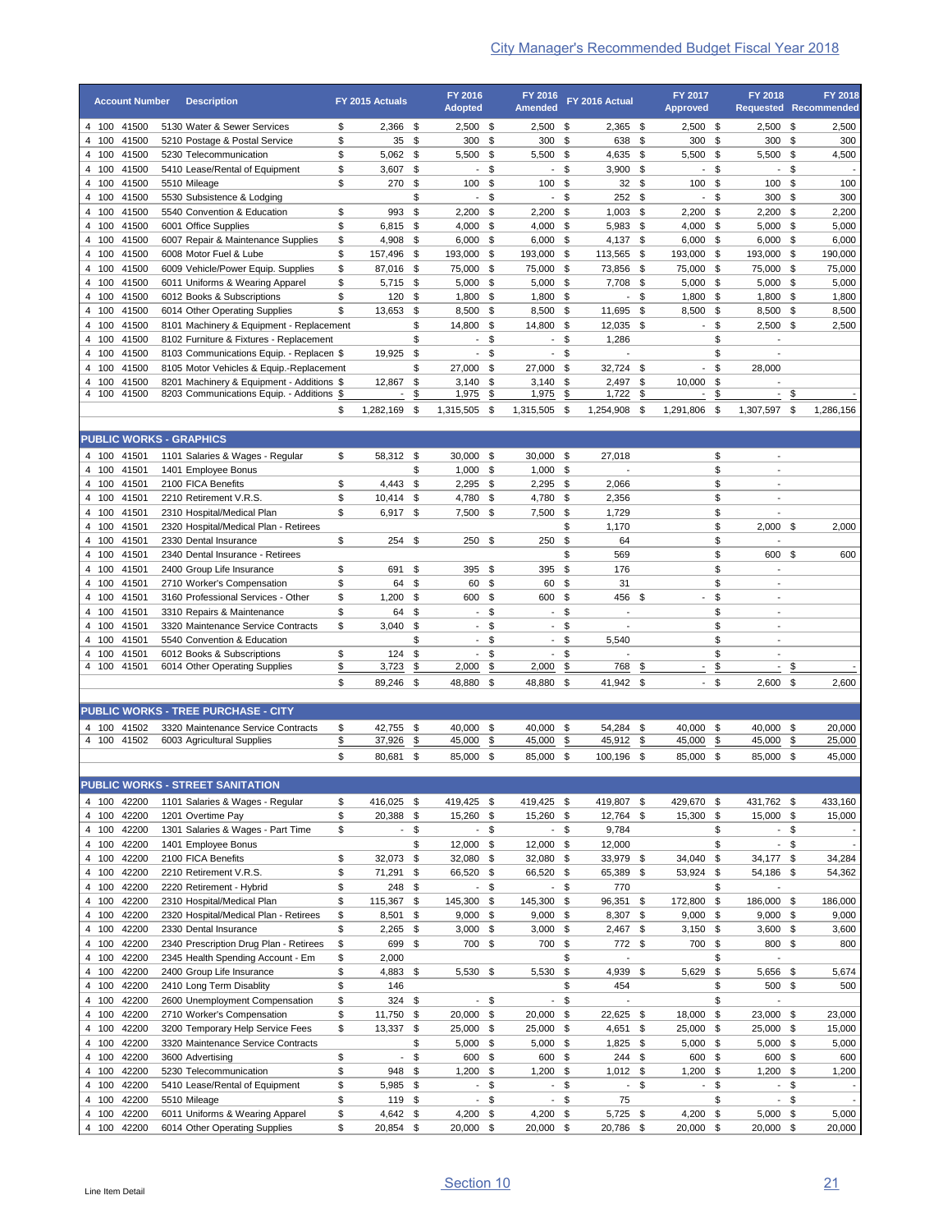| <b>Account Number</b>          | <b>Description</b>                        | FY 2015 Actuals  |     | FY 2016<br><b>Adopted</b> |          | <b>FY 2016</b><br><b>Amended</b> |        | FY 2016 Actual |        | FY 2017<br><b>Approved</b> |      | FY 2018<br><b>Requested</b> |      | <b>FY 2018</b><br>Recommended |
|--------------------------------|-------------------------------------------|------------------|-----|---------------------------|----------|----------------------------------|--------|----------------|--------|----------------------------|------|-----------------------------|------|-------------------------------|
| 4 100<br>41500                 | 5130 Water & Sewer Services               | \$<br>$2.366$ \$ |     | $2.500$ \$                |          | 2.500                            | \$     | $2,365$ \$     |        | 2,500                      | -\$  | $2.500$ \$                  |      | 2,500                         |
| 4 100<br>41500                 | 5210 Postage & Postal Service             | \$<br>35         | -\$ | 300S                      |          | 300                              | \$     | 638 \$         |        | 300                        | -\$  | 300                         | \$   | 300                           |
| 4 100<br>41500                 | 5230 Telecommunication                    | \$<br>$5,062$ \$ |     | 5,500 \$                  |          | 5,500 \$                         |        | $4.635$ \$     |        | 5,500                      | - \$ | 5,500 \$                    |      | 4,500                         |
| 4 100<br>41500                 | 5410 Lease/Rental of Equipment            | \$<br>$3,607$ \$ |     |                           | - \$     |                                  | - \$   | $3,900$ \$     |        |                            | - \$ | $\sim$                      | - \$ |                               |
| 41500<br>4 100                 | 5510 Mileage                              | \$<br>270        | -\$ | 100S                      |          | 100S                             |        | 32S            |        | 100S                       |      | 100                         | \$   | 100                           |
| 4 100<br>41500                 | 5530 Subsistence & Lodging                |                  | \$  |                           | - \$     |                                  | $-$ \$ | 252S           |        |                            | - \$ | 300 \$                      |      | 300                           |
| 41500<br>4 100                 | 5540 Convention & Education               | \$<br>993        | \$  | $2.200$ \$                |          | 2.200                            | \$     | $1,003$ \$     |        | 2,200                      | - \$ | $2,200$ \$                  |      | 2,200                         |
| 4 100<br>41500                 | 6001 Office Supplies                      | \$<br>$6,815$ \$ |     | $4,000$ \$                |          | 4,000                            | \$     | 5,983 \$       |        | 4,000                      | - \$ | $5,000$ \$                  |      | 5,000                         |
| 41500<br>4 100                 | 6007 Repair & Maintenance Supplies        | \$<br>4,908      | -\$ | $6,000$ \$                |          | 6,000                            | \$     | $4,137$ \$     |        | 6,000                      | - \$ | $6,000$ \$                  |      | 6,000                         |
| 4 100<br>41500                 | 6008 Motor Fuel & Lube                    | \$<br>157,496 \$ |     | 193,000 \$                |          | 193,000                          | S      | 113,565 \$     |        | 193,000                    | - \$ | 193,000 \$                  |      | 190,000                       |
| 41500<br>100<br>4              | 6009 Vehicle/Power Equip. Supplies        | \$<br>87,016 \$  |     | 75,000 \$                 |          | 75,000                           | S      | 73,856 \$      |        | 75,000                     | - \$ | 75,000 \$                   |      | 75,000                        |
| 4 100<br>41500                 | 6011 Uniforms & Wearing Apparel           | \$<br>5,715 \$   |     | $5,000$ \$                |          | 5,000                            | \$     | 7,708 \$       |        | 5,000                      | - \$ | $5,000$ \$                  |      | 5,000                         |
| 41500<br>100<br>4              | 6012 Books & Subscriptions                | \$<br>120        | -\$ | $1,800$ \$                |          | 1,800                            | \$     |                | $-$ \$ | 1,800                      | - \$ | 1,800 \$                    |      | 1,800                         |
| 4 100<br>41500                 | 6014 Other Operating Supplies             | \$<br>13,653 \$  |     | 8,500 \$                  |          | 8,500                            | \$     | 11,695 \$      |        | 8,500 \$                   |      | 8,500 \$                    |      | 8,500                         |
| 100<br>41500<br>4              | 8101 Machinery & Equipment - Replacement  |                  | \$  | 14,800 \$                 |          | 14,800                           | \$     | 12,035 \$      |        |                            | - \$ | $2,500$ \$                  |      | 2,500                         |
| 4 100<br>41500                 | 8102 Furniture & Fixtures - Replacement   |                  | \$  |                           | - \$     |                                  | $-$ \$ | 1,286          |        |                            | \$   | $\overline{\phantom{a}}$    |      |                               |
| 41500<br>100<br>4              | 8103 Communications Equip. - Replacen \$  | 19,925           | \$  | $\blacksquare$            | <b>S</b> |                                  | $-$ \$ |                |        |                            | \$   |                             |      |                               |
| 41500<br>4 100                 | 8105 Motor Vehicles & Equip.-Replacement  |                  | \$  | 27,000 \$                 |          | 27,000                           | \$     | 32,724 \$      |        |                            | \$   | 28,000                      |      |                               |
| 41500<br>100<br>4              | 8201 Machinery & Equipment - Additions \$ | 12,867           | \$  | 3,140                     | -\$      | 3,140                            | \$     | 2,497 \$       |        | 10,000                     | \$   | $\overline{\phantom{a}}$    |      |                               |
| 4 100<br>41500                 | 8203 Communications Equip. - Additions \$ |                  | \$  | 1,975                     | S        | 1,975                            | \$     | 1,722          | \$     |                            | \$   | $\overline{\phantom{a}}$    | \$   |                               |
|                                |                                           | \$<br>1,282,169  | -\$ | 1,315,505                 | -\$      | 1,315,505                        | \$     | 1,254,908      | \$     | 1,291,806                  | \$   | 1,307,597                   | \$   | 1,286,156                     |
|                                |                                           |                  |     |                           |          |                                  |        |                |        |                            |      |                             |      |                               |
| <b>PUBLIC WORKS - GRAPHICS</b> |                                           |                  |     |                           |          |                                  |        |                |        |                            |      |                             |      |                               |

| 4 100 | 41501 | 1101 Salaries & Wages - Regular       | \$<br>58,312 \$ |      | 30,000 \$                |     | 30,000 \$                |      | 27.018 |                          | \$<br>$\overline{\phantom{a}}$ |      |       |
|-------|-------|---------------------------------------|-----------------|------|--------------------------|-----|--------------------------|------|--------|--------------------------|--------------------------------|------|-------|
| 4 100 | 41501 | 1401 Employee Bonus                   |                 | \$   | $1,000$ \$               |     | $1,000$ \$               |      |        |                          | \$<br>$\overline{\phantom{a}}$ |      |       |
| 4 100 | 41501 | 2100 FICA Benefits                    | \$<br>4,443     | \$   | $2,295$ \$               |     | $2,295$ \$               |      | 2.066  |                          | \$                             |      |       |
| 4 100 | 41501 | 2210 Retirement V.R.S.                | $10.414$ \$     |      | 4,780 \$                 |     | 4,780 \$                 |      | 2,356  |                          | $\overline{\phantom{a}}$       |      |       |
| 4 100 | 41501 | 2310 Hospital/Medical Plan            | 6,917 \$        |      | $7,500$ \$               |     | 7,500 \$                 |      | 1,729  |                          |                                |      |       |
| 4 100 | 41501 | 2320 Hospital/Medical Plan - Retirees |                 |      |                          |     |                          | \$   | 1.170  |                          | \$<br>$2.000$ \$               |      | 2.000 |
| 4 100 | 41501 | 2330 Dental Insurance                 | \$<br>254       | \$   | 250S                     |     | 250                      | \$   | 64     |                          | $\overline{\phantom{a}}$       |      |       |
| 4 100 | 41501 | 2340 Dental Insurance - Retirees      |                 |      |                          |     |                          | \$   | 569    |                          | 600                            | - \$ | 600   |
| 4 100 | 41501 | 2400 Group Life Insurance             | \$<br>691       | S.   | 395S                     |     | 395 \$                   |      | 176    |                          | \$                             |      |       |
| 4 100 | 41501 | 2710 Worker's Compensation            | 64              | S.   | 60                       | -\$ | 60                       | - \$ | 31     |                          |                                |      |       |
| 4 100 | 41501 | 3160 Professional Services - Other    | \$<br>1,200     | S.   | 600                      | -\$ | 600 \$                   |      | 456 \$ | $\overline{\phantom{a}}$ | \$<br>$\overline{\phantom{a}}$ |      |       |
| 4 100 | 41501 | 3310 Repairs & Maintenance            | \$<br>64 \$     |      | $\sim$                   | -\$ |                          | - \$ |        |                          | \$                             |      |       |
| 4 100 | 41501 | 3320 Maintenance Service Contracts    | \$<br>3.040     | - \$ | $\overline{\phantom{a}}$ | -S  |                          | - \$ |        |                          | $\overline{\phantom{a}}$       |      |       |
| 4 100 | 41501 | 5540 Convention & Education           |                 | \$   | $\overline{\phantom{a}}$ | \$  | $\sim$                   | \$   | 5,540  |                          | $\overline{\phantom{a}}$       |      |       |
| 4 100 | 41501 | 6012 Books & Subscriptions            | 124             | \$   | $\overline{\phantom{0}}$ | \$  | $\overline{\phantom{a}}$ | \$   |        |                          |                                |      |       |
| 4 100 | 41501 | 6014 Other Operating Supplies         | 3,723           | \$   | 2,000                    |     | 2,000                    | S    | 768    | S                        |                                |      |       |
|       |       |                                       | 89,246          | \$   | 48,880                   | -\$ | 48,880 \$                |      | 41,942 | -\$                      | \$<br>2,600                    | -\$  | 2,600 |

|       |       | <b>PUBLIC WORKS - TREE PURCHASE - CITY</b> |        |        |        |         |        |        |        |
|-------|-------|--------------------------------------------|--------|--------|--------|---------|--------|--------|--------|
| 4 100 | 41502 | 3320 Maintenance Service Contracts         | 42.755 | 40.000 | 40.000 | 54.284  | 40.000 | 40.000 | 20.000 |
| 4 100 | 41502 | 6003 Agricultural Supplies                 | 37.926 | 45.000 | 45.000 | 45.912  | 45.000 | 45.000 | 25.000 |
|       |       |                                            | 80.681 | 85.000 | 85.000 | 100.196 | 85.000 | 85.000 | 45.000 |

|                | <b>Account Number</b>      | <b>Description</b>                                                                     |          | FY 2015 Actuals          |             | FY 2016<br><b>Adopted</b>            |          | FY 2016<br><b>Amended</b> |              | FY 2016 Actual           |        | FY 2017<br><b>Approved</b>           |                       | <b>FY 2018</b>                             |      | <b>FY 2018</b><br><b>Requested Recommended</b> |
|----------------|----------------------------|----------------------------------------------------------------------------------------|----------|--------------------------|-------------|--------------------------------------|----------|---------------------------|--------------|--------------------------|--------|--------------------------------------|-----------------------|--------------------------------------------|------|------------------------------------------------|
|                | 4 100 41500                | 5130 Water & Sewer Services                                                            | \$       | 2,366 \$                 |             | $2,500$ \$                           |          | $2,500$ \$                |              | 2,365 \$                 |        | $2,500$ \$                           |                       | $2,500$ \$                                 |      | 2,500                                          |
|                | 4 100 41500                | 5210 Postage & Postal Service                                                          | \$       | $35 \quad$ \$            |             | 300                                  | -\$      | 300 \$                    |              | 638                      | \$     | 300                                  | -\$                   | 300                                        | - \$ | 300                                            |
|                | 4 100 41500<br>4 100 41500 | 5230 Telecommunication<br>5410 Lease/Rental of Equipment                               | \$<br>\$ | $5,062$ \$<br>$3,607$ \$ |             | 5,500 \$<br>$\overline{\phantom{a}}$ | -\$      | 5,500 \$<br>$\sim$        | \$           | 4,635 \$<br>$3,900$ \$   |        | 5,500<br>$\overline{\phantom{a}}$    | \$<br>\$              | 5,500 \$<br>$\overline{\phantom{a}}$       | \$   | 4,500                                          |
|                | 4 100 41500                | 5510 Mileage                                                                           | \$       | 270 \$                   |             | 100                                  | -\$      | 100 \$                    |              | $32^{\circ}$             |        | 100                                  | - \$                  | 100                                        | \$   | 100                                            |
|                | 4 100 41500                | 5530 Subsistence & Lodging                                                             |          |                          | \$          | $\blacksquare$                       | \$       | $\overline{\phantom{a}}$  | \$           | 252S                     |        | $\overline{\phantom{a}}$             | \$                    | 300                                        | -\$  | 300                                            |
| 4 100          | 41500                      | 5540 Convention & Education                                                            | \$       | 993                      | \$          | $2,200$ \$                           |          | $2,200$ \$                |              | $1,003$ \$               |        | $2,200$ \$                           |                       | 2,200                                      | - \$ | 2,200                                          |
| 4 100<br>4 100 | 41500<br>41500             | 6001 Office Supplies<br>6007 Repair & Maintenance Supplies                             | \$<br>\$ | 6,815<br>4,908           | - \$<br>-\$ | $4,000$ \$<br>$6,000$ \$             |          | $4,000$ \$<br>$6,000$ \$  |              | 5,983 \$<br>4,137 \$     |        | 4,000<br>6,000                       | \$<br>\$              | $5,000$ \$<br>$6,000$ \$                   |      | 5,000<br>6,000                                 |
| 4 100          | 41500                      | 6008 Motor Fuel & Lube                                                                 | \$       | 157,496                  | - \$        | 193,000                              | -\$      | 193,000 \$                |              | 113,565                  | \$     | 193,000                              | \$                    | 193,000 \$                                 |      | 190,000                                        |
| 4 100          | 41500                      | 6009 Vehicle/Power Equip. Supplies                                                     | \$       | 87,016 \$                |             | 75,000 \$                            |          | 75,000 \$                 |              | 73,856                   | \$     | 75,000                               | \$                    | 75,000                                     | - \$ | 75,000                                         |
| 4 100          | 41500                      | 6011 Uniforms & Wearing Apparel                                                        | \$       | 5,715 \$                 |             | $5,000$ \$                           |          | $5,000$ \$                |              | 7,708 \$                 |        | 5,000                                | \$                    | 5,000                                      | - \$ | 5,000                                          |
| 4 100<br>4 100 | 41500<br>41500             | 6012 Books & Subscriptions                                                             | \$<br>\$ | 120                      | -\$         | $1,800$ \$                           |          | $1,800$ \$                |              |                          | $-$ \$ | 1,800                                | -\$                   | 1,800                                      | -\$  | 1,800                                          |
| 4 100          | 41500                      | 6014 Other Operating Supplies<br>8101 Machinery & Equipment - Replacement              |          | 13,653                   | \$<br>\$    | 8,500<br>14,800 \$                   | \$       | 8,500<br>14,800 \$        | \$           | 11,695 \$<br>12,035 \$   |        | 8,500<br>$\mathcal{L}_{\mathcal{A}}$ | -\$<br>\$             | 8,500<br>$2,500$ \$                        | - \$ | 8,500<br>2,500                                 |
| 4 100          | 41500                      | 8102 Furniture & Fixtures - Replacement                                                |          |                          | \$          | $\sim$                               | \$       | $\blacksquare$            | \$           | 1,286                    |        |                                      | \$                    | $\overline{a}$                             |      |                                                |
| 4 100          | 41500                      | 8103 Communications Equip. - Replacen \$                                               |          | 19,925                   | \$          | $-$ \$                               |          |                           | - \$         |                          |        |                                      | \$                    | $\overline{\phantom{a}}$                   |      |                                                |
| 4 100          | 41500                      | 8105 Motor Vehicles & Equip.-Replacement                                               |          |                          | \$          | 27,000                               | -\$      | 27,000 \$                 |              | 32,724 \$                |        | $\overline{a}$                       | \$                    | 28,000                                     |      |                                                |
| 4 100<br>4 100 | 41500<br>41500             | 8201 Machinery & Equipment - Additions \$<br>8203 Communications Equip. - Additions \$ |          | 12,867                   | -\$<br>\$   | $3,140$ \$<br>1,975                  | \$       | $3,140$ \$<br>1,975       | \$           | $2,497$ \$<br>1,722      | \$     | 10,000                               | - \$<br>$\frac{1}{2}$ |                                            | \$   |                                                |
|                |                            |                                                                                        | \$       | 1,282,169                | -\$         | 1,315,505 \$                         |          | 1,315,505 \$              |              | 1,254,908 \$             |        | 1,291,806                            | - \$                  | 1,307,597                                  | - \$ | 1,286,156                                      |
|                |                            |                                                                                        |          |                          |             |                                      |          |                           |              |                          |        |                                      |                       |                                            |      |                                                |
|                |                            | <b>PUBLIC WORKS - GRAPHICS</b>                                                         |          |                          |             |                                      |          |                           |              |                          |        |                                      |                       |                                            |      |                                                |
|                | 4 100 41501                | 1101 Salaries & Wages - Regular                                                        | \$       | 58,312 \$                |             | $30,000$ \$                          |          | 30,000 \$                 |              | 27,018                   |        |                                      | \$                    | $\overline{\phantom{a}}$<br>$\overline{a}$ |      |                                                |
| 4 100          | 41501<br>4 100 41501       | 1401 Employee Bonus<br>2100 FICA Benefits                                              | \$       | 4,443                    | \$<br>\$    | $1,000$ \$<br>$2,295$ \$             |          | $1,000$ \$<br>$2,295$ \$  |              | 2,066                    |        |                                      | \$<br>\$              | $\overline{a}$                             |      |                                                |
| 4 100          | 41501                      | 2210 Retirement V.R.S.                                                                 | \$       | 10,414 \$                |             | 4,780                                | \$       | 4,780 \$                  |              | 2,356                    |        |                                      | \$                    | $\overline{\phantom{a}}$                   |      |                                                |
| 4 100          | 41501                      | 2310 Hospital/Medical Plan                                                             | \$       | 6,917 \$                 |             | 7,500 \$                             |          | 7,500 \$                  |              | 1,729                    |        |                                      | \$                    | $\overline{a}$                             |      |                                                |
| 4 100          | 41501                      | 2320 Hospital/Medical Plan - Retirees                                                  |          |                          |             |                                      |          |                           | \$           | 1,170                    |        |                                      | \$                    | 2,000                                      | -\$  | 2,000                                          |
| 4 100<br>4 100 | 41501<br>41501             | 2330 Dental Insurance<br>2340 Dental Insurance - Retirees                              | \$       | 254                      | -\$         | 250 \$                               |          | 250                       | \$<br>\$     | 64<br>569                |        |                                      | \$<br>\$              | 600                                        | -\$  | 600                                            |
| 4 100          | 41501                      | 2400 Group Life Insurance                                                              | \$       | 691                      | -\$         | 395 \$                               |          | 395 \$                    |              | 176                      |        |                                      | \$                    | $\overline{\phantom{a}}$                   |      |                                                |
| 4 100          | 41501                      | 2710 Worker's Compensation                                                             | \$       | 64                       | -\$         | 60                                   | -\$      | 60 \$                     |              | 31                       |        |                                      | \$                    | $\overline{a}$                             |      |                                                |
| 4 100          | 41501                      | 3160 Professional Services - Other                                                     | \$       | 1,200                    | -\$         | 600                                  | -\$      | 600 \$                    |              | 456                      | \$     | $\blacksquare$                       | \$                    | $\overline{\phantom{a}}$                   |      |                                                |
| 4 100<br>4 100 | 41501<br>41501             | 3310 Repairs & Maintenance<br>3320 Maintenance Service Contracts                       | \$<br>\$ | 64<br>3,040              | \$<br>\$    | $\sim$<br>$\blacksquare$             | \$<br>\$ | $\overline{\phantom{a}}$  | $-$ \$<br>\$ |                          |        |                                      | \$<br>\$              | $\overline{a}$<br>$\overline{\phantom{0}}$ |      |                                                |
| 4 100          | 41501                      | 5540 Convention & Education                                                            |          |                          | \$          | $\blacksquare$                       | \$       | $\overline{\phantom{a}}$  | \$           | 5,540                    |        |                                      | \$                    | $\overline{a}$                             |      |                                                |
| 4 100          | 41501                      | 6012 Books & Subscriptions                                                             | \$       | 124                      | \$          | $\overline{\phantom{a}}$             | \$       | $\blacksquare$            | \$           |                          |        |                                      | \$                    | $\overline{\phantom{0}}$                   |      |                                                |
| 4 100          | 41501                      | 6014 Other Operating Supplies                                                          | \$       | 3,723                    | \$          | 2,000                                | \$       | 2,000                     | \$           | 768                      | \$     |                                      | \$                    |                                            | \$   |                                                |
|                |                            |                                                                                        | \$       | 89,246 \$                |             | 48,880 \$                            |          | 48,880 \$                 |              | 41,942 \$                |        | $-$ \$                               |                       | $2,600$ \$                                 |      | 2,600                                          |
|                |                            | <b>PUBLIC WORKS - TREE PURCHASE - CITY</b>                                             |          |                          |             |                                      |          |                           |              |                          |        |                                      |                       |                                            |      |                                                |
|                | 4 100 41502                | 3320 Maintenance Service Contracts                                                     | \$       | 42,755 \$                |             | 40,000 \$                            |          | 40.000 \$                 |              | 54,284 \$                |        | 40.000 \$                            |                       | 40,000 \$                                  |      | 20.000                                         |
|                |                            | 4 100 41502 6003 Agricultural Supplies                                                 | \$       | $37.926$ \$              |             | 45.000 \$                            |          | 45.000 \$                 |              | 45.912 \$                |        | 45.000 \$                            |                       | $45.000$ \$                                |      | 25.000                                         |
|                |                            |                                                                                        | \$       | 80,681 \$                |             | 85,000 \$                            |          | 85,000 \$                 |              | 100,196 \$               |        | 85,000 \$                            |                       | 85,000 \$                                  |      | 45,000                                         |
|                |                            | <b>PUBLIC WORKS - STREET SANITATION</b>                                                |          |                          |             |                                      |          |                           |              |                          |        |                                      |                       |                                            |      |                                                |
|                | 4 100 42200                | 1101 Salaries & Wages - Regular                                                        | \$       | 416,025 \$               |             | 419,425 \$                           |          | 419,425 \$                |              | 419,807 \$               |        | 429,670 \$                           |                       | 431,762 \$                                 |      | 433,160                                        |
|                | 4 100 42200                | 1201 Overtime Pay                                                                      | \$       | 20,388 \$                |             | 15,260 \$                            |          | 15,260 \$                 |              | 12,764 \$                |        | 15,300 \$                            |                       | 15,000 \$                                  |      | 15,000                                         |
|                | 4 100 42200                | 1301 Salaries & Wages - Part Time                                                      | \$       |                          | - \$        |                                      | - \$     |                           | - \$         | 9,784                    |        |                                      | \$                    |                                            | - \$ |                                                |
|                | 4 100 42200<br>4 100 42200 | 1401 Employee Bonus<br>2100 FICA Benefits                                              | \$       | 32,073 \$                | \$          | 12,000 \$<br>32,080 \$               |          | 12,000 \$<br>32,080 \$    |              | 12,000<br>33,979 \$      |        | 34,040                               | \$<br>\$              | 34,177 \$                                  | - \$ | $\overline{\phantom{a}}$<br>34,284             |
| 4 100          | 42200                      | 2210 Retirement V.R.S.                                                                 | \$       | 71,291 \$                |             | 66,520 \$                            |          | 66,520 \$                 |              | 65,389 \$                |        | 53,924 \$                            |                       | 54,186 \$                                  |      | 54,362                                         |
| 4 100          | 42200                      | 2220 Retirement - Hybrid                                                               | \$       | 248 \$                   |             |                                      | $-$ \$   |                           | - \$         | 770                      |        |                                      | \$                    |                                            |      |                                                |
|                | 4 100 42200                | 2310 Hospital/Medical Plan                                                             | \$       | 115,367 \$               |             | 145,300 \$                           |          | 145,300 \$                |              | 96,351 \$                |        | 172,800 \$                           |                       | 186,000 \$                                 |      | 186,000                                        |
| 4 100<br>4 100 | 42200<br>42200             | 2320 Hospital/Medical Plan - Retirees<br>2330 Dental Insurance                         | \$<br>\$ | 8,501 \$                 |             | $9,000$ \$                           |          | $9,000$ \$                |              | 8,307 \$                 |        | 9,000                                | - \$                  | $9,000$ \$                                 |      | 9,000                                          |
|                | 4 100 42200                | 2340 Prescription Drug Plan - Retirees                                                 | \$       | $2,265$ \$<br>699 \$     |             | $3,000$ \$<br>700 \$                 |          | $3,000$ \$<br>700 \$      |              | 2,467 \$<br>772 \$       |        | $3,150$ \$<br>700 \$                 |                       | $3,600$ \$<br>800 \$                       |      | 3,600<br>800                                   |
|                | 4 100 42200                | 2345 Health Spending Account - Em                                                      | \$       | 2,000                    |             |                                      |          |                           | \$           | $\overline{\phantom{a}}$ |        |                                      | \$                    | $\overline{\phantom{a}}$                   |      |                                                |
|                | 4 100 42200                | 2400 Group Life Insurance                                                              | \$       | 4,883 \$                 |             | 5,530 \$                             |          | 5,530 \$                  |              | 4,939                    | \$     | 5,629                                | \$                    | 5,656 \$                                   |      | 5,674                                          |
|                | 4 100 42200                | 2410 Long Term Disablity                                                               | \$       | 146                      |             |                                      |          |                           | \$           | 454                      |        |                                      | \$                    | 500 \$                                     |      | 500                                            |
| 4 100<br>4 100 | 42200<br>42200             | 2600 Unemployment Compensation<br>2710 Worker's Compensation                           | \$<br>\$ | $324$ \$<br>11,750       | \$          | 20,000 \$                            | - \$     | 20,000 \$                 | $-$ \$       | 22,625 \$                |        | 18,000                               | \$<br>\$              | 23,000 \$                                  |      | 23,000                                         |
| 4 100          | 42200                      | 3200 Temporary Help Service Fees                                                       | \$       | 13,337 \$                |             | 25,000 \$                            |          | 25,000 \$                 |              | 4,651                    | \$     | 25,000                               | \$                    | 25,000 \$                                  |      | 15,000                                         |
| 4 100          | 42200                      | 3320 Maintenance Service Contracts                                                     |          |                          | \$          | $5,000$ \$                           |          | 5,000 \$                  |              | $1,825$ \$               |        | $5,000$ \$                           |                       | $5,000$ \$                                 |      | 5,000                                          |
| 4 100          | 42200                      | 3600 Advertising                                                                       | \$       | $\blacksquare$           | \$          | 600 \$                               |          | 600 \$                    |              | 244 \$                   |        | 600                                  | \$                    | 600 \$                                     |      | 600                                            |
| 4 100<br>4 100 | 42200<br>42200             | 5230 Telecommunication<br>5410 Lease/Rental of Equipment                               | \$<br>\$ | 948 \$<br>5,985 \$       |             | $1,200$ \$                           | $-$ \$   | $1,200$ \$<br>$\sim$      | \$           | $1,012$ \$               | $-$ \$ | $1,200$ \$                           | $-$ \$                | $1,200$ \$                                 | - \$ | 1,200<br>$\overline{\phantom{a}}$              |
| 4 100          | 42200                      | 5510 Mileage                                                                           | \$       | 119 \$                   |             |                                      | $-$ \$   |                           | $-$ \$       | 75                       |        |                                      | \$                    |                                            | - \$ |                                                |
|                | 42200                      | 6011 Uniforms & Wearing Apparel                                                        | \$       | 4,642 \$                 |             | $4,200$ \$                           |          | 4,200 \$                  |              | 5,725 \$                 |        | 4,200                                | \$                    | $5,000$ \$                                 |      | 5,000                                          |
| 4 100          |                            |                                                                                        |          |                          |             | 20,000 \$                            |          |                           | 20,000 \$    | 20,786 \$                |        |                                      |                       |                                            |      |                                                |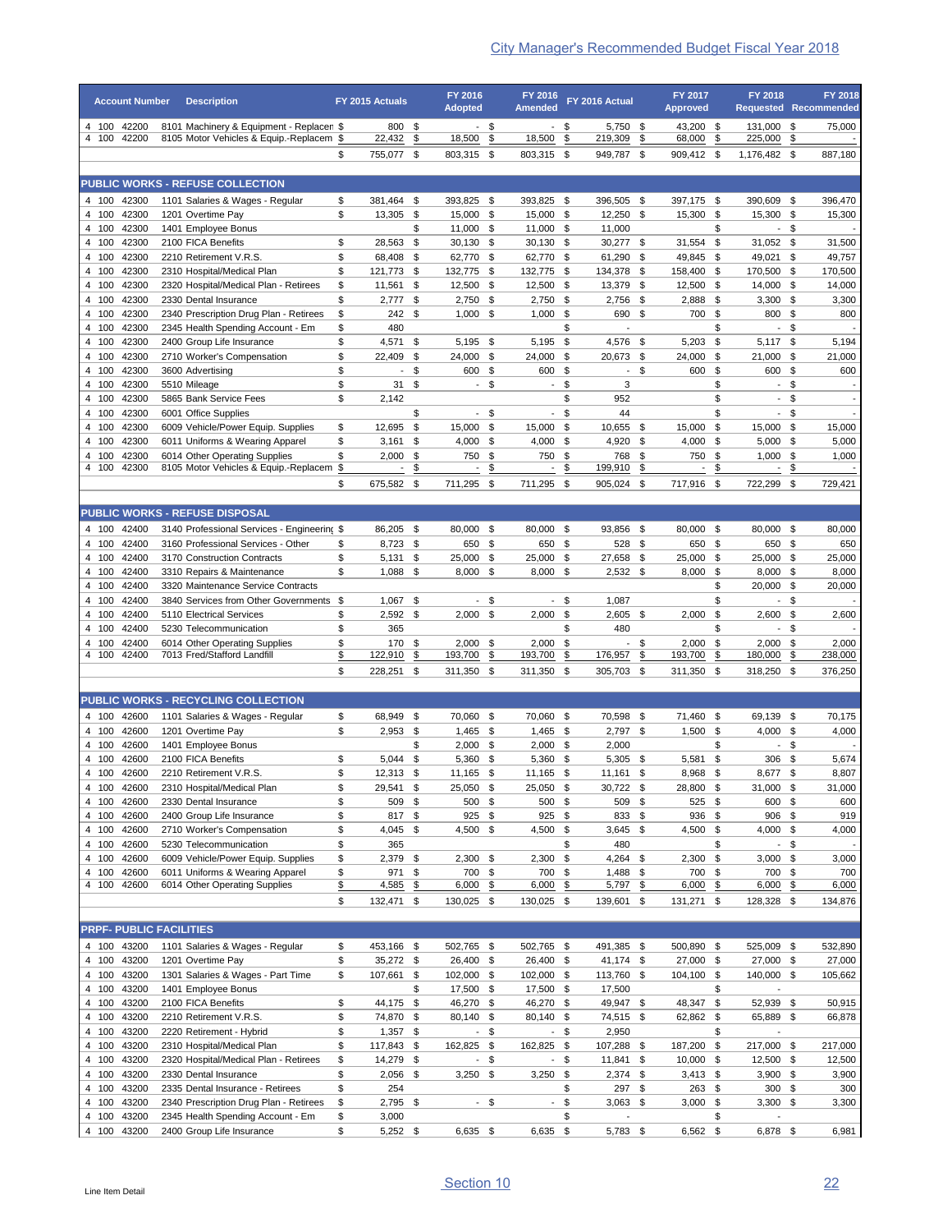|                   | <b>Account Number</b>      | <b>Description</b>                                                                   | FY 2015 Actuals                     |                                      | FY 2016                          |            | FY 2016                                      | FY 2016 Actual                       |               | FY 2017                         |               | <b>FY 2018</b>                         |          | FY 2018                         |
|-------------------|----------------------------|--------------------------------------------------------------------------------------|-------------------------------------|--------------------------------------|----------------------------------|------------|----------------------------------------------|--------------------------------------|---------------|---------------------------------|---------------|----------------------------------------|----------|---------------------------------|
|                   | 4 100 42200                | 8101 Machinery & Equipment - Replacen \$                                             |                                     | 800 \$                               | <b>Adopted</b><br>$\overline{a}$ | \$         | <b>Amended</b><br>\$<br>$\blacksquare$       | 5,750 \$                             |               | <b>Approved</b><br>43.200       | - \$          | Requested<br>131,000                   | \$       | Recommended<br>75,000           |
| 4 100             | 42200                      | 8105 Motor Vehicles & Equip.-Replacem \$                                             | 22,432                              | \$                                   | 18,500                           | \$         | 18,500<br>\$                                 | 219,309                              | \$            | 68,000                          | \$            | 225,000                                | \$       |                                 |
|                   |                            |                                                                                      | \$<br>755,077 \$                    |                                      | 803,315 \$                       |            | 803,315 \$                                   | 949,787 \$                           |               | 909,412 \$                      |               | 1,176,482 \$                           |          | 887,180                         |
|                   |                            | <b>PUBLIC WORKS - REFUSE COLLECTION</b>                                              |                                     |                                      |                                  |            |                                              |                                      |               |                                 |               |                                        |          |                                 |
|                   | 4 100 42300                | 1101 Salaries & Wages - Regular<br>1201 Overtime Pav                                 | \$<br>381,464                       | -\$                                  | 393,825                          | - \$       | 393,825 \$                                   | 396,505 \$                           |               | 397,175<br>15.300               | - \$          | 390,609                                | -\$      | 396,470                         |
| 4 100             | 4 100 42300<br>42300       | 1401 Employee Bonus                                                                  | \$<br>13,305                        | - \$<br>\$                           | 15,000 \$<br>11,000 \$           |            | 15,000 \$<br>11,000 \$                       | 12,250 \$<br>11,000                  |               |                                 | \$<br>\$      | 15,300 \$<br>$\overline{\phantom{a}}$  | \$       | 15,300                          |
| 4 100             | 42300                      | 2100 FICA Benefits                                                                   | \$<br>28,563                        | \$                                   | $30,130$ \$                      |            | $30,130$ \$                                  | 30,277 \$                            |               | 31,554                          | \$            | 31,052 \$                              |          | 31,500                          |
| 4 100             | 42300                      | 2210 Retirement V.R.S.                                                               | \$<br>68.408                        | - \$                                 | 62,770 \$                        |            | 62,770 \$                                    | 61,290 \$                            |               | 49,845                          | - \$          | 49,021                                 | -\$      | 49,757                          |
| 4 100             | 42300                      | 2310 Hospital/Medical Plan                                                           | \$<br>121,773                       | \$                                   | 132,775                          | - \$       | 132,775 \$                                   | 134,378                              | \$            | 158,400                         | -\$           | 170,500                                | \$       | 170,500                         |
| 4 100<br>4 100    | 42300<br>42300             | 2320 Hospital/Medical Plan - Retirees<br>2330 Dental Insurance                       | \$<br>11,561<br>\$<br>2,777         | \$<br>\$                             | 12,500<br>2,750 \$               | - \$       | 12,500 \$<br>2,750 \$                        | 13,379<br>2,756                      | \$<br>\$      | 12,500<br>2,888                 | \$<br>\$      | 14,000<br>3,300                        | \$<br>\$ | 14,000<br>3,300                 |
| 4 100             | 42300                      | 2340 Prescription Drug Plan - Retirees                                               | \$<br>242                           | \$                                   | $1,000$ \$                       |            | $1,000$ \$                                   | 690 \$                               |               | 700                             | \$            | 800                                    | \$       | 800                             |
| 4 100             | 42300                      | 2345 Health Spending Account - Em                                                    | \$<br>480                           |                                      |                                  |            | \$                                           |                                      |               |                                 | \$            | $\blacksquare$                         | \$       | $\overline{\phantom{a}}$        |
| 4 100             | 42300                      | 2400 Group Life Insurance                                                            | \$<br>4,571                         | \$                                   | 5,195 \$                         |            | 5,195 \$                                     | 4,576 \$                             |               | 5,203                           | \$            | 5,117                                  | -\$      | 5,194                           |
| 4 100             | 42300                      | 2710 Worker's Compensation                                                           | \$<br>22,409                        | \$                                   | 24,000 \$                        |            | 24,000<br>\$                                 | 20,673 \$                            |               | 24,000                          | \$            | 21,000                                 | \$       | 21,000                          |
| 4 100<br>4 100    | 42300<br>42300             | 3600 Advertising<br>5510 Mileage                                                     | \$<br>\$<br>31                      | \$<br>$\overline{\phantom{a}}$<br>\$ | 600<br>$\sim$                    | - \$<br>\$ | \$<br>600<br>\$<br>$\overline{\phantom{a}}$  | $\sim$<br>3                          | \$            | 600                             | \$<br>\$      | 600<br>$\overline{\phantom{a}}$        | \$<br>\$ | 600<br>$\overline{\phantom{a}}$ |
| 4 100             | 42300                      | 5865 Bank Service Fees                                                               | \$<br>2,142                         |                                      |                                  |            | \$                                           | 952                                  |               |                                 | \$            | $\overline{\phantom{a}}$               | \$       | $\overline{\phantom{a}}$        |
| 4 100             | 42300                      | 6001 Office Supplies                                                                 |                                     | \$                                   | $-$ \$                           |            | \$<br>$\overline{\phantom{a}}$               | 44                                   |               |                                 | \$            | $\overline{\phantom{a}}$               | \$       | $\overline{\phantom{a}}$        |
| 4 100             | 42300                      | 6009 Vehicle/Power Equip. Supplies                                                   | \$<br>12,695                        | \$                                   | 15,000                           | \$         | 15,000 \$                                    | 10,655 \$                            |               | 15,000                          | \$            | 15,000                                 | -\$      | 15,000                          |
| 4 100             | 42300                      | 6011 Uniforms & Wearing Apparel                                                      | \$<br>3,161                         | \$                                   | 4,000                            | \$         | \$<br>4,000                                  | 4,920                                | \$            | 4,000                           | \$            | 5,000                                  | \$       | 5,000                           |
| 100<br>4<br>4 100 | 42300<br>42300             | 6014 Other Operating Supplies<br>8105 Motor Vehicles & Equip.-Replacem               | \$<br>2,000<br>\$                   | \$<br>\$<br>$\blacksquare$           | 750<br>$\overline{\phantom{a}}$  | \$<br>\$   | \$<br>750<br>\$<br>$\overline{\phantom{a}}$  | 768<br>199,910                       | \$<br>\$      | 750<br>$\overline{\phantom{a}}$ | \$<br>\$      | 1,000<br>$\blacksquare$                | \$<br>\$ | 1,000                           |
|                   |                            |                                                                                      | \$<br>675,582                       | \$                                   | 711,295                          | \$         | 711,295<br>\$                                | 905,024 \$                           |               | 717,916                         | - \$          | 722,299                                | \$       | 729,421                         |
|                   |                            |                                                                                      |                                     |                                      |                                  |            |                                              |                                      |               |                                 |               |                                        |          |                                 |
|                   | 4 100 42400                | <b>PUBLIC WORKS - REFUSE DISPOSAL</b><br>3140 Professional Services - Engineering \$ | 86,205 \$                           |                                      | 80,000 \$                        |            | 80,000 \$                                    | 93,856 \$                            |               | 80,000 \$                       |               | 80,000 \$                              |          | 80,000                          |
| 4 100             | 42400                      | 3160 Professional Services - Other                                                   | \$<br>8,723                         | \$                                   | 650                              | \$         | \$<br>650                                    | 528                                  | \$            | 650                             | \$            | 650                                    | \$       | 650                             |
| 4 100             | 42400                      | 3170 Construction Contracts                                                          | \$<br>5,131                         | \$                                   | 25,000                           | \$         | 25,000 \$                                    | 27,658                               | \$            | 25,000                          | \$            | 25,000                                 | \$       | 25,000                          |
| 4 100             | 42400                      | 3310 Repairs & Maintenance                                                           | \$<br>1,088                         | \$                                   | 8,000                            | \$         | 8,000<br>\$                                  | $2,532$ \$                           |               | 8,000                           | \$            | 8,000                                  | \$       | 8,000                           |
| 4 100             | 42400                      | 3320 Maintenance Service Contracts                                                   |                                     |                                      |                                  |            |                                              |                                      |               |                                 | \$            | 20,000                                 | \$       | 20,000                          |
| 4 100<br>4 100    | 42400<br>42400             | 3840 Services from Other Governments<br>5110 Electrical Services                     | \$<br>1,067<br>\$<br>2,592          | \$<br>\$                             | $\sim$<br>2,000                  | \$<br>- \$ | \$<br>$\overline{\phantom{a}}$<br>$2,000$ \$ | 1,087<br>2,605                       | \$            | 2,000                           | \$<br>\$      | $\overline{\phantom{a}}$<br>2,600      | \$<br>\$ | 2,600                           |
| 4 100             | 42400                      | 5230 Telecommunication                                                               | \$<br>365                           |                                      |                                  |            | \$                                           | 480                                  |               |                                 | \$            | $\overline{\phantom{a}}$               | \$       |                                 |
| 4 100             | 42400                      | 6014 Other Operating Supplies                                                        | \$<br>170                           | \$                                   | $2,000$ \$                       |            | 2,000<br>\$                                  |                                      | - \$          | 2,000                           | \$            | 2,000                                  | -\$      | 2,000                           |
| 4 100             | 42400                      | 7013 Fred/Stafford Landfill                                                          | \$<br>122,910                       | \$                                   | 193,700                          | \$         | 193,700<br>\$                                | 176,957                              | \$            | 193,700                         | \$            | 180,000                                | \$       | 238,000                         |
|                   |                            |                                                                                      | \$<br>228,251                       | \$                                   | 311,350 \$                       |            | 311,350 \$                                   | 305,703 \$                           |               | 311,350                         | - \$          | 318,250                                | \$       | 376,250                         |
|                   |                            | PUBLIC WORKS - RECYCLING COLLECTION                                                  |                                     |                                      |                                  |            |                                              |                                      |               |                                 |               |                                        |          |                                 |
|                   | 4 100 42600                | 1101 Salaries & Wages - Regular                                                      | \$<br>68,949                        | -\$                                  | 70,060                           | - \$       | 70,060 \$                                    | 70,598 \$                            |               | 71,460                          | - \$          | 69,139 \$                              |          | 70,175                          |
| 4 100             | 42600                      | 1201 Overtime Pay                                                                    | \$<br>2,953                         | - \$                                 | 1,465 \$                         |            | 1,465 \$                                     | 2,797 \$                             |               | 1,500                           | $\mathsf{\$}$ | $4,000$ \$                             |          | 4,000                           |
| 4<br>100          | 42600<br>4 100 42600       | 1401 Employee Bonus<br>2100 FICA Benefits                                            |                                     | \$                                   | $2,000$ \$                       |            |                                              |                                      |               |                                 | \$            |                                        |          |                                 |
|                   |                            |                                                                                      |                                     |                                      |                                  |            | 2,000 \$                                     | 2,000                                |               |                                 |               | - \$                                   |          |                                 |
|                   | 4 100 42600                | 2210 Retirement V.R.S.                                                               | \$<br>5,044 \$<br>\$<br>$12,313$ \$ |                                      | 5,360 \$<br>11,165 \$            |            | 5,360 \$<br>11,165 \$                        | 5,305 \$<br>$11,161$ \$              |               | 5,581<br>8,968                  | \$<br>- \$    | 306 \$<br>8,677 \$                     |          | 5,674<br>8,807                  |
|                   | 4 100 42600                | 2310 Hospital/Medical Plan                                                           | \$<br>29,541                        | -\$                                  | 25,050 \$                        |            | 25,050 \$                                    | 30,722                               | \$            | 28,800 \$                       |               | 31,000 \$                              |          | 31,000                          |
|                   | 4 100 42600                | 2330 Dental Insurance                                                                | \$<br>509                           | \$                                   | 500 \$                           |            | 500 \$                                       | 509 \$                               |               | 525 \$                          |               | 600 \$                                 |          | 600                             |
|                   | 4 100 42600                | 2400 Group Life Insurance                                                            | \$                                  | 817 \$                               | 925 \$                           |            | $925$ \$                                     | 833 \$                               |               | 936                             | \$            | 906 \$                                 |          | 919                             |
|                   | 4 100 42600                | 2710 Worker's Compensation                                                           | \$<br>4,045 \$                      |                                      | 4,500 \$                         |            | 4,500 \$                                     | $3,645$ \$                           |               | 4,500 \$                        |               | 4,000 \$                               |          | 4,000                           |
|                   | 4 100 42600<br>4 100 42600 | 5230 Telecommunication<br>6009 Vehicle/Power Equip. Supplies                         | \$<br>365<br>\$<br>2,379            | -\$                                  | $2,300$ \$                       |            | \$<br>$2,300$ \$                             | 480<br>$4,264$ \$                    |               | $2,300$ \$                      | \$            | $3,000$ \$                             | - \$     | 3,000                           |
| 4 100             | 42600                      | 6011 Uniforms & Wearing Apparel                                                      | \$<br>971                           | \$                                   | 700 \$                           |            | 700 \$                                       | 1,488                                | \$            | 700                             | \$            | 700 \$                                 |          | 700                             |
| 4 100             | 42600                      | 6014 Other Operating Supplies                                                        | \$<br>4,585                         | \$                                   | 6,000                            | \$         | 6,000<br>\$                                  | 5,797                                | $\frac{1}{2}$ | 6,000                           | \$            | 6,000                                  | \$       | 6,000                           |
|                   |                            |                                                                                      | \$<br>132,471 \$                    |                                      | 130,025 \$                       |            | 130,025 \$                                   | 139,601 \$                           |               | 131,271 \$                      |               | 128,328 \$                             |          | 134,876                         |
|                   |                            | <b>PRPF- PUBLIC FACILITIES</b>                                                       |                                     |                                      |                                  |            |                                              |                                      |               |                                 |               |                                        |          |                                 |
|                   | 4 100 43200                | 1101 Salaries & Wages - Regular                                                      | \$<br>453,166 \$                    |                                      | 502,765 \$                       |            | 502,765 \$                                   | 491,385 \$                           |               | 500,890 \$                      |               | 525,009 \$                             |          | 532,890                         |
|                   | 4 100 43200                | 1201 Overtime Pay                                                                    | \$<br>35,272 \$                     |                                      | 26,400 \$                        |            | 26,400 \$                                    | 41,174 \$                            |               | 27,000 \$                       |               | 27,000 \$                              |          | 27,000                          |
|                   | 4 100 43200<br>4 100 43200 | 1301 Salaries & Wages - Part Time<br>1401 Employee Bonus                             | \$<br>107,661 \$                    | \$                                   | 102,000 \$                       |            | 102,000 \$                                   | 113,760 \$                           |               | 104,100 \$                      | \$            | 140,000 \$<br>$\overline{\phantom{a}}$ |          | 105,662                         |
|                   | 4 100 43200                | 2100 FICA Benefits                                                                   | \$<br>44,175 \$                     |                                      | 17,500 \$<br>46,270 \$           |            | 17,500 \$<br>46,270 \$                       | 17,500<br>49,947 \$                  |               | 48,347                          | \$            | 52,939 \$                              |          | 50,915                          |
|                   | 4 100 43200                | 2210 Retirement V.R.S.                                                               | \$<br>74,870 \$                     |                                      | 80,140 \$                        |            | 80,140 \$                                    | 74,515 \$                            |               | 62,862                          | - \$          | 65,889 \$                              |          | 66,878                          |
|                   | 4 100 43200                | 2220 Retirement - Hybrid                                                             | \$<br>$1,357$ \$                    |                                      | - \$                             |            | $-$ \$                                       | 2,950                                |               |                                 | \$            |                                        |          |                                 |
|                   | 4 100 43200                | 2310 Hospital/Medical Plan                                                           | \$<br>117,843 \$                    |                                      | 162,825 \$                       |            | 162,825 \$                                   | 107,288 \$                           |               | 187,200 \$                      |               | 217,000 \$                             |          | 217,000                         |
|                   | 4 100 43200<br>4 100 43200 | 2320 Hospital/Medical Plan - Retirees<br>2330 Dental Insurance                       | \$<br>14,279 \$<br>\$<br>$2,056$ \$ |                                      | $\sim$<br>$3,250$ \$             | \$         | \$<br>$\sim$<br>$3,250$ \$                   | 11,841 \$<br>$2,374$ \$              |               | 10,000 \$<br>$3,413$ \$         |               | 12,500 \$<br>$3,900$ \$                |          | 12,500<br>3,900                 |
|                   | 4 100 43200                | 2335 Dental Insurance - Retirees                                                     | \$<br>254                           |                                      |                                  |            | \$                                           | 297 \$                               |               | $263$ \$                        |               | 300 \$                                 |          | 300                             |
|                   | 4 100 43200                | 2340 Prescription Drug Plan - Retirees                                               | \$<br>2,795 \$                      |                                      | - \$                             |            | $\blacksquare$<br>\$                         | $3,063$ \$                           |               | $3,000$ \$                      |               | $3,300$ \$                             |          | 3,300                           |
|                   | 4 100 43200<br>4 100 43200 | 2345 Health Spending Account - Em<br>2400 Group Life Insurance                       | \$<br>3,000<br>\$<br>$5,252$ \$     |                                      | 6,635 \$                         |            | \$<br>6,635 \$                               | $\overline{\phantom{a}}$<br>5,783 \$ |               | $6,562$ \$                      | \$            | 6,878 \$                               |          | 6,981                           |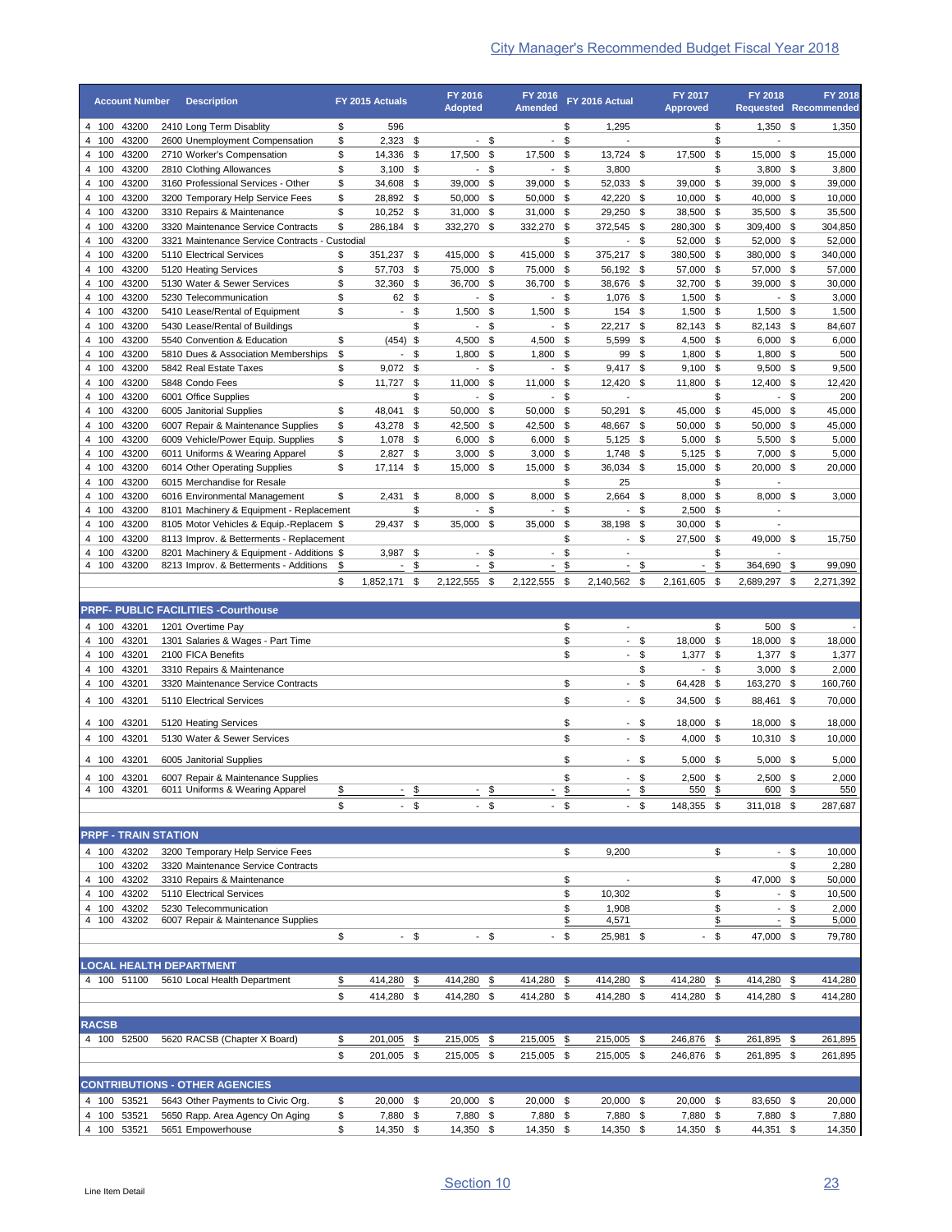| <b>Account Number</b>                      |                | <b>Description</b>                                                         |          | FY 2015 Actuals              |             | FY 2016<br><b>Adopted</b>   |             | FY 2016<br><b>Amended</b> |                | FY 2016 Actual           |               | FY 2017<br><b>Approved</b>             |          | <b>FY 2018</b><br><b>Requested Recommended</b> |          | <b>FY 2018</b>            |
|--------------------------------------------|----------------|----------------------------------------------------------------------------|----------|------------------------------|-------------|-----------------------------|-------------|---------------------------|----------------|--------------------------|---------------|----------------------------------------|----------|------------------------------------------------|----------|---------------------------|
| 4 100 43200                                |                | 2410 Long Term Disablity                                                   | \$       | 596                          |             |                             |             |                           | \$             | 1,295                    |               |                                        | \$       | $1,350$ \$                                     |          | 1,350                     |
| 4 100                                      | 43200          | 2600 Unemployment Compensation                                             | \$       | $2,323$ \$                   |             | $\blacksquare$              | -\$         | $\overline{\phantom{a}}$  | \$             |                          |               |                                        | \$       |                                                |          |                           |
| 4 100<br>4 100                             | 43200<br>43200 | 2710 Worker's Compensation<br>2810 Clothing Allowances                     | \$<br>\$ | 14,336 \$<br>$3,100$ \$      |             | 17,500 \$<br>$\blacksquare$ | -\$         | 17,500 \$<br>$\sim$       | \$             | 13,724 \$<br>3,800       |               | 17,500                                 | \$<br>\$ | 15,000<br>3,800                                | \$<br>\$ | 15,000<br>3,800           |
| 4 100                                      | 43200          | 3160 Professional Services - Other                                         | \$       | 34,608 \$                    |             | 39,000 \$                   |             | 39,000 \$                 |                | 52,033 \$                |               | 39,000                                 | \$       | 39,000 \$                                      |          | 39,000                    |
| 4<br>100                                   | 43200          | 3200 Temporary Help Service Fees                                           | \$       | 28,892 \$                    |             | 50,000 \$                   |             | 50,000 \$                 |                | 42,220 \$                |               | 10,000                                 | \$       | 40,000                                         | \$       | 10,000                    |
| 100<br>4                                   | 43200          | 3310 Repairs & Maintenance                                                 | \$       | 10,252                       | - \$        | 31,000 \$                   |             | 31,000 \$                 |                | 29,250 \$                |               | 38,500                                 | \$       | 35,500                                         | \$       | 35,500                    |
| 100<br>4                                   | 43200          | 3320 Maintenance Service Contracts                                         | \$       | 286,184 \$                   |             | 332,270 \$                  |             | 332,270 \$                |                | 372,545 \$               |               | 280,300                                | \$       | 309,400                                        | \$       | 304,850                   |
| 4 100<br>100<br>4                          | 43200<br>43200 | 3321 Maintenance Service Contracts - Custodial<br>5110 Electrical Services | \$       | 351,237 \$                   |             | 415,000                     | \$          | 415,000                   | \$<br>\$       | 375,217 \$               | - \$          | 52,000<br>380,500                      | \$<br>\$ | 52,000<br>380,000                              | \$<br>\$ | 52,000<br>340,000         |
| 100<br>4                                   | 43200          | 5120 Heating Services                                                      | \$       | 57,703 \$                    |             | 75,000                      | -\$         | 75,000 \$                 |                | 56,192 \$                |               | 57,000                                 | \$       | 57,000                                         | \$       | 57,000                    |
| 100<br>4                                   | 43200          | 5130 Water & Sewer Services                                                | \$       | 32,360                       | \$          | 36,700                      | - \$        | 36,700 \$                 |                | 38,676 \$                |               | 32,700                                 | \$       | 39,000                                         | \$       | 30,000                    |
| 4 100                                      | 43200          | 5230 Telecommunication                                                     | \$       | 62                           | -\$         |                             | - \$        | - \$                      |                | $1,076$ \$               |               | 1,500                                  | \$       | $\blacksquare$                                 | \$       | 3,000                     |
| 100                                        | 43200          | 5410 Lease/Rental of Equipment                                             | \$       | $\sim$                       | \$          | 1,500                       | \$          | 1,500                     | \$             | 154 \$                   |               | 1,500                                  | \$       | 1,500                                          | \$       | 1,500                     |
| 4 100                                      | 43200          | 5430 Lease/Rental of Buildings                                             |          |                              | \$          |                             | - \$        |                           | - \$           | 22,217 \$                |               | 82,143                                 | -\$      | 82,143 \$                                      |          | 84,607                    |
| 4 100<br>4 100                             | 43200<br>43200 | 5540 Convention & Education<br>5810 Dues & Association Memberships         | \$<br>\$ | $(454)$ \$<br>$\blacksquare$ | \$          | 4,500<br>1,800              | -\$<br>- \$ | 4,500 \$<br>$1,800$ \$    |                | 5,599<br>99              | -\$<br>- \$   | 4,500<br>1,800                         | \$<br>\$ | $6,000$ \$<br>1,800                            | \$       | 6,000<br>500              |
| 100<br>4                                   | 43200          | 5842 Real Estate Taxes                                                     | \$       | 9,072                        | \$          | $\overline{\phantom{a}}$    | \$          | $\blacksquare$            | \$             | $9,417$ \$               |               | 9,100                                  | -\$      | $9,500$ \$                                     |          | 9,500                     |
| 4 100                                      | 43200          | 5848 Condo Fees                                                            | \$       | $11,727$ \$                  |             | 11,000 \$                   |             | 11,000 \$                 |                | 12,420 \$                |               | 11,800                                 | -\$      | 12,400 \$                                      |          | 12,420                    |
| 100<br>4                                   | 43200          | 6001 Office Supplies                                                       |          |                              | \$          | $\overline{\phantom{a}}$    | \$          | $\blacksquare$            | \$             |                          |               |                                        | \$       | $\overline{\phantom{a}}$                       | \$       | 200                       |
| 4 100                                      | 43200          | 6005 Janitorial Supplies                                                   | \$       | 48,041                       | \$          | 50,000 \$                   |             | 50,000 \$                 |                | 50,291 \$                |               | 45,000                                 | \$       | 45,000 \$                                      |          | 45,000                    |
| 4 100                                      | 43200          | 6007 Repair & Maintenance Supplies                                         | \$       | 43,278 \$                    |             | 42,500 \$                   |             | 42,500 \$                 |                | 48,667 \$                |               | 50,000                                 | -\$      | 50,000 \$                                      |          | 45,000                    |
| 4 100                                      | 43200          | 6009 Vehicle/Power Equip. Supplies                                         | \$       | $1,078$ \$                   |             | $6,000$ \$                  |             | $6,000$ \$                |                | $5,125$ \$               |               | $5,000$ \$                             |          | $5,500$ \$                                     |          | 5,000                     |
| 4 100                                      | 43200          | 6011 Uniforms & Wearing Apparel                                            | \$       | 2,827 \$                     |             | $3,000$ \$                  |             | $3,000$ \$                |                | $1,748$ \$               |               | $5,125$ \$                             |          | $7,000$ \$                                     |          | 5,000                     |
| 4 100<br>4 100                             | 43200<br>43200 | 6014 Other Operating Supplies<br>6015 Merchandise for Resale               | \$       | $17,114$ \$                  |             | 15,000 \$                   |             | 15,000 \$                 | \$             | 36,034 \$<br>25          |               | 15,000                                 | \$<br>\$ | 20,000 \$                                      |          | 20,000                    |
| 4 100                                      | 43200          | 6016 Environmental Management                                              | \$       | 2,431                        | \$          | 8,000 \$                    |             | 8,000                     | \$             | $2,664$ \$               |               | 8,000                                  | \$       | 8,000                                          | \$       | 3,000                     |
| 4 100                                      | 43200          | 8101 Machinery & Equipment - Replacement                                   |          |                              | \$          | $\overline{\phantom{a}}$    | \$          | $\overline{\phantom{a}}$  | \$             |                          | - \$          | 2,500                                  | \$       | $\overline{\phantom{a}}$                       |          |                           |
| 100<br>4                                   | 43200          | 8105 Motor Vehicles & Equip.-Replacem \$                                   |          | 29,437                       | \$          | 35,000                      | \$          | 35,000                    | \$             | 38,198 \$                |               | 30,000                                 | \$       | $\overline{\phantom{a}}$                       |          |                           |
| 100<br>4                                   | 43200          | 8113 Improv. & Betterments - Replacement                                   |          |                              |             |                             |             |                           | \$             | $\blacksquare$           | \$            | 27,500                                 | \$       | 49,000 \$                                      |          | 15,750                    |
| 4<br>100                                   | 43200          | 8201 Machinery & Equipment - Additions \$                                  |          | 3,987                        | \$          | $\overline{\phantom{a}}$    | \$          | $\overline{\phantom{a}}$  | \$             | $\overline{\phantom{a}}$ |               |                                        | \$       |                                                |          |                           |
| 4 100                                      | 43200          | 8213 Improv. & Betterments - Additions                                     | \$       |                              | \$          | $\overline{\phantom{a}}$    | \$          | $\overline{\phantom{a}}$  | \$             |                          | \$            |                                        | \$       | 364,690                                        | \$       | 99,090                    |
|                                            |                |                                                                            | \$       | 1,852,171                    | \$          | 2,122,555                   | \$          | 2,122,555                 | \$             | 2,140,562                | - \$          | 2,161,605                              | \$       | 2,689,297                                      | \$       | 2,271,392                 |
|                                            |                | <b>PRPF- PUBLIC FACILITIES -Courthouse</b>                                 |          |                              |             |                             |             |                           |                |                          |               |                                        |          |                                                |          |                           |
| 4 100 43201                                |                | 1201 Overtime Pay                                                          |          |                              |             |                             |             |                           | \$             | $\overline{\phantom{a}}$ |               |                                        | \$       | 500                                            | \$       |                           |
| 4 100 43201                                |                | 1301 Salaries & Wages - Part Time                                          |          |                              |             |                             |             |                           | \$             |                          | - \$          | 18,000                                 | \$       | 18,000 \$                                      |          | 18,000                    |
| 4 100<br>4 100                             | 43201<br>43201 | 2100 FICA Benefits<br>3310 Repairs & Maintenance                           |          |                              |             |                             |             |                           | \$             |                          | $-$ \$<br>\$  | $1,377$ \$<br>$\overline{\phantom{a}}$ | \$       | 1,377<br>3,000                                 | \$<br>\$ | 1,377<br>2,000            |
| 4 100                                      | 43201          | 3320 Maintenance Service Contracts                                         |          |                              |             |                             |             |                           | \$             |                          | $-$ \$        | 64,428                                 | \$       | 163,270                                        | \$       | 160,760                   |
| 4 100                                      | 43201          | 5110 Electrical Services                                                   |          |                              |             |                             |             |                           | \$             |                          | - \$          | 34,500 \$                              |          | 88,461                                         | \$       | 70,000                    |
|                                            |                |                                                                            |          |                              |             |                             |             |                           |                |                          |               |                                        |          |                                                |          |                           |
| 4 100 43201                                |                | 5120 Heating Services                                                      |          |                              |             |                             |             |                           | \$             |                          | $-$ \$        | 18,000 \$                              |          | 18,000 \$                                      |          | 18,000                    |
| $\overline{4}$<br>100                      | 43201          | 5130 Water & Sewer Services                                                |          |                              |             |                             |             |                           | \$             |                          | - \$          | $4.000$ \$                             |          | 10,310 \$                                      |          | 10,000                    |
| 4 100 43201                                |                | 6005 Janitorial Supplies                                                   |          |                              |             |                             |             |                           | \$             |                          | $-$ \$        | $5,000$ \$                             |          | $5,000$ \$                                     |          | 5,000                     |
| 4 100                                      | 43201          | 6007 Repair & Maintenance Supplies                                         |          |                              |             |                             |             |                           | \$             |                          | $-$ \$        | 2,500                                  | \$       | $2,500$ \$                                     |          | 2,000                     |
| 4 100 43201                                |                | 6011 Uniforms & Wearing Apparel                                            | \$       |                              | \$          |                             | \$          |                           | \$             |                          | $\frac{1}{2}$ | 550                                    | \$       | 600                                            | \$       | 550                       |
|                                            |                |                                                                            | \$       | $\mathbb{Z}^{\mathbb{Z}}$    | $\mathbb S$ | $\blacksquare$              | \$          | $\blacksquare$            | $$\mathbb{S}$$ |                          | $-$ \$        | 148,355 \$                             |          | 311,018 \$                                     |          | 287,687                   |
| <b>PRPF - TRAIN STATION</b>                |                |                                                                            |          |                              |             |                             |             |                           |                |                          |               |                                        |          |                                                |          |                           |
| 4 100 43202                                |                | 3200 Temporary Help Service Fees                                           |          |                              |             |                             |             |                           | \$             | 9,200                    |               |                                        | \$       | $-$ \$                                         |          | 10,000                    |
| 100 43202                                  |                | 3320 Maintenance Service Contracts                                         |          |                              |             |                             |             |                           |                |                          |               |                                        |          |                                                | \$       | 2,280                     |
| 4 100 43202                                |                | 3310 Repairs & Maintenance                                                 |          |                              |             |                             |             |                           | \$             | ÷,                       |               |                                        | \$       | 47,000 \$                                      |          | 50,000                    |
| 4 100                                      | 43202          | 5110 Electrical Services                                                   |          |                              |             |                             |             |                           | \$             | 10,302                   |               |                                        | \$       | $\blacksquare$                                 | \$       | 10,500                    |
| 100<br>4<br>100<br>4                       | 43202<br>43202 | 5230 Telecommunication<br>6007 Repair & Maintenance Supplies               |          |                              |             |                             |             |                           | \$<br>\$       | 1,908<br>4,571           |               |                                        | \$<br>\$ | $\overline{\phantom{a}}$                       | \$<br>\$ | 2,000<br>5,000            |
|                                            |                |                                                                            | \$       |                              | $-$ \$      |                             | $-$ \$      | $\blacksquare$            | \$             | 25,981 \$                |               |                                        | $-$ \$   | 47,000 \$                                      |          | 79,780                    |
|                                            |                |                                                                            |          |                              |             |                             |             |                           |                |                          |               |                                        |          |                                                |          |                           |
|                                            |                | <b>LOCAL HEALTH DEPARTMENT</b>                                             |          |                              |             |                             |             |                           |                |                          |               |                                        |          |                                                |          |                           |
| 4 100 51100                                |                | 5610 Local Health Department                                               | \$       | 414,280                      | \$          | 414,280                     | \$          | 414,280                   | \$             | 414,280                  | \$            | 414,280                                | \$       | 414,280                                        | \$       | 414,280                   |
|                                            |                |                                                                            | \$       | 414,280 \$                   |             | 414,280 \$                  |             | 414,280 \$                |                | 414,280 \$               |               | 414,280 \$                             |          | 414,280 \$                                     |          | 414,280                   |
|                                            |                |                                                                            |          |                              |             |                             |             |                           |                |                          |               |                                        |          |                                                |          |                           |
|                                            |                | 5620 RACSB (Chapter X Board)                                               | \$       | 201,005 \$                   |             | 215,005 \$                  |             | 215,005                   | \$             | 215,005 \$               |               | 246,876                                | \$       | 261,895                                        | \$       | 261,895                   |
|                                            |                |                                                                            |          |                              |             | 215,005 \$                  |             | 215,005 \$                |                | 215,005 \$               |               | 246,876 \$                             |          | 261,895 \$                                     |          | 261,895                   |
|                                            |                |                                                                            | \$       | 201,005 \$                   |             |                             |             |                           |                |                          |               |                                        |          |                                                |          |                           |
|                                            |                |                                                                            |          |                              |             |                             |             |                           |                |                          |               |                                        |          |                                                |          |                           |
|                                            |                | <b>CONTRIBUTIONS - OTHER AGENCIES</b>                                      |          |                              |             |                             |             |                           |                |                          |               |                                        |          |                                                |          |                           |
| <b>RACSB</b><br>4 100 52500<br>4 100 53521 |                | 5643 Other Payments to Civic Org.                                          | \$       | 20,000 \$                    |             | 20,000 \$                   |             | 20,000 \$                 |                | 20,000 \$                |               | 20,000 \$                              |          | 83,650 \$                                      |          |                           |
| 4 100 53521<br>4 100 53521                 |                | 5650 Rapp. Area Agency On Aging<br>5651 Empowerhouse                       | \$<br>\$ | 7,880 \$<br>14,350 \$        |             | 7,880 \$<br>14,350 \$       |             | 7,880 \$<br>14,350 \$     |                | 7,880 \$<br>14,350 \$    |               | 7,880 \$<br>14,350 \$                  |          | 7,880 \$<br>44,351 \$                          |          | 20,000<br>7,880<br>14,350 |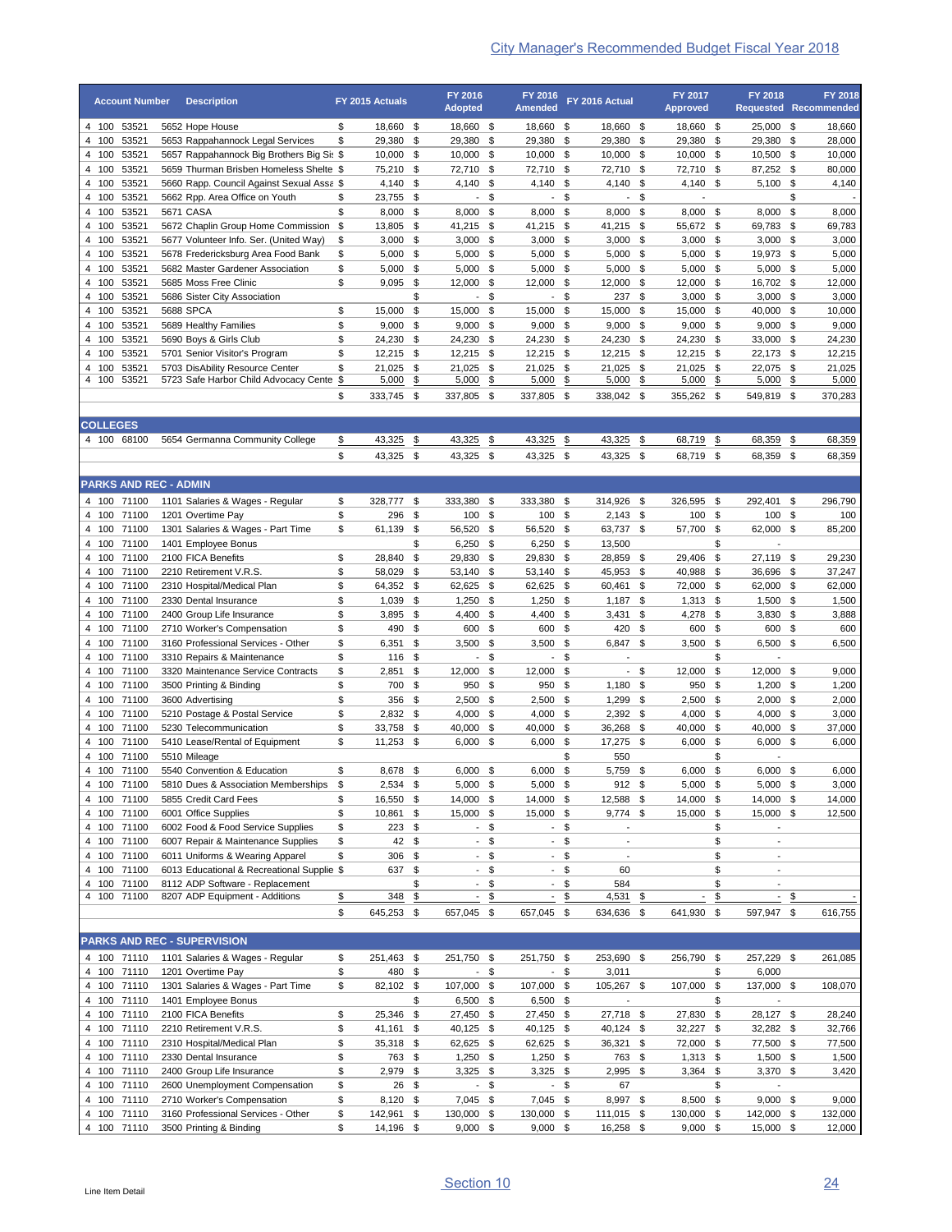|                 | <b>Account Number</b>      | <b>Description</b>                                                                   | FY 2015 Actuals                      |               | FY 2016<br><b>Adopted</b>      | FY 2016<br>Amended       |               | FY 2016 Actual                                       | FY 2017<br><b>Approved</b> |             | FY 2018<br><b>Requested Recommended</b>              |               | FY 2018                  |
|-----------------|----------------------------|--------------------------------------------------------------------------------------|--------------------------------------|---------------|--------------------------------|--------------------------|---------------|------------------------------------------------------|----------------------------|-------------|------------------------------------------------------|---------------|--------------------------|
|                 | 4 100 53521                | 5652 Hope House                                                                      | 18,660 \$<br>\$                      |               | 18,660 \$                      | 18,660 \$                |               | 18,660 \$                                            | 18,660 \$                  |             | 25,000 \$                                            |               | 18,660                   |
| 4 100           | 53521                      | 5653 Rappahannock Legal Services                                                     | \$<br>29,380 \$                      |               | 29,380 \$                      | 29,380                   | \$            | 29,380 \$                                            | 29,380                     | \$          | 29,380 \$                                            |               | 28,000                   |
|                 | 4 100 53521                | 5657 Rappahannock Big Brothers Big Sit \$                                            | 10,000 \$                            |               | 10,000 \$                      | 10,000 \$                |               | 10,000 \$                                            | $10,000$ \$                |             | 10,500 \$                                            |               | 10,000                   |
| 4 100           | 4 100 53521<br>53521       | 5659 Thurman Brisben Homeless Shelte \$<br>5660 Rapp. Council Against Sexual Assa \$ | 75,210 \$<br>$4,140$ \$              |               | 72,710 \$<br>$4,140$ \$        | 72,710 \$<br>4,140 \$    |               | 72,710 \$<br>4,140<br>\$                             | 72,710 \$<br>4,140 \$      |             | 87,252 \$<br>$5,100$ \$                              |               | 80,000<br>4,140          |
| 4 100           | 53521                      | 5662 Rpp. Area Office on Youth                                                       | 23,755 \$<br>\$                      |               | \$<br>$\blacksquare$           |                          | - \$          | - \$                                                 | ÷,                         |             |                                                      | \$            | $\overline{\phantom{a}}$ |
| 4 100           | 53521                      | 5671 CASA                                                                            | $8,000$ \$<br>\$                     |               | $8,000$ \$                     | 8,000                    | -\$           | 8,000 \$                                             | 8,000                      | -\$         | 8,000 \$                                             |               | 8,000                    |
| 4 100           | 53521                      | 5672 Chaplin Group Home Commission \$                                                | 13,805 \$                            |               | 41,215 \$                      | 41,215 \$                |               | 41,215 \$                                            | 55,672                     | -\$         | 69,783 \$                                            |               | 69,783                   |
| 4 100           | 53521                      | 5677 Volunteer Info. Ser. (United Way)                                               | 3,000<br>\$                          | - \$          | $3,000$ \$                     | 3,000                    | \$            | \$<br>3,000                                          | 3,000                      | \$          | $3,000$ \$                                           |               | 3,000                    |
| 4 100<br>4 100  | 53521                      | 5678 Fredericksburg Area Food Bank                                                   | $5,000$ \$<br>\$                     |               | $5,000$ \$                     | 5,000                    | \$            | \$<br>5,000                                          | 5,000                      | \$          | 19,973 \$                                            |               | 5,000                    |
| 4 100           | 53521<br>53521             | 5682 Master Gardener Association<br>5685 Moss Free Clinic                            | \$<br>$5,000$ \$<br>\$<br>$9,095$ \$ |               | $5,000$ \$<br>12,000 \$        | $5,000$ \$<br>12,000     | \$            | 5,000<br>\$<br>12,000<br>\$                          | 5,000<br>12,000            | \$<br>\$    | $5,000$ \$<br>16,702 \$                              |               | 5,000<br>12,000          |
| 4 100           | 53521                      | 5686 Sister City Association                                                         |                                      | \$            | \$<br>$\overline{\phantom{a}}$ | $\blacksquare$           | - \$          | \$<br>237                                            | 3,000                      | \$          | $3,000$ \$                                           |               | 3,000                    |
| 4 100           | 53521                      | 5688 SPCA                                                                            | 15,000<br>\$                         | \$            | 15,000<br>\$                   | 15,000                   | \$            | \$<br>15,000                                         | 15,000                     | \$          | 40,000 \$                                            |               | 10,000                   |
| 4 100           | 53521                      | 5689 Healthy Families                                                                | \$<br>9,000                          | - \$          | $9,000$ \$                     | 9,000                    | -\$           | 9,000<br>\$                                          | 9,000                      | \$          | $9,000$ \$                                           |               | 9,000                    |
| 4 100           | 53521                      | 5690 Boys & Girls Club                                                               | \$<br>24,230                         | \$            | 24,230 \$                      | 24,230                   | \$            | 24,230<br>\$                                         | 24,230                     | \$          | 33,000 \$                                            |               | 24,230                   |
| 4 100<br>4 100  | 53521<br>53521             | 5701 Senior Visitor's Program<br>5703 DisAbility Resource Center                     | 12,215 \$<br>\$<br>21,025<br>\$      | - \$          | 12,215 \$<br>21,025 \$         | 12,215 \$<br>21,025      | \$            | 12,215 \$<br>21,025<br>\$                            | 12,215<br>21,025           | - \$<br>-\$ | 22,173 \$<br>22,075 \$                               |               | 12,215<br>21,025         |
| 4 100           | 53521                      | 5723 Safe Harbor Child Advocacy Cente \$                                             | 5,000                                | \$            | 5,000<br>\$                    | 5,000                    | \$            | 5,000<br>\$                                          | 5,000                      | \$          | 5,000                                                | \$            | 5,000                    |
|                 |                            |                                                                                      | \$<br>333,745 \$                     |               | 337,805 \$                     | 337,805                  | \$            | 338,042 \$                                           | 355,262 \$                 |             | 549,819                                              | \$            | 370,283                  |
|                 |                            |                                                                                      |                                      |               |                                |                          |               |                                                      |                            |             |                                                      |               |                          |
| <b>COLLEGES</b> | 4 100 68100                | 5654 Germanna Community College                                                      | \$<br>43,325                         | \$            | 43,325<br>\$                   | 43,325                   | \$            | 43,325<br>\$                                         | 68,719                     | \$          | 68,359                                               | \$            | 68,359                   |
|                 |                            |                                                                                      | \$<br>43,325 \$                      |               | 43,325 \$                      | 43,325 \$                |               | 43,325 \$                                            | 68,719                     | - \$        | 68,359 \$                                            |               | 68,359                   |
|                 |                            |                                                                                      |                                      |               |                                |                          |               |                                                      |                            |             |                                                      |               |                          |
|                 |                            | <b>PARKS AND REC - ADMIN</b>                                                         |                                      |               |                                |                          |               |                                                      |                            |             |                                                      |               |                          |
|                 | 4 100 71100                | 1101 Salaries & Wages - Regular                                                      | \$<br>328,777 \$                     |               | 333,380 \$                     | 333,380 \$               |               | 314,926 \$                                           | 326,595                    | -\$         | 292,401 \$                                           |               | 296,790                  |
|                 | 4 100 71100                | 1201 Overtime Pay                                                                    | \$<br>296                            | - \$          | 100 \$                         | 100 \$                   |               | $2,143$ \$                                           | 100                        | \$          | 100 \$                                               |               | 100                      |
| 4 100<br>4 100  | 71100<br>71100             | 1301 Salaries & Wages - Part Time<br>1401 Employee Bonus                             | \$<br>61,139                         | -\$<br>\$     | 56,520 \$<br>$6,250$ \$        | 56,520<br>6,250          | - \$<br>\$    | 63,737 \$<br>13,500                                  | 57,700                     | \$<br>\$    | 62,000 \$<br>$\overline{\phantom{a}}$                |               | 85,200                   |
| 4 100           | 71100                      | 2100 FICA Benefits                                                                   | \$<br>28,840                         | \$            | 29,830 \$                      | 29,830                   | \$            | 28,859<br>\$                                         | 29,406                     | \$          | 27,119 \$                                            |               | 29,230                   |
| 4 100           | 71100                      | 2210 Retirement V.R.S.                                                               | \$<br>58,029                         | - \$          | 53,140 \$                      | 53,140                   | \$            | 45,953<br>\$                                         | 40,988                     | \$          | 36,696 \$                                            |               | 37,247                   |
| 4 100           | 71100                      | 2310 Hospital/Medical Plan                                                           | \$<br>64,352                         | - \$          | 62,625 \$                      | 62,625 \$                |               | 60,461<br>\$                                         | 72,000                     | \$          | 62,000 \$                                            |               | 62,000                   |
| 4 100           | 71100                      | 2330 Dental Insurance                                                                | \$<br>1,039                          | -\$           | 1,250<br>\$                    | 1,250                    | \$            | 1,187<br>\$                                          | 1,313                      | - \$        | 1,500 \$                                             |               | 1,500                    |
| 4 100           | 71100                      | 2400 Group Life Insurance                                                            | \$<br>3,895                          | - \$          | 4,400 \$                       | 4,400                    | - \$          | \$<br>3,431                                          | 4,278                      | -\$         | $3,830$ \$                                           |               | 3,888                    |
| 4 100<br>4 100  | 71100<br>71100             | 2710 Worker's Compensation<br>3160 Professional Services - Other                     | \$<br>490<br>\$<br>6,351             | \$<br>\$      | 600<br>\$<br>$3,500$ \$        | 600<br>3,500             | \$<br>\$      | 420<br>\$<br>6,847 \$                                | 600<br>3,500               | \$<br>\$    | 600<br>6,500                                         | \$<br>-\$     | 600<br>6,500             |
| 4 100           | 71100                      | 3310 Repairs & Maintenance                                                           | \$<br>116                            | - \$          | \$<br>$\blacksquare$           | $\overline{\phantom{a}}$ | \$            | $\overline{a}$                                       |                            | \$          |                                                      |               |                          |
|                 | 4 100 71100                | 3320 Maintenance Service Contracts                                                   | \$<br>2,851                          | \$            | 12,000 \$                      | 12,000 \$                |               | - \$                                                 | 12,000                     | - \$        | 12,000 \$                                            |               | 9,000                    |
| 4 100           | 71100                      | 3500 Printing & Binding                                                              | 700<br>\$                            | \$            | 950 \$                         | 950                      | \$            | $1,180$ \$                                           | 950                        | -\$         | $1,200$ \$                                           |               | 1,200                    |
|                 | 4 100 71100                | 3600 Advertising                                                                     | 356<br>\$                            | - \$          | $2,500$ \$                     | 2,500                    | \$            | 1,299<br>\$                                          | 2,500                      | - \$        | $2,000$ \$                                           |               | 2,000                    |
| 4 100           | 71100                      | 5210 Postage & Postal Service                                                        | \$<br>2,832                          | \$            | $4,000$ \$                     | 4,000                    | -\$           | 2,392<br>\$                                          | 4,000                      | -\$         | 4,000 \$                                             |               | 3,000                    |
|                 | 4 100 71100<br>4 100 71100 | 5230 Telecommunication<br>5410 Lease/Rental of Equipment                             | \$<br>33,758 \$<br>\$<br>11,253      | \$            | 40,000 \$<br>$6,000$ \$        | 40,000 \$<br>$6,000$ \$  |               | 36,268 \$<br>17,275 \$                               | 40.000 \$<br>$6,000$ \$    |             | 40.000 \$<br>$6,000$ \$                              |               | 37,000<br>6,000          |
|                 | 4 100 71100                | 5510 Mileage                                                                         |                                      |               |                                |                          | \$            | 550                                                  |                            | \$          | $\overline{\phantom{a}}$                             |               |                          |
|                 | 4 100 71100                | 5540 Convention & Education                                                          | \$<br>8,678 \$                       |               | $6,000$ \$                     | $6,000$ \$               |               | 5,759 \$                                             | $6,000$ \$                 |             | $6,000$ \$                                           |               | 6,000                    |
|                 | 4 100 71100                | 5810 Dues & Association Memberships                                                  | \$<br>$2,534$ \$                     |               | $5,000$ \$                     | $5,000$ \$               |               | $912$ \$                                             | $5,000$ \$                 |             | $5,000$ \$                                           |               | 3,000                    |
|                 | 4 100 71100                | 5855 Credit Card Fees                                                                | 16,550 \$<br>\$                      |               | 14,000 \$                      | 14,000 \$                |               | 12,588 \$                                            | 14,000 \$                  |             | 14,000 \$                                            |               | 14,000                   |
|                 | 4 100 71100                | 6001 Office Supplies                                                                 | 10,861 \$<br>\$                      |               | 15,000 \$                      | 15,000 \$                |               | $9,774$ \$                                           | 15,000 \$                  |             | 15,000 \$                                            |               | 12,500                   |
|                 | 4 100 71100                | 6002 Food & Food Service Supplies                                                    | $223$ \$<br>\$                       |               | - \$                           |                          | $-$ \$        | $\overline{\phantom{a}}$                             |                            | \$          | $\overline{\phantom{a}}$                             |               |                          |
|                 | 4 100 71100<br>4 100 71100 | 6007 Repair & Maintenance Supplies<br>6011 Uniforms & Wearing Apparel                | \$<br>42 \$<br>\$<br>306 \$          |               | $-$ \$<br>- \$                 | $\overline{\phantom{a}}$ | - \$<br>\$    | $\overline{\phantom{a}}$<br>$\overline{\phantom{a}}$ |                            | \$<br>\$    | $\overline{\phantom{a}}$<br>$\overline{\phantom{a}}$ |               |                          |
|                 | 4 100 71100                | 6013 Educational & Recreational Supplie \$                                           | 637 \$                               |               | \$<br>$\sim$                   | $\blacksquare$           | \$            | 60                                                   |                            | \$          | $\overline{\phantom{a}}$                             |               |                          |
|                 | 4 100 71100                | 8112 ADP Software - Replacement                                                      |                                      | \$            | \$<br>$\blacksquare$           | $\overline{\phantom{a}}$ | -\$           | 584                                                  |                            | \$          | $\overline{\phantom{a}}$                             |               |                          |
|                 | 4 100 71100                | 8207 ADP Equipment - Additions                                                       | \$<br>348                            | $\frac{1}{2}$ | $\overline{\phantom{a}}$<br>\$ | $\overline{\phantom{a}}$ | $\frac{3}{2}$ | 4,531<br>\$                                          |                            | \$          | $\overline{\phantom{a}}$                             | $\frac{1}{2}$ |                          |
|                 |                            |                                                                                      | \$<br>645,253 \$                     |               | 657,045 \$                     | 657,045 \$               |               | 634,636 \$                                           | 641,930                    | \$          | 597,947 \$                                           |               | 616,755                  |
|                 |                            | <b>PARKS AND REC - SUPERVISION</b>                                                   |                                      |               |                                |                          |               |                                                      |                            |             |                                                      |               |                          |
|                 | 4 100 71110                | 1101 Salaries & Wages - Regular                                                      | 251,463 \$<br>\$                     |               | 251,750 \$                     | 251,750 \$               |               | 253,690 \$                                           | 256,790 \$                 |             | 257,229 \$                                           |               | 261,085                  |
|                 | 4 100 71110                | 1201 Overtime Pay                                                                    | \$<br>480 \$                         |               | - \$                           |                          | $-$ \$        | 3,011                                                |                            | \$          | 6,000                                                |               |                          |
|                 | 4 100 71110                | 1301 Salaries & Wages - Part Time                                                    | \$<br>82,102 \$                      |               | 107,000 \$                     | 107,000 \$               |               | 105,267 \$                                           | 107,000 \$                 |             | 137,000 \$                                           |               | 108,070                  |
|                 | 4 100 71110                | 1401 Employee Bonus                                                                  |                                      | \$            | 6,500 \$                       | $6,500$ \$               |               |                                                      |                            | \$          |                                                      |               |                          |
|                 | 4 100 71110                | 2100 FICA Benefits                                                                   | \$<br>25,346 \$                      |               | 27,450 \$                      | 27,450 \$                |               | 27,718 \$                                            | 27,830 \$                  |             | 28,127 \$                                            |               | 28,240                   |
|                 | 4 100 71110                | 2210 Retirement V.R.S.<br>2310 Hospital/Medical Plan                                 | \$<br>41,161 \$<br>\$<br>35,318 \$   |               | 40,125 \$<br>62,625 \$         | 40,125 \$<br>62,625 \$   |               | 40,124 \$<br>36,321 \$                               | 32,227 \$<br>72,000 \$     |             | 32,282 \$<br>77,500 \$                               |               | 32,766<br>77,500         |
|                 |                            | 2330 Dental Insurance                                                                | \$<br>763 \$                         |               | $1,250$ \$                     | $1,250$ \$               |               | 763 \$                                               | $1,313$ \$                 |             | $1,500$ \$                                           |               | 1,500                    |
| 4 100 71110     |                            |                                                                                      |                                      |               | $3,325$ \$                     | $3,325$ \$               |               | $2,995$ \$                                           | $3,364$ \$                 |             | $3,370$ \$                                           |               | 3,420                    |
|                 | 4 100 71110<br>4 100 71110 | 2400 Group Life Insurance                                                            | \$<br>2,979 \$                       |               |                                |                          |               |                                                      |                            |             |                                                      |               |                          |
|                 | 4 100 71110                | 2600 Unemployment Compensation                                                       | \$<br>26 \$                          |               | $-$ \$                         |                          | $-$ \$        | 67                                                   |                            | \$          | $\overline{\phantom{a}}$                             |               |                          |
|                 | 4 100 71110                | 2710 Worker's Compensation                                                           | \$<br>8,120 \$                       |               | 7,045 \$                       | 7,045 \$                 |               | 8,997 \$                                             | 8,500 \$                   |             | $9,000$ \$                                           |               | 9,000                    |
|                 | 4 100 71110<br>4 100 71110 | 3160 Professional Services - Other<br>3500 Printing & Binding                        | \$<br>142,961 \$<br>\$<br>14,196 \$  |               | 130,000 \$<br>$9,000$ \$       | 130,000 \$<br>$9,000$ \$ |               | 111,015 \$<br>16,258 \$                              | 130,000 \$<br>$9,000$ \$   |             | 142,000 \$<br>15,000 \$                              |               | 132,000<br>12,000        |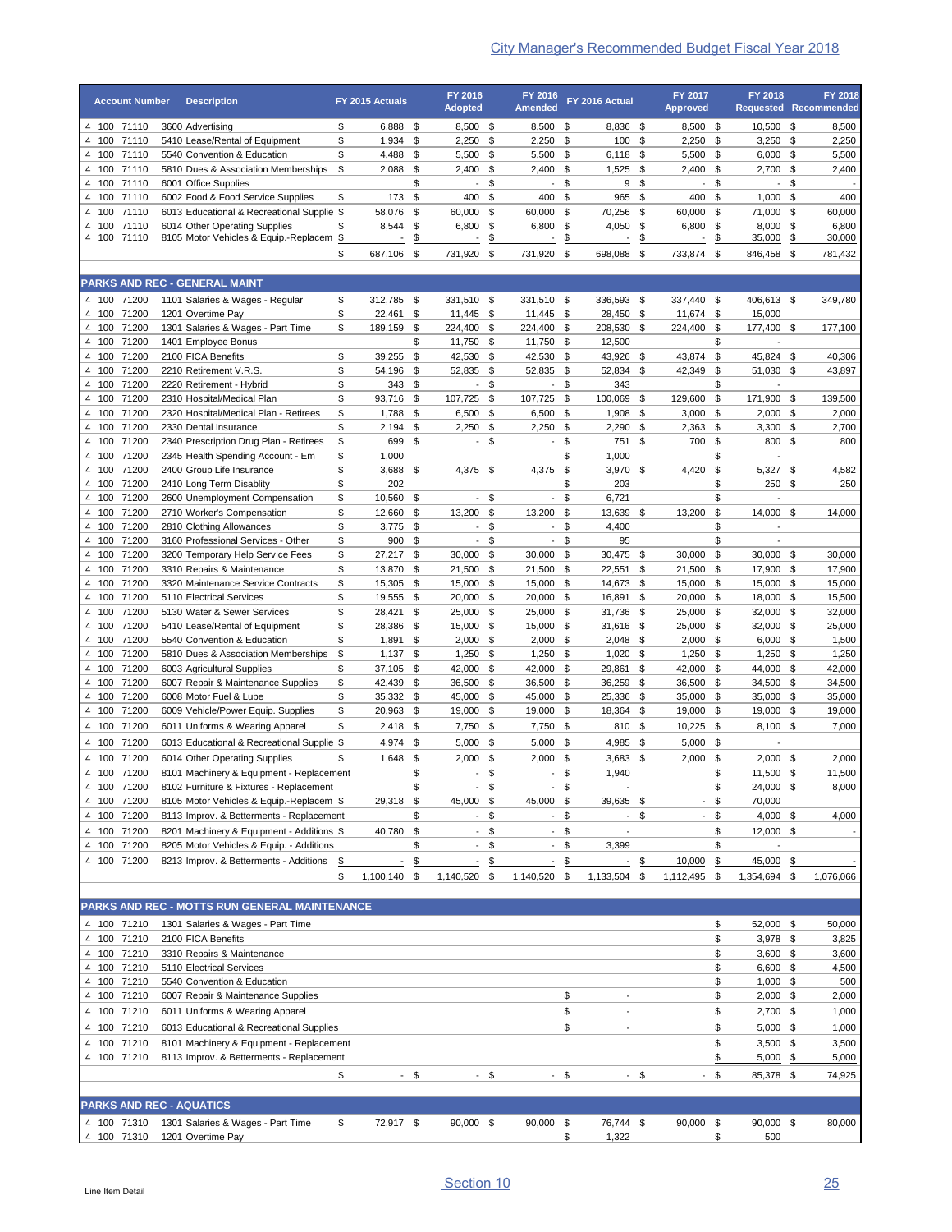|                | <b>Account Number</b>      | <b>Description</b>                                                                    | FY 2015 Actuals                    |            | FY 2016                            |               | FY 2016                  |                | FY 2016 Actual                   |           | FY 2017                 |          | FY 2018                            |               | <b>FY 2018</b>   |
|----------------|----------------------------|---------------------------------------------------------------------------------------|------------------------------------|------------|------------------------------------|---------------|--------------------------|----------------|----------------------------------|-----------|-------------------------|----------|------------------------------------|---------------|------------------|
|                |                            |                                                                                       |                                    |            | <b>Adopted</b>                     |               | <b>Amended</b>           |                |                                  |           | <b>Approved</b>         |          | <b>Requested Recommended</b>       |               |                  |
| 4 100          | 4 100 71110<br>71110       | 3600 Advertising<br>5410 Lease/Rental of Equipment                                    | \$<br>6,888 \$<br>$1,934$ \$<br>\$ |            | 8,500 \$<br>$2,250$ \$             |               | 8,500 \$<br>2,250        | \$             | 8,836 \$<br>100 \$               |           | 8,500 \$<br>2,250       | \$       | 10,500 \$<br>$3,250$ \$            |               | 8,500<br>2,250   |
|                | 4 100 71110                | 5540 Convention & Education                                                           | 4,488 \$<br>\$                     |            | 5,500 \$                           |               | $5,500$ \$               |                | $6,118$ \$                       |           | 5,500 \$                |          | $6,000$ \$                         |               | 5,500            |
|                | 4 100 71110                | 5810 Dues & Association Memberships                                                   | $2,088$ \$<br>\$                   |            | $2,400$ \$                         |               | 2,400                    | \$             | $1,525$ \$                       |           | $2,400$ \$              |          | $2,700$ \$                         |               | 2,400            |
|                | 4 100 71110                | 6001 Office Supplies                                                                  |                                    | \$         | $\overline{\phantom{a}}$           | \$            | $\sim$                   | \$             | 9 <sup>5</sup>                   |           | $\sim$                  | \$       | $\sim$                             | \$            |                  |
| 4 100<br>4 100 | 71110<br>71110             | 6002 Food & Food Service Supplies<br>6013 Educational & Recreational Supplie \$       | 173<br>\$<br>58,076                | \$<br>- \$ | 400<br>60,000                      | \$<br>-\$     | 400<br>60,000 \$         | \$             | 965 \$<br>70,256 \$              |           | 400<br>60,000           | \$<br>\$ | 1,000<br>71,000 \$                 | \$            | 400<br>60,000    |
| 4 100          | 71110                      | 6014 Other Operating Supplies                                                         | 8,544 \$<br>\$                     |            | 6,800                              | \$            | 6,800                    | \$             | 4,050                            | - \$      | 6,800                   | \$       | $8,000$ \$                         |               | 6,800            |
| 4 100          | 71110                      | 8105 Motor Vehicles & Equip.-Replacem \$                                              | $\overline{\phantom{a}}$           | \$         | $\overline{\phantom{a}}$           | $\frac{1}{2}$ | $\overline{\phantom{a}}$ | \$             | $\overline{\phantom{a}}$         | \$        |                         | \$       | 35,000                             | $\frac{3}{2}$ | 30,000           |
|                |                            |                                                                                       | \$<br>687,106 \$                   |            | 731,920                            | \$            | 731,920                  | \$             | 698,088                          | \$        | 733,874                 | \$       | 846,458                            | \$            | 781,432          |
|                |                            | <b>PARKS AND REC - GENERAL MAINT</b>                                                  |                                    |            |                                    |               |                          |                |                                  |           |                         |          |                                    |               |                  |
|                | 4 100 71200                | 1101 Salaries & Wages - Regular                                                       | \$<br>312,785 \$                   |            | 331,510 \$                         |               | 331,510 \$               |                | 336,593 \$                       |           | 337,440 \$              |          | 406,613 \$                         |               | 349,780          |
|                | 4 100 71200                | 1201 Overtime Pay                                                                     | 22,461<br>\$                       | \$         | 11,445 \$                          |               | 11,445 \$                |                | 28,450 \$                        |           | 11,674 \$               |          | 15,000                             |               |                  |
|                | 4 100 71200                | 1301 Salaries & Wages - Part Time                                                     | 189,159 \$<br>\$                   |            | 224,400 \$                         |               | 224,400 \$               |                | 208,530 \$                       |           | 224,400 \$              |          | 177,400 \$                         |               | 177,100          |
|                | 4 100 71200                | 1401 Employee Bonus                                                                   |                                    | \$         | 11,750 \$                          |               | 11,750 \$                |                | 12,500                           |           |                         | \$       | $\overline{\phantom{a}}$           |               |                  |
| 4 100          | 71200                      | 2100 FICA Benefits                                                                    | 39,255<br>\$                       | - \$       | 42,530 \$                          |               | 42,530                   | \$             | 43,926 \$                        |           | 43,874                  | \$       | 45,824 \$                          |               | 40,306           |
| 4 100<br>4 100 | 71200<br>71200             | 2210 Retirement V.R.S.<br>2220 Retirement - Hybrid                                    | 54,196<br>\$<br>\$<br>343 \$       | -\$        | 52,835<br>$\overline{\phantom{a}}$ | - \$<br>\$    | 52,835<br>$\blacksquare$ | \$<br>\$       | 52,834 \$<br>343                 |           | 42,349                  | \$<br>\$ | 51,030 \$<br>$\overline{a}$        |               | 43,897           |
| 4 100          | 71200                      | 2310 Hospital/Medical Plan                                                            | \$<br>93,716                       | - \$       | 107,725                            | \$            | 107,725                  | - \$           | 100,069 \$                       |           | 129,600                 | \$       | 171,900 \$                         |               | 139,500          |
| 4 100          | 71200                      | 2320 Hospital/Medical Plan - Retirees                                                 | \$<br>1,788                        | - \$       | 6,500                              | \$            | 6,500                    | \$             | 1,908                            | \$        | 3,000                   | \$       | $2,000$ \$                         |               | 2,000            |
| 4 100          | 71200                      | 2330 Dental Insurance                                                                 | \$<br>$2,194$ \$                   |            | $2,250$ \$                         |               | $2,250$ \$               |                | $2,290$ \$                       |           | 2,363                   | \$       | $3,300$ \$                         |               | 2,700            |
| 4 100          | 71200                      | 2340 Prescription Drug Plan - Retirees                                                | \$<br>699                          | \$         | $\blacksquare$                     | \$            | $\blacksquare$           | \$             | 751                              | \$        | 700                     | \$       | 800<br>÷,                          | \$            | 800              |
| 4 100<br>4 100 | 71200<br>71200             | 2345 Health Spending Account - Em<br>2400 Group Life Insurance                        | \$<br>1,000<br>\$<br>3,688         | - \$       | 4,375 \$                           |               | 4,375                    | \$<br>\$       | 1,000<br>3,970                   | \$        | 4,420                   | \$<br>\$ | 5,327                              | \$            | 4,582            |
| 4 100          | 71200                      | 2410 Long Term Disablity                                                              | \$<br>202                          |            |                                    |               |                          | \$             | 203                              |           |                         | \$       | 250                                | \$            | 250              |
| 4 100          | 71200                      | 2600 Unemployment Compensation                                                        | \$<br>10,560                       | \$         |                                    | - \$          | $\sim$                   | \$             | 6,721                            |           |                         | \$       |                                    |               |                  |
| 4 100          | 71200                      | 2710 Worker's Compensation                                                            | 12,660<br>\$                       | -\$        | 13,200 \$                          |               | 13,200                   | - \$           | 13,639                           | \$        | 13,200                  | \$       | 14,000                             | \$            | 14,000           |
| 4 100          | 71200                      | 2810 Clothing Allowances                                                              | \$<br>3,775                        | - \$       |                                    | $-$ \$        | $\blacksquare$           | -\$            | 4,400                            |           |                         | \$       | $\overline{\phantom{a}}$           |               |                  |
| 4 100<br>4 100 | 71200<br>71200             | 3160 Professional Services - Other<br>3200 Temporary Help Service Fees                | \$<br>900<br>\$<br>27,217 \$       | - \$       | 30,000 \$                          | - \$          | $30,000$ \$              | - \$           | 95<br>30,475 \$                  |           | 30,000 \$               | \$       | $\overline{\phantom{a}}$<br>30,000 | \$            | 30,000           |
|                | 4 100 71200                | 3310 Repairs & Maintenance                                                            | \$<br>13,870 \$                    |            | 21,500 \$                          |               | 21,500 \$                |                | 22,551                           | \$        | 21,500                  | - \$     | 17,900 \$                          |               | 17,900           |
| 4 100          | 71200                      | 3320 Maintenance Service Contracts                                                    | \$<br>15,305                       | - \$       | 15,000 \$                          |               | 15,000 \$                |                | 14,673 \$                        |           | 15,000 \$               |          | 15,000 \$                          |               | 15,000           |
| 4 100          | 71200                      | 5110 Electrical Services                                                              | \$<br>19,555                       | - \$       | 20,000 \$                          |               | 20,000 \$                |                | 16,891                           | -\$       | 20,000 \$               |          | 18,000 \$                          |               | 15,500           |
| 4 100          | 71200                      | 5130 Water & Sewer Services                                                           | \$<br>28,421 \$                    |            | 25,000 \$                          |               | 25,000 \$                |                | 31,736 \$                        |           | 25,000 \$               |          | 32,000 \$                          |               | 32,000           |
| 4 100<br>4 100 | 71200<br>71200             | 5410 Lease/Rental of Equipment<br>5540 Convention & Education                         | 28,386 \$<br>\$<br>1,891<br>\$     | \$         | 15,000 \$<br>$2,000$ \$            |               | 15,000 \$<br>$2,000$ \$  |                | 31,616 \$<br>$2,048$ \$          |           | 25,000 \$<br>$2,000$ \$ |          | 32,000 \$<br>$6,000$ \$            |               | 25,000<br>1,500  |
|                | 4 100 71200                | 5810 Dues & Association Memberships                                                   | $1,137$ \$<br>\$                   |            | $1,250$ \$                         |               | $1,250$ \$               |                | $1,020$ \$                       |           | $1,250$ \$              |          | $1,250$ \$                         |               | 1,250            |
|                | 4 100 71200                | 6003 Agricultural Supplies                                                            | 37,105 \$<br>\$                    |            | 42,000 \$                          |               | 42,000 \$                |                | 29,861 \$                        |           | 42,000 \$               |          | 44,000 \$                          |               | 42,000           |
|                | 4 100 71200                | 6007 Repair & Maintenance Supplies                                                    | 42,439 \$<br>\$                    |            | 36,500 \$                          |               | 36,500 \$                |                | 36,259 \$                        |           | 36,500 \$               |          | 34,500 \$                          |               | 34,500           |
| 4 100          | 4 100 71200<br>71200       | 6008 Motor Fuel & Lube<br>6009 Vehicle/Power Equip. Supplies                          | 35,332 \$<br>\$<br>20,963 \$<br>\$ |            | 45,000 \$<br>19,000 \$             |               | 45,000 \$<br>19,000 \$   |                | 25,336 \$<br>18,364 \$           |           | 35,000<br>19,000        | \$<br>\$ | 35,000 \$<br>19,000 \$             |               | 35,000<br>19,000 |
|                | 4 100 71200                | 6011 Uniforms & Wearing Apparel                                                       | \$<br>$2,418$ \$                   |            | 7,750 \$                           |               | 7,750 \$                 |                | 810 \$                           |           | 10,225 \$               |          | 8,100 \$                           |               | 7,000            |
|                | 4 100 71200                | 6013 Educational & Recreational Supplie \$                                            | 4,974                              | \$         | 5,000 \$                           |               | 5,000 \$                 |                | 4,985 \$                         |           | 5,000 \$                |          |                                    |               |                  |
|                | 4 100 71200                | 6014 Other Operating Supplies                                                         | \$<br>1,648 \$                     |            | $2,000$ \$                         |               | $2,000$ \$               |                | 3,683 \$                         |           | $2,000$ \$              |          | $2,000$ \$                         |               | 2,000            |
|                | 4 100 71200                | 8101 Machinery & Equipment - Replacement                                              |                                    | \$         | $\sim$                             | \$            |                          | - \$           | 1,940                            |           |                         | \$       | 11,500 \$                          |               | 11,500           |
|                | 4 100 71200                | 8102 Furniture & Fixtures - Replacement                                               |                                    | \$         | $\blacksquare$                     | \$            | $\blacksquare$           | \$             | $\overline{a}$                   |           |                         | \$       | 24,000 \$                          |               | 8,000            |
|                | 4 100 71200                | 8105 Motor Vehicles & Equip.-Replacem \$                                              | 29,318 \$                          |            | 45,000 \$                          |               | 45,000 \$                |                | 39,635 \$                        |           | $\sim$                  | \$       | 70,000                             |               |                  |
|                | 4 100 71200<br>4 100 71200 | 8113 Improv. & Betterments - Replacement<br>8201 Machinery & Equipment - Additions \$ |                                    | \$         |                                    | - \$<br>- \$  |                          | $-$ \$<br>- \$ | - \$<br>$\overline{\phantom{a}}$ |           |                         | - \$     | 4,000 \$<br>12,000 \$              |               | 4,000            |
|                | 4 100 71200                | 8205 Motor Vehicles & Equip. - Additions                                              | 40,780 \$                          | \$         |                                    | - \$          | $\blacksquare$           | \$             | 3,399                            |           |                         | \$<br>\$ | $\overline{\phantom{a}}$           |               |                  |
|                | 4 100 71200                | 8213 Improv. & Betterments - Additions                                                | \$                                 | \$         |                                    | \$            |                          | \$             | $\overline{\phantom{a}}$         | <b>\$</b> | 10,000                  | \$       | <u>45,000 \$</u>                   |               |                  |
|                |                            |                                                                                       | \$<br>1,100,140 \$                 |            | 1,140,520 \$                       |               | 1,140,520 \$             |                | 1,133,504 \$                     |           | 1,112,495 \$            |          | 1,354,694 \$                       |               | 1,076,066        |
|                |                            |                                                                                       |                                    |            |                                    |               |                          |                |                                  |           |                         |          |                                    |               |                  |
|                |                            | PARKS AND REC - MOTTS RUN GENERAL MAINTENANCE                                         |                                    |            |                                    |               |                          |                |                                  |           |                         |          |                                    |               |                  |
|                | 4 100 71210                | 1301 Salaries & Wages - Part Time                                                     |                                    |            |                                    |               |                          |                |                                  |           |                         | \$       | 52,000 \$                          |               | 50,000           |
|                | 4 100 71210<br>4 100 71210 | 2100 FICA Benefits<br>3310 Repairs & Maintenance                                      |                                    |            |                                    |               |                          |                |                                  |           |                         | \$<br>\$ | $3,978$ \$<br>$3,600$ \$           |               | 3,825<br>3,600   |
|                | 4 100 71210                | 5110 Electrical Services                                                              |                                    |            |                                    |               |                          |                |                                  |           |                         | \$       | 6,600 \$                           |               | 4,500            |
|                | 4 100 71210                | 5540 Convention & Education                                                           |                                    |            |                                    |               |                          |                |                                  |           |                         | \$       | $1,000$ \$                         |               | 500              |
|                | 4 100 71210                | 6007 Repair & Maintenance Supplies                                                    |                                    |            |                                    |               |                          | \$             | $\overline{\phantom{a}}$         |           |                         | \$       | $2,000$ \$                         |               | 2,000            |
|                | 4 100 71210                | 6011 Uniforms & Wearing Apparel                                                       |                                    |            |                                    |               |                          | \$             | $\overline{a}$                   |           |                         | \$       | 2,700 \$                           |               | 1,000            |
|                | 4 100 71210                | 6013 Educational & Recreational Supplies                                              |                                    |            |                                    |               |                          | \$             | $\overline{\phantom{a}}$         |           |                         | \$       | $5,000$ \$                         |               | 1,000            |
|                | 4 100 71210                | 8101 Machinery & Equipment - Replacement                                              |                                    |            |                                    |               |                          |                |                                  |           |                         | \$       | $3,500$ \$                         |               | 3,500            |
|                | 4 100 71210                | 8113 Improv. & Betterments - Replacement                                              |                                    |            |                                    |               |                          |                |                                  |           |                         | \$       | $5,000$ \$                         |               | 5,000            |
|                |                            |                                                                                       | \$                                 | - \$       |                                    | - \$          |                          | - \$           |                                  | $-$ \$    |                         | - \$     | 85,378 \$                          |               | 74,925           |
|                |                            | <b>PARKS AND REC - AQUATICS</b>                                                       |                                    |            |                                    |               |                          |                |                                  |           |                         |          |                                    |               |                  |
|                | 4 100 71310                | 1301 Salaries & Wages - Part Time                                                     | \$<br>72,917 \$                    |            | 90,000 \$                          |               | 90,000 \$                |                | 76,744 \$                        |           | 90,000 \$               |          | 90,000 \$                          |               | 80,000           |
|                | 4 100 71310                | 1201 Overtime Pay                                                                     |                                    |            |                                    |               |                          | \$             | 1,322                            |           |                         | \$       | 500                                |               |                  |
|                |                            |                                                                                       |                                    |            |                                    |               |                          |                |                                  |           |                         |          |                                    |               |                  |
|                |                            |                                                                                       |                                    |            |                                    |               |                          |                |                                  |           |                         |          |                                    |               |                  |
|                |                            |                                                                                       |                                    |            | Section 10                         |               |                          |                |                                  |           |                         |          |                                    |               | 25               |

|       |             | <b>PARKS AND REC - MOTTS RUN GENERAL MAINTENANCE</b> |           |      |           |      |             |      |                          |      |           |      |            |      |        |
|-------|-------------|------------------------------------------------------|-----------|------|-----------|------|-------------|------|--------------------------|------|-----------|------|------------|------|--------|
|       | 4 100 71210 | 1301 Salaries & Wages - Part Time                    |           |      |           |      |             |      |                          |      |           | \$   | 52,000 \$  |      | 50,000 |
|       | 4 100 71210 | 2100 FICA Benefits                                   |           |      |           |      |             |      |                          |      |           |      | $3.978$ \$ |      | 3,825  |
|       | 4 100 71210 | 3310 Repairs & Maintenance                           |           |      |           |      |             |      |                          |      |           |      | $3,600$ \$ |      | 3,600  |
| 4 100 | 71210       | 5110 Electrical Services                             |           |      |           |      |             |      |                          |      |           | \$   | 6.600 \$   |      | 4.500  |
| 4 100 | 71210       | 5540 Convention & Education                          |           |      |           |      |             |      |                          |      |           | S    | $1,000$ \$ |      | 500    |
|       | 4 100 71210 | 6007 Repair & Maintenance Supplies                   |           |      |           |      |             | \$   | $\overline{\phantom{a}}$ |      |           | \$   | 2,000      | \$   | 2,000  |
|       | 4 100 71210 | 6011 Uniforms & Wearing Apparel                      |           |      |           |      |             | \$   | $\overline{\phantom{a}}$ |      |           | \$   | $2,700$ \$ |      | 1,000  |
|       | 4 100 71210 | 6013 Educational & Recreational Supplies             |           |      |           |      |             | \$   | $\overline{\phantom{a}}$ |      |           | \$   | $5,000$ \$ |      | 1,000  |
| 4 100 | 71210       | 8101 Machinery & Equipment - Replacement             |           |      |           |      |             |      |                          |      |           | \$.  | $3.500$ \$ |      | 3,500  |
| 4 100 | 71210       | 8113 Improv. & Betterments - Replacement             |           |      |           |      |             |      |                          |      |           |      | 5,000      | \$   | 5,000  |
|       |             | \$                                                   |           | - \$ |           | - \$ |             | - \$ |                          | - \$ |           | - \$ | 85.378 \$  |      | 74,925 |
|       |             |                                                      |           |      |           |      |             |      |                          |      |           |      |            |      |        |
|       |             | <b>PARKS AND REC - AQUATICS</b>                      |           |      |           |      |             |      |                          |      |           |      |            |      |        |
| 4 100 | 71310       | 1301 Salaries & Wages - Part Time<br>\$              | 72.917 \$ |      | 90,000 \$ |      | $90.000$ \$ |      | 76.744 \$                |      | 90.000 \$ |      | 90.000     | - \$ | 80,000 |
|       | 4 100 71310 | 1201 Overtime Pav                                    |           |      |           |      |             | \$.  | 1.322                    |      |           |      | 500        |      |        |

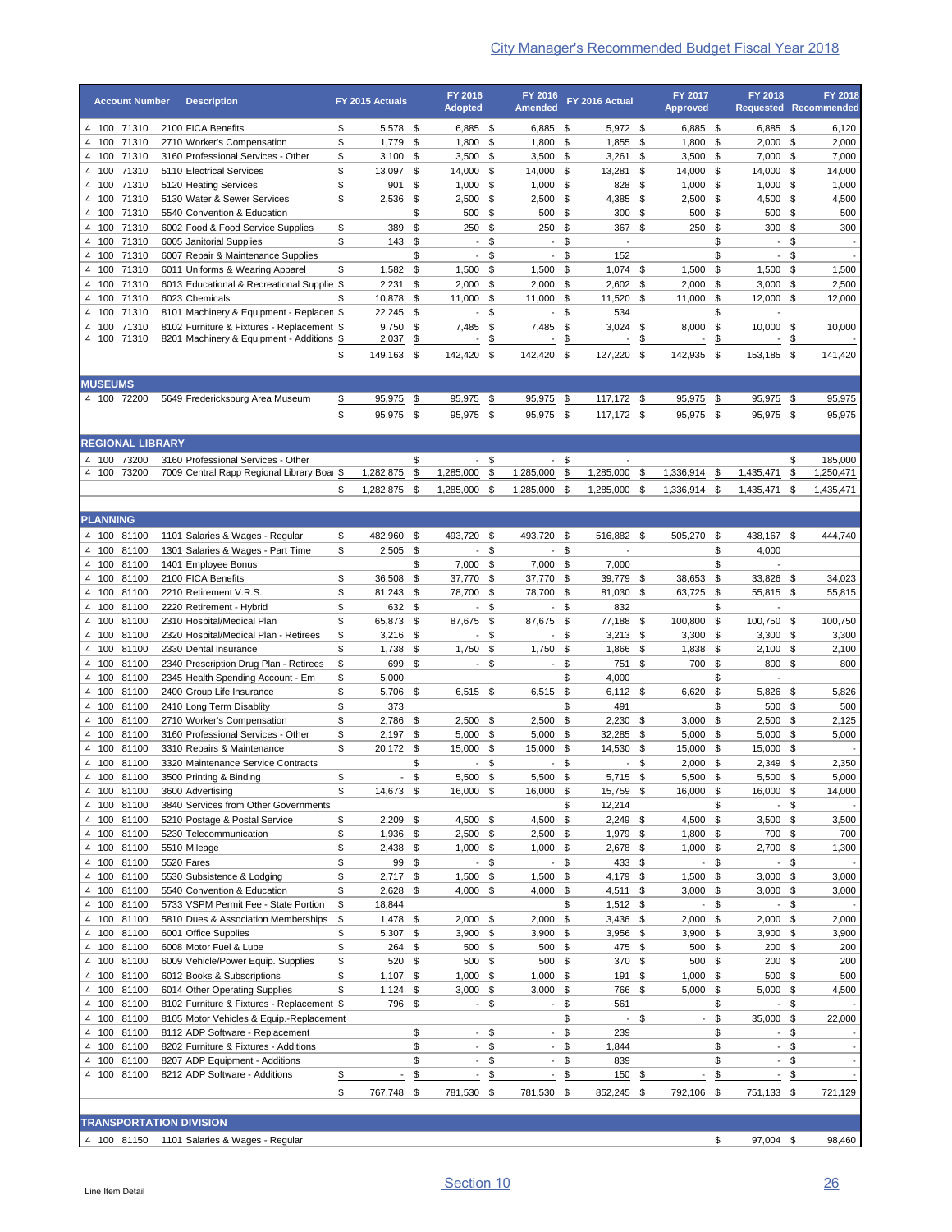| <b>Account Number</b><br>4 100 71310<br>71310<br>71310<br>71310<br>71310<br>71310<br>71310<br>71310<br>71310<br>71310<br>71310<br>71310<br>71310<br>71310<br>71310<br>71310<br><b>MUSEUMS</b><br>4 100 72200<br><b>REGIONAL LIBRARY</b> | <b>Description</b><br>2100 FICA Benefits<br>2710 Worker's Compensation<br>3160 Professional Services - Other<br>5110 Electrical Services<br>5120 Heating Services<br>5130 Water & Sewer Services<br>5540 Convention & Education<br>6002 Food & Food Service Supplies<br>6005 Janitorial Supplies<br>6007 Repair & Maintenance Supplies<br>6011 Uniforms & Wearing Apparel<br>6013 Educational & Recreational Supplie \$<br>6023 Chemicals<br>8101 Machinery & Equipment - Replacen \$<br>8102 Furniture & Fixtures - Replacement \$<br>8201 Machinery & Equipment - Additions \$<br>5649 Fredericksburg Area Museum | \$<br>\$<br>\$<br>\$<br>\$<br>\$<br>\$<br>\$<br>\$<br>\$<br>\$<br>\$                                                                                                                                                                                                                                                                                                                                                                                                                                                                                                                                                                                                                                  | FY 2015 Actuals<br>5,578 \$<br>1,779<br>3,100<br>13,097<br>901<br>2,536<br>389<br>143<br>1,582<br>2,231<br>10,878<br>22,245<br>9,750<br>2,037<br>149,163 \$                                                                                | \$<br>\$<br>\$<br>\$<br>\$<br>\$<br>\$<br>\$<br>\$<br>\$<br>\$<br>\$<br>-\$<br>\$<br>\$ | <b>Adopted</b><br>6,885 \$<br>1,800<br>$3,500$ \$<br>14,000<br>1,000<br>2,500<br>500<br>250<br>$\sim$<br>$\sim$<br>$1,500$ \$<br>$2,000$ \$<br>11,000<br>$\overline{\phantom{a}}$<br>7,485                                                                  | \$<br>\$<br>\$<br>$\sqrt[6]{2}$<br>\$<br>\$<br>\$<br>\$<br>-\$ | <b>Amended</b><br>6,885 \$<br>1,800<br>$3,500$ \$<br>14,000<br>1,000<br>2,500<br>500 \$<br>250<br>$\sim$<br>$\overline{\phantom{a}}$<br>$1,500$ \$<br>2,000                                                                                                                                                                                                                                    | \$<br>\$<br>\$<br>\$<br>\$<br>\$<br>\$                                 | FY 2016 Actual<br>5,972 \$<br>1,855<br>3,261<br>13,281<br>828 \$<br>4,385<br>$300*$<br>367<br>$\overline{a}$<br>152<br>$1,074$ \$                                                                                                                                                                                                                                                     | \$<br>\$<br>\$<br>\$<br>\$                                | <b>Approved</b><br>6,885 \$<br>1,800<br>3,500<br>14,000<br>1,000<br>2,500<br>500<br>250<br>1,500                                                                                                                                                                                                                                                                       | \$<br>\$<br>\$<br>\$<br>\$<br>\$<br>\$<br>\$<br>\$<br>\$ | <b>Requested Recommended</b><br>6,885 \$<br>2,000<br>7,000<br>14,000<br>1,000<br>4,500<br>500<br>300<br>$\sim$<br>$\sim$                                                                                                                                                                                                | $\sqrt[6]{\frac{1}{2}}$<br>\$<br>$\sqrt[6]{2}$<br>\$<br>\$<br>\$<br>\$<br>\$<br>\$ | 6,120<br>2,000<br>7,000<br>14,000<br>1,000<br>4,500<br>500<br>300<br>$\overline{\phantom{a}}$<br>1,500                                                                                                                                                                                                                                                                                                                 |
|-----------------------------------------------------------------------------------------------------------------------------------------------------------------------------------------------------------------------------------------|---------------------------------------------------------------------------------------------------------------------------------------------------------------------------------------------------------------------------------------------------------------------------------------------------------------------------------------------------------------------------------------------------------------------------------------------------------------------------------------------------------------------------------------------------------------------------------------------------------------------|-------------------------------------------------------------------------------------------------------------------------------------------------------------------------------------------------------------------------------------------------------------------------------------------------------------------------------------------------------------------------------------------------------------------------------------------------------------------------------------------------------------------------------------------------------------------------------------------------------------------------------------------------------------------------------------------------------|--------------------------------------------------------------------------------------------------------------------------------------------------------------------------------------------------------------------------------------------|-----------------------------------------------------------------------------------------|-------------------------------------------------------------------------------------------------------------------------------------------------------------------------------------------------------------------------------------------------------------|----------------------------------------------------------------|------------------------------------------------------------------------------------------------------------------------------------------------------------------------------------------------------------------------------------------------------------------------------------------------------------------------------------------------------------------------------------------------|------------------------------------------------------------------------|---------------------------------------------------------------------------------------------------------------------------------------------------------------------------------------------------------------------------------------------------------------------------------------------------------------------------------------------------------------------------------------|-----------------------------------------------------------|------------------------------------------------------------------------------------------------------------------------------------------------------------------------------------------------------------------------------------------------------------------------------------------------------------------------------------------------------------------------|----------------------------------------------------------|-------------------------------------------------------------------------------------------------------------------------------------------------------------------------------------------------------------------------------------------------------------------------------------------------------------------------|------------------------------------------------------------------------------------|------------------------------------------------------------------------------------------------------------------------------------------------------------------------------------------------------------------------------------------------------------------------------------------------------------------------------------------------------------------------------------------------------------------------|
|                                                                                                                                                                                                                                         |                                                                                                                                                                                                                                                                                                                                                                                                                                                                                                                                                                                                                     |                                                                                                                                                                                                                                                                                                                                                                                                                                                                                                                                                                                                                                                                                                       |                                                                                                                                                                                                                                            |                                                                                         |                                                                                                                                                                                                                                                             |                                                                |                                                                                                                                                                                                                                                                                                                                                                                                |                                                                        |                                                                                                                                                                                                                                                                                                                                                                                       |                                                           |                                                                                                                                                                                                                                                                                                                                                                        |                                                          |                                                                                                                                                                                                                                                                                                                         |                                                                                    |                                                                                                                                                                                                                                                                                                                                                                                                                        |
|                                                                                                                                                                                                                                         |                                                                                                                                                                                                                                                                                                                                                                                                                                                                                                                                                                                                                     |                                                                                                                                                                                                                                                                                                                                                                                                                                                                                                                                                                                                                                                                                                       |                                                                                                                                                                                                                                            |                                                                                         |                                                                                                                                                                                                                                                             |                                                                |                                                                                                                                                                                                                                                                                                                                                                                                |                                                                        |                                                                                                                                                                                                                                                                                                                                                                                       |                                                           |                                                                                                                                                                                                                                                                                                                                                                        |                                                          |                                                                                                                                                                                                                                                                                                                         |                                                                                    |                                                                                                                                                                                                                                                                                                                                                                                                                        |
|                                                                                                                                                                                                                                         |                                                                                                                                                                                                                                                                                                                                                                                                                                                                                                                                                                                                                     |                                                                                                                                                                                                                                                                                                                                                                                                                                                                                                                                                                                                                                                                                                       |                                                                                                                                                                                                                                            |                                                                                         |                                                                                                                                                                                                                                                             |                                                                |                                                                                                                                                                                                                                                                                                                                                                                                |                                                                        |                                                                                                                                                                                                                                                                                                                                                                                       |                                                           |                                                                                                                                                                                                                                                                                                                                                                        |                                                          |                                                                                                                                                                                                                                                                                                                         |                                                                                    |                                                                                                                                                                                                                                                                                                                                                                                                                        |
|                                                                                                                                                                                                                                         |                                                                                                                                                                                                                                                                                                                                                                                                                                                                                                                                                                                                                     |                                                                                                                                                                                                                                                                                                                                                                                                                                                                                                                                                                                                                                                                                                       |                                                                                                                                                                                                                                            |                                                                                         |                                                                                                                                                                                                                                                             |                                                                |                                                                                                                                                                                                                                                                                                                                                                                                |                                                                        |                                                                                                                                                                                                                                                                                                                                                                                       |                                                           |                                                                                                                                                                                                                                                                                                                                                                        |                                                          |                                                                                                                                                                                                                                                                                                                         |                                                                                    |                                                                                                                                                                                                                                                                                                                                                                                                                        |
|                                                                                                                                                                                                                                         |                                                                                                                                                                                                                                                                                                                                                                                                                                                                                                                                                                                                                     |                                                                                                                                                                                                                                                                                                                                                                                                                                                                                                                                                                                                                                                                                                       |                                                                                                                                                                                                                                            |                                                                                         |                                                                                                                                                                                                                                                             |                                                                |                                                                                                                                                                                                                                                                                                                                                                                                |                                                                        |                                                                                                                                                                                                                                                                                                                                                                                       |                                                           |                                                                                                                                                                                                                                                                                                                                                                        |                                                          |                                                                                                                                                                                                                                                                                                                         |                                                                                    |                                                                                                                                                                                                                                                                                                                                                                                                                        |
|                                                                                                                                                                                                                                         |                                                                                                                                                                                                                                                                                                                                                                                                                                                                                                                                                                                                                     |                                                                                                                                                                                                                                                                                                                                                                                                                                                                                                                                                                                                                                                                                                       |                                                                                                                                                                                                                                            |                                                                                         |                                                                                                                                                                                                                                                             |                                                                |                                                                                                                                                                                                                                                                                                                                                                                                |                                                                        |                                                                                                                                                                                                                                                                                                                                                                                       |                                                           |                                                                                                                                                                                                                                                                                                                                                                        |                                                          |                                                                                                                                                                                                                                                                                                                         |                                                                                    |                                                                                                                                                                                                                                                                                                                                                                                                                        |
|                                                                                                                                                                                                                                         |                                                                                                                                                                                                                                                                                                                                                                                                                                                                                                                                                                                                                     |                                                                                                                                                                                                                                                                                                                                                                                                                                                                                                                                                                                                                                                                                                       |                                                                                                                                                                                                                                            |                                                                                         |                                                                                                                                                                                                                                                             |                                                                |                                                                                                                                                                                                                                                                                                                                                                                                |                                                                        |                                                                                                                                                                                                                                                                                                                                                                                       |                                                           |                                                                                                                                                                                                                                                                                                                                                                        |                                                          |                                                                                                                                                                                                                                                                                                                         |                                                                                    |                                                                                                                                                                                                                                                                                                                                                                                                                        |
|                                                                                                                                                                                                                                         |                                                                                                                                                                                                                                                                                                                                                                                                                                                                                                                                                                                                                     |                                                                                                                                                                                                                                                                                                                                                                                                                                                                                                                                                                                                                                                                                                       |                                                                                                                                                                                                                                            |                                                                                         |                                                                                                                                                                                                                                                             |                                                                |                                                                                                                                                                                                                                                                                                                                                                                                |                                                                        |                                                                                                                                                                                                                                                                                                                                                                                       |                                                           |                                                                                                                                                                                                                                                                                                                                                                        |                                                          |                                                                                                                                                                                                                                                                                                                         |                                                                                    |                                                                                                                                                                                                                                                                                                                                                                                                                        |
|                                                                                                                                                                                                                                         |                                                                                                                                                                                                                                                                                                                                                                                                                                                                                                                                                                                                                     |                                                                                                                                                                                                                                                                                                                                                                                                                                                                                                                                                                                                                                                                                                       |                                                                                                                                                                                                                                            |                                                                                         |                                                                                                                                                                                                                                                             |                                                                |                                                                                                                                                                                                                                                                                                                                                                                                |                                                                        |                                                                                                                                                                                                                                                                                                                                                                                       |                                                           |                                                                                                                                                                                                                                                                                                                                                                        |                                                          |                                                                                                                                                                                                                                                                                                                         |                                                                                    |                                                                                                                                                                                                                                                                                                                                                                                                                        |
|                                                                                                                                                                                                                                         |                                                                                                                                                                                                                                                                                                                                                                                                                                                                                                                                                                                                                     |                                                                                                                                                                                                                                                                                                                                                                                                                                                                                                                                                                                                                                                                                                       |                                                                                                                                                                                                                                            |                                                                                         |                                                                                                                                                                                                                                                             |                                                                |                                                                                                                                                                                                                                                                                                                                                                                                |                                                                        |                                                                                                                                                                                                                                                                                                                                                                                       |                                                           |                                                                                                                                                                                                                                                                                                                                                                        |                                                          | $1,500$ \$                                                                                                                                                                                                                                                                                                              |                                                                                    |                                                                                                                                                                                                                                                                                                                                                                                                                        |
|                                                                                                                                                                                                                                         |                                                                                                                                                                                                                                                                                                                                                                                                                                                                                                                                                                                                                     |                                                                                                                                                                                                                                                                                                                                                                                                                                                                                                                                                                                                                                                                                                       |                                                                                                                                                                                                                                            |                                                                                         |                                                                                                                                                                                                                                                             |                                                                |                                                                                                                                                                                                                                                                                                                                                                                                | \$                                                                     | 2,602                                                                                                                                                                                                                                                                                                                                                                                 | \$                                                        | 2,000                                                                                                                                                                                                                                                                                                                                                                  | \$                                                       | $3,000$ \$                                                                                                                                                                                                                                                                                                              |                                                                                    | 2,500                                                                                                                                                                                                                                                                                                                                                                                                                  |
|                                                                                                                                                                                                                                         |                                                                                                                                                                                                                                                                                                                                                                                                                                                                                                                                                                                                                     |                                                                                                                                                                                                                                                                                                                                                                                                                                                                                                                                                                                                                                                                                                       |                                                                                                                                                                                                                                            |                                                                                         |                                                                                                                                                                                                                                                             | \$                                                             | 11,000                                                                                                                                                                                                                                                                                                                                                                                         | - \$<br>\$                                                             | 11,520                                                                                                                                                                                                                                                                                                                                                                                | \$                                                        | 11,000                                                                                                                                                                                                                                                                                                                                                                 | \$<br>\$                                                 | 12,000 \$                                                                                                                                                                                                                                                                                                               |                                                                                    | 12,000                                                                                                                                                                                                                                                                                                                                                                                                                 |
|                                                                                                                                                                                                                                         |                                                                                                                                                                                                                                                                                                                                                                                                                                                                                                                                                                                                                     |                                                                                                                                                                                                                                                                                                                                                                                                                                                                                                                                                                                                                                                                                                       |                                                                                                                                                                                                                                            |                                                                                         |                                                                                                                                                                                                                                                             | \$                                                             | $\blacksquare$<br>7,485                                                                                                                                                                                                                                                                                                                                                                        | - \$                                                                   | 534<br>$3,024$ \$                                                                                                                                                                                                                                                                                                                                                                     |                                                           | 8,000                                                                                                                                                                                                                                                                                                                                                                  | \$                                                       | 10,000 \$                                                                                                                                                                                                                                                                                                               |                                                                                    | 10,000                                                                                                                                                                                                                                                                                                                                                                                                                 |
|                                                                                                                                                                                                                                         |                                                                                                                                                                                                                                                                                                                                                                                                                                                                                                                                                                                                                     |                                                                                                                                                                                                                                                                                                                                                                                                                                                                                                                                                                                                                                                                                                       |                                                                                                                                                                                                                                            |                                                                                         | $\blacksquare$                                                                                                                                                                                                                                              | \$                                                             | $\overline{\phantom{a}}$                                                                                                                                                                                                                                                                                                                                                                       | \$                                                                     | $\blacksquare$                                                                                                                                                                                                                                                                                                                                                                        | \$                                                        | $\overline{a}$                                                                                                                                                                                                                                                                                                                                                         | \$                                                       |                                                                                                                                                                                                                                                                                                                         | \$                                                                                 |                                                                                                                                                                                                                                                                                                                                                                                                                        |
|                                                                                                                                                                                                                                         |                                                                                                                                                                                                                                                                                                                                                                                                                                                                                                                                                                                                                     |                                                                                                                                                                                                                                                                                                                                                                                                                                                                                                                                                                                                                                                                                                       |                                                                                                                                                                                                                                            |                                                                                         | 142,420 \$                                                                                                                                                                                                                                                  |                                                                | 142,420 \$                                                                                                                                                                                                                                                                                                                                                                                     |                                                                        | 127,220 \$                                                                                                                                                                                                                                                                                                                                                                            |                                                           | 142,935 \$                                                                                                                                                                                                                                                                                                                                                             |                                                          | 153,185 \$                                                                                                                                                                                                                                                                                                              |                                                                                    | 141,420                                                                                                                                                                                                                                                                                                                                                                                                                |
|                                                                                                                                                                                                                                         |                                                                                                                                                                                                                                                                                                                                                                                                                                                                                                                                                                                                                     |                                                                                                                                                                                                                                                                                                                                                                                                                                                                                                                                                                                                                                                                                                       |                                                                                                                                                                                                                                            |                                                                                         |                                                                                                                                                                                                                                                             |                                                                |                                                                                                                                                                                                                                                                                                                                                                                                |                                                                        |                                                                                                                                                                                                                                                                                                                                                                                       |                                                           |                                                                                                                                                                                                                                                                                                                                                                        |                                                          |                                                                                                                                                                                                                                                                                                                         |                                                                                    |                                                                                                                                                                                                                                                                                                                                                                                                                        |
|                                                                                                                                                                                                                                         |                                                                                                                                                                                                                                                                                                                                                                                                                                                                                                                                                                                                                     |                                                                                                                                                                                                                                                                                                                                                                                                                                                                                                                                                                                                                                                                                                       |                                                                                                                                                                                                                                            |                                                                                         |                                                                                                                                                                                                                                                             |                                                                |                                                                                                                                                                                                                                                                                                                                                                                                |                                                                        |                                                                                                                                                                                                                                                                                                                                                                                       |                                                           |                                                                                                                                                                                                                                                                                                                                                                        |                                                          |                                                                                                                                                                                                                                                                                                                         |                                                                                    |                                                                                                                                                                                                                                                                                                                                                                                                                        |
|                                                                                                                                                                                                                                         |                                                                                                                                                                                                                                                                                                                                                                                                                                                                                                                                                                                                                     |                                                                                                                                                                                                                                                                                                                                                                                                                                                                                                                                                                                                                                                                                                       | 95,975                                                                                                                                                                                                                                     | \$                                                                                      | 95,975                                                                                                                                                                                                                                                      | \$                                                             | 95,975                                                                                                                                                                                                                                                                                                                                                                                         | \$                                                                     | 117,172 \$                                                                                                                                                                                                                                                                                                                                                                            |                                                           | 95,975                                                                                                                                                                                                                                                                                                                                                                 | \$                                                       | 95,975                                                                                                                                                                                                                                                                                                                  | \$                                                                                 | 95,975                                                                                                                                                                                                                                                                                                                                                                                                                 |
|                                                                                                                                                                                                                                         |                                                                                                                                                                                                                                                                                                                                                                                                                                                                                                                                                                                                                     | \$                                                                                                                                                                                                                                                                                                                                                                                                                                                                                                                                                                                                                                                                                                    | 95,975 \$                                                                                                                                                                                                                                  |                                                                                         | 95,975 \$                                                                                                                                                                                                                                                   |                                                                | 95,975 \$                                                                                                                                                                                                                                                                                                                                                                                      |                                                                        | 117,172 \$                                                                                                                                                                                                                                                                                                                                                                            |                                                           | 95,975 \$                                                                                                                                                                                                                                                                                                                                                              |                                                          | 95,975 \$                                                                                                                                                                                                                                                                                                               |                                                                                    | 95,975                                                                                                                                                                                                                                                                                                                                                                                                                 |
|                                                                                                                                                                                                                                         |                                                                                                                                                                                                                                                                                                                                                                                                                                                                                                                                                                                                                     |                                                                                                                                                                                                                                                                                                                                                                                                                                                                                                                                                                                                                                                                                                       |                                                                                                                                                                                                                                            |                                                                                         |                                                                                                                                                                                                                                                             |                                                                |                                                                                                                                                                                                                                                                                                                                                                                                |                                                                        |                                                                                                                                                                                                                                                                                                                                                                                       |                                                           |                                                                                                                                                                                                                                                                                                                                                                        |                                                          |                                                                                                                                                                                                                                                                                                                         |                                                                                    |                                                                                                                                                                                                                                                                                                                                                                                                                        |
| 73200                                                                                                                                                                                                                                   | 3160 Professional Services - Other                                                                                                                                                                                                                                                                                                                                                                                                                                                                                                                                                                                  |                                                                                                                                                                                                                                                                                                                                                                                                                                                                                                                                                                                                                                                                                                       |                                                                                                                                                                                                                                            | \$                                                                                      | $\sim$                                                                                                                                                                                                                                                      | \$                                                             | $-$ \$                                                                                                                                                                                                                                                                                                                                                                                         |                                                                        | $\overline{a}$                                                                                                                                                                                                                                                                                                                                                                        |                                                           |                                                                                                                                                                                                                                                                                                                                                                        |                                                          |                                                                                                                                                                                                                                                                                                                         | \$                                                                                 | 185,000                                                                                                                                                                                                                                                                                                                                                                                                                |
|                                                                                                                                                                                                                                         |                                                                                                                                                                                                                                                                                                                                                                                                                                                                                                                                                                                                                     |                                                                                                                                                                                                                                                                                                                                                                                                                                                                                                                                                                                                                                                                                                       | 1,282,875                                                                                                                                                                                                                                  | \$                                                                                      | 1,285,000                                                                                                                                                                                                                                                   | \$                                                             | 1,285,000                                                                                                                                                                                                                                                                                                                                                                                      | \$                                                                     | 1,285,000                                                                                                                                                                                                                                                                                                                                                                             | \$                                                        | 1,336,914                                                                                                                                                                                                                                                                                                                                                              | \$                                                       | 1,435,471                                                                                                                                                                                                                                                                                                               | \$                                                                                 | 1,250,471                                                                                                                                                                                                                                                                                                                                                                                                              |
|                                                                                                                                                                                                                                         |                                                                                                                                                                                                                                                                                                                                                                                                                                                                                                                                                                                                                     | \$                                                                                                                                                                                                                                                                                                                                                                                                                                                                                                                                                                                                                                                                                                    | 1,282,875                                                                                                                                                                                                                                  | -\$                                                                                     | 1,285,000                                                                                                                                                                                                                                                   | \$                                                             | 1,285,000                                                                                                                                                                                                                                                                                                                                                                                      |                                                                        |                                                                                                                                                                                                                                                                                                                                                                                       |                                                           | 1,336,914                                                                                                                                                                                                                                                                                                                                                              |                                                          | 1,435,471                                                                                                                                                                                                                                                                                                               | \$                                                                                 | 1,435,471                                                                                                                                                                                                                                                                                                                                                                                                              |
|                                                                                                                                                                                                                                         |                                                                                                                                                                                                                                                                                                                                                                                                                                                                                                                                                                                                                     |                                                                                                                                                                                                                                                                                                                                                                                                                                                                                                                                                                                                                                                                                                       |                                                                                                                                                                                                                                            |                                                                                         |                                                                                                                                                                                                                                                             |                                                                |                                                                                                                                                                                                                                                                                                                                                                                                |                                                                        |                                                                                                                                                                                                                                                                                                                                                                                       |                                                           |                                                                                                                                                                                                                                                                                                                                                                        |                                                          |                                                                                                                                                                                                                                                                                                                         |                                                                                    |                                                                                                                                                                                                                                                                                                                                                                                                                        |
|                                                                                                                                                                                                                                         |                                                                                                                                                                                                                                                                                                                                                                                                                                                                                                                                                                                                                     |                                                                                                                                                                                                                                                                                                                                                                                                                                                                                                                                                                                                                                                                                                       |                                                                                                                                                                                                                                            |                                                                                         |                                                                                                                                                                                                                                                             |                                                                |                                                                                                                                                                                                                                                                                                                                                                                                |                                                                        |                                                                                                                                                                                                                                                                                                                                                                                       |                                                           |                                                                                                                                                                                                                                                                                                                                                                        |                                                          |                                                                                                                                                                                                                                                                                                                         |                                                                                    |                                                                                                                                                                                                                                                                                                                                                                                                                        |
|                                                                                                                                                                                                                                         |                                                                                                                                                                                                                                                                                                                                                                                                                                                                                                                                                                                                                     | \$                                                                                                                                                                                                                                                                                                                                                                                                                                                                                                                                                                                                                                                                                                    | 482,960                                                                                                                                                                                                                                    | \$                                                                                      |                                                                                                                                                                                                                                                             |                                                                |                                                                                                                                                                                                                                                                                                                                                                                                |                                                                        |                                                                                                                                                                                                                                                                                                                                                                                       |                                                           |                                                                                                                                                                                                                                                                                                                                                                        |                                                          |                                                                                                                                                                                                                                                                                                                         |                                                                                    | 444,740                                                                                                                                                                                                                                                                                                                                                                                                                |
|                                                                                                                                                                                                                                         |                                                                                                                                                                                                                                                                                                                                                                                                                                                                                                                                                                                                                     |                                                                                                                                                                                                                                                                                                                                                                                                                                                                                                                                                                                                                                                                                                       |                                                                                                                                                                                                                                            |                                                                                         |                                                                                                                                                                                                                                                             |                                                                |                                                                                                                                                                                                                                                                                                                                                                                                |                                                                        | $\overline{\phantom{a}}$                                                                                                                                                                                                                                                                                                                                                              |                                                           |                                                                                                                                                                                                                                                                                                                                                                        |                                                          |                                                                                                                                                                                                                                                                                                                         |                                                                                    |                                                                                                                                                                                                                                                                                                                                                                                                                        |
|                                                                                                                                                                                                                                         |                                                                                                                                                                                                                                                                                                                                                                                                                                                                                                                                                                                                                     |                                                                                                                                                                                                                                                                                                                                                                                                                                                                                                                                                                                                                                                                                                       |                                                                                                                                                                                                                                            |                                                                                         |                                                                                                                                                                                                                                                             |                                                                |                                                                                                                                                                                                                                                                                                                                                                                                |                                                                        |                                                                                                                                                                                                                                                                                                                                                                                       |                                                           |                                                                                                                                                                                                                                                                                                                                                                        |                                                          |                                                                                                                                                                                                                                                                                                                         |                                                                                    | 34,023                                                                                                                                                                                                                                                                                                                                                                                                                 |
|                                                                                                                                                                                                                                         |                                                                                                                                                                                                                                                                                                                                                                                                                                                                                                                                                                                                                     |                                                                                                                                                                                                                                                                                                                                                                                                                                                                                                                                                                                                                                                                                                       |                                                                                                                                                                                                                                            |                                                                                         |                                                                                                                                                                                                                                                             |                                                                |                                                                                                                                                                                                                                                                                                                                                                                                |                                                                        |                                                                                                                                                                                                                                                                                                                                                                                       |                                                           |                                                                                                                                                                                                                                                                                                                                                                        |                                                          |                                                                                                                                                                                                                                                                                                                         |                                                                                    | 55,815                                                                                                                                                                                                                                                                                                                                                                                                                 |
|                                                                                                                                                                                                                                         | 2220 Retirement - Hybrid                                                                                                                                                                                                                                                                                                                                                                                                                                                                                                                                                                                            | \$                                                                                                                                                                                                                                                                                                                                                                                                                                                                                                                                                                                                                                                                                                    | 632                                                                                                                                                                                                                                        | \$                                                                                      | $\sim$                                                                                                                                                                                                                                                      | \$                                                             | $\overline{\phantom{a}}$                                                                                                                                                                                                                                                                                                                                                                       | \$                                                                     | 832                                                                                                                                                                                                                                                                                                                                                                                   |                                                           |                                                                                                                                                                                                                                                                                                                                                                        | \$                                                       | $\overline{a}$                                                                                                                                                                                                                                                                                                          |                                                                                    |                                                                                                                                                                                                                                                                                                                                                                                                                        |
|                                                                                                                                                                                                                                         | 2310 Hospital/Medical Plan                                                                                                                                                                                                                                                                                                                                                                                                                                                                                                                                                                                          | \$                                                                                                                                                                                                                                                                                                                                                                                                                                                                                                                                                                                                                                                                                                    | 65,873                                                                                                                                                                                                                                     | \$                                                                                      | 87,675                                                                                                                                                                                                                                                      | \$                                                             |                                                                                                                                                                                                                                                                                                                                                                                                |                                                                        |                                                                                                                                                                                                                                                                                                                                                                                       |                                                           | 100,800                                                                                                                                                                                                                                                                                                                                                                | \$                                                       |                                                                                                                                                                                                                                                                                                                         | \$                                                                                 | 100,750                                                                                                                                                                                                                                                                                                                                                                                                                |
|                                                                                                                                                                                                                                         | 2320 Hospital/Medical Plan - Retirees                                                                                                                                                                                                                                                                                                                                                                                                                                                                                                                                                                               | \$                                                                                                                                                                                                                                                                                                                                                                                                                                                                                                                                                                                                                                                                                                    | 3,216                                                                                                                                                                                                                                      | \$                                                                                      | $\overline{\phantom{a}}$                                                                                                                                                                                                                                    | \$                                                             | $\blacksquare$                                                                                                                                                                                                                                                                                                                                                                                 | \$                                                                     |                                                                                                                                                                                                                                                                                                                                                                                       |                                                           | 3,300                                                                                                                                                                                                                                                                                                                                                                  | \$                                                       |                                                                                                                                                                                                                                                                                                                         |                                                                                    | 3,300                                                                                                                                                                                                                                                                                                                                                                                                                  |
|                                                                                                                                                                                                                                         |                                                                                                                                                                                                                                                                                                                                                                                                                                                                                                                                                                                                                     |                                                                                                                                                                                                                                                                                                                                                                                                                                                                                                                                                                                                                                                                                                       |                                                                                                                                                                                                                                            |                                                                                         |                                                                                                                                                                                                                                                             |                                                                |                                                                                                                                                                                                                                                                                                                                                                                                |                                                                        |                                                                                                                                                                                                                                                                                                                                                                                       |                                                           |                                                                                                                                                                                                                                                                                                                                                                        |                                                          |                                                                                                                                                                                                                                                                                                                         |                                                                                    | 2,100                                                                                                                                                                                                                                                                                                                                                                                                                  |
|                                                                                                                                                                                                                                         |                                                                                                                                                                                                                                                                                                                                                                                                                                                                                                                                                                                                                     |                                                                                                                                                                                                                                                                                                                                                                                                                                                                                                                                                                                                                                                                                                       |                                                                                                                                                                                                                                            |                                                                                         |                                                                                                                                                                                                                                                             |                                                                |                                                                                                                                                                                                                                                                                                                                                                                                |                                                                        |                                                                                                                                                                                                                                                                                                                                                                                       |                                                           |                                                                                                                                                                                                                                                                                                                                                                        |                                                          |                                                                                                                                                                                                                                                                                                                         |                                                                                    | 800                                                                                                                                                                                                                                                                                                                                                                                                                    |
|                                                                                                                                                                                                                                         |                                                                                                                                                                                                                                                                                                                                                                                                                                                                                                                                                                                                                     |                                                                                                                                                                                                                                                                                                                                                                                                                                                                                                                                                                                                                                                                                                       |                                                                                                                                                                                                                                            |                                                                                         |                                                                                                                                                                                                                                                             |                                                                |                                                                                                                                                                                                                                                                                                                                                                                                |                                                                        |                                                                                                                                                                                                                                                                                                                                                                                       |                                                           |                                                                                                                                                                                                                                                                                                                                                                        |                                                          |                                                                                                                                                                                                                                                                                                                         |                                                                                    | 5,826                                                                                                                                                                                                                                                                                                                                                                                                                  |
|                                                                                                                                                                                                                                         | 2410 Long Term Disablity                                                                                                                                                                                                                                                                                                                                                                                                                                                                                                                                                                                            | \$                                                                                                                                                                                                                                                                                                                                                                                                                                                                                                                                                                                                                                                                                                    | 373                                                                                                                                                                                                                                        |                                                                                         |                                                                                                                                                                                                                                                             |                                                                |                                                                                                                                                                                                                                                                                                                                                                                                | \$                                                                     | 491                                                                                                                                                                                                                                                                                                                                                                                   |                                                           |                                                                                                                                                                                                                                                                                                                                                                        | \$                                                       |                                                                                                                                                                                                                                                                                                                         |                                                                                    | 500                                                                                                                                                                                                                                                                                                                                                                                                                    |
|                                                                                                                                                                                                                                         | 2710 Worker's Compensation                                                                                                                                                                                                                                                                                                                                                                                                                                                                                                                                                                                          | \$                                                                                                                                                                                                                                                                                                                                                                                                                                                                                                                                                                                                                                                                                                    | 2,786                                                                                                                                                                                                                                      | \$                                                                                      |                                                                                                                                                                                                                                                             | \$                                                             | 2,500                                                                                                                                                                                                                                                                                                                                                                                          | \$                                                                     |                                                                                                                                                                                                                                                                                                                                                                                       |                                                           | 3,000                                                                                                                                                                                                                                                                                                                                                                  | \$                                                       | 2,500                                                                                                                                                                                                                                                                                                                   | \$                                                                                 | 2,125                                                                                                                                                                                                                                                                                                                                                                                                                  |
|                                                                                                                                                                                                                                         | 3160 Professional Services - Other                                                                                                                                                                                                                                                                                                                                                                                                                                                                                                                                                                                  | \$                                                                                                                                                                                                                                                                                                                                                                                                                                                                                                                                                                                                                                                                                                    | 2,197                                                                                                                                                                                                                                      | \$                                                                                      |                                                                                                                                                                                                                                                             |                                                                | 5,000                                                                                                                                                                                                                                                                                                                                                                                          | \$                                                                     | 32,285                                                                                                                                                                                                                                                                                                                                                                                |                                                           | 5,000                                                                                                                                                                                                                                                                                                                                                                  | \$                                                       | 5,000                                                                                                                                                                                                                                                                                                                   | \$                                                                                 | 5,000                                                                                                                                                                                                                                                                                                                                                                                                                  |
|                                                                                                                                                                                                                                         | 3310 Repairs & Maintenance                                                                                                                                                                                                                                                                                                                                                                                                                                                                                                                                                                                          | \$                                                                                                                                                                                                                                                                                                                                                                                                                                                                                                                                                                                                                                                                                                    |                                                                                                                                                                                                                                            |                                                                                         |                                                                                                                                                                                                                                                             |                                                                |                                                                                                                                                                                                                                                                                                                                                                                                |                                                                        |                                                                                                                                                                                                                                                                                                                                                                                       |                                                           |                                                                                                                                                                                                                                                                                                                                                                        |                                                          |                                                                                                                                                                                                                                                                                                                         |                                                                                    | $\overline{\phantom{a}}$                                                                                                                                                                                                                                                                                                                                                                                               |
|                                                                                                                                                                                                                                         |                                                                                                                                                                                                                                                                                                                                                                                                                                                                                                                                                                                                                     |                                                                                                                                                                                                                                                                                                                                                                                                                                                                                                                                                                                                                                                                                                       |                                                                                                                                                                                                                                            |                                                                                         |                                                                                                                                                                                                                                                             |                                                                |                                                                                                                                                                                                                                                                                                                                                                                                |                                                                        |                                                                                                                                                                                                                                                                                                                                                                                       |                                                           |                                                                                                                                                                                                                                                                                                                                                                        |                                                          |                                                                                                                                                                                                                                                                                                                         |                                                                                    | 2,350                                                                                                                                                                                                                                                                                                                                                                                                                  |
|                                                                                                                                                                                                                                         |                                                                                                                                                                                                                                                                                                                                                                                                                                                                                                                                                                                                                     |                                                                                                                                                                                                                                                                                                                                                                                                                                                                                                                                                                                                                                                                                                       |                                                                                                                                                                                                                                            |                                                                                         |                                                                                                                                                                                                                                                             |                                                                |                                                                                                                                                                                                                                                                                                                                                                                                |                                                                        |                                                                                                                                                                                                                                                                                                                                                                                       |                                                           |                                                                                                                                                                                                                                                                                                                                                                        |                                                          |                                                                                                                                                                                                                                                                                                                         |                                                                                    | 5,000<br>14,000                                                                                                                                                                                                                                                                                                                                                                                                        |
|                                                                                                                                                                                                                                         |                                                                                                                                                                                                                                                                                                                                                                                                                                                                                                                                                                                                                     |                                                                                                                                                                                                                                                                                                                                                                                                                                                                                                                                                                                                                                                                                                       |                                                                                                                                                                                                                                            |                                                                                         |                                                                                                                                                                                                                                                             |                                                                |                                                                                                                                                                                                                                                                                                                                                                                                |                                                                        |                                                                                                                                                                                                                                                                                                                                                                                       |                                                           |                                                                                                                                                                                                                                                                                                                                                                        |                                                          | $\blacksquare$                                                                                                                                                                                                                                                                                                          |                                                                                    |                                                                                                                                                                                                                                                                                                                                                                                                                        |
|                                                                                                                                                                                                                                         | 5210 Postage & Postal Service                                                                                                                                                                                                                                                                                                                                                                                                                                                                                                                                                                                       | \$                                                                                                                                                                                                                                                                                                                                                                                                                                                                                                                                                                                                                                                                                                    |                                                                                                                                                                                                                                            |                                                                                         |                                                                                                                                                                                                                                                             |                                                                |                                                                                                                                                                                                                                                                                                                                                                                                |                                                                        |                                                                                                                                                                                                                                                                                                                                                                                       |                                                           |                                                                                                                                                                                                                                                                                                                                                                        |                                                          |                                                                                                                                                                                                                                                                                                                         |                                                                                    | 3,500                                                                                                                                                                                                                                                                                                                                                                                                                  |
|                                                                                                                                                                                                                                         | 5230 Telecommunication                                                                                                                                                                                                                                                                                                                                                                                                                                                                                                                                                                                              | \$                                                                                                                                                                                                                                                                                                                                                                                                                                                                                                                                                                                                                                                                                                    |                                                                                                                                                                                                                                            |                                                                                         |                                                                                                                                                                                                                                                             |                                                                |                                                                                                                                                                                                                                                                                                                                                                                                |                                                                        |                                                                                                                                                                                                                                                                                                                                                                                       |                                                           | 1,800                                                                                                                                                                                                                                                                                                                                                                  | \$                                                       |                                                                                                                                                                                                                                                                                                                         |                                                                                    | 700                                                                                                                                                                                                                                                                                                                                                                                                                    |
|                                                                                                                                                                                                                                         | 5510 Mileage                                                                                                                                                                                                                                                                                                                                                                                                                                                                                                                                                                                                        | \$                                                                                                                                                                                                                                                                                                                                                                                                                                                                                                                                                                                                                                                                                                    |                                                                                                                                                                                                                                            |                                                                                         |                                                                                                                                                                                                                                                             |                                                                |                                                                                                                                                                                                                                                                                                                                                                                                |                                                                        |                                                                                                                                                                                                                                                                                                                                                                                       |                                                           |                                                                                                                                                                                                                                                                                                                                                                        |                                                          |                                                                                                                                                                                                                                                                                                                         |                                                                                    | 1,300                                                                                                                                                                                                                                                                                                                                                                                                                  |
|                                                                                                                                                                                                                                         |                                                                                                                                                                                                                                                                                                                                                                                                                                                                                                                                                                                                                     |                                                                                                                                                                                                                                                                                                                                                                                                                                                                                                                                                                                                                                                                                                       |                                                                                                                                                                                                                                            |                                                                                         |                                                                                                                                                                                                                                                             |                                                                |                                                                                                                                                                                                                                                                                                                                                                                                | \$                                                                     |                                                                                                                                                                                                                                                                                                                                                                                       |                                                           |                                                                                                                                                                                                                                                                                                                                                                        |                                                          |                                                                                                                                                                                                                                                                                                                         |                                                                                    |                                                                                                                                                                                                                                                                                                                                                                                                                        |
|                                                                                                                                                                                                                                         |                                                                                                                                                                                                                                                                                                                                                                                                                                                                                                                                                                                                                     |                                                                                                                                                                                                                                                                                                                                                                                                                                                                                                                                                                                                                                                                                                       |                                                                                                                                                                                                                                            |                                                                                         |                                                                                                                                                                                                                                                             |                                                                |                                                                                                                                                                                                                                                                                                                                                                                                |                                                                        |                                                                                                                                                                                                                                                                                                                                                                                       |                                                           |                                                                                                                                                                                                                                                                                                                                                                        |                                                          |                                                                                                                                                                                                                                                                                                                         |                                                                                    | 3,000<br>3,000                                                                                                                                                                                                                                                                                                                                                                                                         |
|                                                                                                                                                                                                                                         |                                                                                                                                                                                                                                                                                                                                                                                                                                                                                                                                                                                                                     |                                                                                                                                                                                                                                                                                                                                                                                                                                                                                                                                                                                                                                                                                                       |                                                                                                                                                                                                                                            |                                                                                         |                                                                                                                                                                                                                                                             |                                                                |                                                                                                                                                                                                                                                                                                                                                                                                |                                                                        |                                                                                                                                                                                                                                                                                                                                                                                       |                                                           |                                                                                                                                                                                                                                                                                                                                                                        |                                                          |                                                                                                                                                                                                                                                                                                                         |                                                                                    |                                                                                                                                                                                                                                                                                                                                                                                                                        |
|                                                                                                                                                                                                                                         | 5810 Dues & Association Memberships                                                                                                                                                                                                                                                                                                                                                                                                                                                                                                                                                                                 | \$                                                                                                                                                                                                                                                                                                                                                                                                                                                                                                                                                                                                                                                                                                    |                                                                                                                                                                                                                                            |                                                                                         |                                                                                                                                                                                                                                                             |                                                                |                                                                                                                                                                                                                                                                                                                                                                                                |                                                                        |                                                                                                                                                                                                                                                                                                                                                                                       |                                                           | 2,000                                                                                                                                                                                                                                                                                                                                                                  |                                                          |                                                                                                                                                                                                                                                                                                                         |                                                                                    | 2,000                                                                                                                                                                                                                                                                                                                                                                                                                  |
|                                                                                                                                                                                                                                         | 6001 Office Supplies                                                                                                                                                                                                                                                                                                                                                                                                                                                                                                                                                                                                | \$                                                                                                                                                                                                                                                                                                                                                                                                                                                                                                                                                                                                                                                                                                    |                                                                                                                                                                                                                                            |                                                                                         |                                                                                                                                                                                                                                                             |                                                                |                                                                                                                                                                                                                                                                                                                                                                                                |                                                                        |                                                                                                                                                                                                                                                                                                                                                                                       |                                                           |                                                                                                                                                                                                                                                                                                                                                                        |                                                          |                                                                                                                                                                                                                                                                                                                         |                                                                                    | 3,900                                                                                                                                                                                                                                                                                                                                                                                                                  |
|                                                                                                                                                                                                                                         | 6008 Motor Fuel & Lube                                                                                                                                                                                                                                                                                                                                                                                                                                                                                                                                                                                              | \$                                                                                                                                                                                                                                                                                                                                                                                                                                                                                                                                                                                                                                                                                                    | 264                                                                                                                                                                                                                                        |                                                                                         |                                                                                                                                                                                                                                                             |                                                                |                                                                                                                                                                                                                                                                                                                                                                                                |                                                                        |                                                                                                                                                                                                                                                                                                                                                                                       |                                                           |                                                                                                                                                                                                                                                                                                                                                                        |                                                          |                                                                                                                                                                                                                                                                                                                         |                                                                                    | 200                                                                                                                                                                                                                                                                                                                                                                                                                    |
|                                                                                                                                                                                                                                         | 6009 Vehicle/Power Equip. Supplies                                                                                                                                                                                                                                                                                                                                                                                                                                                                                                                                                                                  | \$                                                                                                                                                                                                                                                                                                                                                                                                                                                                                                                                                                                                                                                                                                    | 520                                                                                                                                                                                                                                        | -\$                                                                                     |                                                                                                                                                                                                                                                             |                                                                |                                                                                                                                                                                                                                                                                                                                                                                                |                                                                        |                                                                                                                                                                                                                                                                                                                                                                                       |                                                           |                                                                                                                                                                                                                                                                                                                                                                        |                                                          |                                                                                                                                                                                                                                                                                                                         |                                                                                    | 200                                                                                                                                                                                                                                                                                                                                                                                                                    |
|                                                                                                                                                                                                                                         |                                                                                                                                                                                                                                                                                                                                                                                                                                                                                                                                                                                                                     |                                                                                                                                                                                                                                                                                                                                                                                                                                                                                                                                                                                                                                                                                                       |                                                                                                                                                                                                                                            |                                                                                         |                                                                                                                                                                                                                                                             |                                                                |                                                                                                                                                                                                                                                                                                                                                                                                |                                                                        |                                                                                                                                                                                                                                                                                                                                                                                       |                                                           |                                                                                                                                                                                                                                                                                                                                                                        |                                                          |                                                                                                                                                                                                                                                                                                                         |                                                                                    | 500                                                                                                                                                                                                                                                                                                                                                                                                                    |
|                                                                                                                                                                                                                                         |                                                                                                                                                                                                                                                                                                                                                                                                                                                                                                                                                                                                                     |                                                                                                                                                                                                                                                                                                                                                                                                                                                                                                                                                                                                                                                                                                       |                                                                                                                                                                                                                                            |                                                                                         |                                                                                                                                                                                                                                                             |                                                                |                                                                                                                                                                                                                                                                                                                                                                                                |                                                                        |                                                                                                                                                                                                                                                                                                                                                                                       |                                                           |                                                                                                                                                                                                                                                                                                                                                                        |                                                          |                                                                                                                                                                                                                                                                                                                         |                                                                                    | 4,500                                                                                                                                                                                                                                                                                                                                                                                                                  |
|                                                                                                                                                                                                                                         |                                                                                                                                                                                                                                                                                                                                                                                                                                                                                                                                                                                                                     |                                                                                                                                                                                                                                                                                                                                                                                                                                                                                                                                                                                                                                                                                                       |                                                                                                                                                                                                                                            |                                                                                         |                                                                                                                                                                                                                                                             |                                                                |                                                                                                                                                                                                                                                                                                                                                                                                | \$                                                                     |                                                                                                                                                                                                                                                                                                                                                                                       |                                                           |                                                                                                                                                                                                                                                                                                                                                                        |                                                          |                                                                                                                                                                                                                                                                                                                         |                                                                                    | 22,000                                                                                                                                                                                                                                                                                                                                                                                                                 |
|                                                                                                                                                                                                                                         | 8112 ADP Software - Replacement                                                                                                                                                                                                                                                                                                                                                                                                                                                                                                                                                                                     |                                                                                                                                                                                                                                                                                                                                                                                                                                                                                                                                                                                                                                                                                                       |                                                                                                                                                                                                                                            | \$                                                                                      |                                                                                                                                                                                                                                                             |                                                                |                                                                                                                                                                                                                                                                                                                                                                                                | \$                                                                     | 239                                                                                                                                                                                                                                                                                                                                                                                   |                                                           |                                                                                                                                                                                                                                                                                                                                                                        | \$                                                       |                                                                                                                                                                                                                                                                                                                         | \$                                                                                 |                                                                                                                                                                                                                                                                                                                                                                                                                        |
|                                                                                                                                                                                                                                         | 8202 Furniture & Fixtures - Additions                                                                                                                                                                                                                                                                                                                                                                                                                                                                                                                                                                               |                                                                                                                                                                                                                                                                                                                                                                                                                                                                                                                                                                                                                                                                                                       |                                                                                                                                                                                                                                            | \$                                                                                      |                                                                                                                                                                                                                                                             | \$                                                             |                                                                                                                                                                                                                                                                                                                                                                                                | \$                                                                     | 1,844                                                                                                                                                                                                                                                                                                                                                                                 |                                                           |                                                                                                                                                                                                                                                                                                                                                                        | \$                                                       |                                                                                                                                                                                                                                                                                                                         |                                                                                    | $\overline{\phantom{a}}$                                                                                                                                                                                                                                                                                                                                                                                               |
|                                                                                                                                                                                                                                         | 8207 ADP Equipment - Additions                                                                                                                                                                                                                                                                                                                                                                                                                                                                                                                                                                                      |                                                                                                                                                                                                                                                                                                                                                                                                                                                                                                                                                                                                                                                                                                       |                                                                                                                                                                                                                                            | \$                                                                                      |                                                                                                                                                                                                                                                             | \$                                                             | $\blacksquare$                                                                                                                                                                                                                                                                                                                                                                                 | \$                                                                     | 839                                                                                                                                                                                                                                                                                                                                                                                   |                                                           |                                                                                                                                                                                                                                                                                                                                                                        | \$                                                       | $\overline{\phantom{a}}$                                                                                                                                                                                                                                                                                                | \$                                                                                 | $\overline{\phantom{a}}$                                                                                                                                                                                                                                                                                                                                                                                               |
|                                                                                                                                                                                                                                         |                                                                                                                                                                                                                                                                                                                                                                                                                                                                                                                                                                                                                     |                                                                                                                                                                                                                                                                                                                                                                                                                                                                                                                                                                                                                                                                                                       |                                                                                                                                                                                                                                            |                                                                                         |                                                                                                                                                                                                                                                             |                                                                |                                                                                                                                                                                                                                                                                                                                                                                                |                                                                        |                                                                                                                                                                                                                                                                                                                                                                                       |                                                           | $\overline{\phantom{a}}$                                                                                                                                                                                                                                                                                                                                               |                                                          |                                                                                                                                                                                                                                                                                                                         |                                                                                    | ÷,                                                                                                                                                                                                                                                                                                                                                                                                                     |
|                                                                                                                                                                                                                                         |                                                                                                                                                                                                                                                                                                                                                                                                                                                                                                                                                                                                                     |                                                                                                                                                                                                                                                                                                                                                                                                                                                                                                                                                                                                                                                                                                       |                                                                                                                                                                                                                                            |                                                                                         |                                                                                                                                                                                                                                                             |                                                                |                                                                                                                                                                                                                                                                                                                                                                                                |                                                                        |                                                                                                                                                                                                                                                                                                                                                                                       |                                                           |                                                                                                                                                                                                                                                                                                                                                                        |                                                          |                                                                                                                                                                                                                                                                                                                         |                                                                                    | 721,129                                                                                                                                                                                                                                                                                                                                                                                                                |
|                                                                                                                                                                                                                                         |                                                                                                                                                                                                                                                                                                                                                                                                                                                                                                                                                                                                                     |                                                                                                                                                                                                                                                                                                                                                                                                                                                                                                                                                                                                                                                                                                       |                                                                                                                                                                                                                                            |                                                                                         |                                                                                                                                                                                                                                                             |                                                                |                                                                                                                                                                                                                                                                                                                                                                                                |                                                                        |                                                                                                                                                                                                                                                                                                                                                                                       |                                                           |                                                                                                                                                                                                                                                                                                                                                                        |                                                          |                                                                                                                                                                                                                                                                                                                         |                                                                                    |                                                                                                                                                                                                                                                                                                                                                                                                                        |
|                                                                                                                                                                                                                                         |                                                                                                                                                                                                                                                                                                                                                                                                                                                                                                                                                                                                                     |                                                                                                                                                                                                                                                                                                                                                                                                                                                                                                                                                                                                                                                                                                       |                                                                                                                                                                                                                                            |                                                                                         |                                                                                                                                                                                                                                                             |                                                                |                                                                                                                                                                                                                                                                                                                                                                                                |                                                                        |                                                                                                                                                                                                                                                                                                                                                                                       |                                                           |                                                                                                                                                                                                                                                                                                                                                                        |                                                          |                                                                                                                                                                                                                                                                                                                         |                                                                                    | 98,460                                                                                                                                                                                                                                                                                                                                                                                                                 |
|                                                                                                                                                                                                                                         |                                                                                                                                                                                                                                                                                                                                                                                                                                                                                                                                                                                                                     |                                                                                                                                                                                                                                                                                                                                                                                                                                                                                                                                                                                                                                                                                                       |                                                                                                                                                                                                                                            |                                                                                         |                                                                                                                                                                                                                                                             |                                                                |                                                                                                                                                                                                                                                                                                                                                                                                |                                                                        |                                                                                                                                                                                                                                                                                                                                                                                       |                                                           |                                                                                                                                                                                                                                                                                                                                                                        |                                                          |                                                                                                                                                                                                                                                                                                                         |                                                                                    |                                                                                                                                                                                                                                                                                                                                                                                                                        |
|                                                                                                                                                                                                                                         | 73200<br><b>PLANNING</b><br>4 100 81100<br>81100<br>81100<br>81100<br>81100<br>81100<br>81100<br>4 100 81100<br>81100<br>4 100 81100<br>4 100 81100<br>4 100 81100<br>4 100 81100<br>4 100 81100<br>4 100 81100<br>4 100 81100<br>4 100 81100<br>4 100 81100<br>4 100 81100<br>81100<br>4 100 81100<br>81100<br>4 100 81100<br>4 100 81100<br>4 100 81100<br>4 100 81100<br>4 100 81100<br>4 100 81100<br>4 100 81100<br>4 100 81100<br>4 100 81100<br>4 100 81100<br>4 100 81100<br>4 100 81100<br>4 100 81100<br>4 100 81100<br>4 100 81100<br>4 100 81100<br>4 100 81100<br>4 100 81150                          | 1101 Salaries & Wages - Regular<br>1301 Salaries & Wages - Part Time<br>1401 Employee Bonus<br>2100 FICA Benefits<br>2210 Retirement V.R.S.<br>2330 Dental Insurance<br>2340 Prescription Drug Plan - Retirees<br>2345 Health Spending Account - Em<br>2400 Group Life Insurance<br>3320 Maintenance Service Contracts<br>3500 Printing & Binding<br>3600 Advertising<br>3840 Services from Other Governments<br>5520 Fares<br>5530 Subsistence & Lodging<br>5540 Convention & Education<br>5733 VSPM Permit Fee - State Portion<br>6012 Books & Subscriptions<br>6014 Other Operating Supplies<br>8212 ADP Software - Additions<br><b>TRANSPORTATION DIVISION</b><br>1101 Salaries & Wages - Regular | 7009 Central Rapp Regional Library Boar \$<br>\$<br>\$<br>\$<br>\$<br>\$<br>\$<br>\$<br>\$<br>\$<br>\$<br>\$<br>\$<br>\$<br>\$<br>\$<br>8102 Furniture & Fixtures - Replacement \$<br>8105 Motor Vehicles & Equip.-Replacement<br>\$<br>\$ | 2,505<br>36,508<br>81,243<br>1,738<br>699<br>5,000<br>18,844                            | -\$<br>\$<br>\$<br>\$<br>\$<br>\$<br>5,706<br>\$<br>20,172 \$<br>\$<br>- \$<br>14,673 \$<br>$2,209$ \$<br>1,936 \$<br>2,438 \$<br>99 \$<br>2,717 \$<br>$2,628$ \$<br>1,478 \$<br>5,307 \$<br>- \$<br>$1,107$ \$<br>$1,124$ \$<br>796 \$<br>\$<br>767,748 \$ | 78,700<br>1,750<br>$\overline{\phantom{a}}$<br>Section 10      | 493,720 \$<br>\$<br>$\sim$<br>$7,000$ \$<br>37,770 \$<br>- \$<br>\$<br>\$<br>$\sim$<br>$6,515$ \$<br>2,500<br>$5,000$ \$<br>15,000 \$<br>- \$<br>5,500 \$<br>16,000 \$<br>4,500 \$<br>$2,500$ \$<br>$1,000$ \$<br>$-$ \$<br>$1,500$ \$<br>4,000 \$<br>$2,000$ \$<br>$3,900$ \$<br>500 \$<br>500 \$<br>$1,000$ \$<br>$3,000$ \$<br>\$<br>$\sim$<br>- \$<br>$\sim$<br>$\sim$<br>\$<br>781,530 \$ | 7,000<br>78,700<br>1,750<br>$\blacksquare$<br>$\overline{\phantom{a}}$ | \$<br>493,720 \$<br>$-$ \$<br>- \$<br>37,770 \$<br>\$<br>87,675 \$<br>- \$<br>\$<br>\$<br>$6,515$ \$<br>15,000 \$<br>- \$<br>5,500 \$<br>16,000 \$<br>\$<br>4,500 \$<br>$2,500$ \$<br>$1,000$ \$<br>$\sim$<br>$1,500$ \$<br>$4,000$ \$<br>\$<br>$2,000$ \$<br>$3,900$ \$<br>500 \$<br>500 \$<br>$1,000$ \$<br>$3,000$ \$<br>$-$ \$<br>$\sim$<br>$\sim$<br>$\frac{1}{2}$<br>781,530 \$ | 7,000<br>81,030<br>1,866<br>751<br>4,000<br>12,214<br>561 | 1,285,000 \$<br>516,882 \$<br>39,779 \$<br>- \$<br>77,188 \$<br>$3,213$ \$<br>\$<br>\$<br>$6,112$ \$<br>$2,230$ \$<br>- \$<br>14,530 \$<br>$-$ \$<br>$5,715$ \$<br>15,759 \$<br>$2,249$ \$<br>1,979 \$<br>2,678 \$<br>433 \$<br>4,179 \$<br>4,511 \$<br>$1,512$ \$<br>$3,436$ \$<br>$3,956$ \$<br>475 \$<br>370 \$<br>191 \$<br>766 \$<br>$-$ \$<br>150S<br>852,245 \$ | 38,653<br>63,725<br>1,838<br>700<br>6,620<br>5,500       | \$<br>505,270 \$<br>\$<br>\$<br>\$<br>\$<br>\$<br>\$<br>\$<br>\$<br>15,000 \$<br>$2,000$ \$<br>\$<br>16,000 \$<br>\$<br>4,500<br>\$<br>$1,000$ \$<br>- \$<br>$1,500$ \$<br>$3,000$ \$<br>- \$<br>-\$<br>$3,900$ \$<br>500 \$<br>500 \$<br>$1,000$ \$<br>$5,000$ \$<br>\$<br>$-$ \$<br>$\frac{1}{2}$<br>792,106 \$<br>\$ | 4,000<br>800<br>$\overline{\phantom{a}}$<br>$\overline{\phantom{a}}$               | 438,167 \$<br>33,826 \$<br>55,815 \$<br>100,750<br>$3,300$ \$<br>\$<br>2,100<br>\$<br>5,826<br>\$<br>500 \$<br>15,000 \$<br>2,349 \$<br>5,500 \$<br>16,000 \$<br>\$<br>$3,500$ \$<br>700 \$<br>2,700 \$<br>- \$<br>$3,000$ \$<br>$3,000$ \$<br>- \$<br>$2,000$ \$<br>$3,900$ \$<br>200 \$<br>200 \$<br>500 \$<br>$5,000$ \$<br>\$<br>$\sim$<br>35,000 \$<br>$\sim$<br>- \$<br>$\frac{1}{2}$<br>751,133 \$<br>97,004 \$ |

| <b>TRANSPORTATION DIVISION</b> |                                             |           |        |
|--------------------------------|---------------------------------------------|-----------|--------|
|                                | 4 100 81150 1101 Salaries & Wages - Regular | 97,004 \$ | 98,460 |

Line Item Detail

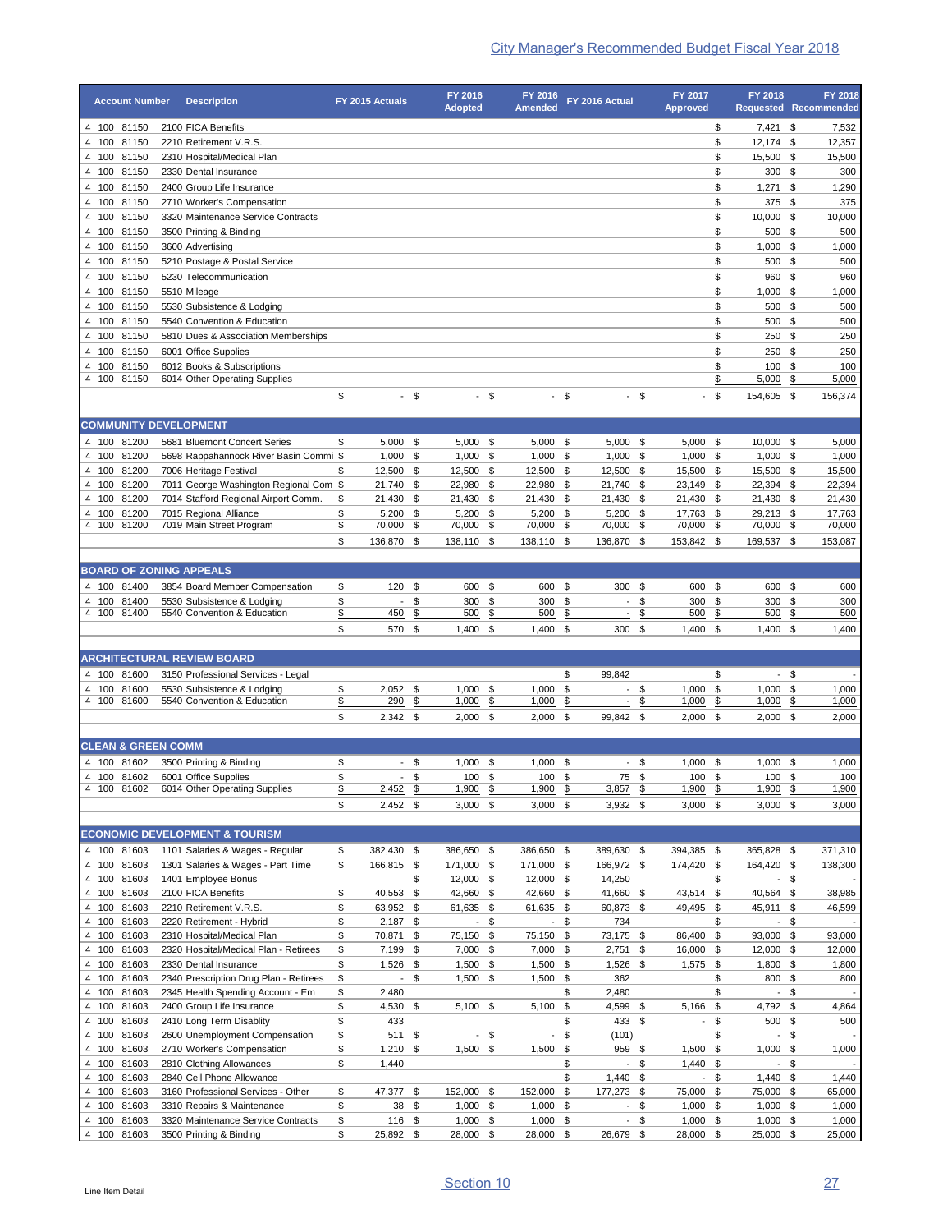| <b>Account Number</b>            | <b>Description</b>                                               |          | FY 2015 Actuals      |          | FY 2016<br><b>Adopted</b> |      | FY 2016<br><b>Amended</b> |        | FY 2016 Actual                     | FY 2017<br><b>Approved</b>  |          | FY 2018<br><b>Requested Recommended</b> |            | <b>FY 2018</b>    |
|----------------------------------|------------------------------------------------------------------|----------|----------------------|----------|---------------------------|------|---------------------------|--------|------------------------------------|-----------------------------|----------|-----------------------------------------|------------|-------------------|
| 4 100 81150                      | 2100 FICA Benefits                                               |          |                      |          |                           |      |                           |        |                                    |                             | \$       | $7,421$ \$                              |            | 7,532             |
| 81150<br>4 100                   | 2210 Retirement V.R.S.                                           |          |                      |          |                           |      |                           |        |                                    |                             | \$       | 12,174                                  | \$         | 12,357            |
| 4 100 81150                      | 2310 Hospital/Medical Plan                                       |          |                      |          |                           |      |                           |        |                                    |                             | \$       | 15,500                                  | \$         | 15,500            |
| 4 100<br>81150                   | 2330 Dental Insurance                                            |          |                      |          |                           |      |                           |        |                                    |                             | \$       | 300                                     | - \$       | 300               |
| 4 100 81150                      | 2400 Group Life Insurance                                        |          |                      |          |                           |      |                           |        |                                    |                             | \$       | $1,271$ \$                              |            | 1,290             |
| 4 100 81150<br>81150<br>4 100    | 2710 Worker's Compensation<br>3320 Maintenance Service Contracts |          |                      |          |                           |      |                           |        |                                    |                             | \$<br>\$ | 375 \$<br>10,000                        | \$         | 375<br>10,000     |
| 4 100<br>81150                   | 3500 Printing & Binding                                          |          |                      |          |                           |      |                           |        |                                    |                             | \$       | 500                                     | \$         | 500               |
| 4 100<br>81150                   | 3600 Advertising                                                 |          |                      |          |                           |      |                           |        |                                    |                             | \$       | 1,000                                   | \$         | 1,000             |
| 4 100 81150                      | 5210 Postage & Postal Service                                    |          |                      |          |                           |      |                           |        |                                    |                             | \$       | 500                                     | \$         | 500               |
| 4 100 81150                      | 5230 Telecommunication                                           |          |                      |          |                           |      |                           |        |                                    |                             | \$       | 960                                     | \$         | 960               |
| 81150<br>4 100                   | 5510 Mileage                                                     |          |                      |          |                           |      |                           |        |                                    |                             | \$       | 1,000                                   | \$         | 1,000             |
| 4 100<br>81150                   | 5530 Subsistence & Lodging                                       |          |                      |          |                           |      |                           |        |                                    |                             | \$       | 500                                     | \$         |                   |
| 4 100<br>81150                   | 5540 Convention & Education                                      |          |                      |          |                           |      |                           |        |                                    |                             | \$       | 500                                     | \$         |                   |
| 4 100 81150<br>4 100 81150       | 5810 Dues & Association Memberships<br>6001 Office Supplies      |          |                      |          |                           |      |                           |        |                                    |                             | \$<br>\$ | 250<br>$250$ \$                         | \$         |                   |
| 81150<br>4 100                   | 6012 Books & Subscriptions                                       |          |                      |          |                           |      |                           |        |                                    |                             | \$       | 100                                     | \$         |                   |
| 4 100 81150                      | 6014 Other Operating Supplies                                    |          |                      |          |                           |      |                           |        |                                    |                             | \$       | 5,000                                   | \$         | 5,000             |
|                                  |                                                                  | \$       |                      | $-$ \$   | $\sim$                    | \$   |                           | - \$   | $-$ \$                             |                             | $-$ \$   | 154,605                                 | - \$       | 156,374           |
|                                  |                                                                  |          |                      |          |                           |      |                           |        |                                    |                             |          |                                         |            |                   |
| 4 100 81200                      | <b>COMMUNITY DEVELOPMENT</b><br>5681 Bluemont Concert Series     | \$       | 5,000                | \$       | $5,000$ \$                |      | 5,000                     | \$     | $5,000$ \$                         | $5,000$ \$                  |          | 10,000                                  | \$         | 5,000             |
| 4 100 81200                      | 5698 Rappahannock River Basin Commi \$                           |          | 1,000                | \$       | $1,000$ \$                |      | $1,000$ \$                |        | $1,000$ \$                         | $1,000$ \$                  |          | 1,000                                   | - \$       | 1,000             |
| 4 100 81200                      | 7006 Heritage Festival                                           | \$       | 12,500               | \$       | 12,500 \$                 |      | 12,500 \$                 |        | 12,500 \$                          | 15,500 \$                   |          | 15,500                                  | - \$       | 15,500            |
| 4 100 81200                      | 7011 George Washington Regional Com \$                           |          | 21,740               | -\$      | 22,980 \$                 |      | 22,980 \$                 |        | 21,740 \$                          | 23,149 \$                   |          | 22,394 \$                               |            | 22,394            |
| 4 100<br>81200                   | 7014 Stafford Regional Airport Comm.                             | \$       | 21,430               | \$       | 21,430 \$                 |      | 21,430 \$                 |        | 21,430 \$                          | 21,430                      | \$       | 21,430                                  | $\sqrt{5}$ | 21,430            |
| 4 100<br>81200<br>81200          | 7015 Regional Alliance                                           | \$       | 5,200                | \$       | $5,200$ \$                |      | $5,200$ \$                |        | $5,200$ \$                         | 17,763                      | \$       | 29,213                                  | - \$       | 17,763            |
| 4 100                            | 7019 Main Street Program                                         | \$<br>\$ | 70,000<br>136,870 \$ | \$       | 70,000<br>138,110 \$      | \$   | 70,000<br>138,110 \$      | \$     | 70,000<br>136,870 \$               | \$<br>70,000<br>153,842 \$  | \$       | 70,000<br>169,537 \$                    | \$         | 70,000<br>153,087 |
|                                  |                                                                  |          |                      |          |                           |      |                           |        |                                    |                             |          |                                         |            |                   |
|                                  | <b>BOARD OF ZONING APPEALS</b>                                   |          |                      |          |                           |      |                           |        |                                    |                             |          |                                         |            |                   |
| 4 100 81400                      | 3854 Board Member Compensation                                   | \$       | 120                  | -\$      | 600 \$                    |      | 600 \$                    |        | 300 \$                             | 600 \$                      |          | 600 \$                                  |            |                   |
| 4 100<br>81400                   | 5530 Subsistence & Lodging                                       | \$       | $\overline{a}$       | \$       | 300                       | \$   | 300                       | \$     | $\overline{\phantom{a}}$           | \$<br>300                   | \$       | 300                                     | \$         |                   |
| 4 100 81400                      | 5540 Convention & Education                                      | \$<br>\$ | 450<br>570 \$        | \$       | 500                       | \$   | 500                       | \$     | $\overline{\phantom{a}}$<br>300 \$ | \$<br>500                   | \$<br>\$ | 500<br>$1,400$ \$                       | \$         | 1,400             |
|                                  |                                                                  |          |                      |          | $1,400$ \$                |      | $1,400$ \$                |        |                                    | 1,400                       |          |                                         |            |                   |
|                                  | <b>ARCHITECTURAL REVIEW BOARD</b>                                |          |                      |          |                           |      |                           |        |                                    |                             |          |                                         |            |                   |
| 4 100 81600                      | 3150 Professional Services - Legal                               |          |                      |          |                           |      |                           | \$     | 99,842                             |                             | \$       | - \$                                    |            |                   |
| 4 100<br>81600                   | 5530 Subsistence & Lodging                                       | \$       | 2,052                | \$       | 1,000                     | \$   | 1,000                     | \$     | $\blacksquare$                     | \$<br>1,000                 | \$       | 1,000                                   | \$         | 1,000             |
| 4 100 81600                      | 5540 Convention & Education                                      | \$       | 290                  | \$       | 1,000                     | \$   | 1,000                     | \$     | $\overline{\phantom{a}}$           | \$<br>1,000                 | \$       | 1,000                                   | \$         | 1,000<br>2,000    |
|                                  |                                                                  | \$       | $2,342$ \$           |          | $2,000$ \$                |      | $2,000$ \$                |        | 99,842 \$                          | $2,000$ \$                  |          | 2,000                                   | \$         |                   |
|                                  | <b>CLEAN &amp; GREEN COMM</b>                                    |          |                      |          |                           |      |                           |        |                                    |                             |          |                                         |            |                   |
| 4 100 81602                      | 3500 Printing & Binding                                          | \$       |                      | $-$ \$   | $1,000$ \$                |      | $1,000$ \$                |        | $-$ \$                             | $1,000$ \$                  |          | $1,000$ \$                              |            | 1,000             |
| 4 100 81602                      | 6001 Office Supplies                                             | \$       | ÷.                   | \$       | 100                       | \$   | $100 - $$                 |        | 75 \$                              | 100                         | \$       | 100                                     | \$         |                   |
| 4 100 81602                      | 6014 Other Operating Supplies                                    | \$       | 2,452                | \$       | 1,900                     | \$   | $1,900$ \$                |        | 3,857                              | \$<br>1,900                 | \$       | 1,900                                   | \$         | 1,900             |
|                                  |                                                                  | \$       | $2,452$ \$           |          | $3,000$ \$                |      | $3,000$ \$                |        | $3,932$ \$                         | 3,000                       | \$       | $3,000$ \$                              |            | 3,000             |
|                                  | <b>ECONOMIC DEVELOPMENT &amp; TOURISM</b>                        |          |                      |          |                           |      |                           |        |                                    |                             |          |                                         |            |                   |
| 4 100 81603                      | 1101 Salaries & Wages - Regular                                  | \$       | 382,430 \$           |          | 386,650 \$                |      | 386,650 \$                |        | 389,630 \$                         | 394,385 \$                  |          | 365,828 \$                              |            | 371,310           |
| 4 100 81603                      | 1301 Salaries & Wages - Part Time                                | \$       | 166,815 \$           |          | 171,000 \$                |      | 171,000 \$                |        | 166,972 \$                         | 174,420 \$                  |          | 164,420 \$                              |            | 138,300           |
| 4 100 81603<br>4 100 81603       | 1401 Employee Bonus<br>2100 FICA Benefits                        | \$       | 40,553               | \$<br>\$ | 12,000 \$<br>42,660 \$    |      | 12,000 \$<br>42,660 \$    |        | 14,250<br>41,660 \$                | 43,514 \$                   | \$       | - \$<br>40,564 \$                       |            | 38,985            |
| 4 100<br>81603                   | 2210 Retirement V.R.S.                                           | \$       | 63,952 \$            |          | 61,635 \$                 |      | 61,635 \$                 |        | 60,873 \$                          | 49,495 \$                   |          | 45,911                                  | \$         | 46,599            |
| 4 100<br>81603                   | 2220 Retirement - Hybrid                                         | \$       | $2,187$ \$           |          |                           | - \$ |                           | $-$ \$ | 734                                |                             | \$       | $\sim$                                  | \$         |                   |
| 81603<br>4 100                   | 2310 Hospital/Medical Plan                                       | \$       | 70,871               | \$       | 75,150 \$                 |      | 75,150 \$                 |        | 73,175 \$                          | 86,400 \$                   |          | 93,000 \$                               |            | 93,000            |
| 81603<br>4 100                   | 2320 Hospital/Medical Plan - Retirees                            | \$       | 7,199 \$             |          | $7,000$ \$                |      | $7,000$ \$                |        | $2,751$ \$                         | 16,000 \$                   |          | 12,000 \$                               |            | 12,000            |
| 81603<br>4 100                   | 2330 Dental Insurance                                            | \$       | 1,526 \$             |          | $1,500$ \$                |      | $1,500$ \$                |        | $1,526$ \$                         | 1,575 \$                    |          | $1,800$ \$                              |            | 1,800             |
| 81603<br>4 100<br>4 100 81603    | 2340 Prescription Drug Plan - Retirees                           | \$<br>\$ | 2,480                | - \$     | $1,500$ \$                |      | $1,500$ \$                | \$     | 362<br>2,480                       |                             | \$<br>\$ | 800 \$<br>$-$ \$                        |            |                   |
| 81603<br>4 100                   | 2345 Health Spending Account - Em<br>2400 Group Life Insurance   | \$       | 4,530 \$             |          | $5,100$ \$                |      | $5,100$ \$                |        | 4,599 \$                           | 5,166 \$                    |          | 4,792 \$                                |            | 4,864             |
| 81603<br>4 100                   | 2410 Long Term Disablity                                         | \$       | 433                  |          |                           |      |                           | \$     | 433 \$                             | $\mathcal{L}_{\mathcal{A}}$ | \$       | 500                                     | \$         |                   |
| 4 100 81603                      | 2600 Unemployment Compensation                                   | \$       | 511 \$               |          |                           | - \$ | $\blacksquare$            | \$     | (101)                              |                             | \$       | - \$                                    |            |                   |
| 4 100 81603                      | 2710 Worker's Compensation                                       | \$       | $1,210$ \$           |          | $1,500$ \$                |      | $1,500$ \$                |        | 959 \$                             | $1,500$ \$                  |          | $1,000$ \$                              |            | 1,000             |
| 4 100<br>81603                   | 2810 Clothing Allowances                                         | \$       | 1,440                |          |                           |      |                           | \$     | $-$ \$                             | $1,440$ \$                  |          | - \$                                    |            |                   |
| 4 100 81603                      | 2840 Cell Phone Allowance                                        |          |                      |          |                           |      |                           | \$     | $1,440$ \$                         |                             | $-$ \$   | $1,440$ \$                              |            | 1,440             |
| 4 100 81603                      | 3160 Professional Services - Other                               | \$       | 47,377 \$            |          | 152,000 \$                |      | 152,000 \$                |        | 177,273 \$                         | 75,000 \$                   |          | 75,000 \$                               |            | 65,000            |
| 4 100<br>81603<br>4 100<br>81603 | 3310 Repairs & Maintenance<br>3320 Maintenance Service Contracts | \$<br>\$ | 38 \$<br>116 \$      |          | $1,000$ \$<br>$1,000$ \$  |      | $1,000$ \$<br>$1,000$ \$  |        | $-$ \$<br>$-$ \$                   | $1,000$ \$<br>$1,000$ \$    |          | $1,000$ \$<br>$1,000$ \$                |            | 1,000<br>1,000    |
|                                  |                                                                  |          |                      |          |                           |      |                           |        |                                    |                             |          |                                         |            |                   |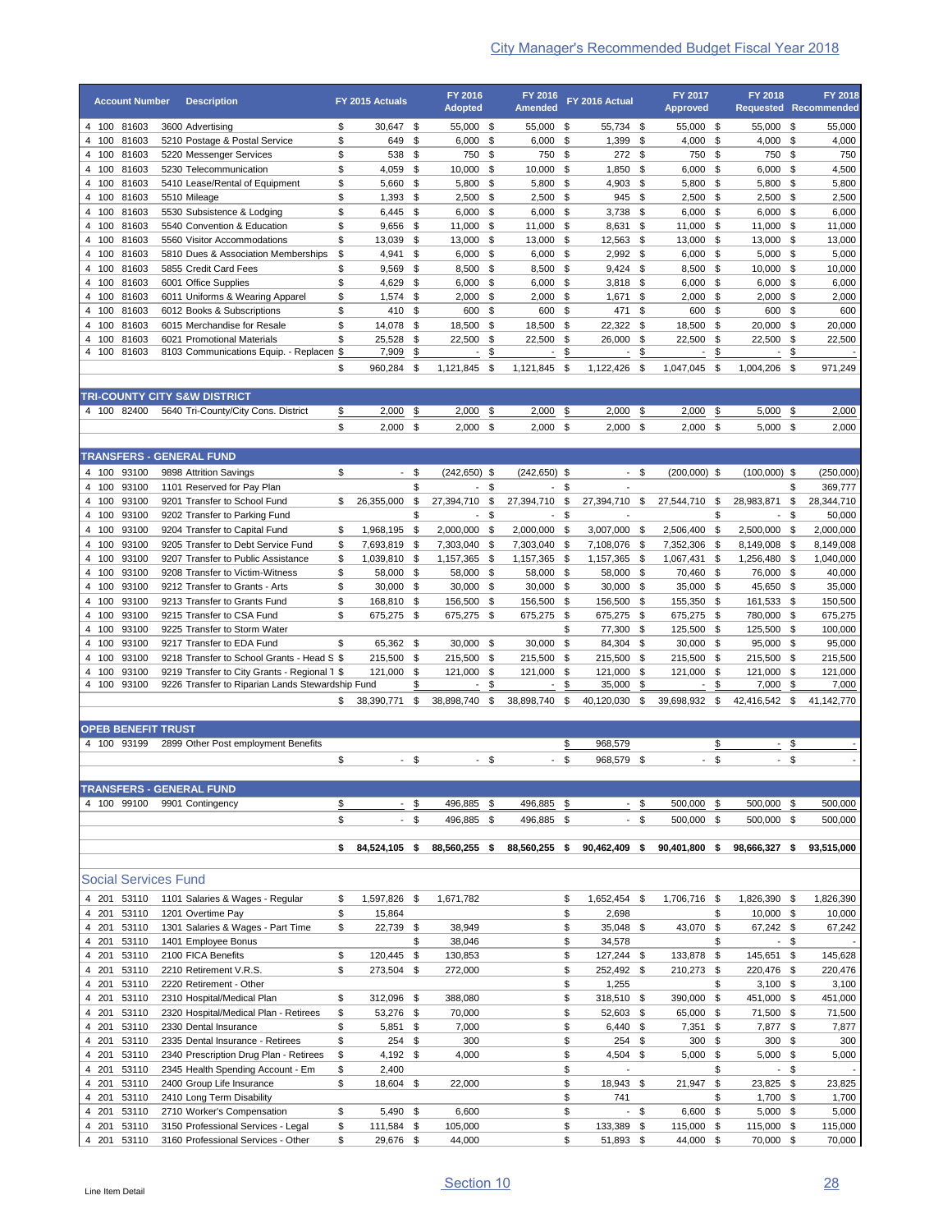|                   | <b>Account Number</b>      | <b>Description</b>                                        | FY 2015 Actuals                      |          | FY 2016<br><b>Adopted</b> |          | FY 2016<br><b>Amended</b> |           | FY 2016 Actual           |          | FY 2017<br><b>Approved</b> |          | FY 2018                  |               | <b>FY 2018</b><br><b>Requested Recommended</b> |
|-------------------|----------------------------|-----------------------------------------------------------|--------------------------------------|----------|---------------------------|----------|---------------------------|-----------|--------------------------|----------|----------------------------|----------|--------------------------|---------------|------------------------------------------------|
|                   | 4 100 81603                | 3600 Advertising                                          | \$<br>30,647 \$                      |          | 55,000 \$                 |          | 55,000 \$                 |           | 55,734 \$                |          | 55,000 \$                  |          | 55,000 \$                |               | 55,000                                         |
| 4 100             | 81603                      | 5210 Postage & Postal Service                             | \$<br>649                            | \$       | $6,000$ \$                |          | 6,000                     | \$        | 1,399                    | \$       | 4,000                      | \$       | 4,000                    | \$            | 4,000                                          |
| 4 100             | 81603                      | 5220 Messenger Services                                   | \$<br>538                            | \$       | 750 \$                    |          | 750                       | \$        | 272 \$                   |          | 750 \$                     |          | 750 \$                   |               | 750                                            |
|                   | 4 100 81603                | 5230 Telecommunication                                    | \$<br>4,059                          | \$       | 10,000 \$                 |          | 10,000                    | -\$       | 1,850                    | \$       | 6,000                      | \$       | $6,000$ \$               |               | 4,500                                          |
| 4 100<br>4 100    | 81603<br>81603             | 5410 Lease/Rental of Equipment<br>5510 Mileage            | \$<br>5,660<br>\$<br>$1,393$ \$      | \$       | 5,800 \$<br>$2,500$ \$    |          | 5,800<br>$2,500$ \$       | \$        | 4,903<br>945 \$          | \$       | 5,800<br>2,500             | \$<br>\$ | $5,800$ \$<br>$2,500$ \$ |               | 5,800<br>2,500                                 |
| 4 100             | 81603                      | 5530 Subsistence & Lodging                                | \$<br>6,445                          | \$       | $6,000$ \$                |          | $6,000$ \$                |           | 3,738 \$                 |          | 6,000                      | \$       | $6,000$ \$               |               | 6,000                                          |
| 4 100             | 81603                      | 5540 Convention & Education                               | \$<br>9,656                          | \$       | 11,000 \$                 |          | 11,000                    | \$        | 8,631                    | \$       | 11,000                     | \$       | 11,000 \$                |               | 11,000                                         |
| 4 100             | 81603                      | 5560 Visitor Accommodations                               | \$<br>13,039                         | \$       | 13,000 \$                 |          | 13,000                    | \$        | 12,563                   | \$       | 13,000                     | \$       | 13,000                   | \$            | 13,000                                         |
| 4 100             | 81603                      | 5810 Dues & Association Memberships                       | \$<br>4,941                          | \$       | 6,000                     | \$       | 6,000                     | \$        | 2,992                    | \$       | 6,000                      | \$       | 5,000                    | - \$          | 5,000                                          |
| 4 100             | 81603                      | 5855 Credit Card Fees                                     | \$<br>9,569                          | \$       | 8,500 \$                  |          | 8,500                     | \$        | $9,424$ \$               |          | 8,500                      | \$       | 10,000                   | \$            | 10,000                                         |
| 4 100             | 81603                      | 6001 Office Supplies                                      | \$<br>4,629                          | \$       | 6,000                     | \$       | 6,000                     | \$        | 3,818                    | \$       | 6,000                      | \$       | 6,000                    | \$            | 6,000                                          |
| 4 100             | 81603                      | 6011 Uniforms & Wearing Apparel                           | \$<br>1,574                          | \$       | 2,000                     | \$       | 2,000                     | \$        | 1,671                    | \$       | 2,000                      | \$       | 2,000                    | - \$          | 2,000                                          |
| 4 100             | 81603                      | 6012 Books & Subscriptions                                | \$<br>410                            | \$       | 600                       | \$       | 600                       | \$        | 471                      | \$       | 600                        | \$       | 600                      | \$            | 600                                            |
| 4 100<br>4<br>100 | 81603<br>81603             | 6015 Merchandise for Resale<br>6021 Promotional Materials | \$<br>14,078<br>\$<br>25,528         | \$<br>\$ | 18,500<br>22,500          | \$<br>\$ | 18,500<br>22,500          | \$<br>\$  | 22,322<br>26,000         | \$<br>\$ | 18,500<br>22,500           | \$<br>\$ | 20,000<br>22,500         | \$<br>\$      | 20,000<br>22,500                               |
| 4 100             | 81603                      | 8103 Communications Equip. - Replacen \$                  | 7,909                                | \$       | $\overline{\phantom{a}}$  | \$       |                           | \$        | $\overline{\phantom{a}}$ | \$       |                            | \$       |                          | \$            |                                                |
|                   |                            |                                                           | \$<br>960,284                        | \$       | 1,121,845                 | \$       | 1,121,845                 | \$        | 1,122,426                | \$       | 1.047.045                  | \$       | 1,004,206                | \$            | 971,249                                        |
|                   |                            | <b>TRI-COUNTY CITY S&amp;W DISTRICT</b>                   |                                      |          |                           |          |                           |           |                          |          |                            |          |                          |               |                                                |
|                   | 4 100 82400                | 5640 Tri-County/City Cons. District                       | \$<br>2,000                          | \$       | 2,000                     | \$       | 2,000                     | \$        | 2,000                    | \$       | 2,000                      | \$       | 5,000                    | \$            | 2,000                                          |
|                   |                            |                                                           | \$<br>2,000                          | \$       | $2,000$ \$                |          | $2,000$ \$                |           | $2,000$ \$               |          | 2,000                      | \$       | $5,000$ \$               |               | 2,000                                          |
|                   |                            | <b>TRANSFERS - GENERAL FUND</b>                           |                                      |          |                           |          |                           |           |                          |          |                            |          |                          |               |                                                |
|                   | 4 100 93100                | 9898 Attrition Savings                                    | \$                                   | - \$     | $(242, 650)$ \$           |          | $(242, 650)$ \$           |           | $-$ \$                   |          | $(200,000)$ \$             |          | $(100,000)$ \$           |               | (250,000)                                      |
| 4 100             | 93100                      | 1101 Reserved for Pay Plan                                |                                      | \$       | $\overline{\phantom{a}}$  | \$       | $\overline{\phantom{a}}$  | \$        |                          |          |                            |          |                          | \$            | 369,777                                        |
| 4 100             | 93100                      | 9201 Transfer to School Fund                              | 26,355,000<br>\$                     | \$       | 27,394,710                | \$       | 27,394,710                | \$        | 27,394,710 \$            |          | 27,544,710                 | \$       | 28,983,871               | \$            | 28,344,710                                     |
| 4 100             | 93100                      | 9202 Transfer to Parking Fund                             |                                      | \$       | $\overline{\phantom{a}}$  | \$       | $\blacksquare$            | \$        | ÷,                       |          |                            | \$       | $\overline{\phantom{a}}$ | \$            | 50,000                                         |
| 4 100             | 93100                      | 9204 Transfer to Capital Fund                             | \$<br>1,968,195                      | \$       | 2,000,000                 | \$       | 2,000,000                 | -\$       | 3,007,000                | -\$      | 2,506,400                  | \$       | 2,500,000                | -\$           | 2,000,000                                      |
| 4 100             | 93100                      | 9205 Transfer to Debt Service Fund                        | \$<br>7,693,819                      | \$       | 7,303,040                 | \$       | 7,303,040                 | \$        | 7,108,076                | \$       | 7,352,306                  | \$       | 8,149,008                | - \$          | 8,149,008                                      |
| 4 100             | 93100                      | 9207 Transfer to Public Assistance                        | \$<br>1,039,810                      | - \$     | 1,157,365 \$              |          | 1,157,365 \$              |           | 1,157,365 \$             |          | 1,067,431                  | \$       | 1,256,480                | -\$           | 1,040,000                                      |
| 4 100             | 93100                      | 9208 Transfer to Victim-Witness                           | \$<br>58,000                         | \$       | 58,000 \$                 |          | 58,000                    | \$        | 58,000                   | \$       | 70,460                     | \$       | 76,000                   | \$            | 40,000                                         |
| 4 100<br>4 100    | 93100<br>93100             | 9212 Transfer to Grants - Arts                            | \$<br>30,000<br>\$                   | \$<br>\$ | 30,000 \$<br>156,500      | - \$     | 30,000                    | -\$<br>\$ | 30,000 \$<br>156,500     | \$       | 35,000 \$<br>155,350       | \$       | 45,650<br>161,533        | \$<br>\$      | 35,000<br>150,500                              |
| 4 100             | 93100                      | 9213 Transfer to Grants Fund<br>9215 Transfer to CSA Fund | 168,810<br>\$<br>675,275 \$          |          | 675,275 \$                |          | 156,500<br>675,275 \$     |           | 675,275 \$               |          | 675,275                    | -\$      | 780,000                  | - \$          | 675,275                                        |
| 4 100             | 93100                      | 9225 Transfer to Storm Water                              |                                      |          |                           |          |                           | \$        | 77,300                   | \$       | 125,500                    | \$       | 125,500                  | \$            | 100,000                                        |
| 4 100             | 93100                      | 9217 Transfer to EDA Fund                                 | \$<br>65,362                         | \$       | $30,000$ \$               |          | 30,000                    | \$        | 84,304                   | \$       | 30,000                     | \$       | 95,000                   | -\$           | 95,000                                         |
| 4 100             | 93100                      | 9218 Transfer to School Grants - Head S \$                | 215,500                              | \$       | 215,500                   | - \$     | 215,500                   | \$        | 215,500                  | \$       | 215,500                    | \$       | 215,500                  | \$            | 215,500                                        |
| 4 100             | 93100                      | 9219 Transfer to City Grants - Regional 1 \$              | 121,000                              | \$       | 121,000                   | \$       | 121,000                   | -\$       | 121,000                  | \$       | 121,000                    | \$       | 121,000                  | \$            | 121,000                                        |
| 4 100             | 93100                      | 9226 Transfer to Riparian Lands Stewardship Fund          |                                      | \$       |                           | \$       |                           | \$        | 35,000                   | \$       |                            | \$       | 7,000                    | \$            | 7,000                                          |
|                   |                            |                                                           | \$<br>38,390,771                     | \$       | 38,898,740 \$             |          | 38,898,740                | \$        | 40,120,030               | \$       | 39,698,932                 | \$       | 42,416,542               | \$            | 41,142,770                                     |
|                   | <b>OPEB BENEFIT TRUST</b>  |                                                           |                                      |          |                           |          |                           |           |                          |          |                            |          |                          |               |                                                |
|                   | 4 100 93199                | 2899 Other Post employment Benefits                       |                                      |          |                           |          |                           | \$        | 968,579                  |          |                            | \$       |                          | $\frac{2}{2}$ |                                                |
|                   |                            |                                                           | \$                                   | $-$ \$   | - \$                      |          |                           | $-$ \$    | 968,579 \$               |          | $-$ \$                     |          |                          | $-$ \$        |                                                |
|                   |                            |                                                           |                                      |          |                           |          |                           |           |                          |          |                            |          |                          |               |                                                |
|                   |                            | <b>TRANSFERS - GENERAL FUND</b>                           |                                      |          |                           |          |                           |           |                          |          |                            |          |                          |               | 500,000                                        |
|                   | 4 100 99100                | 9901 Contingency                                          | $\frac{1}{2}$<br>÷                   | \$       | 496,885 \$                |          | 496,885 \$                |           | $-$ \$                   |          | 500,000                    | \$       | 500,000 \$               |               |                                                |
|                   |                            |                                                           | \$<br>$\sim$                         | \$       | 496,885 \$                |          | 496,885 \$                |           | $-$ \$                   |          | 500,000 \$                 |          | 500,000 \$               |               | 500,000                                        |
|                   |                            |                                                           | \$<br>84,524,105 \$                  |          | 88,560,255 \$             |          | 88,560,255 \$             |           | 90,462,409 \$            |          | 90,401,800 \$              |          | 98,666,327 \$            |               | 93,515,000                                     |
|                   |                            |                                                           |                                      |          |                           |          |                           |           |                          |          |                            |          |                          |               |                                                |
|                   |                            | Social Services Fund                                      |                                      |          |                           |          |                           |           |                          |          |                            |          |                          |               |                                                |
|                   | 4 201 53110                | 1101 Salaries & Wages - Regular                           | \$<br>1,597,826 \$                   |          | 1,671,782                 |          |                           | \$        | 1,652,454 \$             |          | 1,706,716 \$               |          | 1,826,390 \$             |               | 1,826,390                                      |
|                   | 4 201 53110                | 1201 Overtime Pay                                         | \$<br>15,864                         |          |                           |          |                           | \$        | 2,698                    |          |                            | \$       | 10,000 \$                |               | 10,000                                         |
|                   | 4 201 53110                | 1301 Salaries & Wages - Part Time                         | \$<br>22,739 \$                      |          | 38,949                    |          |                           | \$        | 35,048 \$                |          | 43,070 \$                  |          | 67,242 \$                |               | 67,242                                         |
|                   | 4 201 53110                | 1401 Employee Bonus                                       |                                      | \$       | 38,046                    |          |                           | \$        | 34,578                   |          |                            | \$       |                          | $-$ \$        |                                                |
|                   | 4 201 53110<br>4 201 53110 | 2100 FICA Benefits<br>2210 Retirement V.R.S.              | 120,445 \$<br>\$<br>\$<br>273,504 \$ |          | 130,853<br>272,000        |          |                           | \$<br>\$  | 127,244 \$<br>252,492 \$ |          | 133,878 \$<br>210,273 \$   |          | 145,651 \$               |               | 145,628<br>220,476                             |
|                   | 4 201 53110                | 2220 Retirement - Other                                   |                                      |          |                           |          |                           | \$        | 1,255                    |          |                            | \$       | 220,476 \$<br>$3,100$ \$ |               | 3,100                                          |
|                   | 4 201 53110                | 2310 Hospital/Medical Plan                                | 312,096 \$<br>\$                     |          | 388,080                   |          |                           | \$        | 318,510 \$               |          | 390,000 \$                 |          | 451,000 \$               |               | 451,000                                        |
|                   | 4 201 53110                | 2320 Hospital/Medical Plan - Retirees                     | \$<br>53,276 \$                      |          | 70,000                    |          |                           | \$        | 52,603 \$                |          | 65,000 \$                  |          | 71,500 \$                |               | 71,500                                         |
|                   | 4 201 53110                | 2330 Dental Insurance                                     | \$<br>$5,851$ \$                     |          | 7,000                     |          |                           | \$        | 6,440 \$                 |          | $7,351$ \$                 |          | 7,877 \$                 |               | 7,877                                          |
|                   | 4 201 53110                | 2335 Dental Insurance - Retirees                          | \$<br>254 \$                         |          | 300                       |          |                           | \$        | 254 \$                   |          | 300 \$                     |          | $300*$                   |               | 300                                            |
|                   | 4 201 53110                | 2340 Prescription Drug Plan - Retirees                    | \$<br>$4,192$ \$                     |          | 4,000                     |          |                           | \$        | 4,504 \$                 |          | $5,000$ \$                 |          | $5,000$ \$               |               | 5,000                                          |
|                   | 4 201 53110                | 2345 Health Spending Account - Em                         | \$<br>2,400                          |          |                           |          |                           | \$        |                          |          |                            | \$       |                          | - \$          |                                                |
|                   | 4 201 53110                | 2400 Group Life Insurance                                 | \$<br>18,604 \$                      |          | 22,000                    |          |                           | \$        | 18,943 \$                |          | 21,947                     | \$       | 23,825 \$                |               | 23,825                                         |
|                   | 4 201 53110<br>4 201 53110 | 2410 Long Term Disability<br>2710 Worker's Compensation   | \$<br>5,490 \$                       |          | 6,600                     |          |                           | \$<br>\$  | 741<br>$-$ \$            |          | 6,600 \$                   | \$       | $1,700$ \$<br>$5,000$ \$ |               | 1,700<br>5,000                                 |
|                   | 4 201 53110                | 3150 Professional Services - Legal                        | \$<br>111,584 \$                     |          | 105,000                   |          |                           | \$        | 133,389 \$               |          | 115,000 \$                 |          | 115,000 \$               |               | 115,000                                        |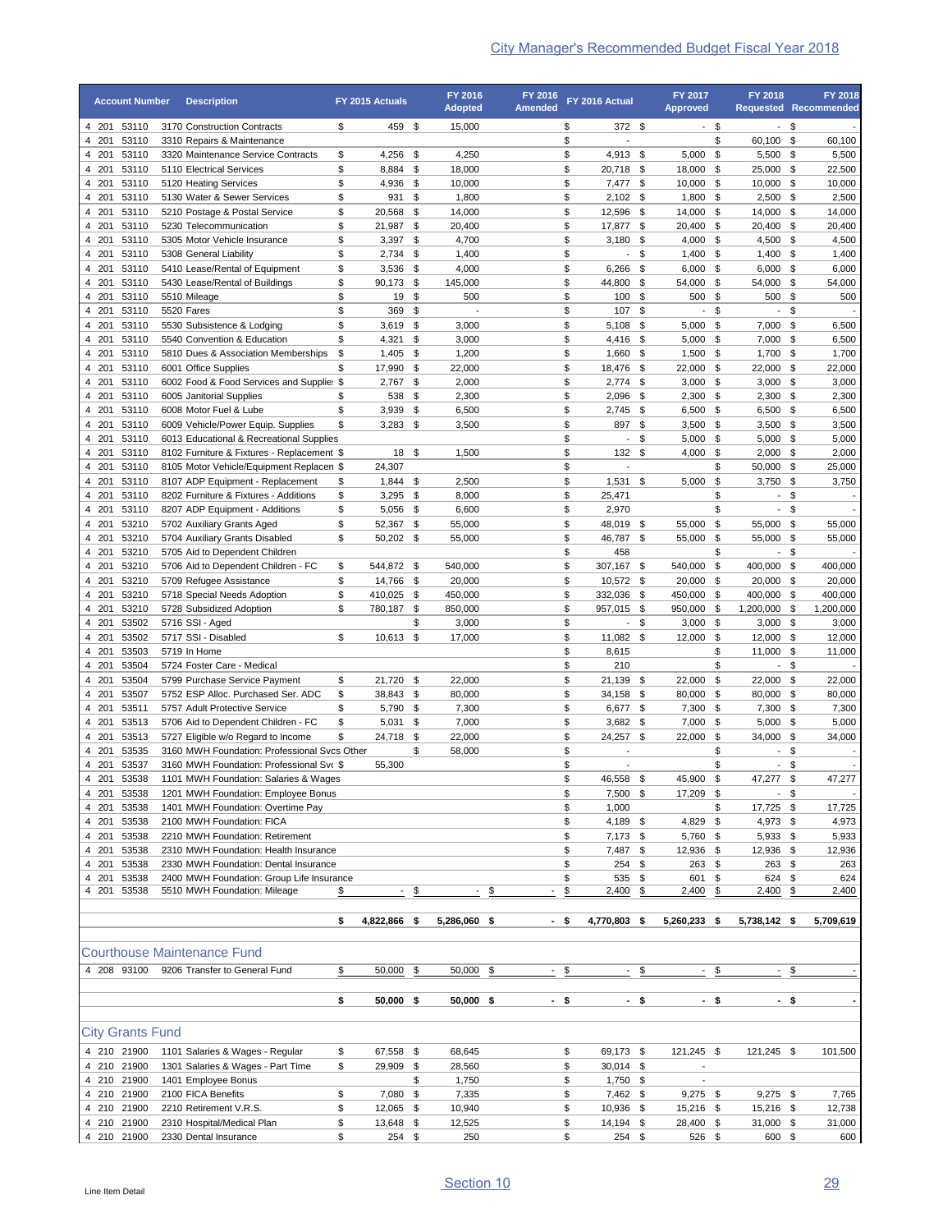|                | <b>Account Number</b>   | <b>Description</b>                                                                     |          | FY 2015 Actuals         |          | FY 2016<br><b>Adopted</b> | FY 2016<br><b>Amended</b> |                                           | FY 2016 Actual           |              | FY 2017<br><b>Approved</b>      |              | <b>FY 2018</b>                  | <b>FY 2018</b><br><b>Requested Recommended</b> |
|----------------|-------------------------|----------------------------------------------------------------------------------------|----------|-------------------------|----------|---------------------------|---------------------------|-------------------------------------------|--------------------------|--------------|---------------------------------|--------------|---------------------------------|------------------------------------------------|
|                | 4 201 53110             | 3170 Construction Contracts                                                            | \$       | 459 \$                  |          | 15,000                    |                           | \$                                        | 372 \$                   |              |                                 | $-$ \$       | - \$                            |                                                |
| 4 201          | 53110                   | 3310 Repairs & Maintenance                                                             |          |                         |          |                           |                           | \$                                        |                          |              |                                 | \$           | 60,100 \$                       | 60,100                                         |
| 4 201          | 53110                   | 3320 Maintenance Service Contracts                                                     | \$       | $4,256$ \$              |          | 4,250                     |                           | \$                                        | 4,913 \$                 |              | 5,000                           | \$           | 5,500 \$                        | 5,500                                          |
| 4 201          | 53110                   | 5110 Electrical Services                                                               | \$       | 8,884 \$                |          | 18,000                    |                           | \$                                        | 20,718 \$                |              | 18,000                          | \$           | 25,000 \$                       | 22,500                                         |
| 4 201<br>4 201 | 53110<br>53110          | 5120 Heating Services<br>5130 Water & Sewer Services                                   | \$<br>\$ | 4,936 \$<br>931         | \$       | 10,000<br>1,800           |                           | \$<br>\$                                  | 7,477 \$<br>$2,102$ \$   |              | 10,000<br>1,800                 | - \$<br>\$   | 10,000 \$<br>$2,500$ \$         | 10,000<br>2,500                                |
| 4 201          | 53110                   | 5210 Postage & Postal Service                                                          | \$       | 20,568                  | -\$      | 14,000                    |                           | \$                                        | 12,596 \$                |              | 14,000                          | \$           | 14,000 \$                       | 14,000                                         |
| 4 201          | 53110                   | 5230 Telecommunication                                                                 | \$       | 21,987                  | \$       | 20,400                    |                           | \$                                        | 17,877 \$                |              | 20,400                          | \$           | 20,400 \$                       | 20,400                                         |
| 4 201          | 53110                   | 5305 Motor Vehicle Insurance                                                           | \$       | 3,397                   | \$       | 4,700                     |                           | \$                                        | $3,180$ \$               |              | 4,000                           | \$           | 4,500                           | 4,500<br>- \$                                  |
| 4 201          | 53110                   | 5308 General Liability                                                                 | \$       | 2,734                   | - \$     | 1,400                     |                           | \$                                        |                          | $-$ \$       | 1,400                           | \$           | $1,400$ \$                      | 1,400                                          |
| 4 201          | 53110                   | 5410 Lease/Rental of Equipment                                                         | \$       | 3,536                   | - \$     | 4,000                     |                           | \$                                        | 6,266 \$                 |              | 6,000                           | \$           | $6,000$ \$                      | 6,000                                          |
| 4 201          | 53110                   | 5430 Lease/Rental of Buildings                                                         | \$       | 90,173                  | - \$     | 145,000                   |                           | \$                                        | 44,800                   | \$           | 54,000                          | \$           | 54,000                          | - \$<br>54,000                                 |
| 4 201<br>4 201 | 53110<br>53110          | 5510 Mileage<br>5520 Fares                                                             | \$<br>\$ | 19<br>369               | \$<br>\$ | 500                       |                           | \$<br>\$                                  | 100 \$<br>107            | \$           | 500<br>$\overline{\phantom{a}}$ | - \$<br>\$   | 500<br>$\overline{\phantom{a}}$ | 500<br>-\$<br>\$                               |
| 4 201          | 53110                   | 5530 Subsistence & Lodging                                                             | \$       | 3,619                   | -\$      | 3,000                     |                           | \$                                        | $5,108$ \$               |              | $5,000$ \$                      |              | 7,000                           | -\$<br>6,500                                   |
| 4 201          | 53110                   | 5540 Convention & Education                                                            | \$       | 4,321                   | \$       | 3,000                     |                           | \$                                        | 4,416 \$                 |              | 5,000                           | \$           | 7,000                           | - \$<br>6,500                                  |
| 4 201          | 53110                   | 5810 Dues & Association Memberships                                                    | \$       | 1,405                   | - \$     | 1,200                     |                           | \$                                        | 1,660 \$                 |              | 1,500                           | - \$         | 1,700 \$                        | 1,700                                          |
| 4 201          | 53110                   | 6001 Office Supplies                                                                   | \$       | 17,990                  | - \$     | 22,000                    |                           | \$                                        | 18,476 \$                |              | 22,000                          | - \$         | 22,000 \$                       | 22,000                                         |
| 4 201          | 53110                   | 6002 Food & Food Services and Supplie: \$                                              |          | 2,767 \$                |          | 2,000                     |                           | \$                                        | 2,774 \$                 |              | $3,000$ \$                      |              | $3,000$ \$                      | 3,000                                          |
| 4 201          | 53110                   | 6005 Janitorial Supplies                                                               | \$       | 538                     | - \$     | 2,300                     |                           | \$                                        | 2,096                    | \$           | 2,300                           | - \$         | 2,300                           | 2,300<br>- \$                                  |
| 4 201          | 53110                   | 6008 Motor Fuel & Lube                                                                 | \$       | 3,939                   | \$       | 6,500                     |                           | \$                                        | $2,745$ \$               |              | 6,500                           | - \$         | $6,500$ \$                      | 6,500                                          |
| 4 201<br>4 201 | 53110<br>53110          | 6009 Vehicle/Power Equip. Supplies                                                     | \$       | $3,283$ \$              |          | 3,500                     |                           | \$                                        | 897                      | \$<br>$-$ \$ | 3,500                           | - \$         | $3,500$ \$<br>$5,000$ \$        | 3,500                                          |
| 4 201          | 53110                   | 6013 Educational & Recreational Supplies<br>8102 Furniture & Fixtures - Replacement \$ |          | 18 \$                   |          | 1,500                     |                           | \$<br>\$                                  | 132 \$                   |              | 5,000<br>4,000                  | - \$<br>- \$ | $2,000$ \$                      | 5,000<br>2,000                                 |
| 4 201          | 53110                   | 8105 Motor Vehicle/Equipment Replacen \$                                               |          | 24,307                  |          |                           |                           | \$                                        |                          |              |                                 | \$           | 50,000 \$                       | 25,000                                         |
| 4 201          | 53110                   | 8107 ADP Equipment - Replacement                                                       | \$       | $1,844$ \$              |          | 2,500                     |                           | \$                                        | 1,531                    | \$           | 5,000                           | \$           | $3,750$ \$                      | 3,750                                          |
| 4 201          | 53110                   | 8202 Furniture & Fixtures - Additions                                                  | \$       | $3,295$ \$              |          | 8,000                     |                           | \$                                        | 25,471                   |              |                                 | \$           | $\overline{\phantom{a}}$        | \$<br>$\overline{\phantom{a}}$                 |
| 4 201          | 53110                   | 8207 ADP Equipment - Additions                                                         | \$       | 5,056 \$                |          | 6,600                     |                           | \$                                        | 2,970                    |              |                                 | \$           | $\overline{\phantom{a}}$        | \$<br>$\overline{\phantom{a}}$                 |
| 4 201          | 53210                   | 5702 Auxiliary Grants Aged                                                             | \$       | 52,367 \$               |          | 55,000                    |                           | \$                                        | 48,019 \$                |              | 55,000                          | \$           | 55,000 \$                       | 55,000                                         |
| 4 201          | 53210                   | 5704 Auxiliary Grants Disabled                                                         | \$       | 50,202 \$               |          | 55,000                    |                           | \$                                        | 46,787 \$                |              | 55,000                          | \$           | 55,000 \$                       | 55,000                                         |
| 4 201          | 53210                   | 5705 Aid to Dependent Children                                                         |          |                         |          |                           |                           | \$                                        | 458                      |              |                                 | \$           | - \$                            |                                                |
| 4 201<br>4 201 | 53210<br>53210          | 5706 Aid to Dependent Children - FC<br>5709 Refugee Assistance                         | \$<br>\$ | 544,872 \$<br>14,766 \$ |          | 540,000<br>20,000         |                           | \$<br>\$                                  | 307,167 \$<br>10,572 \$  |              | 540,000<br>20,000               | \$<br>\$     | 400,000 \$<br>20,000 \$         | 400,000<br>20,000                              |
| 4 201          | 53210                   | 5718 Special Needs Adoption                                                            | \$       | 410,025 \$              |          | 450,000                   |                           | \$                                        | 332,036 \$               |              | 450,000                         | \$           | 400,000 \$                      | 400,000                                        |
| 4 201          | 53210                   | 5728 Subsidized Adoption                                                               | \$       | 780,187 \$              |          | 850,000                   |                           | \$                                        | 957,015 \$               |              | 950,000                         | \$           | 1,200,000 \$                    | 1,200,000                                      |
| 4 201          | 53502                   | 5716 SSI - Aged                                                                        |          |                         | \$       | 3,000                     |                           | \$                                        |                          | $-$ \$       | 3,000                           | \$           | $3,000$ \$                      | 3,000                                          |
| 4 201          | 53502                   | 5717 SSI - Disabled                                                                    | \$       | 10,613 \$               |          | 17,000                    |                           | \$                                        | 11,082 \$                |              | 12,000                          | \$           | 12,000 \$                       | 12,000                                         |
| 4 201          | 53503                   | 5719 In Home                                                                           |          |                         |          |                           |                           | \$                                        | 8,615                    |              |                                 | \$           | 11,000                          | - \$<br>11,000                                 |
| 4 201          | 53504                   | 5724 Foster Care - Medical                                                             |          |                         |          |                           |                           | \$                                        | 210                      |              |                                 | \$           | $\overline{\phantom{a}}$        | \$                                             |
| 4 201          | 53504                   | 5799 Purchase Service Payment                                                          | \$       | 21,720 \$               |          | 22,000                    |                           | \$                                        | 21,139 \$                |              | 22,000                          | \$           | 22,000 \$                       | 22,000                                         |
| 4 201          | 53507                   | 5752 ESP Alloc. Purchased Ser. ADC                                                     | \$       | 38,843 \$               |          | 80,000                    |                           | \$                                        | 34,158                   | \$           | 80,000                          | \$           | 80,000 \$                       | 80,000                                         |
| 4 201<br>4 201 | 53511<br>53513          | 5757 Adult Protective Service<br>5706 Aid to Dependent Children - FC                   | \$<br>\$ | 5,790 \$<br>$5,031$ \$  |          | 7,300<br>7,000            |                           | \$<br>\$                                  | 6,677 \$<br>3,682 \$     |              | 7,300<br>7,000                  | -\$<br>- \$  | 7,300 \$<br>$5,000$ \$          | 7,300<br>5,000                                 |
| 4 201          | 53513                   | 5727 Eligible w/o Regard to Income                                                     | \$       | 24,718 \$               |          | 22,000                    |                           | \$                                        | 24,257 \$                |              | 22,000                          | - \$         | 34,000 \$                       | 34,000                                         |
| 4 201          | 53535                   | 3160 MWH Foundation: Professional Svcs Other                                           |          |                         | \$       | 58,000                    |                           | \$                                        | $\overline{\phantom{a}}$ |              |                                 | \$           | - \$                            | $\overline{\phantom{a}}$                       |
| 4 201          | 53537                   | 3160 MWH Foundation: Professional Svr \$                                               |          | 55,300                  |          |                           |                           | \$                                        | $\overline{a}$           |              |                                 | \$           | - \$                            | $\overline{\phantom{a}}$                       |
| 4 201          | 53538                   | 1101 MWH Foundation: Salaries & Wages                                                  |          |                         |          |                           |                           | \$                                        | 46,558 \$                |              | 45,900                          | \$           | 47,277 \$                       | 47,277                                         |
|                | 4 201 53538             | 1201 MWH Foundation: Employee Bonus                                                    |          |                         |          |                           |                           | \$                                        | 7,500 \$                 |              | 17,209                          | - \$         | - \$                            |                                                |
| 4 201          | 53538                   | 1401 MWH Foundation: Overtime Pay                                                      |          |                         |          |                           |                           | \$                                        | 1,000                    |              |                                 | \$           | 17,725 \$                       | 17,725                                         |
| 4 201          | 53538                   | 2100 MWH Foundation: FICA                                                              |          |                         |          |                           |                           | \$                                        | 4,189 \$                 |              | 4,829                           | - \$         | 4,973 \$                        | 4,973                                          |
| 4 201          | 53538                   | 2210 MWH Foundation: Retirement<br>2310 MWH Foundation: Health Insurance               |          |                         |          |                           |                           | \$                                        | 7,173 \$                 |              | 5,760 \$                        |              | $5,933$ \$                      | 5,933                                          |
| 4 201<br>4 201 | 53538<br>53538          | 2330 MWH Foundation: Dental Insurance                                                  |          |                         |          |                           |                           | \$<br>\$                                  | 7,487 \$<br>254 \$       |              | 12,936 \$<br>$263$ \$           |              | 12,936 \$<br>263 \$             | 12,936<br>263                                  |
| 4 201          | 53538                   | 2400 MWH Foundation: Group Life Insurance                                              |          |                         |          |                           |                           | \$                                        | 535 \$                   |              | 601                             | \$           | 624 \$                          | 624                                            |
| 4 201          | 53538                   | 5510 MWH Foundation: Mileage                                                           | \$       |                         | \$       |                           | \$                        | \$<br>$\overline{\phantom{a}}$            | 2,400                    | \$           | 2,400                           | \$           | 2,400                           | 2,400<br>-\$                                   |
|                |                         |                                                                                        | \$       | 4,822,866 \$            |          | 5,286,060 \$              |                           | - \$                                      | 4,770,803 \$             |              | 5,260,233 \$                    |              | 5,738,142 \$                    | 5,709,619                                      |
|                |                         |                                                                                        |          |                         |          |                           |                           |                                           |                          |              |                                 |              |                                 |                                                |
|                |                         | Courthouse Maintenance Fund                                                            |          |                         |          |                           |                           |                                           |                          |              |                                 |              |                                 |                                                |
|                | 4 208 93100             | 9206 Transfer to General Fund                                                          | \$       | 50,000                  | \$       | 50,000                    | \$                        | $\frac{1}{2}$<br>$\overline{\phantom{a}}$ |                          | $-$ \$       | $-$ \$                          |              | $\equiv$                        | \$                                             |
|                |                         |                                                                                        |          |                         |          |                           |                           |                                           |                          |              |                                 |              |                                 |                                                |
|                |                         |                                                                                        | \$       | $50,000$ \$             |          | 50,000 \$                 |                           | - \$                                      |                          | - \$         | - \$                            |              | $-$ \$                          |                                                |
|                | <b>City Grants Fund</b> |                                                                                        |          |                         |          |                           |                           |                                           |                          |              |                                 |              |                                 |                                                |
|                | 4 210 21900             | 1101 Salaries & Wages - Regular                                                        | \$       | 67,558 \$               |          | 68,645                    |                           | \$                                        | 69,173 \$                |              | 121,245 \$                      |              | 121,245 \$                      | 101,500                                        |
|                | 4 210 21900             | 1301 Salaries & Wages - Part Time                                                      | \$       | 29,909 \$               |          | 28,560                    |                           | \$                                        | 30,014 \$                |              | $\overline{\phantom{a}}$        |              |                                 |                                                |
|                | 4 210 21900             | 1401 Employee Bonus                                                                    |          |                         | \$       | 1,750                     |                           | \$                                        | $1,750$ \$               |              | $\overline{\phantom{a}}$        |              |                                 |                                                |
|                | 4 210 21900             | 2100 FICA Benefits                                                                     | \$       | 7,080 \$                |          | 7,335                     |                           | \$                                        | 7,462 \$                 |              | $9,275$ \$                      |              | $9,275$ \$                      | 7,765                                          |
|                | 4 210 21900             | 2210 Retirement V.R.S.                                                                 | \$       | 12,065 \$               |          | 10,940                    |                           | \$                                        | 10,936 \$                |              | 15,216 \$                       |              | 15,216 \$                       | 12,738                                         |
|                | 4 210 21900             | 2310 Hospital/Medical Plan                                                             | \$       | 13,648 \$               |          | 12,525                    |                           | \$                                        | 14,194 \$                |              | 28,400 \$                       |              | 31,000 \$                       | 31,000                                         |
|                | 4 210 21900             | 2330 Dental Insurance                                                                  | \$       | 254 \$                  |          | 250                       |                           | \$                                        | 254 \$                   |              | 526 \$                          |              | 600 \$                          | 600                                            |
|                |                         |                                                                                        |          |                         |          | Section 10                |                           |                                           |                          |              |                                 |              |                                 | 29                                             |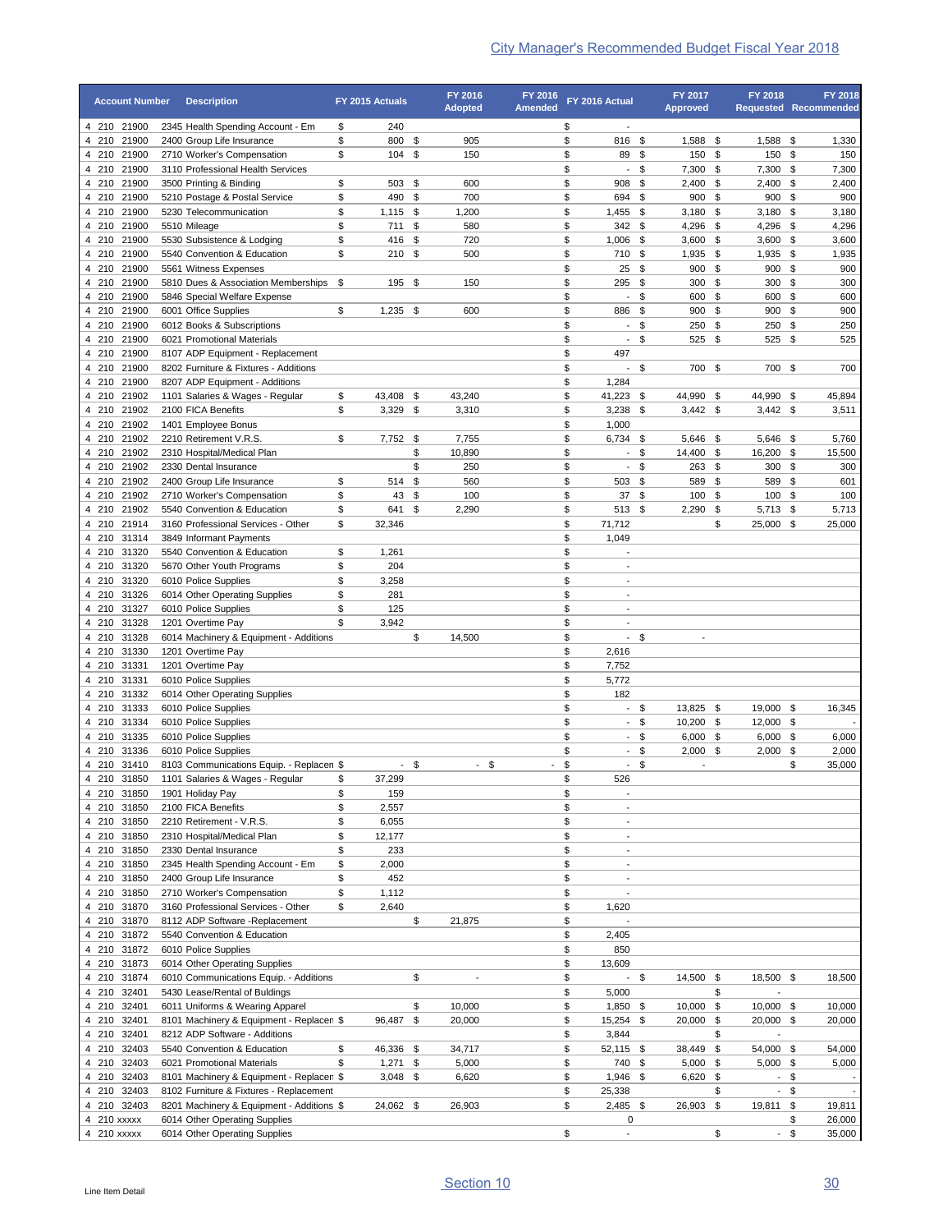| <b>Account Number</b>            | <b>Description</b>                                                          | FY 2015 Actuals |              |          | FY 2016<br><b>Adopted</b> | FY 2016<br><b>Amended</b>  | FY 2016 Actual                                       |        | FY 2017<br><b>Approved</b> |          | <b>FY 2018</b><br><b>Requested Recommended</b> |              | <b>FY 2018</b> |
|----------------------------------|-----------------------------------------------------------------------------|-----------------|--------------|----------|---------------------------|----------------------------|------------------------------------------------------|--------|----------------------------|----------|------------------------------------------------|--------------|----------------|
| 4 210 21900                      | 2345 Health Spending Account - Em                                           | \$              | 240          |          |                           | \$                         |                                                      |        |                            |          |                                                |              |                |
| 4 210 21900                      | 2400 Group Life Insurance                                                   | \$              | 800 \$       |          | 905                       | \$                         | 816 \$                                               |        | 1,588                      | - \$     | 1,588 \$                                       |              | 1,330          |
| 4 210 21900<br>4 210 21900       | 2710 Worker's Compensation<br>3110 Professional Health Services             | \$              | $104$ \$     |          | 150                       | \$<br>\$                   | 89 \$<br>$\sim$                                      | \$     | 150 \$<br>7,300            | \$       | 150 \$<br>7,300 \$                             |              | 150<br>7,300   |
| 4 210 21900                      | 3500 Printing & Binding                                                     | \$              | 503          | \$       | 600                       | \$                         | 908 \$                                               |        | 2,400                      | - \$     | $2,400$ \$                                     |              | 2,400          |
| 4 210 21900                      | 5210 Postage & Postal Service                                               | \$              | 490          | -\$      | 700                       | \$                         | 694                                                  | \$     | 900                        | \$       | 900 \$                                         |              | 900            |
| 4 210<br>21900                   | 5230 Telecommunication                                                      | \$              | $1,115$ \$   |          | 1,200                     | \$                         | $1,455$ \$                                           |        | 3,180                      | \$       | $3,180$ \$                                     |              | 3,180          |
| 4 210<br>21900                   | 5510 Mileage                                                                | \$              | 711          | \$       | 580                       | \$                         | 342 \$                                               |        | 4,296                      | \$       | 4,296 \$                                       |              | 4,296          |
| 4 210<br>21900<br>4 210<br>21900 | 5530 Subsistence & Lodging<br>5540 Convention & Education                   | \$<br>\$        | 416<br>210   | \$<br>\$ | 720<br>500                | \$<br>\$                   | $1,006$ \$<br>710                                    | \$     | 3,600<br>1,935             | \$<br>\$ | 3,600<br>1,935                                 | - \$<br>- \$ | 3,600<br>1,935 |
| 4 210<br>21900                   | 5561 Witness Expenses                                                       |                 |              |          |                           | \$                         | $25 \quad$                                           |        | 900                        | \$       | 900                                            | \$           | 900            |
| 4 210<br>21900                   | 5810 Dues & Association Memberships                                         | \$              | 195          | - \$     | 150                       | \$                         | 295                                                  | \$     | 300                        | \$       | 300                                            | \$           | 300            |
| 4 210<br>21900                   | 5846 Special Welfare Expense                                                |                 |              |          |                           | \$                         |                                                      | $-$ \$ | 600                        | \$       | 600                                            | \$           | 600            |
| 4 210<br>21900<br>4 210<br>21900 | 6001 Office Supplies<br>6012 Books & Subscriptions                          | \$              | $1,235$ \$   |          | 600                       | \$<br>\$                   | 886 \$                                               | $-$ \$ | 900<br>250                 | \$<br>\$ | 900<br>250                                     | \$<br>\$     | 900<br>250     |
| 4 210<br>21900                   | 6021 Promotional Materials                                                  |                 |              |          |                           | \$                         |                                                      | $-$ \$ | 525                        | -\$      | 525                                            | - \$         | 525            |
| 4 210 21900                      | 8107 ADP Equipment - Replacement                                            |                 |              |          |                           | \$                         | 497                                                  |        |                            |          |                                                |              |                |
| 4 210<br>21900                   | 8202 Furniture & Fixtures - Additions                                       |                 |              |          |                           | \$                         |                                                      | - \$   | 700                        | \$       | 700                                            | \$           | 700            |
| 4 210 21900                      | 8207 ADP Equipment - Additions                                              |                 |              |          |                           | \$                         | 1,284                                                |        |                            |          |                                                |              |                |
| 4 210<br>21902                   | 1101 Salaries & Wages - Regular                                             | \$              | 43,408 \$    |          | 43,240                    | \$                         | 41,223 \$                                            |        | 44,990                     | \$       | 44,990                                         | -\$          | 45,894         |
| 4 210<br>21902<br>4 210<br>21902 | 2100 FICA Benefits<br>1401 Employee Bonus                                   | \$              | $3,329$ \$   |          | 3,310                     | \$<br>\$                   | 3,238<br>1,000                                       | \$     | 3,442                      | - \$     | $3,442$ \$                                     |              | 3,511          |
| 4 210<br>21902                   | 2210 Retirement V.R.S.                                                      | \$              | 7,752 \$     |          | 7,755                     | \$                         | 6,734 \$                                             |        | 5,646                      | \$       | 5,646 \$                                       |              | 5,760          |
| 4 210<br>21902                   | 2310 Hospital/Medical Plan                                                  |                 |              | \$       | 10,890                    | \$                         | $\blacksquare$                                       | \$     | 14,400                     | \$       | 16,200                                         | \$           | 15,500         |
| 4 210 21902                      | 2330 Dental Insurance                                                       |                 |              | \$       | 250                       | \$                         | $\sim$                                               | \$     | 263                        | \$       | 300                                            | - \$         | 300            |
| 21902<br>4 210                   | 2400 Group Life Insurance                                                   | \$              | 514          | \$       | 560                       | \$                         | 503 \$                                               |        | 589                        | - \$     | 589                                            | - \$         | 601            |
| 4 210 21902<br>4 210<br>21902    | 2710 Worker's Compensation<br>5540 Convention & Education                   | \$<br>\$        | 43<br>641    | \$<br>\$ | 100<br>2,290              | \$<br>\$                   | 37<br>513 \$                                         | \$     | 100<br>2,290               | \$<br>\$ | 100 \$<br>$5,713$ \$                           |              | 100<br>5,713   |
| 4 210 21914                      | 3160 Professional Services - Other                                          | \$              | 32,346       |          |                           | \$                         | 71,712                                               |        |                            | \$       | 25,000 \$                                      |              | 25,000         |
| 4 210 31314                      | 3849 Informant Payments                                                     |                 |              |          |                           | \$                         | 1,049                                                |        |                            |          |                                                |              |                |
| 4 210 31320                      | 5540 Convention & Education                                                 | \$              | 1,261        |          |                           | \$                         | $\overline{\phantom{a}}$                             |        |                            |          |                                                |              |                |
| 4 210<br>31320                   | 5670 Other Youth Programs                                                   | \$              | 204          |          |                           | \$                         | $\overline{\phantom{a}}$                             |        |                            |          |                                                |              |                |
| 4 210<br>31320                   | 6010 Police Supplies                                                        | \$              | 3,258        |          |                           | \$                         | $\overline{\phantom{a}}$                             |        |                            |          |                                                |              |                |
| 4 210<br>31326<br>4 210<br>31327 | 6014 Other Operating Supplies<br>6010 Police Supplies                       | \$<br>\$        | 281<br>125   |          |                           | \$<br>\$                   | $\overline{\phantom{a}}$<br>$\overline{\phantom{a}}$ |        |                            |          |                                                |              |                |
| 4 210<br>31328                   | 1201 Overtime Pay                                                           | \$              | 3,942        |          |                           | \$                         | $\overline{\phantom{a}}$                             |        |                            |          |                                                |              |                |
| 31328<br>4 210                   | 6014 Machinery & Equipment - Additions                                      |                 |              | \$       | 14,500                    | \$                         |                                                      | $-$ \$ | $\overline{\phantom{a}}$   |          |                                                |              |                |
| 4 210<br>31330                   | 1201 Overtime Pay                                                           |                 |              |          |                           | \$                         | 2,616                                                |        |                            |          |                                                |              |                |
| 31331<br>4 210                   | 1201 Overtime Pay                                                           |                 |              |          |                           | \$                         | 7,752                                                |        |                            |          |                                                |              |                |
| 4 210 31331<br>4 210<br>31332    | 6010 Police Supplies<br>6014 Other Operating Supplies                       |                 |              |          |                           | \$<br>\$                   | 5,772<br>182                                         |        |                            |          |                                                |              |                |
| 4 210 31333                      | 6010 Police Supplies                                                        |                 |              |          |                           | \$                         |                                                      | - \$   | 13,825 \$                  |          | 19,000 \$                                      |              | 16,345         |
| 4 210 31334                      | 6010 Police Supplies                                                        |                 |              |          |                           | \$                         |                                                      | $-$ \$ | 10,200                     | -\$      | 12,000 \$                                      |              |                |
| 4 210 31335                      | 6010 Police Supplies                                                        |                 |              |          |                           | \$                         |                                                      | $-$ \$ | $6,000$ \$                 |          | $6,000$ \$                                     |              | 6,000          |
| 4 210 31336                      | 6010 Police Supplies                                                        |                 |              |          |                           | \$                         |                                                      | $-$ \$ | $2,000$ \$                 |          | $2,000$ \$                                     |              | 2,000          |
| 4 210 31410<br>4 210 31850       | 8103 Communications Equip. - Replacen \$<br>1101 Salaries & Wages - Regular | \$              | 37,299       | - \$     | - \$                      | \$<br>$\overline{a}$<br>\$ | 526                                                  | $-$ \$ |                            |          |                                                | \$           | 35,000         |
| 4 210 31850                      | 1901 Holiday Pay                                                            | \$              | 159          |          |                           | \$                         | $\overline{\phantom{a}}$                             |        |                            |          |                                                |              |                |
| 4 210 31850                      | 2100 FICA Benefits                                                          | \$              | 2,557        |          |                           | \$                         | $\overline{\phantom{a}}$                             |        |                            |          |                                                |              |                |
| 4 210 31850                      | 2210 Retirement - V.R.S.                                                    | \$              | 6,055        |          |                           | \$                         | $\overline{\phantom{a}}$                             |        |                            |          |                                                |              |                |
| 4 210 31850                      | 2310 Hospital/Medical Plan                                                  | \$              | 12,177       |          |                           | \$                         | $\overline{\phantom{a}}$                             |        |                            |          |                                                |              |                |
| 4 210 31850<br>4 210 31850       | 2330 Dental Insurance<br>2345 Health Spending Account - Em                  | \$<br>\$        | 233<br>2,000 |          |                           | \$<br>\$                   | $\overline{\phantom{a}}$<br>$\overline{\phantom{a}}$ |        |                            |          |                                                |              |                |
| 4 210 31850                      | 2400 Group Life Insurance                                                   | \$              | 452          |          |                           | \$                         | $\overline{\phantom{a}}$                             |        |                            |          |                                                |              |                |
| 4 210 31850                      | 2710 Worker's Compensation                                                  | \$              | 1,112        |          |                           | \$                         | $\overline{\phantom{a}}$                             |        |                            |          |                                                |              |                |
| 4 210 31870                      | 3160 Professional Services - Other                                          | \$              | 2,640        |          |                           | \$                         | 1,620                                                |        |                            |          |                                                |              |                |
| 4 210 31870                      | 8112 ADP Software - Replacement                                             |                 |              | \$       | 21,875                    | \$                         | $\overline{\phantom{a}}$                             |        |                            |          |                                                |              |                |
| 4 210 31872<br>4 210 31872       | 5540 Convention & Education<br>6010 Police Supplies                         |                 |              |          |                           | \$<br>\$                   | 2,405<br>850                                         |        |                            |          |                                                |              |                |
| 4 210 31873                      | 6014 Other Operating Supplies                                               |                 |              |          |                           | \$                         | 13,609                                               |        |                            |          |                                                |              |                |
| 4 210 31874                      | 6010 Communications Equip. - Additions                                      |                 |              | \$       | $\overline{a}$            | \$                         |                                                      | $-$ \$ | 14,500 \$                  |          | 18,500 \$                                      |              | 18,500         |
| 4 210 32401                      | 5430 Lease/Rental of Buldings                                               |                 |              |          |                           | \$                         | 5,000                                                |        |                            | \$       | $\overline{\phantom{a}}$                       |              |                |
| 4 210 32401                      | 6011 Uniforms & Wearing Apparel                                             |                 |              | \$       | 10,000                    | \$                         | 1,850 \$                                             |        | $10,000$ \$                |          | $10,000$ \$                                    |              | 10,000         |
| 4 210 32401                      | 8101 Machinery & Equipment - Replacen \$                                    |                 | 96,487 \$    |          | 20,000                    | \$                         | 15,254 \$                                            |        | 20,000                     | - \$     | 20,000 \$                                      |              | 20,000         |
| 4 210 32401<br>4 210 32403       | 8212 ADP Software - Additions<br>5540 Convention & Education                | \$              | 46,336 \$    |          | 34,717                    | \$<br>\$                   | 3,844<br>52,115 \$                                   |        | 38,449                     | \$<br>\$ | 54,000 \$                                      |              | 54,000         |
| 4 210 32403                      | 6021 Promotional Materials                                                  | \$              | $1,271$ \$   |          | 5,000                     | \$                         | 740 \$                                               |        | $5,000$ \$                 |          | $5,000$ \$                                     |              | 5,000          |
| 4 210 32403                      | 8101 Machinery & Equipment - Replacen \$                                    |                 | $3,048$ \$   |          | 6,620                     | \$                         | 1,946 \$                                             |        | 6,620 \$                   |          |                                                | $-$ \$       |                |
| 4 210 32403                      | 8102 Furniture & Fixtures - Replacement                                     |                 |              |          |                           | \$                         | 25,338                                               |        |                            | \$       |                                                | $-$ \$       |                |
| 4 210 32403                      | 8201 Machinery & Equipment - Additions \$                                   |                 | 24,062 \$    |          | 26,903                    | \$                         | $2,485$ \$                                           |        | 26,903 \$                  |          | 19,811 \$                                      |              | 19,811         |
| 4 210 xxxxx                      | 6014 Other Operating Supplies                                               |                 |              |          |                           |                            | 0<br>$\overline{a}$                                  |        |                            |          |                                                | \$           | 26,000         |
| 4 210 xxxxx                      | 6014 Other Operating Supplies                                               |                 |              |          |                           | \$                         |                                                      |        |                            | \$       | $\sim$                                         | \$           | 35,000         |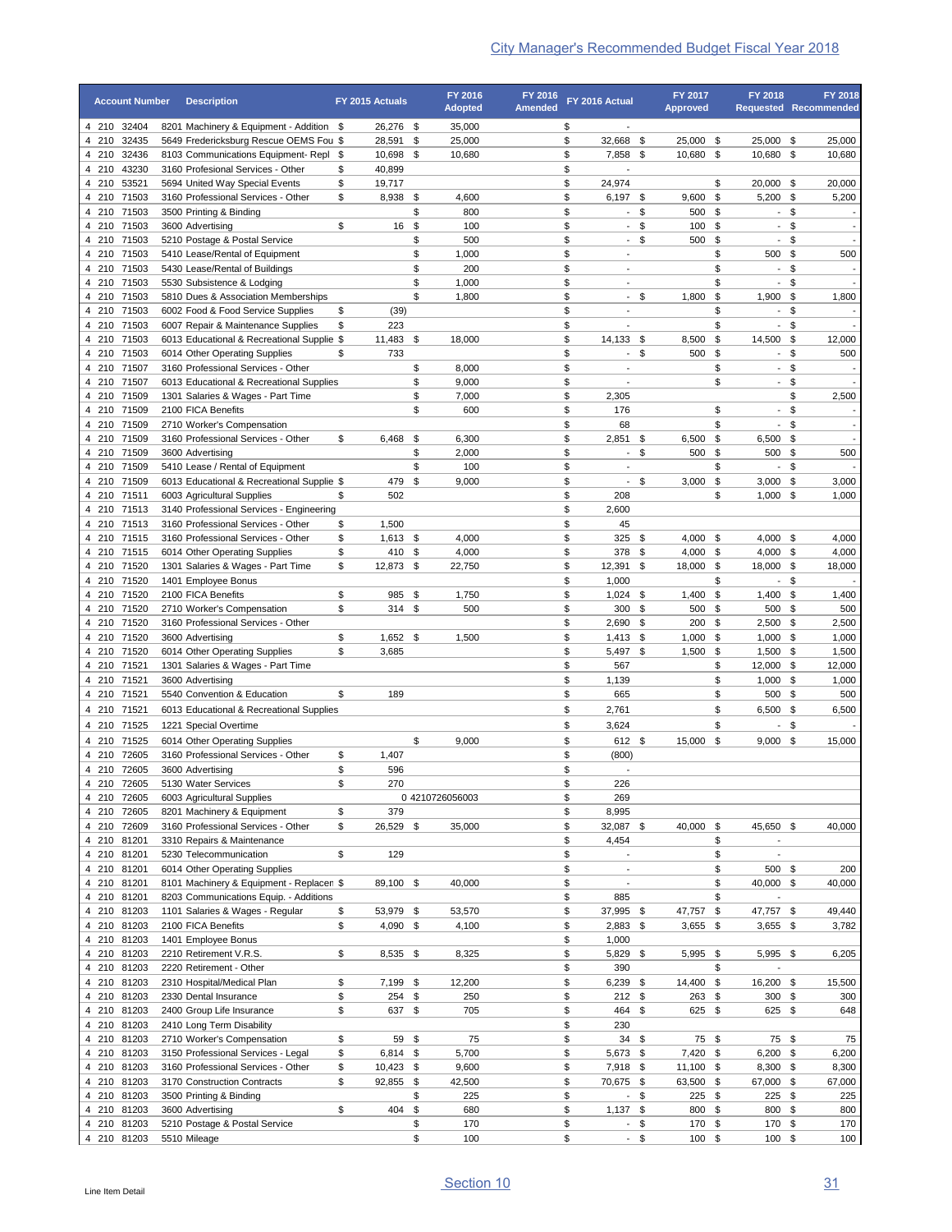|                | <b>Account Number</b>      | <b>Description</b>                                                             |          | FY 2015 Actuals     |          | FY 2016<br><b>Adopted</b> | FY 2016<br><b>Amended</b> | FY 2016 Actual           |              | FY 2017<br><b>Approved</b> | <b>FY 2018</b><br><b>Requested Recommended</b> |               | <b>FY 2018</b> |
|----------------|----------------------------|--------------------------------------------------------------------------------|----------|---------------------|----------|---------------------------|---------------------------|--------------------------|--------------|----------------------------|------------------------------------------------|---------------|----------------|
|                | 4 210 32404                | 8201 Machinery & Equipment - Addition \$                                       |          | 26,276 \$           |          | 35,000                    | \$                        |                          |              |                            |                                                |               |                |
| 4 210          | 32435                      | 5649 Fredericksburg Rescue OEMS Fou \$                                         |          | 28,591 \$           |          | 25,000                    | \$                        | 32,668 \$                |              | 25,000 \$                  | 25,000 \$                                      |               | 25,000         |
| 4 210<br>4 210 | 32436<br>43230             | 8103 Communications Equipment-Repl \$<br>3160 Profesional Services - Other     | \$       | 10,698 \$<br>40,899 |          | 10,680                    | \$<br>\$                  | 7,858 \$                 |              | 10,680 \$                  | 10,680 \$                                      |               | 10,680         |
|                | 4 210 53521                | 5694 United Way Special Events                                                 | \$       | 19,717              |          |                           | \$                        | 24,974                   |              |                            | \$<br>20,000 \$                                |               | 20,000         |
|                | 4 210 71503                | 3160 Professional Services - Other                                             | \$       | 8,938 \$            |          | 4,600                     | \$                        | 6,197 \$                 |              | 9,600                      | \$<br>$5,200$ \$                               |               | 5,200          |
| 4 210          | 71503                      | 3500 Printing & Binding                                                        |          |                     | \$       | 800                       | \$                        |                          | $-$ \$       | 500                        | \$<br>$\sim$                                   | \$            |                |
| 4 210          | 71503                      | 3600 Advertising                                                               | \$       | 16                  | \$       | 100                       | \$                        |                          | - \$         | 100                        | \$<br>$\overline{\phantom{a}}$                 | \$            |                |
| 4 210<br>4 210 | 71503<br>71503             | 5210 Postage & Postal Service<br>5410 Lease/Rental of Equipment                |          |                     | \$<br>\$ | 500<br>1,000              | \$<br>\$                  | $\blacksquare$           | $-$ \$       | 500                        | \$<br>$\sim$<br>\$<br>500                      | \$<br>\$      | 500            |
| 4 210          | 71503                      | 5430 Lease/Rental of Buildings                                                 |          |                     | \$       | 200                       | \$                        | $\overline{\phantom{a}}$ |              |                            | \$<br>$\overline{\phantom{a}}$                 | \$            |                |
| 4 210          | 71503                      | 5530 Subsistence & Lodging                                                     |          |                     | \$       | 1,000                     | \$                        | $\blacksquare$           |              |                            | \$<br>$\overline{\phantom{a}}$                 | $\sqrt[6]{2}$ |                |
|                | 4 210 71503                | 5810 Dues & Association Memberships                                            |          |                     | \$       | 1,800                     | \$                        |                          | - \$         | 1,800                      | \$<br>$1,900$ \$                               |               | 1,800          |
| 4 210          | 71503                      | 6002 Food & Food Service Supplies                                              | \$       | (39)                |          |                           | \$                        | $\blacksquare$           |              |                            | \$<br>$\blacksquare$                           | \$            |                |
|                | 4 210 71503                | 6007 Repair & Maintenance Supplies                                             | \$       | 223                 |          |                           | \$                        | $\overline{\phantom{a}}$ |              |                            | \$<br>$\overline{\phantom{a}}$                 | \$            |                |
| 4 210          | 71503<br>4 210 71503       | 6013 Educational & Recreational Supplie \$<br>6014 Other Operating Supplies    | \$       | 11,483<br>733       | \$       | 18,000                    | \$<br>\$                  | 14,133 \$                | $-$ \$       | 8,500<br>500               | \$<br>14,500<br>\$                             | \$<br>$-$ \$  | 12,000<br>500  |
| 4 210          | 71507                      | 3160 Professional Services - Other                                             |          |                     | \$       | 8,000                     | \$                        | $\overline{\phantom{a}}$ |              |                            | \$                                             | - \$          |                |
|                | 4 210 71507                | 6013 Educational & Recreational Supplies                                       |          |                     | \$       | 9,000                     | \$                        | $\overline{\phantom{a}}$ |              |                            | \$                                             | - \$          |                |
| 4 210          | 71509                      | 1301 Salaries & Wages - Part Time                                              |          |                     | \$       | 7,000                     | \$                        | 2,305                    |              |                            |                                                | \$            | 2,500          |
| 4 210          | 71509                      | 2100 FICA Benefits                                                             |          |                     | \$       | 600                       | \$                        | 176                      |              |                            | \$<br>$\sim$                                   | \$            |                |
| 4 210          | 71509                      | 2710 Worker's Compensation                                                     |          |                     |          |                           | \$                        | 68                       |              |                            | \$<br>$\overline{\phantom{0}}$                 | \$            |                |
| 4 210          | 71509                      | 3160 Professional Services - Other                                             | \$       | 6,468               | -\$      | 6,300                     | \$                        | $2,851$ \$               |              | 6,500                      | \$<br>$6,500$ \$                               |               |                |
| 4 210          | 71509                      | 3600 Advertising                                                               |          |                     | \$       | 2,000                     | \$                        | $\overline{\phantom{a}}$ | - \$         | 500                        | \$<br>500 \$                                   |               | 500            |
| 4 210<br>4 210 | 71509<br>71509             | 5410 Lease / Rental of Equipment<br>6013 Educational & Recreational Supplie \$ |          | 479                 | \$<br>\$ | 100<br>9,000              | \$<br>\$                  | $\blacksquare$           | \$           | 3,000                      | \$<br>$\blacksquare$<br>\$<br>$3,000$ \$       | \$            | 3,000          |
| 4 210          | 71511                      | 6003 Agricultural Supplies                                                     | \$       | 502                 |          |                           | \$                        | 208                      |              |                            | \$<br>$1,000$ \$                               |               | 1,000          |
| 4 210          | 71513                      | 3140 Professional Services - Engineering                                       |          |                     |          |                           | \$                        | 2,600                    |              |                            |                                                |               |                |
|                | 4 210 71513                | 3160 Professional Services - Other                                             | \$       | 1,500               |          |                           | \$                        | 45                       |              |                            |                                                |               |                |
|                | 4 210 71515                | 3160 Professional Services - Other                                             | \$       | $1,613$ \$          |          | 4,000                     | \$                        | $325$ \$                 |              | 4,000 \$                   | $4,000$ \$                                     |               | 4,000          |
|                | 4 210 71515                | 6014 Other Operating Supplies                                                  | \$       | 410 \$              |          | 4,000                     | \$                        | 378 \$                   |              | 4,000                      | \$<br>$4,000$ \$                               |               | 4,000          |
| 4 210          | 71520                      | 1301 Salaries & Wages - Part Time                                              | \$       | 12,873 \$           |          | 22,750                    | \$                        | 12,391 \$                |              | 18,000                     | \$<br>18,000 \$                                |               | 18,000         |
| 4 210          | 71520<br>4 210 71520       | 1401 Employee Bonus<br>2100 FICA Benefits                                      |          | 985                 |          | 1,750                     | \$<br>\$                  | 1,000<br>$1,024$ \$      |              | 1,400                      | \$<br>$\overline{\phantom{a}}$<br>\$           | \$            |                |
| 4 210          | 71520                      | 2710 Worker's Compensation                                                     | \$<br>\$ | $314$ \$            | - \$     | 500                       | \$                        | 300 \$                   |              | 500                        | $1,400$ \$<br>\$<br>500                        | \$            | 1,400<br>500   |
| 4 210          | 71520                      | 3160 Professional Services - Other                                             |          |                     |          |                           | \$                        | $2,690$ \$               |              | 200                        | \$<br>2,500                                    | \$            | 2,500          |
| 4 210          | 71520                      | 3600 Advertising                                                               | \$       | $1,652$ \$          |          | 1,500                     | \$                        | $1,413$ \$               |              | 1,000                      | \$<br>1,000                                    | \$            | 1,000          |
|                | 4 210 71520                | 6014 Other Operating Supplies                                                  | \$       | 3,685               |          |                           | \$                        | 5,497 \$                 |              | 1,500                      | \$<br>1,500                                    | \$            | 1,500          |
| 4 210          | 71521                      | 1301 Salaries & Wages - Part Time                                              |          |                     |          |                           | \$                        | 567                      |              |                            | \$<br>12,000                                   | \$            | 12,000         |
|                | 4 210 71521                | 3600 Advertising                                                               |          |                     |          |                           | \$                        | 1,139                    |              |                            | \$<br>1,000                                    | - \$          | 1,000          |
|                | 4 210 71521                | 5540 Convention & Education                                                    | \$       | 189                 |          |                           | \$                        | 665                      |              |                            | \$<br>500 \$                                   |               | 500            |
|                | 4 210 71521                | 6013 Educational & Recreational Supplies                                       |          |                     |          |                           | \$                        | 2,761                    |              |                            | \$<br>$6,500$ \$                               |               | 6,500          |
|                | 4 210 71525<br>4 210 71525 | 1221 Special Overtime<br>6014 Other Operating Supplies                         |          |                     | \$       |                           | \$<br>\$                  | 3,624                    |              |                            | \$<br>\$<br>$9,000$ \$                         | $-$ \$        | 15,000         |
|                | 4 210 72605                | 3160 Professional Services - Other                                             | \$       | 1,407               |          | 9,000                     | \$                        | 612 \$<br>(800)          |              | 15,000                     |                                                |               |                |
|                | 4 210 72605                | 3600 Advertising                                                               | \$       | 596                 |          |                           | \$                        | $\overline{\phantom{a}}$ |              |                            |                                                |               |                |
|                | 4 210 72605                | 5130 Water Services                                                            | \$       | 270                 |          |                           | \$                        | 226                      |              |                            |                                                |               |                |
|                | 4 210 72605                | 6003 Agricultural Supplies                                                     |          |                     |          | 0 4210726056003           | \$                        | 269                      |              |                            |                                                |               |                |
|                | 4 210 72605                | 8201 Machinery & Equipment                                                     | \$       | 379                 |          |                           | \$                        | 8,995                    |              |                            |                                                |               |                |
|                | 4 210 72609                | 3160 Professional Services - Other                                             | \$       | 26,529 \$           |          | 35,000                    | \$                        | 32,087 \$                |              | 40,000 \$                  | 45,650 \$                                      |               | 40,000         |
|                | 4 210 81201                | 3310 Repairs & Maintenance                                                     |          |                     |          |                           | \$                        | 4,454                    |              |                            | \$<br>$\overline{\phantom{a}}$                 |               |                |
|                | 4 210 81201<br>4 210 81201 | 5230 Telecommunication<br>6014 Other Operating Supplies                        | \$       | 129                 |          |                           | \$<br>\$                  | $\overline{\phantom{a}}$ |              |                            | \$<br>\$<br>500 \$                             |               | 200            |
|                | 4 210 81201                | 8101 Machinery & Equipment - Replacen \$                                       |          | 89,100 \$           |          | 40,000                    | \$                        | $\overline{\phantom{a}}$ |              |                            | \$<br>40,000 \$                                |               | 40,000         |
|                | 4 210 81201                | 8203 Communications Equip. - Additions                                         |          |                     |          |                           | \$                        | 885                      |              |                            | \$<br>$\overline{\phantom{a}}$                 |               |                |
|                | 4 210 81203                | 1101 Salaries & Wages - Regular                                                | \$       | 53,979 \$           |          | 53,570                    | \$                        | 37,995 \$                |              | 47,757                     | \$<br>47,757 \$                                |               | 49,440         |
|                | 4 210 81203                | 2100 FICA Benefits                                                             | \$       | 4,090 $$$           |          | 4,100                     | \$                        | $2,883$ \$               |              | $3,655$ \$                 | $3,655$ \$                                     |               | 3,782          |
|                | 4 210 81203                | 1401 Employee Bonus                                                            |          |                     |          |                           | \$                        | 1,000                    |              |                            |                                                |               |                |
|                | 4 210 81203                | 2210 Retirement V.R.S.                                                         | \$       | 8,535 \$            |          | 8,325                     | \$                        | 5,829 \$                 |              | 5,995 \$                   | 5,995 \$                                       |               | 6,205          |
|                | 4 210 81203                | 2220 Retirement - Other                                                        |          |                     |          |                           | \$                        | 390                      |              |                            | \$<br>$\overline{\phantom{a}}$                 |               |                |
|                | 4 210 81203<br>4 210 81203 | 2310 Hospital/Medical Plan<br>2330 Dental Insurance                            | \$<br>\$ | 7,199 \$<br>254 \$  |          | 12,200<br>250             | \$<br>\$                  | $6,239$ \$<br>$212$ \$   |              | 14,400 \$<br>263 \$        | 16,200 \$<br>300 \$                            |               | 15,500<br>300  |
|                | 4 210 81203                | 2400 Group Life Insurance                                                      | \$       | 637 \$              |          | 705                       | \$                        | 464 \$                   |              | 625 \$                     | 625 \$                                         |               | 648            |
|                | 4 210 81203                | 2410 Long Term Disability                                                      |          |                     |          |                           | \$                        | 230                      |              |                            |                                                |               |                |
|                | 4 210 81203                | 2710 Worker's Compensation                                                     | \$       | 59 \$               |          | 75                        | \$                        |                          | $34 \quad $$ | 75 \$                      | 75 \$                                          |               | 75             |
|                | 4 210 81203                | 3150 Professional Services - Legal                                             | \$       | $6,814$ \$          |          | 5,700                     | \$                        | 5,673 \$                 |              | 7,420 \$                   | $6,200$ \$                                     |               | 6,200          |
|                | 4 210 81203                | 3160 Professional Services - Other                                             | \$       | 10,423 \$           |          | 9,600                     | \$                        | 7,918 \$                 |              | 11,100 \$                  | 8,300 \$                                       |               | 8,300          |
|                | 4 210 81203                | 3170 Construction Contracts                                                    | \$       | 92,855 \$           |          | 42,500                    | \$                        | 70,675 \$                |              | 63,500 \$                  | 67,000 \$                                      |               | 67,000         |
|                | 4 210 81203                | 3500 Printing & Binding                                                        |          |                     | \$       | 225                       | \$                        |                          | $-$ \$       | $225$ \$                   | $225$ \$                                       |               | 225            |
|                | 4 210 81203<br>4 210 81203 | 3600 Advertising<br>5210 Postage & Postal Service                              | \$       | 404 \$              | \$       | 680<br>170                | \$<br>\$                  | $1,137$ \$               | $-$ \$       | 800 \$<br>170 \$           | 800 \$<br>170 \$                               |               | 800<br>170     |
|                | 4 210 81203                | 5510 Mileage                                                                   |          |                     | \$       | 100                       | \$                        |                          | $-$ \$       | 100 \$                     | 100 \$                                         |               | 100            |
|                |                            |                                                                                |          |                     |          |                           |                           |                          |              |                            |                                                |               |                |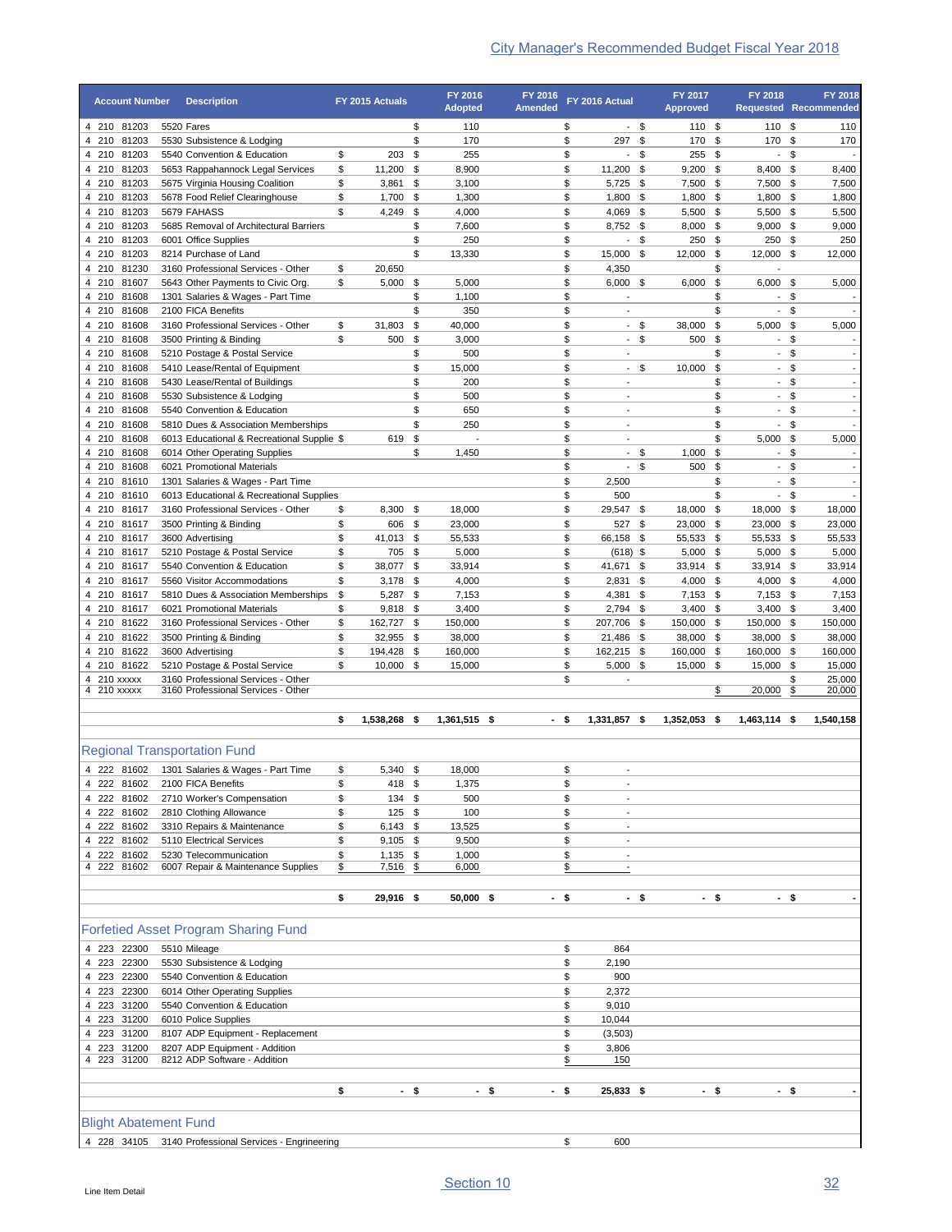|                            | <b>Account Number</b> | <b>Description</b>                                                | FY 2015 Actuals              |          | <b>FY 2016</b><br><b>Adopted</b> | FY 2016<br><b>Amended</b> |          | FY 2016 Actual                                       |          | FY 2017<br><b>Approved</b> |          | <b>FY 2018</b><br><b>Requested Recommended</b>       |                          | <b>FY 2018</b>   |
|----------------------------|-----------------------|-------------------------------------------------------------------|------------------------------|----------|----------------------------------|---------------------------|----------|------------------------------------------------------|----------|----------------------------|----------|------------------------------------------------------|--------------------------|------------------|
| 4 210 81203                |                       | 5520 Fares                                                        |                              | \$       | 110                              |                           | \$       |                                                      | - \$     | 110 \$                     |          | 110 \$                                               |                          | 110              |
| 4 210                      | 81203                 | 5530 Subsistence & Lodging                                        |                              | \$       | 170                              |                           | \$       | 297 \$                                               |          | 170                        | \$       | 170                                                  | - \$                     | 170              |
| 4 210 81203                |                       | 5540 Convention & Education                                       | \$<br>203                    | \$       | 255                              |                           | \$       | $\overline{\phantom{a}}$                             | \$       | 255 \$                     |          | $\overline{\phantom{a}}$                             | \$                       |                  |
| 4 210 81203                |                       | 5653 Rappahannock Legal Services                                  | \$<br>11,200                 | \$       | 8,900                            |                           | \$       | 11,200 \$                                            |          | 9,200                      | \$       | 8,400                                                | \$                       | 8,400            |
| 4 210 81203<br>4 210 81203 |                       | 5675 Virginia Housing Coalition                                   | \$<br>3,861<br>\$            | \$       | 3,100                            |                           | \$<br>\$ | 5,725 \$                                             |          | 7,500<br>1,800             | \$<br>\$ | $7,500$ \$                                           | \$                       | 7,500            |
| 4 210                      | 81203                 | 5678 Food Relief Clearinghouse<br>5679 FAHASS                     | 1,700<br>\$<br>4,249         | \$<br>\$ | 1,300<br>4,000                   |                           | \$       | $1,800$ \$<br>4,069 \$                               |          | 5,500 \$                   |          | 1,800<br>5,500                                       | \$                       | 1,800<br>5,500   |
| 4 210                      | 81203                 | 5685 Removal of Architectural Barriers                            |                              | \$       | 7,600                            |                           | \$       | 8,752 \$                                             |          | 8,000                      | \$       | 9,000                                                | \$                       | 9,000            |
| 4 210                      | 81203                 | 6001 Office Supplies                                              |                              | \$       | 250                              |                           | \$       | $\blacksquare$                                       | \$       | 250                        | \$       | 250                                                  | \$                       | 250              |
| 4 210                      | 81203                 | 8214 Purchase of Land                                             |                              | \$       | 13,330                           |                           | \$       | 15,000                                               | \$       | 12,000                     | \$       | 12,000                                               | \$                       | 12,000           |
| 4 210                      | 81230                 | 3160 Professional Services - Other                                | \$<br>20,650                 |          |                                  |                           | \$       | 4,350                                                |          |                            | \$       | $\overline{\phantom{a}}$                             |                          |                  |
| 4 210                      | 81607                 | 5643 Other Payments to Civic Org.                                 | \$<br>5,000                  | \$       | 5,000                            |                           | \$       | $6,000$ \$                                           |          | 6,000                      | \$       | $6,000$ \$                                           |                          | 5,000            |
| 4 210                      | 81608<br>81608        | 1301 Salaries & Wages - Part Time                                 |                              | \$<br>\$ | 1,100                            |                           | \$<br>\$ | $\overline{a}$                                       |          |                            | \$<br>\$ | $\overline{\phantom{0}}$<br>$\overline{\phantom{a}}$ | \$<br>$\mathfrak s$      |                  |
| 4 210<br>4 210             | 81608                 | 2100 FICA Benefits<br>3160 Professional Services - Other          | \$<br>31,803                 | \$       | 350<br>40,000                    |                           | \$       | $\blacksquare$                                       | \$       | 38,000                     | \$       | $5,000$ \$                                           |                          | 5,000            |
| 4 210                      | 81608                 | 3500 Printing & Binding                                           | \$<br>500                    | \$       | 3,000                            |                           | \$       |                                                      | $-$ \$   | 500                        | \$       |                                                      | $-$ \$                   |                  |
| 4 210                      | 81608                 | 5210 Postage & Postal Service                                     |                              | \$       | 500                              |                           | \$       | $\overline{a}$                                       |          |                            | \$       | $\overline{\phantom{0}}$                             | \$                       |                  |
| 4 210                      | 81608                 | 5410 Lease/Rental of Equipment                                    |                              | \$       | 15,000                           |                           | \$       | $\sim$                                               | \$       | 10,000                     | \$       | $-$ \$                                               |                          |                  |
| 4 210                      | 81608                 | 5430 Lease/Rental of Buildings                                    |                              | \$       | 200                              |                           | \$       | $\overline{\phantom{a}}$                             |          |                            | \$       | $-$ \$                                               |                          |                  |
| 4 210                      | 81608                 | 5530 Subsistence & Lodging                                        |                              | \$       | 500                              |                           | \$       | $\overline{\phantom{a}}$                             |          |                            | \$       | $-$ \$                                               |                          |                  |
| 4 210                      | 81608                 | 5540 Convention & Education                                       |                              | \$       | 650                              |                           | \$       | $\overline{\phantom{a}}$                             |          |                            | \$       | $-$ \$                                               |                          |                  |
| 4 210                      | 81608                 | 5810 Dues & Association Memberships                               |                              | \$       | 250                              |                           | \$       | $\overline{a}$                                       |          |                            | \$       |                                                      | - \$                     |                  |
| 4 210                      | 81608                 | 6013 Educational & Recreational Supplie \$                        | 619                          | \$       |                                  |                           | \$       | $\overline{\phantom{a}}$                             |          |                            | \$       | $5,000$ \$                                           |                          | 5,000            |
| 4 210                      | 81608<br>81608        | 6014 Other Operating Supplies                                     |                              | \$       | 1,450                            |                           | \$<br>\$ | $\overline{\phantom{a}}$<br>$\overline{\phantom{a}}$ | \$<br>\$ | 1,000<br>500               | \$<br>\$ | $\overline{\phantom{0}}$<br>$-$ \$                   | \$                       |                  |
| 4 210<br>4 210             | 81610                 | 6021 Promotional Materials<br>1301 Salaries & Wages - Part Time   |                              |          |                                  |                           | \$       | 2,500                                                |          |                            | \$       | $\overline{\phantom{a}}$                             | \$                       |                  |
| 4 210                      | 81610                 | 6013 Educational & Recreational Supplies                          |                              |          |                                  |                           | \$       | 500                                                  |          |                            | \$       | $\sim$                                               | \$                       |                  |
| 4 210                      | 81617                 | 3160 Professional Services - Other                                | 8,300<br>\$                  | \$       | 18,000                           |                           | \$       | 29,547 \$                                            |          | 18,000                     | \$       | 18,000 \$                                            |                          | 18,000           |
| 4 210 81617                |                       | 3500 Printing & Binding                                           | \$<br>606                    | \$       | 23,000                           |                           | \$       | 527 \$                                               |          | 23,000                     | \$       | 23,000 \$                                            |                          | 23,000           |
| 4 210 81617                |                       | 3600 Advertising                                                  | \$<br>41,013                 | \$       | 55,533                           |                           | \$       | 66,158 \$                                            |          | 55,533 \$                  |          | 55,533 \$                                            |                          | 55,533           |
| 4 210 81617                |                       | 5210 Postage & Postal Service                                     | \$<br>705                    | -\$      | 5,000                            |                           | \$       | $(618)$ \$                                           |          | $5,000$ \$                 |          | 5,000                                                | \$                       | 5,000            |
| 4 210                      | 81617                 | 5540 Convention & Education                                       | \$<br>38,077                 | \$       | 33,914                           |                           | \$       | 41,671                                               | \$       | 33,914 \$                  |          | 33,914                                               | \$                       | 33,914           |
| 4 210                      | 81617                 | 5560 Visitor Accommodations                                       | \$<br>$3,178$ \$             |          | 4,000                            |                           | \$       | 2,831                                                | \$       | 4,000 \$                   |          | $4,000$ \$                                           |                          | 4,000            |
| 4 210<br>4 210             | 81617<br>81617        | 5810 Dues & Association Memberships<br>6021 Promotional Materials | \$<br>5,287<br>\$            | \$       | 7,153<br>3,400                   |                           | \$<br>\$ | 4,381<br>2,794                                       | \$       | $7,153$ \$<br>3,400        | \$       | $7,153$ \$                                           |                          | 7,153            |
| 4 210                      | 81622                 | 3160 Professional Services - Other                                | 9,818<br>\$<br>162,727       | \$<br>\$ | 150,000                          |                           | \$       | 207,706 \$                                           | \$       | 150,000 \$                 |          | 3,400<br>150,000                                     | \$<br>\$                 | 3,400<br>150,000 |
| 4 210                      | 81622                 | 3500 Printing & Binding                                           | \$<br>32,955                 | \$       | 38,000                           |                           | \$       | 21,486 \$                                            |          | 38,000                     | \$       | 38,000                                               | \$                       | 38,000           |
| 4 210 81622                |                       | 3600 Advertising                                                  | \$<br>194,428                | \$       | 160,000                          |                           | \$       | 162,215 \$                                           |          | 160,000                    | \$       | 160,000                                              | \$                       | 160,000          |
| 4 210 81622                |                       | 5210 Postage & Postal Service                                     | \$<br>10,000 \$              |          | 15,000                           |                           | \$       | $5.000$ \$                                           |          | 15,000                     | \$       | 15,000                                               | \$                       | 15,000           |
| 4 210 xxxxx                |                       | 3160 Professional Services - Other                                |                              |          |                                  |                           | \$       | ÷,                                                   |          |                            |          |                                                      | \$                       | 25,000           |
| 4 210 xxxxx                |                       | 3160 Professional Services - Other                                |                              |          |                                  |                           |          |                                                      |          |                            | \$       | 20,000                                               | $\overline{\mathcal{E}}$ | 20,000           |
|                            |                       |                                                                   | \$<br>1,538,268 \$           |          | 1,361,515 \$                     |                           | - \$     | 1.331.857 \$                                         |          | 1.352.053                  | \$       | 1.463.114 \$                                         |                          | 1,540,158        |
|                            |                       | <b>Regional Transportation Fund</b>                               |                              |          |                                  |                           |          |                                                      |          |                            |          |                                                      |                          |                  |
|                            |                       |                                                                   |                              |          |                                  |                           |          |                                                      |          |                            |          |                                                      |                          |                  |
| 4 222 81602                |                       | 1301 Salaries & Wages - Part Time<br>2100 FICA Benefits           | \$<br>5,340 \$               |          | 18,000                           |                           | \$       | $\overline{\phantom{a}}$<br>$\overline{\phantom{a}}$ |          |                            |          |                                                      |                          |                  |
| 4 222 81602<br>4 222 81602 |                       | 2710 Worker's Compensation                                        | \$<br>418 \$<br>\$<br>134 \$ |          | 1,375<br>500                     |                           | \$<br>\$ | ÷,                                                   |          |                            |          |                                                      |                          |                  |
| 4 222 81602                |                       | 2810 Clothing Allowance                                           | \$<br>$125$ \$               |          | 100                              |                           | \$       | $\overline{\phantom{a}}$                             |          |                            |          |                                                      |                          |                  |
| 4 222 81602                |                       | 3310 Repairs & Maintenance                                        | \$<br>6,143 \$               |          | 13,525                           |                           | \$       |                                                      |          |                            |          |                                                      |                          |                  |
| 4 222 81602                |                       | 5110 Electrical Services                                          | \$<br>$9,105$ \$             |          | 9,500                            |                           | \$       | $\overline{\phantom{a}}$                             |          |                            |          |                                                      |                          |                  |
| 4 222 81602                |                       | 5230 Telecommunication                                            | \$<br>$1,135$ \$             |          | 1,000                            |                           | \$       | $\overline{a}$                                       |          |                            |          |                                                      |                          |                  |
| 4 222 81602                |                       | 6007 Repair & Maintenance Supplies                                | \$<br>7,516                  | \$       | 6,000                            |                           | \$       | $\overline{\phantom{a}}$                             |          |                            |          |                                                      |                          |                  |
|                            |                       |                                                                   | \$<br>29,916 \$              |          | 50,000 \$                        |                           | $-$ \$   |                                                      | - \$     |                            | - \$     |                                                      | - \$                     |                  |
|                            |                       | <b>Forfetied Asset Program Sharing Fund</b>                       |                              |          |                                  |                           |          |                                                      |          |                            |          |                                                      |                          |                  |
|                            |                       |                                                                   |                              |          |                                  |                           |          |                                                      |          |                            |          |                                                      |                          |                  |
| 4 223 22300<br>4 223 22300 |                       | 5510 Mileage<br>5530 Subsistence & Lodging                        |                              |          |                                  |                           | \$<br>\$ | 864<br>2,190                                         |          |                            |          |                                                      |                          |                  |
| 4 223 22300                |                       | 5540 Convention & Education                                       |                              |          |                                  |                           | \$       | 900                                                  |          |                            |          |                                                      |                          |                  |
| 4 223 22300                |                       | 6014 Other Operating Supplies                                     |                              |          |                                  |                           | \$       | 2,372                                                |          |                            |          |                                                      |                          |                  |
| 4 223 31200                |                       | 5540 Convention & Education                                       |                              |          |                                  |                           | \$       | 9,010                                                |          |                            |          |                                                      |                          |                  |
| 4 223 31200                |                       | 6010 Police Supplies                                              |                              |          |                                  |                           | \$       | 10,044                                               |          |                            |          |                                                      |                          |                  |
| 4 223 31200                |                       | 8107 ADP Equipment - Replacement                                  |                              |          |                                  |                           | \$       | (3, 503)                                             |          |                            |          |                                                      |                          |                  |
| 4 223 31200                |                       | 8207 ADP Equipment - Addition                                     |                              |          |                                  |                           | \$       | 3,806                                                |          |                            |          |                                                      |                          |                  |
| 4 223 31200                |                       | 8212 ADP Software - Addition                                      |                              |          |                                  |                           | \$       | 150                                                  |          |                            |          |                                                      |                          |                  |
|                            |                       |                                                                   | \$                           | - \$     | - \$                             |                           | - \$     | 25,833 \$                                            |          |                            | - \$     | - \$                                                 |                          |                  |
|                            |                       |                                                                   |                              |          |                                  |                           |          |                                                      |          |                            |          |                                                      |                          |                  |
|                            |                       | <b>Blight Abatement Fund</b>                                      |                              |          |                                  |                           |          |                                                      |          |                            |          |                                                      |                          |                  |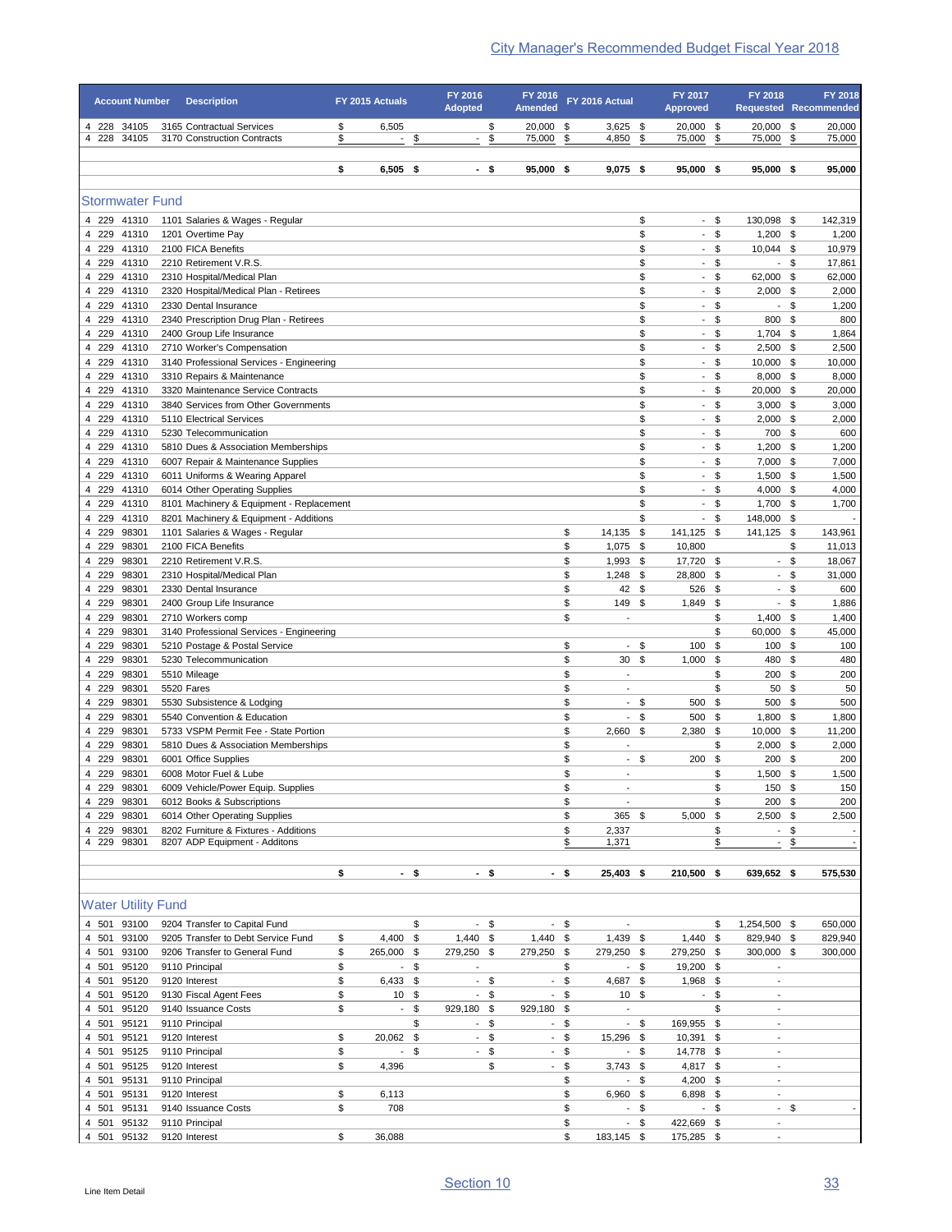|                    |                            |                                                                                    |          |                                   |      |                           |                |                             |            |                                             |              |                            |                | <b>City Manager's Recommended Budget Fiscal Year 2018</b> |                                                    |                    |
|--------------------|----------------------------|------------------------------------------------------------------------------------|----------|-----------------------------------|------|---------------------------|----------------|-----------------------------|------------|---------------------------------------------|--------------|----------------------------|----------------|-----------------------------------------------------------|----------------------------------------------------|--------------------|
|                    | <b>Account Number</b>      | <b>Description</b>                                                                 |          | FY 2015 Actuals                   |      | FY 2016<br><b>Adopted</b> |                | FY 2016<br><b>Amended</b>   |            | FY 2016 Actual                              |              | FY 2017<br><b>Approved</b> |                | FY 2018<br><b>Requested Recommended</b>                   |                                                    | <b>FY 2018</b>     |
| 4 2 2 8<br>4 228   | 34105<br>34105             | 3165 Contractual Services<br>3170 Construction Contracts                           | \$<br>\$ | 6,505<br>$\overline{\phantom{a}}$ | \$   | $\overline{\phantom{a}}$  | \$<br>\$       | 20,000 \$<br>75,000         | \$         | $3,625$ \$<br>4,850                         | \$           | 20,000 \$<br>75,000        | \$             | 20,000 \$<br>75,000                                       | \$                                                 | 20,000<br>75,000   |
|                    |                            |                                                                                    |          |                                   |      |                           |                |                             |            |                                             |              |                            |                |                                                           |                                                    |                    |
|                    |                            |                                                                                    | \$       | $6,505$ \$                        |      |                           | - \$           | 95,000 \$                   |            | $9,075$ \$                                  |              | 95,000 \$                  |                | 95,000 \$                                                 |                                                    | 95,000             |
|                    | <b>Stormwater Fund</b>     |                                                                                    |          |                                   |      |                           |                |                             |            |                                             |              |                            |                |                                                           |                                                    |                    |
|                    | 4 229 41310<br>4 229 41310 | 1101 Salaries & Wages - Regular<br>1201 Overtime Pay                               |          |                                   |      |                           |                |                             |            |                                             | \$<br>\$     |                            | - \$<br>- \$   | 130,098 \$<br>$1,200$ \$                                  |                                                    | 142,319<br>1,200   |
|                    | 4 229 41310                | 2100 FICA Benefits                                                                 |          |                                   |      |                           |                |                             |            |                                             | \$           | $\overline{\phantom{a}}$   | \$             | 10,044 \$                                                 |                                                    | 10,979             |
| 4 2 2 9            | 4 229 41310<br>41310       | 2210 Retirement V.R.S.<br>2310 Hospital/Medical Plan                               |          |                                   |      |                           |                |                             |            |                                             | \$<br>\$     | $\sim$                     | - \$<br>\$     | $\overline{\phantom{a}}$<br>62,000                        | \$<br>\$                                           | 17,861<br>62,000   |
| 4 2 2 9            | 41310                      | 2320 Hospital/Medical Plan - Retirees                                              |          |                                   |      |                           |                |                             |            |                                             | \$           | $-$ \$                     |                | 2,000                                                     | \$                                                 | 2,000              |
| 4 2 2 9<br>4 2 2 9 | 41310<br>41310             | 2330 Dental Insurance<br>2340 Prescription Drug Plan - Retirees                    |          |                                   |      |                           |                |                             |            |                                             | \$<br>\$     | $\blacksquare$<br>$-$ \$   | - \$           | $\overline{\phantom{a}}$<br>800                           | \$<br>\$                                           | 1,200<br>800       |
| 4 2 2 9            | 41310                      | 2400 Group Life Insurance                                                          |          |                                   |      |                           |                |                             |            |                                             | \$           |                            | $-$ \$         | 1,704 \$                                                  |                                                    | 1,864              |
| 4 2 2 9            | 41310                      | 2710 Worker's Compensation                                                         |          |                                   |      |                           |                |                             |            |                                             | \$           |                            | $-$ \$         | 2,500                                                     | \$                                                 | 2,500              |
| 4 2 2 9<br>4 2 2 9 | 41310<br>41310             | 3140 Professional Services - Engineering<br>3310 Repairs & Maintenance             |          |                                   |      |                           |                |                             |            |                                             | \$<br>\$     |                            | - \$<br>$-$ \$ | 10,000<br>8,000                                           | \$<br>\$                                           | 10,000<br>8,000    |
| 4 2 2 9            | 41310                      | 3320 Maintenance Service Contracts                                                 |          |                                   |      |                           |                |                             |            |                                             | \$           |                            | - \$           | 20,000                                                    | \$                                                 | 20,000             |
| 4 2 2 9<br>4 2 2 9 | 41310<br>41310             | 3840 Services from Other Governments<br>5110 Electrical Services                   |          |                                   |      |                           |                |                             |            |                                             | \$<br>\$     |                            | $-$ \$<br>- \$ | 3,000<br>2,000                                            | \$<br>- \$                                         | 3,000<br>2,000     |
| 4 2 2 9            | 41310                      | 5230 Telecommunication                                                             |          |                                   |      |                           |                |                             |            |                                             | \$           | - \$                       |                | 700                                                       | \$                                                 | 600                |
| 4 2 2 9<br>4 2 2 9 | 41310                      | 5810 Dues & Association Memberships                                                |          |                                   |      |                           |                |                             |            |                                             | \$           | - \$                       |                | $1,200$ \$                                                |                                                    | 1,200              |
| 4 2 2 9            | 41310<br>41310             | 6007 Repair & Maintenance Supplies<br>6011 Uniforms & Wearing Apparel              |          |                                   |      |                           |                |                             |            |                                             | \$<br>\$     | - \$                       | - \$           | 7,000 \$<br>$1,500$ \$                                    |                                                    | 7,000<br>1,500     |
| 4 2 2 9            | 41310                      | 6014 Other Operating Supplies                                                      |          |                                   |      |                           |                |                             |            |                                             | \$           |                            | - \$           | $4,000$ \$                                                |                                                    | 4,000              |
| 4 2 2 9<br>4 2 2 9 | 41310<br>41310             | 8101 Machinery & Equipment - Replacement<br>8201 Machinery & Equipment - Additions |          |                                   |      |                           |                |                             |            |                                             | \$<br>\$     | - \$<br>- \$               |                | $1,700$ \$<br>148,000 \$                                  |                                                    | 1,700              |
| 4 2 2 9            | 98301                      | 1101 Salaries & Wages - Regular                                                    |          |                                   |      |                           |                |                             | \$         | 14,135 \$                                   |              | 141,125 \$                 |                | 141,125 \$                                                |                                                    | 143,961            |
| 4 2 2 9            | 98301                      | 2100 FICA Benefits                                                                 |          |                                   |      |                           |                |                             | \$         | $1,075$ \$                                  |              | 10,800                     |                |                                                           | \$                                                 | 11,013             |
| 4 2 2 9<br>4 2 2 9 | 98301<br>98301             | 2210 Retirement V.R.S.<br>2310 Hospital/Medical Plan                               |          |                                   |      |                           |                |                             | \$<br>\$   | 1,993 \$<br>$1,248$ \$                      |              | 17,720<br>28,800           | -\$<br>\$      | $\overline{\phantom{a}}$<br>$\sim$                        | $\sqrt[6]{\frac{1}{2}}$<br>$\sqrt[6]{\frac{1}{2}}$ | 18,067<br>31,000   |
| 4 2 2 9            | 98301                      | 2330 Dental Insurance                                                              |          |                                   |      |                           |                |                             | \$         | 42 \$                                       |              | 526                        | \$             | $\sim$                                                    | \$                                                 | 600                |
| 4 2 2 9<br>4 2 2 9 | 98301<br>98301             | 2400 Group Life Insurance<br>2710 Workers comp                                     |          |                                   |      |                           |                |                             | \$<br>\$   | 149 \$<br>$\overline{\phantom{a}}$          |              | 1,849                      | \$<br>\$       | $\overline{\phantom{a}}$<br>1,400                         | \$<br>\$                                           | 1,886<br>1,400     |
| 4 2 2 9            | 98301                      | 3140 Professional Services - Engineering                                           |          |                                   |      |                           |                |                             |            |                                             |              |                            | \$             | 60,000                                                    | \$                                                 | 45,000             |
| 4 2 2 9            | 98301                      | 5210 Postage & Postal Service                                                      |          |                                   |      |                           |                |                             | \$         |                                             | $-$ \$       | 100                        | \$             | 100                                                       | \$                                                 | 100                |
| 4 2 2 9<br>4 2 2 9 | 98301<br>98301             | 5230 Telecommunication<br>5510 Mileage                                             |          |                                   |      |                           |                |                             | \$<br>\$   | 30 <sup>5</sup><br>$\overline{\phantom{a}}$ |              | 1,000                      | \$<br>\$       | 480<br>200                                                | \$<br>\$                                           | 480<br>200         |
| 4 2 2 9            | 98301                      | 5520 Fares                                                                         |          |                                   |      |                           |                |                             | \$         | $\overline{\phantom{a}}$                    |              |                            | \$             | 50                                                        | \$                                                 | 50                 |
| 4 2 2 9<br>4 2 2 9 | 98301<br>98301             | 5530 Subsistence & Lodging<br>5540 Convention & Education                          |          |                                   |      |                           |                |                             | \$<br>\$   |                                             | - \$<br>- \$ | 500<br>500                 | \$<br>\$       | 500<br>1,800                                              | \$<br>\$                                           | 500<br>1,800       |
| 4 2 2 9            | 98301                      | 5733 VSPM Permit Fee - State Portion                                               |          |                                   |      |                           |                |                             | \$         | $2,660$ \$                                  |              | 2,380                      | \$             | 10,000 \$                                                 |                                                    | 11,200             |
| 4<br>229           | 98301                      | 5810 Dues & Association Memberships                                                |          |                                   |      |                           |                |                             | \$         |                                             |              |                            | \$             | 2,000 \$                                                  |                                                    | 2,000              |
| 4 2 2 9<br>4 2 2 9 | 98301<br>98301             | 6001 Office Supplies<br>6008 Motor Fuel & Lube                                     |          |                                   |      |                           |                |                             | \$<br>\$   | $\overline{\phantom{a}}$                    | $-$ \$       | 200                        | \$<br>\$       | 200 \$<br>$1,500$ \$                                      |                                                    | 200<br>1,500       |
| 4 2 2 9            | 98301                      | 6009 Vehicle/Power Equip. Supplies                                                 |          |                                   |      |                           |                |                             | \$         | $\overline{\phantom{a}}$                    |              |                            | \$             | 150 \$                                                    |                                                    | 150                |
| 4 2 2 9            | 4 229 98301<br>98301       | 6012 Books & Subscriptions<br>6014 Other Operating Supplies                        |          |                                   |      |                           |                |                             | \$<br>\$   | $\blacksquare$<br>$365$ \$                  |              | 5,000                      | \$<br>\$       | 200 \$<br>$2,500$ \$                                      |                                                    | 200<br>2,500       |
| 4 2 2 9            | 98301                      | 8202 Furniture & Fixtures - Additions                                              |          |                                   |      |                           |                |                             | \$         | 2,337                                       |              |                            | \$             | ÷.                                                        | \$                                                 |                    |
| 4 2 2 9            | 98301                      | 8207 ADP Equipment - Additons                                                      |          |                                   |      |                           |                |                             | \$         | 1,371                                       |              |                            | \$             | $\overline{\phantom{a}}$                                  | \$                                                 |                    |
|                    |                            |                                                                                    | \$       |                                   | - \$ |                           | - \$           |                             | - \$       | 25,403 \$                                   |              | 210,500 \$                 |                | 639,652 \$                                                |                                                    | 575,530            |
|                    | <b>Water Utility Fund</b>  |                                                                                    |          |                                   |      |                           |                |                             |            |                                             |              |                            |                |                                                           |                                                    |                    |
|                    | 4 501 93100<br>4 501 93100 | 9204 Transfer to Capital Fund                                                      |          | 4,400 \$                          | \$   | $1,440$ \$                | - \$           | $1,440$ \$                  | - \$       | $\blacksquare$                              |              | $1,440$ \$                 | \$             | 1,254,500 \$<br>829,940 \$                                |                                                    | 650,000<br>829,940 |
|                    | 4 501 93100                | 9205 Transfer to Debt Service Fund<br>9206 Transfer to General Fund                | \$<br>\$ | 265,000 \$                        |      | 279,250 \$                |                | 279,250 \$                  |            | 1,439 \$<br>279,250 \$                      |              | 279,250 \$                 |                | 300,000 \$                                                |                                                    | 300,000            |
|                    | 4 501 95120                | 9110 Principal                                                                     | \$       | $\blacksquare$                    | \$   | $\overline{\phantom{a}}$  |                |                             | \$         |                                             | - \$         | 19,200 \$                  |                |                                                           |                                                    |                    |
|                    | 4 501 95120<br>4 501 95120 | 9120 Interest<br>9130 Fiscal Agent Fees                                            | \$<br>\$ | 6,433 \$<br>10S                   |      |                           | - \$<br>- \$   | $\overline{\phantom{a}}$    | - \$<br>\$ | 4,687 \$<br>$10 \quad$ \$                   |              | 1,968 \$<br>- \$           |                | $\overline{\phantom{a}}$<br>$\overline{\phantom{a}}$      |                                                    |                    |
|                    | 4 501 95120                | 9140 Issuance Costs                                                                | \$       |                                   | - \$ | 929,180 \$                |                | 929,180 \$                  |            | $\overline{\phantom{a}}$                    |              |                            | \$             | $\overline{\phantom{a}}$                                  |                                                    |                    |
|                    | 4 501 95121                | 9110 Principal                                                                     |          |                                   | \$   |                           | $-$ \$         | $\sim$                      | \$         |                                             | $-$ \$       | 169,955 \$                 |                | $\overline{\phantom{a}}$                                  |                                                    |                    |
| 4 501              | 4 501 95121<br>95125       | 9120 Interest<br>9110 Principal                                                    | \$<br>\$ | 20,062 \$                         | - \$ |                           | $-$ \$<br>- \$ | $\sim$<br>$\blacksquare$    | \$<br>\$   | 15,296 \$                                   | $-$ \$       | 10,391 \$<br>14,778 \$     |                | $\overline{\phantom{a}}$<br>$\overline{\phantom{a}}$      |                                                    |                    |
| 4 501              | 95125                      | 9120 Interest                                                                      | \$       | 4,396                             |      |                           | \$             | $\mathcal{L}_{\mathcal{A}}$ | \$         | $3,743$ \$                                  |              | 4,817 \$                   |                | $\overline{\phantom{a}}$                                  |                                                    |                    |
| 4 501<br>4 501     | 95131<br>95131             | 9110 Principal<br>9120 Interest                                                    | \$       | 6,113                             |      |                           |                |                             | \$<br>\$   | 6,960 \$                                    | $-$ \$       | 4,200 \$<br>6,898 \$       |                | $\overline{\phantom{a}}$<br>$\overline{\phantom{a}}$      |                                                    |                    |
| 4 501              | 95131                      | 9140 Issuance Costs                                                                | \$       | 708                               |      |                           |                |                             | \$         |                                             | $-$ \$       | - \$                       |                | $-$ \$                                                    |                                                    |                    |
| 4 501              | 95132                      | 9110 Principal                                                                     |          |                                   |      |                           |                |                             | \$<br>\$   |                                             | $-$ \$       | 422,669 \$                 |                | $\blacksquare$<br>$\overline{\phantom{a}}$                |                                                    |                    |
| 4 501              | 95132                      | 9120 Interest                                                                      | \$       | 36,088                            |      |                           |                |                             |            | 183,145 \$                                  |              | 175,285 \$                 |                |                                                           |                                                    |                    |
|                    |                            |                                                                                    |          |                                   |      | Section 10                |                |                             |            |                                             |              |                            |                |                                                           |                                                    | <u>33</u>          |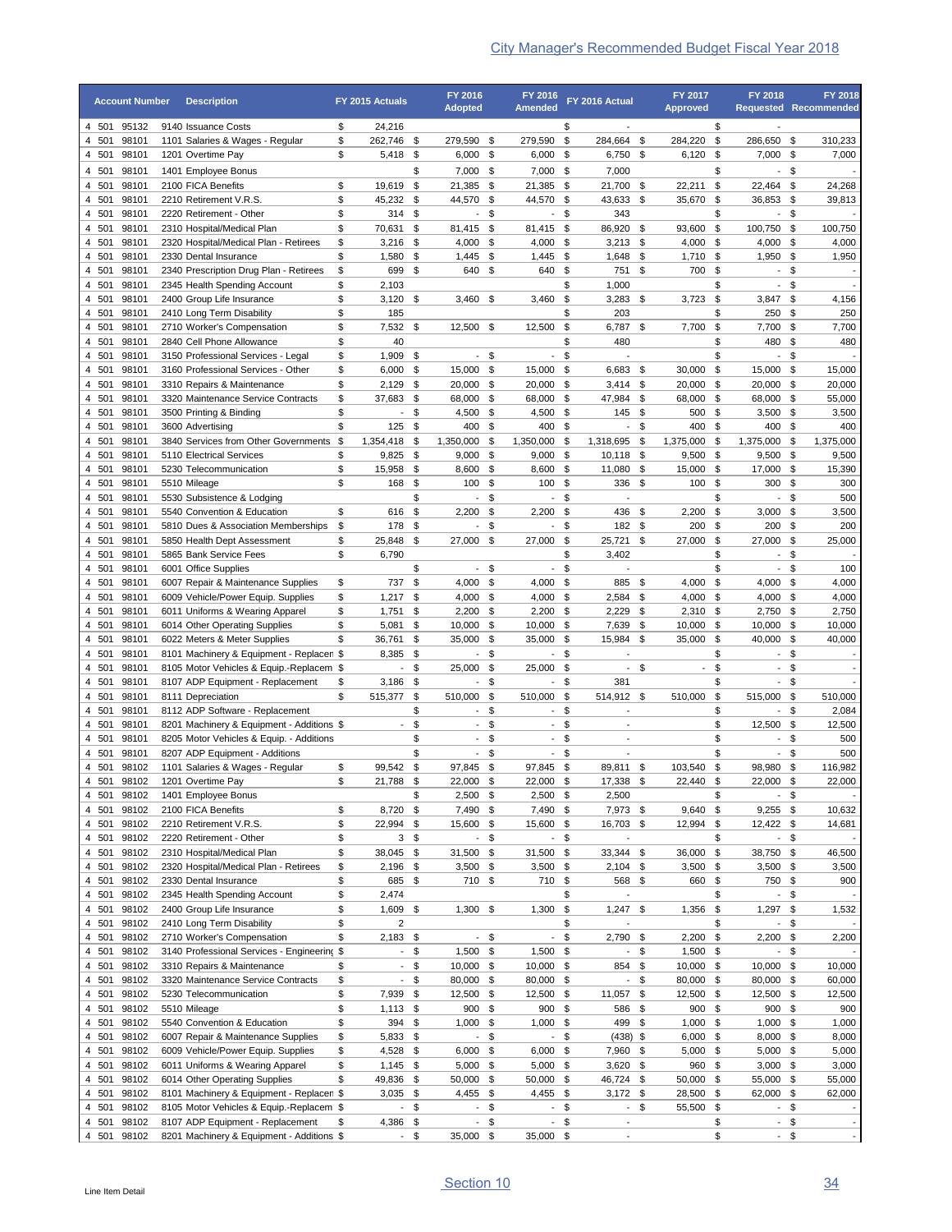|                | <b>Account Number</b> | <b>Description</b>                                                         |          | FY 2015 Actuals                 |            | FY 2016<br><b>Adopted</b>           |              | FY 2016<br><b>Amended</b>          |          | FY 2016 Actual                     |          | FY 2017<br><b>Approved</b>     | <b>FY 2018</b>                             | <b>FY 2018</b><br><b>Requested Recommended</b> |
|----------------|-----------------------|----------------------------------------------------------------------------|----------|---------------------------------|------------|-------------------------------------|--------------|------------------------------------|----------|------------------------------------|----------|--------------------------------|--------------------------------------------|------------------------------------------------|
| 4 501          | 95132                 | 9140 Issuance Costs                                                        | \$       | 24,216                          |            |                                     |              |                                    | \$       |                                    |          | \$                             | $\overline{\phantom{a}}$                   |                                                |
| 4 501          | 98101                 | 1101 Salaries & Wages - Regular                                            | \$       | 262,746 \$                      |            | 279,590 \$                          |              | 279,590 \$                         |          | 284,664 \$                         |          | 284,220<br>\$                  | 286,650 \$                                 | 310,233                                        |
| 4 501<br>4 501 | 98101<br>98101        | 1201 Overtime Pay<br>1401 Employee Bonus                                   | \$       | 5,418 \$                        | \$         | $6,000$ \$<br>$7,000$ \$            |              | $6,000$ \$<br>$7,000$ \$           |          | 6,750 \$<br>7,000                  |          | $6,120$ \$<br>\$               | 7,000<br>$\blacksquare$                    | \$<br>7,000<br>\$                              |
| 4 501          | 98101                 | 2100 FICA Benefits                                                         | \$       | 19,619                          | \$         | 21,385 \$                           |              | 21,385 \$                          |          | 21,700 \$                          |          | 22,211<br>\$                   | 22,464 \$                                  | 24,268                                         |
| 4 501          | 98101                 | 2210 Retirement V.R.S.                                                     | \$       | 45,232                          | -\$        | 44,570 \$                           |              | 44,570 \$                          |          | 43,633                             | \$       | 35,670<br>-\$                  | 36,853 \$                                  | 39,813                                         |
| 4 501<br>4 501 | 98101<br>98101        | 2220 Retirement - Other<br>2310 Hospital/Medical Plan                      | \$<br>\$ | 314S<br>70,631                  | \$         | 81,415 \$                           | - \$         | $-$ \$<br>81,415 \$                |          | 343<br>86,920 \$                   |          | \$<br>93,600<br>\$             | $-$ \$<br>100,750                          | 100,750<br>-\$                                 |
| 4 501          | 98101                 | 2320 Hospital/Medical Plan - Retirees                                      | \$       | 3,216                           | -\$        | 4,000 \$                            |              | 4,000 \$                           |          | $3,213$ \$                         |          | \$<br>4,000                    | 4,000                                      | 4,000<br>-\$                                   |
| 4 501          | 98101                 | 2330 Dental Insurance                                                      | \$       | 1,580                           | -\$        | $1,445$ \$                          |              | 1,445                              | \$       | 1,648                              | \$       | 1,710<br>- \$                  | 1,950 \$                                   | 1,950                                          |
| 4 501<br>4 501 | 98101<br>98101        | 2340 Prescription Drug Plan - Retirees<br>2345 Health Spending Account     | \$<br>\$ | 699<br>2,103                    | -\$        | 640                                 | - \$         | 640 \$                             | \$       | 751<br>1,000                       | \$       | 700<br>- \$<br>\$              | - \$<br>$\overline{\phantom{a}}$           | $\overline{\phantom{a}}$<br>\$                 |
| 4 501          | 98101                 | 2400 Group Life Insurance                                                  | \$       | $3,120$ \$                      |            | $3,460$ \$                          |              | 3,460                              | \$       | $3,283$ \$                         |          | \$<br>3,723                    | 3,847                                      | \$<br>4,156                                    |
| 4 501          | 98101                 | 2410 Long Term Disability                                                  | \$       | 185                             |            |                                     |              |                                    | \$       | 203                                |          | \$                             | 250                                        | - \$<br>250                                    |
| 4 501          | 98101                 | 2710 Worker's Compensation                                                 | \$       | 7,532                           | \$         | 12,500 \$                           |              | 12,500                             | \$       | 6,787                              | \$       | 7,700<br>\$                    | 7,700                                      | \$<br>7,700                                    |
| 4 501<br>4 501 | 98101<br>98101        | 2840 Cell Phone Allowance<br>3150 Professional Services - Legal            | \$<br>\$ | 40<br>1,909                     | -\$        |                                     | - \$         | $\sim$                             | \$<br>\$ | 480                                |          | \$<br>\$                       | 480<br>$\overline{\phantom{a}}$            | \$<br>480<br>\$                                |
| 4 501          | 98101                 | 3160 Professional Services - Other                                         | \$       | $6,000$ \$                      |            | 15,000 \$                           |              | 15,000 \$                          |          | 6,683 \$                           |          | 30,000<br>\$                   | 15,000                                     | \$<br>15,000                                   |
| 4 501          | 98101                 | 3310 Repairs & Maintenance                                                 | \$       | 2,129                           | -\$        | 20,000 \$                           |              | 20,000 \$                          |          | $3,414$ \$                         |          | \$<br>20,000                   | 20,000                                     | \$<br>20,000                                   |
| 4 501          | 98101                 | 3320 Maintenance Service Contracts                                         | \$       | 37,683                          | \$         | 68,000 \$                           |              | 68,000 \$                          |          | 47,984 \$                          |          | 68,000<br>\$                   | 68,000                                     | 55,000<br>\$                                   |
| 4 501<br>4 501 | 98101<br>98101        | 3500 Printing & Binding<br>3600 Advertising                                | \$<br>\$ | $\overline{\phantom{a}}$<br>125 | \$<br>\$   | 4,500 \$<br>400                     | -\$          | 4,500 \$<br>400 \$                 |          | 145 \$                             | $-$ \$   | \$<br>500<br>400<br>\$         | 3,500<br>400                               | \$<br>3,500<br>\$<br>400                       |
| 4 501          | 98101                 | 3840 Services from Other Governments \$                                    |          | 1,354,418                       | \$         | 1,350,000                           | \$           | 1,350,000                          | \$       | 1,318,695                          | \$       | \$<br>1,375,000                | 1,375,000                                  | 1,375,000<br>\$                                |
| 4 501          | 98101                 | 5110 Electrical Services                                                   | \$       | 9,825                           | \$         | 9,000                               | \$           | $9,000$ \$                         |          | 10,118 \$                          |          | \$<br>9,500                    | 9,500                                      | \$<br>9,500                                    |
| 4 501          | 98101<br>98101        | 5230 Telecommunication                                                     | \$       | 15,958                          | \$         | 8,600                               | \$           | 8,600 \$                           |          | 11,080 \$                          |          | \$<br>15,000                   | 17,000                                     | \$<br>15,390                                   |
| 4 501<br>4 501 | 98101                 | 5510 Mileage<br>5530 Subsistence & Lodging                                 | \$       | 168                             | \$<br>\$   | 100<br>$\overline{\phantom{a}}$     | \$<br>\$     | 100<br>$\overline{\phantom{a}}$    | \$<br>\$ | 336 \$                             |          | \$<br>100<br>\$                | 300<br>$\blacksquare$                      | \$<br>300<br>\$<br>500                         |
| 4 501          | 98101                 | 5540 Convention & Education                                                | \$       | 616                             | \$         | 2,200                               | \$           | 2,200                              | \$       | 436 \$                             |          | \$<br>2,200                    | 3,000                                      | \$<br>3,500                                    |
| 4 501          | 98101                 | 5810 Dues & Association Memberships                                        | \$       | 178                             | \$         | ÷.                                  | \$           | $\blacksquare$                     | \$       | 182                                | \$       | \$<br>200                      | 200                                        | \$<br>200                                      |
| 4 501<br>4 501 | 98101<br>98101        | 5850 Health Dept Assessment<br>5865 Bank Service Fees                      | \$<br>\$ | 25,848<br>6,790                 | \$         | 27,000 \$                           |              | 27,000 \$                          | \$       | 25,721 \$<br>3,402                 |          | 27,000 \$<br>\$                | 27,000<br>$-$ \$                           | \$<br>25,000                                   |
| 4 501          | 98101                 | 6001 Office Supplies                                                       |          |                                 | \$         | - \$                                |              | $\blacksquare$                     | \$       |                                    |          | \$                             | $\sim$                                     | \$<br>100                                      |
| 4 501          | 98101                 | 6007 Repair & Maintenance Supplies                                         | \$       | 737                             | -\$        | $4,000$ \$                          |              | $4,000$ \$                         |          | 885 \$                             |          | 4,000<br>\$                    | $4,000$ \$                                 | 4,000                                          |
| 4 501          | 98101                 | 6009 Vehicle/Power Equip. Supplies                                         | \$       | 1,217                           | - \$       | 4,000 \$                            |              | $4,000$ \$                         |          | 2,584                              | \$       | 4,000<br>-\$                   | 4,000                                      | 4,000<br>- \$                                  |
| 4 501<br>4 501 | 98101<br>98101        | 6011 Uniforms & Wearing Apparel<br>6014 Other Operating Supplies           | \$<br>\$ | 1,751<br>5,081                  | -\$<br>-\$ | $2,200$ \$<br>10,000 \$             |              | $2,200$ \$<br>10,000 \$            |          | 2,229<br>7,639                     | \$<br>\$ | 2,310 \$<br>10,000 \$          | 2,750<br>10,000                            | 2,750<br>- \$<br>10,000<br>- \$                |
| 4 501          | 98101                 | 6022 Meters & Meter Supplies                                               | \$       | 36,761                          | \$         | 35,000                              | - \$         | 35,000 \$                          |          | 15,984 \$                          |          | - \$<br>35,000                 | 40,000                                     | \$<br>40,000                                   |
| 4 501          | 98101                 | 8101 Machinery & Equipment - Replacen \$                                   |          | 8,385                           | - \$       | $\sim$                              | \$           | $\blacksquare$                     | \$       |                                    |          | \$                             | $\overline{\phantom{a}}$                   | \$                                             |
| 4 501          | 98101<br>98101        | 8105 Motor Vehicles & Equip.-Replacem \$                                   |          | $\overline{\phantom{0}}$        | \$         | 25,000                              | \$<br>\$     | 25,000 \$<br>$\blacksquare$        | \$       |                                    | - \$     | \$<br>$\overline{\phantom{a}}$ | $\blacksquare$<br>$\overline{\phantom{a}}$ | \$<br>\$                                       |
| 4 501<br>4 501 | 98101                 | 8107 ADP Equipment - Replacement<br>8111 Depreciation                      | \$<br>\$ | 3,186<br>515,377                | - \$<br>\$ | $\overline{\phantom{a}}$<br>510,000 | \$           | 510,000 \$                         |          | 381<br>514,912 \$                  |          | \$<br>510,000<br>\$            | 515,000 \$                                 | $\overline{\phantom{a}}$<br>510,000            |
| 4 501          | 98101                 | 8112 ADP Software - Replacement                                            |          |                                 | \$         | $\sim$                              | \$           | $\sim$                             | \$       | $\overline{\phantom{a}}$           |          | \$                             | $\sim$                                     | \$<br>2,084                                    |
| 4 501          | 98101                 | 8201 Machinery & Equipment - Additions \$                                  |          | $\blacksquare$                  | \$         | $\overline{\phantom{a}}$            | \$           | $\blacksquare$                     | \$       | $\overline{\phantom{a}}$           |          | \$                             | 12,500 \$                                  | 12,500                                         |
| 4 501<br>4 501 | 98101<br>98101        | 8205 Motor Vehicles & Equip. - Additions<br>8207 ADP Equipment - Additions |          |                                 | \$<br>\$   | ۰                                   | \$<br>$-$ \$ | $\overline{\phantom{a}}$<br>$-$ \$ | \$       | $\overline{\phantom{a}}$           |          | \$<br>\$                       | $\sim$<br>$-$ \$                           | \$<br>500<br>500                               |
| 4 501          | 98102                 | 1101 Salaries & Wages - Regular                                            | \$       | 99,542 \$                       |            | 97,845 \$                           |              | 97,845 \$                          |          | 89,811 \$                          |          | 103,540<br>\$                  | 98,980 \$                                  | 116,982                                        |
| 4 501          | 98102                 | 1201 Overtime Pay                                                          | \$       | 21,788 \$                       |            | 22,000 \$                           |              | 22,000 \$                          |          | 17,338 \$                          |          | 22,440 \$                      | 22,000 \$                                  | 22,000                                         |
| 4 501          | 98102                 | 1401 Employee Bonus                                                        |          |                                 | \$         | $2,500$ \$                          |              | $2,500$ \$                         |          | 2,500                              |          | \$                             | - \$                                       |                                                |
| 4 501<br>4 501 | 98102<br>98102        | 2100 FICA Benefits<br>2210 Retirement V.R.S.                               | \$<br>\$ | 8,720<br>22,994 \$              | \$         | 7,490 \$<br>15,600 \$               |              | 7,490 \$<br>15,600 \$              |          | 7,973 \$<br>16,703 \$              |          | 9,640<br>\$<br>\$<br>12,994    | $9,255$ \$<br>12,422 \$                    | 10,632<br>14,681                               |
| 4 501          | 98102                 | 2220 Retirement - Other                                                    | \$       | 3 <sup>5</sup>                  |            | - \$                                |              | $-$ \$                             |          | $\overline{\phantom{a}}$           |          | \$                             | $-$ \$                                     |                                                |
| 4 501          | 98102                 | 2310 Hospital/Medical Plan                                                 | \$       | 38,045 \$                       |            | 31,500 \$                           |              | 31,500 \$                          |          | 33,344 \$                          |          | \$<br>36,000                   | 38,750                                     | \$<br>46,500                                   |
| 4 501          | 98102                 | 2320 Hospital/Medical Plan - Retirees                                      | \$       | 2,196 \$                        |            | $3,500$ \$                          |              | $3,500$ \$                         |          | $2,104$ \$                         |          | \$<br>3,500                    | 3,500                                      | -\$<br>3,500                                   |
| 4 501<br>4 501 | 98102<br>98102        | 2330 Dental Insurance<br>2345 Health Spending Account                      | \$<br>\$ | 685 \$<br>2,474                 |            | 710 \$                              |              | 710 \$                             | \$       | 568 \$<br>$\overline{\phantom{a}}$ |          | 660<br>\$<br>\$                | 750 \$<br>- \$                             | 900                                            |
| 4 501          | 98102                 | 2400 Group Life Insurance                                                  | \$       | 1,609 \$                        |            | $1,300$ \$                          |              | $1,300$ \$                         |          | $1,247$ \$                         |          | 1,356<br>- \$                  | $1,297$ \$                                 | 1,532                                          |
| 4 501          | 98102                 | 2410 Long Term Disability                                                  | \$       | $\overline{c}$                  |            |                                     |              |                                    | \$       |                                    |          | \$                             | - \$                                       |                                                |
| 4 501<br>4 501 | 98102<br>98102        | 2710 Worker's Compensation<br>3140 Professional Services - Engineering \$  | \$       | $2,183$ \$                      | - \$       |                                     | - \$         | $\sim$<br>$1,500$ \$               | \$       | 2,790 \$                           | - \$     | $2,200$ \$                     | $2,200$ \$<br>- \$                         | 2,200                                          |
| 4 501          | 98102                 | 3310 Repairs & Maintenance                                                 | \$       |                                 | $-$ \$     | $1,500$ \$<br>10,000 \$             |              | 10,000 \$                          |          | 854 \$                             |          | $1,500$ \$<br>10,000 \$        | $10,000$ \$                                | $\overline{\phantom{a}}$<br>10,000             |
| 4 501          | 98102                 | 3320 Maintenance Service Contracts                                         | \$       |                                 | - \$       | 80,000 \$                           |              | 80,000 \$                          |          |                                    | $-$ \$   | 80,000 \$                      | 80,000 \$                                  | 60,000                                         |
| 4 501          | 98102                 | 5230 Telecommunication                                                     | \$       | 7,939 \$                        |            | 12,500 \$                           |              | 12,500 \$                          |          | 11,057 \$                          |          | 12,500 \$                      | 12,500 \$                                  | 12,500                                         |
| 4 501<br>4 501 | 98102<br>98102        | 5510 Mileage<br>5540 Convention & Education                                | \$<br>\$ | $1,113$ \$<br>394 \$            |            | 900 \$<br>$1,000$ \$                |              | 900 \$<br>$1,000$ \$               |          | 586 \$<br>499 \$                   |          | $900 \,$ \$<br>$1,000$ \$      | $900$ \$<br>$1,000$ \$                     | 900<br>1,000                                   |
| 4 501          | 98102                 | 6007 Repair & Maintenance Supplies                                         | \$       | 5,833 \$                        |            | - \$                                |              | $-$ \$                             |          | $(438)$ \$                         |          | $6,000$ \$                     | $8,000$ \$                                 | 8,000                                          |
| 4 501          | 98102                 | 6009 Vehicle/Power Equip. Supplies                                         | \$       | 4,528 \$                        |            | $6,000$ \$                          |              | $6,000$ \$                         |          | 7,960 \$                           |          | $5,000$ \$                     | $5,000$ \$                                 | 5,000                                          |
| 4 501          | 98102                 | 6011 Uniforms & Wearing Apparel                                            | \$       | $1,145$ \$                      |            | $5,000$ \$                          |              | $5,000$ \$                         |          | $3,620$ \$                         |          | 960 \$                         | $3,000$ \$                                 | 3,000                                          |
| 4 501<br>4 501 | 98102<br>98102        | 6014 Other Operating Supplies<br>8101 Machinery & Equipment - Replacen \$  | \$       | 49,836 \$<br>$3,035$ \$         |            | 50,000 \$<br>$4,455$ \$             |              | 50,000 \$<br>$4,455$ \$            |          | 46,724 \$<br>$3,172$ \$            |          | 50,000 \$<br>28,500<br>\$      | 55,000 \$<br>62,000 \$                     | 55,000<br>62,000                               |
| 4 501          | 98102                 | 8105 Motor Vehicles & Equip.-Replacem \$                                   |          |                                 | - \$       |                                     | - \$         | $-$ \$                             |          |                                    | $-$ \$   | 55,500<br>\$                   | - \$                                       | $\overline{\phantom{a}}$                       |
| 4 501          | 98102                 | 8107 ADP Equipment - Replacement                                           | \$       | 4,386 \$                        |            |                                     | $-$ \$       | $\omega_{\rm c}$                   | \$       | $\overline{\phantom{a}}$           |          | \$                             | - \$                                       | $\overline{\phantom{a}}$                       |
| 4 501          | 98102                 | 8201 Machinery & Equipment - Additions \$                                  |          |                                 | - \$       | 35,000 \$                           |              | 35,000 \$                          |          | $\blacksquare$                     |          | \$                             | $-$ \$                                     | $\overline{\phantom{a}}$                       |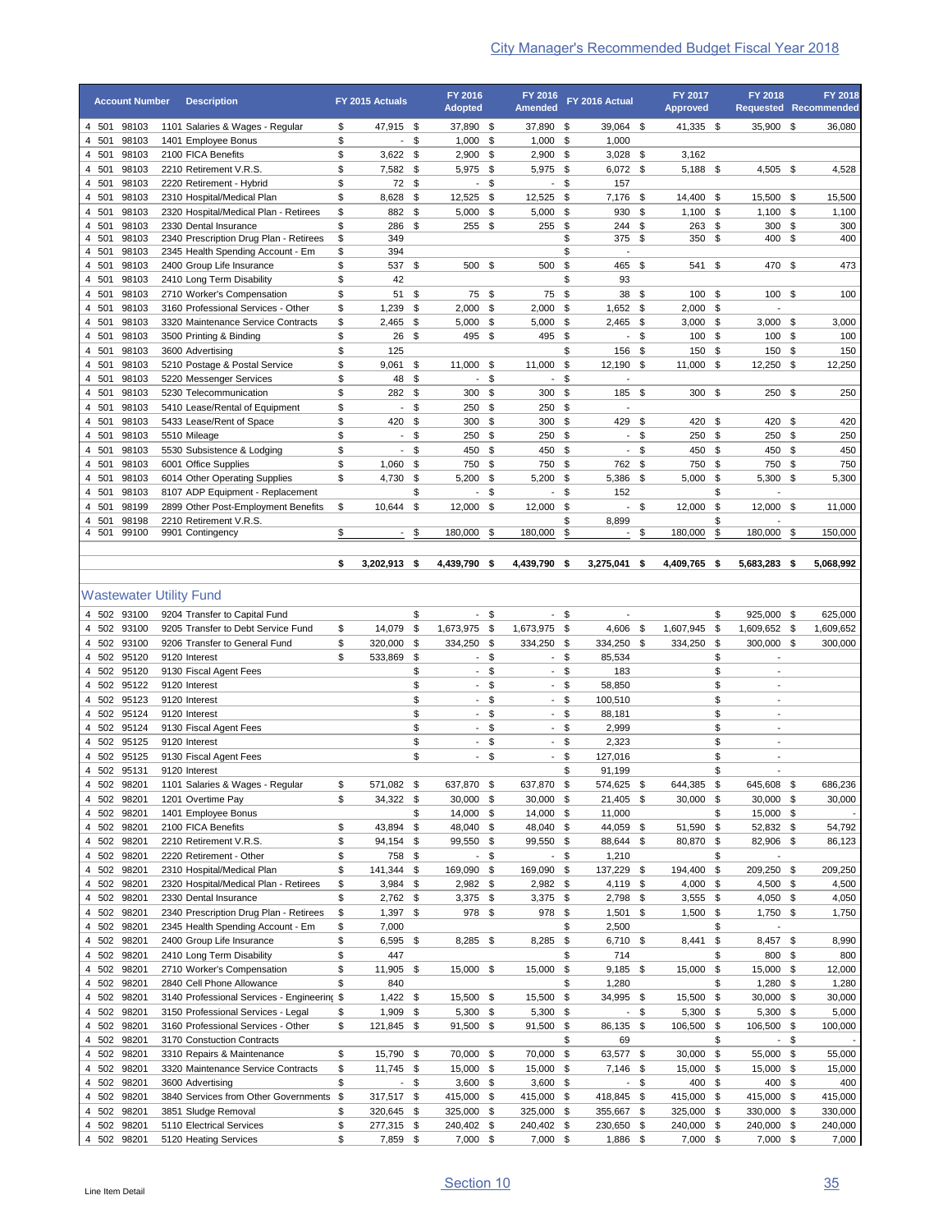|                | <b>Account Number</b>      | <b>Description</b>                                                  |          | FY 2015 Actuals          |          | FY 2016<br><b>Adopted</b>                  |          | FY 2016<br><b>Amended</b>        |          | FY 2016 Actual               |        | FY 2017<br><b>Approved</b> |          | FY 2018<br><b>Requested Recommended</b>    |          | FY 2018                                                                                                                                                                                                                                     |
|----------------|----------------------------|---------------------------------------------------------------------|----------|--------------------------|----------|--------------------------------------------|----------|----------------------------------|----------|------------------------------|--------|----------------------------|----------|--------------------------------------------|----------|---------------------------------------------------------------------------------------------------------------------------------------------------------------------------------------------------------------------------------------------|
| 4 501          | 98103                      | 1101 Salaries & Wages - Regular                                     | \$       | 47,915 \$                |          | 37,890 \$                                  |          | 37,890 \$                        |          | 39.064 \$                    |        | 41,335 \$                  |          | 35.900 \$                                  |          | 36,080                                                                                                                                                                                                                                      |
| 4 501          | 98103                      | 1401 Employee Bonus                                                 | \$       | $\overline{\phantom{a}}$ | \$       | $1,000$ \$                                 |          | $1,000$ \$                       |          | 1,000                        |        |                            |          |                                            |          |                                                                                                                                                                                                                                             |
| 4 501          | 98103                      | 2100 FICA Benefits                                                  | \$       | 3,622                    | \$       | $2,900$ \$                                 |          | $2,900$ \$                       |          | $3,028$ \$                   |        | 3,162                      |          |                                            |          |                                                                                                                                                                                                                                             |
| 4 501<br>4 501 | 98103<br>98103             | 2210 Retirement V.R.S.<br>2220 Retirement - Hybrid                  | \$<br>\$ | 7,582<br>72 \$           | \$       | 5,975 \$<br>$\sim$                         | \$       | 5,975 \$<br>$\sim$               | \$       | 6,072 \$<br>157              |        | 5,188 \$                   |          | 4,505 \$                                   |          | 4,528                                                                                                                                                                                                                                       |
| 4 501          | 98103                      | 2310 Hospital/Medical Plan                                          | \$       | 8,628                    | \$       | 12,525 \$                                  |          | 12,525 \$                        |          | 7,176                        | \$     | 14,400                     | \$       | 15,500                                     | \$       | 15,500                                                                                                                                                                                                                                      |
| 4 501          | 98103                      | 2320 Hospital/Medical Plan - Retirees                               | \$       | 882                      | \$       | $5,000$ \$                                 |          | $5,000$ \$                       |          | 930                          | \$     | $1,100$ \$                 |          | 1,100                                      | \$       | 1,100                                                                                                                                                                                                                                       |
| 4 501<br>4 501 | 98103<br>98103             | 2330 Dental Insurance<br>2340 Prescription Drug Plan - Retirees     | \$<br>\$ | 286<br>349               | \$       | 255 \$                                     |          | 255                              | \$<br>\$ | 244<br>375 \$                | \$     | 263<br>350                 | \$<br>\$ | 300<br>400                                 | \$<br>\$ | 300<br>400                                                                                                                                                                                                                                  |
| 4 501          | 98103                      | 2345 Health Spending Account - Em                                   | \$       | 394                      |          |                                            |          |                                  | \$       | $\overline{a}$               |        |                            |          |                                            |          |                                                                                                                                                                                                                                             |
| 4 501          | 98103                      | 2400 Group Life Insurance                                           | \$       | 537                      | - \$     | 500                                        | \$       | 500                              | - \$     | 465                          | - \$   | 541                        | \$       | 470 \$                                     |          | 473                                                                                                                                                                                                                                         |
| 4 501          | 98103                      | 2410 Long Term Disability                                           | \$       | 42                       |          |                                            |          |                                  | \$       | 93                           |        |                            |          |                                            |          |                                                                                                                                                                                                                                             |
| 4 501<br>4 501 | 98103<br>98103             | 2710 Worker's Compensation<br>3160 Professional Services - Other    | \$<br>\$ | 51<br>1,239              | \$<br>\$ | 75<br>2,000                                | \$<br>\$ | 75 \$<br>$2,000$ \$              |          | 38<br>1,652 \$               | - \$   | 100<br>2,000               | \$<br>\$ | 100                                        | - \$     | 100                                                                                                                                                                                                                                         |
| 4 501          | 98103                      | 3320 Maintenance Service Contracts                                  | \$       | 2,465                    | \$       | $5,000$ \$                                 |          | $5,000$ \$                       |          | 2,465                        | - \$   | 3,000                      | \$       | 3,000                                      | \$       | 3,000                                                                                                                                                                                                                                       |
| 4 501          | 98103                      | 3500 Printing & Binding                                             | \$       | 26 \$                    |          | 495 \$                                     |          | 495                              | - \$     | $\blacksquare$               | -\$    | 100                        | \$       | 100                                        | \$       | 100                                                                                                                                                                                                                                         |
| 4 501          | 98103                      | 3600 Advertising                                                    | \$       | 125                      |          |                                            |          |                                  | \$       | 156 \$                       |        | 150 \$                     |          | 150 \$                                     |          | 150                                                                                                                                                                                                                                         |
| 4 501          | 98103                      | 5210 Postage & Postal Service                                       | \$       | 9,061                    | \$       | 11,000                                     | \$       | 11,000                           | - \$     | 12,190                       | \$     | 11,000                     | \$       | 12,250                                     | - \$     | 12,250                                                                                                                                                                                                                                      |
| 4 501<br>4 501 | 98103<br>98103             | 5220 Messenger Services<br>5230 Telecommunication                   | \$<br>\$ | 48<br>282                | \$<br>\$ | $\overline{\phantom{a}}$<br>300            | \$<br>\$ | $\blacksquare$<br>$300*$         | \$       | 185                          | \$     | 300                        | \$       | 250                                        | \$       | 250                                                                                                                                                                                                                                         |
| 4 501          | 98103                      | 5410 Lease/Rental of Equipment                                      | \$       | $\blacksquare$           | \$       | 250 \$                                     |          | $250$ \$                         |          | $\qquad \qquad \blacksquare$ |        |                            |          |                                            |          |                                                                                                                                                                                                                                             |
| 4 501          | 98103                      | 5433 Lease/Rent of Space                                            | \$       | 420                      | \$       | 300                                        | \$       | 300 \$                           |          | 429                          | \$     | 420                        | \$       | 420                                        | \$       | 420                                                                                                                                                                                                                                         |
| 4 501          | 98103                      | 5510 Mileage                                                        | \$       | $\blacksquare$           | \$       | 250 \$                                     |          | $250$ \$                         |          | $\overline{\phantom{a}}$     | \$     | 250 \$                     |          | 250                                        | \$       | 250                                                                                                                                                                                                                                         |
| 4 501          | 98103                      | 5530 Subsistence & Lodging                                          | \$       | $\overline{\phantom{a}}$ | \$       | 450                                        | \$       | 450 \$                           |          | $\blacksquare$               | - \$   | 450                        | \$       | 450                                        | \$       | 450                                                                                                                                                                                                                                         |
| 4 501<br>4 501 | 98103<br>98103             | 6001 Office Supplies<br>6014 Other Operating Supplies               | \$<br>\$ | 1,060<br>4,730           | \$<br>\$ | 750<br>5,200                               | \$<br>\$ | 750 \$<br>$5,200$ \$             |          | 762 \$<br>5,386              | \$     | 750 \$<br>5,000            | \$       | 750<br>5,300                               | \$<br>\$ | 750<br>5,300                                                                                                                                                                                                                                |
| 4 501          | 98103                      | 8107 ADP Equipment - Replacement                                    |          |                          | \$       | $\overline{\phantom{a}}$                   | \$       | $\overline{\phantom{a}}$         | \$       | 152                          |        |                            | \$       |                                            |          |                                                                                                                                                                                                                                             |
| 4 501          | 98199                      | 2899 Other Post-Employment Benefits                                 | \$       | 10,644                   | \$       | 12,000                                     | \$       | 12,000 \$                        |          |                              | - \$   | 12,000                     | \$       | 12,000 \$                                  |          | 11,000                                                                                                                                                                                                                                      |
| 4 501          | 98198                      | 2210 Retirement V.R.S.                                              |          |                          |          |                                            |          |                                  | \$       | 8,899                        |        |                            | \$       |                                            |          |                                                                                                                                                                                                                                             |
| 4 501          | 99100                      | 9901 Contingency                                                    | \$       | $\blacksquare$           | \$       | 180,000                                    | \$       | 180,000                          | \$       | $\overline{\phantom{a}}$     | \$     | 180,000                    | \$       | 180,000                                    | \$       | 150,000                                                                                                                                                                                                                                     |
|                |                            |                                                                     | \$       | 3,202,913                | -\$      | 4,439,790                                  | \$       | 4,439,790                        | \$       | 3,275,041                    | \$     | 4,409,765                  | \$       | 5,683,283                                  | \$       | 5,068,992                                                                                                                                                                                                                                   |
|                |                            | <b>Wastewater Utility Fund</b>                                      |          |                          |          |                                            |          |                                  |          |                              |        |                            |          |                                            |          |                                                                                                                                                                                                                                             |
| 4 502          | 4 502 93100<br>93100       | 9204 Transfer to Capital Fund<br>9205 Transfer to Debt Service Fund | \$       | 14,079                   | \$<br>\$ | $\sim$<br>1,673,975                        | \$<br>\$ | - \$<br>1,673,975                | - \$     | $\overline{a}$<br>4,606      | \$     | 1,607,945                  | \$<br>\$ | 925,000 \$<br>1,609,652                    | \$       |                                                                                                                                                                                                                                             |
| 4 502          | 4 502 93100<br>95120       | 9206 Transfer to General Fund<br>9120 Interest                      | \$<br>\$ | 320,000<br>533,869       | \$<br>\$ | 334,250<br>$\sim$                          | \$<br>\$ | 334,250 \$<br>$\blacksquare$     | \$       | 334,250 \$<br>85,534         |        | 334,250 \$                 | \$       | 300,000 \$<br>$\overline{a}$               |          |                                                                                                                                                                                                                                             |
| 4 502          | 95120                      | 9130 Fiscal Agent Fees                                              |          |                          | \$       | $\sim$                                     | \$       | $\blacksquare$                   | \$       | 183                          |        |                            | \$       | $\overline{\phantom{a}}$                   |          |                                                                                                                                                                                                                                             |
| 4 502          | 95122                      | 9120 Interest                                                       |          |                          | \$       | $\sim$                                     | \$       | $\blacksquare$                   | \$       | 58,850                       |        |                            | \$       | $\overline{\phantom{a}}$                   |          |                                                                                                                                                                                                                                             |
| 4 502          | 95123                      | 9120 Interest                                                       |          |                          | \$       | $\sim$                                     | \$       | $\blacksquare$                   | \$       | 100,510                      |        |                            | \$       | $\overline{\phantom{a}}$<br>$\overline{a}$ |          |                                                                                                                                                                                                                                             |
| 4 502          | 95124<br>4 502 95124       | 9120 Interest<br>9130 Fiscal Agent Fees                             |          |                          | \$<br>\$ | $\overline{a}$<br>$\overline{\phantom{a}}$ | \$<br>\$ | $\blacksquare$<br>$\blacksquare$ | \$<br>\$ | 88,181<br>2,999              |        |                            | \$<br>\$ | $\overline{\phantom{a}}$                   |          |                                                                                                                                                                                                                                             |
|                | 4 502 95125                | 9120 Interest                                                       |          |                          | \$       |                                            | \$       |                                  | \$       | 2,323                        |        |                            | \$       |                                            |          |                                                                                                                                                                                                                                             |
|                | 4 502 95125                | 9130 Fiscal Agent Fees                                              |          |                          | \$       | $-$ \$                                     |          | - \$                             |          | 127,016                      |        |                            | \$       | $\overline{\phantom{a}}$                   |          |                                                                                                                                                                                                                                             |
|                | 4 502 95131                | 9120 Interest                                                       |          |                          |          |                                            |          |                                  | \$       | 91,199                       |        |                            | \$       |                                            |          |                                                                                                                                                                                                                                             |
|                | 4 502 98201                | 1101 Salaries & Wages - Regular                                     | \$       | 571,082 \$               |          | 637,870 \$                                 |          | 637,870 \$                       |          | 574,625 \$                   |        | 644,385                    | \$       | 645,608 \$                                 |          |                                                                                                                                                                                                                                             |
|                | 4 502 98201<br>4 502 98201 | 1201 Overtime Pay<br>1401 Employee Bonus                            | \$       | 34,322 \$                | \$       | 30,000 \$<br>14,000 \$                     |          | 30,000 \$<br>14,000 \$           |          | 21,405 \$<br>11,000          |        | 30,000 \$                  | \$       | $30,000$ \$<br>15,000 \$                   |          |                                                                                                                                                                                                                                             |
|                | 4 502 98201                | 2100 FICA Benefits                                                  | \$       | 43,894 \$                |          | 48,040 \$                                  |          | 48,040 \$                        |          | 44,059 \$                    |        | 51,590 \$                  |          | 52,832 \$                                  |          |                                                                                                                                                                                                                                             |
| 4 502          | 98201                      | 2210 Retirement V.R.S.                                              | \$       | 94,154 \$                |          | 99,550 \$                                  |          | 99,550 \$                        |          | 88,644 \$                    |        | 80,870 \$                  |          | 82,906 \$                                  |          |                                                                                                                                                                                                                                             |
| 4 502          | 98201<br>4 502 98201       | 2220 Retirement - Other<br>2310 Hospital/Medical Plan               | \$<br>\$ | 758 \$<br>141,344 \$     |          | - \$<br>169,090 \$                         |          | - \$<br>169,090 \$               |          | 1,210<br>137,229 \$          |        | 194,400 \$                 | \$       | $\overline{\phantom{a}}$<br>209,250 \$     |          |                                                                                                                                                                                                                                             |
| 4 502          | 98201                      | 2320 Hospital/Medical Plan - Retirees                               | \$       | 3,984 \$                 |          | 2,982 \$                                   |          | $2,982$ \$                       |          | 4,119 \$                     |        | 4,000 \$                   |          | 4,500                                      | \$       |                                                                                                                                                                                                                                             |
| 4 502          | 98201                      | 2330 Dental Insurance                                               | \$       | 2,762 \$                 |          | $3,375$ \$                                 |          | 3,375 \$                         |          | 2,798 \$                     |        | 3,555 \$                   |          | 4,050 $$$                                  |          |                                                                                                                                                                                                                                             |
|                | 4 502 98201                | 2340 Prescription Drug Plan - Retirees                              | \$       | $1,397$ \$               |          | 978 \$                                     |          | 978 \$                           |          | $1,501$ \$                   |        | $1,500$ \$                 |          | 1,750 \$                                   |          |                                                                                                                                                                                                                                             |
|                | 4 502 98201                | 2345 Health Spending Account - Em                                   | \$       | 7,000                    |          |                                            |          |                                  | \$       | 2,500                        |        |                            | \$       |                                            |          |                                                                                                                                                                                                                                             |
| 4 502<br>4 502 | 98201<br>98201             | 2400 Group Life Insurance<br>2410 Long Term Disability              | \$<br>\$ | 6,595 \$<br>447          |          | 8,285 \$                                   |          | 8,285 \$                         | \$       | 6,710 \$<br>714              |        | 8,441                      | \$<br>\$ | 8,457 \$<br>800 \$                         |          |                                                                                                                                                                                                                                             |
|                | 4 502 98201                | 2710 Worker's Compensation                                          | \$       | 11,905 \$                |          | 15,000 \$                                  |          | 15,000 \$                        |          | $9,185$ \$                   |        | 15,000 \$                  |          | 15,000 \$                                  |          |                                                                                                                                                                                                                                             |
|                | 4 502 98201                | 2840 Cell Phone Allowance                                           | \$       | 840                      |          |                                            |          |                                  | \$       | 1,280                        |        |                            | \$       | $1,280$ \$                                 |          |                                                                                                                                                                                                                                             |
|                | 4 502 98201                | 3140 Professional Services - Engineering \$                         |          | $1,422$ \$               |          | 15,500 \$                                  |          | 15,500 \$                        |          | 34,995 \$                    |        | 15,500 \$                  |          | 30,000 \$                                  |          |                                                                                                                                                                                                                                             |
|                | 4 502 98201                | 3150 Professional Services - Legal                                  | \$<br>\$ | 1,909 \$                 |          | 5,300 \$                                   |          | 5,300 \$                         |          |                              | $-$ \$ | 5,300 \$                   |          | 5,300 \$                                   |          |                                                                                                                                                                                                                                             |
| 4 502          | 4 502 98201<br>98201       | 3160 Professional Services - Other<br>3170 Constuction Contracts    |          | 121,845 \$               |          | 91,500 \$                                  |          | 91,500 \$                        | \$       | 86,135 \$<br>69              |        | 106,500 \$                 | \$       | 106,500 \$<br>- \$                         |          |                                                                                                                                                                                                                                             |
|                | 4 502 98201                | 3310 Repairs & Maintenance                                          | \$       | 15,790 \$                |          | 70,000 \$                                  |          | 70,000 \$                        |          | 63,577 \$                    |        | 30,000                     | \$       | 55,000 \$                                  |          |                                                                                                                                                                                                                                             |
|                | 4 502 98201                | 3320 Maintenance Service Contracts                                  | \$       | 11,745 \$                |          | 15,000 \$                                  |          | 15,000 \$                        |          | 7,146 \$                     |        | 15,000 \$                  |          | 15,000 \$                                  |          |                                                                                                                                                                                                                                             |
| 4 502          | 98201                      | 3600 Advertising                                                    | \$       | - \$                     |          | $3,600$ \$                                 |          | $3,600$ \$                       |          |                              | - \$   | 400 \$                     |          | 400 \$                                     |          |                                                                                                                                                                                                                                             |
|                | 4 502 98201<br>4 502 98201 | 3840 Services from Other Governments \$<br>3851 Sludge Removal      | \$       | 317,517 \$               |          | 415,000 \$                                 |          | 415,000 \$                       |          | 418,845 \$                   |        | 415,000 \$                 |          | 415,000 \$                                 |          |                                                                                                                                                                                                                                             |
|                | 4 502 98201                | 5110 Electrical Services                                            | \$       | 320,645 \$<br>277,315 \$ |          | 325,000 \$<br>240,402 \$                   |          | 325,000 \$<br>240,402 \$         |          | 355,667 \$<br>230,650 \$     |        | 325,000 \$<br>240,000 \$   |          | 330,000 \$<br>240,000 \$                   |          | 625,000<br>1,609,652<br>300,000<br>686,236<br>30,000<br>54,792<br>86,123<br>209,250<br>4,500<br>4,050<br>1,750<br>8,990<br>800<br>12,000<br>1,280<br>30,000<br>5,000<br>100,000<br>55,000<br>15,000<br>400<br>415,000<br>330,000<br>240,000 |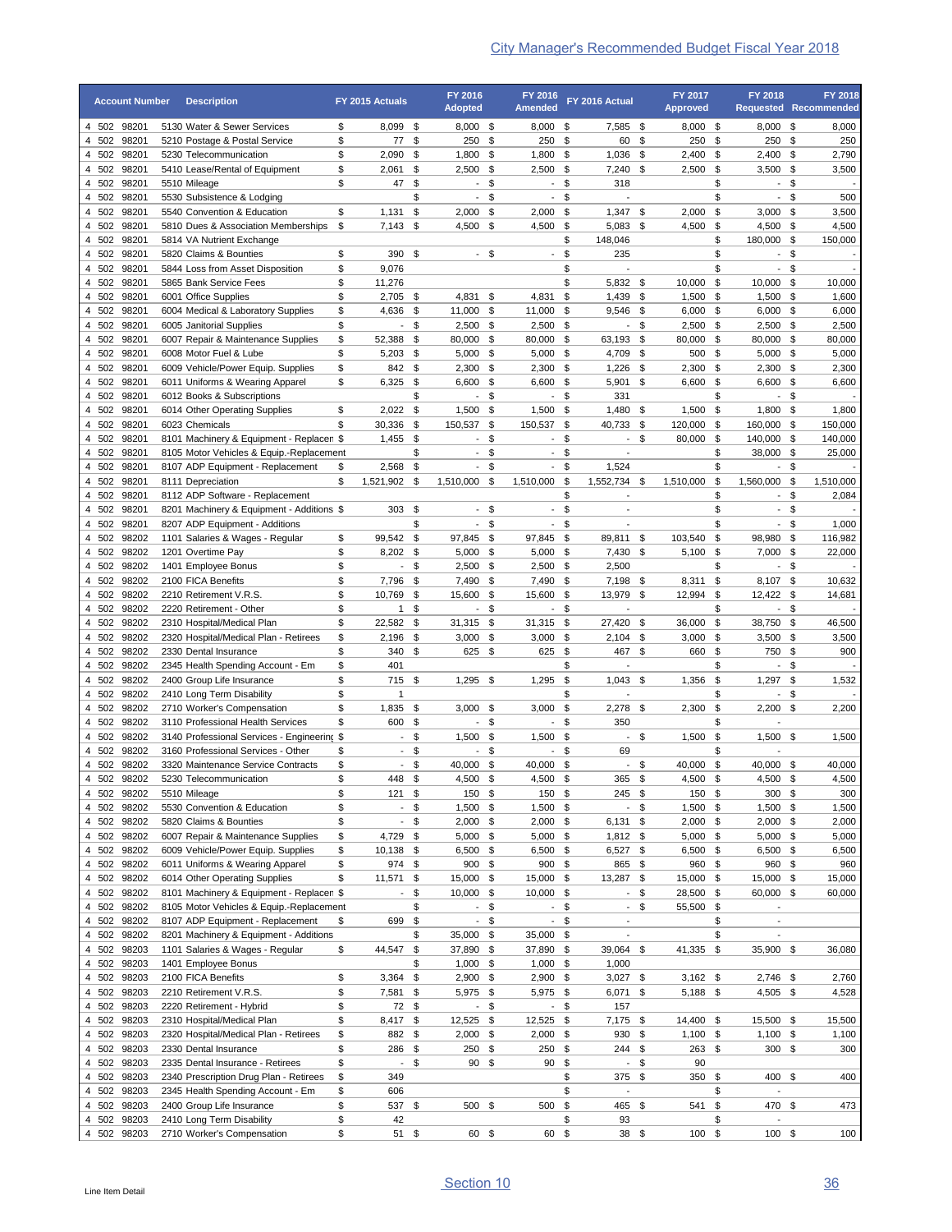|                | <b>Account Number</b>      | <b>Description</b>                                                               | FY 2015 Actuals                                  |             | FY 2016<br><b>Adopted</b>         |            | FY 2016<br><b>Amended</b>                |                               | FY 2016 Actual           |          | FY 2017<br><b>Approved</b> | <b>FY 2018</b><br><b>Requested Recommended</b>     |            | <b>FY 2018</b>           |
|----------------|----------------------------|----------------------------------------------------------------------------------|--------------------------------------------------|-------------|-----------------------------------|------------|------------------------------------------|-------------------------------|--------------------------|----------|----------------------------|----------------------------------------------------|------------|--------------------------|
| 4 502          | 98201                      | 5130 Water & Sewer Services                                                      | \$<br>8,099 \$                                   |             | $8,000$ \$                        |            | 8,000 \$                                 |                               | 7,585 \$                 |          | $8,000$ \$                 | $8,000$ \$                                         |            | 8,000                    |
| 4 502<br>4 502 | 98201<br>98201             | 5210 Postage & Postal Service<br>5230 Telecommunication                          | \$<br>77<br>\$<br>2,090                          | \$<br>\$    | 250<br>$1,800$ \$                 | \$         | 250<br>$1,800$ \$                        | \$                            | 60<br>1,036 \$           | \$       | 250<br>2,400               | \$<br>250<br>\$<br>$2,400$ \$                      | \$         | 250<br>2,790             |
| 4 502          | 98201                      | 5410 Lease/Rental of Equipment                                                   | \$<br>2,061                                      | \$          | $2,500$ \$                        |            | 2,500                                    | \$                            | 7,240                    | \$       | 2,500                      | \$<br>$3,500$ \$                                   |            | 3,500                    |
| 4 502          | 98201                      | 5510 Mileage                                                                     | \$<br>47                                         | \$          | $\overline{\phantom{a}}$          | \$         | $\overline{\phantom{a}}$                 | \$                            | 318                      |          |                            | \$<br>$\overline{\phantom{a}}$                     | \$         |                          |
| 4 502          | 98201                      | 5530 Subsistence & Lodging                                                       |                                                  | \$          | $\blacksquare$                    | \$         | $\blacksquare$                           | \$                            |                          |          |                            | \$<br>$\overline{\phantom{a}}$                     | \$         | 500                      |
| 4 502<br>4 502 | 98201<br>98201             | 5540 Convention & Education<br>5810 Dues & Association Memberships               | \$<br>1,131<br>\$<br>7,143                       | \$<br>\$    | 2,000<br>4,500                    | \$<br>\$   | 2,000<br>4,500                           | \$<br>\$                      | 1,347<br>5,083           | \$<br>\$ | 2,000<br>4,500             | \$<br>3,000<br>\$<br>4,500 \$                      | -\$        | 3,500<br>4,500           |
| 4 502          | 98201                      | 5814 VA Nutrient Exchange                                                        |                                                  |             |                                   |            |                                          | \$                            | 148,046                  |          |                            | \$<br>180,000                                      | \$         | 150,000                  |
| 4 502          | 98201                      | 5820 Claims & Bounties                                                           | \$<br>390                                        | \$          | $-$ \$                            |            | $\overline{\phantom{a}}$                 | \$                            | 235                      |          |                            | \$<br>$\overline{\phantom{a}}$                     | \$         | $\overline{\phantom{a}}$ |
| 4 502          | 98201                      | 5844 Loss from Asset Disposition                                                 | \$<br>9,076                                      |             |                                   |            |                                          | \$                            | $\overline{\phantom{a}}$ |          |                            | \$<br>$\overline{\phantom{a}}$                     | \$         | $\overline{\phantom{a}}$ |
| 4 502          | 98201                      | 5865 Bank Service Fees                                                           | \$<br>11,276                                     |             |                                   |            |                                          | \$                            | 5,832                    | \$       | 10,000                     | \$<br>10,000                                       | \$         | 10,000                   |
| 4 502<br>4 502 | 98201<br>98201             | 6001 Office Supplies<br>6004 Medical & Laboratory Supplies                       | \$<br>2,705 \$<br>\$<br>4,636                    | - \$        | 4,831<br>11,000                   | \$<br>\$   | 4,831<br>11,000                          | $\sqrt[6]{\frac{1}{2}}$<br>\$ | 1,439 \$<br>9,546 \$     |          | 1,500<br>6,000             | \$<br>1,500<br>\$<br>6,000                         | \$<br>- \$ | 1,600<br>6,000           |
| 4 502          | 98201                      | 6005 Janitorial Supplies                                                         | \$<br>$\overline{\phantom{a}}$                   | \$          | 2,500                             | \$         | $2,500$ \$                               |                               |                          | $-$ \$   | 2,500                      | 2,500<br>\$                                        | \$         | 2,500                    |
| 4 502          | 98201                      | 6007 Repair & Maintenance Supplies                                               | \$<br>52,388                                     | \$          | 80,000                            | \$         | 80,000                                   | \$                            | 63,193 \$                |          | 80,000                     | \$<br>80,000                                       | \$         | 80,000                   |
| 4 502          | 98201                      | 6008 Motor Fuel & Lube                                                           | \$<br>5,203                                      | -\$         | 5,000                             | - \$       | $5,000$ \$                               |                               | 4,709 \$                 |          | 500                        | 5,000<br>\$                                        | -\$        | 5,000                    |
| 4 502          | 98201                      | 6009 Vehicle/Power Equip. Supplies                                               | \$<br>842                                        | \$          | 2,300                             | - \$       | 2,300                                    | $\hat{\mathcal{F}}$           | 1,226                    | \$       | 2,300                      | \$<br>2,300                                        | - \$       | 2,300                    |
| 4 502<br>4 502 | 98201<br>98201             | 6011 Uniforms & Wearing Apparel<br>6012 Books & Subscriptions                    | \$<br>$6,325$ \$                                 | \$          | 6,600 \$<br>$\sim$                | \$         | 6,600 \$<br>$\blacksquare$               | \$                            | 5,901<br>331             | \$       | 6,600                      | - \$<br>6,600 \$<br>\$                             | - \$       | 6,600                    |
| 4 502          | 98201                      | 6014 Other Operating Supplies                                                    | 2,022<br>\$                                      | \$          | 1,500                             | -\$        | 1,500                                    | - \$                          | 1,480                    | \$       | 1,500                      | \$<br>1,800 \$                                     |            | 1,800                    |
| 4 502          | 98201                      | 6023 Chemicals                                                                   | \$<br>30,336                                     | \$          | 150,537                           | \$         | 150,537                                  | \$                            | 40,733                   | \$       | 120,000                    | \$<br>160,000 \$                                   |            | 150,000                  |
| 4 502          | 98201                      | 8101 Machinery & Equipment - Replacen \$                                         | 1,455                                            | \$          | $\blacksquare$                    | \$         | $\blacksquare$                           | \$                            |                          | - \$     | 80,000                     | \$<br>140,000 \$                                   |            | 140,000                  |
| 4 502          | 98201                      | 8105 Motor Vehicles & Equip.-Replacement                                         |                                                  | \$          | $\overline{\phantom{a}}$          | \$         | $\overline{\phantom{a}}$                 | \$                            |                          |          |                            | \$<br>38,000                                       | \$         | 25,000                   |
| 4 502<br>4 502 | 98201<br>98201             | 8107 ADP Equipment - Replacement<br>8111 Depreciation                            | 2,568<br>\$<br>\$<br>1,521,902                   | -\$<br>- \$ | $\blacksquare$<br>1,510,000       | \$<br>- \$ | $\overline{\phantom{a}}$<br>1,510,000 \$ | \$                            | 1,524<br>1,552,734       | \$       | 1,510,000                  | \$<br>$\overline{\phantom{a}}$<br>\$<br>1,560,000  | \$<br>-\$  | 1,510,000                |
| 4 502          | 98201                      | 8112 ADP Software - Replacement                                                  |                                                  |             |                                   |            |                                          | \$                            |                          |          |                            | \$<br>$\overline{\phantom{a}}$                     | \$         | 2,084                    |
| 4 502          | 98201                      | 8201 Machinery & Equipment - Additions \$                                        | 303                                              | - \$        | $\overline{\phantom{a}}$          | \$         | $\overline{\phantom{a}}$                 | \$                            |                          |          |                            | \$<br>$\overline{\phantom{a}}$                     | \$         |                          |
| 4 502          | 98201                      | 8207 ADP Equipment - Additions                                                   |                                                  | \$          | $\blacksquare$                    | \$         | $\overline{\phantom{a}}$                 | \$                            |                          |          |                            | \$<br>$\overline{\phantom{a}}$                     | \$         | 1,000                    |
| 4 502          | 98202                      | 1101 Salaries & Wages - Regular                                                  | 99,542<br>\$                                     | \$          | 97,845 \$                         |            | 97,845 \$                                |                               | 89,811 \$                |          | 103,540                    | \$<br>98,980 \$                                    |            | 116,982                  |
| 4 502<br>4 502 | 98202<br>98202             | 1201 Overtime Pay<br>1401 Employee Bonus                                         | \$<br>8,202 \$<br>\$<br>$\overline{\phantom{a}}$ | \$          | $5,000$ \$<br>$2,500$ \$          |            | $5,000$ \$<br>$2,500$ \$                 |                               | 7,430 \$<br>2,500        |          | 5,100                      | \$<br>$7,000$ \$<br>\$<br>$\overline{\phantom{a}}$ | -\$        | 22,000                   |
| 4 502          | 98202                      | 2100 FICA Benefits                                                               | \$<br>7,796                                      | \$          | 7,490                             | \$         | 7,490                                    | \$                            | 7,198 \$                 |          | 8,311                      | \$<br>8,107                                        | \$         | 10,632                   |
| 4 502          | 98202                      | 2210 Retirement V.R.S.                                                           | \$<br>10,769                                     | \$          | 15,600                            | \$         | 15,600                                   | \$                            | 13,979 \$                |          | 12,994                     | \$<br>12,422                                       | -\$        | 14,681                   |
| 4 502          | 98202                      | 2220 Retirement - Other                                                          | \$<br>$\mathbf{1}$                               | \$          | $\overline{\phantom{a}}$          | \$         | $\overline{\phantom{a}}$                 | \$                            | $\overline{\phantom{a}}$ |          |                            | \$<br>$\overline{\phantom{a}}$                     | \$         |                          |
| 4 502          | 98202                      | 2310 Hospital/Medical Plan                                                       | \$<br>22,582                                     | \$          | 31,315                            | \$         | 31,315 \$                                |                               | 27,420 \$                |          | 36,000                     | \$<br>38,750 \$                                    |            | 46,500                   |
| 4 502<br>4 502 | 98202<br>98202             | 2320 Hospital/Medical Plan - Retirees<br>2330 Dental Insurance                   | \$<br>2,196<br>\$<br>340                         | \$<br>\$    | 3,000<br>625                      | \$<br>-\$  | 3,000<br>625                             | $\sqrt[6]{2}$<br>\$           | 2,104<br>467 \$          | \$       | 3,000<br>660               | \$<br>3,500<br>\$<br>750                           | - \$<br>\$ | 3,500<br>900             |
| 4 502          | 98202                      | 2345 Health Spending Account - Em                                                | \$<br>401                                        |             |                                   |            |                                          | \$                            |                          |          |                            | \$<br>$\overline{\phantom{a}}$                     | \$         |                          |
| 4 502          | 98202                      | 2400 Group Life Insurance                                                        | \$<br>715                                        | - \$        | 1,295                             | \$         | 1,295                                    | $\sqrt[6]{2}$                 | $1,043$ \$               |          | 1,356                      | \$<br>1,297                                        | \$         | 1,532                    |
| 4 502          | 98202                      | 2410 Long Term Disability                                                        | \$<br>$\mathbf{1}$                               |             |                                   |            |                                          | \$                            |                          |          |                            | \$<br>$\overline{\phantom{a}}$                     | \$         |                          |
| 4 502<br>4 502 | 98202<br>98202             | 2710 Worker's Compensation                                                       | 1,835 \$<br>\$<br>\$<br>600                      | \$          | 3,000<br>$\overline{\phantom{a}}$ | -\$<br>\$  | 3,000<br>$\overline{\phantom{a}}$        | \$<br>\$                      | 2,278 \$<br>350          |          | 2,300                      | \$<br>$2,200$ \$<br>\$                             |            | 2,200                    |
| 4 502          | 98202                      | 3110 Professional Health Services<br>3140 Professional Services - Engineering \$ | $\overline{\phantom{0}}$                         | S           | 1,500                             | -\$        | $1,500$ \$                               |                               | - \$                     |          | 1,500                      | \$<br>$1,500$ \$                                   |            | 1,500                    |
| 4 502          | 98202                      | 3160 Professional Services - Other                                               | \$                                               | - \$        |                                   | - \$       |                                          | - \$                          | 69                       |          |                            | \$<br>$\overline{\phantom{a}}$                     |            |                          |
|                | 4 502 98202                | 3320 Maintenance Service Contracts                                               | \$                                               | - \$        | 40,000 \$                         |            | 40,000 \$                                |                               |                          | - \$     | 40,000                     | -\$<br>40,000 \$                                   |            | 40,000                   |
|                | 4 502 98202                | 5230 Telecommunication                                                           | \$<br>448 \$                                     |             | 4,500 \$                          |            | 4,500 \$                                 |                               | 365 \$                   |          | 4,500                      | \$<br>4,500 \$                                     |            | 4,500                    |
|                | 4 502 98202<br>4 502 98202 | 5510 Mileage<br>5530 Convention & Education                                      | \$<br>$121$ \$<br>\$<br>÷.                       | \$          | 150 \$<br>$1,500$ \$              |            | 150 \$                                   |                               | 245 \$                   | - \$     | 150 \$<br>$1,500$ \$       | $300*$<br>$1,500$ \$                               |            | 300<br>1,500             |
|                | 4 502 98202                | 5820 Claims & Bounties                                                           | \$                                               | - \$        | $2,000$ \$                        |            | $1,500$ \$<br>$2,000$ \$                 |                               | $6,131$ \$               |          | $2,000$ \$                 | $2,000$ \$                                         |            | 2,000                    |
|                | 4 502 98202                | 6007 Repair & Maintenance Supplies                                               | \$<br>4,729 \$                                   |             | $5,000$ \$                        |            | $5,000$ \$                               |                               | $1,812$ \$               |          | $5,000$ \$                 | $5,000$ \$                                         |            | 5,000                    |
|                | 4 502 98202                | 6009 Vehicle/Power Equip. Supplies                                               | \$<br>$10,138$ \$                                |             | $6,500$ \$                        |            | 6,500 \$                                 |                               | 6,527 \$                 |          | $6,500$ \$                 | $6,500$ \$                                         |            | 6,500                    |
|                | 4 502 98202                | 6011 Uniforms & Wearing Apparel                                                  | \$<br>974 \$                                     |             | 900 \$                            |            | 900 \$                                   |                               | 865 \$                   |          | 960 \$                     | 960 \$                                             |            | 960                      |
|                | 4 502 98202<br>4 502 98202 | 6014 Other Operating Supplies<br>8101 Machinery & Equipment - Replacen \$        | \$<br>11,571 \$                                  | - \$        | 15,000 \$<br>10,000 \$            |            | 15,000 \$<br>$10,000$ \$                 |                               | 13,287 \$                | $-$ \$   | 15,000 \$<br>28,500 \$     | 15,000 \$<br>60,000 \$                             |            | 15,000<br>60,000         |
|                | 4 502 98202                | 8105 Motor Vehicles & Equip.-Replacement                                         |                                                  | \$          | - \$                              |            |                                          | - \$                          |                          | $-$ \$   | 55,500 \$                  | $\overline{\phantom{a}}$                           |            |                          |
|                | 4 502 98202                | 8107 ADP Equipment - Replacement                                                 | 699<br>\$                                        | \$          | - \$                              |            |                                          | $-$ \$                        | $\overline{\phantom{a}}$ |          |                            | \$<br>$\overline{\phantom{a}}$                     |            |                          |
| 4 502          | 98202                      | 8201 Machinery & Equipment - Additions                                           |                                                  | \$          | 35,000 \$                         |            | 35,000 \$                                |                               | $\overline{\phantom{a}}$ |          |                            | \$<br>$\overline{\phantom{a}}$                     |            |                          |
| 4 502          | 98203                      | 1101 Salaries & Wages - Regular                                                  | 44,547<br>\$                                     | \$          | 37,890 \$                         |            | 37,890 \$                                |                               | 39,064 \$                |          | 41,335 \$                  | 35,900 \$                                          |            | 36,080                   |
| 4 502          | 98203                      | 1401 Employee Bonus                                                              |                                                  | \$          | $1,000$ \$                        |            | $1,000$ \$                               |                               | 1,000                    |          |                            |                                                    |            |                          |
| 4 502<br>4 502 | 98203<br>98203             | 2100 FICA Benefits<br>2210 Retirement V.R.S.                                     | \$<br>3,364<br>\$<br>7,581 \$                    | \$          | 2,900 \$<br>5,975 \$              |            | $2,900$ \$<br>5,975 \$                   |                               | $3,027$ \$<br>6,071      | \$       | $3,162$ \$<br>5,188 \$     | 2,746 \$<br>4,505 \$                               |            | 2,760<br>4,528           |
| 4 502          | 98203                      | 2220 Retirement - Hybrid                                                         | \$<br>72 \$                                      |             | $\blacksquare$                    | -\$        |                                          | - \$                          | 157                      |          |                            |                                                    |            |                          |
| 4 502          | 98203                      | 2310 Hospital/Medical Plan                                                       | \$<br>8,417 \$                                   |             | 12,525 \$                         |            | 12,525 \$                                |                               | 7,175 \$                 |          | 14,400 \$                  | 15,500 \$                                          |            | 15,500                   |
|                | 4 502 98203                | 2320 Hospital/Medical Plan - Retirees                                            | \$<br>882                                        | - \$        | $2,000$ \$                        |            | $2,000$ \$                               |                               | 930                      | \$       | $1,100$ \$                 | $1,100$ \$                                         |            | 1,100                    |
|                | 4 502 98203                | 2330 Dental Insurance                                                            | \$<br>286 \$                                     |             | 250 \$                            |            | 250 \$                                   |                               | 244 \$                   |          | 263                        | \$<br>$300*$                                       |            | 300                      |
|                | 4 502 98203<br>4 502 98203 | 2335 Dental Insurance - Retirees<br>2340 Prescription Drug Plan - Retirees       | \$<br>\$<br>349                                  | $-$ \$      | $90*$                             |            | 90 \$                                    | \$                            | 375 \$                   | - \$     | 90<br>350                  | \$<br>400 \$                                       |            | 400                      |
|                | 4 502 98203                | 2345 Health Spending Account - Em                                                | \$<br>606                                        |             |                                   |            |                                          | \$                            | $\overline{\phantom{a}}$ |          |                            | \$                                                 |            |                          |
| 4 502          | 98203                      | 2400 Group Life Insurance                                                        | \$<br>537 \$                                     |             | 500 \$                            |            | 500 \$                                   |                               | 465 \$                   |          | 541 \$                     | 470 \$                                             |            | 473                      |
| 4 502          | 98203                      | 2410 Long Term Disability                                                        | \$<br>42                                         |             |                                   |            |                                          | \$                            | 93                       |          |                            | \$<br>$\overline{\phantom{a}}$                     |            |                          |
|                | 4 502 98203                | 2710 Worker's Compensation                                                       | \$                                               | 51 \$       | 60 \$                             |            | 60 \$                                    |                               | 38 \$                    |          | 100                        | \$<br>100 \$                                       |            | 100                      |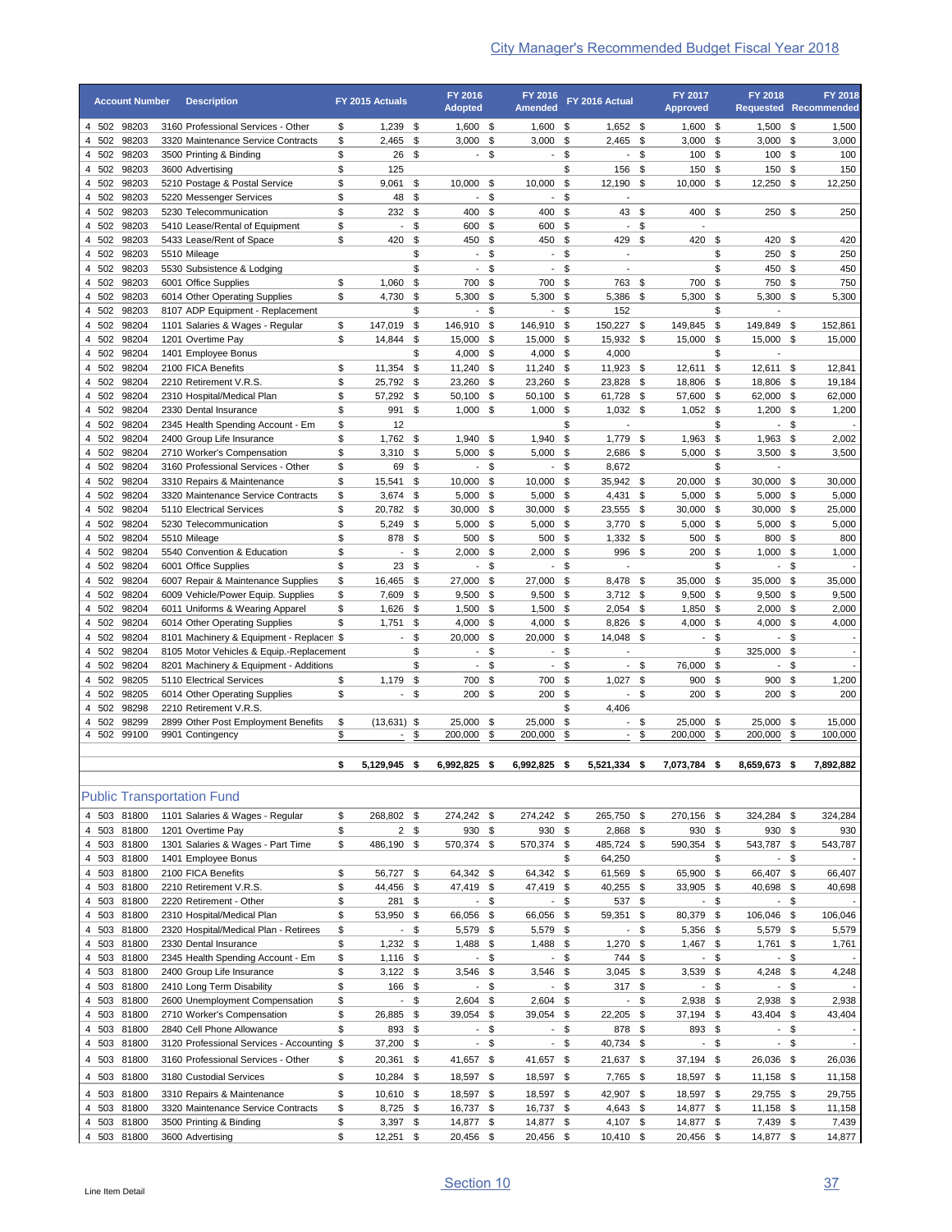|                | <b>Account Number</b>      | <b>Description</b>                                               | FY 2015 Actuals                               |                | FY 2016<br><b>Adopted</b> |           | FY 2016<br><b>Amended</b> |            | FY 2016 Actual           |          | FY 2017<br><b>Approved</b> |            | <b>FY 2018</b><br><b>Requested Recommended</b> |            | <b>FY 2018</b>                     |
|----------------|----------------------------|------------------------------------------------------------------|-----------------------------------------------|----------------|---------------------------|-----------|---------------------------|------------|--------------------------|----------|----------------------------|------------|------------------------------------------------|------------|------------------------------------|
| 4 502          | 98203                      | 3160 Professional Services - Other                               | \$<br>1,239                                   | -\$            | $1,600$ \$                |           | $1,600$ \$                |            | $1,652$ \$               |          | 1,600                      | - \$       | 1,500                                          | - \$       | 1,500                              |
| 4 502          | 98203                      | 3320 Maintenance Service Contracts                               | 2,465<br>\$                                   | \$             | $3,000$ \$                |           | 3,000                     | \$         | 2,465                    | \$       | 3,000                      | \$         | 3,000                                          | \$         | 3,000                              |
| 4 502<br>4 502 | 98203<br>98203             | 3500 Printing & Binding<br>3600 Advertising                      | \$<br>26<br>\$<br>125                         | - \$           | $\overline{\phantom{a}}$  | \$        | $\blacksquare$            | \$<br>\$   | $\sim$<br>156            | \$<br>\$ | 100<br>150                 | - \$<br>\$ | 100<br>150                                     | - \$<br>\$ | 100<br>150                         |
| 4 502          | 98203                      | 5210 Postage & Postal Service                                    | 9,061<br>\$                                   | \$             | 10,000                    | - \$      | 10,000                    | \$         | 12,190 \$                |          | 10,000                     | \$         | 12,250                                         | -\$        | 12,250                             |
| 4 502          | 98203                      | 5220 Messenger Services                                          | \$<br>48                                      | \$             | $\overline{\phantom{a}}$  | \$        | $\overline{\phantom{a}}$  | \$         | $\overline{\phantom{a}}$ |          |                            |            |                                                |            |                                    |
| 4 502<br>4 502 | 98203<br>98203             | 5230 Telecommunication<br>5410 Lease/Rental of Equipment         | \$<br>232<br>\$<br>$\overline{\phantom{a}}$   | \$<br>\$       | 400<br>600                | \$<br>\$  | 400<br>600                | \$<br>\$   | 43 \$<br>$\sim$          | \$       | 400                        | \$         | 250                                            | \$         | 250                                |
| 4 502          | 98203                      | 5433 Lease/Rent of Space                                         | \$<br>420                                     | \$             | 450                       | -\$       | 450                       | \$         | 429 \$                   |          | 420                        | \$         | 420                                            | \$         | 420                                |
| 4 502          | 98203                      | 5510 Mileage                                                     |                                               | \$             | $\overline{\phantom{a}}$  | \$        | $\sim$                    | \$         | $\overline{\phantom{a}}$ |          |                            | \$         | 250                                            | \$         | 250                                |
| 4 502          | 98203                      | 5530 Subsistence & Lodging                                       |                                               | \$             | $\overline{\phantom{a}}$  | \$        | $\overline{\phantom{a}}$  | \$         | $\overline{\phantom{a}}$ |          |                            | \$         | 450                                            | \$         | 450                                |
| 4 502<br>4 502 | 98203<br>98203             | 6001 Office Supplies<br>6014 Other Operating Supplies            | \$<br>1,060<br>\$<br>4,730                    | \$<br>\$       | 700<br>5,300              | \$<br>\$  | 700<br>5,300              | \$<br>- \$ | 763<br>5,386 \$          | \$       | 700<br>5,300               | \$<br>\$   | 750<br>5,300                                   | \$<br>-\$  | 750<br>5,300                       |
| 4 502          | 98203                      | 8107 ADP Equipment - Replacement                                 |                                               | \$             | $\overline{\phantom{a}}$  | \$        | $\overline{\phantom{a}}$  | \$         | 152                      |          |                            | \$         | L,                                             |            |                                    |
| 4 502          | 98204                      | 1101 Salaries & Wages - Regular                                  | \$<br>147,019                                 | \$             | 146,910                   | \$        | 146,910 \$                |            | 150,227                  | \$       | 149,845                    | \$         | 149,849                                        | -\$        | 152,861                            |
| 4 502<br>4 502 | 98204<br>98204             | 1201 Overtime Pay<br>1401 Employee Bonus                         | \$<br>14,844                                  | \$<br>\$       | 15,000<br>4,000           | \$<br>\$  | 15,000 \$<br>4,000 \$     |            | 15,932<br>4,000          | \$       | 15,000                     | \$<br>\$   | 15,000<br>$\overline{a}$                       | - \$       | 15,000                             |
| 4 502          | 98204                      | 2100 FICA Benefits                                               | 11,354<br>\$                                  | \$             | 11,240                    | - \$      | 11,240 \$                 |            | 11,923 \$                |          | 12,611                     | \$         | 12,611                                         | -\$        | 12,841                             |
| 4 502          | 98204                      | 2210 Retirement V.R.S.                                           | \$<br>25,792                                  | \$             | 23,260 \$                 |           | 23,260 \$                 |            | 23,828 \$                |          | 18,806                     | -\$        | 18,806                                         | - \$       | 19,184                             |
| 4 502          | 98204                      | 2310 Hospital/Medical Plan                                       | \$<br>57,292                                  | \$             | 50,100                    | - \$      | 50,100 \$                 |            | 61,728                   | \$       | 57,600                     | \$         | 62,000                                         | - \$       | 62,000                             |
| 4 502<br>4 502 | 98204<br>98204             | 2330 Dental Insurance<br>2345 Health Spending Account - Em       | \$<br>991<br>12<br>\$                         | \$             | $1,000$ \$                |           | 1,000                     | -\$<br>\$  | $1,032$ \$               |          | 1,052                      | \$<br>\$   | 1,200<br>$\overline{\phantom{a}}$              | -\$<br>\$  | 1,200                              |
| 4 502          | 98204                      | 2400 Group Life Insurance                                        | \$<br>$1,762$ \$                              |                | 1,940                     | -\$       | 1,940 \$                  |            | 1,779                    | \$       | 1,963                      | \$         | 1,963 \$                                       |            | 2,002                              |
| 4 502          | 98204                      | 2710 Worker's Compensation                                       | \$<br>3,310                                   | \$             | 5,000                     | - \$      | 5,000 \$                  |            | 2,686                    | \$       | 5,000                      | \$         | $3,500$ \$                                     |            | 3,500                              |
| 4 502          | 98204                      | 3160 Professional Services - Other                               | \$<br>69                                      | \$             | $\sim$                    | -\$       | $\overline{\phantom{a}}$  | \$         | 8,672                    |          | 20,000                     | \$         |                                                |            |                                    |
| 4 502<br>4 502 | 98204<br>98204             | 3310 Repairs & Maintenance<br>3320 Maintenance Service Contracts | \$<br>15,541<br>3,674<br>\$                   | \$<br>\$       | $10,000$ \$<br>$5,000$ \$ |           | 10,000 \$<br>$5,000$ \$   |            | 35,942 \$<br>4,431       | \$       | 5,000                      | \$<br>\$   | 30,000<br>$5,000$ \$                           | -\$        | 30,000<br>5,000                    |
| 4 502          | 98204                      | 5110 Electrical Services                                         | \$<br>20,782                                  | \$             | 30,000 \$                 |           | 30,000 \$                 |            | 23,555                   | \$       | 30,000                     | \$         | 30,000                                         | \$         | 25,000                             |
| 4 502          | 98204                      | 5230 Telecommunication                                           | \$<br>5,249                                   | \$             | $5,000$ \$                |           | $5,000$ \$                |            | 3,770 \$                 |          | 5,000                      | \$         | $5,000$ \$                                     |            | 5,000                              |
| 4 502<br>4 502 | 98204<br>98204             | 5510 Mileage<br>5540 Convention & Education                      | \$<br>878<br>\$<br>$\blacksquare$             | -\$<br>\$      | 500 \$<br>2,000           | \$        | 500 \$<br>2,000           | \$         | $1,332$ \$<br>996        | \$       | 500<br>200                 | \$<br>\$   | 800<br>1,000                                   | - \$<br>\$ | 800<br>1,000                       |
| 4 502          | 98204                      | 6001 Office Supplies                                             | \$<br>23                                      | \$             | $\overline{\phantom{a}}$  | \$        | $\overline{\phantom{a}}$  | \$         | $\overline{\phantom{a}}$ |          |                            | \$         | $\overline{\phantom{a}}$                       | \$         | $\overline{\phantom{a}}$           |
| 4 502          | 98204                      | 6007 Repair & Maintenance Supplies                               | \$<br>16,465                                  | \$             | 27,000                    | \$        | 27,000                    | \$         | 8,478 \$                 |          | 35,000                     | \$         | 35,000                                         | \$         | 35,000                             |
| 4 502          | 98204                      | 6009 Vehicle/Power Equip. Supplies                               | \$<br>7,609                                   | \$             | 9,500                     | -\$       | $9,500$ \$                |            | $3,712$ \$               |          | 9,500                      | \$         | 9,500                                          | \$         | 9,500                              |
| 4 502<br>4 502 | 98204<br>98204             | 6011 Uniforms & Wearing Apparel<br>6014 Other Operating Supplies | \$<br>1,626<br>\$<br>1,751                    | \$<br>\$       | 1,500<br>4,000            | \$<br>-\$ | 1,500<br>$4,000$ \$       | \$         | 2,054<br>8,826 \$        | \$       | 1,850<br>4,000             | \$<br>\$   | 2,000<br>4,000                                 | \$<br>\$   | 2,000<br>4,000                     |
| 4 502          | 98204                      | 8101 Machinery & Equipment - Replacen \$                         | $\overline{\phantom{a}}$                      | \$             | 20,000                    | \$        | 20,000                    | \$         | 14,048 \$                |          | $\overline{\phantom{a}}$   | \$         | $\overline{\phantom{a}}$                       | \$         | $\overline{\phantom{a}}$           |
| 4 502          | 98204                      | 8105 Motor Vehicles & Equip.-Replacement                         |                                               | \$             | $\blacksquare$            | \$        | $\blacksquare$            | \$         |                          |          |                            | \$         | 325,000                                        | \$         |                                    |
| 4 502<br>4 502 | 98204                      | 8201 Machinery & Equipment - Additions                           |                                               | \$             | $\overline{\phantom{a}}$  | \$        | $\overline{\phantom{a}}$  | \$         |                          | $-$ \$   | 76,000                     | \$         | $\overline{a}$                                 | \$         | $\overline{\phantom{a}}$           |
| 4 502          | 98205<br>98205             | 5110 Electrical Services<br>6014 Other Operating Supplies        | 1,179<br>\$<br>\$<br>$\overline{\phantom{a}}$ | \$<br>\$       | 700<br>200                | \$<br>\$  | 700 \$<br>200 \$          |            | $1,027$ \$               | $-$ \$   | 900<br>200                 | \$<br>\$   | 900<br>200                                     | \$<br>\$   | 1,200<br>200                       |
|                |                            | 2210 Retirement V.R.S.                                           |                                               |                |                           |           |                           |            |                          |          |                            |            |                                                |            |                                    |
| 4 502          | 98298                      |                                                                  |                                               |                |                           |           |                           | \$         | 4,406                    |          |                            |            |                                                |            |                                    |
| 4 502          | 98299                      | 2899 Other Post Employment Benefits                              | \$<br>$(13,631)$ \$                           |                | 25,000                    | \$        | 25,000 \$                 |            | $\sim$                   | \$       | 25,000                     | \$         | 25,000                                         | \$         | 15,000                             |
| 4 502          | 99100                      | 9901 Contingency                                                 | \$<br>$\overline{\phantom{a}}$                | \$             | 200,000                   | \$        | 200,000                   | \$         | $\overline{\phantom{a}}$ | \$       | 200,000                    | \$         | 200,000                                        | \$         | 100,000                            |
|                |                            |                                                                  | \$<br>5,129,945 \$                            |                | 6,992,825 \$              |           | 6,992,825 \$              |            | 5,521,334 \$             |          | 7,073,784 \$               |            | 8,659,673 \$                                   |            | 7,892,882                          |
|                |                            |                                                                  |                                               |                |                           |           |                           |            |                          |          |                            |            |                                                |            |                                    |
|                |                            | <b>Public Transportation Fund</b>                                |                                               |                |                           |           |                           |            |                          |          |                            |            |                                                |            |                                    |
|                | 4 503 81800<br>4 503 81800 | 1101 Salaries & Wages - Regular<br>1201 Overtime Pay             | \$<br>268,802 \$<br>\$                        | 2 <sup>5</sup> | 274,242 \$<br>930 \$      |           | 274,242 \$<br>930 \$      |            | 265,750 \$<br>2,868 \$   |          | 270,156 \$<br>930          | - \$       | 324,284 \$<br>930 \$                           |            | 324,284<br>930                     |
|                | 4 503 81800                | 1301 Salaries & Wages - Part Time                                | \$<br>486,190 \$                              |                | 570,374 \$                |           | 570,374 \$                |            | 485,724 \$               |          | 590,354 \$                 |            | 543,787 \$                                     |            | 543,787                            |
|                | 4 503 81800                | 1401 Employee Bonus                                              |                                               |                |                           |           |                           | \$         | 64,250                   |          |                            | \$         |                                                | - \$       |                                    |
|                | 4 503 81800                | 2100 FICA Benefits                                               | \$<br>56,727 \$                               |                | 64,342 \$                 |           | 64,342 \$                 |            | 61,569 \$                |          | 65,900 \$                  |            | 66,407 \$                                      |            | 66,407                             |
|                | 4 503 81800<br>4 503 81800 | 2210 Retirement V.R.S.<br>2220 Retirement - Other                | \$<br>44,456 \$<br>\$<br>281 \$               |                | 47,419 \$<br>- \$         |           | 47,419 \$<br>- \$         |            | 40,255 \$<br>537 \$      |          | 33,905 \$                  | $-$ \$     | 40,698 \$                                      | - \$       | 40,698                             |
|                | 4 503 81800                | 2310 Hospital/Medical Plan                                       | \$<br>53,950 \$                               |                | 66,056 \$                 |           | 66,056 \$                 |            | 59,351 \$                |          | 80,379 \$                  |            | 106,046 \$                                     |            | 106,046                            |
|                | 4 503 81800                | 2320 Hospital/Medical Plan - Retirees                            | \$                                            | - \$           | 5,579 \$                  |           | 5,579 \$                  |            |                          | $-$ \$   | $5,356$ \$                 |            | 5,579 \$                                       |            | 5,579                              |
|                | 4 503 81800                | 2330 Dental Insurance                                            | $1,232$ \$<br>\$                              |                | 1,488 \$                  |           | 1,488 \$                  |            | $1,270$ \$               |          | $1,467$ \$                 |            | $1,761$ \$                                     |            | 1,761                              |
|                | 4 503 81800<br>4 503 81800 | 2345 Health Spending Account - Em<br>2400 Group Life Insurance   | \$<br>$1,116$ \$<br>\$<br>$3,122$ \$          |                | - \$<br>$3,546$ \$        |           | - \$<br>$3,546$ \$        |            | 744 \$<br>$3,045$ \$     |          | $-$ \$<br>$3,539$ \$       |            | - \$<br>$4,248$ \$                             |            | 4,248                              |
|                | 4 503 81800                | 2410 Long Term Disability                                        | \$<br>166 \$                                  |                | - \$                      |           | - \$                      |            | 317S                     |          |                            | - \$       |                                                | - \$       |                                    |
|                | 4 503 81800                | 2600 Unemployment Compensation                                   | \$                                            | - \$           | $2,604$ \$                |           | $2,604$ \$                |            |                          | $-$ \$   | $2,938$ \$                 |            | 2,938 \$                                       |            | 2,938                              |
|                | 4 503 81800<br>4 503 81800 | 2710 Worker's Compensation<br>2840 Cell Phone Allowance          | \$<br>26,885 \$<br>\$<br>893 \$               |                | 39,054 \$<br>- \$         |           | 39,054 \$<br>- \$         |            | 22,205 \$<br>878 \$      |          | 37,194 \$<br>893 \$        |            | 43,404 \$                                      | - \$       | 43,404<br>$\overline{\phantom{a}}$ |
|                | 4 503 81800                | 3120 Professional Services - Accounting \$                       | 37,200 \$                                     |                | - \$                      |           | - \$                      |            | 40,734 \$                |          | $-$ \$                     |            |                                                | - \$       | $\overline{\phantom{a}}$           |
|                | 4 503 81800                | 3160 Professional Services - Other                               | \$<br>20,361 \$                               |                | 41,657 \$                 |           | 41,657 \$                 |            | 21,637 \$                |          | 37,194 \$                  |            | 26,036 \$                                      |            | 26,036                             |
|                | 4 503 81800                | 3180 Custodial Services                                          | \$<br>10,284 \$                               |                | 18,597 \$                 |           | 18,597 \$                 |            | 7,765 \$                 |          | 18,597 \$                  |            | $11,158$ \$                                    |            | 11,158                             |
|                | 4 503 81800                | 3310 Repairs & Maintenance                                       | \$<br>10,610 \$                               |                | 18,597 \$                 |           | 18,597 \$                 |            | 42,907 \$                |          | 18,597 \$                  |            | 29,755 \$                                      |            | 29,755                             |
|                | 4 503 81800                | 3320 Maintenance Service Contracts                               | \$<br>8,725 \$                                |                | 16,737 \$                 |           | 16,737 \$                 |            | 4,643 \$                 |          | 14,877 \$                  |            | 11,158 \$                                      |            | 11,158                             |
|                | 4 503 81800<br>4 503 81800 | 3500 Printing & Binding<br>3600 Advertising                      | \$<br>$3,397$ \$<br>\$<br>12,251 \$           |                | 14,877 \$<br>20,456 \$    |           | 14,877 \$<br>20,456 \$    |            | 4,107 \$<br>10,410 \$    |          | 14,877 \$<br>20,456 \$     |            | 7,439 \$<br>14,877 \$                          |            | 7,439<br>14,877                    |
|                |                            |                                                                  |                                               |                |                           |           |                           |            |                          |          |                            |            |                                                |            |                                    |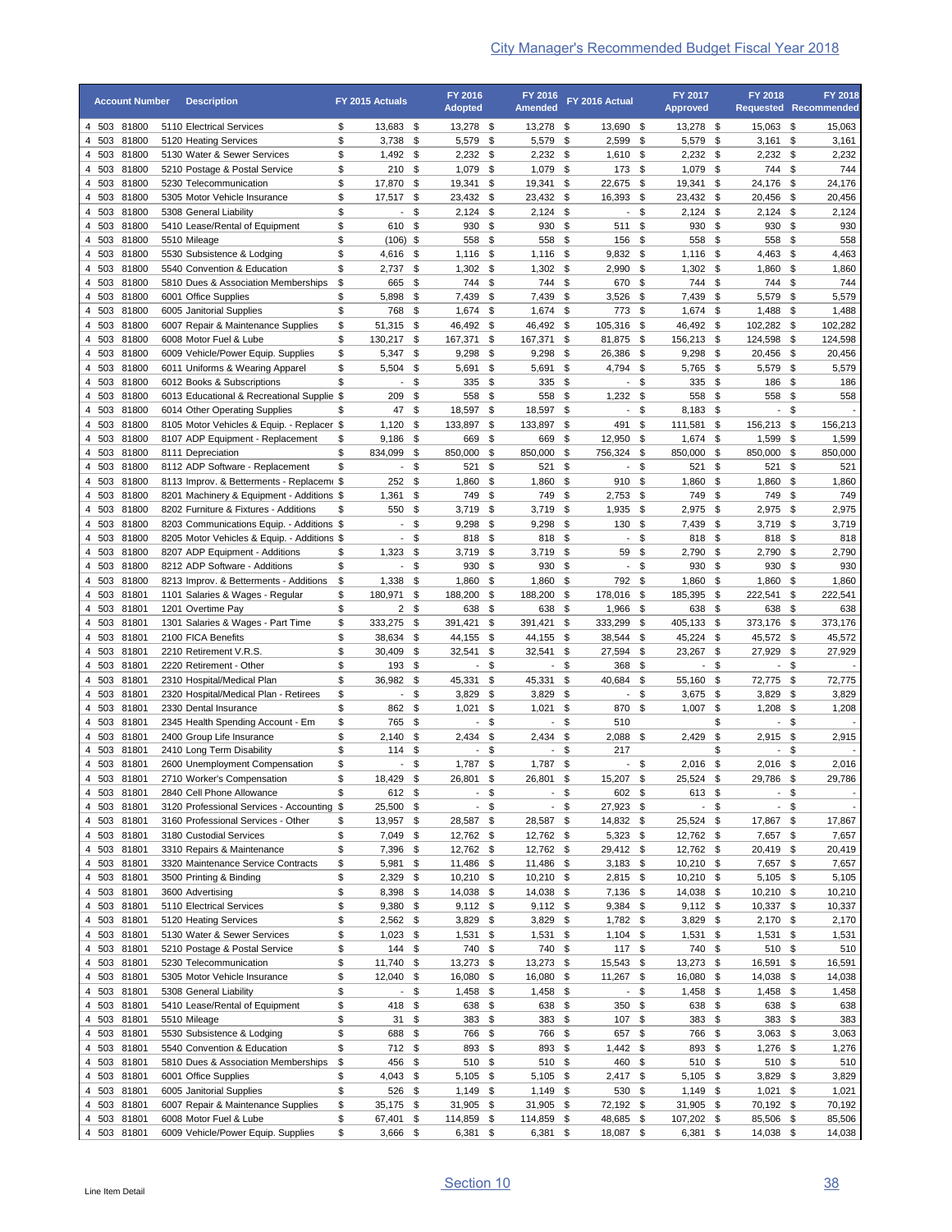|                | <b>Account Number</b>      | <b>Description</b>                                                                       | FY 2015 Actuals                               |               | FY 2016<br><b>Adopted</b>          |              | FY 2016<br><b>Amended</b>   |               | FY 2016 Actual         | FY 2017<br><b>Approved</b>                     |              | <b>FY 2018</b><br><b>Requested Recommended</b> |            | <b>FY 2018</b>                     |
|----------------|----------------------------|------------------------------------------------------------------------------------------|-----------------------------------------------|---------------|------------------------------------|--------------|-----------------------------|---------------|------------------------|------------------------------------------------|--------------|------------------------------------------------|------------|------------------------------------|
|                | 4 503 81800                | 5110 Electrical Services                                                                 | \$<br>13,683 \$                               |               | 13,278 \$                          |              | 13,278 \$                   |               | 13,690 \$              | 13,278 \$                                      |              | 15,063 \$                                      |            | 15,063                             |
| 4 503          | 81800                      | 5120 Heating Services                                                                    | \$<br>3,738                                   | \$            | 5,579                              | \$           | 5,579 \$                    |               | 2,599                  | \$<br>5,579                                    | -\$          | 3,161                                          | \$         | 3,161                              |
| 4 503<br>4 503 | 81800<br>81800             | 5130 Water & Sewer Services<br>5210 Postage & Postal Service                             | \$<br>1,492<br>$210$ \$<br>\$                 | - \$          | $2,232$ \$<br>1,079 \$             |              | $2,232$ \$<br>1,079 \$      |               | $1,610$ \$<br>173 \$   | 2,232<br>1,079                                 | -\$<br>- \$  | 2,232<br>744                                   | -\$<br>-\$ | 2,232<br>744                       |
| 4 503          | 81800                      | 5230 Telecommunication                                                                   | 17,870<br>\$                                  | - \$          | 19,341                             | -\$          | 19,341 \$                   |               | 22,675 \$              | 19,341                                         | \$           | 24,176 \$                                      |            | 24,176                             |
| 4 503          | 81800                      | 5305 Motor Vehicle Insurance                                                             | \$<br>17,517 \$                               |               | 23,432                             | \$           | 23,432 \$                   |               | 16,393 \$              | 23,432                                         | \$           | 20,456                                         | - \$       | 20,456                             |
| 4 503          | 81800                      | 5308 General Liability                                                                   | \$<br>$\blacksquare$                          | \$            | $2,124$ \$                         |              | $2,124$ \$                  |               | $-$ \$                 | 2,124                                          | \$           | 2,124                                          | \$         | 2,124                              |
| 4 503<br>4 503 | 81800<br>81800             | 5410 Lease/Rental of Equipment<br>5510 Mileage                                           | \$<br>610<br>\$<br>$(106)$ \$                 | \$            | 930<br>558                         | \$<br>-\$    | 930<br>558 \$               | \$            | 511<br>156 \$          | \$<br>930<br>558                               | \$<br>\$     | 930<br>558                                     | \$<br>\$   | 930<br>558                         |
| 4 503          | 81800                      | 5530 Subsistence & Lodging                                                               | \$<br>4,616                                   | - \$          | 1,116                              | \$           | $1,116$ \$                  |               | 9,832                  | \$<br>1,116                                    | \$           | 4,463                                          | \$         | 4,463                              |
| 4 503          | 81800                      | 5540 Convention & Education                                                              | \$<br>2,737                                   | \$            | 1,302                              | -\$          | $1,302$ \$                  |               | 2,990                  | \$<br>1,302                                    | \$           | 1,860                                          | \$         | 1,860                              |
| 4 503          | 81800                      | 5810 Dues & Association Memberships                                                      | \$<br>665                                     | \$            | 744                                | \$           | 744                         | $\sqrt[6]{2}$ | 670                    | \$<br>744                                      | \$           | 744                                            | \$         | 744                                |
| 4 503<br>4 503 | 81800<br>81800             | 6001 Office Supplies<br>6005 Janitorial Supplies                                         | \$<br>5,898<br>\$<br>768                      | \$<br>\$      | 7,439<br>1,674                     | \$<br>\$     | 7,439 \$<br>1,674           | \$            | $3,526$ \$<br>773      | 7,439<br>\$<br>1,674                           | -\$<br>\$    | 5,579<br>1,488                                 | -\$<br>\$  | 5,579<br>1,488                     |
| 4 503          | 81800                      | 6007 Repair & Maintenance Supplies                                                       | \$<br>51,315                                  | - \$          | 46,492 \$                          |              | 46,492 \$                   |               | 105,316 \$             | 46,492                                         | \$           | 102,282                                        | \$         | 102,282                            |
| 4 503          | 81800                      | 6008 Motor Fuel & Lube                                                                   | \$<br>130,217                                 | \$            | 167,371                            | \$           | 167,371                     | \$            | 81,875                 | \$<br>156,213                                  | \$           | 124,598                                        | \$         | 124,598                            |
| 4 503          | 81800                      | 6009 Vehicle/Power Equip. Supplies                                                       | \$<br>5,347                                   | \$            | 9,298                              | \$           | $9,298$ \$                  |               | 26,386 \$              | 9,298                                          | \$           | 20,456                                         | -\$        | 20,456                             |
| 4 503<br>4 503 | 81800<br>81800             | 6011 Uniforms & Wearing Apparel<br>6012 Books & Subscriptions                            | \$<br>5,504<br>\$<br>$\overline{\phantom{a}}$ | \$<br>\$      | 5,691<br>335                       | \$<br>- \$   | 5,691<br>335 \$             | \$            | 4,794 \$<br>$-$ \$     | 5,765<br>335                                   | - \$<br>- \$ | 5,579<br>186                                   | \$<br>- \$ | 5,579<br>186                       |
| 4 503          | 81800                      | 6013 Educational & Recreational Supplie \$                                               | 209                                           | \$            | 558                                | -\$          | 558 \$                      |               | 1,232                  | \$<br>558                                      | - \$         | 558                                            | \$         | 558                                |
| 4 503          | 81800                      | 6014 Other Operating Supplies                                                            | 47<br>\$                                      | -\$           | 18,597                             | -\$          | 18,597 \$                   |               | $\sim$                 | \$<br>8,183                                    | - \$         | $\overline{\phantom{a}}$                       | \$         |                                    |
| 4 503          | 81800                      | 8105 Motor Vehicles & Equip. - Replacer \$                                               | 1,120                                         | \$            | 133,897                            | -\$          | 133,897                     | \$            | 491                    | \$<br>111,581                                  | \$           | 156,213                                        | - \$       | 156,213                            |
| 4 503<br>4 503 | 81800<br>81800             | 8107 ADP Equipment - Replacement<br>8111 Depreciation                                    | \$<br>$9,186$ \$<br>\$<br>834,099             | \$            | 669<br>850,000                     | -\$<br>\$    | 669 \$<br>850,000 \$        |               | 12,950<br>756,324      | \$<br>1,674<br>\$<br>850,000                   | \$<br>\$     | 1,599<br>850,000                               | - \$<br>\$ | 1,599<br>850,000                   |
| 4 503          | 81800                      | 8112 ADP Software - Replacement                                                          | \$<br>$\blacksquare$                          | \$            | 521                                | -\$          | 521 \$                      |               | $\sim$                 | \$<br>521                                      | \$           | 521                                            | \$         | 521                                |
| 4 503          | 81800                      | 8113 Improv. & Betterments - Replaceme \$                                                | 252                                           | \$            | 1,860                              | -\$          | 1,860 \$                    |               | 910 \$                 | 1,860                                          | - \$         | 1,860                                          | -\$        | 1,860                              |
| 4 503          | 81800                      | 8201 Machinery & Equipment - Additions \$                                                | 1,361                                         | \$            | 749                                | -\$          | 749 \$                      |               | 2,753                  | \$<br>749                                      | \$           | 749                                            | \$         | 749                                |
| 4 503          | 81800                      | 8202 Furniture & Fixtures - Additions                                                    | 550<br>\$                                     | \$            | 3,719                              | - \$         | $3,719$ \$                  |               | 1,935                  | \$<br>2,975                                    | \$           | 2,975                                          | \$         | 2,975                              |
| 4 503<br>4 503 | 81800<br>81800             | 8203 Communications Equip. - Additions \$<br>8205 Motor Vehicles & Equip. - Additions \$ | $\overline{\phantom{a}}$                      | $-$ \$<br>\$  | 9,298<br>818                       | - \$<br>- \$ | $9,298$ \$<br>818 \$        |               | 130<br>$\sim$          | \$<br>7,439<br>\$<br>818                       | \$<br>- \$   | $3,719$ \$<br>818 \$                           |            | 3,719<br>818                       |
| 4 503          | 81800                      | 8207 ADP Equipment - Additions                                                           | 1,323<br>\$                                   | \$            | 3,719                              | \$           | $3,719$ \$                  |               | 59 \$                  | 2,790                                          | \$           | 2,790                                          | -\$        | 2,790                              |
| 4 503          | 81800                      | 8212 ADP Software - Additions                                                            | \$<br>$\blacksquare$                          | \$            | 930                                | \$           | 930 \$                      |               | $-$ \$                 | 930                                            | \$           | 930                                            | -\$        | 930                                |
| 4 503          | 81800                      | 8213 Improv. & Betterments - Additions                                                   | \$<br>1,338                                   | \$            | 1,860                              | \$           | 1,860                       | \$            | 792                    | \$<br>1,860                                    | \$           | 1,860                                          | \$         | 1,860                              |
| 4 503<br>4 503 | 81801<br>81801             | 1101 Salaries & Wages - Regular<br>1201 Overtime Pay                                     | \$<br>180,971<br>\$<br>2 <sup>5</sup>         | \$            | 188,200<br>638                     | \$<br>\$     | 188,200 \$<br>638 \$        |               | 178,016 \$<br>1,966    | 185,395<br>\$<br>638                           | \$<br>\$     | 222,541<br>638                                 | \$<br>\$   | 222,541<br>638                     |
| 4 503          | 81801                      | 1301 Salaries & Wages - Part Time                                                        | \$<br>333,275                                 | \$            | 391,421                            | \$           | 391,421                     | \$            | 333,299                | \$<br>405,133                                  | \$           | 373,176                                        | -\$        | 373,176                            |
| 4 503          | 81801                      | 2100 FICA Benefits                                                                       | \$<br>38,634                                  | \$            | 44,155 \$                          |              | 44,155 \$                   |               | 38,544                 | \$<br>45,224                                   | \$           | 45,572 \$                                      |            | 45,572                             |
| 4 503          | 81801                      | 2210 Retirement V.R.S.                                                                   | \$<br>30,409                                  | \$            | 32,541                             | \$           | 32,541                      | \$            | 27,594                 | \$<br>23,267                                   | -\$          | 27,929                                         | \$         | 27,929                             |
| 4 503<br>4 503 | 81801<br>81801             | 2220 Retirement - Other<br>2310 Hospital/Medical Plan                                    | \$<br>193<br>\$<br>36,982                     | \$<br>\$      | $\overline{\phantom{a}}$<br>45,331 | \$<br>\$     | $\blacksquare$<br>45,331 \$ | \$            | 368<br>40,684          | \$<br>$\overline{\phantom{a}}$<br>\$<br>55,160 | \$<br>- \$   | $\overline{\phantom{a}}$<br>72,775 \$          | \$         | 72,775                             |
| 4 503          | 81801                      | 2320 Hospital/Medical Plan - Retirees                                                    | \$<br>$\overline{\phantom{a}}$                | \$            | 3,829                              | \$           | 3,829 \$                    |               | $\sim$                 | \$<br>3,675                                    | \$           | 3,829                                          | \$         | 3,829                              |
| 4 503          | 81801                      | 2330 Dental Insurance                                                                    | \$<br>862                                     | \$            | 1,021                              | \$           | $1,021$ \$                  |               | 870 \$                 | 1,007                                          | - \$         | 1,208                                          | -\$        | 1,208                              |
| 4 503          | 81801                      | 2345 Health Spending Account - Em                                                        | \$<br>765                                     | -\$           | $\blacksquare$                     | \$           | $\overline{\phantom{a}}$    | \$            | 510                    |                                                | \$           | $\blacksquare$                                 | \$         |                                    |
| 4 503          | 81801<br>4 503 81801       | 2400 Group Life Insurance<br>2410 Long Term Disability                                   | \$<br>2,140<br>\$<br>114S                     | \$            | 2,434                              | \$<br>- \$   | $2,434$ \$                  | $-$ \$        | 2,088 \$<br>217        | 2,429                                          | \$<br>\$     | $2.915$ \$                                     | - \$       | 2,915<br>$\overline{\phantom{a}}$  |
|                | 4 503 81801                | 2600 Unemployment Compensation                                                           | \$                                            | - \$          | 1,787 \$                           |              | 1,787 \$                    |               | $-$ \$                 | 2,016                                          | - \$         | $2,016$ \$                                     |            | 2,016                              |
|                | 4 503 81801                | 2710 Worker's Compensation                                                               | \$<br>18,429 \$                               |               | 26,801 \$                          |              | 26,801 \$                   |               | 15,207 \$              | 25,524 \$                                      |              | 29,786 \$                                      |            | 29,786                             |
|                | 4 503 81801                | 2840 Cell Phone Allowance                                                                | \$<br>612 \$                                  |               | - \$                               |              |                             | - \$          | 602 \$                 | 613 \$                                         |              | - \$                                           |            |                                    |
|                | 4 503 81801<br>4 503 81801 | 3120 Professional Services - Accounting \$<br>3160 Professional Services - Other         | 25,500 \$<br>\$<br>13,957 \$                  |               | - \$<br>28,587 \$                  |              | $\sim$<br>28,587 \$         | \$            | 27,923 \$<br>14,832 \$ | 25,524 \$                                      | $-$ \$       | 17,867 \$                                      | - \$       | $\overline{\phantom{a}}$<br>17,867 |
| 4 503          | 81801                      | 3180 Custodial Services                                                                  | \$<br>7,049 \$                                |               | 12,762 \$                          |              | 12,762 \$                   |               | 5,323 \$               | 12,762 \$                                      |              | 7,657 \$                                       |            | 7,657                              |
|                | 4 503 81801                | 3310 Repairs & Maintenance                                                               | \$<br>7,396 \$                                |               | 12,762 \$                          |              | 12,762 \$                   |               | 29,412 \$              | 12,762 \$                                      |              | 20,419 \$                                      |            | 20,419                             |
|                | 4 503 81801                | 3320 Maintenance Service Contracts                                                       | \$<br>5,981 \$                                |               | 11,486 \$                          |              | 11,486 \$                   |               | $3,183$ \$             | $10,210$ \$                                    |              | 7,657 \$                                       |            | 7,657                              |
|                | 4 503 81801<br>4 503 81801 | 3500 Printing & Binding<br>3600 Advertising                                              | \$<br>2,329 \$<br>\$<br>8,398 \$              |               | 10,210 \$<br>14,038 \$             |              | $10,210$ \$                 |               | 2,815 \$<br>7,136 \$   | $10,210$ \$                                    |              | 5,105 \$<br>10,210 \$                          |            | 5,105<br>10,210                    |
|                | 4 503 81801                | 5110 Electrical Services                                                                 | \$<br>$9,380$ \$                              |               | $9,112$ \$                         |              | 14,038 \$<br>$9,112$ \$     |               | 9,384 \$               | 14,038 \$<br>$9,112$ \$                        |              | $10,337$ \$                                    |            | 10,337                             |
|                | 4 503 81801                | 5120 Heating Services                                                                    | \$<br>$2,562$ \$                              |               | 3,829 \$                           |              | 3,829 \$                    |               | 1,782 \$               | $3,829$ \$                                     |              | $2,170$ \$                                     |            | 2,170                              |
|                | 4 503 81801                | 5130 Water & Sewer Services                                                              | \$<br>$1,023$ \$                              |               | $1,531$ \$                         |              | $1,531$ \$                  |               | $1,104$ \$             | $1,531$ \$                                     |              | $1,531$ \$                                     |            | 1,531                              |
|                | 4 503 81801                | 5210 Postage & Postal Service                                                            | \$<br>144 \$                                  |               | 740 \$                             |              | 740 \$                      |               | 117S                   | 740 \$                                         |              | 510 \$                                         |            | 510                                |
|                | 4 503 81801<br>4 503 81801 | 5230 Telecommunication<br>5305 Motor Vehicle Insurance                                   | \$<br>11,740 \$<br>\$<br>12,040 \$            |               | 13,273 \$<br>16,080 \$             |              | 13,273 \$<br>16,080 \$      |               | 15,543 \$<br>11,267 \$ | 13,273 \$<br>16,080                            | \$           | 16,591 \$<br>14,038 \$                         |            | 16,591<br>14,038                   |
|                | 4 503 81801                | 5308 General Liability                                                                   | \$<br>$\blacksquare$                          | \$            | $1,458$ \$                         |              | 1,458 \$                    |               | - \$                   | $1,458$ \$                                     |              | 1,458 \$                                       |            | 1,458                              |
| 4 503          | 81801                      | 5410 Lease/Rental of Equipment                                                           | \$<br>418 \$                                  |               | 638 \$                             |              | 638 \$                      |               | 350 \$                 | 638                                            | \$           | 638 \$                                         |            | 638                                |
|                | 4 503 81801                | 5510 Mileage                                                                             | \$<br>31                                      | \$            | 383 \$                             |              | 383 \$                      |               | 107                    | \$<br>383                                      | \$           | 383 \$                                         |            | 383                                |
|                | 4 503 81801<br>4 503 81801 | 5530 Subsistence & Lodging<br>5540 Convention & Education                                | \$<br>688<br>\$<br>712 \$                     | $\frac{1}{2}$ | 766 \$<br>893 \$                   |              | 766 \$<br>893 \$            |               | 657 \$<br>$1,442$ \$   | 766<br>893 \$                                  | \$           | $3,063$ \$<br>1,276 \$                         |            | 3,063<br>1,276                     |
| 4 503          | 81801                      | 5810 Dues & Association Memberships                                                      | 456 \$<br>\$                                  |               | 510 \$                             |              | 510 \$                      |               | 460 \$                 | 510 \$                                         |              | 510 \$                                         |            | 510                                |
|                | 4 503 81801                | 6001 Office Supplies                                                                     | \$<br>$4,043$ \$                              |               | 5,105 \$                           |              | 5,105 \$                    |               | $2,417$ \$             | 5,105 \$                                       |              | $3,829$ \$                                     |            | 3,829                              |
|                | 4 503 81801                | 6005 Janitorial Supplies                                                                 | \$<br>526 \$                                  |               | $1,149$ \$                         |              | $1,149$ \$                  |               | 530 \$                 | 1,149 \$                                       |              | $1,021$ \$                                     |            | 1,021                              |
|                | 4 503 81801<br>4 503 81801 | 6007 Repair & Maintenance Supplies<br>6008 Motor Fuel & Lube                             | \$<br>35,175 \$<br>\$<br>67,401 \$            |               | 31,905 \$<br>114,859 \$            |              | 31,905 \$<br>114,859 \$     |               | 72,192 \$<br>48,685 \$ | 31,905 \$<br>107,202 \$                        |              | 70,192 \$<br>85,506 \$                         |            | 70,192<br>85,506                   |
|                |                            | 6009 Vehicle/Power Equip. Supplies                                                       | \$<br>$3,666$ \$                              |               | 6,381 \$                           |              | 6,381 \$                    |               | 18,087 \$              | 6,381 \$                                       |              | 14,038 \$                                      |            | 14,038                             |
| 4 503 81801    |                            |                                                                                          |                                               |               |                                    |              |                             |               |                        |                                                |              |                                                |            |                                    |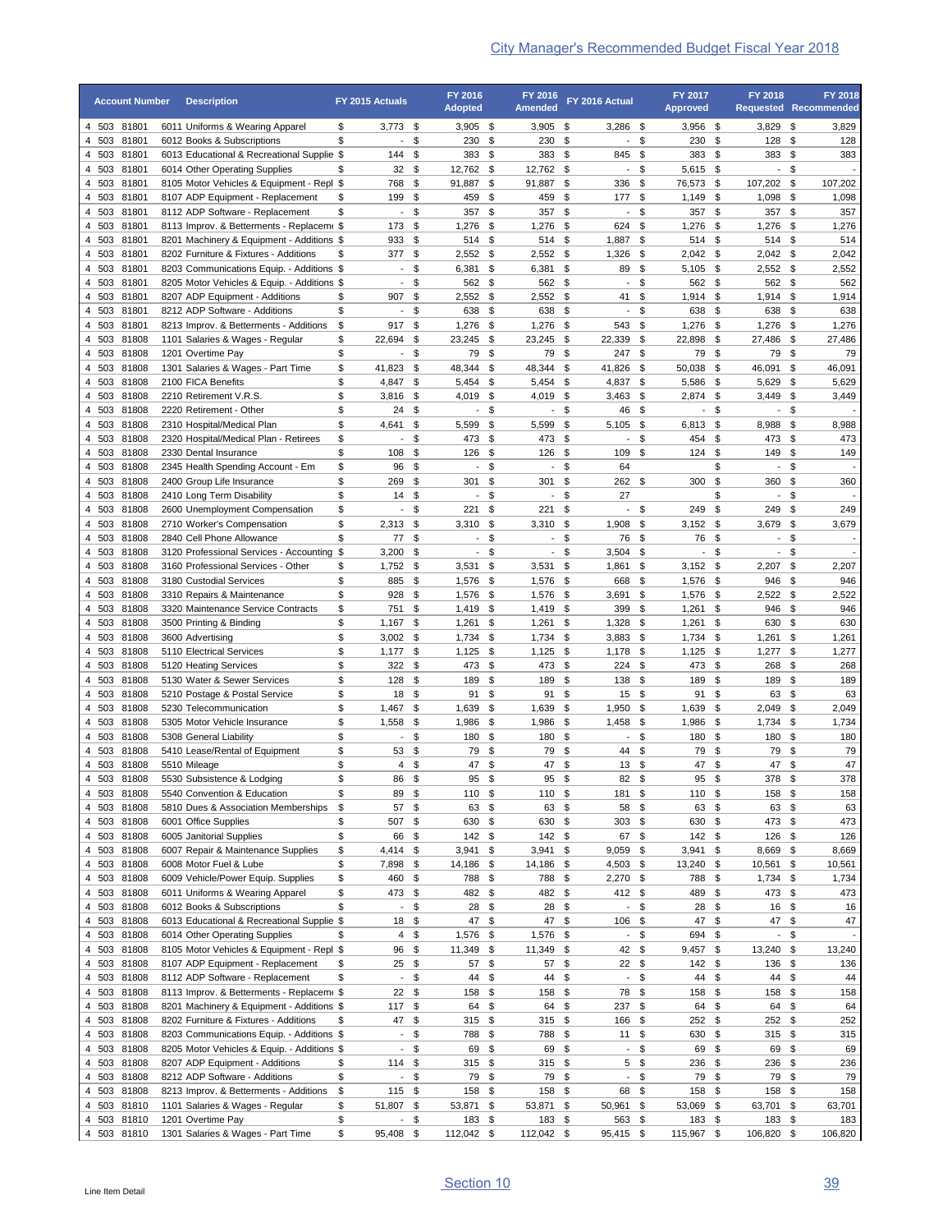|                | <b>Account Number</b>      | <b>Description</b>                                                                 | FY 2015 Actuals                                |           | FY 2016<br><b>Adopted</b>       |           | FY 2016<br><b>Amended</b> |            | FY 2016 Actual                 |              | FY 2017<br><b>Approved</b> |          | <b>FY 2018</b>                  | <b>FY 2018</b><br><b>Requested Recommended</b> |
|----------------|----------------------------|------------------------------------------------------------------------------------|------------------------------------------------|-----------|---------------------------------|-----------|---------------------------|------------|--------------------------------|--------------|----------------------------|----------|---------------------------------|------------------------------------------------|
|                | 4 503 81801                | 6011 Uniforms & Wearing Apparel                                                    | \$<br>$3,773$ \$                               |           | $3,905$ \$                      |           | 3,905                     | - \$       | $3,286$ \$                     |              | $3,956$ \$                 |          | 3,829                           | \$<br>3,829                                    |
| 4 503          | 81801<br>4 503 81801       | 6012 Books & Subscriptions<br>6013 Educational & Recreational Supplie \$           | \$<br>$\overline{\phantom{a}}$<br>144          | \$<br>\$  | 230<br>383                      | \$<br>-\$ | 230<br>383 \$             | \$         | 845 \$                         | - \$         | 230<br>383                 | \$<br>\$ | 128<br>383                      | \$<br>128<br>\$<br>383                         |
|                | 4 503 81801                | 6014 Other Operating Supplies                                                      | \$<br>32                                       | \$        | 12,762 \$                       |           | 12,762 \$                 |            |                                | - \$         | 5,615                      | - \$     | $\overline{\phantom{a}}$        | \$                                             |
|                | 4 503 81801                | 8105 Motor Vehicles & Equipment - Repl \$                                          | 768                                            | \$        | 91,887                          | \$        | 91,887                    | \$         | 336 \$                         |              | 76,573                     | -\$      | 107,202                         | \$<br>107,202                                  |
| 4 503          | 81801                      | 8107 ADP Equipment - Replacement                                                   | 199<br>\$                                      | \$        | 459                             | \$        | 459                       | \$         | 177S                           |              | 1,149                      | \$       | 1,098                           | \$<br>1,098                                    |
| 4 503<br>4 503 | 81801<br>81801             | 8112 ADP Software - Replacement<br>8113 Improv. & Betterments - Replaceme \$       | \$<br>$\blacksquare$<br>173                    | \$<br>\$  | 357<br>1,276 \$                 | \$        | 357<br>1,276              | \$<br>\$   | 624 \$                         | - \$         | 357<br>1,276               | \$<br>\$ | 357<br>1,276                    | 357<br>\$<br>1,276<br>\$                       |
| 4 503          | 81801                      | 8201 Machinery & Equipment - Additions \$                                          | 933                                            | \$        | 514                             | - \$      | 514 \$                    |            | 1,887                          | - \$         | 514                        | \$       | 514                             | \$<br>514                                      |
| 4 503          | 81801                      | 8202 Furniture & Fixtures - Additions                                              | \$<br>377                                      | \$        | 2,552                           | \$        | 2,552                     | \$         | 1,326                          | \$           | 2,042                      | \$       | 2,042                           | \$<br>2,042                                    |
| 4 503          | 81801                      | 8203 Communications Equip. - Additions \$                                          | $\overline{\phantom{a}}$                       | \$        | 6,381                           | \$        | 6,381                     | \$         | 89                             | - \$         | 5,105                      | \$       | 2,552                           | \$<br>2,552                                    |
| 4 503<br>4 503 | 81801<br>81801             | 8205 Motor Vehicles & Equip. - Additions \$<br>8207 ADP Equipment - Additions      | $\overline{\phantom{a}}$<br>907<br>\$          | \$<br>\$  | 562<br>2,552                    | \$<br>\$  | 562<br>$2,552$ \$         | \$         | 41 \$                          | $-$ \$       | 562<br>1,914               | \$<br>\$ | 562<br>1,914                    | \$<br>562<br>\$<br>1,914                       |
| 4 503          | 81801                      | 8212 ADP Software - Additions                                                      | \$<br>$\overline{\phantom{a}}$                 | \$        | 638                             | \$        | 638                       | \$         | $\blacksquare$                 | \$           | 638                        | \$       | 638                             | \$<br>638                                      |
| 4 503          | 81801                      | 8213 Improv. & Betterments - Additions                                             | 917<br>\$                                      | \$        | 1,276 \$                        |           | $1,276$ \$                |            | 543 \$                         |              | 1,276                      | \$       | 1,276                           | 1,276<br>-\$                                   |
| 4 503<br>4 503 | 81808<br>81808             | 1101 Salaries & Wages - Regular<br>1201 Overtime Pay                               | \$<br>22,694<br>\$<br>$\overline{\phantom{a}}$ | \$<br>\$  | 23,245<br>79 \$                 | \$        | 23,245<br>79              | \$         | 22,339<br>247 \$               | \$           | 22,898<br>79               | \$<br>\$ | 27,486<br>79                    | \$<br>27,486<br>79<br>\$                       |
| 4 503          | 81808                      | 1301 Salaries & Wages - Part Time                                                  | \$<br>41,823                                   | \$        | 48,344                          | \$        | 48,344                    | - \$<br>\$ | 41,826                         | \$           | 50,038                     | \$       | 46,091                          | \$<br>46,091                                   |
| 4 503          | 81808                      | 2100 FICA Benefits                                                                 | \$<br>4,847 \$                                 |           | 5,454                           | \$        | 5,454 \$                  |            | 4,837 \$                       |              | 5,586                      | -\$      | 5,629                           | 5,629<br>-\$                                   |
| 4 503          | 81808                      | 2210 Retirement V.R.S.                                                             | \$<br>3,816                                    | -\$       | 4,019                           | \$        | 4,019                     | \$         | 3,463                          | - \$         | 2,874                      | -\$      | 3,449                           | 3,449<br>\$                                    |
| 4 503          | 81808                      | 2220 Retirement - Other                                                            | \$<br>24                                       | \$        | $\sim$                          | \$        | $\blacksquare$            | \$         | 46                             | - \$         | $\overline{\phantom{a}}$   | \$       | $\overline{\phantom{a}}$        | \$                                             |
| 4 503<br>4 503 | 81808<br>81808             | 2310 Hospital/Medical Plan<br>2320 Hospital/Medical Plan - Retirees                | \$<br>4,641<br>\$<br>$\overline{\phantom{a}}$  | \$<br>\$  | 5,599<br>473                    | \$<br>\$  | 5,599<br>473 \$           | \$         | 5,105<br>$\blacksquare$        | - \$<br>- \$ | 6,813<br>454               | \$<br>\$ | 8,988<br>473                    | 8,988<br>\$<br>473<br>\$                       |
| 4 503          | 81808                      | 2330 Dental Insurance                                                              | \$<br>108                                      | \$        | 126                             | \$        | 126                       | \$         | 109                            | \$           | 124                        | \$       | 149                             | \$<br>149                                      |
| 4 503          | 81808                      | 2345 Health Spending Account - Em                                                  | \$<br>96                                       | \$        | $\overline{\phantom{a}}$        | \$        | $\blacksquare$            | \$         | 64                             |              |                            | \$       | $\overline{\phantom{a}}$        | \$                                             |
| 4 503          | 81808                      | 2400 Group Life Insurance                                                          | \$<br>269                                      | \$        | 301                             | \$        | 301                       | \$         | 262S                           |              | 300                        | \$       | 360                             | \$<br>360                                      |
| 4 503          | 81808<br>4 503 81808       | 2410 Long Term Disability<br>2600 Unemployment Compensation                        | \$<br>14<br>\$<br>$\overline{\phantom{a}}$     | \$<br>\$  | $\overline{\phantom{a}}$<br>221 | \$<br>\$  | $\blacksquare$<br>221     | \$<br>\$   | 27<br>$\overline{\phantom{a}}$ | \$           | 249                        | \$<br>\$ | $\overline{\phantom{a}}$<br>249 | \$<br>$\overline{\phantom{a}}$<br>\$<br>249    |
|                | 4 503 81808                | 2710 Worker's Compensation                                                         | \$<br>2,313                                    | \$        | 3,310                           | \$        | $3,310$ \$                |            | $1,908$ \$                     |              | 3,152                      | \$       | 3,679                           | 3,679<br>\$                                    |
|                | 4 503 81808                | 2840 Cell Phone Allowance                                                          | \$<br>77                                       | \$        | $\overline{\phantom{a}}$        | \$        | $\overline{\phantom{a}}$  | \$         | 76 \$                          |              | 76                         | -\$      | $\overline{\phantom{a}}$        | \$                                             |
| 4 503          | 81808                      | 3120 Professional Services - Accounting \$                                         | 3,200                                          | \$        | $\overline{\phantom{a}}$        | \$        | $\overline{\phantom{a}}$  | \$         | 3,504                          | \$           | $\overline{\phantom{a}}$   | \$       | $\overline{\phantom{0}}$        | \$<br>$\overline{\phantom{a}}$                 |
| 4 503          | 81808                      | 3160 Professional Services - Other                                                 | 1,752<br>\$<br>\$                              | \$        | 3,531                           | \$        | 3,531                     | -\$        | 1,861                          | - \$         | 3,152                      | \$       | 2,207                           | 2,207<br>\$                                    |
| 4 503<br>4 503 | 81808<br>81808             | 3180 Custodial Services<br>3310 Repairs & Maintenance                              | 885<br>\$<br>928                               | \$<br>\$  | 1,576 \$<br>1,576 \$            |           | 1,576 \$<br>1,576 \$      |            | 668<br>3,691                   | \$<br>\$     | 1,576<br>1,576             | \$<br>\$ | 946<br>2,522                    | \$<br>946<br>\$<br>2,522                       |
| 4 503          | 81808                      | 3320 Maintenance Service Contracts                                                 | \$<br>751                                      | \$        | 1,419                           | - \$      | 1,419                     | \$         | 399                            | \$           | 1,261                      | \$       | 946                             | \$<br>946                                      |
| 4 503          | 81808                      | 3500 Printing & Binding                                                            | \$<br>1,167                                    | \$        | 1,261                           | \$        | 1,261                     | \$         | 1,328                          | \$           | 1,261                      | \$       | 630                             | \$<br>630                                      |
| 4 503<br>4 503 | 81808<br>81808             | 3600 Advertising<br>5110 Electrical Services                                       | \$<br>3,002<br>\$                              | \$<br>\$  | 1,734<br>$1,125$ \$             | \$        | 1,734<br>$1,125$ \$       | \$         | 3,883<br>$1,178$ \$            | \$           | 1,734<br>1,125             | \$<br>\$ | 1,261                           | \$<br>1,261<br>\$<br>1,277                     |
| 4 503          | 81808                      | 5120 Heating Services                                                              | 1,177<br>\$<br>322                             | \$        | 473                             | \$        | 473                       | \$         | 224                            | \$           | 473                        | \$       | 1,277<br>268                    | \$<br>268                                      |
| 4 503          | 81808                      | 5130 Water & Sewer Services                                                        | \$<br>128                                      | \$        | 189                             | \$        | 189                       | \$         | 138 \$                         |              | 189                        | \$       | 189                             | \$<br>189                                      |
| 4 503          | 81808                      | 5210 Postage & Postal Service                                                      | \$<br>18                                       | \$        | 91                              | \$        | 91                        | \$         | $15 \quad$                     |              | 91                         | \$       | 63                              | \$<br>63                                       |
| 4 503          | 81808<br>4 503 81808       | 5230 Telecommunication                                                             | \$<br>1,467<br>\$<br>1,558                     | \$<br>\$  | 1,639<br>1,986                  | \$<br>\$  | $1,639$ \$<br>1,986       | \$         | 1,950<br>1,458                 | - \$<br>- \$ | 1,639<br>1,986             | \$<br>\$ | 2,049<br>1,734                  | 2,049<br>\$<br>\$<br>1,734                     |
| 4 503          | 81808                      | 5305 Motor Vehicle Insurance<br>5308 General Liability                             | \$<br>$\overline{\phantom{a}}$                 | \$        | 180                             | \$        | 180                       | \$         |                                | - \$         | 180                        | - \$     | 180                             | \$<br>180                                      |
|                | 4 503 81808                | 5410 Lease/Rental of Equipment                                                     | \$<br>53                                       | - \$      | 79                              | \$        | 79 \$                     |            | 44 \$                          |              | 79                         | - \$     | 79                              | \$<br>79                                       |
|                | 4 503 81808                | 5510 Mileage                                                                       | \$<br>$\overline{4}$                           | \$        | 47 \$                           |           | 47 \$                     |            | $13 \quad $$                   |              | 47 \$                      |          | 47 \$                           | 47                                             |
|                | 4 503 81808                | 5530 Subsistence & Lodging                                                         | \$<br>86                                       | - \$      | 95 \$                           |           | 95 \$                     |            | 82 \$                          |              | 95                         | - \$     | 378 \$                          | 378                                            |
|                | 4 503 81808<br>4 503 81808 | 5540 Convention & Education<br>5810 Dues & Association Memberships                 | \$<br>89<br>\$<br>57 \$                        | - \$      | 110 \$<br>63 \$                 |           | 110 \$<br>63 \$           |            | 181 \$<br>58 \$                |              | 110 \$<br>63 \$            |          | 158 \$<br>63 \$                 | 158<br>63                                      |
|                | 4 503 81808                | 6001 Office Supplies                                                               | \$<br>507 \$                                   |           | 630 \$                          |           | 630 \$                    |            | 303 <sup>5</sup>               |              | 630 \$                     |          | 473 \$                          | 473                                            |
|                | 4 503 81808                | 6005 Janitorial Supplies                                                           | \$<br>66                                       | - \$      | 142 \$                          |           | $142$ \$                  |            | 67 \$                          |              | $142 \text{ } $$           |          | 126 \$                          | 126                                            |
|                | 4 503 81808                | 6007 Repair & Maintenance Supplies                                                 | \$<br>$4,414$ \$                               |           | $3,941$ \$                      |           | $3,941$ \$                |            | $9,059$ \$                     |              | $3,941$ \$                 |          | 8,669 \$                        | 8,669                                          |
|                | 4 503 81808<br>4 503 81808 | 6008 Motor Fuel & Lube<br>6009 Vehicle/Power Equip. Supplies                       | \$<br>7,898 \$<br>\$<br>460                    | \$        | 14,186 \$<br>788 \$             |           | 14,186 \$<br>788 \$       |            | 4,503 \$<br>$2,270$ \$         |              | 13,240 \$<br>788 \$        |          | 10,561 \$<br>1,734 \$           | 10,561<br>1,734                                |
|                | 4 503 81808                | 6011 Uniforms & Wearing Apparel                                                    | \$<br>473                                      | \$        | 482 \$                          |           | 482 \$                    |            | 412 \$                         |              | 489 \$                     |          | 473 \$                          | 473                                            |
|                | 4 503 81808                | 6012 Books & Subscriptions                                                         | \$<br>$\sim$                                   | \$        | 28 \$                           |           | 28 \$                     |            |                                | - \$         | 28 \$                      |          | 16 \$                           | 16                                             |
|                | 4 503 81808                | 6013 Educational & Recreational Supplie \$                                         | 18                                             | -\$       | 47 \$                           |           | 47 \$                     |            | 106 \$                         |              | 47 \$                      |          | 47 \$                           | 47                                             |
|                | 4 503 81808<br>4 503 81808 | 6014 Other Operating Supplies<br>8105 Motor Vehicles & Equipment - Repl \$         | $4 \quad$<br>\$<br>96                          | - \$      | 1,576 \$<br>11,349 \$           |           | 1,576 \$<br>11,349 \$     |            | 42 \$                          | $-$ \$       | 694<br>9,457 \$            | \$       | 13,240 \$                       | - \$<br>$\overline{\phantom{a}}$<br>13,240     |
| 4 503          | 81808                      | 8107 ADP Equipment - Replacement                                                   | \$<br>25\$                                     |           | 57 \$                           |           | 57 \$                     |            | $22^{\circ}$                   |              | 142                        | \$       | 136                             | \$<br>136                                      |
| 4 503          | 81808                      | 8112 ADP Software - Replacement                                                    | \$<br>$\blacksquare$                           | -\$       | 44 \$                           |           | 44 \$                     |            |                                | $-$ \$       | 44                         | \$       | 44                              | \$<br>44                                       |
|                | 4 503 81808                | 8113 Improv. & Betterments - Replaceme \$                                          | 22S                                            |           | 158 \$                          |           | 158 \$                    |            | 78 \$                          |              | 158                        | \$       | 158                             | \$<br>158                                      |
|                | 4 503 81808<br>4 503 81808 | 8201 Machinery & Equipment - Additions \$<br>8202 Furniture & Fixtures - Additions | 117 \$<br>47 \$<br>\$                          |           | 64 \$<br>315 \$                 |           | 64 \$<br>315 \$           |            | 237 \$<br>166 \$               |              | 64<br>252 \$               | \$       | 64<br>252                       | \$<br>64<br>\$<br>252                          |
|                | 4 503 81808                | 8203 Communications Equip. - Additions \$                                          | $-$ \$                                         |           | 788 \$                          |           | 788 \$                    |            | $11 \tIm$                      |              | 630 \$                     |          | 315 \$                          | 315                                            |
|                | 4 503 81808                | 8205 Motor Vehicles & Equip. - Additions \$                                        | $\blacksquare$                                 | \$        | 69 \$                           |           | 69 \$                     |            |                                | $-$ \$       | 69 \$                      |          | 69                              | \$<br>69                                       |
|                | 4 503 81808                | 8207 ADP Equipment - Additions                                                     | $114 - $$<br>\$                                |           | 315 \$                          |           | $315$ \$                  |            |                                | $5\degree$   | 236 \$                     |          | 236                             | 236<br>- \$                                    |
|                | 4 503 81808                | 8212 ADP Software - Additions                                                      | \$<br>- \$                                     |           | 79 \$                           |           | 79 \$                     |            |                                | $-$ \$       | 79                         | - \$     | 79 \$                           | 79                                             |
|                | 4 503 81808<br>4 503 81810 | 8213 Improv. & Betterments - Additions<br>1101 Salaries & Wages - Regular          | \$<br>115 \$<br>\$<br>51,807 \$                |           | 158 \$<br>53,871 \$             |           | 158 \$<br>53,871 \$       |            | 68 \$<br>50,961 \$             |              | 158 \$<br>53,069 \$        |          | 158 \$<br>63,701 \$             | 158<br>63,701                                  |
|                | 4 503 81810                | 1201 Overtime Pay                                                                  | \$<br>- \$                                     |           | 183 \$                          |           | 183 \$                    |            | 563 \$                         |              | 183 \$                     |          | 183 \$                          | 183                                            |
|                |                            |                                                                                    | \$                                             | 95,408 \$ | 112,042 \$                      |           | 112,042 \$                |            | 95,415 \$                      |              | 115,967 \$                 |          |                                 | 106,820 \$<br>106,820                          |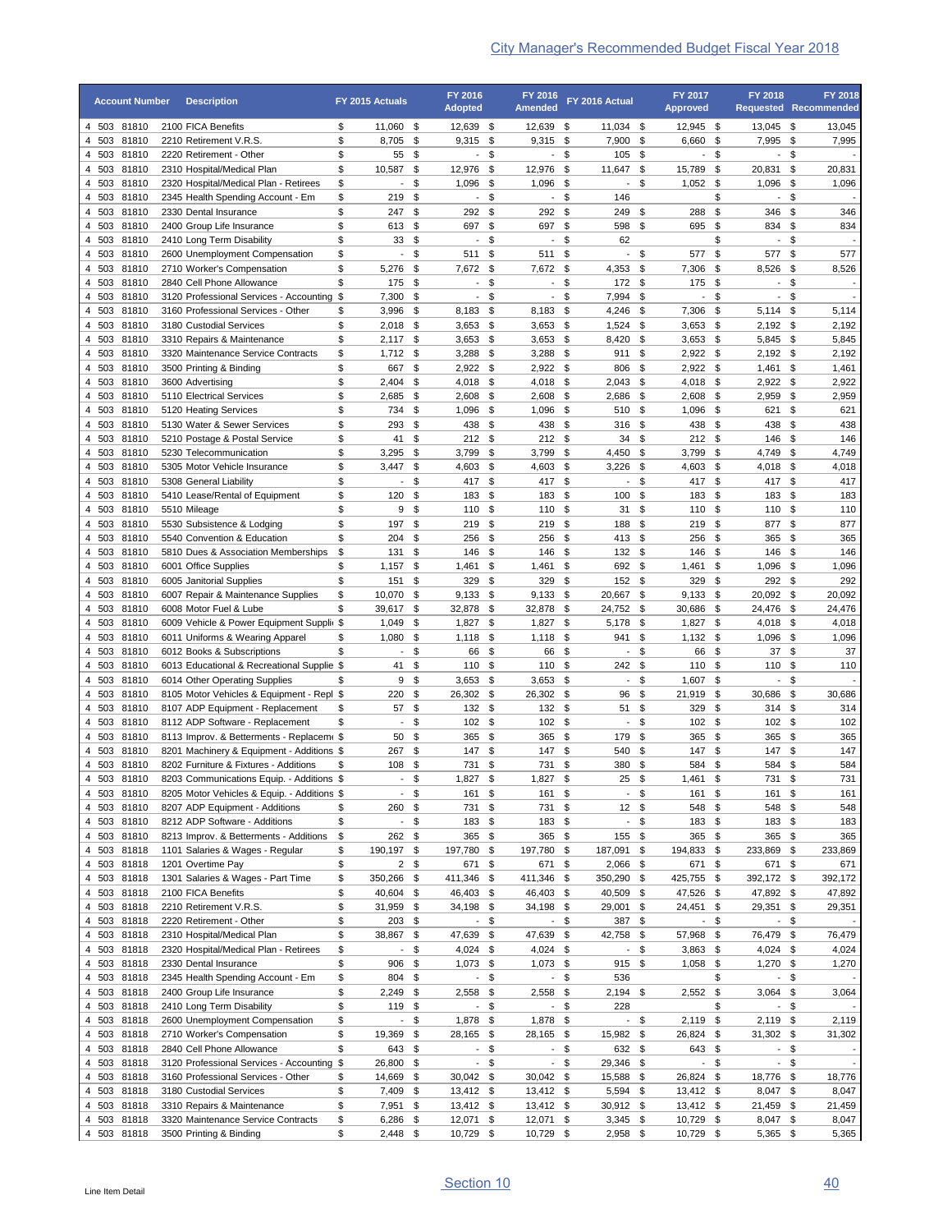|                | <b>Account Number</b>      | <b>Description</b>                                                                 | FY 2015 Actuals |                                 |            | FY 2016<br><b>Adopted</b>         |            | FY 2016<br><b>Amended</b>            |                     | FY 2016 Actual           | <b>Approved</b> | FY 2017                           |            | <b>FY 2018</b>                       | FY 2018<br><b>Requested Recommended</b>   |
|----------------|----------------------------|------------------------------------------------------------------------------------|-----------------|---------------------------------|------------|-----------------------------------|------------|--------------------------------------|---------------------|--------------------------|-----------------|-----------------------------------|------------|--------------------------------------|-------------------------------------------|
|                | 4 503 81810                | 2100 FICA Benefits                                                                 | \$              | 11,060 \$                       |            | 12,639 \$                         |            | 12,639 \$                            |                     | 11,034 \$                |                 | $12,945$ \$                       |            | 13,045 \$                            | 13,045                                    |
| 4 503<br>4 503 | 81810<br>81810             | 2210 Retirement V.R.S.<br>2220 Retirement - Other                                  | \$<br>\$        | 8,705<br>55                     | - \$       | 9,315<br>$\sim$                   | - \$<br>\$ | $9,315$ \$<br>$\blacksquare$         | \$                  | 7,900<br>105 \$          | \$              | 6,660<br>$\overline{\phantom{a}}$ | - \$<br>\$ | 7,995 \$<br>$\overline{\phantom{a}}$ | 7,995<br>\$                               |
|                | 4 503 81810                | 2310 Hospital/Medical Plan                                                         | \$              | 10,587                          | - \$<br>\$ | 12,976                            | -\$        | 12,976 \$                            |                     | 11,647                   | \$              | 15,789                            | \$         | 20,831                               | \$<br>20,831                              |
| 4 503          | 81810                      | 2320 Hospital/Medical Plan - Retirees                                              | \$              | $\overline{\phantom{a}}$        | \$         | 1,096                             | - \$       | $1,096$ \$                           |                     | $\overline{\phantom{a}}$ | \$              | 1,052                             | \$         | 1,096                                | \$<br>1,096                               |
| 4 503          | 81810                      | 2345 Health Spending Account - Em                                                  | \$              | 219                             | \$         | $\overline{\phantom{a}}$          | \$         | $\overline{\phantom{a}}$             | \$                  | 146                      |                 |                                   | \$         | $\overline{\phantom{a}}$             | \$<br>$\overline{\phantom{a}}$            |
| 4 503<br>4 503 | 81810<br>81810             | 2330 Dental Insurance<br>2400 Group Life Insurance                                 | \$<br>\$        | 247<br>613                      | \$<br>\$   | 292<br>697                        | \$<br>\$   | 292<br>697                           | \$<br>\$            | 249<br>598               | \$<br>\$        | 288<br>695                        | \$<br>\$   | 346<br>834                           | -\$<br>346<br>\$<br>834                   |
| 4 503          | 81810                      | 2410 Long Term Disability                                                          | \$              | 33                              | \$         | $\overline{\phantom{a}}$          | \$         | $\blacksquare$                       | \$                  | 62                       |                 |                                   | \$         | $\overline{\phantom{a}}$             | \$<br>$\overline{\phantom{a}}$            |
| 4 503          | 81810                      | 2600 Unemployment Compensation                                                     | \$              | $\overline{\phantom{a}}$        | \$         | 511                               | \$         | 511                                  | \$                  | $-$ \$                   |                 | 577                               | \$         | 577                                  | \$<br>577                                 |
| 4 503          | 81810                      | 2710 Worker's Compensation                                                         | \$<br>\$        | 5,276                           | - \$       | 7,672<br>$\overline{\phantom{a}}$ | \$<br>\$   | 7,672 \$<br>$\overline{\phantom{a}}$ |                     | 4,353 \$<br>172 \$       |                 | 7,306                             | \$         | 8,526<br>$\blacksquare$              | - \$<br>8,526<br>$\overline{\phantom{a}}$ |
| 4 503<br>4 503 | 81810<br>81810             | 2840 Cell Phone Allowance<br>3120 Professional Services - Accounting \$            |                 | 175<br>7,300                    | \$<br>\$   | $\overline{\phantom{a}}$          | \$         | $\overline{\phantom{a}}$             | \$<br>$\sqrt[6]{2}$ | 7,994 \$                 |                 | 175<br>$\blacksquare$             | \$<br>\$   | $\overline{\phantom{a}}$             | \$<br>\$<br>$\overline{\phantom{a}}$      |
| 4 503          | 81810                      | 3160 Professional Services - Other                                                 | \$              | 3,996                           | \$         | 8,183                             | \$         | 8,183                                | \$                  | 4,246                    | \$              | 7,306                             | \$         | 5,114                                | \$<br>5,114                               |
| 4 503          | 81810                      | 3180 Custodial Services                                                            | \$              | $2,018$ \$                      |            | 3,653                             | - \$       | $3,653$ \$                           |                     | 1,524                    | \$              | 3,653                             | -\$        | 2,192                                | 2,192<br>- \$                             |
| 4 503<br>4 503 | 81810<br>81810             | 3310 Repairs & Maintenance<br>3320 Maintenance Service Contracts                   | \$<br>\$        | 2,117<br>$1,712$ \$             | -\$        | 3,653<br>3,288                    | \$<br>- \$ | $3,653$ \$<br>3,288 \$               |                     | 8,420<br>911             | \$<br>\$        | 3,653<br>2,922                    | \$<br>- \$ | 5,845<br>2,192                       | \$<br>5,845<br>2,192<br>-\$               |
| 4 503          | 81810                      | 3500 Printing & Binding                                                            | \$              | 667                             | \$         | 2,922 \$                          |            | 2,922 \$                             |                     | 806                      | \$              | 2,922                             | - \$       | 1,461                                | \$<br>1,461                               |
| 4 503          | 81810                      | 3600 Advertising                                                                   | \$              | 2,404                           | -\$        | 4,018 \$                          |            | 4,018 \$                             |                     | 2,043                    | \$              | 4,018 \$                          |            | 2,922                                | 2,922<br>- \$                             |
| 4 503          | 81810                      | 5110 Electrical Services                                                           | \$              | 2,685                           | \$         | 2,608                             | -\$        | $2,608$ \$                           |                     | 2,686                    | \$              | 2,608                             | - \$       | 2,959                                | 2,959<br>\$                               |
| 4 503<br>4 503 | 81810<br>81810             | 5120 Heating Services<br>5130 Water & Sewer Services                               | \$<br>\$        | 734<br>293                      | \$<br>\$   | 1,096<br>438                      | -\$<br>-\$ | $1,096$ \$<br>438 \$                 |                     | 510<br>316               | \$<br>\$        | 1,096<br>438                      | -\$<br>\$  | 621<br>438                           | 621<br>\$<br>\$<br>438                    |
| 4 503          | 81810                      | 5210 Postage & Postal Service                                                      | \$              | 41                              | \$         | 212                               | -\$        | 212S                                 |                     | 34                       | \$              | 212                               | -\$        | 146                                  | 146<br>-\$                                |
| 4 503          | 81810                      | 5230 Telecommunication                                                             | \$              | 3,295                           | \$         | 3,799                             | -\$        | 3,799 \$                             |                     | 4,450                    | \$              | 3,799                             | \$         | 4,749                                | \$<br>4,749                               |
| 4 503          | 81810                      | 5305 Motor Vehicle Insurance                                                       | \$              | 3,447                           | -\$        | 4,603                             | - \$       | 4,603 \$                             |                     | 3,226                    | \$              | 4,603                             | - \$       | $4,018$ \$                           | 4,018                                     |
| 4 503<br>4 503 | 81810<br>81810             | 5308 General Liability<br>5410 Lease/Rental of Equipment                           | \$<br>\$        | $\overline{\phantom{a}}$<br>120 | \$<br>\$   | 417<br>183                        | \$<br>\$   | 417 \$<br>183                        | \$                  | $\sim$<br>100            | \$<br>\$        | 417<br>183                        | \$<br>\$   | 417<br>183                           | 417<br>-\$<br>\$<br>183                   |
| 4 503          | 81810                      | 5510 Mileage                                                                       | \$              | 9                               | \$         | 110                               | - \$       | 110 \$                               |                     | 31                       | \$              | 110                               | \$         | 110                                  | - \$<br>110                               |
| 4 503          | 81810                      | 5530 Subsistence & Lodging                                                         | \$              | 197                             | \$         | 219                               | -\$        | 219 \$                               |                     | 188                      | \$              | 219                               | \$         | 877                                  | \$<br>877                                 |
| 4 503<br>4 503 | 81810<br>81810             | 5540 Convention & Education                                                        | \$              | 204                             | \$         | 256<br>146                        | -\$<br>\$  | 256 \$                               |                     | 413 \$<br>132            | \$              | 256<br>146                        | \$<br>\$   | 365                                  | \$<br>365<br>\$<br>146                    |
| 4 503          | 81810                      | 5810 Dues & Association Memberships<br>6001 Office Supplies                        | \$<br>\$        | 131<br>1,157                    | \$<br>\$   | 1,461                             | \$         | 146 \$<br>1,461                      | \$                  | 692 \$                   |                 | 1,461                             | \$         | 146<br>1,096                         | 1,096<br>-\$                              |
| 4 503          | 81810                      | 6005 Janitorial Supplies                                                           | \$              | 151                             | \$         | 329                               | \$         | 329                                  | \$                  | 152 \$                   |                 | 329                               | \$         | 292                                  | \$<br>292                                 |
| 4 503          | 81810                      | 6007 Repair & Maintenance Supplies                                                 | \$              | 10,070                          | -\$        | 9,133                             | - \$       | $9,133$ \$                           |                     | 20,667                   | \$              | 9,133                             | \$         | 20,092                               | 20,092<br>- \$                            |
| 4 503<br>4 503 | 81810<br>81810             | 6008 Motor Fuel & Lube<br>6009 Vehicle & Power Equipment Supplie \$                | \$              | 39,617<br>1,049                 | \$<br>\$   | 32,878<br>1,827                   | \$<br>\$   | 32,878<br>$1,827$ \$                 | \$                  | 24,752<br>5,178          | \$<br>\$        | 30,686<br>1,827                   | \$<br>\$   | 24,476 \$<br>$4,018$ \$              | 24,476<br>4,018                           |
| 4 503          | 81810                      | 6011 Uniforms & Wearing Apparel                                                    | \$              | 1,080                           | \$         | 1,118                             | \$         | 1,118                                | \$                  | 941                      | \$              | 1,132                             | \$         | 1,096                                | -\$<br>1,096                              |
| 4 503          | 81810                      | 6012 Books & Subscriptions                                                         | \$              | $\blacksquare$                  | \$         | 66                                | \$         | 66 \$                                |                     | - \$                     |                 | 66                                | \$         | 37                                   | \$<br>37                                  |
| 4 503          | 81810                      | 6013 Educational & Recreational Supplie \$                                         |                 | 41                              | \$         | 110                               | \$         | 110                                  | \$                  | 242 \$                   |                 | 110                               | \$         | 110                                  | \$<br>110                                 |
| 4 503<br>4 503 | 81810<br>81810             | 6014 Other Operating Supplies<br>8105 Motor Vehicles & Equipment - Repl \$         | \$              | 9<br>220                        | \$<br>\$   | 3,653<br>26,302                   | \$<br>-\$  | $3,653$ \$<br>26,302                 | \$                  | $\sim$<br>96             | \$<br>\$        | 1,607<br>21,919                   | \$<br>\$   | $\overline{\phantom{a}}$<br>30,686   | \$<br>\$<br>30,686                        |
| 4 503          | 81810                      | 8107 ADP Equipment - Replacement                                                   | \$              | 57                              | \$         | $132$ \$                          |            | 132 \$                               |                     | 51                       | \$              | 329                               | \$         | 314                                  | -\$<br>314                                |
| 4 503          | 81810                      | 8112 ADP Software - Replacement                                                    | \$              | $\blacksquare$                  | \$         | 102                               | - \$       | 102                                  | \$                  | $-$ \$                   |                 | 102                               | \$         | 102                                  | \$<br>102                                 |
| 4 503          | 81810                      | 8113 Improv. & Betterments - Replaceme \$                                          |                 | 50                              | \$         | 365                               | \$         | 365 \$                               |                     | 179 \$                   |                 | 365                               | - \$       | 365                                  | - \$<br>365                               |
|                | 4 503 81810<br>4 503 81810 | 8201 Machinery & Equipment - Additions \$<br>8202 Furniture & Fixtures - Additions | \$              | 267<br>108 \$                   | - \$       | $147$ \$<br>731 \$                |            | 147 \$<br>731 \$                     |                     | 540<br>380 \$            | \$              | 147 \$<br>584 \$                  |            | 147<br>584                           | 147<br>-\$<br>584<br>-\$                  |
|                | 4 503 81810                | 8203 Communications Equip. - Additions \$                                          |                 | - \$                            |            | 1,827 \$                          |            | $1,827$ \$                           |                     | $25$ \$                  |                 | $1,461$ \$                        |            | 731 \$                               | 731                                       |
|                | 4 503 81810                | 8205 Motor Vehicles & Equip. - Additions \$                                        |                 | - \$                            |            | 161 \$                            |            | 161 \$                               |                     | $-$ \$                   |                 | 161 \$                            |            | 161                                  | - \$<br>161                               |
|                | 4 503 81810<br>4 503 81810 | 8207 ADP Equipment - Additions<br>8212 ADP Software - Additions                    | \$<br>\$        | 260 \$                          |            | 731 \$                            |            | 731 \$                               |                     | $12 \quad$ \$            |                 | 548                               | - \$       | 548 \$                               | 548                                       |
|                | 4 503 81810                | 8213 Improv. & Betterments - Additions                                             | \$              | - \$<br>262 \$                  |            | 183 \$<br>365 \$                  |            | 183 \$<br>365 \$                     |                     | - \$<br>155 \$           |                 | 183 \$<br>365 \$                  |            | 183 \$<br>365 \$                     | 183<br>365                                |
|                | 4 503 81818                | 1101 Salaries & Wages - Regular                                                    | \$              | 190,197 \$                      |            | 197,780 \$                        |            | 197,780 \$                           |                     | 187,091 \$               |                 | 194,833 \$                        |            | 233,869 \$                           | 233,869                                   |
|                | 4 503 81818                | 1201 Overtime Pay                                                                  | \$              | 2 <sup>5</sup>                  |            | 671 \$                            |            | 671 \$                               |                     | 2,066 \$                 |                 | 671 \$                            |            | 671 \$                               | 671                                       |
|                | 4 503 81818<br>4 503 81818 | 1301 Salaries & Wages - Part Time<br>2100 FICA Benefits                            | \$<br>\$        | 350,266 \$<br>40,604 \$         |            | 411,346 \$<br>46,403 \$           |            | 411,346 \$<br>46,403 \$              |                     | 350,290 \$<br>40,509 \$  |                 | 425,755 \$<br>47,526 \$           |            | 392,172 \$<br>47,892 \$              | 392,172<br>47,892                         |
|                | 4 503 81818                | 2210 Retirement V.R.S.                                                             | \$              | 31,959 \$                       |            | 34,198 \$                         |            | 34,198 \$                            |                     | 29,001 \$                |                 | 24,451 \$                         |            | 29,351 \$                            | 29,351                                    |
|                | 4 503 81818                | 2220 Retirement - Other                                                            | \$              | 203 \$                          |            | - \$                              |            |                                      | - \$                | 387 \$                   |                 | $\overline{\phantom{a}}$          | \$         | - \$                                 |                                           |
|                | 4 503 81818                | 2310 Hospital/Medical Plan                                                         | \$              | 38,867 \$                       |            | 47,639 \$                         |            | 47,639 \$                            |                     | 42,758 \$                |                 | 57,968 \$                         |            | 76,479 \$                            | 76,479                                    |
| 4 503          | 4 503 81818<br>81818       | 2320 Hospital/Medical Plan - Retirees<br>2330 Dental Insurance                     | \$<br>\$        | - \$<br>906                     | - \$       | $4,024$ \$<br>$1,073$ \$          |            | 4,024 \$<br>1,073 \$                 |                     | $-$ \$<br>915 \$         |                 | $3,863$ \$<br>1,058               | \$         | 4,024 \$<br>$1,270$ \$               | 4,024<br>1,270                            |
|                | 4 503 81818                | 2345 Health Spending Account - Em                                                  | \$              | 804 \$                          |            | - \$                              |            |                                      | - \$                | 536                      |                 |                                   | \$         | - \$                                 |                                           |
|                | 4 503 81818                | 2400 Group Life Insurance                                                          | \$              | $2,249$ \$                      |            | 2,558 \$                          |            | 2,558 \$                             |                     | $2,194$ \$               |                 | $2,552$ \$                        |            | $3,064$ \$                           | 3,064                                     |
|                | 4 503 81818                | 2410 Long Term Disability                                                          | \$              | 119                             | - \$       | - \$                              |            |                                      | - \$                | 228                      |                 |                                   | \$         | - \$                                 |                                           |
|                | 4 503 81818<br>4 503 81818 | 2600 Unemployment Compensation<br>2710 Worker's Compensation                       | \$<br>\$        | - \$<br>19,369 \$               |            | 1,878 \$<br>28,165 \$             |            | 1,878 \$<br>28,165 \$                |                     | $-$ \$<br>15,982 \$      |                 | $2,119$ \$<br>26,824 \$           |            | $2,119$ \$<br>31,302 \$              | 2,119<br>31,302                           |
|                | 4 503 81818                | 2840 Cell Phone Allowance                                                          | \$              | 643 \$                          |            | $-$ \$                            |            |                                      | - \$                | 632 \$                   |                 | 643 \$                            |            | - \$                                 | $\overline{\phantom{a}}$                  |
|                | 4 503 81818                | 3120 Professional Services - Accounting \$                                         |                 | 26,800 \$                       |            | $-$ \$                            |            |                                      | - \$                | 29,346 \$                |                 |                                   | - \$       | - \$                                 | $\overline{\phantom{a}}$                  |
|                | 4 503 81818                | 3160 Professional Services - Other                                                 | \$              | 14,669 \$                       |            | 30,042 \$                         |            | 30,042 \$                            |                     | 15,588 \$                |                 | 26,824 \$                         |            | 18,776 \$<br>8,047 \$                | 18,776                                    |
|                | 4 503 81818<br>4 503 81818 | 3180 Custodial Services<br>3310 Repairs & Maintenance                              | \$<br>\$        | 7,409 \$<br>7,951 \$            |            | 13,412 \$<br>13,412 \$            |            | 13,412 \$<br>13,412 \$               |                     | 5,594 \$<br>30,912 \$    |                 | 13,412 \$<br>13,412 \$            |            | 21,459 \$                            | 8,047<br>21,459                           |
|                | 4 503 81818                | 3320 Maintenance Service Contracts                                                 | \$              | 6,286 \$                        |            | 12,071 \$                         |            | 12,071 \$                            |                     | $3,345$ \$               |                 | 10,729 \$                         |            | $8,047$ \$                           | 8,047                                     |
|                |                            |                                                                                    | \$              | $2,448$ \$                      |            | 10,729 \$                         |            | 10,729 \$                            |                     | 2,958 \$                 |                 | 10,729 \$                         |            | 5,365 \$                             | 5,365                                     |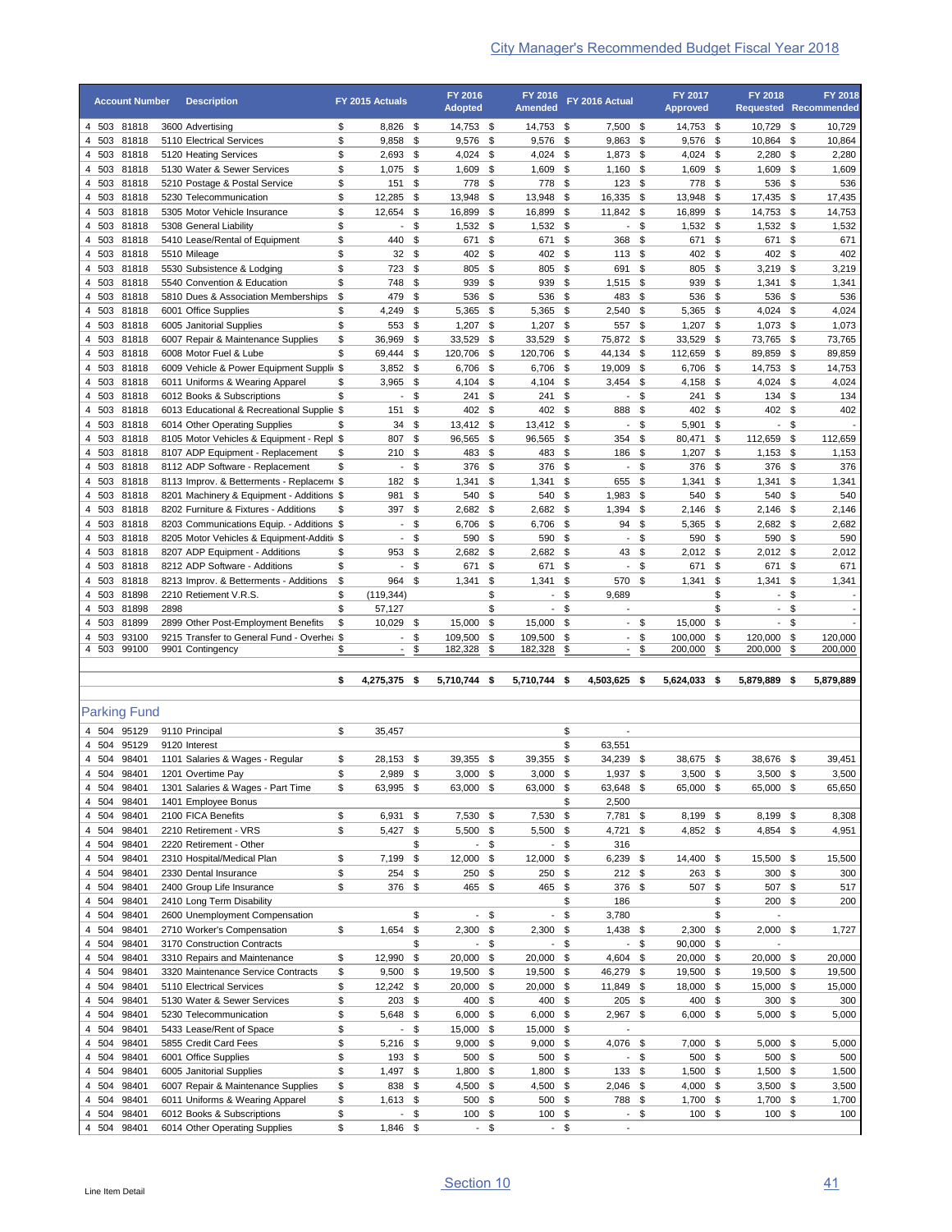|                | <b>Account Number</b>      | <b>Description</b>                                                                 |          | FY 2015 Actuals                 |          | FY 2016<br><b>Adopted</b> |          | FY 2016<br><b>Amended</b> |           | FY 2016 Actual           |              | FY 2017<br><b>Approved</b> |           | FY 2018                           |          | <b>FY 2018</b><br>Requested Recommended |
|----------------|----------------------------|------------------------------------------------------------------------------------|----------|---------------------------------|----------|---------------------------|----------|---------------------------|-----------|--------------------------|--------------|----------------------------|-----------|-----------------------------------|----------|-----------------------------------------|
|                | 4 503 81818                | 3600 Advertising                                                                   | \$       | 8,826 \$                        |          | 14,753 \$                 |          | 14,753 \$                 |           | 7,500 \$                 |              | 14,753 \$                  |           | 10,729                            | \$       | 10,729                                  |
|                | 4 503 81818<br>4 503 81818 | 5110 Electrical Services                                                           | \$<br>\$ | 9,858<br>2,693                  | \$       | 9,576 \$<br>$4,024$ \$    |          | 9,576<br>4,024 \$         | \$        | $9,863$ \$<br>1,873 \$   |              | 9,576                      | -\$<br>\$ | 10,864<br>2,280                   | \$       | 10,864<br>2,280                         |
|                | 4 503 81818                | 5120 Heating Services<br>5130 Water & Sewer Services                               | \$       | 1,075                           | \$<br>\$ | 1,609 \$                  |          | 1,609                     | \$        | $1,160$ \$               |              | 4,024<br>1,609             | - \$      | 1,609                             | \$<br>\$ | 1,609                                   |
|                | 4 503 81818                | 5210 Postage & Postal Service                                                      | \$       | 151                             | \$       | 778 \$                    |          | 778 \$                    |           | $123$ \$                 |              | 778 \$                     |           | 536                               | -\$      | 536                                     |
|                | 4 503 81818                | 5230 Telecommunication                                                             | \$       | 12,285                          | \$       | 13,948                    | \$       | 13,948                    | \$        | 16,335 \$                |              | 13,948                     | \$        | 17,435                            | -\$      | 17,435                                  |
|                | 4 503 81818                | 5305 Motor Vehicle Insurance                                                       | \$       | 12,654                          | \$       | 16,899                    | \$       | 16,899                    | \$        | 11,842 \$                |              | 16,899                     | \$        | 14,753                            | \$       | 14,753                                  |
| 4 503<br>4 503 | 81818<br>81818             | 5308 General Liability<br>5410 Lease/Rental of Equipment                           | \$<br>\$ | $\overline{\phantom{a}}$<br>440 | \$<br>\$ | 1,532<br>671              | \$<br>\$ | 1,532<br>671              | \$<br>\$  | 368 \$                   | $-$ \$       | 1,532<br>671               | \$<br>\$  | 1,532<br>671                      | \$<br>\$ | 1,532<br>671                            |
| 4 503          | 81818                      | 5510 Mileage                                                                       | \$       | 32                              | \$       | 402                       | \$       | 402                       | \$        | 113                      | \$           | 402                        | \$        | 402                               | \$       | 402                                     |
| 4 503          | 81818                      | 5530 Subsistence & Lodging                                                         | \$       | 723                             | \$       | 805                       | \$       | 805                       | \$        | 691                      | \$           | 805                        | \$        | 3,219                             | \$       | 3,219                                   |
| 4 503          | 81818                      | 5540 Convention & Education                                                        | \$       | 748                             | \$       | 939                       | \$       | 939                       | \$        | $1,515$ \$               |              | 939                        | \$        | 1,341                             | \$       | 1,341                                   |
|                | 4 503 81818                | 5810 Dues & Association Memberships                                                | \$       | 479                             | \$       | 536                       | \$       | 536                       | \$        | 483 \$                   |              | 536                        | \$        | 536                               | \$       | 536                                     |
| 4 503          | 81818<br>4 503 81818       | 6001 Office Supplies<br>6005 Janitorial Supplies                                   | \$<br>\$ | 4,249<br>553                    | \$<br>\$ | 5,365<br>1,207            | \$<br>\$ | 5,365<br>$1,207$ \$       | \$        | 2,540<br>557 \$          | \$           | 5,365<br>1,207             | \$<br>\$  | 4,024<br>1,073                    | \$<br>\$ | 4,024<br>1,073                          |
| 4 503          | 81818                      | 6007 Repair & Maintenance Supplies                                                 | \$       | 36,969                          | \$       | 33,529                    | \$       | 33,529                    | \$        | 75,872                   | - \$         | 33,529                     | \$        | 73,765                            | \$       | 73,765                                  |
|                | 4 503 81818                | 6008 Motor Fuel & Lube                                                             | \$       | 69,444                          | \$       | 120,706 \$                |          | 120,706                   | - \$      | 44,134 \$                |              | 112,659                    | \$        | 89,859                            | \$       | 89,859                                  |
|                | 4 503 81818                | 6009 Vehicle & Power Equipment Supplie \$                                          |          | 3,852                           | \$       | 6,706 \$                  |          | 6,706                     | - \$      | 19,009                   | - \$         | 6,706                      | \$        | 14,753                            | \$       | 14,753                                  |
|                | 4 503 81818                | 6011 Uniforms & Wearing Apparel                                                    | \$       | 3,965                           | - \$     | 4,104 \$                  |          | $4,104$ \$                |           | $3,454$ \$               |              | 4,158                      | -\$       | 4,024                             | -\$      | 4,024                                   |
| 4 503<br>4 503 | 81818<br>81818             | 6012 Books & Subscriptions<br>6013 Educational & Recreational Supplie \$           | \$       | $\overline{\phantom{a}}$<br>151 | \$<br>\$ | 241<br>402                | \$<br>\$ | 241<br>402                | \$<br>-\$ | 888                      | - \$<br>- \$ | 241<br>402                 | \$<br>\$  | 134<br>402                        | \$<br>\$ | 134<br>402                              |
| 4 503          | 81818                      | 6014 Other Operating Supplies                                                      | S        | 34                              | \$       | 13,412                    | \$       | 13,412                    | - \$      |                          | \$           | 5,901                      | \$        | $\overline{\phantom{0}}$          | \$       |                                         |
| 4 503          | 81818                      | 8105 Motor Vehicles & Equipment - Repl \$                                          |          | 807                             | \$       | 96,565                    | \$       | 96,565 \$                 |           | 354                      | \$           | 80,471                     | \$        | 112,659                           | -\$      | 112,659                                 |
|                | 4 503 81818                | 8107 ADP Equipment - Replacement                                                   | \$       | 210                             | \$       | 483                       | \$       | 483                       | \$        | 186                      | \$           | 1,207                      | \$        | 1,153                             | -\$      | 1,153                                   |
|                | 4 503 81818                | 8112 ADP Software - Replacement                                                    | \$       | $\blacksquare$                  | \$       | 376                       | \$       | 376                       | - \$      |                          | - \$         | 376                        | -\$       | 376                               | -\$      | 376                                     |
|                | 4 503 81818                | 8113 Improv. & Betterments - Replaceme \$                                          |          | 182                             | \$       | 1,341                     | \$       | $1,341$ \$                |           | 655 \$                   |              | 1,341                      | \$        | 1,341                             | \$       | 1,341                                   |
|                | 4 503 81818<br>4 503 81818 | 8201 Machinery & Equipment - Additions \$<br>8202 Furniture & Fixtures - Additions | \$       | 981<br>397                      | \$<br>\$ | 540<br>2,682 \$           | \$       | 540 \$<br>2,682 \$        |           | 1,983<br>1,394           | \$<br>\$     | 540<br>2,146               | \$<br>\$  | 540<br>2,146                      | \$<br>\$ | 540<br>2,146                            |
|                | 4 503 81818                | 8203 Communications Equip. - Additions \$                                          |          | $\sim$                          | \$       | 6,706 \$                  |          | 6,706 \$                  |           | 94 \$                    |              | 5,365                      | -\$       | 2,682                             | \$       | 2,682                                   |
|                | 4 503 81818                | 8205 Motor Vehicles & Equipment-Additi(\$                                          |          | $\overline{\phantom{a}}$        | \$       | 590 \$                    |          | 590 \$                    |           |                          | $-$ \$       | 590                        | \$        | 590                               | \$       | 590                                     |
|                | 4 503 81818                | 8207 ADP Equipment - Additions                                                     | \$       | 953                             | \$       | 2,682                     | \$       | 2,682                     | \$        | 43 \$                    |              | 2,012                      | \$        | 2,012                             | \$       | 2,012                                   |
|                | 4 503 81818                | 8212 ADP Software - Additions                                                      | \$       | $\overline{\phantom{a}}$        | \$       | 671                       | \$       | 671                       | \$        |                          | $-$ \$       | 671                        | \$        | 671                               | \$       | 671                                     |
| 4 503<br>4 503 | 81818<br>81898             | 8213 Improv. & Betterments - Additions<br>2210 Retiement V.R.S.                    | \$<br>\$ | 964<br>(119, 344)               | \$       | 1,341                     | \$<br>\$ | 1,341<br>$\blacksquare$   | \$<br>\$  | 570<br>9,689             | \$           | 1,341                      | \$<br>\$  | 1,341<br>$\overline{\phantom{a}}$ | \$<br>\$ | 1,341<br>$\overline{\phantom{a}}$       |
| 4 503          | 81898                      | 2898                                                                               | \$       | 57,127                          |          |                           | \$       | $\blacksquare$            | \$        | $\overline{\phantom{a}}$ |              |                            | \$        | $\overline{\phantom{a}}$          | \$       | $\overline{\phantom{a}}$                |
| 4 503          | 81899                      | 2899 Other Post-Employment Benefits                                                | \$       | 10,029                          | \$       | 15,000                    | \$       | 15,000 \$                 |           |                          | - \$         | 15,000                     | \$        | $\overline{\phantom{a}}$          | \$       | $\overline{\phantom{a}}$                |
|                |                            |                                                                                    |          |                                 |          |                           |          |                           |           |                          |              |                            |           |                                   |          |                                         |
| 4 503          | 93100                      | 9215 Transfer to General Fund - Overher \$                                         |          | $\overline{\phantom{a}}$        | \$       | 109,500                   | \$       | 109,500                   | \$        |                          | $-$ \$       | 100,000                    | \$        | 120,000                           | \$       | 120,000                                 |
|                | 4 503 99100                | 9901 Contingency                                                                   | \$       | $\overline{\phantom{a}}$        | \$       | 182,328                   | \$       | 182,328                   | \$        | $\overline{\phantom{a}}$ | \$           | 200,000                    | \$        | 200,000                           | \$       | 200,000                                 |
|                |                            |                                                                                    | \$       | 4,275,375 \$                    |          | 5,710,744 \$              |          | 5,710,744                 | -\$       | 4,503,625 \$             |              | 5,624,033 \$               |           | 5,879,889                         | -\$      | 5,879,889                               |
|                | <b>Parking Fund</b>        |                                                                                    |          |                                 |          |                           |          |                           |           |                          |              |                            |           |                                   |          |                                         |
|                | 4 504 95129                | 9110 Principal                                                                     | \$       | 35,457                          |          |                           |          |                           | \$        |                          |              |                            |           |                                   |          |                                         |
| 4 504          | 95129                      | 9120 Interest                                                                      |          |                                 |          |                           |          |                           | \$        | 63,551                   |              |                            |           |                                   |          |                                         |
|                | 4 504 98401                | 1101 Salaries & Wages - Regular                                                    | \$       | 28,153 \$                       |          | 39,355 \$                 |          | 39,355 \$                 |           | 34,239 \$                |              | 38,675 \$                  |           | 38,676 \$                         |          | 39,451                                  |
|                | 4 504 98401                | 1201 Overtime Pay                                                                  | \$       | 2,989                           | \$       | $3,000$ \$                |          | $3,000$ \$                |           | 1,937 \$                 |              | $3,500$ \$                 |           | $3,500$ \$                        |          | 3,500                                   |
|                | 4 504 98401<br>4 504 98401 | 1301 Salaries & Wages - Part Time<br>1401 Employee Bonus                           | \$       | 63,995 \$                       |          | 63,000 \$                 |          | 63,000 \$                 | \$        | 63,648 \$<br>2,500       |              | 65,000 \$                  |           | 65,000 \$                         |          | 65,650                                  |
| 4 504          | 98401                      | 2100 FICA Benefits                                                                 | \$       | 6,931                           | \$       | 7,530 \$                  |          | 7,530 \$                  |           | 7,781 \$                 |              | 8,199                      | - \$      | 8,199 \$                          |          | 8,308                                   |
| 4 504          | 98401                      | 2210 Retirement - VRS                                                              | \$       | 5,427 \$                        |          | 5,500 \$                  |          | 5,500 \$                  |           | $4,721$ \$               |              | 4,852 \$                   |           | 4,854 \$                          |          | 4,951                                   |
|                | 4 504 98401                | 2220 Retirement - Other                                                            |          |                                 | \$       |                           | - \$     |                           | $-$ \$    | 316                      |              |                            |           |                                   |          |                                         |
| 4 504          | 98401                      | 2310 Hospital/Medical Plan                                                         | \$       | 7,199                           | \$       | 12,000 \$                 |          | 12,000 \$                 |           | $6,239$ \$               |              | 14,400 \$                  |           | 15,500 \$                         |          | 15,500                                  |
|                | 4 504 98401<br>4 504 98401 | 2330 Dental Insurance<br>2400 Group Life Insurance                                 | \$<br>\$ | 254 \$<br>376 \$                |          | 250 \$                    |          | $250$ \$<br>465 \$        |           | 212S<br>376 \$           |              | $263$ \$<br>507 \$         |           | $300*$<br>507 \$                  |          | 300                                     |
| 4 504          | 98401                      | 2410 Long Term Disability                                                          |          |                                 |          | 465 \$                    |          |                           | \$        | 186                      |              |                            | \$        | $200 \text{ }$ \$                 |          | 517<br>200                              |
|                | 4 504 98401                | 2600 Unemployment Compensation                                                     |          |                                 | \$       |                           | - \$     |                           | $-$ \$    | 3,780                    |              |                            | \$        | $\blacksquare$                    |          |                                         |
|                | 4 504 98401                | 2710 Worker's Compensation                                                         | \$       | $1,654$ \$                      |          | $2,300$ \$                |          | $2,300$ \$                |           | $1,438$ \$               |              | $2,300$ \$                 |           | $2,000$ \$                        |          | 1,727                                   |
|                | 4 504 98401                | 3170 Construction Contracts                                                        |          |                                 | \$       |                           | - \$     |                           | - \$      |                          | $-$ \$       | 90,000 \$                  |           |                                   |          |                                         |
|                | 4 504 98401                | 3310 Repairs and Maintenance                                                       | \$       | 12,990                          | \$       | 20,000 \$                 |          | 20,000 \$                 |           | $4,604$ \$               |              | 20,000 \$                  |           | 20,000 \$                         |          | 20,000                                  |
| 4 504<br>4 504 | 98401<br>98401             | 3320 Maintenance Service Contracts<br>5110 Electrical Services                     | \$<br>\$ | $9,500$ \$<br>12,242 \$         |          | 19,500 \$<br>20,000 \$    |          | 19,500 \$<br>20,000 \$    |           | 46,279 \$<br>11,849 \$   |              | 19,500 \$<br>18,000 \$     |           | 19,500 \$<br>15,000 \$            |          | 19,500<br>15,000                        |
| 4 504          | 98401                      | 5130 Water & Sewer Services                                                        | \$       | 203 \$                          |          | 400 \$                    |          | 400 \$                    |           | 205 \$                   |              | 400                        | \$        | 300 \$                            |          | 300                                     |
| 4 504          | 98401                      | 5230 Telecommunication                                                             | \$       | 5,648 \$                        |          | 6,000 \$                  |          | $6,000$ \$                |           | $2,967$ \$               |              | $6,000$ \$                 |           | $5,000$ \$                        |          | 5,000                                   |
| 4 504          | 98401                      | 5433 Lease/Rent of Space                                                           | \$       | $\overline{\phantom{a}}$        | \$       | 15,000 \$                 |          | 15,000 \$                 |           | $\overline{\phantom{a}}$ |              |                            |           |                                   |          |                                         |
| 4 504          | 98401                      | 5855 Credit Card Fees                                                              | \$       | 5,216 \$                        |          | $9,000$ \$                |          | $9,000$ \$                |           | 4,076 \$                 |              | 7,000 \$                   |           | $5,000$ \$                        |          | 5,000                                   |
| 4 504          | 98401                      | 6001 Office Supplies                                                               | \$       | 193                             | \$       | 500 \$                    |          | 500 \$                    |           |                          | $-$ \$       | 500                        | \$        | 500 \$                            |          | 500                                     |
| 4 504<br>4 504 | 98401<br>98401             | 6005 Janitorial Supplies<br>6007 Repair & Maintenance Supplies                     | \$<br>\$ | 1,497 \$<br>838                 | \$       | 1,800 \$<br>4,500 \$      |          | $1,800$ \$<br>4,500 \$    |           | $133$ \$<br>$2,046$ \$   |              | $1,500$ \$<br>$4,000$ \$   |           | $1,500$ \$<br>$3,500$ \$          |          | 1,500<br>3,500                          |
| 4 504          | 98401                      | 6011 Uniforms & Wearing Apparel                                                    | \$       | $1,613$ \$                      |          | 500 \$                    |          | 500 \$                    |           | 788 \$                   |              | 1,700 \$                   |           | 1,700 \$                          |          | 1,700                                   |
|                | 4 504 98401                | 6012 Books & Subscriptions                                                         | \$       | $\blacksquare$                  | \$       | 100 \$                    |          | 100 \$                    |           |                          | $-$ \$       | 100 \$                     |           | $100 - $$                         |          | 100                                     |
|                | 4 504 98401                | 6014 Other Operating Supplies                                                      | \$       | 1,846 \$                        |          |                           | - \$     |                           | $-$ \$    | $\overline{\phantom{a}}$ |              |                            |           |                                   |          |                                         |